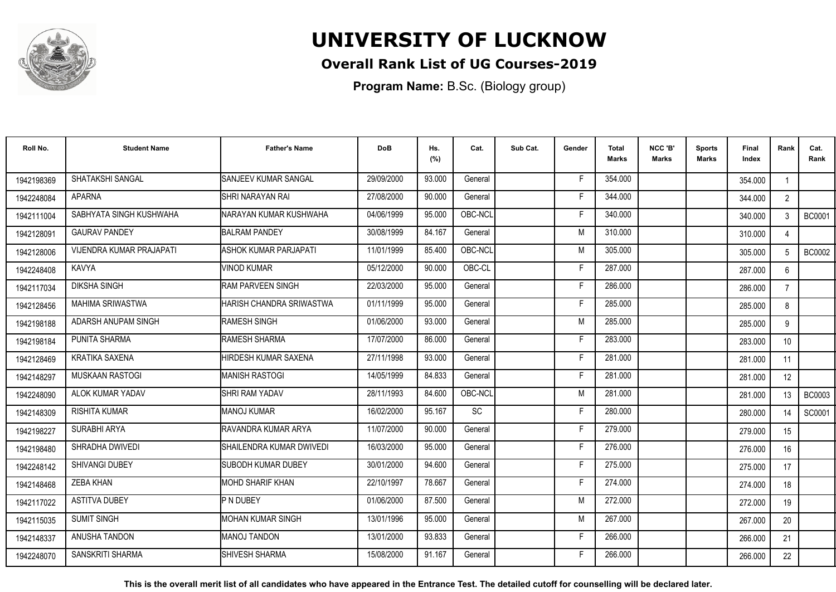

### **Overall Rank List of UG Courses-2019**

**Program Name:** B.Sc. (Biology group)

| Roll No.   | <b>Student Name</b>             | <b>Father's Name</b>         | <b>DoB</b> | Hs.<br>(%) | Cat.    | Sub Cat. | Gender | <b>Total</b><br>Marks | NCC 'B'<br><b>Marks</b> | <b>Sports</b><br>Marks | Final<br>Index | Rank             | Cat.<br>Rank  |
|------------|---------------------------------|------------------------------|------------|------------|---------|----------|--------|-----------------------|-------------------------|------------------------|----------------|------------------|---------------|
| 1942198369 | SHATAKSHI SANGAL                | SANJEEV KUMAR SANGAL         | 29/09/2000 | 93.000     | General |          | Е      | 354.000               |                         |                        | 354.000        |                  |               |
| 1942248084 | <b>APARNA</b>                   | SHRI NARAYAN RAI             | 27/08/2000 | 90.000     | General |          | Е      | 344.000               |                         |                        | 344.000        | $2^{\circ}$      |               |
| 1942111004 | SABHYATA SINGH KUSHWAHA         | INARAYAN KUMAR KUSHWAHA      | 04/06/1999 | 95.000     | OBC-NCL |          | F      | 340.000               |                         |                        | 340.000        | 3                | <b>BC0001</b> |
| 1942128091 | <b>GAURAV PANDEY</b>            | <b>BALRAM PANDEY</b>         | 30/08/1999 | 84.167     | General |          | M      | 310.000               |                         |                        | 310.000        |                  |               |
| 1942128006 | <b>VIJENDRA KUMAR PRAJAPATI</b> | <b>ASHOK KUMAR PARJAPATI</b> | 11/01/1999 | 85.400     | OBC-NCL |          | M      | 305.000               |                         |                        | 305.000        |                  | <b>BC0002</b> |
| 1942248408 | KAVYA                           | <b>VINOD KUMAR</b>           | 05/12/2000 | 90.000     | OBC-CL  |          | Е      | 287.000               |                         |                        | 287.000        | 6                |               |
| 1942117034 | <b>DIKSHA SINGH</b>             | RAM PARVEEN SINGH            | 22/03/2000 | 95.000     | General |          |        | 286.000               |                         |                        | 286.000        | $\overline{7}$   |               |
| 1942128456 | MAHIMA SRIWASTWA                | HARISH CHANDRA SRIWASTWA     | 01/11/1999 | 95.000     | General |          |        | 285.000               |                         |                        | 285.000        | 8                |               |
| 1942198188 | ADARSH ANUPAM SINGH             | <b>RAMESH SINGH</b>          | 01/06/2000 | 93.000     | General |          | M      | 285.000               |                         |                        | 285.000        | 9                |               |
| 1942198184 | PUNITA SHARMA                   | RAMESH SHARMA                | 17/07/2000 | 86.000     | General |          |        | 283.000               |                         |                        | 283.000        | 10 <sup>1</sup>  |               |
| 1942128469 | <b>KRATIKA SAXENA</b>           | HIRDESH KUMAR SAXENA         | 27/11/1998 | 93.000     | General |          | Е      | 281.000               |                         |                        | 281.000        | 11               |               |
| 1942148297 | <b>MUSKAAN RASTOGI</b>          | <b>MANISH RASTOGI</b>        | 14/05/1999 | 84.833     | General |          | E      | 281.000               |                         |                        | 281.000        | 12 <sup>°</sup>  |               |
| 1942248090 | ALOK KUMAR YADAV                | <b>SHRI RAM YADAV</b>        | 28/11/1993 | 84.600     | OBC-NCL |          | M      | 281.000               |                         |                        | 281.000        | 13               | <b>BC0003</b> |
| 1942148309 | <b>RISHITA KUMAR</b>            | <b>MANOJ KUMAR</b>           | 16/02/2000 | 95.167     | SC      |          | Е      | 280.000               |                         |                        | 280.000        |                  | SC0001        |
| 1942198227 | SURABHI ARYA                    | IRAVANDRA KUMAR ARYA         | 11/07/2000 | 90.000     | General |          |        | 279.000               |                         |                        | 279.000        | 15 <sup>15</sup> |               |
| 1942198480 | SHRADHA DWIVEDI                 | SHAILENDRA KUMAR DWIVEDI     | 16/03/2000 | 95.000     | General |          |        | 276.000               |                         |                        | 276.000        | 16               |               |
| 1942248142 | <b>SHIVANGI DUBEY</b>           | <b>SUBODH KUMAR DUBEY</b>    | 30/01/2000 | 94.600     | General |          |        | 275.000               |                         |                        | 275.000        | 17               |               |
| 1942148468 | ZEBA KHAN                       | IMOHD SHARIF KHAN            | 22/10/1997 | 78.667     | General |          |        | 274.000               |                         |                        | 274.000        | 18               |               |
| 1942117022 | <b>ASTITVA DUBEY</b>            | P N DUBEY                    | 01/06/2000 | 87.500     | General |          | M      | 272.000               |                         |                        | 272.000        | 19               |               |
| 1942115035 | <b>SUMIT SINGH</b>              | <b>MOHAN KUMAR SINGH</b>     | 13/01/1996 | 95.000     | General |          | M      | 267.000               |                         |                        | 267.000        | 20               |               |
| 1942148337 | ANUSHA TANDON                   | MANOJ TANDON                 | 13/01/2000 | 93.833     | General |          |        | 266.000               |                         |                        | 266.000        | 21               |               |
| 1942248070 | SANSKRITI SHARMA                | <b>SHIVESH SHARMA</b>        | 15/08/2000 | 91.167     | General |          |        | 266.000               |                         |                        | 266.000        | 22               |               |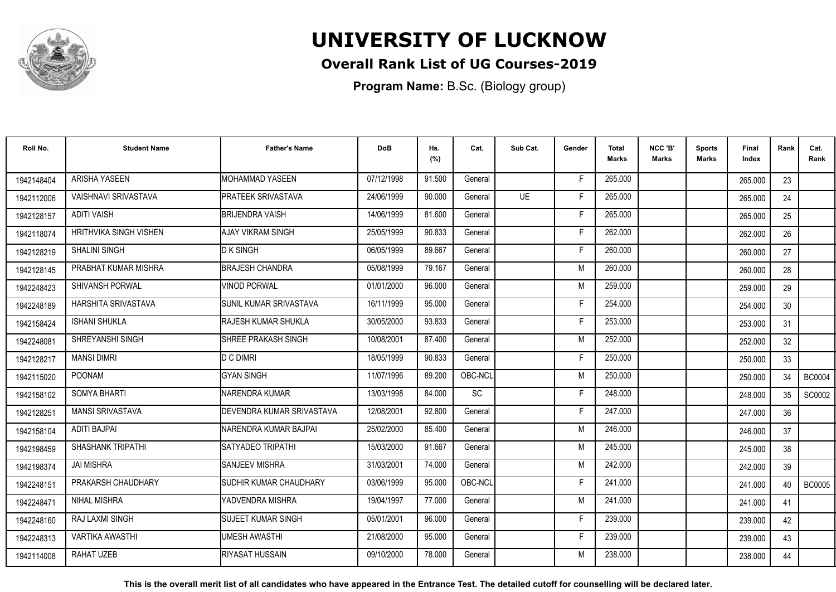

### **Overall Rank List of UG Courses-2019**

**Program Name:** B.Sc. (Biology group)

| Roll No.   | <b>Student Name</b>         | <b>Father's Name</b>            | <b>DoB</b> | Hs.<br>(%) | Cat.      | Sub Cat. | Gender | <b>Total</b><br>Marks | NCC 'B'<br><b>Marks</b> | <b>Sports</b><br>Marks | Final<br>Index | Rank | Cat.<br>Rank  |
|------------|-----------------------------|---------------------------------|------------|------------|-----------|----------|--------|-----------------------|-------------------------|------------------------|----------------|------|---------------|
| 1942148404 | <b>ARISHA YASEEN</b>        | <b>MOHAMMAD YASEEN</b>          | 07/12/1998 | 91.500     | General   |          | F      | 265.000               |                         |                        | 265.000        | 23   |               |
| 1942112006 | <b>VAISHNAVI SRIVASTAVA</b> | <b>PRATEEK SRIVASTAVA</b>       | 24/06/1999 | 90.000     | General   | UF       | F      | 265.000               |                         |                        | 265.000        | 24   |               |
| 1942128157 | <b>ADITI VAISH</b>          | <b>BRIJENDRA VAISH</b>          | 14/06/1999 | 81.600     | General   |          | F      | 265.000               |                         |                        | 265.000        | 25   |               |
| 1942118074 | HRITHVIKA SINGH VISHEN      | IAJAY VIKRAM SINGH              | 25/05/1999 | 90.833     | General   |          | F      | 262.000               |                         |                        | 262.000        | 26   |               |
| 1942128219 | <b>SHALINI SINGH</b>        | <b>D</b> K SINGH                | 06/05/1999 | 89.667     | General   |          | F      | 260.000               |                         |                        | 260.000        | 27   |               |
| 1942128145 | PRABHAT KUMAR MISHRA        | <b>BRAJESH CHANDRA</b>          | 05/08/1999 | 79.167     | General   |          | M      | 260.000               |                         |                        | 260.000        | 28   |               |
| 1942248423 | <b>SHIVANSH PORWAL</b>      | <b>VINOD PORWAL</b>             | 01/01/2000 | 96.000     | General   |          | M      | 259.000               |                         |                        | 259.000        | 29   |               |
| 1942248189 | HARSHITA SRIVASTAVA         | <b>I</b> SUNIL KUMAR SRIVASTAVA | 16/11/1999 | 95.000     | General   |          | Е      | 254.000               |                         |                        | 254.000        | 30   |               |
| 1942158424 | <b>ISHANI SHUKLA</b>        | <b>I</b> RAJESH KUMAR SHUKLA    | 30/05/2000 | 93.833     | General   |          | Е      | 253.000               |                         |                        | 253.000        | 31   |               |
| 1942248081 | SHREYANSHI SINGH            | SHREE PRAKASH SINGH             | 10/08/2001 | 87.400     | General   |          | M      | 252.000               |                         |                        | 252.000        | 32   |               |
| 1942128217 | <b>MANSI DIMRI</b>          | D C DIMRI                       | 18/05/1999 | 90.833     | General   |          | E      | 250.000               |                         |                        | 250.000        | 33   |               |
| 1942115020 | <b>POONAM</b>               | <b>GYAN SINGH</b>               | 11/07/1996 | 89.200     | OBC-NCL   |          | M      | 250.000               |                         |                        | 250.000        | 34   | <b>BC0004</b> |
| 1942158102 | <b>SOMYA BHARTI</b>         | NARENDRA KUMAR                  | 13/03/1998 | 84.000     | <b>SC</b> |          |        | 248.000               |                         |                        | 248,000        | 35   | SC0002        |
| 1942128251 | <b>MANSI SRIVASTAVA</b>     | IDEVENDRA KUMAR SRIVASTAVA      | 12/08/2001 | 92.800     | General   |          | F      | 247.000               |                         |                        | 247.000        | 36   |               |
| 1942158104 | <b>ADITI BAJPAI</b>         | NARENDRA KUMAR BAJPAI           | 25/02/2000 | 85.400     | General   |          | M      | 246.000               |                         |                        | 246.000        | 37   |               |
| 1942198459 | SHASHANK TRIPATHI           | <b>SATYADEO TRIPATHI</b>        | 15/03/2000 | 91.667     | General   |          | M      | 245.000               |                         |                        | 245.000        | 38   |               |
| 1942198374 | <b>JAI MISHRA</b>           | <b>I</b> SANJEEV MISHRA         | 31/03/2001 | 74.000     | General   |          | M      | 242.000               |                         |                        | 242.000        | 39   |               |
| 1942248151 | PRAKARSH CHAUDHARY          | ISUDHIR KUMAR CHAUDHARY         | 03/06/1999 | 95.000     | OBC-NCL   |          | F      | 241.000               |                         |                        | 241.000        | 40   | <b>BC0005</b> |
| 1942248471 | <b>NIHAL MISHRA</b>         | IYADVENDRA MISHRA               | 19/04/1997 | 77.000     | General   |          | M      | 241.000               |                         |                        | 241.000        | 41   |               |
| 1942248160 | RAJ LAXMI SINGH             | <b>I</b> SUJEET KUMAR SINGH     | 05/01/2001 | 96.000     | General   |          | F      | 239.000               |                         |                        | 239.000        | 42   |               |
| 1942248313 | <b>VARTIKA AWASTHI</b>      | <b>UMESH AWASTHI</b>            | 21/08/2000 | 95.000     | General   |          | F      | 239.000               |                         |                        | 239.000        | 43   |               |
| 1942114008 | RAHAT UZEB                  | <b>I</b> RIYASAT HUSSAIN        | 09/10/2000 | 78.000     | General   |          | M      | 238.000               |                         |                        | 238.000        | 44   |               |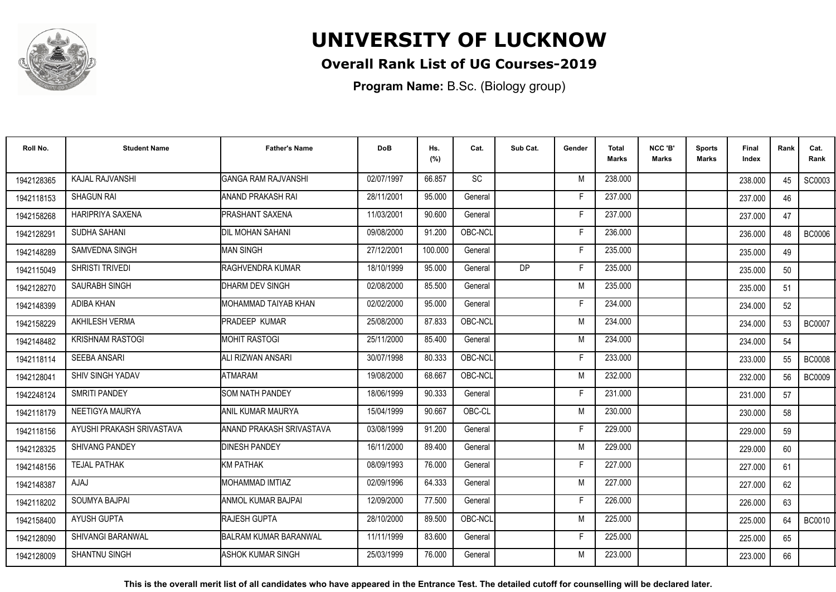

### **Overall Rank List of UG Courses-2019**

**Program Name:** B.Sc. (Biology group)

| Roll No.   | <b>Student Name</b>       | <b>Father's Name</b>            | <b>DoB</b> | Hs.<br>(%) | Cat.      | Sub Cat.  | Gender | Total<br>Marks | NCC 'B'<br><b>Marks</b> | Sports<br>Marks | Final<br>Index | Rank | Cat.<br>Rank  |
|------------|---------------------------|---------------------------------|------------|------------|-----------|-----------|--------|----------------|-------------------------|-----------------|----------------|------|---------------|
| 1942128365 | <b>KAJAL RAJVANSHI</b>    | <b>GANGA RAM RAJVANSHI</b>      | 02/07/1997 | 66.857     | <b>SC</b> |           | M      | 238,000        |                         |                 | 238,000        | 45   | SC0003        |
| 1942118153 | <b>SHAGUN RAI</b>         | ANAND PRAKASH RAI               | 28/11/2001 | 95.000     | General   |           | Е      | 237.000        |                         |                 | 237.000        | 46   |               |
| 1942158268 | <b>HARIPRIYA SAXENA</b>   | <b>PRASHANT SAXENA</b>          | 11/03/2001 | 90.600     | General   |           | -F     | 237.000        |                         |                 | 237.000        | 47   |               |
| 1942128291 | SUDHA SAHANI              | DIL MOHAN SAHANI                | 09/08/2000 | 91.200     | OBC-NCL   |           | E      | 236.000        |                         |                 | 236.000        | 48   | <b>BC0006</b> |
| 1942148289 | SAMVEDNA SINGH            | <b>MAN SINGH</b>                | 27/12/2001 | 100.000    | General   |           | E      | 235.000        |                         |                 | 235.000        | 49   |               |
| 1942115049 | SHRISTI TRIVEDI           | <b>RAGHVENDRA KUMAR</b>         | 18/10/1999 | 95.000     | General   | <b>DP</b> | Е      | 235.000        |                         |                 | 235.000        | 50   |               |
| 1942128270 | SAURABH SINGH             | DHARM DEV SINGH                 | 02/08/2000 | 85.500     | General   |           | M      | 235.000        |                         |                 | 235.000        | 51   |               |
| 1942148399 | <b>ADIBA KHAN</b>         | MOHAMMAD TAIYAB KHAN            | 02/02/2000 | 95.000     | General   |           | Е      | 234.000        |                         |                 | 234.000        | 52   |               |
| 1942158229 | AKHILESH VERMA            | <b>PRADEEP KUMAR</b>            | 25/08/2000 | 87.833     | OBC-NCL   |           | M      | 234.000        |                         |                 | 234.000        | 53   | <b>BC0007</b> |
| 1942148482 | <b>KRISHNAM RASTOGI</b>   | <b>MOHIT RASTOGI</b>            | 25/11/2000 | 85.400     | General   |           | M      | 234.000        |                         |                 | 234.000        | 54   |               |
| 1942118114 | <b>SEEBA ANSARI</b>       | IALI RIZWAN ANSARI              | 30/07/1998 | 80.333     | OBC-NCL   |           | F      | 233.000        |                         |                 | 233.000        | 55   | <b>BC0008</b> |
| 1942128041 | <b>SHIV SINGH YADAV</b>   | <b>ATMARAM</b>                  | 19/08/2000 | 68.667     | OBC-NCL   |           | M      | 232.000        |                         |                 | 232.000        | 56   | <b>BC0009</b> |
| 1942248124 | <b>SMRITI PANDEY</b>      | <b>SOM NATH PANDEY</b>          | 18/06/1999 | 90.333     | General   |           |        | 231.000        |                         |                 | 231.000        | 57   |               |
| 1942118179 | NEETIGYA MAURYA           | ANIL KUMAR MAURYA               | 15/04/1999 | 90.667     | OBC-CL    |           | M      | 230.000        |                         |                 | 230.000        | 58   |               |
| 1942118156 | AYUSHI PRAKASH SRIVASTAVA | <b>ANAND PRAKASH SRIVASTAVA</b> | 03/08/1999 | 91.200     | General   |           |        | 229.000        |                         |                 | 229.000        | 59   |               |
| 1942128325 | <b>SHIVANG PANDEY</b>     | <b>DINESH PANDEY</b>            | 16/11/2000 | 89.400     | General   |           | M      | 229.000        |                         |                 | 229.000        | 60   |               |
| 1942148156 | <b>TEJAL PATHAK</b>       | <b>KM PATHAK</b>                | 08/09/1993 | 76.000     | General   |           | Е      | 227.000        |                         |                 | 227.000        | 61   |               |
| 1942148387 | <b>AJAJ</b>               | MOHAMMAD IMTIAZ                 | 02/09/1996 | 64.333     | General   |           | M      | 227.000        |                         |                 | 227.000        | 62   |               |
| 1942118202 | SOUMYA BAJPAI             | ANMOL KUMAR BAJPAI              | 12/09/2000 | 77.500     | General   |           | F      | 226,000        |                         |                 | 226.000        | 63   |               |
| 1942158400 | AYUSH GUPTA               | <b>RAJESH GUPTA</b>             | 28/10/2000 | 89.500     | OBC-NCL   |           | M      | 225.000        |                         |                 | 225.000        | 64   | <b>BC0010</b> |
| 1942128090 | SHIVANGI BARANWAL         | BALRAM KUMAR BARANWAL           | 11/11/1999 | 83.600     | General   |           | F      | 225.000        |                         |                 | 225.000        | 65   |               |
| 1942128009 | <b>SHANTNU SINGH</b>      | ASHOK KUMAR SINGH               | 25/03/1999 | 76.000     | General   |           | M      | 223.000        |                         |                 | 223.000        | 66   |               |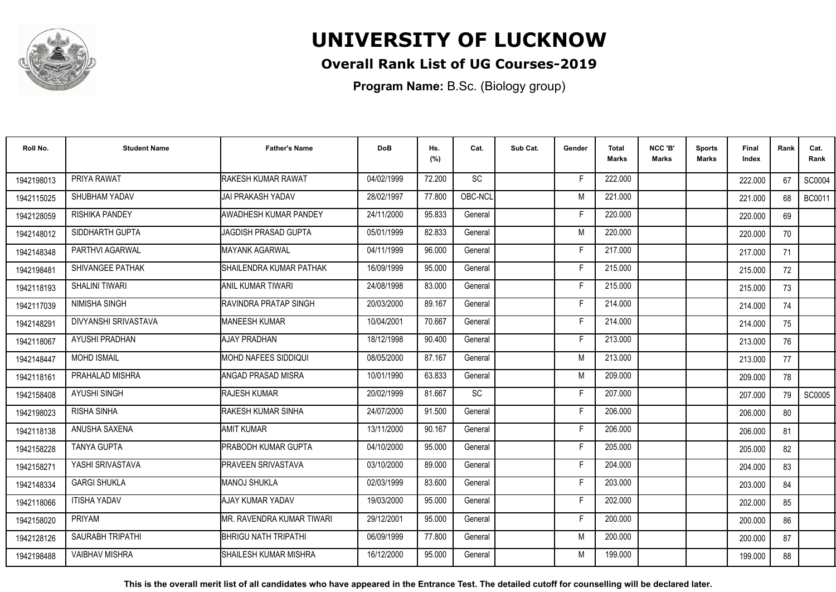

### **Overall Rank List of UG Courses-2019**

**Program Name:** B.Sc. (Biology group)

| Roll No.   | <b>Student Name</b>     | <b>Father's Name</b>        | <b>DoB</b> | Hs.<br>(%) | Cat.    | Sub Cat. | Gender | <b>Total</b><br><b>Marks</b> | NCC 'B'<br><b>Marks</b> | <b>Sports</b><br>Marks | Final<br>Index | Rank | Cat.<br>Rank  |
|------------|-------------------------|-----------------------------|------------|------------|---------|----------|--------|------------------------------|-------------------------|------------------------|----------------|------|---------------|
| 1942198013 | PRIYA RAWAT             | RAKESH KUMAR RAWAT          | 04/02/1999 | 72.200     | SC      |          | F      | 222.000                      |                         |                        | 222,000        | 67   | <b>SC0004</b> |
| 1942115025 | SHUBHAM YADAV           | JAI PRAKASH YADAV           | 28/02/1997 | 77.800     | OBC-NCL |          | M      | 221.000                      |                         |                        | 221.000        | 68   | <b>BC0011</b> |
| 1942128059 | <b>RISHIKA PANDEY</b>   | AWADHESH KUMAR PANDEY       | 24/11/2000 | 95.833     | General |          | E      | 220,000                      |                         |                        | 220.000        | 69   |               |
| 1942148012 | SIDDHARTH GUPTA         | JAGDISH PRASAD GUPTA        | 05/01/1999 | 82.833     | General |          | M      | 220,000                      |                         |                        | 220.000        | 70   |               |
| 1942148348 | PARTHVI AGARWAL         | <b>MAYANK AGARWAL</b>       | 04/11/1999 | 96.000     | General |          | E      | 217.000                      |                         |                        | 217.000        | 71   |               |
| 1942198481 | <b>SHIVANGEE PATHAK</b> | SHAILENDRA KUMAR PATHAK     | 16/09/1999 | 95.000     | General |          | F      | 215.000                      |                         |                        | 215.000        | 72   |               |
| 1942118193 | <b>SHALINI TIWARI</b>   | <b>ANIL KUMAR TIWARI</b>    | 24/08/1998 | 83.000     | General |          | F      | 215.000                      |                         |                        | 215.000        | 73   |               |
| 1942117039 | NIMISHA SINGH           | RAVINDRA PRATAP SINGH       | 20/03/2000 | 89.167     | General |          | E      | 214.000                      |                         |                        | 214.000        | 74   |               |
| 1942148291 | DIVYANSHI SRIVASTAVA    | <b>MANEESH KUMAR</b>        | 10/04/2001 | 70.667     | General |          | E      | 214.000                      |                         |                        | 214.000        | 75   |               |
| 1942118067 | AYUSHI PRADHAN          | <b>AJAY PRADHAN</b>         | 18/12/1998 | 90.400     | General |          | F      | 213.000                      |                         |                        | 213.000        | 76   |               |
| 1942148447 | <b>MOHD ISMAIL</b>      | <b>MOHD NAFEES SIDDIQUI</b> | 08/05/2000 | 87.167     | General |          | M      | 213.000                      |                         |                        | 213.000        | 77   |               |
| 1942118161 | PRAHALAD MISHRA         | ANGAD PRASAD MISRA          | 10/01/1990 | 63.833     | General |          | M      | 209.000                      |                         |                        | 209.000        | 78   |               |
| 1942158408 | <b>AYUSHI SINGH</b>     | <b>RAJESH KUMAR</b>         | 20/02/1999 | 81.667     | SC      |          |        | 207.000                      |                         |                        | 207.000        | 79   | <b>SC0005</b> |
| 1942198023 | <b>RISHA SINHA</b>      | RAKESH KUMAR SINHA          | 24/07/2000 | 91.500     | General |          | E      | 206.000                      |                         |                        | 206.000        | 80   |               |
| 1942118138 | ANUSHA SAXENA           | <b>AMIT KUMAR</b>           | 13/11/2000 | 90.167     | General |          |        | 206.000                      |                         |                        | 206.000        | 81   |               |
| 1942158228 | <b>TANYA GUPTA</b>      | <b>PRABODH KUMAR GUPTA</b>  | 04/10/2000 | 95.000     | General |          | F      | 205.000                      |                         |                        | 205.000        | 82   |               |
| 1942158271 | YASHI SRIVASTAVA        | <b>PRAVEEN SRIVASTAVA</b>   | 03/10/2000 | 89.000     | General |          | E      | 204.000                      |                         |                        | 204.000        | 83   |               |
| 1942148334 | <b>GARGI SHUKLA</b>     | MANOJ SHUKLA                | 02/03/1999 | 83.600     | General |          | F      | 203.000                      |                         |                        | 203.000        | 84   |               |
| 1942118066 | <b>ITISHA YADAV</b>     | AJAY KUMAR YADAV            | 19/03/2000 | 95.000     | General |          | F      | 202.000                      |                         |                        | 202.000        | 85   |               |
| 1942158020 | <b>PRIYAM</b>           | IMR. RAVENDRA KUMAR TIWARI  | 29/12/2001 | 95.000     | General |          | F      | 200.000                      |                         |                        | 200.000        | 86   |               |
| 1942128126 | SAURABH TRIPATHI        | BHRIGU NATH TRIPATHI        | 06/09/1999 | 77.800     | General |          | M      | 200.000                      |                         |                        | 200.000        | 87   |               |
| 1942198488 | <b>VAIBHAV MISHRA</b>   | ISHAILESH KUMAR MISHRA      | 16/12/2000 | 95.000     | General |          | M      | 199.000                      |                         |                        | 199.000        | 88   |               |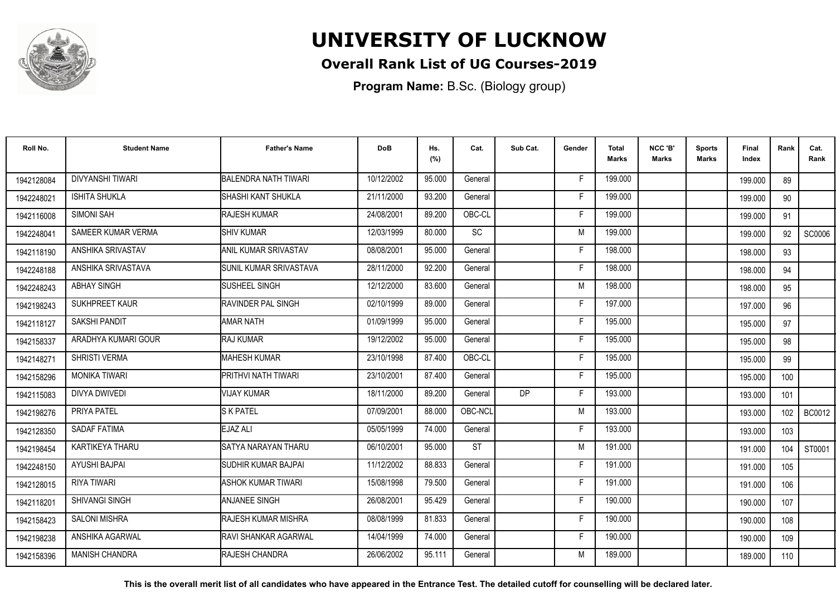

### **Overall Rank List of UG Courses-2019**

**Program Name:** B.Sc. (Biology group)

| Roll No.   | <b>Student Name</b>     | <b>Father's Name</b>         | <b>DoB</b> | Hs.<br>(%) | Cat.      | Sub Cat.  | Gender | <b>Total</b><br>Marks | NCC 'B'<br><b>Marks</b> | Sports<br><b>Marks</b> | Final<br>Index | Rank | Cat.<br>Rank |
|------------|-------------------------|------------------------------|------------|------------|-----------|-----------|--------|-----------------------|-------------------------|------------------------|----------------|------|--------------|
| 1942128084 | <b>DIVYANSHI TIWARI</b> | <b>BALENDRA NATH TIWARI</b>  | 10/12/2002 | 95.000     | General   |           | -F     | 199.000               |                         |                        | 199.000        | 89   |              |
| 1942248021 | <b>ISHITA SHUKLA</b>    | <b>SHASHI KANT SHUKLA</b>    | 21/11/2000 | 93.200     | General   |           | F      | 199.000               |                         |                        | 199.000        | 90   |              |
| 1942116008 | SIMONI SAH              | <b>RAJESH KUMAR</b>          | 24/08/2001 | 89.200     | OBC-CL    |           | F      | 199.000               |                         |                        | 199.000        | 91   |              |
| 1942248041 | SAMEER KUMAR VERMA      | <b>SHIV KUMAR</b>            | 12/03/1999 | 80.000     | SC        |           | M      | 199.000               |                         |                        | 199.000        | 92   | SC0006       |
| 1942118190 | ANSHIKA SRIVASTAV       | ANIL KUMAR SRIVASTAV         | 08/08/2001 | 95.000     | General   |           |        | 198.000               |                         |                        | 198.000        | 93   |              |
| 1942248188 | ANSHIKA SRIVASTAVA      | SUNIL KUMAR SRIVASTAVA       | 28/11/2000 | 92.200     | General   |           | E      | 198.000               |                         |                        | 198,000        | 94   |              |
| 1942248243 | <b>ABHAY SINGH</b>      | SUSHEEL SINGH                | 12/12/2000 | 83.600     | General   |           | M      | 198.000               |                         |                        | 198.000        | 95   |              |
| 1942198243 | SUKHPREET KAUR          | RAVINDER PAL SINGH           | 02/10/1999 | 89.000     | General   |           | F      | 197.000               |                         |                        | 197.000        | 96   |              |
| 1942118127 | SAKSHI PANDIT           | <b>AMAR NATH</b>             | 01/09/1999 | 95.000     | General   |           | E      | 195.000               |                         |                        | 195.000        | 97   |              |
| 1942158337 | ARADHYA KUMARI GOUR     | RAJ KUMAR                    | 19/12/2002 | 95.000     | General   |           | F      | 195.000               |                         |                        | 195.000        | 98   |              |
| 1942148271 | SHRISTI VERMA           | <b>MAHESH KUMAR</b>          | 23/10/1998 | 87.400     | OBC-CL    |           | Е      | 195.000               |                         |                        | 195.000        | 99   |              |
| 1942158296 | <b>MONIKA TIWARI</b>    | PRITHVI NATH TIWARI          | 23/10/2001 | 87.400     | General   |           | F      | 195.000               |                         |                        | 195.000        | 100  |              |
| 1942115083 | <b>DIVYA DWIVEDI</b>    | <b>VIJAY KUMAR</b>           | 18/11/2000 | 89.200     | General   | <b>DP</b> | F      | 193.000               |                         |                        | 193.000        | 101  |              |
| 1942198276 | PRIYA PATEL             | <b>S K PATEL</b>             | 07/09/2001 | 88.000     | OBC-NCL   |           | M      | 193.000               |                         |                        | 193.000        | 102  | BC0012       |
| 1942128350 | <b>SADAF FATIMA</b>     | EJAZ ALI                     | 05/05/1999 | 74.000     | General   |           |        | 193.000               |                         |                        | 193.000        | 103  |              |
| 1942198454 | KARTIKEYA THARU         | SATYA NARAYAN THARU          | 06/10/2001 | 95.000     | <b>ST</b> |           | M      | 191.000               |                         |                        | 191.000        | 104  | ST0001       |
| 1942248150 | <b>AYUSHI BAJPAI</b>    | SUDHIR KUMAR BAJPAI          | 11/12/2002 | 88.833     | General   |           | F      | 191.000               |                         |                        | 191.000        | 105  |              |
| 1942128015 | <b>RIYA TIWARI</b>      | ASHOK KUMAR TIWARI           | 15/08/1998 | 79.500     | General   |           | F      | 191.000               |                         |                        | 191.000        | 106  |              |
| 1942118201 | <b>SHIVANGI SINGH</b>   | <b>ANJANEE SINGH</b>         | 26/08/2001 | 95.429     | General   |           | F      | 190.000               |                         |                        | 190.000        | 107  |              |
| 1942158423 | <b>SALONI MISHRA</b>    | <b>RAJESH KUMAR MISHRA</b>   | 08/08/1999 | 81.833     | General   |           | F      | 190.000               |                         |                        | 190.000        | 108  |              |
| 1942198238 | ANSHIKA AGARWAL         | <b>IRAVI SHANKAR AGARWAL</b> | 14/04/1999 | 74.000     | General   |           | F      | 190.000               |                         |                        | 190.000        | 109  |              |
| 1942158396 | <b>MANISH CHANDRA</b>   | <b>RAJESH CHANDRA</b>        | 26/06/2002 | 95.111     | General   |           | M      | 189.000               |                         |                        | 189.000        | 110  |              |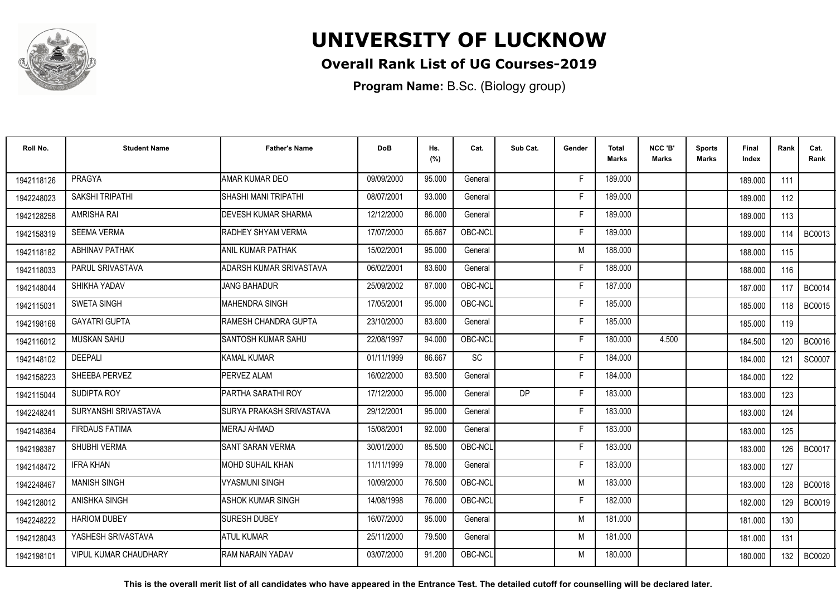

### **Overall Rank List of UG Courses-2019**

**Program Name:** B.Sc. (Biology group)

| Roll No.   | <b>Student Name</b>          | <b>Father's Name</b>              | <b>DoB</b> | Hs.<br>(%) | Cat.      | Sub Cat.  | Gender | <b>Total</b><br><b>Marks</b> | NCC 'B'<br><b>Marks</b> | <b>Sports</b><br>Marks | Final<br>Index | Rank  | Cat.<br>Rank  |
|------------|------------------------------|-----------------------------------|------------|------------|-----------|-----------|--------|------------------------------|-------------------------|------------------------|----------------|-------|---------------|
| 1942118126 | <b>PRAGYA</b>                | AMAR KUMAR DEO                    | 09/09/2000 | 95.000     | General   |           | F      | 189.000                      |                         |                        | 189.000        | 111   |               |
| 1942248023 | SAKSHI TRIPATHI              | <b>SHASHI MANI TRIPATHI</b>       | 08/07/2001 | 93.000     | General   |           | F      | 189.000                      |                         |                        | 189.000        | 112   |               |
| 1942128258 | <b>AMRISHA RAI</b>           | <b>IDEVESH KUMAR SHARMA</b>       | 12/12/2000 | 86.000     | General   |           | Е      | 189.000                      |                         |                        | 189.000        | 113   |               |
| 1942158319 | <b>SEEMA VERMA</b>           | <b>IRADHEY SHYAM VERMA</b>        | 17/07/2000 | 65.667     | OBC-NCL   |           | F      | 189.000                      |                         |                        | 189.000        | 114 I | <b>BC0013</b> |
| 1942118182 | <b>ABHINAV PATHAK</b>        | IANIL KUMAR PATHAK                | 15/02/2001 | 95.000     | General   |           | M      | 188.000                      |                         |                        | 188.000        | 115   |               |
| 1942118033 | PARUL SRIVASTAVA             | ADARSH KUMAR SRIVASTAVA           | 06/02/2001 | 83.600     | General   |           | F      | 188.000                      |                         |                        | 188.000        | 116   |               |
| 1942148044 | SHIKHA YADAV                 | <b>JANG BAHADUR</b>               | 25/09/2002 | 87.000     | OBC-NCL   |           | F      | 187.000                      |                         |                        | 187.000        | 117   | <b>BC0014</b> |
| 1942115031 | <b>SWETA SINGH</b>           | MAHENDRA SINGH                    | 17/05/2001 | 95.000     | OBC-NCL   |           | Е      | 185.000                      |                         |                        | 185.000        | 118   | <b>BC0015</b> |
| 1942198168 | <b>GAYATRI GUPTA</b>         | <b>I</b> RAMESH CHANDRA GUPTA     | 23/10/2000 | 83.600     | General   |           | F      | 185.000                      |                         |                        | 185.000        | 119   |               |
| 1942116012 | <b>MUSKAN SAHU</b>           | <b>I</b> SANTOSH KUMAR SAHU       | 22/08/1997 | 94.000     | OBC-NCL   |           | F      | 180.000                      | 4.500                   |                        | 184.500        | 120   | <b>BC0016</b> |
| 1942148102 | <b>DEEPALI</b>               | <b>KAMAL KUMAR</b>                | 01/11/1999 | 86.667     | <b>SC</b> |           | Е      | 184.000                      |                         |                        | 184.000        | 121   | SC0007        |
| 1942158223 | SHEEBA PERVEZ                | PERVEZ ALAM                       | 16/02/2000 | 83.500     | General   |           | F      | 184.000                      |                         |                        | 184.000        | 122   |               |
| 1942115044 | SUDIPTA ROY                  | PARTHA SARATHI ROY                | 17/12/2000 | 95.000     | General   | <b>DP</b> | F      | 183.000                      |                         |                        | 183.000        | 123   |               |
| 1942248241 | SURYANSHI SRIVASTAVA         | <b>I</b> SURYA PRAKASH SRIVASTAVA | 29/12/2001 | 95.000     | General   |           | F      | 183.000                      |                         |                        | 183.000        | 124   |               |
| 1942148364 | <b>FIRDAUS FATIMA</b>        | <b>IMERAJ AHMAD</b>               | 15/08/2001 | 92.000     | General   |           | F      | 183.000                      |                         |                        | 183.000        | 125   |               |
| 1942198387 | SHUBHI VERMA                 | <b>I</b> SANT SARAN VERMA         | 30/01/2000 | 85.500     | OBC-NCL   |           | Е      | 183.000                      |                         |                        | 183.000        | 126   | <b>BC0017</b> |
| 1942148472 | <b>IFRA KHAN</b>             | <b>MOHD SUHAIL KHAN</b>           | 11/11/1999 | 78.000     | General   |           | F      | 183.000                      |                         |                        | 183.000        | 127   |               |
| 1942248467 | <b>MANISH SINGH</b>          | <b>VYASMUNI SINGH</b>             | 10/09/2000 | 76.500     | OBC-NCL   |           | M      | 183.000                      |                         |                        | 183.000        | 128   | <b>BC0018</b> |
| 1942128012 | ANISHKA SINGH                | <b>ASHOK KUMAR SINGH</b>          | 14/08/1998 | 76.000     | OBC-NCL   |           | F      | 182.000                      |                         |                        | 182.000        | 129   | <b>BC0019</b> |
| 1942248222 | <b>HARIOM DUBEY</b>          | <b>I</b> SURESH DUBEY             | 16/07/2000 | 95.000     | General   |           | M      | 181.000                      |                         |                        | 181.000        | 130   |               |
| 1942128043 | YASHESH SRIVASTAVA           | <b>ATUL KUMAR</b>                 | 25/11/2000 | 79.500     | General   |           | M      | 181.000                      |                         |                        | 181.000        | 131   |               |
| 1942198101 | <b>VIPUL KUMAR CHAUDHARY</b> | <b>IRAM NARAIN YADAV</b>          | 03/07/2000 | 91.200     | OBC-NCL   |           | M      | 180.000                      |                         |                        | 180.000        | 132   | <b>BC0020</b> |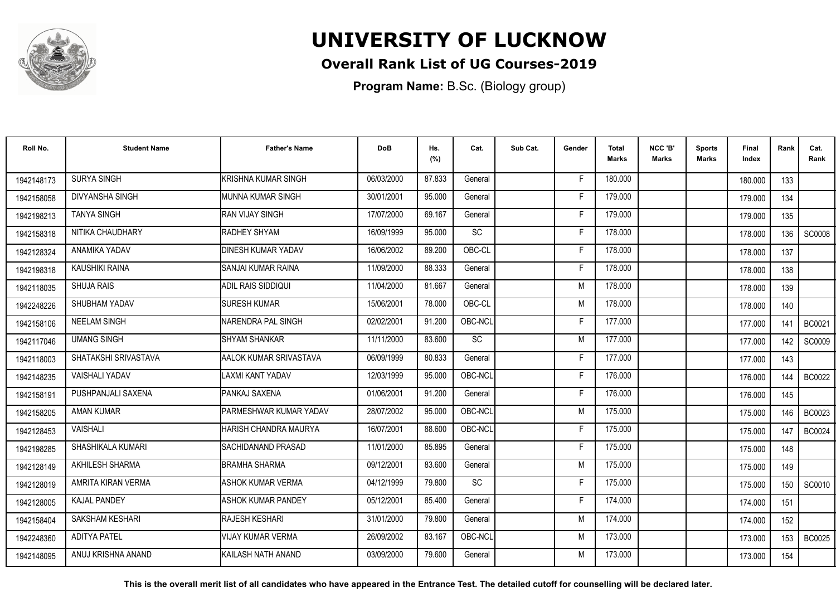

### **Overall Rank List of UG Courses-2019**

**Program Name:** B.Sc. (Biology group)

| Roll No.   | <b>Student Name</b>    | <b>Father's Name</b>       | <b>DoB</b> | Hs.<br>(%) | Cat.    | Sub Cat. | Gender | <b>Total</b><br>Marks | NCC 'B'<br>Marks | <b>Sports</b><br>Marks | Final<br>Index | Rank | Cat.<br>Rank  |
|------------|------------------------|----------------------------|------------|------------|---------|----------|--------|-----------------------|------------------|------------------------|----------------|------|---------------|
| 1942148173 | <b>SURYA SINGH</b>     | <b>KRISHNA KUMAR SINGH</b> | 06/03/2000 | 87.833     | General |          | F      | 180.000               |                  |                        | 180.000        | 133  |               |
| 1942158058 | <b>DIVYANSHA SINGH</b> | <b>IMUNNA KUMAR SINGH</b>  | 30/01/2001 | 95.000     | General |          | F      | 179.000               |                  |                        | 179.000        | 134  |               |
| 1942198213 | <b>TANYA SINGH</b>     | <b>RAN VIJAY SINGH</b>     | 17/07/2000 | 69.167     | General |          | F      | 179.000               |                  |                        | 179.000        | 135  |               |
| 1942158318 | NITIKA CHAUDHARY       | RADHEY SHYAM               | 16/09/1999 | 95.000     | SC      |          | F      | 178.000               |                  |                        | 178,000        | 136  | <b>SC0008</b> |
| 1942128324 | ANAMIKA YADAV          | <b>DINESH KUMAR YADAV</b>  | 16/06/2002 | 89.200     | OBC-CL  |          | E      | 178.000               |                  |                        | 178.000        | 137  |               |
| 1942198318 | KAUSHIKI RAINA         | ISANJAI KUMAR RAINA        | 11/09/2000 | 88.333     | General |          | Е      | 178.000               |                  |                        | 178.000        | 138  |               |
| 1942118035 | <b>SHUJA RAIS</b>      | <b>ADIL RAIS SIDDIQUI</b>  | 11/04/2000 | 81.667     | General |          | M      | 178.000               |                  |                        | 178.000        | 139  |               |
| 1942248226 | SHUBHAM YADAV          | <b>SURESH KUMAR</b>        | 15/06/2001 | 78.000     | OBC-CL  |          | M      | 178,000               |                  |                        | 178.000        | 140  |               |
| 1942158106 | <b>NEELAM SINGH</b>    | NARENDRA PAL SINGH         | 02/02/2001 | 91.200     | OBC-NCL |          | Е      | 177.000               |                  |                        | 177.000        | 141  | <b>BC0021</b> |
| 1942117046 | <b>UMANG SINGH</b>     | <b>SHYAM SHANKAR</b>       | 11/11/2000 | 83.600     | SC      |          | M      | 177.000               |                  |                        | 177.000        | 142  | <b>SC0009</b> |
| 1942118003 | SHATAKSHI SRIVASTAVA   | AALOK KUMAR SRIVASTAVA     | 06/09/1999 | 80.833     | General |          | F      | 177.000               |                  |                        | 177.000        | 143  |               |
| 1942148235 | <b>VAISHALI YADAV</b>  | AXMI KANT YADAV            | 12/03/1999 | 95.000     | OBC-NCL |          | F      | 176.000               |                  |                        | 176.000        | 144  | BC0022        |
| 1942158191 | PUSHPANJALI SAXENA     | PANKAJ SAXENA              | 01/06/2001 | 91.200     | General |          |        | 176.000               |                  |                        | 176.000        | 145  |               |
| 1942158205 | <b>AMAN KUMAR</b>      | PARMESHWAR KUMAR YADAV     | 28/07/2002 | 95.000     | OBC-NCL |          | M      | 175.000               |                  |                        | 175.000        | 146  | <b>BC0023</b> |
| 1942128453 | <b>VAISHALI</b>        | HARISH CHANDRA MAURYA      | 16/07/2001 | 88.600     | OBC-NCL |          |        | 175.000               |                  |                        | 175.000        | 147  | <b>BC0024</b> |
| 1942198285 | SHASHIKALA KUMARI      | SACHIDANAND PRASAD         | 11/01/2000 | 85.895     | General |          |        | 175.000               |                  |                        | 175.000        | 148  |               |
| 1942128149 | AKHILESH SHARMA        | <b>BRAMHA SHARMA</b>       | 09/12/2001 | 83.600     | General |          | M      | 175.000               |                  |                        | 175.000        | 149  |               |
| 1942128019 | AMRITA KIRAN VERMA     | ASHOK KUMAR VERMA          | 04/12/1999 | 79.800     | SC      |          | Е      | 175.000               |                  |                        | 175.000        | 150  | SC0010        |
| 1942128005 | <b>KAJAL PANDEY</b>    | <b>ASHOK KUMAR PANDEY</b>  | 05/12/2001 | 85.400     | General |          | F      | 174.000               |                  |                        | 174.000        | 151  |               |
| 1942158404 | SAKSHAM KESHARI        | <b>RAJESH KESHARI</b>      | 31/01/2000 | 79.800     | General |          | M      | 174.000               |                  |                        | 174.000        | 152  |               |
| 1942248360 | <b>ADITYA PATEL</b>    | <b>VIJAY KUMAR VERMA</b>   | 26/09/2002 | 83.167     | OBC-NCL |          | M      | 173.000               |                  |                        | 173.000        | 153  | <b>BC0025</b> |
| 1942148095 | ANUJ KRISHNA ANAND     | KAILASH NATH ANAND         | 03/09/2000 | 79.600     | General |          | м      | 173.000               |                  |                        | 173.000        | 154  |               |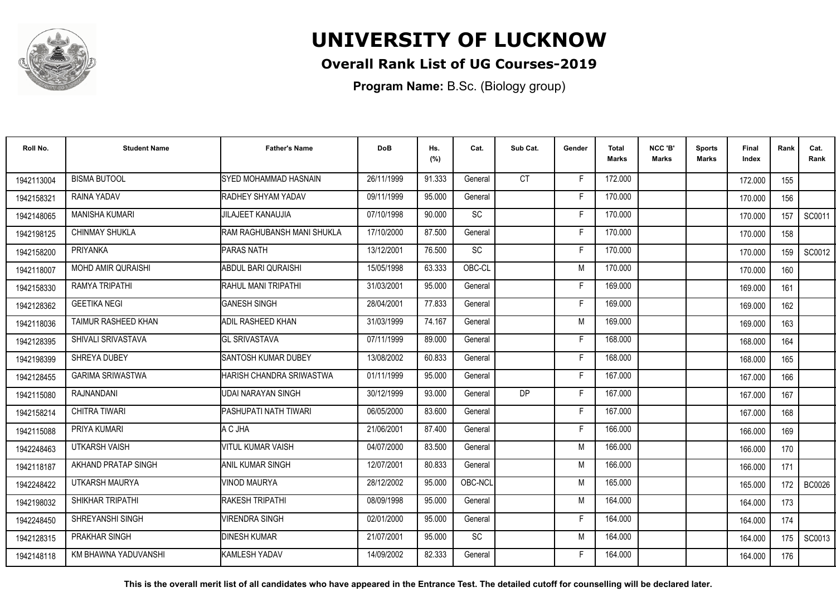

### **Overall Rank List of UG Courses-2019**

**Program Name:** B.Sc. (Biology group)

| Roll No.   | <b>Student Name</b>       | <b>Father's Name</b>              | <b>DoB</b> | Hs.<br>(%) | Cat.      | Sub Cat.  | Gender | <b>Total</b><br>Marks | NCC 'B'<br><b>Marks</b> | <b>Sports</b><br>Marks | Final<br>Index | Rank | Cat.<br>Rank  |
|------------|---------------------------|-----------------------------------|------------|------------|-----------|-----------|--------|-----------------------|-------------------------|------------------------|----------------|------|---------------|
| 1942113004 | <b>BISMA BUTOOL</b>       | <b>I</b> SYED MOHAMMAD HASNAIN    | 26/11/1999 | 91.333     | General   | CT.       | F.     | 172.000               |                         |                        | 172.000        | 155  |               |
| 1942158321 | RAINA YADAV               | <b>RADHEY SHYAM YADAV</b>         | 09/11/1999 | 95.000     | General   |           | F      | 170.000               |                         |                        | 170.000        | 156  |               |
| 1942148065 | <b>MANISHA KUMARI</b>     | JILAJEET KANAUJIA                 | 07/10/1998 | 90.000     | SC        |           | F      | 170.000               |                         |                        | 170.000        | 157  | SC0011        |
| 1942198125 | <b>CHINMAY SHUKLA</b>     | RAM RAGHUBANSH MANI SHUKLA        | 17/10/2000 | 87.500     | General   |           | F      | 170.000               |                         |                        | 170.000        | 158  |               |
| 1942158200 | <b>PRIYANKA</b>           | <b>IPARAS NATH</b>                | 13/12/2001 | 76.500     | SC        |           | F      | 170.000               |                         |                        | 170.000        | 159  | SC0012        |
| 1942118007 | <b>MOHD AMIR QURAISHI</b> | ABDUL BARI QURAISHI               | 15/05/1998 | 63.333     | OBC-CL    |           | M      | 170.000               |                         |                        | 170.000        | 160  |               |
| 1942158330 | RAMYA TRIPATHI            | <b>IRAHUL MANI TRIPATHI</b>       | 31/03/2001 | 95.000     | General   |           | Е      | 169.000               |                         |                        | 169.000        | 161  |               |
| 1942128362 | <b>GEETIKA NEGI</b>       | <b>GANESH SINGH</b>               | 28/04/2001 | 77.833     | General   |           | F      | 169.000               |                         |                        | 169.000        | 162  |               |
| 1942118036 | TAIMUR RASHEED KHAN       | ADIL RASHEED KHAN                 | 31/03/1999 | 74.167     | General   |           | M      | 169.000               |                         |                        | 169.000        | 163  |               |
| 1942128395 | SHIVALI SRIVASTAVA        | <b>GL SRIVASTAVA</b>              | 07/11/1999 | 89.000     | General   |           | F      | 168.000               |                         |                        | 168.000        | 164  |               |
| 1942198399 | SHREYA DUBEY              | <b>I</b> SANTOSH KUMAR DUBEY      | 13/08/2002 | 60.833     | General   |           | F      | 168.000               |                         |                        | 168,000        | 165  |               |
| 1942128455 | <b>GARIMA SRIWASTWA</b>   | <b>I</b> HARISH CHANDRA SRIWASTWA | 01/11/1999 | 95.000     | General   |           | F      | 167.000               |                         |                        | 167.000        | 166  |               |
| 1942115080 | RAJNANDANI                | <b>UDAI NARAYAN SINGH</b>         | 30/12/1999 | 93.000     | General   | <b>DP</b> | F      | 167.000               |                         |                        | 167.000        | 167  |               |
| 1942158214 | <b>CHITRA TIWARI</b>      | IPASHUPATI NATH TIWARI            | 06/05/2000 | 83.600     | General   |           | F      | 167.000               |                         |                        | 167.000        | 168  |               |
| 1942115088 | PRIYA KUMARI              | A C JHA                           | 21/06/2001 | 87.400     | General   |           | F      | 166.000               |                         |                        | 166.000        | 169  |               |
| 1942248463 | <b>UTKARSH VAISH</b>      | VITUL KUMAR VAISH                 | 04/07/2000 | 83.500     | General   |           | M      | 166.000               |                         |                        | 166.000        | 170  |               |
| 1942118187 | AKHAND PRATAP SINGH       | IANIL KUMAR SINGH                 | 12/07/2001 | 80.833     | General   |           | M      | 166.000               |                         |                        | 166.000        | 171  |               |
| 1942248422 | UTKARSH MAURYA            | <b>VINOD MAURYA</b>               | 28/12/2002 | 95.000     | OBC-NCL   |           | M      | 165.000               |                         |                        | 165.000        | 172  | <b>BC0026</b> |
| 1942198032 | SHIKHAR TRIPATHI          | <b>I</b> RAKESH TRIPATHI          | 08/09/1998 | 95.000     | General   |           | M      | 164.000               |                         |                        | 164.000        | 173  |               |
| 1942248450 | SHREYANSHI SINGH          | <b>VIRENDRA SINGH</b>             | 02/01/2000 | 95.000     | General   |           | F      | 164.000               |                         |                        | 164.000        | 174  |               |
| 1942128315 | PRAKHAR SINGH             | <b>DINESH KUMAR</b>               | 21/07/2001 | 95.000     | <b>SC</b> |           | M      | 164.000               |                         |                        | 164.000        | 175  | SC0013        |
| 1942148118 | KM BHAWNA YADUVANSHI      | <b>I</b> KAMLESH YADAV            | 14/09/2002 | 82.333     | General   |           | F      | 164.000               |                         |                        | 164.000        | 176  |               |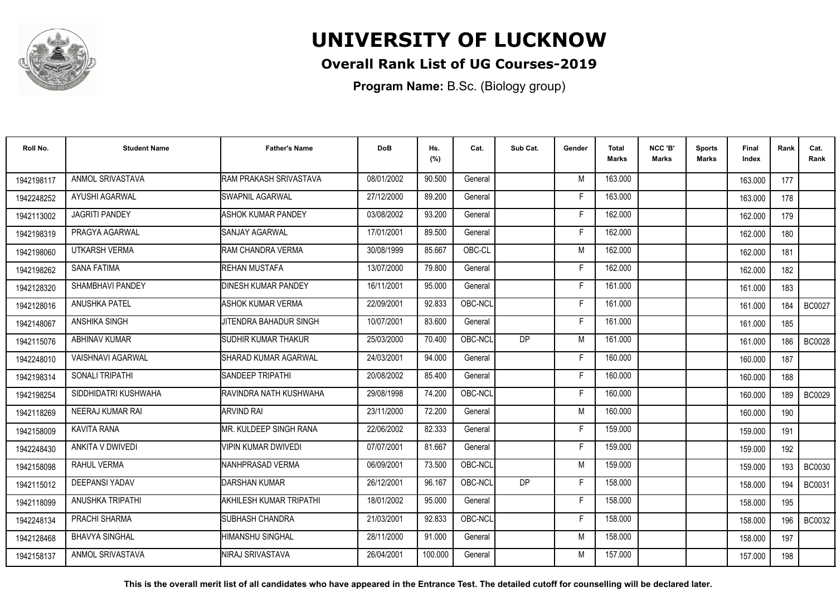

### **Overall Rank List of UG Courses-2019**

**Program Name:** B.Sc. (Biology group)

| Roll No.   | <b>Student Name</b>    | <b>Father's Name</b>        | <b>DoB</b> | Hs.<br>(%) | Cat.    | Sub Cat.       | Gender | <b>Total</b><br><b>Marks</b> | NCC 'B'<br><b>Marks</b> | <b>Sports</b><br>Marks | Final<br>Index | Rank             | Cat.<br>Rank  |
|------------|------------------------|-----------------------------|------------|------------|---------|----------------|--------|------------------------------|-------------------------|------------------------|----------------|------------------|---------------|
| 1942198117 | ANMOL SRIVASTAVA       | RAM PRAKASH SRIVASTAVA      | 08/01/2002 | 90.500     | General |                | M      | 163.000                      |                         |                        | 163.000        | 177              |               |
| 1942248252 | <b>AYUSHI AGARWAL</b>  | <b>SWAPNIL AGARWAL</b>      | 27/12/2000 | 89.200     | General |                | E      | 163.000                      |                         |                        | 163.000        | 178              |               |
| 1942113002 | <b>JAGRITI PANDEY</b>  | <b>ASHOK KUMAR PANDEY</b>   | 03/08/2002 | 93.200     | General |                | F      | 162.000                      |                         |                        | 162.000        | 179              |               |
| 1942198319 | PRAGYA AGARWAL         | <b>SANJAY AGARWAL</b>       | 17/01/2001 | 89.500     | General |                |        | 162.000                      |                         |                        | 162.000        | 180              |               |
| 1942198060 | UTKARSH VERMA          | RAM CHANDRA VERMA           | 30/08/1999 | 85.667     | OBC-CL  |                | M      | 162.000                      |                         |                        | 162.000        | 181              |               |
| 1942198262 | <b>SANA FATIMA</b>     | REHAN MUSTAFA               | 13/07/2000 | 79.800     | General |                | F      | 162.000                      |                         |                        | 162.000        | 182              |               |
| 1942128320 | SHAMBHAVI PANDEY       | <b>DINESH KUMAR PANDEY</b>  | 16/11/2001 | 95.000     | General |                | F      | 161.000                      |                         |                        | 161.000        | 183              |               |
| 1942128016 | ANUSHKA PATEL          | <b>ASHOK KUMAR VERMA</b>    | 22/09/2001 | 92.833     | OBC-NCL |                | F      | 161.000                      |                         |                        | 161.000        | 184              | <b>BC0027</b> |
| 1942148067 | <b>ANSHIKA SINGH</b>   | JITENDRA BAHADUR SINGH      | 10/07/2001 | 83.600     | General |                | F      | 161.000                      |                         |                        | 161.000        | 185              |               |
| 1942115076 | <b>ABHINAV KUMAR</b>   | SUDHIR KUMAR THAKUR         | 25/03/2000 | 70.400     | OBC-NCL | D <sub>P</sub> | M      | 161.000                      |                         |                        | 161.000        | 186              | <b>BC0028</b> |
| 1942248010 | VAISHNAVI AGARWAL      | <b>SHARAD KUMAR AGARWAL</b> | 24/03/2001 | 94.000     | General |                | F.     | 160.000                      |                         |                        | 160.000        | 187              |               |
| 1942198314 | <b>SONALI TRIPATHI</b> | <b>SANDEEP TRIPATHI</b>     | 20/08/2002 | 85.400     | General |                | F      | 160.000                      |                         |                        | 160.000        | 188              |               |
| 1942198254 | SIDDHIDATRI KUSHWAHA   | RAVINDRA NATH KUSHWAHA      | 29/08/1998 | 74.200     | OBC-NCL |                | Е      | 160.000                      |                         |                        | 160,000        | 189 <sup>1</sup> | <b>BC0029</b> |
| 1942118269 | NEERAJ KUMAR RAI       | <b>ARVIND RAI</b>           | 23/11/2000 | 72.200     | General |                | M      | 160.000                      |                         |                        | 160.000        | 190              |               |
| 1942158009 | <b>KAVITA RANA</b>     | IMR. KULDEEP SINGH RANA     | 22/06/2002 | 82.333     | General |                |        | 159.000                      |                         |                        | 159.000        | 191              |               |
| 1942248430 | ANKITA V DWIVEDI       | <b>VIPIN KUMAR DWIVEDI</b>  | 07/07/2001 | 81.667     | General |                | F      | 159.000                      |                         |                        | 159.000        | 192              |               |
| 1942158098 | RAHUL VERMA            | NANHPRASAD VERMA            | 06/09/2001 | 73.500     | OBC-NCL |                | M      | 159.000                      |                         |                        | 159.000        | 193              | BC0030        |
| 1942115012 | <b>DEEPANSI YADAV</b>  | <b>DARSHAN KUMAR</b>        | 26/12/2001 | 96.167     | OBC-NCL | <b>DP</b>      | F      | 158.000                      |                         |                        | 158.000        | 194              | <b>BC0031</b> |
| 1942118099 | ANUSHKA TRIPATHI       | AKHILESH KUMAR TRIPATHI     | 18/01/2002 | 95.000     | General |                | F      | 158.000                      |                         |                        | 158.000        | 195              |               |
| 1942248134 | PRACHI SHARMA          | <b>ISUBHASH CHANDRA</b>     | 21/03/2001 | 92.833     | OBC-NCL |                | F      | 158.000                      |                         |                        | 158.000        | 196              | BC0032        |
| 1942128468 | <b>BHAVYA SINGHAL</b>  | HIMANSHU SINGHAL            | 28/11/2000 | 91.000     | General |                | M      | 158.000                      |                         |                        | 158.000        | 197              |               |
| 1942158137 | ANMOL SRIVASTAVA       | NIRAJ SRIVASTAVA            | 26/04/2001 | 100.000    | General |                | M      | 157.000                      |                         |                        | 157.000        | 198              |               |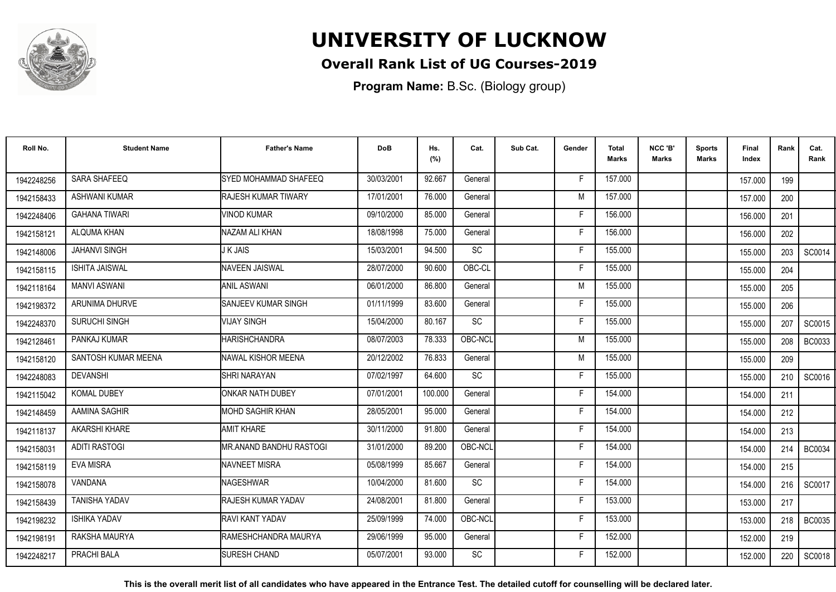

#### **Overall Rank List of UG Courses-2019**

**Program Name:** B.Sc. (Biology group)

| Roll No.   | <b>Student Name</b>   | <b>Father's Name</b>         | <b>DoB</b> | Hs.<br>(%) | Cat.      | Sub Cat. | Gender | Total<br>Marks | NCC 'B'<br><b>Marks</b> | Sports<br>Marks | Final<br>Index | Rank | Cat.<br>Rank  |
|------------|-----------------------|------------------------------|------------|------------|-----------|----------|--------|----------------|-------------------------|-----------------|----------------|------|---------------|
| 1942248256 | SARA SHAFEEQ          | SYED MOHAMMAD SHAFEEQ        | 30/03/2001 | 92.667     | General   |          | F.     | 157.000        |                         |                 | 157.000        | 199  |               |
| 1942158433 | <b>ASHWANI KUMAR</b>  | <b>RAJESH KUMAR TIWARY</b>   | 17/01/2001 | 76.000     | General   |          | M      | 157.000        |                         |                 | 157.000        | 200  |               |
| 1942248406 | <b>GAHANA TIWARI</b>  | <b>VINOD KUMAR</b>           | 09/10/2000 | 85.000     | General   |          | F      | 156.000        |                         |                 | 156.000        | 201  |               |
| 1942158121 | ALQUMA KHAN           | NAZAM ALI KHAN               | 18/08/1998 | 75.000     | General   |          | E      | 156.000        |                         |                 | 156.000        | 202  |               |
| 1942148006 | <b>JAHANVI SINGH</b>  | J K JAIS                     | 15/03/2001 | 94.500     | <b>SC</b> |          | F      | 155.000        |                         |                 | 155.000        | 203  | SC0014        |
| 1942158115 | <b>ISHITA JAISWAL</b> | <b>NAVEEN JAISWAL</b>        | 28/07/2000 | 90.600     | OBC-CL    |          | F      | 155.000        |                         |                 | 155.000        | 204  |               |
| 1942118164 | <b>MANVI ASWANI</b>   | <b>ANIL ASWANI</b>           | 06/01/2000 | 86.800     | General   |          | M      | 155.000        |                         |                 | 155.000        | 205  |               |
| 1942198372 | ARUNIMA DHURVE        | SANJEEV KUMAR SINGH          | 01/11/1999 | 83.600     | General   |          | F      | 155.000        |                         |                 | 155.000        | 206  |               |
| 1942248370 | SURUCHI SINGH         | <b>VIJAY SINGH</b>           | 15/04/2000 | 80.167     | SC        |          | F      | 155.000        |                         |                 | 155.000        | 207  | SC0015        |
| 1942128461 | PANKAJ KUMAR          | <b>HARISHCHANDRA</b>         | 08/07/2003 | 78.333     | OBC-NCL   |          | M      | 155.000        |                         |                 | 155.000        | 208  | <b>BC0033</b> |
| 1942158120 | SANTOSH KUMAR MEENA   | INAWAL KISHOR MEENA          | 20/12/2002 | 76.833     | General   |          | M      | 155.000        |                         |                 | 155.000        | 209  |               |
| 1942248083 | <b>DEVANSHI</b>       | <b>SHRI NARAYAN</b>          | 07/02/1997 | 64.600     | SC        |          | F      | 155.000        |                         |                 | 155.000        | 210  | SC0016        |
| 1942115042 | <b>KOMAL DUBEY</b>    | ONKAR NATH DUBEY             | 07/01/2001 | 100.000    | General   |          |        | 154.000        |                         |                 | 154.000        | 211  |               |
| 1942148459 | AAMINA SAGHIR         | IMOHD SAGHIR KHAN            | 28/05/2001 | 95.000     | General   |          | F      | 154.000        |                         |                 | 154.000        | 212  |               |
| 1942118137 | AKARSHI KHARE         | <b>AMIT KHARE</b>            | 30/11/2000 | 91.800     | General   |          | F      | 154.000        |                         |                 | 154.000        | 213  |               |
| 1942158031 | <b>ADITI RASTOGI</b>  | MR.ANAND BANDHU RASTOGI      | 31/01/2000 | 89.200     | OBC-NCL   |          | F      | 154.000        |                         |                 | 154.000        | 214  | <b>BC0034</b> |
| 1942158119 | <b>EVA MISRA</b>      | NAVNEET MISRA                | 05/08/1999 | 85.667     | General   |          | F      | 154.000        |                         |                 | 154.000        | 215  |               |
| 1942158078 | VANDANA               | NAGESHWAR                    | 10/04/2000 | 81.600     | SC        |          | F      | 154.000        |                         |                 | 154.000        | 216  | SC0017        |
| 1942158439 | <b>TANISHA YADAV</b>  | <b>RAJESH KUMAR YADAV</b>    | 24/08/2001 | 81.800     | General   |          | F      | 153.000        |                         |                 | 153.000        | 217  |               |
| 1942198232 | <b>ISHIKA YADAV</b>   | <b>RAVI KANT YADAV</b>       | 25/09/1999 | 74.000     | OBC-NCL   |          | F      | 153.000        |                         |                 | 153.000        | 218  | BC0035        |
| 1942198191 | RAKSHA MAURYA         | <b>IRAMESHCHANDRA MAURYA</b> | 29/06/1999 | 95.000     | General   |          | F.     | 152.000        |                         |                 | 152.000        | 219  |               |
| 1942248217 | PRACHI BALA           | <b>SURESH CHAND</b>          | 05/07/2001 | 93.000     | <b>SC</b> |          | F      | 152.000        |                         |                 | 152.000        | 220  | SC0018        |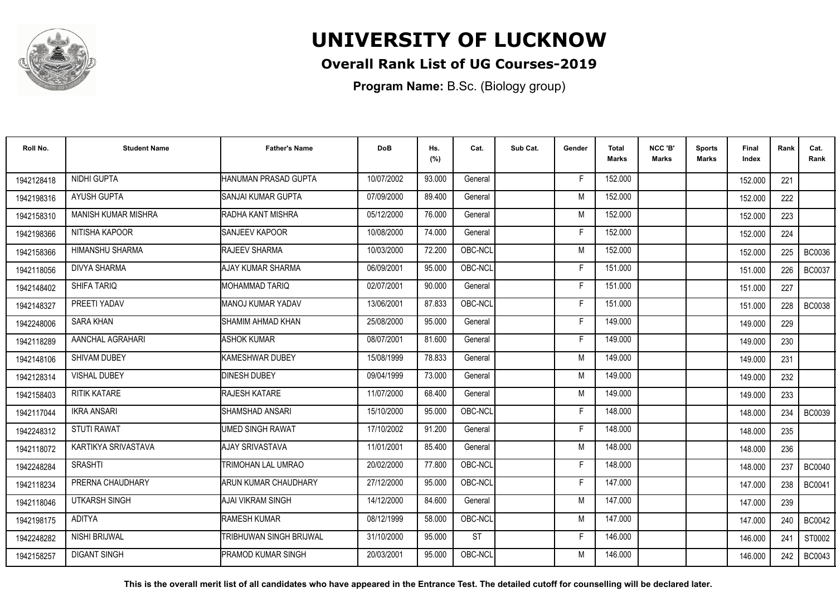

### **Overall Rank List of UG Courses-2019**

**Program Name:** B.Sc. (Biology group)

| Roll No.   | <b>Student Name</b>    | <b>Father's Name</b>      | <b>DoB</b> | Hs.<br>(%) | Cat.      | Sub Cat. | Gender | <b>Total</b><br>Marks | NCC 'B'<br><b>Marks</b> | Sports<br><b>Marks</b> | Final<br>Index | Rank | Cat.<br>Rank  |
|------------|------------------------|---------------------------|------------|------------|-----------|----------|--------|-----------------------|-------------------------|------------------------|----------------|------|---------------|
| 1942128418 | NIDHI GUPTA            | HANUMAN PRASAD GUPTA      | 10/07/2002 | 93.000     | General   |          | -F     | 152.000               |                         |                        | 152.000        | 221  |               |
| 1942198316 | <b>AYUSH GUPTA</b>     | ISANJAI KUMAR GUPTA       | 07/09/2000 | 89.400     | General   |          | M      | 152.000               |                         |                        | 152.000        | 222  |               |
| 1942158310 | MANISH KUMAR MISHRA    | RADHA KANT MISHRA         | 05/12/2000 | 76.000     | General   |          | M      | 152.000               |                         |                        | 152.000        | 223  |               |
| 1942198366 | NITISHA KAPOOR         | <b>SANJEEV KAPOOR</b>     | 10/08/2000 | 74.000     | General   |          | E      | 152.000               |                         |                        | 152.000        | 224  |               |
| 1942158366 | <b>HIMANSHU SHARMA</b> | RAJEEV SHARMA             | 10/03/2000 | 72.200     | OBC-NCL   |          | M      | 152.000               |                         |                        | 152.000        | 225  | <b>BC0036</b> |
| 1942118056 | <b>DIVYA SHARMA</b>    | <b>AJAY KUMAR SHARMA</b>  | 06/09/2001 | 95.000     | OBC-NCL   |          | F      | 151.000               |                         |                        | 151.000        | 226  | <b>BC0037</b> |
| 1942148402 | SHIFA TARIQ            | <b>MOHAMMAD TARIQ</b>     | 02/07/2001 | 90.000     | General   |          | F      | 151.000               |                         |                        | 151.000        | 227  |               |
| 1942148327 | PREETI YADAV           | MANOJ KUMAR YADAV         | 13/06/2001 | 87.833     | OBC-NCL   |          | F      | 151.000               |                         |                        | 151.000        | 228  | <b>BC0038</b> |
| 1942248006 | <b>SARA KHAN</b>       | ISHAMIM AHMAD KHAN        | 25/08/2000 | 95.000     | General   |          | E      | 149.000               |                         |                        | 149.000        | 229  |               |
| 1942118289 | AANCHAL AGRAHARI       | <b>ASHOK KUMAR</b>        | 08/07/2001 | 81.600     | General   |          | F      | 149.000               |                         |                        | 149.000        | 230  |               |
| 1942148106 | SHIVAM DUBEY           | KAMESHWAR DUBEY           | 15/08/1999 | 78.833     | General   |          | M      | 149.000               |                         |                        | 149.000        | 231  |               |
| 1942128314 | <b>VISHAL DUBEY</b>    | <b>DINESH DUBEY</b>       | 09/04/1999 | 73.000     | General   |          | M      | 149.000               |                         |                        | 149.000        | 232  |               |
| 1942158403 | <b>RITIK KATARE</b>    | <b>RAJESH KATARE</b>      | 11/07/2000 | 68.400     | General   |          | M      | 149.000               |                         |                        | 149.000        | 233  |               |
| 1942117044 | <b>IKRA ANSARI</b>     | ISHAMSHAD ANSARI          | 15/10/2000 | 95.000     | OBC-NCL   |          | F      | 148.000               |                         |                        | 148.000        | 234  | <b>BC0039</b> |
| 1942248312 | <b>STUTI RAWAT</b>     | <b>UMED SINGH RAWAT</b>   | 17/10/2002 | 91.200     | General   |          | Е      | 148.000               |                         |                        | 148.000        | 235  |               |
| 1942118072 | KARTIKYA SRIVASTAVA    | AJAY SRIVASTAVA           | 11/01/2001 | 85.400     | General   |          | M      | 148.000               |                         |                        | 148.000        | 236  |               |
| 1942248284 | <b>SRASHTI</b>         | <b>TRIMOHAN LAL UMRAO</b> | 20/02/2000 | 77.800     | OBC-NCL   |          | F      | 148.000               |                         |                        | 148.000        | 237  | <b>BC0040</b> |
| 1942118234 | PRERNA CHAUDHARY       | ARUN KUMAR CHAUDHARY      | 27/12/2000 | 95.000     | OBC-NCL   |          | F      | 147.000               |                         |                        | 147.000        | 238  | <b>BC0041</b> |
| 1942118046 | <b>UTKARSH SINGH</b>   | AJAI VIKRAM SINGH         | 14/12/2000 | 84.600     | General   |          | M      | 147.000               |                         |                        | 147.000        | 239  |               |
| 1942198175 | <b>ADITYA</b>          | <b>RAMESH KUMAR</b>       | 08/12/1999 | 58.000     | OBC-NCL   |          | M      | 147.000               |                         |                        | 147.000        | 240  | <b>BC0042</b> |
| 1942248282 | NISHI BRIJWAL          | TRIBHUWAN SINGH BRIJWAL   | 31/10/2000 | 95.000     | <b>ST</b> |          | F      | 146.000               |                         |                        | 146.000        | 241  | ST0002        |
| 1942158257 | <b>DIGANT SINGH</b>    | PRAMOD KUMAR SINGH        | 20/03/2001 | 95.000     | OBC-NCL   |          | M      | 146.000               |                         |                        | 146.000        | 242  | <b>BC0043</b> |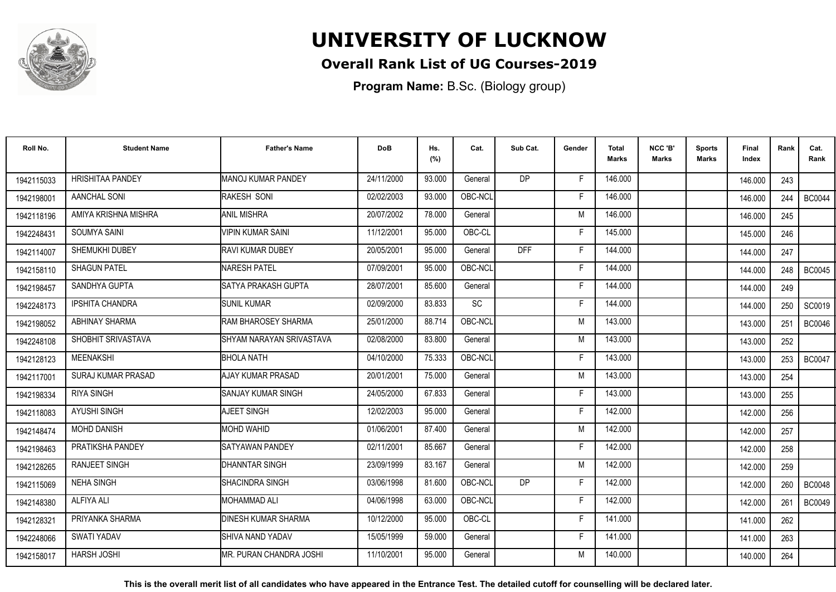

### **Overall Rank List of UG Courses-2019**

**Program Name:** B.Sc. (Biology group)

| Roll No.   | <b>Student Name</b>     | <b>Father's Name</b>       | <b>DoB</b> | Hs.<br>(%) | Cat.      | Sub Cat.       | Gender | <b>Total</b><br>Marks | NCC 'B'<br><b>Marks</b> | <b>Sports</b><br>Marks | Final<br>Index | Rank | Cat.<br>Rank  |
|------------|-------------------------|----------------------------|------------|------------|-----------|----------------|--------|-----------------------|-------------------------|------------------------|----------------|------|---------------|
| 1942115033 | <b>HRISHITAA PANDEY</b> | MANOJ KUMAR PANDEY         | 24/11/2000 | 93.000     | General   | <b>DP</b>      | F.     | 146.000               |                         |                        | 146.000        | 243  |               |
| 1942198001 | AANCHAL SONI            | RAKESH SONI                | 02/02/2003 | 93.000     | OBC-NCL   |                | F      | 146.000               |                         |                        | 146.000        | 244  | <b>BC0044</b> |
| 1942118196 | AMIYA KRISHNA MISHRA    | <b>ANIL MISHRA</b>         | 20/07/2002 | 78.000     | General   |                | M      | 146.000               |                         |                        | 146.000        | 245  |               |
| 1942248431 | <b>SOUMYA SAINI</b>     | <b>VIPIN KUMAR SAINI</b>   | 11/12/2001 | 95.000     | OBC-CL    |                | E      | 145.000               |                         |                        | 145.000        | 246  |               |
| 1942114007 | SHEMUKHI DUBEY          | <b>RAVI KUMAR DUBEY</b>    | 20/05/2001 | 95.000     | General   | <b>DFF</b>     | F      | 144.000               |                         |                        | 144.000        | 247  |               |
| 1942158110 | <b>SHAGUN PATEL</b>     | <b>NARESH PATEL</b>        | 07/09/2001 | 95.000     | OBC-NCL   |                | F      | 144.000               |                         |                        | 144.000        | 248  | <b>BC0045</b> |
| 1942198457 | SANDHYA GUPTA           | ISATYA PRAKASH GUPTA       | 28/07/2001 | 85.600     | General   |                | F      | 144.000               |                         |                        | 144.000        | 249  |               |
| 1942248173 | <b>IPSHITA CHANDRA</b>  | <b>SUNIL KUMAR</b>         | 02/09/2000 | 83.833     | <b>SC</b> |                | E      | 144.000               |                         |                        | 144.000        | 250  | SC0019        |
| 1942198052 | <b>ABHINAY SHARMA</b>   | IRAM BHAROSEY SHARMA       | 25/01/2000 | 88.714     | OBC-NCL   |                | M      | 143.000               |                         |                        | 143.000        | 251  | <b>BC0046</b> |
| 1942248108 | SHOBHIT SRIVASTAVA      | SHYAM NARAYAN SRIVASTAVA   | 02/08/2000 | 83.800     | General   |                | M      | 143.000               |                         |                        | 143.000        | 252  |               |
| 1942128123 | <b>MEENAKSHI</b>        | <b>BHOLA NATH</b>          | 04/10/2000 | 75.333     | OBC-NCL   |                | F      | 143.000               |                         |                        | 143.000        | 253  | <b>BC0047</b> |
| 1942117001 | SURAJ KUMAR PRASAD      | <b>AJAY KUMAR PRASAD</b>   | 20/01/2001 | 75.000     | General   |                | M      | 143.000               |                         |                        | 143.000        | 254  |               |
| 1942198334 | <b>RIYA SINGH</b>       | <b>SANJAY KUMAR SINGH</b>  | 24/05/2000 | 67.833     | General   |                | F      | 143.000               |                         |                        | 143.000        | 255  |               |
| 1942118083 | <b>AYUSHI SINGH</b>     | AJEET SINGH                | 12/02/2003 | 95.000     | General   |                | F      | 142.000               |                         |                        | 142.000        | 256  |               |
| 1942148474 | <b>MOHD DANISH</b>      | <b>MOHD WAHID</b>          | 01/06/2001 | 87.400     | General   |                | M      | 142.000               |                         |                        | 142.000        | 257  |               |
| 1942198463 | PRATIKSHA PANDEY        | <b>ISATYAWAN PANDEY</b>    | 02/11/2001 | 85.667     | General   |                | F      | 142.000               |                         |                        | 142.000        | 258  |               |
| 1942128265 | <b>RANJEET SINGH</b>    | <b>DHANNTAR SINGH</b>      | 23/09/1999 | 83.167     | General   |                | M      | 142.000               |                         |                        | 142.000        | 259  |               |
| 1942115069 | <b>NEHA SINGH</b>       | ISHACINDRA SINGH           | 03/06/1998 | 81.600     | OBC-NCL   | D <sub>P</sub> | Е      | 142.000               |                         |                        | 142.000        | 260  | <b>BC0048</b> |
| 1942148380 | <b>ALFIYA ALI</b>       | <b>MOHAMMAD ALI</b>        | 04/06/1998 | 63.000     | OBC-NCL   |                | F.     | 142.000               |                         |                        | 142.000        | 261  | <b>BC0049</b> |
| 1942128321 | PRIYANKA SHARMA         | <b>DINESH KUMAR SHARMA</b> | 10/12/2000 | 95.000     | OBC-CL    |                | F      | 141.000               |                         |                        | 141.000        | 262  |               |
| 1942248066 | SWATI YADAV             | ISHIVA NAND YADAV          | 15/05/1999 | 59.000     | General   |                | -F     | 141.000               |                         |                        | 141.000        | 263  |               |
| 1942158017 | <b>HARSH JOSHI</b>      | IMR. PURAN CHANDRA JOSHI   | 11/10/2001 | 95.000     | General   |                | M      | 140.000               |                         |                        | 140.000        | 264  |               |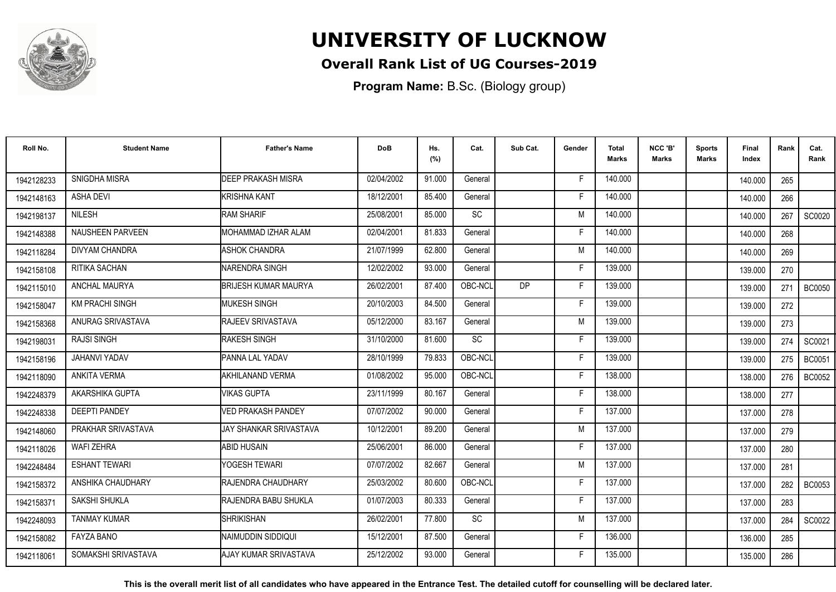

### **Overall Rank List of UG Courses-2019**

**Program Name:** B.Sc. (Biology group)

| Roll No.   | <b>Student Name</b>     | <b>Father's Name</b>           | <b>DoB</b> | Hs.<br>(%) | Cat.      | Sub Cat.  | Gender | <b>Total</b><br><b>Marks</b> | NCC 'B'<br><b>Marks</b> | <b>Sports</b><br>Marks | Final<br>Index | Rank | Cat.<br>Rank  |
|------------|-------------------------|--------------------------------|------------|------------|-----------|-----------|--------|------------------------------|-------------------------|------------------------|----------------|------|---------------|
| 1942128233 | SNIGDHA MISRA           | <b>DEEP PRAKASH MISRA</b>      | 02/04/2002 | 91.000     | General   |           | F      | 140.000                      |                         |                        | 140.000        | 265  |               |
| 1942148163 | <b>ASHA DEVI</b>        | <b>KRISHNA KANT</b>            | 18/12/2001 | 85.400     | General   |           | F      | 140.000                      |                         |                        | 140.000        | 266  |               |
| 1942198137 | NILESH                  | <b>IRAM SHARIF</b>             | 25/08/2001 | 85.000     | <b>SC</b> |           | M      | 140.000                      |                         |                        | 140.000        | 267  | SC0020        |
| 1942148388 | <b>NAUSHEEN PARVEEN</b> | MOHAMMAD IZHAR ALAM            | 02/04/2001 | 81.833     | General   |           | F      | 140.000                      |                         |                        | 140.000        | 268  |               |
| 1942118284 | <b>DIVYAM CHANDRA</b>   | <b>ASHOK CHANDRA</b>           | 21/07/1999 | 62.800     | General   |           | M      | 140.000                      |                         |                        | 140.000        | 269  |               |
| 1942158108 | RITIKA SACHAN           | <b>NARENDRA SINGH</b>          | 12/02/2002 | 93.000     | General   |           | F      | 139.000                      |                         |                        | 139.000        | 270  |               |
| 1942115010 | ANCHAL MAURYA           | <b>BRIJESH KUMAR MAURYA</b>    | 26/02/2001 | 87.400     | OBC-NCL   | <b>DP</b> | F      | 139.000                      |                         |                        | 139.000        | 271  | <b>BC0050</b> |
| 1942158047 | <b>KM PRACHI SINGH</b>  | <b>MUKESH SINGH</b>            | 20/10/2003 | 84.500     | General   |           | F      | 139.000                      |                         |                        | 139.000        | 272  |               |
| 1942158368 | ANURAG SRIVASTAVA       | <b>IRAJEEV SRIVASTAVA</b>      | 05/12/2000 | 83.167     | General   |           | M      | 139.000                      |                         |                        | 139.000        | 273  |               |
| 1942198031 | RAJSI SINGH             | <b>RAKESH SINGH</b>            | 31/10/2000 | 81.600     | <b>SC</b> |           | F      | 139.000                      |                         |                        | 139.000        | 274  | SC0021        |
| 1942158196 | JAHANVI YADAV           | <b>PANNA LAL YADAV</b>         | 28/10/1999 | 79.833     | OBC-NCL   |           | F      | 139.000                      |                         |                        | 139.000        | 275  | <b>BC0051</b> |
| 1942118090 | ANKITA VERMA            | AKHILANAND VERMA               | 01/08/2002 | 95.000     | OBC-NCL   |           | F      | 138.000                      |                         |                        | 138.000        | 276  | <b>BC0052</b> |
| 1942248379 | AKARSHIKA GUPTA         | <b>VIKAS GUPTA</b>             | 23/11/1999 | 80.167     | General   |           | Е      | 138.000                      |                         |                        | 138.000        | 277  |               |
| 1942248338 | <b>DEEPTI PANDEY</b>    | <b>VED PRAKASH PANDEY</b>      | 07/07/2002 | 90.000     | General   |           | F      | 137.000                      |                         |                        | 137.000        | 278  |               |
| 1942148060 | PRAKHAR SRIVASTAVA      | IJAY SHANKAR SRIVASTAVA        | 10/12/2001 | 89.200     | General   |           | M      | 137.000                      |                         |                        | 137.000        | 279  |               |
| 1942118026 | <b>WAFI ZEHRA</b>       | ABID HUSAIN                    | 25/06/2001 | 86.000     | General   |           | Е      | 137.000                      |                         |                        | 137.000        | 280  |               |
| 1942248484 | <b>ESHANT TEWARI</b>    | YOGESH TEWARI                  | 07/07/2002 | 82.667     | General   |           | M      | 137.000                      |                         |                        | 137.000        | 281  |               |
| 1942158372 | ANSHIKA CHAUDHARY       | <b>RAJENDRA CHAUDHARY</b>      | 25/03/2002 | 80.600     | OBC-NCL   |           | F      | 137,000                      |                         |                        | 137.000        | 282  | BC0053        |
| 1942158371 | SAKSHI SHUKLA           | RAJENDRA BABU SHUKLA           | 01/07/2003 | 80.333     | General   |           | F      | 137.000                      |                         |                        | 137.000        | 283  |               |
| 1942248093 | <b>TANMAY KUMAR</b>     | <b>I</b> SHRIKISHAN            | 26/02/2001 | 77.800     | <b>SC</b> |           | M      | 137.000                      |                         |                        | 137.000        | 284  | SC0022        |
| 1942158082 | FAYZA BANO              | INAIMUDDIN SIDDIQUI            | 15/12/2001 | 87.500     | General   |           | F      | 136.000                      |                         |                        | 136.000        | 285  |               |
| 1942118061 | SOMAKSHI SRIVASTAVA     | <b>I</b> AJAY KUMAR SRIVASTAVA | 25/12/2002 | 93.000     | General   |           | F      | 135.000                      |                         |                        | 135.000        | 286  |               |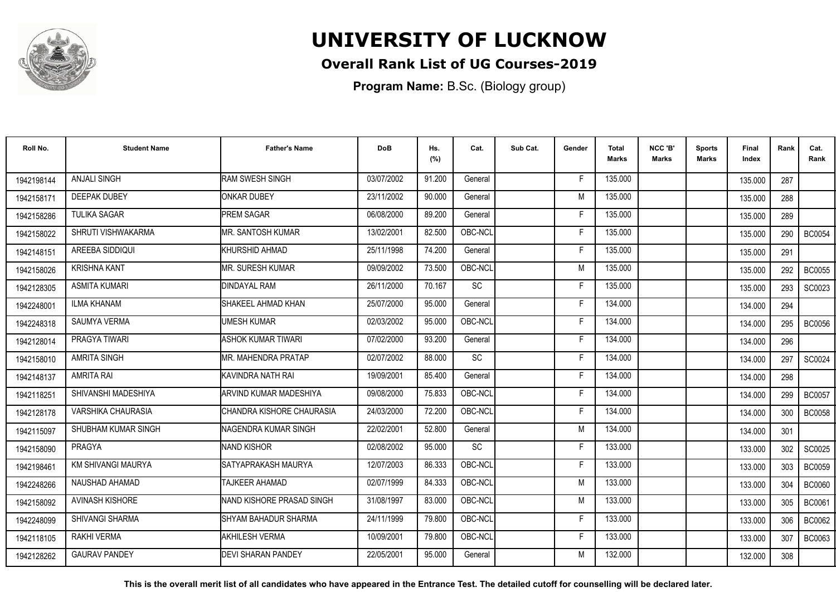

### **Overall Rank List of UG Courses-2019**

**Program Name:** B.Sc. (Biology group)

| Roll No.   | <b>Student Name</b>       | <b>Father's Name</b>       | <b>DoB</b> | Hs.<br>(%) | Cat.      | Sub Cat. | Gender | <b>Total</b><br><b>Marks</b> | NCC 'B'<br><b>Marks</b> | <b>Sports</b><br>Marks | Final<br>Index | Rank | Cat.<br>Rank  |
|------------|---------------------------|----------------------------|------------|------------|-----------|----------|--------|------------------------------|-------------------------|------------------------|----------------|------|---------------|
| 1942198144 | <b>ANJALI SINGH</b>       | <b>RAM SWESH SINGH</b>     | 03/07/2002 | 91.200     | General   |          | F      | 135.000                      |                         |                        | 135.000        | 287  |               |
| 1942158171 | <b>DEEPAK DUBEY</b>       | <b>ONKAR DUBEY</b>         | 23/11/2002 | 90.000     | General   |          | M      | 135.000                      |                         |                        | 135.000        | 288  |               |
| 1942158286 | <b>TULIKA SAGAR</b>       | <b>PREM SAGAR</b>          | 06/08/2000 | 89.200     | General   |          | F      | 135.000                      |                         |                        | 135.000        | 289  |               |
| 1942158022 | SHRUTI VISHWAKARMA        | <b>I</b> MR. SANTOSH KUMAR | 13/02/2001 | 82.500     | OBC-NCL   |          | Е      | 135.000                      |                         |                        | 135.000        | 290  | <b>BC0054</b> |
| 1942148151 | AREEBA SIDDIQUI           | KHURSHID AHMAD             | 25/11/1998 | 74.200     | General   |          |        | 135.000                      |                         |                        | 135.000        | 291  |               |
| 1942158026 | <b>KRISHNA KANT</b>       | <b>IMR. SURESH KUMAR</b>   | 09/09/2002 | 73.500     | OBC-NCL   |          | M      | 135.000                      |                         |                        | 135.000        | 292  | <b>BC0055</b> |
| 1942128305 | <b>ASMITA KUMARI</b>      | <b>DINDAYAL RAM</b>        | 26/11/2000 | 70.167     | SC        |          | Е      | 135.000                      |                         |                        | 135.000        | 293  | SC0023        |
| 1942248001 | <b>ILMA KHANAM</b>        | SHAKEEL AHMAD KHAN         | 25/07/2000 | 95.000     | General   |          | Е      | 134.000                      |                         |                        | 134.000        | 294  |               |
| 1942248318 | <b>SAUMYA VERMA</b>       | UMESH KUMAR                | 02/03/2002 | 95.000     | OBC-NCL   |          |        | 134.000                      |                         |                        | 134.000        | 295  | <b>BC0056</b> |
| 1942128014 | <b>PRAGYA TIWARI</b>      | <b>ASHOK KUMAR TIWARI</b>  | 07/02/2000 | 93.200     | General   |          | E      | 134.000                      |                         |                        | 134.000        | 296  |               |
| 1942158010 | <b>AMRITA SINGH</b>       | <b>MR. MAHENDRA PRATAP</b> | 02/07/2002 | 88.000     | SC        |          | F      | 134.000                      |                         |                        | 134.000        | 297  | SC0024        |
| 1942148137 | <b>AMRITA RAI</b>         | KAVINDRA NATH RAI          | 19/09/2001 | 85.400     | General   |          | F      | 134.000                      |                         |                        | 134.000        | 298  |               |
| 1942118251 | SHIVANSHI MADESHIYA       | ARVIND KUMAR MADESHIYA     | 09/08/2000 | 75.833     | OBC-NCL   |          |        | 134.000                      |                         |                        | 134.000        | 299  | <b>BC0057</b> |
| 1942128178 | VARSHIKA CHAURASIA        | CHANDRA KISHORE CHAURASIA  | 24/03/2000 | 72.200     | OBC-NCL   |          | Е      | 134.000                      |                         |                        | 134.000        | 300  | <b>BC0058</b> |
| 1942115097 | SHUBHAM KUMAR SINGH       | INAGENDRA KUMAR SINGH      | 22/02/2001 | 52.800     | General   |          | M      | 134.000                      |                         |                        | 134.000        | 301  |               |
| 1942158090 | PRAGYA                    | NAND KISHOR                | 02/08/2002 | 95.000     | <b>SC</b> |          | Е      | 133.000                      |                         |                        | 133.000        | 302  | SC0025        |
| 1942198461 | <b>KM SHIVANGI MAURYA</b> | SATYAPRAKASH MAURYA        | 12/07/2003 | 86.333     | OBC-NCL   |          |        | 133.000                      |                         |                        | 133.000        | 303  | <b>BC0059</b> |
| 1942248266 | NAUSHAD AHAMAD            | TAJKEER AHAMAD             | 02/07/1999 | 84.333     | OBC-NCL   |          | M      | 133.000                      |                         |                        | 133.000        | 304  | <b>BC0060</b> |
| 1942158092 | <b>AVINASH KISHORE</b>    | NAND KISHORE PRASAD SINGH  | 31/08/1997 | 83.000     | OBC-NCL   |          | M      | 133.000                      |                         |                        | 133.000        | 305  | <b>BC0061</b> |
| 1942248099 | <b>SHIVANGI SHARMA</b>    | SHYAM BAHADUR SHARMA       | 24/11/1999 | 79.800     | OBC-NCL   |          | F      | 133.000                      |                         |                        | 133.000        | 306  | BC0062        |
| 1942118105 | <b>RAKHI VERMA</b>        | <b>AKHILESH VERMA</b>      | 10/09/2001 | 79.800     | OBC-NCL   |          | Е      | 133.000                      |                         |                        | 133.000        | 307  | <b>BC0063</b> |
| 1942128262 | <b>GAURAV PANDEY</b>      | DEVI SHARAN PANDEY         | 22/05/2001 | 95.000     | General   |          | м      | 132.000                      |                         |                        | 132.000        | 308  |               |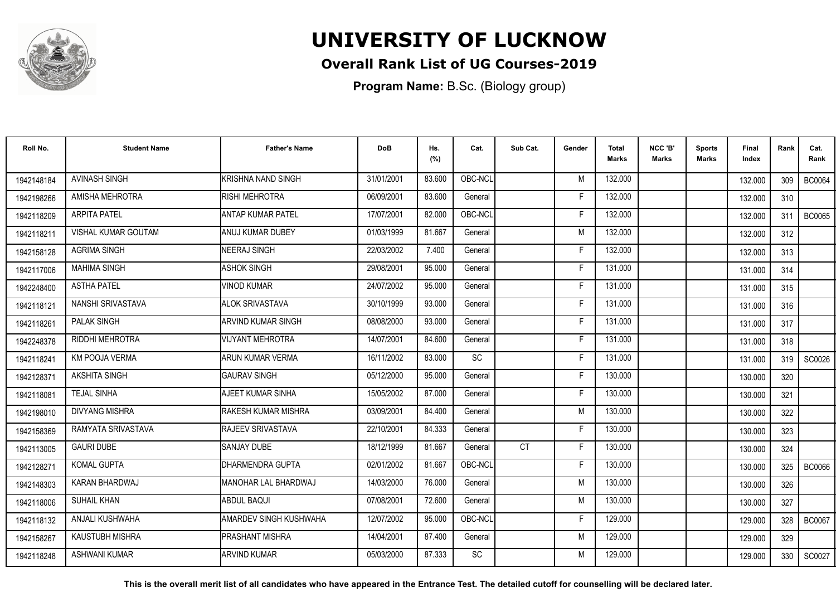

### **Overall Rank List of UG Courses-2019**

**Program Name:** B.Sc. (Biology group)

| Roll No.   | <b>Student Name</b>        | <b>Father's Name</b>          | <b>DoB</b> | Hs.<br>(%) | Cat.      | Sub Cat.  | Gender | <b>Total</b><br><b>Marks</b> | NCC 'B'<br>Marks | <b>Sports</b><br>Marks | Final<br>Index | Rank | Cat.<br>Rank  |
|------------|----------------------------|-------------------------------|------------|------------|-----------|-----------|--------|------------------------------|------------------|------------------------|----------------|------|---------------|
| 1942148184 | <b>AVINASH SINGH</b>       | KRISHNA NAND SINGH            | 31/01/2001 | 83.600     | OBC-NCL   |           | M      | 132.000                      |                  |                        | 132.000        | 309  | <b>BC0064</b> |
| 1942198266 | AMISHA MEHROTRA            | <b>RISHI MEHROTRA</b>         | 06/09/2001 | 83.600     | General   |           | F      | 132.000                      |                  |                        | 132.000        | 310  |               |
| 1942118209 | <b>ARPITA PATEL</b>        | IANTAP KUMAR PATEL            | 17/07/2001 | 82.000     | OBC-NCL   |           | F      | 132.000                      |                  |                        | 132.000        | 311  | <b>BC0065</b> |
| 1942118211 | <b>VISHAL KUMAR GOUTAM</b> | IANUJ KUMAR DUBEY             | 01/03/1999 | 81.667     | General   |           | M      | 132.000                      |                  |                        | 132.000        | 312  |               |
| 1942158128 | <b>AGRIMA SINGH</b>        | NEERAJ SINGH                  | 22/03/2002 | 7.400      | General   |           | F      | 132.000                      |                  |                        | 132.000        | 313  |               |
| 1942117006 | <b>MAHIMA SINGH</b>        | <b>ASHOK SINGH</b>            | 29/08/2001 | 95.000     | General   |           | F      | 131.000                      |                  |                        | 131.000        | 314  |               |
| 1942248400 | <b>ASTHA PATEL</b>         | <b>VINOD KUMAR</b>            | 24/07/2002 | 95.000     | General   |           | F      | 131.000                      |                  |                        | 131.000        | 315  |               |
| 1942118121 | NANSHI SRIVASTAVA          | <b>ALOK SRIVASTAVA</b>        | 30/10/1999 | 93.000     | General   |           | F      | 131.000                      |                  |                        | 131.000        | 316  |               |
| 1942118261 | <b>PALAK SINGH</b>         | ARVIND KUMAR SINGH            | 08/08/2000 | 93.000     | General   |           | F      | 131.000                      |                  |                        | 131.000        | 317  |               |
| 1942248378 | <b>RIDDHI MEHROTRA</b>     | VIJYANT MEHROTRA              | 14/07/2001 | 84.600     | General   |           | E      | 131.000                      |                  |                        | 131.000        | 318  |               |
| 1942118241 | <b>KM POOJA VERMA</b>      | ARUN KUMAR VERMA              | 16/11/2002 | 83.000     | <b>SC</b> |           | F      | 131.000                      |                  |                        | 131.000        | 319  | SC0026        |
| 1942128371 | <b>AKSHITA SINGH</b>       | <b>I</b> GAURAV SINGH         | 05/12/2000 | 95.000     | General   |           | Е      | 130.000                      |                  |                        | 130.000        | 320  |               |
| 1942118081 | <b>TEJAL SINHA</b>         | AJEET KUMAR SINHA             | 15/05/2002 | 87.000     | General   |           | Е      | 130.000                      |                  |                        | 130.000        | 321  |               |
| 1942198010 | <b>DIVYANG MISHRA</b>      | <b>RAKESH KUMAR MISHRA</b>    | 03/09/2001 | 84.400     | General   |           | M      | 130.000                      |                  |                        | 130.000        | 322  |               |
| 1942158369 | RAMYATA SRIVASTAVA         | <b>RAJEEV SRIVASTAVA</b>      | 22/10/2001 | 84.333     | General   |           | F      | 130.000                      |                  |                        | 130.000        | 323  |               |
| 1942113005 | <b>GAURI DUBE</b>          | <b>I</b> SANJAY DUBE          | 18/12/1999 | 81.667     | General   | <b>CT</b> | F      | 130.000                      |                  |                        | 130.000        | 324  |               |
| 1942128271 | <b>KOMAL GUPTA</b>         | <b>I</b> DHARMENDRA GUPTA     | 02/01/2002 | 81.667     | OBC-NCL   |           | F      | 130.000                      |                  |                        | 130.000        | 325  | <b>BC0066</b> |
| 1942148303 | KARAN BHARDWAJ             | MANOHAR LAL BHARDWAJ          | 14/03/2000 | 76.000     | General   |           | M      | 130.000                      |                  |                        | 130.000        | 326  |               |
| 1942118006 | <b>SUHAIL KHAN</b>         | <b>ABDUL BAQUI</b>            | 07/08/2001 | 72.600     | General   |           | M      | 130.000                      |                  |                        | 130.000        | 327  |               |
| 1942118132 | ANJALI KUSHWAHA            | <b>AMARDEV SINGH KUSHWAHA</b> | 12/07/2002 | 95.000     | OBC-NCL   |           | F      | 129.000                      |                  |                        | 129.000        | 328  | <b>BC0067</b> |
| 1942158267 | <b>KAUSTUBH MISHRA</b>     | <b>PRASHANT MISHRA</b>        | 14/04/2001 | 87.400     | General   |           | M      | 129.000                      |                  |                        | 129.000        | 329  |               |
| 1942118248 | <b>ASHWANI KUMAR</b>       | <b>ARVIND KUMAR</b>           | 05/03/2000 | 87.333     | SC        |           | M      | 129.000                      |                  |                        | 129.000        | 330  | SC0027        |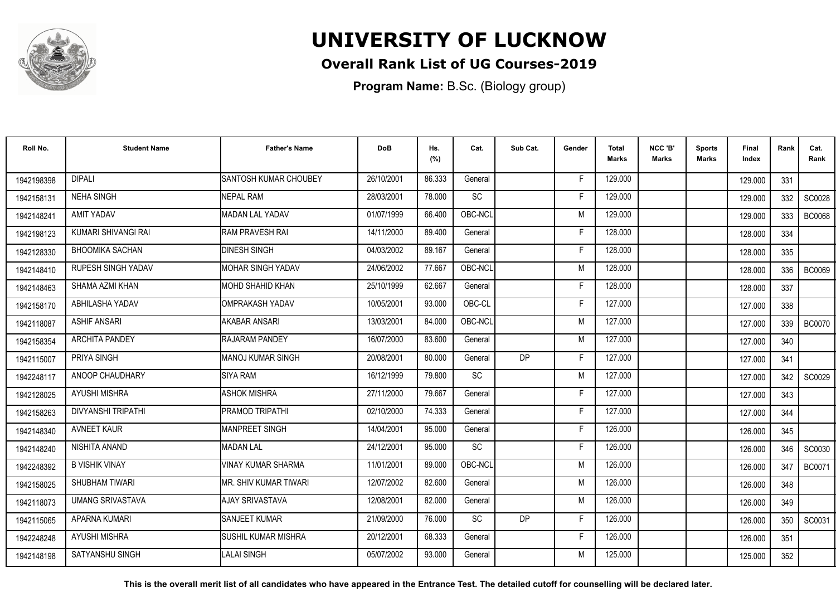

### **Overall Rank List of UG Courses-2019**

**Program Name:** B.Sc. (Biology group)

| Roll No.   | <b>Student Name</b>       | <b>Father's Name</b>     | <b>DoB</b> | Hs.<br>(%) | Cat.      | Sub Cat. | Gender | <b>Total</b><br><b>Marks</b> | NCC 'B'<br><b>Marks</b> | <b>Sports</b><br>Marks | Final<br>Index | Rank | Cat.<br>Rank  |
|------------|---------------------------|--------------------------|------------|------------|-----------|----------|--------|------------------------------|-------------------------|------------------------|----------------|------|---------------|
| 1942198398 | <b>DIPALI</b>             | SANTOSH KUMAR CHOUBEY    | 26/10/2001 | 86.333     | General   |          | F      | 129.000                      |                         |                        | 129.000        | 331  |               |
| 1942158131 | <b>NEHA SINGH</b>         | <b>NEPAL RAM</b>         | 28/03/2001 | 78.000     | SC        |          |        | 129.000                      |                         |                        | 129.000        | 332  | SC0028        |
| 1942148241 | <b>AMIT YADAV</b>         | MADAN LAL YADAV          | 01/07/1999 | 66.400     | OBC-NCL   |          | M      | 129.000                      |                         |                        | 129.000        | 333  | <b>BC0068</b> |
| 1942198123 | KUMARI SHIVANGI RAI       | <b>RAM PRAVESH RAI</b>   | 14/11/2000 | 89.400     | General   |          |        | 128.000                      |                         |                        | 128.000        | 334  |               |
| 1942128330 | <b>BHOOMIKA SACHAN</b>    | <b>DINESH SINGH</b>      | 04/03/2002 | 89.167     | General   |          | Е      | 128,000                      |                         |                        | 128.000        | 335  |               |
| 1942148410 | <b>RUPESH SINGH YADAV</b> | <b>MOHAR SINGH YADAV</b> | 24/06/2002 | 77.667     | OBC-NCL   |          | M      | 128,000                      |                         |                        | 128.000        | 336  | <b>BC0069</b> |
| 1942148463 | SHAMA AZMI KHAN           | <b>MOHD SHAHID KHAN</b>  | 25/10/1999 | 62.667     | General   |          | F      | 128.000                      |                         |                        | 128.000        | 337  |               |
| 1942158170 | ABHILASHA YADAV           | <b>OMPRAKASH YADAV</b>   | 10/05/2001 | 93.000     | OBC-CL    |          | E      | 127.000                      |                         |                        | 127.000        | 338  |               |
| 1942118087 | <b>ASHIF ANSARI</b>       | AKABAR ANSARI            | 13/03/2001 | 84.000     | OBC-NCL   |          | M      | 127.000                      |                         |                        | 127.000        | 339  | <b>BC0070</b> |
| 1942158354 | <b>ARCHITA PANDEY</b>     | RAJARAM PANDEY           | 16/07/2000 | 83.600     | General   |          | M      | 127.000                      |                         |                        | 127.000        | 340  |               |
| 1942115007 | PRIYA SINGH               | IMANOJ KUMAR SINGH       | 20/08/2001 | 80.000     | General   | DP       | F      | 127.000                      |                         |                        | 127.000        | 341  |               |
| 1942248117 | ANOOP CHAUDHARY           | <b>SIYA RAM</b>          | 16/12/1999 | 79.800     | SC        |          | M      | 127.000                      |                         |                        | 127.000        | 342  | SC0029        |
| 1942128025 | <b>AYUSHI MISHRA</b>      | <b>ASHOK MISHRA</b>      | 27/11/2000 | 79.667     | General   |          |        | 127.000                      |                         |                        | 127.000        | 343  |               |
| 1942158263 | DIVYANSHI TRIPATHI        | PRAMOD TRIPATHI          | 02/10/2000 | 74.333     | General   |          | E      | 127.000                      |                         |                        | 127.000        | 344  |               |
| 1942148340 | <b>AVNEET KAUR</b>        | MANPREET SINGH           | 14/04/2001 | 95.000     | General   |          | Е      | 126.000                      |                         |                        | 126.000        | 345  |               |
| 1942148240 | NISHITA ANAND             | <b>MADAN LAL</b>         | 24/12/2001 | 95.000     | <b>SC</b> |          | F      | 126.000                      |                         |                        | 126.000        | 346  | SC0030        |
| 1942248392 | <b>B VISHIK VINAY</b>     | VINAY KUMAR SHARMA       | 11/01/2001 | 89.000     | OBC-NCL   |          | M      | 126.000                      |                         |                        | 126.000        | 347  | <b>BC0071</b> |
| 1942158025 | SHUBHAM TIWARI            | MR. SHIV KUMAR TIWARI    | 12/07/2002 | 82.600     | General   |          | M      | 126.000                      |                         |                        | 126.000        | 348  |               |
| 1942118073 | <b>UMANG SRIVASTAVA</b>   | AJAY SRIVASTAVA          | 12/08/2001 | 82.000     | General   |          | M      | 126.000                      |                         |                        | 126.000        | 349  |               |
| 1942115065 | APARNA KUMARI             | <b>SANJEET KUMAR</b>     | 21/09/2000 | 76.000     | <b>SC</b> | DP       | F      | 126.000                      |                         |                        | 126.000        | 350  | SC0031        |
| 1942248248 | AYUSHI MISHRA             | ISUSHIL KUMAR MISHRA     | 20/12/2001 | 68.333     | General   |          | F      | 126.000                      |                         |                        | 126.000        | 351  |               |
| 1942148198 | SATYANSHU SINGH           | <b>ALAI SINGH</b>        | 05/07/2002 | 93.000     | General   |          | м      | 125.000                      |                         |                        | 125.000        | 352  |               |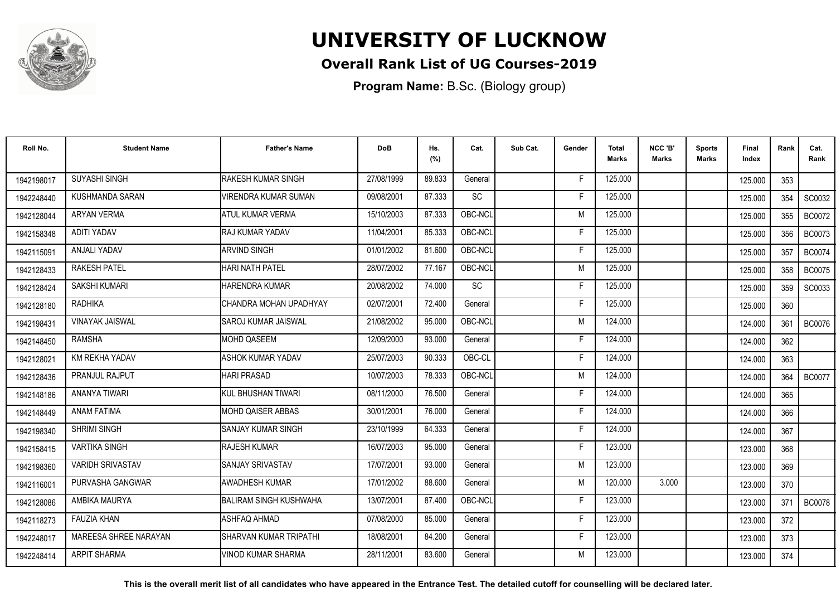

### **Overall Rank List of UG Courses-2019**

**Program Name:** B.Sc. (Biology group)

| Roll No.   | <b>Student Name</b>     | <b>Father's Name</b>          | <b>DoB</b> | Hs.<br>(%) | Cat.      | Sub Cat. | Gender | <b>Total</b><br>Marks | NCC 'B'<br><b>Marks</b> | Sports<br>Marks | Final<br>Index | Rank | Cat.<br>Rank  |
|------------|-------------------------|-------------------------------|------------|------------|-----------|----------|--------|-----------------------|-------------------------|-----------------|----------------|------|---------------|
| 1942198017 | <b>SUYASHI SINGH</b>    | <b>RAKESH KUMAR SINGH</b>     | 27/08/1999 | 89.833     | General   |          | F      | 125.000               |                         |                 | 125.000        | 353  |               |
| 1942248440 | KUSHMANDA SARAN         | VIRENDRA KUMAR SUMAN          | 09/08/2001 | 87.333     | SC        |          | F      | 125.000               |                         |                 | 125.000        | 354  | SC0032        |
| 1942128044 | ARYAN VERMA             | <b>ATUL KUMAR VERMA</b>       | 15/10/2003 | 87.333     | OBC-NCL   |          | M      | 125.000               |                         |                 | 125.000        | 355  | <b>BC0072</b> |
| 1942158348 | <b>ADITI YADAV</b>      | RAJ KUMAR YADAV               | 11/04/2001 | 85.333     | OBC-NCL   |          | F      | 125.000               |                         |                 | 125.000        | 356  | <b>BC0073</b> |
| 1942115091 | ANJALI YADAV            | <b>ARVIND SINGH</b>           | 01/01/2002 | 81.600     | OBC-NCL   |          | Е      | 125.000               |                         |                 | 125.000        | 357  | <b>BC0074</b> |
| 1942128433 | <b>RAKESH PATEL</b>     | <b>HARI NATH PATEL</b>        | 28/07/2002 | 77.167     | OBC-NCL   |          | M      | 125.000               |                         |                 | 125.000        | 358  | <b>BC0075</b> |
| 1942128424 | <b>SAKSHI KUMARI</b>    | <b>HARENDRA KUMAR</b>         | 20/08/2002 | 74.000     | <b>SC</b> |          | F      | 125.000               |                         |                 | 125.000        | 359  | SC0033        |
| 1942128180 | <b>RADHIKA</b>          | ICHANDRA MOHAN UPADHYAY       | 02/07/2001 | 72.400     | General   |          | F      | 125.000               |                         |                 | 125.000        | 360  |               |
| 1942198431 | <b>VINAYAK JAISWAL</b>  | ISAROJ KUMAR JAISWAL          | 21/08/2002 | 95.000     | OBC-NCL   |          | M      | 124.000               |                         |                 | 124.000        | 361  | <b>BC0076</b> |
| 1942148450 | <b>RAMSHA</b>           | <b>MOHD QASEEM</b>            | 12/09/2000 | 93.000     | General   |          | F      | 124.000               |                         |                 | 124.000        | 362  |               |
| 1942128021 | KM REKHA YADAV          | <b>ASHOK KUMAR YADAV</b>      | 25/07/2003 | 90.333     | OBC-CL    |          | F      | 124.000               |                         |                 | 124.000        | 363  |               |
| 1942128436 | PRANJUL RAJPUT          | <b>HARI PRASAD</b>            | 10/07/2003 | 78.333     | OBC-NCL   |          | M      | 124.000               |                         |                 | 124.000        | 364  | <b>BC0077</b> |
| 1942148186 | ANANYA TIWARI           | IKUL BHUSHAN TIWARI           | 08/11/2000 | 76.500     | General   |          | F      | 124.000               |                         |                 | 124.000        | 365  |               |
| 1942148449 | <b>ANAM FATIMA</b>      | <b>IMOHD QAISER ABBAS</b>     | 30/01/2001 | 76.000     | General   |          | F      | 124.000               |                         |                 | 124.000        | 366  |               |
| 1942198340 | SHRIMI SINGH            | <b>SANJAY KUMAR SINGH</b>     | 23/10/1999 | 64.333     | General   |          | Е      | 124.000               |                         |                 | 124.000        | 367  |               |
| 1942158415 | <b>VARTIKA SINGH</b>    | <b>RAJESH KUMAR</b>           | 16/07/2003 | 95.000     | General   |          | F      | 123.000               |                         |                 | 123.000        | 368  |               |
| 1942198360 | <b>VARIDH SRIVASTAV</b> | <b>SANJAY SRIVASTAV</b>       | 17/07/2001 | 93.000     | General   |          | M      | 123.000               |                         |                 | 123.000        | 369  |               |
| 1942116001 | PURVASHA GANGWAR        | <b>AWADHESH KUMAR</b>         | 17/01/2002 | 88.600     | General   |          | M      | 120.000               | 3.000                   |                 | 123.000        | 370  |               |
| 1942128086 | AMBIKA MAURYA           | <b>BALIRAM SINGH KUSHWAHA</b> | 13/07/2001 | 87.400     | OBC-NCL   |          | F      | 123.000               |                         |                 | 123.000        | 371  | <b>BC0078</b> |
| 1942118273 | <b>FAUZIA KHAN</b>      | ASHFAQ AHMAD                  | 07/08/2000 | 85.000     | General   |          | F      | 123.000               |                         |                 | 123.000        | 372  |               |
| 1942248017 | MAREESA SHREE NARAYAN   | ISHARVAN KUMAR TRIPATHI       | 18/08/2001 | 84.200     | General   |          | F      | 123.000               |                         |                 | 123.000        | 373  |               |
| 1942248414 | <b>ARPIT SHARMA</b>     | VINOD KUMAR SHARMA            | 28/11/2001 | 83.600     | General   |          | M      | 123.000               |                         |                 | 123.000        | 374  |               |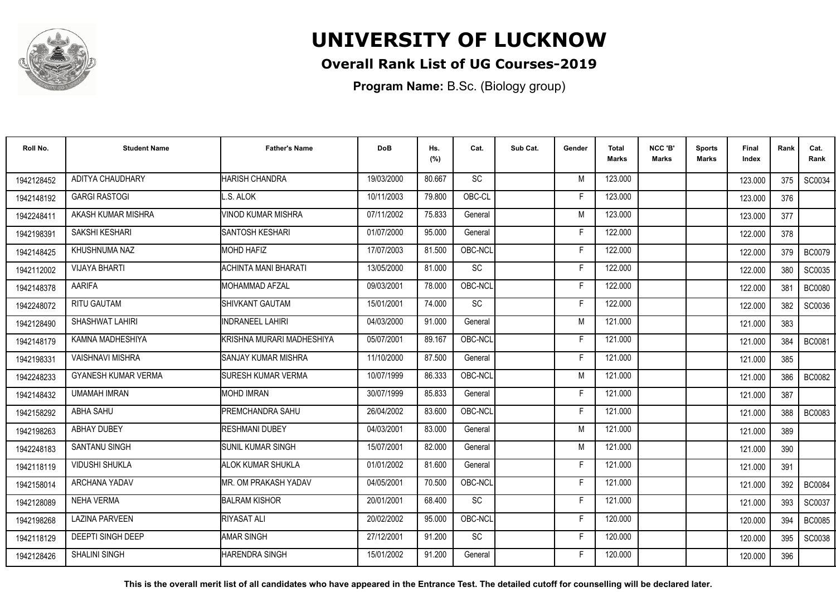

#### **Overall Rank List of UG Courses-2019**

**Program Name:** B.Sc. (Biology group)

| Roll No.   | <b>Student Name</b>        | <b>Father's Name</b>        | <b>DoB</b> | Hs.<br>(%) | Cat.      | Sub Cat. | Gender | <b>Total</b><br>Marks | NCC 'B'<br><b>Marks</b> | Sports<br><b>Marks</b> | Final<br>Index | Rank | Cat.<br>Rank  |
|------------|----------------------------|-----------------------------|------------|------------|-----------|----------|--------|-----------------------|-------------------------|------------------------|----------------|------|---------------|
| 1942128452 | <b>ADITYA CHAUDHARY</b>    | <b>HARISH CHANDRA</b>       | 19/03/2000 | 80.667     | <b>SC</b> |          | M      | 123.000               |                         |                        | 123.000        | 375  | SC0034        |
| 1942148192 | <b>GARGI RASTOGI</b>       | L.S. ALOK                   | 10/11/2003 | 79.800     | OBC-CL    |          | F      | 123.000               |                         |                        | 123.000        | 376  |               |
| 1942248411 | AKASH KUMAR MISHRA         | <b>VINOD KUMAR MISHRA</b>   | 07/11/2002 | 75.833     | General   |          | M      | 123.000               |                         |                        | 123.000        | 377  |               |
| 1942198391 | SAKSHI KESHARI             | <b>SANTOSH KESHARI</b>      | 01/07/2000 | 95.000     | General   |          | F      | 122.000               |                         |                        | 122.000        | 378  |               |
| 1942148425 | KHUSHNUMA NAZ              | <b>MOHD HAFIZ</b>           | 17/07/2003 | 81.500     | OBC-NCL   |          | F      | 122.000               |                         |                        | 122.000        | 379  | <b>BC0079</b> |
| 1942112002 | <b>VIJAYA BHARTI</b>       | <b>ACHINTA MANI BHARATI</b> | 13/05/2000 | 81.000     | SC        |          | Е      | 122.000               |                         |                        | 122.000        | 380  | SC0035        |
| 1942148378 | <b>AARIFA</b>              | <b>I</b> MOHAMMAD AFZAL     | 09/03/2001 | 78.000     | OBC-NCL   |          | F      | 122.000               |                         |                        | 122.000        | 381  | <b>BC0080</b> |
| 1942248072 | <b>RITU GAUTAM</b>         | <b>I</b> SHIVKANT GAUTAM    | 15/01/2001 | 74.000     | SC        |          | E      | 122.000               |                         |                        | 122.000        | 382  | SC0036        |
| 1942128490 | SHASHWAT LAHIRI            | <b>INDRANEEL LAHIRI</b>     | 04/03/2000 | 91.000     | General   |          | M      | 121.000               |                         |                        | 121.000        | 383  |               |
| 1942148179 | KAMNA MADHESHIYA           | KRISHNA MURARI MADHESHIYA   | 05/07/2001 | 89.167     | OBC-NCL   |          | F      | 121.000               |                         |                        | 121.000        | 384  | <b>BC0081</b> |
| 1942198331 | <b>VAISHNAVI MISHRA</b>    | <b>SANJAY KUMAR MISHRA</b>  | 11/10/2000 | 87.500     | General   |          | F      | 121.000               |                         |                        | 121.000        | 385  |               |
| 1942248233 | <b>GYANESH KUMAR VERMA</b> | <b>SURESH KUMAR VERMA</b>   | 10/07/1999 | 86.333     | OBC-NCL   |          | M      | 121.000               |                         |                        | 121.000        | 386  | <b>BC0082</b> |
| 1942148432 | <b>UMAMAH IMRAN</b>        | <b>MOHD IMRAN</b>           | 30/07/1999 | 85.833     | General   |          | Е      | 121.000               |                         |                        | 121.000        | 387  |               |
| 1942158292 | <b>ABHA SAHU</b>           | <b>IPREMCHANDRA SAHU</b>    | 26/04/2002 | 83.600     | OBC-NCL   |          | F      | 121.000               |                         |                        | 121.000        | 388  | <b>BC0083</b> |
| 1942198263 | <b>ABHAY DUBEY</b>         | <b>RESHMANI DUBEY</b>       | 04/03/2001 | 83.000     | General   |          | M      | 121.000               |                         |                        | 121.000        | 389  |               |
| 1942248183 | <b>SANTANU SINGH</b>       | ISUNIL KUMAR SINGH          | 15/07/2001 | 82.000     | General   |          | M      | 121.000               |                         |                        | 121.000        | 390  |               |
| 1942118119 | <b>VIDUSHI SHUKLA</b>      | <b>ALOK KUMAR SHUKLA</b>    | 01/01/2002 | 81.600     | General   |          | F      | 121.000               |                         |                        | 121.000        | 391  |               |
| 1942158014 | <b>ARCHANA YADAV</b>       | MR. OM PRAKASH YADAV        | 04/05/2001 | 70.500     | OBC-NCL   |          | F      | 121.000               |                         |                        | 121.000        | 392  | <b>BC0084</b> |
| 1942128089 | <b>NEHA VERMA</b>          | <b>BALRAM KISHOR</b>        | 20/01/2001 | 68.400     | SC        |          | F      | 121.000               |                         |                        | 121.000        | 393  | SC0037        |
| 1942198268 | <b>LAZINA PARVEEN</b>      | <b>RIYASAT ALI</b>          | 20/02/2002 | 95.000     | OBC-NCL   |          | E      | 120.000               |                         |                        | 120.000        | 394  | <b>BC0085</b> |
| 1942118129 | <b>DEEPTI SINGH DEEP</b>   | <b>AMAR SINGH</b>           | 27/12/2001 | 91.200     | <b>SC</b> |          | F      | 120.000               |                         |                        | 120.000        | 395  | SC0038        |
| 1942128426 | <b>SHALINI SINGH</b>       | HARENDRA SINGH              | 15/01/2002 | 91.200     | General   |          | F      | 120.000               |                         |                        | 120.000        | 396  |               |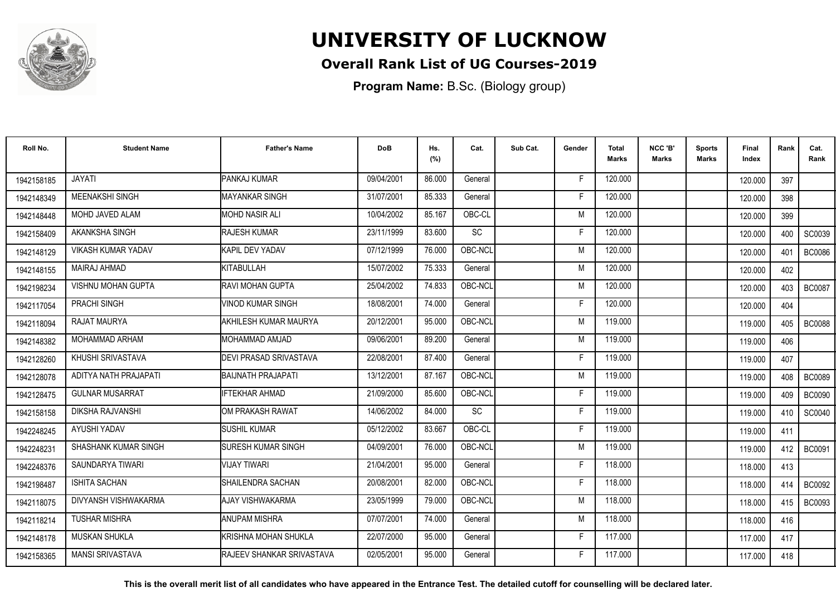

### **Overall Rank List of UG Courses-2019**

**Program Name:** B.Sc. (Biology group)

| Roll No.   | <b>Student Name</b>       | <b>Father's Name</b>              | <b>DoB</b> | Hs.<br>(%) | Cat.      | Sub Cat. | Gender | <b>Total</b><br>Marks | NCC 'B'<br><b>Marks</b> | <b>Sports</b><br>Marks | Final<br>Index | Rank | Cat.<br>Rank  |
|------------|---------------------------|-----------------------------------|------------|------------|-----------|----------|--------|-----------------------|-------------------------|------------------------|----------------|------|---------------|
| 1942158185 | <b>JAYATI</b>             | PANKAJ KUMAR                      | 09/04/2001 | 86.000     | General   |          | -F     | 120.000               |                         |                        | 120.000        | 397  |               |
| 1942148349 | MEENAKSHI SINGH           | IMAYANKAR SINGH                   | 31/07/2001 | 85.333     | General   |          | F      | 120.000               |                         |                        | 120.000        | 398  |               |
| 1942148448 | MOHD JAVED ALAM           | <b>MOHD NASIR ALI</b>             | 10/04/2002 | 85.167     | OBC-CL    |          | M      | 120.000               |                         |                        | 120.000        | 399  |               |
| 1942158409 | <b>AKANKSHA SINGH</b>     | <b>RAJESH KUMAR</b>               | 23/11/1999 | 83.600     | <b>SC</b> |          | F      | 120.000               |                         |                        | 120.000        | 400  | SC0039        |
| 1942148129 | VIKASH KUMAR YADAV        | <b>KAPIL DEV YADAV</b>            | 07/12/1999 | 76.000     | OBC-NCL   |          | M      | 120.000               |                         |                        | 120.000        | 401  | <b>BC0086</b> |
| 1942148155 | MAIRAJ AHMAD              | KITABULLAH                        | 15/07/2002 | 75.333     | General   |          | M      | 120.000               |                         |                        | 120.000        | 402  |               |
| 1942198234 | <b>VISHNU MOHAN GUPTA</b> | IRAVI MOHAN GUPTA                 | 25/04/2002 | 74.833     | OBC-NCL   |          | M      | 120.000               |                         |                        | 120.000        | 403  | <b>BC0087</b> |
| 1942117054 | PRACHI SINGH              | <b>VINOD KUMAR SINGH</b>          | 18/08/2001 | 74.000     | General   |          | E      | 120.000               |                         |                        | 120.000        | 404  |               |
| 1942118094 | RAJAT MAURYA              | AKHILESH KUMAR MAURYA             | 20/12/2001 | 95.000     | OBC-NCL   |          | M      | 119.000               |                         |                        | 119.000        | 405  | <b>BC0088</b> |
| 1942148382 | MOHAMMAD ARHAM            | MOHAMMAD AMJAD                    | 09/06/2001 | 89.200     | General   |          | M      | 119.000               |                         |                        | 119.000        | 406  |               |
| 1942128260 | KHUSHI SRIVASTAVA         | <b>DEVI PRASAD SRIVASTAVA</b>     | 22/08/2001 | 87.400     | General   |          | F      | 119.000               |                         |                        | 119.000        | 407  |               |
| 1942128078 | ADITYA NATH PRAJAPATI     | <b>BAIJNATH PRAJAPATI</b>         | 13/12/2001 | 87.167     | OBC-NCL   |          | M      | 119.000               |                         |                        | 119.000        | 408  | <b>BC0089</b> |
| 1942128475 | <b>GULNAR MUSARRAT</b>    | <b>IFTEKHAR AHMAD</b>             | 21/09/2000 | 85.600     | OBC-NCL   |          | F      | 119.000               |                         |                        | 119.000        | 409  | <b>BC0090</b> |
| 1942158158 | <b>DIKSHA RAJVANSHI</b>   | OM PRAKASH RAWAT                  | 14/06/2002 | 84.000     | SC        |          | E      | 119.000               |                         |                        | 119.000        | 410  | SC0040        |
| 1942248245 | AYUSHI YADAV              | <b>SUSHIL KUMAR</b>               | 05/12/2002 | 83.667     | OBC-CL    |          | F      | 119.000               |                         |                        | 119.000        | 411  |               |
| 1942248231 | SHASHANK KUMAR SINGH      | <b>SURESH KUMAR SINGH</b>         | 04/09/2001 | 76.000     | OBC-NCL   |          | M      | 119.000               |                         |                        | 119.000        | 412  | <b>BC0091</b> |
| 1942248376 | SAUNDARYA TIWARI          | <b>VIJAY TIWARI</b>               | 21/04/2001 | 95.000     | General   |          | F      | 118.000               |                         |                        | 118.000        | 413  |               |
| 1942198487 | <b>ISHITA SACHAN</b>      | SHAILENDRA SACHAN                 | 20/08/2001 | 82.000     | OBC-NCL   |          | F      | 118.000               |                         |                        | 118.000        | 414  | <b>BC0092</b> |
| 1942118075 | DIVYANSH VISHWAKARMA      | AJAY VISHWAKARMA                  | 23/05/1999 | 79.000     | OBC-NCL   |          | M      | 118,000               |                         |                        | 118.000        | 415  | <b>BC0093</b> |
| 1942118214 | <b>TUSHAR MISHRA</b>      | <b>ANUPAM MISHRA</b>              | 07/07/2001 | 74.000     | General   |          | M      | 118.000               |                         |                        | 118.000        | 416  |               |
| 1942148178 | <b>MUSKAN SHUKLA</b>      | İKRISHNA MOHAN SHUKLA             | 22/07/2000 | 95.000     | General   |          | F      | 117.000               |                         |                        | 117.000        | 417  |               |
| 1942158365 | <b>MANSI SRIVASTAVA</b>   | <b>IRAJEEV SHANKAR SRIVASTAVA</b> | 02/05/2001 | 95.000     | General   |          | E      | 117.000               |                         |                        | 117.000        | 418  |               |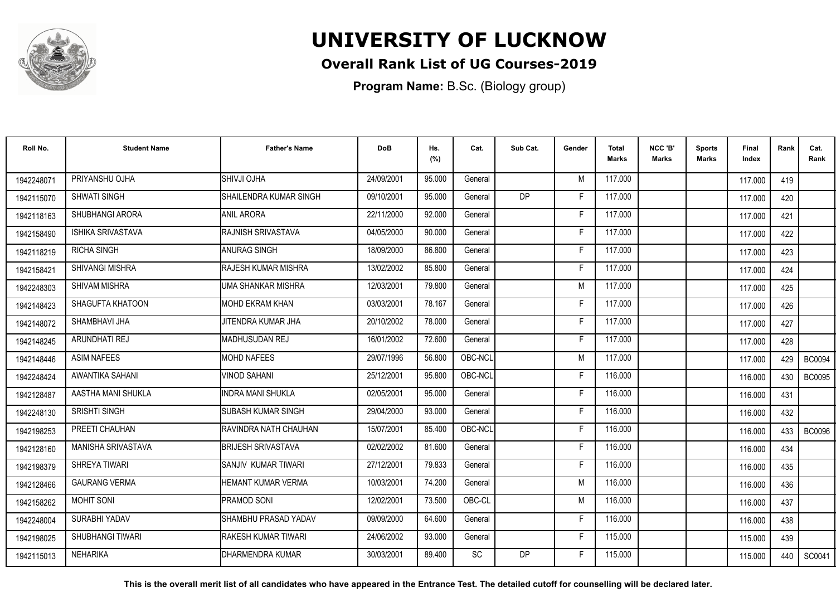

### **Overall Rank List of UG Courses-2019**

**Program Name:** B.Sc. (Biology group)

| Roll No.   | <b>Student Name</b>     | <b>Father's Name</b>        | <b>DoB</b> | Hs.<br>(%) | Cat.    | Sub Cat.       | Gender | <b>Total</b><br>Marks | NCC 'B'<br><b>Marks</b> | <b>Sports</b><br>Marks | Final<br>Index | Rank | Cat.<br>Rank  |
|------------|-------------------------|-----------------------------|------------|------------|---------|----------------|--------|-----------------------|-------------------------|------------------------|----------------|------|---------------|
| 1942248071 | PRIYANSHU OJHA          | <b>SHIVJI OJHA</b>          | 24/09/2001 | 95.000     | General |                | M      | 117.000               |                         |                        | 117.000        | 419  |               |
| 1942115070 | SHWATI SINGH            | SHAILENDRA KUMAR SINGH      | 09/10/2001 | 95.000     | General | D <sub>P</sub> | F      | 117.000               |                         |                        | 117.000        | 420  |               |
| 1942118163 | SHUBHANGI ARORA         | <b>ANIL ARORA</b>           | 22/11/2000 | 92.000     | General |                | F      | 117.000               |                         |                        | 117.000        | 421  |               |
| 1942158490 | ISHIKA SRIVASTAVA       | RAJNISH SRIVASTAVA          | 04/05/2000 | 90.000     | General |                | F      | 117.000               |                         |                        | 117.000        | 422  |               |
| 1942118219 | <b>RICHA SINGH</b>      | <b>ANURAG SINGH</b>         | 18/09/2000 | 86.800     | General |                | F      | 117.000               |                         |                        | 117.000        | 423  |               |
| 1942158421 | <b>SHIVANGI MISHRA</b>  | <b>IRAJESH KUMAR MISHRA</b> | 13/02/2002 | 85.800     | General |                | Е      | 117.000               |                         |                        | 117.000        | 424  |               |
| 1942248303 | <b>SHIVAM MISHRA</b>    | UMA SHANKAR MISHRA          | 12/03/2001 | 79.800     | General |                | M      | 117.000               |                         |                        | 117.000        | 425  |               |
| 1942148423 | SHAGUFTA KHATOON        | <b>MOHD EKRAM KHAN</b>      | 03/03/2001 | 78.167     | General |                | F      | 117.000               |                         |                        | 117.000        | 426  |               |
| 1942148072 | SHAMBHAVI JHA           | JITENDRA KUMAR JHA          | 20/10/2002 | 78.000     | General |                | F      | 117.000               |                         |                        | 117.000        | 427  |               |
| 1942148245 | <b>ARUNDHATI REJ</b>    | MADHUSUDAN REJ              | 16/01/2002 | 72.600     | General |                | Е      | 117.000               |                         |                        | 117.000        | 428  |               |
| 1942148446 | <b>ASIM NAFEES</b>      | <b>MOHD NAFEES</b>          | 29/07/1996 | 56.800     | OBC-NCL |                | M      | 117.000               |                         |                        | 117.000        | 429  | <b>BC0094</b> |
| 1942248424 | AWANTIKA SAHANI         | <b>VINOD SAHANI</b>         | 25/12/2001 | 95.800     | OBC-NCL |                | F      | 116.000               |                         |                        | 116.000        | 430  | <b>BC0095</b> |
| 1942128487 | AASTHA MANI SHUKLA      | IINDRA MANI SHUKLA          | 02/05/2001 | 95.000     | General |                |        | 116.000               |                         |                        | 116.000        | 431  |               |
| 1942248130 | SRISHTI SINGH           | <b>SUBASH KUMAR SINGH</b>   | 29/04/2000 | 93.000     | General |                | F      | 116.000               |                         |                        | 116.000        | 432  |               |
| 1942198253 | PREETI CHAUHAN          | RAVINDRA NATH CHAUHAN       | 15/07/2001 | 85.400     | OBC-NCL |                | Е      | 116.000               |                         |                        | 116.000        | 433  | <b>BC0096</b> |
| 1942128160 | MANISHA SRIVASTAVA      | <b>BRIJESH SRIVASTAVA</b>   | 02/02/2002 | 81.600     | General |                | F      | 116.000               |                         |                        | 116.000        | 434  |               |
| 1942198379 | SHREYA TIWARI           | ISANJIV KUMAR TIWARI        | 27/12/2001 | 79.833     | General |                | Е      | 116.000               |                         |                        | 116.000        | 435  |               |
| 1942128466 | <b>GAURANG VERMA</b>    | HEMANT KUMAR VERMA          | 10/03/2001 | 74.200     | General |                | M      | 116.000               |                         |                        | 116.000        | 436  |               |
| 1942158262 | <b>MOHIT SONI</b>       | <b>PRAMOD SONI</b>          | 12/02/2001 | 73.500     | OBC-CL  |                | M      | 116.000               |                         |                        | 116.000        | 437  |               |
| 1942248004 | SURABHI YADAV           | SHAMBHU PRASAD YADAV        | 09/09/2000 | 64.600     | General |                | E      | 116.000               |                         |                        | 116.000        | 438  |               |
| 1942198025 | <b>SHUBHANGI TIWARI</b> | <b>IRAKESH KUMAR TIWARI</b> | 24/06/2002 | 93.000     | General |                | F      | 115.000               |                         |                        | 115.000        | 439  |               |
| 1942115013 | <b>NEHARIKA</b>         | <b>IDHARMENDRA KUMAR</b>    | 30/03/2001 | 89.400     | SC      | <b>DP</b>      | F      | 115.000               |                         |                        | 115.000        | 440  | SC0041        |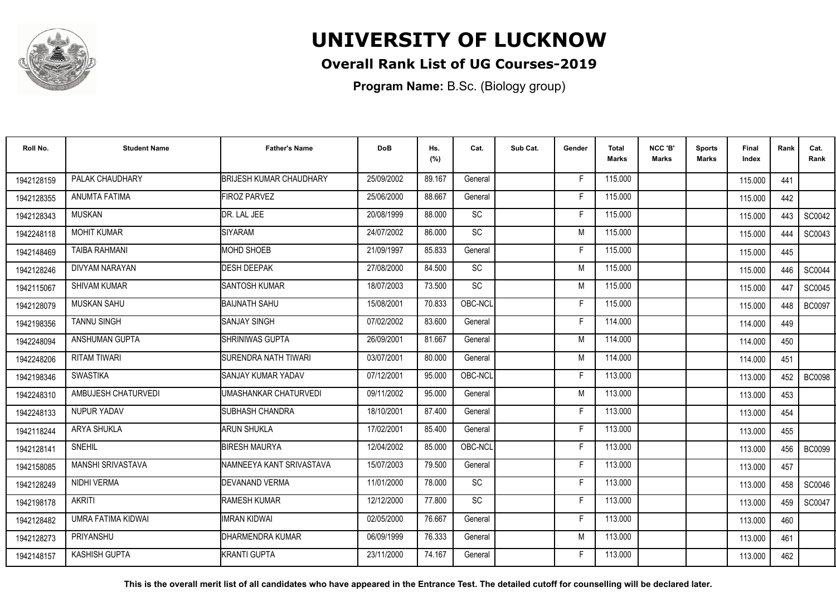

#### **Overall Rank List of UG Courses-2019**

**Program Name:** B.Sc. (Biology group)

| Roll No.   | <b>Student Name</b>   | <b>Father's Name</b>           | <b>DoB</b> | Hs.<br>(%) | Cat.            | Sub Cat. | Gender | <b>Total</b><br>Marks | NCC 'B'<br><b>Marks</b> | Sports<br>Marks | Final<br>Index | Rank | Cat.<br>Rank  |
|------------|-----------------------|--------------------------------|------------|------------|-----------------|----------|--------|-----------------------|-------------------------|-----------------|----------------|------|---------------|
| 1942128159 | PALAK CHAUDHARY       | <b>BRIJESH KUMAR CHAUDHARY</b> | 25/09/2002 | 89.167     | General         |          | F      | 115.000               |                         |                 | 115.000        | 441  |               |
| 1942128355 | ANUMTA FATIMA         | <b>FIROZ PARVEZ</b>            | 25/06/2000 | 88.667     | General         |          | F      | 115.000               |                         |                 | 115.000        | 442  |               |
| 1942128343 | <b>MUSKAN</b>         | DR. LAL JEE                    | 20/08/1999 | 88.000     | SC              |          | F      | 115.000               |                         |                 | 115.000        | 443  | SC0042        |
| 1942248118 | <b>MOHIT KUMAR</b>    | SIYARAM                        | 24/07/2002 | 86.000     | $\overline{SC}$ |          | M      | 115.000               |                         |                 | 115.000        | 444  | SC0043        |
| 1942148469 | <b>TAIBA RAHMANI</b>  | <b>MOHD SHOEB</b>              | 21/09/1997 | 85.833     | General         |          | F      | 115.000               |                         |                 | 115.000        | 445  |               |
| 1942128246 | DIVYAM NARAYAN        | <b>DESH DEEPAK</b>             | 27/08/2000 | 84.500     | <b>SC</b>       |          | M      | 115.000               |                         |                 | 115.000        | 446  | SC0044        |
| 1942115067 | <b>SHIVAM KUMAR</b>   | <b>SANTOSH KUMAR</b>           | 18/07/2003 | 73.500     | <b>SC</b>       |          | M      | 115.000               |                         |                 | 115.000        | 447  | SC0045        |
| 1942128079 | <b>MUSKAN SAHU</b>    | <b>BAIJNATH SAHU</b>           | 15/08/2001 | 70.833     | OBC-NCL         |          | F      | 115.000               |                         |                 | 115.000        | 448  | <b>BC0097</b> |
| 1942198356 | <b>TANNU SINGH</b>    | <b>SANJAY SINGH</b>            | 07/02/2002 | 83.600     | General         |          | F      | 114.000               |                         |                 | 114.000        | 449  |               |
| 1942248094 | <b>ANSHUMAN GUPTA</b> | SHRINIWAS GUPTA                | 26/09/2001 | 81.667     | General         |          | M      | 114.000               |                         |                 | 114.000        | 450  |               |
| 1942248206 | <b>RITAM TIWARI</b>   | SURENDRA NATH TIWARI           | 03/07/2001 | 80.000     | General         |          | M      | 114.000               |                         |                 | 114.000        | 451  |               |
| 1942198346 | <b>SWASTIKA</b>       | ISANJAY KUMAR YADAV            | 07/12/2001 | 95.000     | OBC-NCL         |          | F.     | 113.000               |                         |                 | 113.000        | 452  | <b>BC0098</b> |
| 1942248310 | AMBUJESH CHATURVEDI   | UMASHANKAR CHATURVEDI          | 09/11/2002 | 95.000     | General         |          | M      | 113.000               |                         |                 | 113.000        | 453  |               |
| 1942248133 | <b>NUPUR YADAV</b>    | <b>I</b> SUBHASH CHANDRA       | 18/10/2001 | 87.400     | General         |          | F      | 113.000               |                         |                 | 113.000        | 454  |               |
| 1942118244 | <b>ARYA SHUKLA</b>    | <b>ARUN SHUKLA</b>             | 17/02/2001 | 85.400     | General         |          | F      | 113.000               |                         |                 | 113.000        | 455  |               |
| 1942128141 | <b>SNEHIL</b>         | <b>BIRESH MAURYA</b>           | 12/04/2002 | 85.000     | OBC-NCL         |          | F      | 113.000               |                         |                 | 113.000        | 456  | <b>BC0099</b> |
| 1942158085 | MANSHI SRIVASTAVA     | NAMNEEYA KANT SRIVASTAVA       | 15/07/2003 | 79.500     | General         |          | F      | 113.000               |                         |                 | 113.000        | 457  |               |
| 1942128249 | NIDHI VERMA           | DEVANAND VERMA                 | 11/01/2000 | 78.000     | <b>SC</b>       |          | E      | 113.000               |                         |                 | 113.000        | 458  | SC0046        |
| 1942198178 | <b>AKRITI</b>         | <b>RAMESH KUMAR</b>            | 12/12/2000 | 77.800     | SC              |          | F      | 113.000               |                         |                 | 113.000        | 459  | SC0047        |
| 1942128482 | UMRA FATIMA KIDWAI    | <b>IMRAN KIDWAI</b>            | 02/05/2000 | 76.667     | General         |          | F      | 113.000               |                         |                 | 113.000        | 460  |               |
| 1942128273 | PRIYANSHU             | DHARMENDRA KUMAR               | 06/09/1999 | 76.333     | General         |          | M      | 113.000               |                         |                 | 113.000        | 461  |               |
| 1942148157 | <b>KASHISH GUPTA</b>  | <b>KRANTI GUPTA</b>            | 23/11/2000 | 74.167     | General         |          | F      | 113.000               |                         |                 | 113.000        | 462  |               |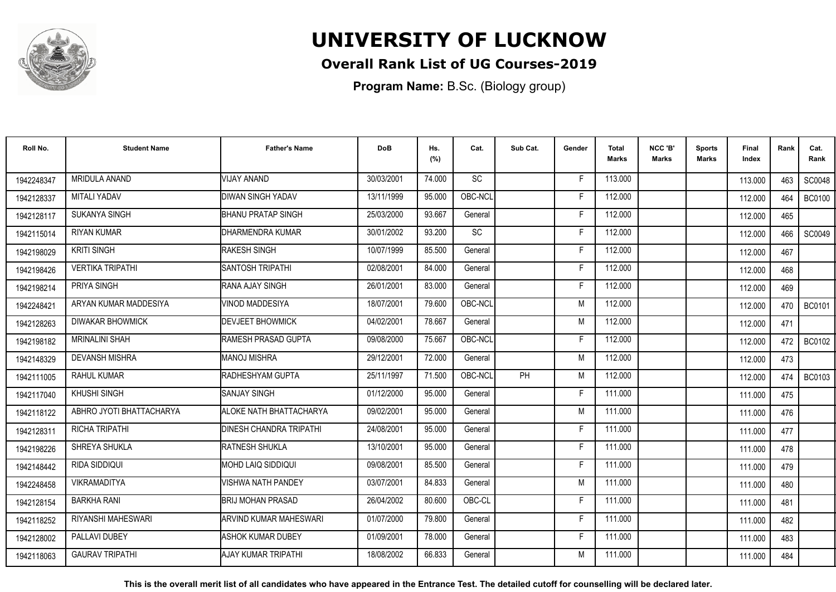

### **Overall Rank List of UG Courses-2019**

**Program Name:** B.Sc. (Biology group)

| Roll No.   | <b>Student Name</b>      | <b>Father's Name</b>            | <b>DoB</b> | Hs.<br>(%) | Cat.      | Sub Cat.  | Gender | <b>Total</b><br>Marks | NCC 'B'<br>Marks | <b>Sports</b><br>Marks | Final<br>Index | Rank | Cat.<br>Rank  |
|------------|--------------------------|---------------------------------|------------|------------|-----------|-----------|--------|-----------------------|------------------|------------------------|----------------|------|---------------|
| 1942248347 | <b>MRIDULA ANAND</b>     | VIJAY ANAND                     | 30/03/2001 | 74.000     | <b>SC</b> |           | F      | 113.000               |                  |                        | 113.000        | 463  | <b>SC0048</b> |
| 1942128337 | <b>MITALI YADAV</b>      | <b>DIWAN SINGH YADAV</b>        | 13/11/1999 | 95.000     | OBC-NCL   |           | Е      | 112.000               |                  |                        | 112.000        | 464  | <b>BC0100</b> |
| 1942128117 | SUKANYA SINGH            | <b>BHANU PRATAP SINGH</b>       | 25/03/2000 | 93.667     | General   |           | Е      | 112.000               |                  |                        | 112.000        | 465  |               |
| 1942115014 | <b>RIYAN KUMAR</b>       | <b>DHARMENDRA KUMAR</b>         | 30/01/2002 | 93.200     | SC        |           | F      | 112.000               |                  |                        | 112.000        | 466  | SC0049        |
| 1942198029 | <b>KRITI SINGH</b>       | <b>RAKESH SINGH</b>             | 10/07/1999 | 85.500     | General   |           | F      | 112.000               |                  |                        | 112.000        | 467  |               |
| 1942198426 | <b>VERTIKA TRIPATHI</b>  | ISANTOSH TRIPATHI               | 02/08/2001 | 84.000     | General   |           | Е      | 112.000               |                  |                        | 112.000        | 468  |               |
| 1942198214 | PRIYA SINGH              | <b>RANA AJAY SINGH</b>          | 26/01/2001 | 83.000     | General   |           |        | 112.000               |                  |                        | 112.000        | 469  |               |
| 1942248421 | ARYAN KUMAR MADDESIYA    | VINOD MADDESIYA                 | 18/07/2001 | 79.600     | OBC-NCL   |           | M      | 112.000               |                  |                        | 112.000        | 470  | <b>BC0101</b> |
| 1942128263 | <b>DIWAKAR BHOWMICK</b>  | <b>IDEVJEET BHOWMICK</b>        | 04/02/2001 | 78.667     | General   |           | M      | 112.000               |                  |                        | 112.000        | 471  |               |
| 1942198182 | <b>MRINALINI SHAH</b>    | <b>IRAMESH PRASAD GUPTA</b>     | 09/08/2000 | 75.667     | OBC-NCL   |           | F      | 112.000               |                  |                        | 112.000        | 472  | <b>BC0102</b> |
| 1942148329 | <b>DEVANSH MISHRA</b>    | <b>MANOJ MISHRA</b>             | 29/12/2001 | 72.000     | General   |           | M      | 112.000               |                  |                        | 112.000        | 473  |               |
| 1942111005 | <b>RAHUL KUMAR</b>       | <b>RADHESHYAM GUPTA</b>         | 25/11/1997 | 71.500     | OBC-NCL   | <b>PH</b> | M      | 112.000               |                  |                        | 112.000        | 474  | <b>BC0103</b> |
| 1942117040 | <b>KHUSHI SINGH</b>      | ISANJAY SINGH                   | 01/12/2000 | 95.000     | General   |           | F      | 111.000               |                  |                        | 111.000        | 475  |               |
| 1942118122 | ABHRO JYOTI BHATTACHARYA | <b>ALOKE NATH BHATTACHARYA</b>  | 09/02/2001 | 95.000     | General   |           | M      | 111.000               |                  |                        | 111.000        | 476  |               |
| 1942128311 | <b>RICHA TRIPATHI</b>    | <b>IDINESH CHANDRA TRIPATHI</b> | 24/08/2001 | 95.000     | General   |           | F      | 111.000               |                  |                        | 111.000        | 477  |               |
| 1942198226 | SHREYA SHUKLA            | <b>RATNESH SHUKLA</b>           | 13/10/2001 | 95.000     | General   |           | Е      | 111.000               |                  |                        | 111.000        | 478  |               |
| 1942148442 | RIDA SIDDIQUI            | <b>IMOHD LAIQ SIDDIQUI</b>      | 09/08/2001 | 85.500     | General   |           | F      | 111.000               |                  |                        | 111.000        | 479  |               |
| 1942248458 | <b>VIKRAMADITYA</b>      | VISHWA NATH PANDEY              | 03/07/2001 | 84.833     | General   |           | M      | 111.000               |                  |                        | 111.000        | 480  |               |
| 1942128154 | <b>BARKHA RANI</b>       | <b>BRIJ MOHAN PRASAD</b>        | 26/04/2002 | 80.600     | OBC-CL    |           | Е      | 111.000               |                  |                        | 111.000        | 481  |               |
| 1942118252 | RIYANSHI MAHESWARI       | <b>I</b> ARVIND KUMAR MAHESWARI | 01/07/2000 | 79.800     | General   |           | F      | 111.000               |                  |                        | 111.000        | 482  |               |
| 1942128002 | PALLAVI DUBEY            | <b>I</b> ASHOK KUMAR DUBEY      | 01/09/2001 | 78.000     | General   |           | F      | 111.000               |                  |                        | 111.000        | 483  |               |
| 1942118063 | <b>GAURAV TRIPATHI</b>   | IAJAY KUMAR TRIPATHI            | 18/08/2002 | 66.833     | General   |           | M      | 111.000               |                  |                        | 111.000        | 484  |               |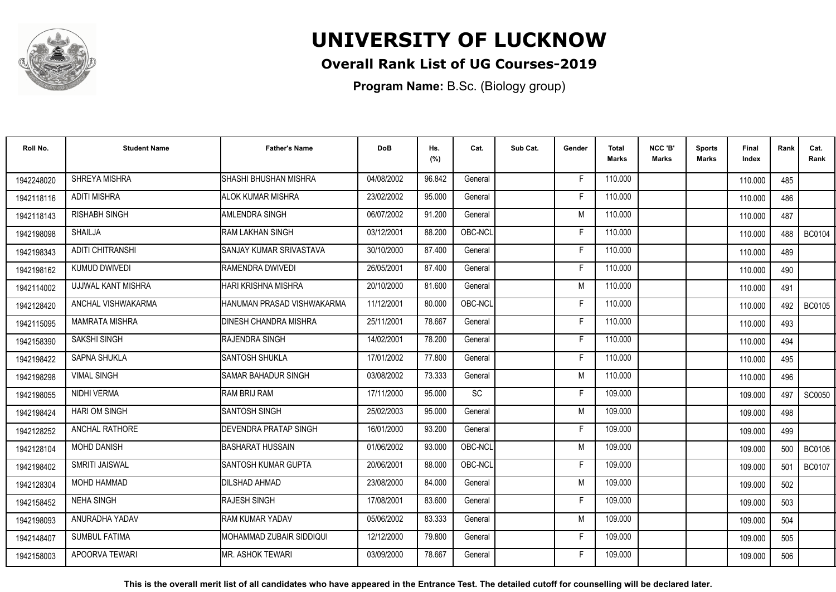

### **Overall Rank List of UG Courses-2019**

**Program Name:** B.Sc. (Biology group)

| Roll No.   | <b>Student Name</b>     | <b>Father's Name</b>           | <b>DoB</b> | Hs.<br>(%) | Cat.    | Sub Cat. | Gender | <b>Total</b><br><b>Marks</b> | NCC 'B'<br><b>Marks</b> | <b>Sports</b><br>Marks | Final<br>Index | Rank | Cat.<br>Rank  |
|------------|-------------------------|--------------------------------|------------|------------|---------|----------|--------|------------------------------|-------------------------|------------------------|----------------|------|---------------|
| 1942248020 | SHREYA MISHRA           | SHASHI BHUSHAN MISHRA          | 04/08/2002 | 96.842     | General |          | F.     | 110.000                      |                         |                        | 110.000        | 485  |               |
| 1942118116 | <b>ADITI MISHRA</b>     | <b>ALOK KUMAR MISHRA</b>       | 23/02/2002 | 95.000     | General |          | F      | 110.000                      |                         |                        | 110.000        | 486  |               |
| 1942118143 | <b>RISHABH SINGH</b>    | AMLENDRA SINGH                 | 06/07/2002 | 91.200     | General |          | M      | 110.000                      |                         |                        | 110.000        | 487  |               |
| 1942198098 | <b>SHAILJA</b>          | RAM LAKHAN SINGH               | 03/12/2001 | 88.200     | OBC-NCL |          |        | 110.000                      |                         |                        | 110.000        | 488  | <b>BC0104</b> |
| 1942198343 | <b>ADITI CHITRANSHI</b> | <b>SANJAY KUMAR SRIVASTAVA</b> | 30/10/2000 | 87.400     | General |          | -F     | 110.000                      |                         |                        | 110.000        | 489  |               |
| 1942198162 | <b>KUMUD DWIVEDI</b>    | RAMENDRA DWIVEDI               | 26/05/2001 | 87.400     | General |          | F      | 110.000                      |                         |                        | 110.000        | 490  |               |
| 1942114002 | UJJWAL KANT MISHRA      | HARI KRISHNA MISHRA            | 20/10/2000 | 81.600     | General |          | M      | 110.000                      |                         |                        | 110.000        | 491  |               |
| 1942128420 | ANCHAL VISHWAKARMA      | HANUMAN PRASAD VISHWAKARMA     | 11/12/2001 | 80.000     | OBC-NCL |          | F      | 110.000                      |                         |                        | 110.000        | 492  | <b>BC0105</b> |
| 1942115095 | <b>MAMRATA MISHRA</b>   | <b>DINESH CHANDRA MISHRA</b>   | 25/11/2001 | 78.667     | General |          | F      | 110.000                      |                         |                        | 110.000        | 493  |               |
| 1942158390 | SAKSHI SINGH            | <b>RAJENDRA SINGH</b>          | 14/02/2001 | 78.200     | General |          | F      | 110.000                      |                         |                        | 110.000        | 494  |               |
| 1942198422 | SAPNA SHUKLA            | <b>SANTOSH SHUKLA</b>          | 17/01/2002 | 77.800     | General |          | F.     | 110.000                      |                         |                        | 110.000        | 495  |               |
| 1942198298 | <b>VIMAL SINGH</b>      | SAMAR BAHADUR SINGH            | 03/08/2002 | 73.333     | General |          | M      | 110.000                      |                         |                        | 110.000        | 496  |               |
| 1942198055 | NIDHI VERMA             | RAM BRIJ RAM                   | 17/11/2000 | 95.000     | SC      |          | Е      | 109.000                      |                         |                        | 109.000        | 497  | SC0050        |
| 1942198424 | <b>HARI OM SINGH</b>    | <b>SANTOSH SINGH</b>           | 25/02/2003 | 95.000     | General |          | M      | 109.000                      |                         |                        | 109.000        | 498  |               |
| 1942128252 | <b>ANCHAL RATHORE</b>   | DEVENDRA PRATAP SINGH          | 16/01/2000 | 93.200     | General |          | Е      | 109.000                      |                         |                        | 109.000        | 499  |               |
| 1942128104 | <b>MOHD DANISH</b>      | <b>BASHARAT HUSSAIN</b>        | 01/06/2002 | 93.000     | OBC-NCL |          | M      | 109.000                      |                         |                        | 109.000        | 500  | <b>BC0106</b> |
| 1942198402 | SMRITI JAISWAL          | SANTOSH KUMAR GUPTA            | 20/06/2001 | 88.000     | OBC-NCL |          | F      | 109.000                      |                         |                        | 109.000        | 501  | <b>BC0107</b> |
| 1942128304 | <b>MOHD HAMMAD</b>      | <b>DILSHAD AHMAD</b>           | 23/08/2000 | 84.000     | General |          | M      | 109.000                      |                         |                        | 109.000        | 502  |               |
| 1942158452 | <b>NEHA SINGH</b>       | RAJESH SINGH                   | 17/08/2001 | 83.600     | General |          | F      | 109.000                      |                         |                        | 109.000        | 503  |               |
| 1942198093 | ANURADHA YADAV          | <b>RAM KUMAR YADAV</b>         | 05/06/2002 | 83.333     | General |          | M      | 109.000                      |                         |                        | 109.000        | 504  |               |
| 1942148407 | <b>SUMBUL FATIMA</b>    | IMOHAMMAD ZUBAIR SIDDIQUI      | 12/12/2000 | 79.800     | General |          | F.     | 109.000                      |                         |                        | 109.000        | 505  |               |
| 1942158003 | APOORVA TEWARI          | IMR. ASHOK TEWARI              | 03/09/2000 | 78.667     | General |          | F      | 109.000                      |                         |                        | 109.000        | 506  |               |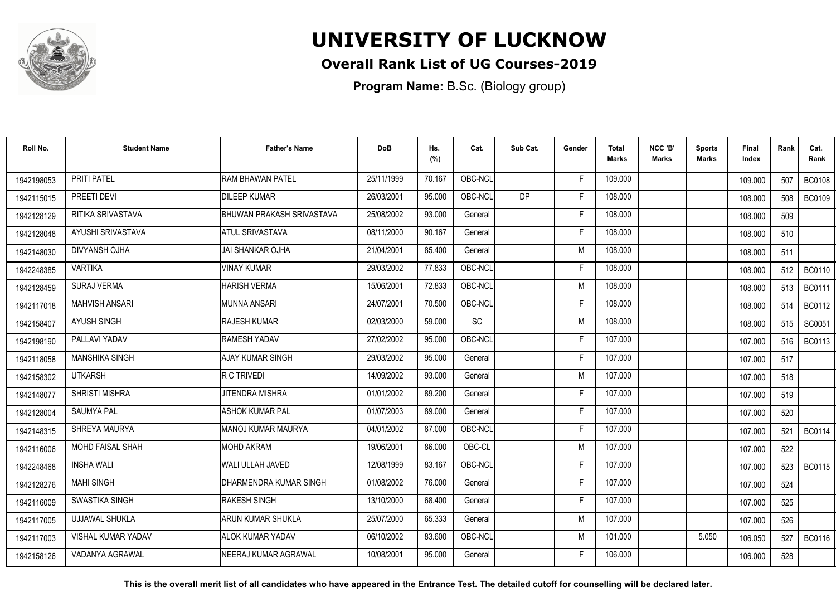

#### **Overall Rank List of UG Courses-2019**

**Program Name:** B.Sc. (Biology group)

| Roll No.   | <b>Student Name</b>       | <b>Father's Name</b>         | <b>DoB</b> | Hs.<br>(%) | Cat.      | Sub Cat.  | Gender | <b>Total</b><br>Marks | NCC 'B'<br><b>Marks</b> | <b>Sports</b><br>Marks | Final<br>Index | Rank | Cat.<br>Rank  |
|------------|---------------------------|------------------------------|------------|------------|-----------|-----------|--------|-----------------------|-------------------------|------------------------|----------------|------|---------------|
| 1942198053 | PRITI PATEL               | <b>RAM BHAWAN PATEL</b>      | 25/11/1999 | 70.167     | OBC-NCL   |           | F      | 109.000               |                         |                        | 109.000        | 507  | <b>BC0108</b> |
| 1942115015 | PREETI DEVI               | <b>DILEEP KUMAR</b>          | 26/03/2001 | 95.000     | OBC-NCL   | <b>DP</b> | F      | 108.000               |                         |                        | 108.000        | 508  | <b>BC0109</b> |
| 1942128129 | RITIKA SRIVASTAVA         | BHUWAN PRAKASH SRIVASTAVA    | 25/08/2002 | 93.000     | General   |           | F      | 108.000               |                         |                        | 108.000        | 509  |               |
| 1942128048 | AYUSHI SRIVASTAVA         | <b>ATUL SRIVASTAVA</b>       | 08/11/2000 | 90.167     | General   |           | F      | 108.000               |                         |                        | 108.000        | 510  |               |
| 1942148030 | DIVYANSH OJHA             | IJAI SHANKAR OJHA            | 21/04/2001 | 85.400     | General   |           | M      | 108.000               |                         |                        | 108.000        | 511  |               |
| 1942248385 | <b>VARTIKA</b>            | <b>VINAY KUMAR</b>           | 29/03/2002 | 77.833     | OBC-NCL   |           | Е      | 108.000               |                         |                        | 108.000        | 512  | <b>BC0110</b> |
| 1942128459 | <b>SURAJ VERMA</b>        | <b>HARISH VERMA</b>          | 15/06/2001 | 72.833     | OBC-NCL   |           | M      | 108.000               |                         |                        | 108.000        | 513  | <b>BC0111</b> |
| 1942117018 | <b>MAHVISH ANSARI</b>     | <b>MUNNA ANSARI</b>          | 24/07/2001 | 70.500     | OBC-NCL   |           | E      | 108.000               |                         |                        | 108.000        | 514  | <b>BC0112</b> |
| 1942158407 | <b>AYUSH SINGH</b>        | <b>IRAJESH KUMAR</b>         | 02/03/2000 | 59.000     | <b>SC</b> |           | M      | 108.000               |                         |                        | 108.000        | 515  | SC0051        |
| 1942198190 | PALLAVI YADAV             | <b>RAMESH YADAV</b>          | 27/02/2002 | 95.000     | OBC-NCL   |           | F      | 107.000               |                         |                        | 107.000        | 516  | <b>BC0113</b> |
| 1942118058 | <b>MANSHIKA SINGH</b>     | AJAY KUMAR SINGH             | 29/03/2002 | 95.000     | General   |           | Е      | 107.000               |                         |                        | 107.000        | 517  |               |
| 1942158302 | <b>UTKARSH</b>            | R C TRIVEDI                  | 14/09/2002 | 93.000     | General   |           | M      | 107.000               |                         |                        | 107.000        | 518  |               |
| 1942148077 | <b>SHRISTI MISHRA</b>     | <b>JITENDRA MISHRA</b>       | 01/01/2002 | 89.200     | General   |           | F      | 107.000               |                         |                        | 107.000        | 519  |               |
| 1942128004 | <b>SAUMYA PAL</b>         | ASHOK KUMAR PAL              | 01/07/2003 | 89.000     | General   |           | F      | 107.000               |                         |                        | 107.000        | 520  |               |
| 1942148315 | SHREYA MAURYA             | <b>IMANOJ KUMAR MAURYA</b>   | 04/01/2002 | 87.000     | OBC-NCL   |           | F      | 107.000               |                         |                        | 107.000        | 521  | <b>BC0114</b> |
| 1942116006 | MOHD FAISAL SHAH          | <b>MOHD AKRAM</b>            | 19/06/2001 | 86.000     | OBC-CL    |           | M      | 107.000               |                         |                        | 107.000        | 522  |               |
| 1942248468 | <b>INSHA WALI</b>         | <b>WALI ULLAH JAVED</b>      | 12/08/1999 | 83.167     | OBC-NCL   |           | Е      | 107.000               |                         |                        | 107.000        | 523  | BC0115        |
| 1942128276 | <b>MAHI SINGH</b>         | DHARMENDRA KUMAR SINGH       | 01/08/2002 | 76.000     | General   |           | F      | 107.000               |                         |                        | 107.000        | 524  |               |
| 1942116009 | SWASTIKA SINGH            | <b>RAKESH SINGH</b>          | 13/10/2000 | 68.400     | General   |           | F      | 107.000               |                         |                        | 107.000        | 525  |               |
| 1942117005 | <b>UJJAWAL SHUKLA</b>     | ARUN KUMAR SHUKLA            | 25/07/2000 | 65.333     | General   |           | M      | 107.000               |                         |                        | 107.000        | 526  |               |
| 1942117003 | <b>VISHAL KUMAR YADAV</b> | <b>ALOK KUMAR YADAV</b>      | 06/10/2002 | 83.600     | OBC-NCL   |           | M      | 101.000               |                         | 5.050                  | 106.050        | 527  | <b>BC0116</b> |
| 1942158126 | VADANYA AGRAWAL           | <b>INEERAJ KUMAR AGRAWAL</b> | 10/08/2001 | 95.000     | General   |           | F      | 106.000               |                         |                        | 106.000        | 528  |               |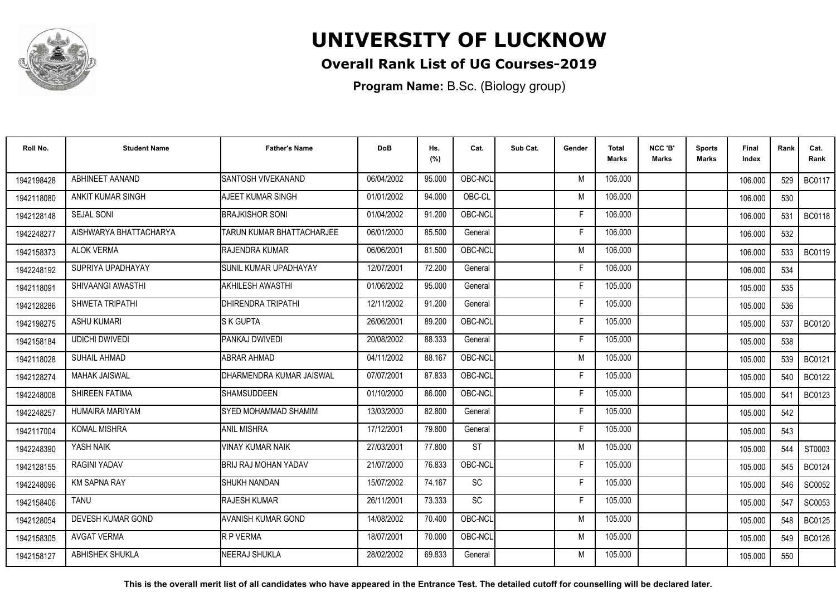

### **Overall Rank List of UG Courses-2019**

**Program Name:** B.Sc. (Biology group)

| Roll No.   | <b>Student Name</b>    | <b>Father's Name</b>             | <b>DoB</b> | Hs.<br>(%) | Cat.      | Sub Cat. | Gender | <b>Total</b><br>Marks | NCC 'B'<br>Marks | <b>Sports</b><br><b>Marks</b> | Final<br>Index | Rank | Cat.<br>Rank  |
|------------|------------------------|----------------------------------|------------|------------|-----------|----------|--------|-----------------------|------------------|-------------------------------|----------------|------|---------------|
| 1942198428 | ABHINEET AANAND        | SANTOSH VIVEKANAND               | 06/04/2002 | 95.000     | OBC-NCL   |          | M      | 106.000               |                  |                               | 106.000        | 529  | <b>BC0117</b> |
| 1942118080 | ANKIT KUMAR SINGH      | AJEET KUMAR SINGH                | 01/01/2002 | 94.000     | OBC-CL    |          | M      | 106.000               |                  |                               | 106.000        | 530  |               |
| 1942128148 | <b>SEJAL SONI</b>      | <b>BRAJKISHOR SONI</b>           | 01/04/2002 | 91.200     | OBC-NCL   |          | F      | 106.000               |                  |                               | 106.000        | 531  | <b>BC0118</b> |
| 1942248277 | AISHWARYA BHATTACHARYA | <b>TARUN KUMAR BHATTACHARJEE</b> | 06/01/2000 | 85.500     | General   |          | F      | 106.000               |                  |                               | 106.000        | 532  |               |
| 1942158373 | <b>ALOK VERMA</b>      | <b>RAJENDRA KUMAR</b>            | 06/06/2001 | 81.500     | OBC-NCL   |          | M      | 106.000               |                  |                               | 106.000        | 533  | <b>BC0119</b> |
| 1942248192 | SUPRIYA UPADHAYAY      | ISUNIL KUMAR UPADHAYAY           | 12/07/2001 | 72.200     | General   |          | F      | 106.000               |                  |                               | 106.000        | 534  |               |
| 1942118091 | SHIVAANGI AWASTHI      | <b>I</b> AKHILESH AWASTHI        | 01/06/2002 | 95.000     | General   |          | F      | 105.000               |                  |                               | 105.000        | 535  |               |
| 1942128286 | SHWETA TRIPATHI        | <b>IDHIRENDRA TRIPATHI</b>       | 12/11/2002 | 91.200     | General   |          | F      | 105.000               |                  |                               | 105.000        | 536  |               |
| 1942198275 | <b>ASHU KUMARI</b>     | <b>S K GUPTA</b>                 | 26/06/2001 | 89.200     | OBC-NCL   |          | F      | 105.000               |                  |                               | 105.000        | 537  | <b>BC0120</b> |
| 1942158184 | <b>UDICHI DWIVEDI</b>  | PANKAJ DWIVEDI                   | 20/08/2002 | 88.333     | General   |          | F      | 105.000               |                  |                               | 105.000        | 538  |               |
| 1942118028 | <b>SUHAIL AHMAD</b>    | <b>ABRAR AHMAD</b>               | 04/11/2002 | 88.167     | OBC-NCL   |          | M      | 105.000               |                  |                               | 105.000        | 539  | <b>BC0121</b> |
| 1942128274 | <b>MAHAK JAISWAL</b>   | <b>IDHARMENDRA KUMAR JAISWAL</b> | 07/07/2001 | 87.833     | OBC-NCL   |          | F      | 105.000               |                  |                               | 105.000        | 540  | <b>BC0122</b> |
| 1942248008 | SHIREEN FATIMA         | <b>I</b> SHAMSUDDEEN             | 01/10/2000 | 86.000     | OBC-NCL   |          | Е      | 105.000               |                  |                               | 105.000        | 541  | <b>BC0123</b> |
| 1942248257 | <b>HUMAIRA MARIYAM</b> | SYED MOHAMMAD SHAMIM             | 13/03/2000 | 82.800     | General   |          | F      | 105.000               |                  |                               | 105.000        | 542  |               |
| 1942117004 | <b>KOMAL MISHRA</b>    | IANIL MISHRA                     | 17/12/2001 | 79.800     | General   |          | F      | 105.000               |                  |                               | 105.000        | 543  |               |
| 1942248390 | YASH NAIK              | VINAY KUMAR NAIK                 | 27/03/2001 | 77.800     | <b>ST</b> |          | M      | 105.000               |                  |                               | 105.000        | 544  | ST0003        |
| 1942128155 | RAGINI YADAV           | <b>BRIJ RAJ MOHAN YADAV</b>      | 21/07/2000 | 76.833     | OBC-NCL   |          | Е      | 105.000               |                  |                               | 105.000        | 545  | <b>BC0124</b> |
| 1942248096 | <b>KM SAPNA RAY</b>    | ISHUKH NANDAN                    | 15/07/2002 | 74.167     | SC        |          | F      | 105.000               |                  |                               | 105.000        | 546  | SC0052        |
| 1942158406 | <b>TANU</b>            | <b>RAJESH KUMAR</b>              | 26/11/2001 | 73.333     | <b>SC</b> |          | F      | 105.000               |                  |                               | 105.000        | 547  | SC0053        |
| 1942128054 | DEVESH KUMAR GOND      | IAVANISH KUMAR GOND              | 14/08/2002 | 70.400     | OBC-NCL   |          | M      | 105.000               |                  |                               | 105.000        | 548  | <b>BC0125</b> |
| 1942158305 | <b>AVGAT VERMA</b>     | R P VERMA                        | 18/07/2001 | 70.000     | OBC-NCL   |          | M      | 105.000               |                  |                               | 105.000        | 549  | <b>BC0126</b> |
| 1942158127 | ABHISHEK SHUKLA        | NEERAJ SHUKLA                    | 28/02/2002 | 69.833     | General   |          | M      | 105.000               |                  |                               | 105.000        | 550  |               |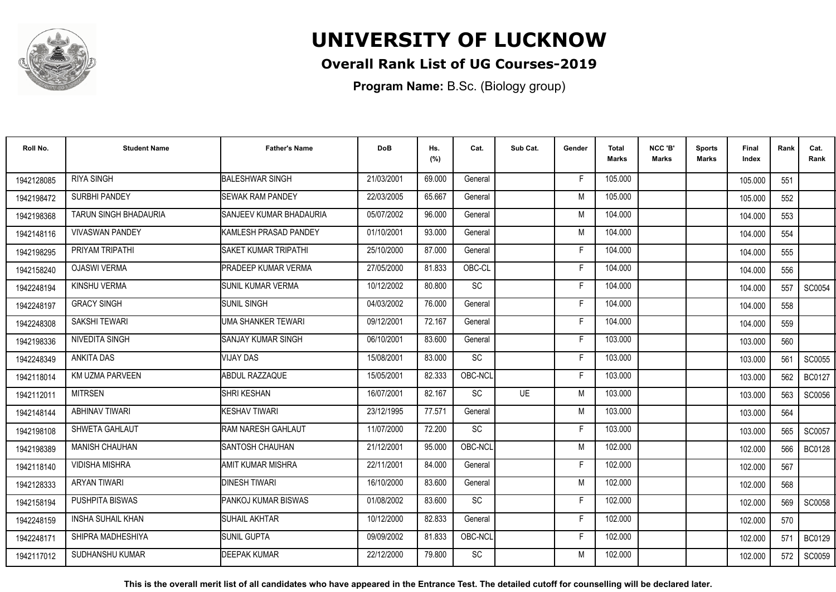

### **Overall Rank List of UG Courses-2019**

**Program Name:** B.Sc. (Biology group)

| Roll No.   | <b>Student Name</b>          | <b>Father's Name</b>             | <b>DoB</b> | Hs.<br>(%) | Cat.                         | Sub Cat.  | Gender | <b>Total</b><br><b>Marks</b> | NCC 'B'<br><b>Marks</b> | <b>Sports</b><br>Marks | Final<br>Index | Rank | Cat.<br>Rank  |
|------------|------------------------------|----------------------------------|------------|------------|------------------------------|-----------|--------|------------------------------|-------------------------|------------------------|----------------|------|---------------|
| 1942128085 | <b>RIYA SINGH</b>            | <b>BALESHWAR SINGH</b>           | 21/03/2001 | 69.000     | General                      |           | F      | 105.000                      |                         |                        | 105.000        | 551  |               |
| 1942198472 | <b>SURBHI PANDEY</b>         | <b>SEWAK RAM PANDEY</b>          | 22/03/2005 | 65.667     | General                      |           | M      | 105.000                      |                         |                        | 105.000        | 552  |               |
| 1942198368 | <b>TARUN SINGH BHADAURIA</b> | <b>I</b> SANJEEV KUMAR BHADAURIA | 05/07/2002 | 96.000     | General                      |           | M      | 104.000                      |                         |                        | 104.000        | 553  |               |
| 1942148116 | <b>VIVASWAN PANDEY</b>       | KAMLESH PRASAD PANDEY            | 01/10/2001 | 93.000     | General                      |           | M      | 104.000                      |                         |                        | 104.000        | 554  |               |
| 1942198295 | PRIYAM TRIPATHI              | <b>SAKET KUMAR TRIPATHI</b>      | 25/10/2000 | 87.000     | General                      |           | Е      | 104.000                      |                         |                        | 104.000        | 555  |               |
| 1942158240 | <b>OJASWI VERMA</b>          | PRADEEP KUMAR VERMA              | 27/05/2000 | 81.833     | OBC-CL                       |           | Е      | 104.000                      |                         |                        | 104.000        | 556  |               |
| 1942248194 | <b>KINSHU VERMA</b>          | <b>SUNIL KUMAR VERMA</b>         | 10/12/2002 | 80.800     | <b>SC</b>                    |           | F      | 104.000                      |                         |                        | 104.000        | 557  | SC0054        |
| 1942248197 | <b>GRACY SINGH</b>           | <b>SUNIL SINGH</b>               | 04/03/2002 | 76.000     | General                      |           | F      | 104.000                      |                         |                        | 104.000        | 558  |               |
| 1942248308 | <b>SAKSHI TEWARI</b>         | UMA SHANKER TEWARI               | 09/12/2001 | 72.167     | General                      |           | F      | 104.000                      |                         |                        | 104.000        | 559  |               |
| 1942198336 | <b>NIVEDITA SINGH</b>        | <b>I</b> SANJAY KUMAR SINGH      | 06/10/2001 | 83.600     | General                      |           | F      | 103.000                      |                         |                        | 103.000        | 560  |               |
| 1942248349 | <b>ANKITA DAS</b>            | <b>VIJAY DAS</b>                 | 15/08/2001 | 83.000     | <b>SC</b>                    |           | F      | 103.000                      |                         |                        | 103.000        | 561  | SC0055        |
| 1942118014 | <b>KM UZMA PARVEEN</b>       | ABDUL RAZZAQUE                   | 15/05/2001 | 82.333     | OBC-NCL                      |           | F      | 103.000                      |                         |                        | 103.000        | 562  | <b>BC0127</b> |
| 1942112011 | <b>MITRSEN</b>               | SHRI KESHAN                      | 16/07/2001 | 82.167     | SC                           | <b>UE</b> | M      | 103.000                      |                         |                        | 103.000        | 563  | SC0056        |
| 1942148144 | <b>ABHINAV TIWARI</b>        | KESHAV TIWARI                    | 23/12/1995 | 77.571     | General                      |           | M      | 103.000                      |                         |                        | 103.000        | 564  |               |
| 1942198108 | SHWETA GAHLAUT               | RAM NARESH GAHLAUT               | 11/07/2000 | 72.200     | <b>SC</b>                    |           | Е      | 103.000                      |                         |                        | 103.000        | 565  | SC0057        |
| 1942198389 | <b>MANISH CHAUHAN</b>        | <b>SANTOSH CHAUHAN</b>           | 21/12/2001 | 95.000     | OBC-NCL                      |           | M      | 102.000                      |                         |                        | 102.000        | 566  | <b>BC0128</b> |
| 1942118140 | <b>VIDISHA MISHRA</b>        | AMIT KUMAR MISHRA                | 22/11/2001 | 84.000     | General                      |           | F      | 102.000                      |                         |                        | 102.000        | 567  |               |
| 1942128333 | <b>ARYAN TIWARI</b>          | <b>DINESH TIWARI</b>             | 16/10/2000 | 83.600     | General                      |           | M      | 102.000                      |                         |                        | 102.000        | 568  |               |
| 1942158194 | PUSHPITA BISWAS              | PANKOJ KUMAR BISWAS              | 01/08/2002 | 83.600     | $\operatorname{\textsf{SC}}$ |           | F      | 102.000                      |                         |                        | 102.000        | 569  | <b>SC0058</b> |
| 1942248159 | <b>INSHA SUHAIL KHAN</b>     | <b>SUHAIL AKHTAR</b>             | 10/12/2000 | 82.833     | General                      |           | F      | 102.000                      |                         |                        | 102.000        | 570  |               |
| 1942248171 | SHIPRA MADHESHIYA            | <b>SUNIL GUPTA</b>               | 09/09/2002 | 81.833     | OBC-NCL                      |           | F      | 102.000                      |                         |                        | 102.000        | 571  | BC0129        |
| 1942117012 | <b>SUDHANSHU KUMAR</b>       | DEEPAK KUMAR                     | 22/12/2000 | 79.800     | <b>SC</b>                    |           | М      | 102.000                      |                         |                        | 102.000        | 572  | SC0059        |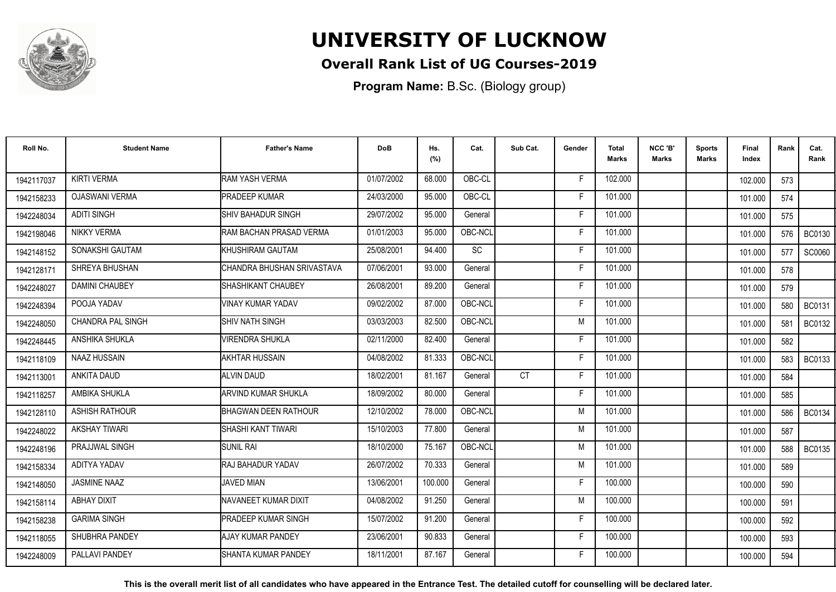

### **Overall Rank List of UG Courses-2019**

**Program Name:** B.Sc. (Biology group)

| Roll No.   | <b>Student Name</b>      | <b>Father's Name</b>            | <b>DoB</b> | Hs.<br>(%) | Cat.      | Sub Cat.  | Gender | <b>Total</b><br><b>Marks</b> | NCC 'B'<br><b>Marks</b> | <b>Sports</b><br>Marks | Final<br>Index | Rank | Cat.<br>Rank  |
|------------|--------------------------|---------------------------------|------------|------------|-----------|-----------|--------|------------------------------|-------------------------|------------------------|----------------|------|---------------|
| 1942117037 | <b>KIRTI VERMA</b>       | <b>RAM YASH VERMA</b>           | 01/07/2002 | 68.000     | OBC-CL    |           | F      | 102.000                      |                         |                        | 102.000        | 573  |               |
| 1942158233 | <b>OJASWANI VERMA</b>    | <b>PRADEEP KUMAR</b>            | 24/03/2000 | 95.000     | OBC-CL    |           | E      | 101.000                      |                         |                        | 101.000        | 574  |               |
| 1942248034 | <b>ADITI SINGH</b>       | <b>SHIV BAHADUR SINGH</b>       | 29/07/2002 | 95.000     | General   |           | Е      | 101.000                      |                         |                        | 101.000        | 575  |               |
| 1942198046 | <b>NIKKY VERMA</b>       | <b>IRAM BACHAN PRASAD VERMA</b> | 01/01/2003 | 95.000     | OBC-NCL   |           |        | 101.000                      |                         |                        | 101.000        | 576  | <b>BC0130</b> |
| 1942148152 | SONAKSHI GAUTAM          | <b>IKHUSHIRAM GAUTAM</b>        | 25/08/2001 | 94.400     | <b>SC</b> |           | F      | 101.000                      |                         |                        | 101.000        | 577  | SC0060        |
| 1942128171 | SHREYA BHUSHAN           | CHANDRA BHUSHAN SRIVASTAVA      | 07/06/2001 | 93.000     | General   |           | F      | 101.000                      |                         |                        | 101.000        | 578  |               |
| 1942248027 | <b>DAMINI CHAUBEY</b>    | ISHASHIKANT CHAUBEY             | 26/08/2001 | 89.200     | General   |           | Е      | 101.000                      |                         |                        | 101.000        | 579  |               |
| 1942248394 | POOJA YADAV              | VINAY KUMAR YADAV               | 09/02/2002 | 87.000     | OBC-NCL   |           | F      | 101.000                      |                         |                        | 101.000        | 580  | <b>BC0131</b> |
| 1942248050 | <b>CHANDRA PAL SINGH</b> | ISHIV NATH SINGH                | 03/03/2003 | 82.500     | OBC-NCL   |           | M      | 101.000                      |                         |                        | 101.000        | 581  | <b>BC0132</b> |
| 1942248445 | ANSHIKA SHUKLA           | <b>VIRENDRA SHUKLA</b>          | 02/11/2000 | 82.400     | General   |           | F      | 101.000                      |                         |                        | 101.000        | 582  |               |
| 1942118109 | NAAZ HUSSAIN             | <b>AKHTAR HUSSAIN</b>           | 04/08/2002 | 81.333     | OBC-NCL   |           | F      | 101.000                      |                         |                        | 101.000        | 583  | <b>BC0133</b> |
| 1942113001 | ANKITA DAUD              | ALVIN DAUD                      | 18/02/2001 | 81.167     | General   | <b>CT</b> | Е      | 101.000                      |                         |                        | 101.000        | 584  |               |
| 1942118257 | AMBIKA SHUKLA            | <b>ARVIND KUMAR SHUKLA</b>      | 18/09/2002 | 80.000     | General   |           | Е      | 101.000                      |                         |                        | 101.000        | 585  |               |
| 1942128110 | <b>ASHISH RATHOUR</b>    | <b>BHAGWAN DEEN RATHOUR</b>     | 12/10/2002 | 78.000     | OBC-NCL   |           | M      | 101.000                      |                         |                        | 101.000        | 586  | <b>BC0134</b> |
| 1942248022 | <b>AKSHAY TIWARI</b>     | ISHASHI KANT TIWARI             | 15/10/2003 | 77.800     | General   |           | M      | 101.000                      |                         |                        | 101.000        | 587  |               |
| 1942248196 | PRAJJWAL SINGH           | ISUNIL RAI                      | 18/10/2000 | 75.167     | OBC-NCL   |           | M      | 101.000                      |                         |                        | 101.000        | 588  | <b>BC0135</b> |
| 1942158334 | ADITYA YADAV             | IRAJ BAHADUR YADAV              | 26/07/2002 | 70.333     | General   |           | M      | 101.000                      |                         |                        | 101.000        | 589  |               |
| 1942148050 | JASMINE NAAZ             | <b>JAVED MIAN</b>               | 13/06/2001 | 100.000    | General   |           | F      | 100.000                      |                         |                        | 100.000        | 590  |               |
| 1942158114 | ABHAY DIXIT              | NAVANEET KUMAR DIXIT            | 04/08/2002 | 91.250     | General   |           | M      | 100.000                      |                         |                        | 100.000        | 591  |               |
| 1942158238 | <b>GARIMA SINGH</b>      | <b>IPRADEEP KUMAR SINGH</b>     | 15/07/2002 | 91.200     | General   |           | F      | 100.000                      |                         |                        | 100.000        | 592  |               |
| 1942118055 | SHUBHRA PANDEY           | <b>AJAY KUMAR PANDEY</b>        | 23/06/2001 | 90.833     | General   |           | F      | 100.000                      |                         |                        | 100.000        | 593  |               |
| 1942248009 | PALLAVI PANDEY           | ISHANTA KUMAR PANDEY            | 18/11/2001 | 87.167     | General   |           | F      | 100.000                      |                         |                        | 100.000        | 594  |               |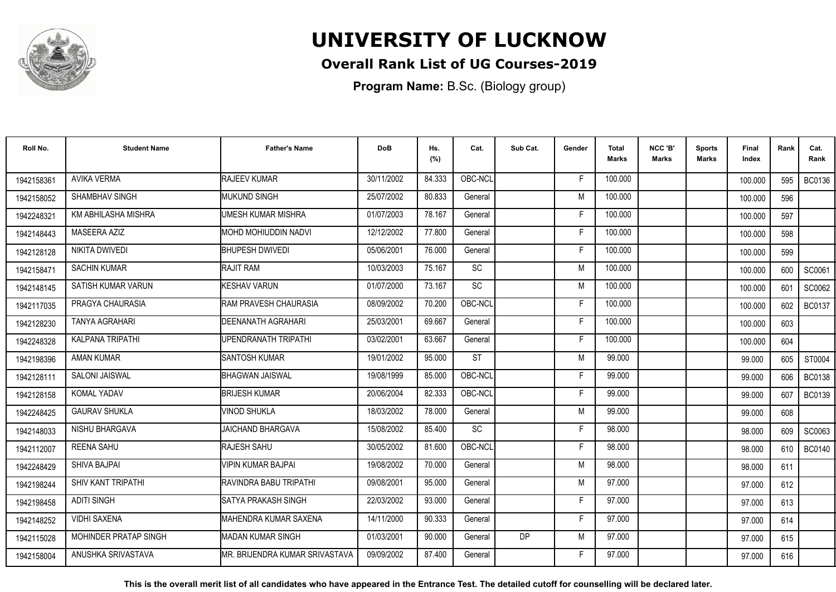

### **Overall Rank List of UG Courses-2019**

**Program Name:** B.Sc. (Biology group)

| Roll No.   | <b>Student Name</b>     | <b>Father's Name</b>            | <b>DoB</b> | Hs.<br>(%) | Cat.      | Sub Cat. | Gender | <b>Total</b><br><b>Marks</b> | NCC 'B'<br><b>Marks</b> | <b>Sports</b><br>Marks | Final<br>Index | Rank | Cat.<br>Rank  |
|------------|-------------------------|---------------------------------|------------|------------|-----------|----------|--------|------------------------------|-------------------------|------------------------|----------------|------|---------------|
| 1942158361 | <b>AVIKA VERMA</b>      | <b>RAJEEV KUMAR</b>             | 30/11/2002 | 84.333     | OBC-NCL   |          | F      | 100.000                      |                         |                        | 100.000        | 595  | <b>BC0136</b> |
| 1942158052 | SHAMBHAV SINGH          | MUKUND SINGH                    | 25/07/2002 | 80.833     | General   |          | M      | 100.000                      |                         |                        | 100.000        | 596  |               |
| 1942248321 | KM ABHILASHA MISHRA     | UMESH KUMAR MISHRA              | 01/07/2003 | 78.167     | General   |          | F      | 100.000                      |                         |                        | 100.000        | 597  |               |
| 1942148443 | MASEERA AZIZ            | MOHD MOHIUDDIN NADVI            | 12/12/2002 | 77.800     | General   |          | F      | 100.000                      |                         |                        | 100.000        | 598  |               |
| 1942128128 | <b>NIKITA DWIVEDI</b>   | <b>BHUPESH DWIVEDI</b>          | 05/06/2001 | 76.000     | General   |          |        | 100.000                      |                         |                        | 100.000        | 599  |               |
| 1942158471 | <b>SACHIN KUMAR</b>     | <b>RAJIT RAM</b>                | 10/03/2003 | 75.167     | <b>SC</b> |          | M      | 100.000                      |                         |                        | 100.000        | 600  | SC0061        |
| 1942148145 | SATISH KUMAR VARUN      | KESHAV VARUN                    | 01/07/2000 | 73.167     | <b>SC</b> |          | M      | 100.000                      |                         |                        | 100.000        | 601  | SC0062        |
| 1942117035 | PRAGYA CHAURASIA        | RAM PRAVESH CHAURASIA           | 08/09/2002 | 70.200     | OBC-NCL   |          | E      | 100.000                      |                         |                        | 100.000        | 602  | <b>BC0137</b> |
| 1942128230 | <b>TANYA AGRAHARI</b>   | DEENANATH AGRAHARI              | 25/03/2001 | 69.667     | General   |          | F      | 100.000                      |                         |                        | 100.000        | 603  |               |
| 1942248328 | <b>KALPANA TRIPATHI</b> | <b>JPENDRANATH TRIPATHI</b>     | 03/02/2001 | 63.667     | General   |          | F      | 100.000                      |                         |                        | 100.000        | 604  |               |
| 1942198396 | <b>AMAN KUMAR</b>       | <b>SANTOSH KUMAR</b>            | 19/01/2002 | 95.000     | <b>ST</b> |          | M      | 99.000                       |                         |                        | 99.000         | 605  | ST0004        |
| 1942128111 | <b>SALONI JAISWAL</b>   | <b>BHAGWAN JAISWAL</b>          | 19/08/1999 | 85.000     | OBC-NCL   |          | F      | 99.000                       |                         |                        | 99.000         | 606  | <b>BC0138</b> |
| 1942128158 | <b>KOMAL YADAV</b>      | <b>BRIJESH KUMAR</b>            | 20/06/2004 | 82.333     | OBC-NCL   |          |        | 99.000                       |                         |                        | 99.000         | 607  | <b>BC0139</b> |
| 1942248425 | <b>GAURAV SHUKLA</b>    | <b>VINOD SHUKLA</b>             | 18/03/2002 | 78.000     | General   |          | M      | 99.000                       |                         |                        | 99.000         | 608  |               |
| 1942148033 | NISHU BHARGAVA          | <b>JAICHAND BHARGAVA</b>        | 15/08/2002 | 85.400     | <b>SC</b> |          | F      | 98.000                       |                         |                        | 98.000         | 609  | SC0063        |
| 1942112007 | <b>REENA SAHU</b>       | RAJESH SAHU                     | 30/05/2002 | 81.600     | OBC-NCL   |          | Е      | 98.000                       |                         |                        | 98.000         | 610  | <b>BC0140</b> |
| 1942248429 | SHIVA BAJPAI            | VIPIN KUMAR BAJPAI              | 19/08/2002 | 70.000     | General   |          | M      | 98.000                       |                         |                        | 98.000         | 611  |               |
| 1942198244 | SHIV KANT TRIPATHI      | RAVINDRA BABU TRIPATHI          | 09/08/2001 | 95.000     | General   |          | M      | 97.000                       |                         |                        | 97.000         | 612  |               |
| 1942198458 | <b>ADITI SINGH</b>      | SATYA PRAKASH SINGH             | 22/03/2002 | 93.000     | General   |          | F      | 97.000                       |                         |                        | 97.000         | 613  |               |
| 1942148252 | <b>VIDHI SAXENA</b>     | IMAHENDRA KUMAR SAXENA          | 14/11/2000 | 90.333     | General   |          | F      | 97.000                       |                         |                        | 97.000         | 614  |               |
| 1942115028 | MOHINDER PRATAP SINGH   | <b>I</b> MADAN KUMAR SINGH      | 01/03/2001 | 90.000     | General   | DP       | M      | 97.000                       |                         |                        | 97.000         | 615  |               |
| 1942158004 | ANUSHKA SRIVASTAVA      | IMR. BRIJENDRA KUMAR SRIVASTAVA | 09/09/2002 | 87.400     | General   |          | F      | 97.000                       |                         |                        | 97.000         | 616  |               |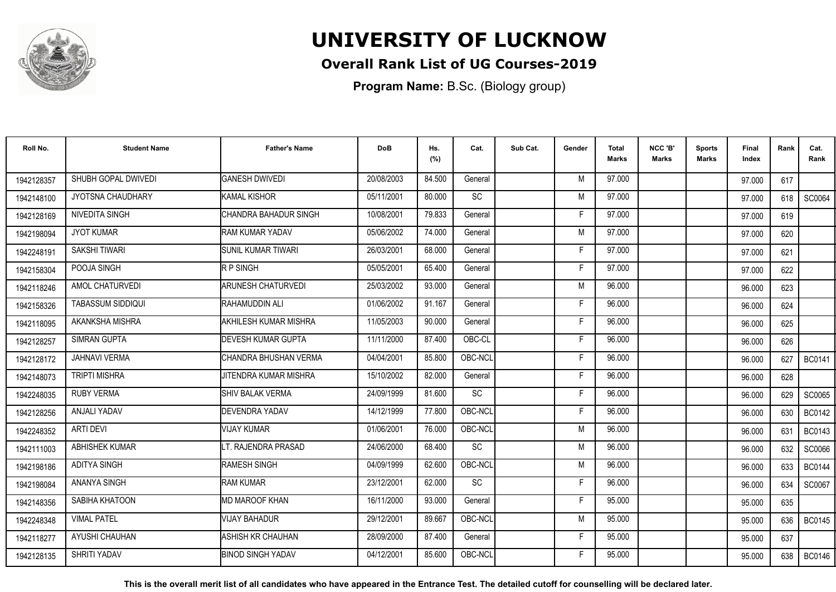

### **Overall Rank List of UG Courses-2019**

**Program Name:** B.Sc. (Biology group)

| Roll No.   | <b>Student Name</b>  | <b>Father's Name</b>           | <b>DoB</b> | Hs.<br>(%) | Cat.      | Sub Cat. | Gender | <b>Total</b><br><b>Marks</b> | NCC 'B'<br><b>Marks</b> | <b>Sports</b><br>Marks | Final<br>Index | Rank | Cat.<br>Rank  |
|------------|----------------------|--------------------------------|------------|------------|-----------|----------|--------|------------------------------|-------------------------|------------------------|----------------|------|---------------|
| 1942128357 | SHUBH GOPAL DWIVEDI  | <b>GANESH DWIVEDI</b>          | 20/08/2003 | 84.500     | General   |          | M      | 97.000                       |                         |                        | 97.000         | 617  |               |
| 1942148100 | JYOTSNA CHAUDHARY    | KAMAL KISHOR                   | 05/11/2001 | 80.000     | SC        |          | M      | 97.000                       |                         |                        | 97.000         | 618  | SC0064        |
| 1942128169 | NIVEDITA SINGH       | <b>I</b> CHANDRA BAHADUR SINGH | 10/08/2001 | 79.833     | General   |          | Е      | 97.000                       |                         |                        | 97.000         | 619  |               |
| 1942198094 | <b>JYOT KUMAR</b>    | <b>RAM KUMAR YADAV</b>         | 05/06/2002 | 74.000     | General   |          | M      | 97.000                       |                         |                        | 97.000         | 620  |               |
| 1942248191 | SAKSHI TIWARI        | <b>ISUNIL KUMAR TIWARI</b>     | 26/03/2001 | 68.000     | General   |          | F.     | 97.000                       |                         |                        | 97.000         | 621  |               |
| 1942158304 | POOJA SINGH          | <b>IRP SINGH</b>               | 05/05/2001 | 65.400     | General   |          | F      | 97.000                       |                         |                        | 97.000         | 622  |               |
| 1942118246 | AMOL CHATURVEDI      | <b>ARUNESH CHATURVEDI</b>      | 25/03/2002 | 93.000     | General   |          | M      | 96.000                       |                         |                        | 96.000         | 623  |               |
| 1942158326 | TABASSUM SIDDIQUI    | RAHAMUDDIN ALI                 | 01/06/2002 | 91.167     | General   |          | Е      | 96.000                       |                         |                        | 96.000         | 624  |               |
| 1942118095 | AKANKSHA MISHRA      | AKHILESH KUMAR MISHRA          | 11/05/2003 | 90.000     | General   |          | Е      | 96.000                       |                         |                        | 96.000         | 625  |               |
| 1942128257 | <b>SIMRAN GUPTA</b>  | <b>IDEVESH KUMAR GUPTA</b>     | 11/11/2000 | 87.400     | OBC-CL    |          | F      | 96.000                       |                         |                        | 96.000         | 626  |               |
| 1942128172 | <b>JAHNAVI VERMA</b> | ICHANDRA BHUSHAN VERMA         | 04/04/2001 | 85.800     | OBC-NCL   |          | Е      | 96.000                       |                         |                        | 96.000         | 627  | <b>BC0141</b> |
| 1942148073 | <b>TRIPTI MISHRA</b> | <b>JITENDRA KUMAR MISHRA</b>   | 15/10/2002 | 82.000     | General   |          | F      | 96.000                       |                         |                        | 96.000         | 628  |               |
| 1942248035 | <b>RUBY VERMA</b>    | <b>SHIV BALAK VERMA</b>        | 24/09/1999 | 81.600     | SC        |          | Е      | 96.000                       |                         |                        | 96.000         | 629  | SC0065        |
| 1942128256 | <b>ANJALI YADAV</b>  | <b>I</b> DEVENDRA YADAV        | 14/12/1999 | 77.800     | OBC-NCL   |          | F      | 96.000                       |                         |                        | 96.000         | 630  | <b>BC0142</b> |
| 1942248352 | ARTI DEVI            | VIJAY KUMAR                    | 01/06/2001 | 76.000     | OBC-NCL   |          | M      | 96.000                       |                         |                        | 96.000         | 631  | <b>BC0143</b> |
| 1942111003 | ABHISHEK KUMAR       | LT. RAJENDRA PRASAD            | 24/06/2000 | 68.400     | <b>SC</b> |          | M      | 96.000                       |                         |                        | 96.000         | 632  | SC0066        |
| 1942198186 | <b>ADITYA SINGH</b>  | <b>RAMESH SINGH</b>            | 04/09/1999 | 62.600     | OBC-NCL   |          | M      | 96.000                       |                         |                        | 96.000         | 633  | <b>BC0144</b> |
| 1942198084 | <b>ANANYA SINGH</b>  | <b>I</b> RAM KUMAR             | 23/12/2001 | 62.000     | SC        |          | F      | 96.000                       |                         |                        | 96.000         | 634  | SC0067        |
| 1942148356 | SABIHA KHATOON       | MD MAROOF KHAN                 | 16/11/2000 | 93.000     | General   |          | F      | 95.000                       |                         |                        | 95.000         | 635  |               |
| 1942248348 | <b>VIMAL PATEL</b>   | <b>VIJAY BAHADUR</b>           | 29/12/2001 | 89.667     | OBC-NCL   |          | M      | 95.000                       |                         |                        | 95.000         | 636  | <b>BC0145</b> |
| 1942118277 | AYUSHI CHAUHAN       | IASHISH KR CHAUHAN             | 28/09/2000 | 87.400     | General   |          | F      | 95.000                       |                         |                        | 95.000         | 637  |               |
| 1942128135 | SHRITI YADAV         | <b>BINOD SINGH YADAV</b>       | 04/12/2001 | 85.600     | OBC-NCL   |          | F      | 95.000                       |                         |                        | 95.000         | 638  | <b>BC0146</b> |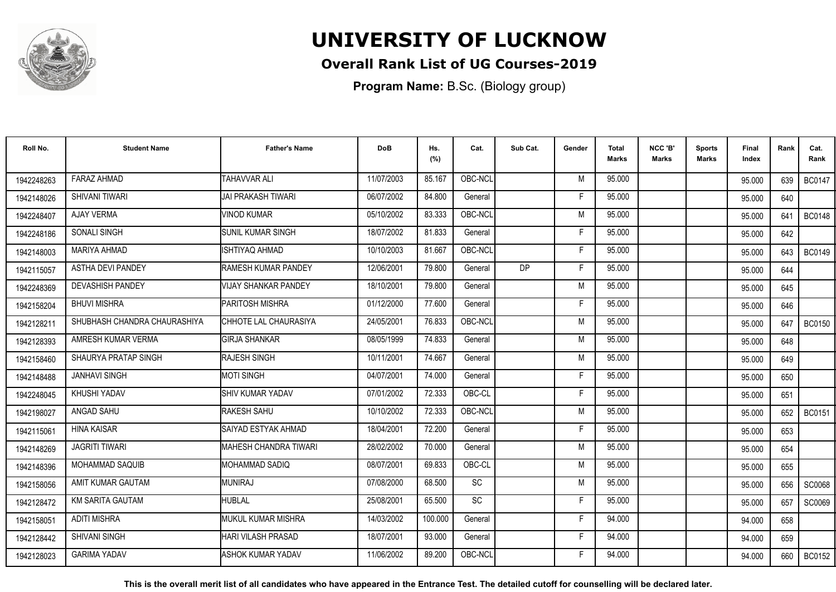

### **Overall Rank List of UG Courses-2019**

**Program Name:** B.Sc. (Biology group)

| Roll No.   | <b>Student Name</b>          | <b>Father's Name</b>         | <b>DoB</b> | Hs.<br>(%) | Cat.                         | Sub Cat. | Gender | <b>Total</b><br><b>Marks</b> | NCC 'B'<br>Marks | <b>Sports</b><br>Marks | Final<br>Index | Rank | Cat.<br>Rank  |
|------------|------------------------------|------------------------------|------------|------------|------------------------------|----------|--------|------------------------------|------------------|------------------------|----------------|------|---------------|
| 1942248263 | <b>FARAZ AHMAD</b>           | <b>TAHAVVAR ALI</b>          | 11/07/2003 | 85.167     | OBC-NCL                      |          | M      | 95.000                       |                  |                        | 95.000         | 639  | <b>BC0147</b> |
| 1942148026 | SHIVANI TIWARI               | JAI PRAKASH TIWARI           | 06/07/2002 | 84.800     | General                      |          |        | 95.000                       |                  |                        | 95.000         | 640  |               |
| 1942248407 | <b>AJAY VERMA</b>            | VINOD KUMAR                  | 05/10/2002 | 83.333     | OBC-NCL                      |          | M      | 95.000                       |                  |                        | 95.000         | 641  | <b>BC0148</b> |
| 1942248186 | <b>SONALI SINGH</b>          | <b>SUNIL KUMAR SINGH</b>     | 18/07/2002 | 81.833     | General                      |          |        | 95.000                       |                  |                        | 95.000         | 642  |               |
| 1942148003 | <b>MARIYA AHMAD</b>          | ISHTIYAQ AHMAD               | 10/10/2003 | 81.667     | OBC-NCL                      |          | Е      | 95.000                       |                  |                        | 95.000         | 643  | <b>BC0149</b> |
| 1942115057 | <b>ASTHA DEVI PANDEY</b>     | <b>RAMESH KUMAR PANDEY</b>   | 12/06/2001 | 79.800     | General                      | DP       | F      | 95.000                       |                  |                        | 95.000         | 644  |               |
| 1942248369 | <b>DEVASHISH PANDEY</b>      | <b>VIJAY SHANKAR PANDEY</b>  | 18/10/2001 | 79.800     | General                      |          | M      | 95.000                       |                  |                        | 95.000         | 645  |               |
| 1942158204 | <b>BHUVI MISHRA</b>          | PARITOSH MISHRA              | 01/12/2000 | 77.600     | General                      |          | F      | 95.000                       |                  |                        | 95.000         | 646  |               |
| 1942128211 | SHUBHASH CHANDRA CHAURASHIYA | CHHOTE LAL CHAURASIYA        | 24/05/2001 | 76.833     | OBC-NCL                      |          | M      | 95.000                       |                  |                        | 95.000         | 647  | <b>BC0150</b> |
| 1942128393 | AMRESH KUMAR VERMA           | <b>GIRJA SHANKAR</b>         | 08/05/1999 | 74.833     | General                      |          | M      | 95.000                       |                  |                        | 95.000         | 648  |               |
| 1942158460 | SHAURYA PRATAP SINGH         | <b>RAJESH SINGH</b>          | 10/11/2001 | 74.667     | General                      |          | M      | 95.000                       |                  |                        | 95.000         | 649  |               |
| 1942148488 | <b>JANHAVI SINGH</b>         | <b>MOTI SINGH</b>            | 04/07/2001 | 74.000     | General                      |          | F      | 95.000                       |                  |                        | 95.000         | 650  |               |
| 1942248045 | KHUSHI YADAV                 | SHIV KUMAR YADAV             | 07/01/2002 | 72.333     | OBC-CL                       |          |        | 95.000                       |                  |                        | 95.000         | 651  |               |
| 1942198027 | ANGAD SAHU                   | RAKESH SAHU                  | 10/10/2002 | 72.333     | OBC-NCL                      |          | M      | 95.000                       |                  |                        | 95.000         | 652  | <b>BC0151</b> |
| 1942115061 | <b>HINA KAISAR</b>           | SAIYAD ESTYAK AHMAD          | 18/04/2001 | 72.200     | General                      |          | Е      | 95.000                       |                  |                        | 95.000         | 653  |               |
| 1942148269 | <b>JAGRITI TIWARI</b>        | <b>MAHESH CHANDRA TIWARI</b> | 28/02/2002 | 70.000     | General                      |          | M      | 95.000                       |                  |                        | 95.000         | 654  |               |
| 1942148396 | <b>MOHAMMAD SAQUIB</b>       | <b>I</b> MOHAMMAD SADIQ      | 08/07/2001 | 69.833     | OBC-CL                       |          | M      | 95.000                       |                  |                        | 95.000         | 655  |               |
| 1942158056 | AMIT KUMAR GAUTAM            | <b>MUNIRAJ</b>               | 07/08/2000 | 68.500     | <b>SC</b>                    |          | M      | 95.000                       |                  |                        | 95.000         | 656  | SC0068        |
| 1942128472 | KM SARITA GAUTAM             | <b>HUBLAL</b>                | 25/08/2001 | 65.500     | $\operatorname{\textsf{SC}}$ |          | F      | 95.000                       |                  |                        | 95.000         | 657  | <b>SC0069</b> |
| 1942158051 | <b>ADITI MISHRA</b>          | IMUKUL KUMAR MISHRA          | 14/03/2002 | 100.000    | General                      |          | F      | 94.000                       |                  |                        | 94.000         | 658  |               |
| 1942128442 | <b>SHIVANI SINGH</b>         | <b>HARI VILASH PRASAD</b>    | 18/07/2001 | 93.000     | General                      |          | F      | 94.000                       |                  |                        | 94.000         | 659  |               |
| 1942128023 | <b>GARIMA YADAV</b>          | ASHOK KUMAR YADAV            | 11/06/2002 | 89.200     | OBC-NCL                      |          |        | 94.000                       |                  |                        | 94.000         | 660  | <b>BC0152</b> |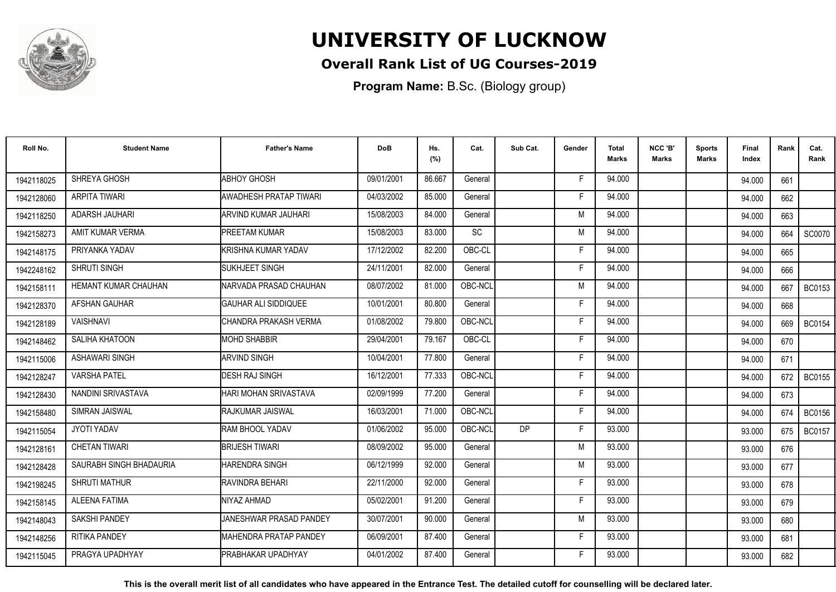

### **Overall Rank List of UG Courses-2019**

**Program Name:** B.Sc. (Biology group)

| Roll No.   | <b>Student Name</b>         | <b>Father's Name</b>           | <b>DoB</b> | Hs.<br>(%) | Cat.    | Sub Cat. | Gender | <b>Total</b><br>Marks | NCC 'B'<br>Marks | <b>Sports</b><br>Marks | Final<br>Index | Rank | Cat.<br>Rank  |
|------------|-----------------------------|--------------------------------|------------|------------|---------|----------|--------|-----------------------|------------------|------------------------|----------------|------|---------------|
| 1942118025 | SHREYA GHOSH                | <b>ABHOY GHOSH</b>             | 09/01/2001 | 86.667     | General |          | F.     | 94.000                |                  |                        | 94.000         | 661  |               |
| 1942128060 | ARPITA TIWARI               | AWADHESH PRATAP TIWARI         | 04/03/2002 | 85.000     | General |          | Е      | 94.000                |                  |                        | 94.000         | 662  |               |
| 1942118250 | ADARSH JAUHARI              | IARVIND KUMAR JAUHARI          | 15/08/2003 | 84.000     | General |          | M      | 94.000                |                  |                        | 94.000         | 663  |               |
| 1942158273 | AMIT KUMAR VERMA            | <b>PREETAM KUMAR</b>           | 15/08/2003 | 83.000     | SC      |          | M      | 94.000                |                  |                        | 94.000         | 664  | SC0070        |
| 1942148175 | PRIYANKA YADAV              | <b>I</b> KRISHNA KUMAR YADAV   | 17/12/2002 | 82.200     | OBC-CL  |          | F      | 94.000                |                  |                        | 94.000         | 665  |               |
| 1942248162 | SHRUTI SINGH                | <b>I</b> SUKHJEET SINGH        | 24/11/2001 | 82.000     | General |          | F      | 94.000                |                  |                        | 94.000         | 666  |               |
| 1942158111 | <b>HEMANT KUMAR CHAUHAN</b> | INARVADA PRASAD CHAUHAN        | 08/07/2002 | 81.000     | OBC-NCL |          | M      | 94.000                |                  |                        | 94.000         | 667  | <b>BC0153</b> |
| 1942128370 | AFSHAN GAUHAR               | GAUHAR ALI SIDDIQUEE           | 10/01/2001 | 80.800     | General |          | Е      | 94.000                |                  |                        | 94.000         | 668  |               |
| 1942128189 | <b>VAISHNAVI</b>            | ICHANDRA PRAKASH VERMA         | 01/08/2002 | 79.800     | OBC-NCL |          | F      | 94.000                |                  |                        | 94.000         | 669  | <b>BC0154</b> |
| 1942148462 | SALIHA KHATOON              | <b>MOHD SHABBIR</b>            | 29/04/2001 | 79.167     | OBC-CL  |          | F      | 94.000                |                  |                        | 94.000         | 670  |               |
| 1942115006 | <b>ASHAWARI SINGH</b>       | <b>ARVIND SINGH</b>            | 10/04/2001 | 77.800     | General |          | F      | 94.000                |                  |                        | 94.000         | 671  |               |
| 1942128247 | <b>VARSHA PATEL</b>         | <b>DESH RAJ SINGH</b>          | 16/12/2001 | 77.333     | OBC-NCL |          | F      | 94.000                |                  |                        | 94.000         | 672  | <b>BC0155</b> |
| 1942128430 | NANDINI SRIVASTAVA          | HARI MOHAN SRIVASTAVA          | 02/09/1999 | 77.200     | General |          | F      | 94.000                |                  |                        | 94.000         | 673  |               |
| 1942158480 | <b>SIMRAN JAISWAL</b>       | <b>I</b> RAJKUMAR JAISWAL      | 16/03/2001 | 71.000     | OBC-NCL |          | Е      | 94.000                |                  |                        | 94.000         | 674  | <b>BC0156</b> |
| 1942115054 | JYOTI YADAV                 | <b>RAM BHOOL YADAV</b>         | 01/06/2002 | 95.000     | OBC-NCL | DP       | F      | 93.000                |                  |                        | 93.000         | 675  | <b>BC0157</b> |
| 1942128161 | <b>CHETAN TIWARI</b>        | <b>BRIJESH TIWARI</b>          | 08/09/2002 | 95.000     | General |          | M      | 93.000                |                  |                        | 93.000         | 676  |               |
| 1942128428 | SAURABH SINGH BHADAURIA     | HARENDRA SINGH                 | 06/12/1999 | 92.000     | General |          | M      | 93.000                |                  |                        | 93.000         | 677  |               |
| 1942198245 | SHRUTI MATHUR               | <b>I</b> RAVINDRA BEHARI       | 22/11/2000 | 92.000     | General |          | Е      | 93.000                |                  |                        | 93.000         | 678  |               |
| 1942158145 | <b>ALEENA FATIMA</b>        | NIYAZ AHMAD                    | 05/02/2001 | 91.200     | General |          | F      | 93.000                |                  |                        | 93.000         | 679  |               |
| 1942148043 | <b>SAKSHI PANDEY</b>        | JANESHWAR PRASAD PANDEY        | 30/07/2001 | 90.000     | General |          | M      | 93.000                |                  |                        | 93.000         | 680  |               |
| 1942148256 | <b>RITIKA PANDEY</b>        | <b>IMAHENDRA PRATAP PANDEY</b> | 06/09/2001 | 87.400     | General |          | F      | 93.000                |                  |                        | 93.000         | 681  |               |
| 1942115045 | PRAGYA UPADHYAY             | <b>IPRABHAKAR UPADHYAY</b>     | 04/01/2002 | 87.400     | General |          |        | 93.000                |                  |                        | 93.000         | 682  |               |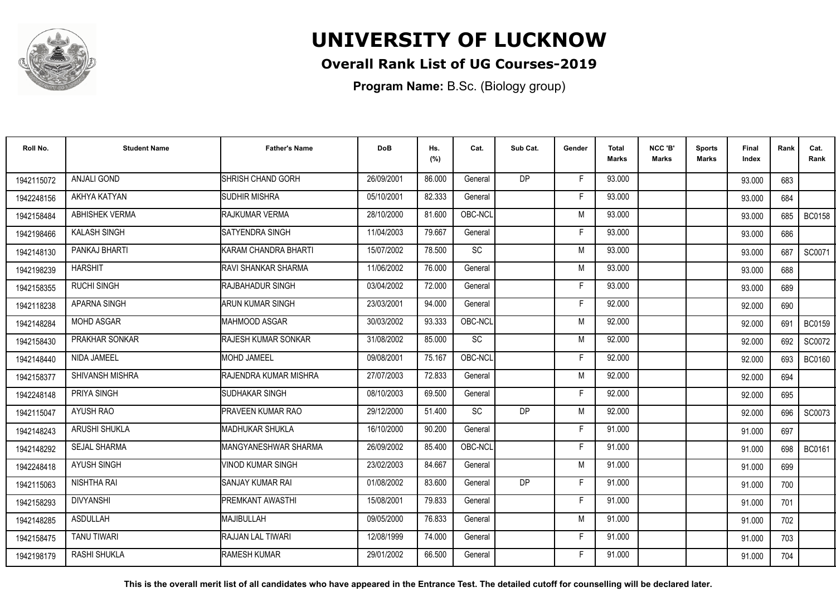

### **Overall Rank List of UG Courses-2019**

**Program Name:** B.Sc. (Biology group)

| Roll No.   | <b>Student Name</b>    | <b>Father's Name</b>          | <b>DoB</b> | Hs.<br>(%) | Cat.      | Sub Cat.       | Gender | <b>Total</b><br><b>Marks</b> | NCC 'B'<br><b>Marks</b> | <b>Sports</b><br>Marks | Final<br>Index | Rank | Cat.<br>Rank  |
|------------|------------------------|-------------------------------|------------|------------|-----------|----------------|--------|------------------------------|-------------------------|------------------------|----------------|------|---------------|
| 1942115072 | <b>ANJALI GOND</b>     | <b>I</b> SHRISH CHAND GORH    | 26/09/2001 | 86.000     | General   | D <sub>P</sub> | F      | 93.000                       |                         |                        | 93.000         | 683  |               |
| 1942248156 | AKHYA KATYAN           | <b>SUDHIR MISHRA</b>          | 05/10/2001 | 82.333     | General   |                | Е      | 93.000                       |                         |                        | 93.000         | 684  |               |
| 1942158484 | <b>ABHISHEK VERMA</b>  | RAJKUMAR VERMA                | 28/10/2000 | 81.600     | OBC-NCL   |                | M      | 93.000                       |                         |                        | 93.000         | 685  | <b>BC0158</b> |
| 1942198466 | <b>KALASH SINGH</b>    | <b>ISATYENDRA SINGH</b>       | 11/04/2003 | 79.667     | General   |                |        | 93.000                       |                         |                        | 93.000         | 686  |               |
| 1942148130 | PANKAJ BHARTI          | KARAM CHANDRA BHARTI          | 15/07/2002 | 78.500     | SC        |                | M      | 93.000                       |                         |                        | 93.000         | 687  | SC0071        |
| 1942198239 | <b>HARSHIT</b>         | <b>RAVI SHANKAR SHARMA</b>    | 11/06/2002 | 76.000     | General   |                | M      | 93.000                       |                         |                        | 93.000         | 688  |               |
| 1942158355 | <b>RUCHI SINGH</b>     | <b>I</b> RAJBAHADUR SINGH     | 03/04/2002 | 72.000     | General   |                | Е      | 93.000                       |                         |                        | 93.000         | 689  |               |
| 1942118238 | <b>APARNA SINGH</b>    | ARUN KUMAR SINGH              | 23/03/2001 | 94.000     | General   |                | F      | 92.000                       |                         |                        | 92.000         | 690  |               |
| 1942148284 | <b>MOHD ASGAR</b>      | IMAHMOOD ASGAR                | 30/03/2002 | 93.333     | OBC-NCL   |                | M      | 92.000                       |                         |                        | 92.000         | 691  | <b>BC0159</b> |
| 1942158430 | PRAKHAR SONKAR         | RAJESH KUMAR SONKAR           | 31/08/2002 | 85.000     | SC        |                | M      | 92.000                       |                         |                        | 92.000         | 692  | SC0072        |
| 1942148440 | NIDA JAMEEL            | MOHD JAMEEL                   | 09/08/2001 | 75.167     | OBC-NCL   |                | F      | 92.000                       |                         |                        | 92.000         | 693  | <b>BC0160</b> |
| 1942158377 | <b>SHIVANSH MISHRA</b> | <b>IRAJENDRA KUMAR MISHRA</b> | 27/07/2003 | 72.833     | General   |                | M      | 92.000                       |                         |                        | 92.000         | 694  |               |
| 1942248148 | PRIYA SINGH            | ISUDHAKAR SINGH               | 08/10/2003 | 69.500     | General   |                | F      | 92.000                       |                         |                        | 92.000         | 695  |               |
| 1942115047 | AYUSH RAO              | IPRAVEEN KUMAR RAO            | 29/12/2000 | 51.400     | <b>SC</b> | <b>DP</b>      | M      | 92.000                       |                         |                        | 92.000         | 696  | SC0073        |
| 1942148243 | ARUSHI SHUKLA          | <b>IMADHUKAR SHUKLA</b>       | 16/10/2000 | 90.200     | General   |                | F      | 91.000                       |                         |                        | 91.000         | 697  |               |
| 1942148292 | <b>SEJAL SHARMA</b>    | MANGYANESHWAR SHARMA          | 26/09/2002 | 85.400     | OBC-NCL   |                | F      | 91.000                       |                         |                        | 91.000         | 698  | <b>BC0161</b> |
| 1942248418 | <b>AYUSH SINGH</b>     | <b>VINOD KUMAR SINGH</b>      | 23/02/2003 | 84.667     | General   |                | M      | 91.000                       |                         |                        | 91.000         | 699  |               |
| 1942115063 | NISHTHA RAI            | SANJAY KUMAR RAI              | 01/08/2002 | 83.600     | General   | <b>DP</b>      | F      | 91.000                       |                         |                        | 91.000         | 700  |               |
| 1942158293 | <b>DIVYANSHI</b>       | <b>IPREMKANT AWASTHI</b>      | 15/08/2001 | 79.833     | General   |                | F      | 91.000                       |                         |                        | 91.000         | 701  |               |
| 1942148285 | <b>ASDULLAH</b>        | MAJIBULLAH                    | 09/05/2000 | 76.833     | General   |                | M      | 91.000                       |                         |                        | 91.000         | 702  |               |
| 1942158475 | <b>TANU TIWARI</b>     | <b>RAJJAN LAL TIWARI</b>      | 12/08/1999 | 74.000     | General   |                | F      | 91.000                       |                         |                        | 91.000         | 703  |               |
| 1942198179 | <b>RASHI SHUKLA</b>    | <b>RAMESH KUMAR</b>           | 29/01/2002 | 66.500     | General   |                | F      | 91.000                       |                         |                        | 91.000         | 704  |               |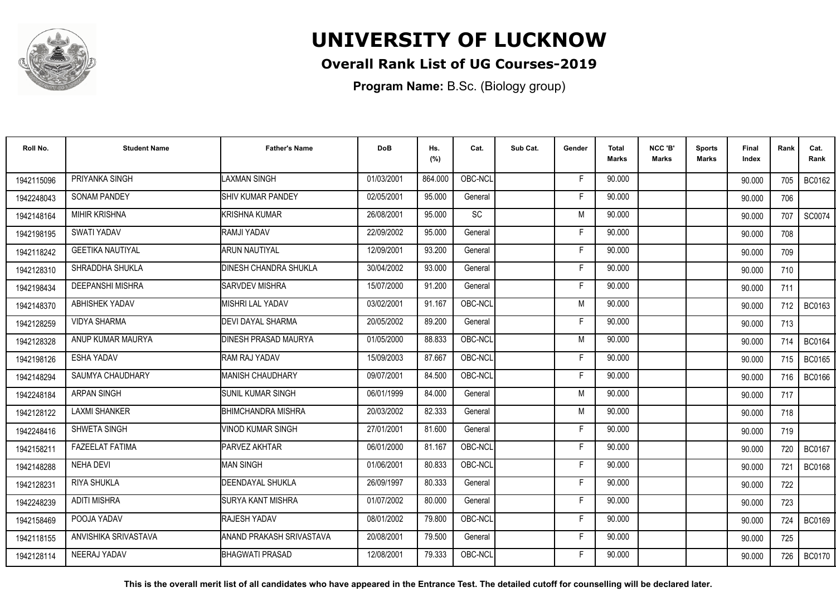

### **Overall Rank List of UG Courses-2019**

**Program Name:** B.Sc. (Biology group)

| Roll No.   | <b>Student Name</b>     | <b>Father's Name</b>            | <b>DoB</b> | Hs.<br>(%) | Cat.      | Sub Cat. | Gender | <b>Total</b><br>Marks | NCC 'B'<br><b>Marks</b> | <b>Sports</b><br>Marks | Final<br>Index | Rank  | Cat.<br>Rank  |
|------------|-------------------------|---------------------------------|------------|------------|-----------|----------|--------|-----------------------|-------------------------|------------------------|----------------|-------|---------------|
| 1942115096 | PRIYANKA SINGH          | <b>LAXMAN SINGH</b>             | 01/03/2001 | 864.000    | OBC-NCL   |          | -F     | 90.000                |                         |                        | 90.000         | 705   | <b>BC0162</b> |
| 1942248043 | <b>SONAM PANDEY</b>     | <b>ISHIV KUMAR PANDEY</b>       | 02/05/2001 | 95.000     | General   |          | F      | 90.000                |                         |                        | 90.000         | 706   |               |
| 1942148164 | <b>MIHIR KRISHNA</b>    | KRISHNA KUMAR                   | 26/08/2001 | 95.000     | <b>SC</b> |          | M      | 90.000                |                         |                        | 90.000         | 707   | SC0074        |
| 1942198195 | SWATI YADAV             | <b>RAMJI YADAV</b>              | 22/09/2002 | 95.000     | General   |          | F      | 90.000                |                         |                        | 90.000         | 708   |               |
| 1942118242 | <b>GEETIKA NAUTIYAL</b> | <b>ARUN NAUTIYAL</b>            | 12/09/2001 | 93.200     | General   |          | F      | 90.000                |                         |                        | 90.000         | 709   |               |
| 1942128310 | SHRADDHA SHUKLA         | <b>DINESH CHANDRA SHUKLA</b>    | 30/04/2002 | 93.000     | General   |          | Е      | 90.000                |                         |                        | 90.000         | 710   |               |
| 1942198434 | <b>DEEPANSHI MISHRA</b> | <b>SARVDEV MISHRA</b>           | 15/07/2000 | 91.200     | General   |          | F      | 90.000                |                         |                        | 90.000         | 711   |               |
| 1942148370 | <b>ABHISHEK YADAV</b>   | MISHRI LAL YADAV                | 03/02/2001 | 91.167     | OBC-NCL   |          | M      | 90.000                |                         |                        | 90.000         | 712 I | BC0163        |
| 1942128259 | <b>VIDYA SHARMA</b>     | DEVI DAYAL SHARMA               | 20/05/2002 | 89.200     | General   |          | F      | 90.000                |                         |                        | 90.000         | 713   |               |
| 1942128328 | ANUP KUMAR MAURYA       | <b>DINESH PRASAD MAURYA</b>     | 01/05/2000 | 88.833     | OBC-NCL   |          | M      | 90.000                |                         |                        | 90.000         | 714 l | <b>BC0164</b> |
| 1942198126 | <b>ESHA YADAV</b>       | RAM RAJ YADAV                   | 15/09/2003 | 87.667     | OBC-NCL   |          | F      | 90.000                |                         |                        | 90.000         | 715   | <b>BC0165</b> |
| 1942148294 | SAUMYA CHAUDHARY        | MANISH CHAUDHARY                | 09/07/2001 | 84.500     | OBC-NCL   |          | F      | 90.000                |                         |                        | 90.000         | 716   | <b>BC0166</b> |
| 1942248184 | <b>ARPAN SINGH</b>      | <b>SUNIL KUMAR SINGH</b>        | 06/01/1999 | 84.000     | General   |          | M      | 90.000                |                         |                        | 90.000         | 717   |               |
| 1942128122 | <b>LAXMI SHANKER</b>    | <b>BHIMCHANDRA MISHRA</b>       | 20/03/2002 | 82.333     | General   |          | M      | 90.000                |                         |                        | 90.000         | 718   |               |
| 1942248416 | SHWETA SINGH            | <b>VINOD KUMAR SINGH</b>        | 27/01/2001 | 81.600     | General   |          | F      | 90.000                |                         |                        | 90.000         | 719   |               |
| 1942158211 | <b>FAZEELAT FATIMA</b>  | <b>PARVEZ AKHTAR</b>            | 06/01/2000 | 81.167     | OBC-NCL   |          | Е      | 90.000                |                         |                        | 90.000         | 720   | <b>BC0167</b> |
| 1942148288 | <b>NEHA DEVI</b>        | <b>MAN SINGH</b>                | 01/06/2001 | 80.833     | OBC-NCL   |          | F.     | 90.000                |                         |                        | 90.000         | 721   | <b>BC0168</b> |
| 1942128231 | RIYA SHUKLA             | <b>DEENDAYAL SHUKLA</b>         | 26/09/1997 | 80.333     | General   |          | F      | 90.000                |                         |                        | 90.000         | 722   |               |
| 1942248239 | <b>ADITI MISHRA</b>     | <b>SURYA KANT MISHRA</b>        | 01/07/2002 | 80.000     | General   |          | F.     | 90.000                |                         |                        | 90.000         | 723   |               |
| 1942158469 | POOJA YADAV             | <b>RAJESH YADAV</b>             | 08/01/2002 | 79.800     | OBC-NCL   |          | Е      | 90.000                |                         |                        | 90.000         | 724   | <b>BC0169</b> |
| 1942118155 | ANVISHIKA SRIVASTAVA    | <b>ANAND PRAKASH SRIVASTAVA</b> | 20/08/2001 | 79.500     | General   |          | F      | 90.000                |                         |                        | 90.000         | 725   |               |
| 1942128114 | NEERAJ YADAV            | BHAGWATI PRASAD                 | 12/08/2001 | 79.333     | OBC-NCL   |          | F      | 90.000                |                         |                        | 90.000         | 726   | <b>BC0170</b> |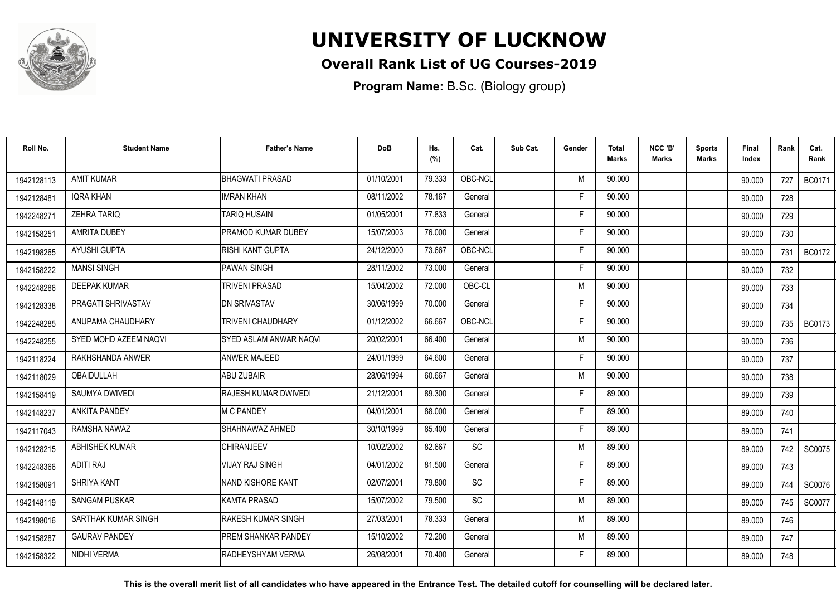

### **Overall Rank List of UG Courses-2019**

**Program Name:** B.Sc. (Biology group)

| Roll No.   | <b>Student Name</b>   | <b>Father's Name</b>       | <b>DoB</b> | Hs.<br>(%) | Cat.                         | Sub Cat. | Gender | <b>Total</b><br>Marks | NCC 'B'<br>Marks | <b>Sports</b><br>Marks | Final<br>Index | Rank | Cat.<br>Rank  |
|------------|-----------------------|----------------------------|------------|------------|------------------------------|----------|--------|-----------------------|------------------|------------------------|----------------|------|---------------|
| 1942128113 | <b>AMIT KUMAR</b>     | <b>BHAGWATI PRASAD</b>     | 01/10/2001 | 79.333     | OBC-NCL                      |          | M      | 90.000                |                  |                        | 90.000         | 727  | <b>BC0171</b> |
| 1942128481 | <b>IQRA KHAN</b>      | <b>IMRAN KHAN</b>          | 08/11/2002 | 78.167     | General                      |          | F      | 90.000                |                  |                        | 90.000         | 728  |               |
| 1942248271 | <b>ZEHRA TARIQ</b>    | <b>TARIQ HUSAIN</b>        | 01/05/2001 | 77.833     | General                      |          | F      | 90.000                |                  |                        | 90.000         | 729  |               |
| 1942158251 | <b>AMRITA DUBEY</b>   | PRAMOD KUMAR DUBEY         | 15/07/2003 | 76.000     | General                      |          | F      | 90.000                |                  |                        | 90.000         | 730  |               |
| 1942198265 | AYUSHI GUPTA          | RISHI KANT GUPTA           | 24/12/2000 | 73.667     | OBC-NCL                      |          | F      | 90.000                |                  |                        | 90.000         | 731  | <b>BC0172</b> |
| 1942158222 | <b>MANSI SINGH</b>    | <b>PAWAN SINGH</b>         | 28/11/2002 | 73.000     | General                      |          | Е      | 90.000                |                  |                        | 90.000         | 732  |               |
| 1942248286 | <b>DEEPAK KUMAR</b>   | <b>TRIVENI PRASAD</b>      | 15/04/2002 | 72.000     | OBC-CL                       |          | M      | 90.000                |                  |                        | 90.000         | 733  |               |
| 1942128338 | PRAGATI SHRIVASTAV    | <b>IDN SRIVASTAV</b>       | 30/06/1999 | 70.000     | General                      |          | F      | 90.000                |                  |                        | 90.000         | 734  |               |
| 1942248285 | ANUPAMA CHAUDHARY     | <b>TRIVENI CHAUDHARY</b>   | 01/12/2002 | 66.667     | OBC-NCL                      |          | F      | 90.000                |                  |                        | 90.000         | 735  | <b>BC0173</b> |
| 1942248255 | SYED MOHD AZEEM NAQVI | SYED ASLAM ANWAR NAQVI     | 20/02/2001 | 66.400     | General                      |          | M      | 90.000                |                  |                        | 90.000         | 736  |               |
| 1942118224 | RAKHSHANDA ANWER      | <b>ANWER MAJEED</b>        | 24/01/1999 | 64.600     | General                      |          | F      | 90.000                |                  |                        | 90.000         | 737  |               |
| 1942118029 | OBAIDULLAH            | <b>ABU ZUBAIR</b>          | 28/06/1994 | 60.667     | General                      |          | M      | 90.000                |                  |                        | 90.000         | 738  |               |
| 1942158419 | <b>SAUMYA DWIVEDI</b> | RAJESH KUMAR DWIVEDI       | 21/12/2001 | 89.300     | General                      |          |        | 89.000                |                  |                        | 89.000         | 739  |               |
| 1942148237 | <b>ANKITA PANDEY</b>  | <b>IM C PANDEY</b>         | 04/01/2001 | 88.000     | General                      |          | Е      | 89.000                |                  |                        | 89.000         | 740  |               |
| 1942117043 | RAMSHA NAWAZ          | SHAHNAWAZ AHMED            | 30/10/1999 | 85.400     | General                      |          |        | 89.000                |                  |                        | 89.000         | 741  |               |
| 1942128215 | ABHISHEK KUMAR        | CHIRANJEEV                 | 10/02/2002 | 82.667     | $\operatorname{\textsf{SC}}$ |          | M      | 89.000                |                  |                        | 89.000         | 742  | SC0075        |
| 1942248366 | <b>ADITI RAJ</b>      | VIJAY RAJ SINGH            | 04/01/2002 | 81.500     | General                      |          |        | 89.000                |                  |                        | 89.000         | 743  |               |
| 1942158091 | SHRIYA KANT           | NAND KISHORE KANT          | 02/07/2001 | 79.800     | SC                           |          | F      | 89.000                |                  |                        | 89.000         | 744  | SC0076        |
| 1942148119 | <b>SANGAM PUSKAR</b>  | <b>KAMTA PRASAD</b>        | 15/07/2002 | 79.500     | SC                           |          | M      | 89.000                |                  |                        | 89.000         | 745  | SC0077        |
| 1942198016 | SARTHAK KUMAR SINGH   | <b>RAKESH KUMAR SINGH</b>  | 27/03/2001 | 78.333     | General                      |          | M      | 89.000                |                  |                        | 89.000         | 746  |               |
| 1942158287 | <b>GAURAV PANDEY</b>  | <b>PREM SHANKAR PANDEY</b> | 15/10/2002 | 72.200     | General                      |          | M      | 89.000                |                  |                        | 89.000         | 747  |               |
| 1942158322 | <b>NIDHI VERMA</b>    | RADHEYSHYAM VERMA          | 26/08/2001 | 70.400     | General                      |          | Е      | 89.000                |                  |                        | 89.000         | 748  |               |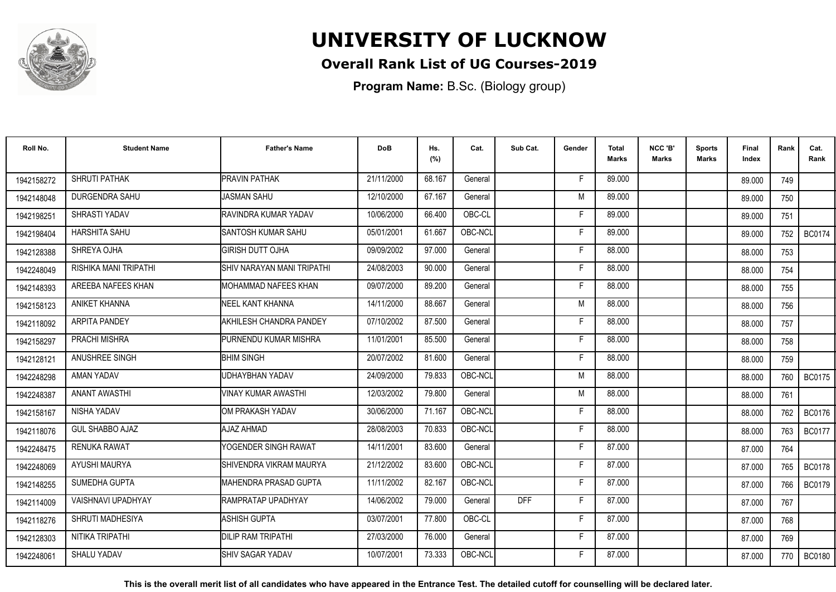

### **Overall Rank List of UG Courses-2019**

**Program Name:** B.Sc. (Biology group)

| Roll No.   | <b>Student Name</b>       | <b>Father's Name</b>        | <b>DoB</b> | Hs.<br>(%) | Cat.    | Sub Cat.   | Gender | <b>Total</b><br>Marks | NCC 'B'<br><b>Marks</b> | Sports<br><b>Marks</b> | Final<br>Index | Rank | Cat.<br>Rank  |
|------------|---------------------------|-----------------------------|------------|------------|---------|------------|--------|-----------------------|-------------------------|------------------------|----------------|------|---------------|
| 1942158272 | SHRUTI PATHAK             | <b>PRAVIN PATHAK</b>        | 21/11/2000 | 68.167     | General |            | -F     | 89.000                |                         |                        | 89.000         | 749  |               |
| 1942148048 | <b>DURGENDRA SAHU</b>     | <b>JASMAN SAHU</b>          | 12/10/2000 | 67.167     | General |            | M      | 89.000                |                         |                        | 89.000         | 750  |               |
| 1942198251 | SHRASTI YADAV             | RAVINDRA KUMAR YADAV        | 10/06/2000 | 66.400     | OBC-CL  |            | F.     | 89.000                |                         |                        | 89.000         | 751  |               |
| 1942198404 | HARSHITA SAHU             | SANTOSH KUMAR SAHU          | 05/01/2001 | 61.667     | OBC-NCL |            | Е      | 89.000                |                         |                        | 89.000         | 752  | <b>BC0174</b> |
| 1942128388 | SHREYA OJHA               | <b>GIRISH DUTT OJHA</b>     | 09/09/2002 | 97.000     | General |            | F      | 88.000                |                         |                        | 88.000         | 753  |               |
| 1942248049 | RISHIKA MANI TRIPATHI     | SHIV NARAYAN MANI TRIPATHI  | 24/08/2003 | 90.000     | General |            | Е      | 88.000                |                         |                        | 88.000         | 754  |               |
| 1942148393 | AREEBA NAFEES KHAN        | <b>MOHAMMAD NAFEES KHAN</b> | 09/07/2000 | 89.200     | General |            | F      | 88.000                |                         |                        | 88.000         | 755  |               |
| 1942158123 | <b>ANIKET KHANNA</b>      | NEEL KANT KHANNA            | 14/11/2000 | 88.667     | General |            | M      | 88.000                |                         |                        | 88.000         | 756  |               |
| 1942118092 | <b>ARPITA PANDEY</b>      | AKHILESH CHANDRA PANDEY     | 07/10/2002 | 87.500     | General |            | F      | 88.000                |                         |                        | 88.000         | 757  |               |
| 1942158297 | PRACHI MISHRA             | PURNENDU KUMAR MISHRA       | 11/01/2001 | 85.500     | General |            | F      | 88.000                |                         |                        | 88.000         | 758  |               |
| 1942128121 | ANUSHREE SINGH            | <b>BHIM SINGH</b>           | 20/07/2002 | 81.600     | General |            | F      | 88.000                |                         |                        | 88.000         | 759  |               |
| 1942248298 | AMAN YADAV                | UDHAYBHAN YADAV             | 24/09/2000 | 79.833     | OBC-NCL |            | M      | 88.000                |                         |                        | 88.000         | 760  | <b>BC0175</b> |
| 1942248387 | <b>ANANT AWASTHI</b>      | <b>VINAY KUMAR AWASTHI</b>  | 12/03/2002 | 79.800     | General |            | M      | 88.000                |                         |                        | 88.000         | 761  |               |
| 1942158167 | NISHA YADAV               | IOM PRAKASH YADAV           | 30/06/2000 | 71.167     | OBC-NCL |            | F      | 88.000                |                         |                        | 88.000         | 762  | <b>BC0176</b> |
| 1942118076 | <b>GUL SHABBO AJAZ</b>    | AJAZ AHMAD                  | 28/08/2003 | 70.833     | OBC-NCL |            | F      | 88.000                |                         |                        | 88.000         | 763  | <b>BC0177</b> |
| 1942248475 | <b>RENUKA RAWAT</b>       | YOGENDER SINGH RAWAT        | 14/11/2001 | 83.600     | General |            | F      | 87.000                |                         |                        | 87.000         | 764  |               |
| 1942248069 | AYUSHI MAURYA             | SHIVENDRA VIKRAM MAURYA     | 21/12/2002 | 83.600     | OBC-NCL |            | F      | 87.000                |                         |                        | 87.000         | 765  | <b>BC0178</b> |
| 1942148255 | SUMEDHA GUPTA             | MAHENDRA PRASAD GUPTA       | 11/11/2002 | 82.167     | OBC-NCL |            | F      | 87.000                |                         |                        | 87.000         | 766  | <b>BC0179</b> |
| 1942114009 | <b>VAISHNAVI UPADHYAY</b> | RAMPRATAP UPADHYAY          | 14/06/2002 | 79.000     | General | <b>DFF</b> | F.     | 87.000                |                         |                        | 87.000         | 767  |               |
| 1942118276 | SHRUTI MADHESIYA          | <b>ASHISH GUPTA</b>         | 03/07/2001 | 77.800     | OBC-CL  |            | F      | 87.000                |                         |                        | 87.000         | 768  |               |
| 1942128303 | NITIKA TRIPATHI           | DILIP RAM TRIPATHI          | 27/03/2000 | 76.000     | General |            | F      | 87.000                |                         |                        | 87.000         | 769  |               |
| 1942248061 | <b>SHALU YADAV</b>        | SHIV SAGAR YADAV            | 10/07/2001 | 73.333     | OBC-NCL |            | F      | 87.000                |                         |                        | 87.000         | 770  | <b>BC0180</b> |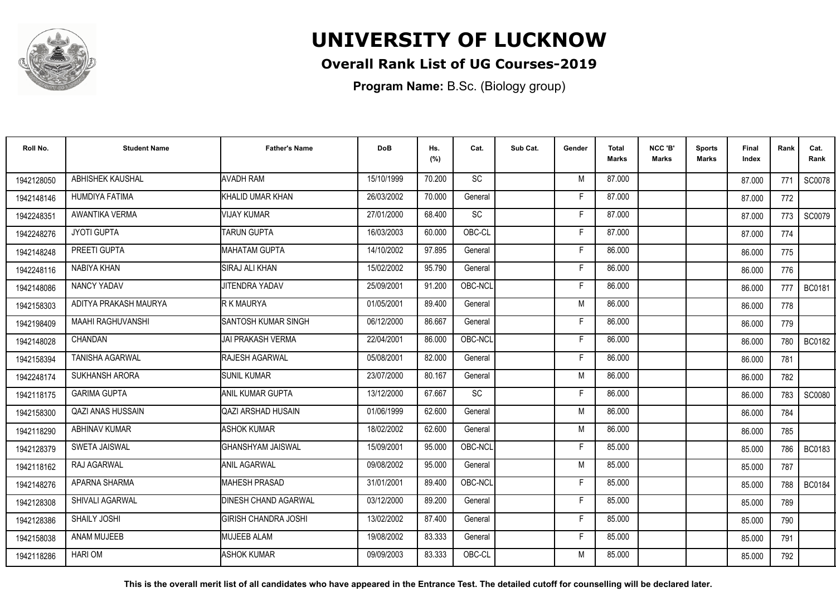

#### **Overall Rank List of UG Courses-2019**

**Program Name:** B.Sc. (Biology group)

| Roll No.   | <b>Student Name</b>      | <b>Father's Name</b>        | <b>DoB</b> | Hs.<br>(%) | Cat.      | Sub Cat. | Gender | <b>Total</b><br>Marks | NCC 'B'<br><b>Marks</b> | Sports<br><b>Marks</b> | Final<br>Index | Rank | Cat.<br>Rank  |
|------------|--------------------------|-----------------------------|------------|------------|-----------|----------|--------|-----------------------|-------------------------|------------------------|----------------|------|---------------|
| 1942128050 | ABHISHEK KAUSHAL         | <b>AVADH RAM</b>            | 15/10/1999 | 70.200     | <b>SC</b> |          | M      | 87.000                |                         |                        | 87.000         | 771  | <b>SC0078</b> |
| 1942148146 | <b>HUMDIYA FATIMA</b>    | KHALID UMAR KHAN            | 26/03/2002 | 70.000     | General   |          | F      | 87.000                |                         |                        | 87.000         | 772  |               |
| 1942248351 | AWANTIKA VERMA           | VIJAY KUMAR                 | 27/01/2000 | 68.400     | SC        |          | F      | 87.000                |                         |                        | 87.000         | 773  | SC0079        |
| 1942248276 | <b>JYOTI GUPTA</b>       | <b>TARUN GUPTA</b>          | 16/03/2003 | 60.000     | OBC-CL    |          | Е      | 87.000                |                         |                        | 87.000         | 774  |               |
| 1942148248 | PREETI GUPTA             | <b>MAHATAM GUPTA</b>        | 14/10/2002 | 97.895     | General   |          | F      | 86.000                |                         |                        | 86.000         | 775  |               |
| 1942248116 | NABIYA KHAN              | <b>SIRAJ ALI KHAN</b>       | 15/02/2002 | 95.790     | General   |          | Е      | 86.000                |                         |                        | 86.000         | 776  |               |
| 1942148086 | NANCY YADAV              | <b>JITENDRA YADAV</b>       | 25/09/2001 | 91.200     | OBC-NCL   |          | F      | 86.000                |                         |                        | 86.000         | 777  | BC0181        |
| 1942158303 | ADITYA PRAKASH MAURYA    | R K MAURYA                  | 01/05/2001 | 89.400     | General   |          | M      | 86.000                |                         |                        | 86.000         | 778  |               |
| 1942198409 | <b>MAAHI RAGHUVANSHI</b> | <b>SANTOSH KUMAR SINGH</b>  | 06/12/2000 | 86.667     | General   |          | F      | 86.000                |                         |                        | 86.000         | 779  |               |
| 1942148028 | CHANDAN                  | IJAI PRAKASH VERMA          | 22/04/2001 | 86.000     | OBC-NCL   |          | F      | 86.000                |                         |                        | 86.000         | 780  | <b>BC0182</b> |
| 1942158394 | <b>TANISHA AGARWAL</b>   | RAJESH AGARWAL              | 05/08/2001 | 82.000     | General   |          | F      | 86.000                |                         |                        | 86.000         | 781  |               |
| 1942248174 | <b>SUKHANSH ARORA</b>    | <b>SUNIL KUMAR</b>          | 23/07/2000 | 80.167     | General   |          | M      | 86.000                |                         |                        | 86.000         | 782  |               |
| 1942118175 | <b>GARIMA GUPTA</b>      | ANIL KUMAR GUPTA            | 13/12/2000 | 67.667     | <b>SC</b> |          | Е      | 86.000                |                         |                        | 86.000         | 783  | SC0080        |
| 1942158300 | <b>QAZI ANAS HUSSAIN</b> | <b>QAZI ARSHAD HUSAIN</b>   | 01/06/1999 | 62.600     | General   |          | M      | 86.000                |                         |                        | 86.000         | 784  |               |
| 1942118290 | <b>ABHINAV KUMAR</b>     | <b>ASHOK KUMAR</b>          | 18/02/2002 | 62.600     | General   |          | M      | 86.000                |                         |                        | 86.000         | 785  |               |
| 1942128379 | <b>SWETA JAISWAL</b>     | <b>GHANSHYAM JAISWAL</b>    | 15/09/2001 | 95.000     | OBC-NCL   |          | F      | 85.000                |                         |                        | 85.000         | 786  | <b>BC0183</b> |
| 1942118162 | RAJ AGARWAL              | <b>ANIL AGARWAL</b>         | 09/08/2002 | 95.000     | General   |          | M      | 85.000                |                         |                        | 85.000         | 787  |               |
| 1942148276 | APARNA SHARMA            | <b>MAHESH PRASAD</b>        | 31/01/2001 | 89.400     | OBC-NCL   |          | F      | 85.000                |                         |                        | 85.000         | 788  | <b>BC0184</b> |
| 1942128308 | <b>SHIVALI AGARWAL</b>   | <b>DINESH CHAND AGARWAL</b> | 03/12/2000 | 89.200     | General   |          | F      | 85.000                |                         |                        | 85.000         | 789  |               |
| 1942128386 | <b>SHAILY JOSHI</b>      | <b>GIRISH CHANDRA JOSHI</b> | 13/02/2002 | 87.400     | General   |          | F      | 85.000                |                         |                        | 85.000         | 790  |               |
| 1942158038 | <b>ANAM MUJEEB</b>       | <b>MUJEEB ALAM</b>          | 19/08/2002 | 83.333     | General   |          | F      | 85.000                |                         |                        | 85.000         | 791  |               |
| 1942118286 | <b>HARIOM</b>            | <b>ASHOK KUMAR</b>          | 09/09/2003 | 83.333     | OBC-CL    |          | M      | 85.000                |                         |                        | 85.000         | 792  |               |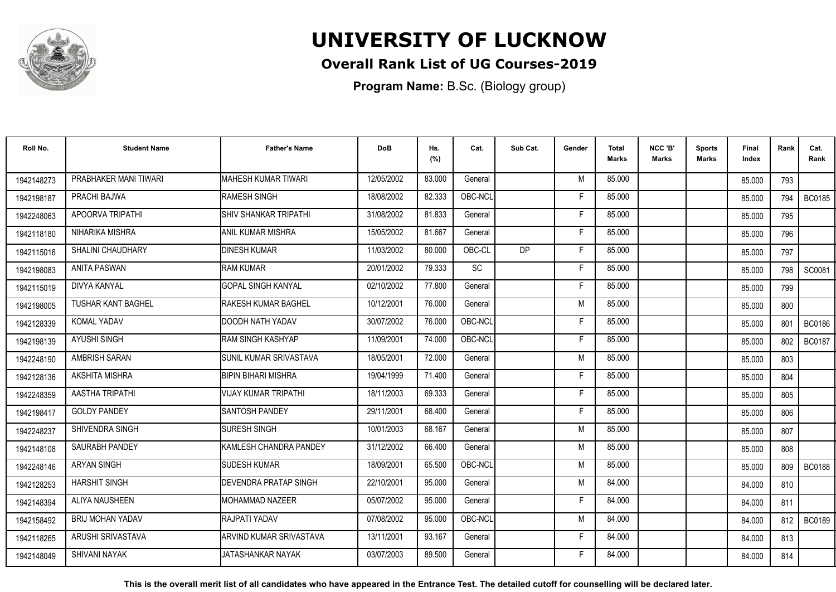

## **Overall Rank List of UG Courses-2019**

**Program Name:** B.Sc. (Biology group)

| Roll No.   | <b>Student Name</b>       | <b>Father's Name</b>          | <b>DoB</b> | Hs.<br>(%) | Cat.      | Sub Cat.  | Gender | <b>Total</b><br>Marks | NCC 'B'<br><b>Marks</b> | Sports<br><b>Marks</b> | Final<br>Index | Rank  | Cat.<br>Rank  |
|------------|---------------------------|-------------------------------|------------|------------|-----------|-----------|--------|-----------------------|-------------------------|------------------------|----------------|-------|---------------|
| 1942148273 | PRABHAKER MANI TIWARI     | <b>MAHESH KUMAR TIWARI</b>    | 12/05/2002 | 83.000     | General   |           | M      | 85.000                |                         |                        | 85.000         | 793   |               |
| 1942198187 | PRACHI BAJWA              | RAMESH SINGH                  | 18/08/2002 | 82.333     | OBC-NCL   |           | F      | 85.000                |                         |                        | 85.000         | 794   | <b>BC0185</b> |
| 1942248063 | APOORVA TRIPATHI          | <b>SHIV SHANKAR TRIPATHI</b>  | 31/08/2002 | 81.833     | General   |           | F.     | 85.000                |                         |                        | 85.000         | 795   |               |
| 1942118180 | NIHARIKA MISHRA           | ANIL KUMAR MISHRA             | 15/05/2002 | 81.667     | General   |           | F      | 85.000                |                         |                        | 85.000         | 796   |               |
| 1942115016 | <b>SHALINI CHAUDHARY</b>  | <b>DINESH KUMAR</b>           | 11/03/2002 | 80.000     | OBC-CL    | <b>DP</b> | F      | 85.000                |                         |                        | 85.000         | 797   |               |
| 1942198083 | <b>ANITA PASWAN</b>       | <b>RAM KUMAR</b>              | 20/01/2002 | 79.333     | <b>SC</b> |           | F      | 85.000                |                         |                        | 85.000         | 798   | SC0081        |
| 1942115019 | <b>DIVYA KANYAL</b>       | <b>GOPAL SINGH KANYAL</b>     | 02/10/2002 | 77.800     | General   |           | F      | 85.000                |                         |                        | 85.000         | 799   |               |
| 1942198005 | <b>TUSHAR KANT BAGHEL</b> | <b>RAKESH KUMAR BAGHEL</b>    | 10/12/2001 | 76.000     | General   |           | M      | 85.000                |                         |                        | 85.000         | 800   |               |
| 1942128339 | KOMAL YADAV               | DOODH NATH YADAV              | 30/07/2002 | 76.000     | OBC-NCL   |           | E      | 85.000                |                         |                        | 85.000         | 801   | <b>BC0186</b> |
| 1942198139 | AYUSHI SINGH              | RAM SINGH KASHYAP             | 11/09/2001 | 74.000     | OBC-NCL   |           | F      | 85.000                |                         |                        | 85.000         | 802   | <b>BC0187</b> |
| 1942248190 | AMBRISH SARAN             | <b>SUNIL KUMAR SRIVASTAVA</b> | 18/05/2001 | 72.000     | General   |           | M      | 85.000                |                         |                        | 85.000         | 803   |               |
| 1942128136 | <b>AKSHITA MISHRA</b>     | BIPIN BIHARI MISHRA           | 19/04/1999 | 71.400     | General   |           | F      | 85.000                |                         |                        | 85.000         | 804   |               |
| 1942248359 | AASTHA TRIPATHI           | <b>VIJAY KUMAR TRIPATHI</b>   | 18/11/2003 | 69.333     | General   |           |        | 85.000                |                         |                        | 85.000         | 805   |               |
| 1942198417 | <b>GOLDY PANDEY</b>       | <b>ISANTOSH PANDEY</b>        | 29/11/2001 | 68.400     | General   |           | F      | 85.000                |                         |                        | 85.000         | 806   |               |
| 1942248237 | SHIVENDRA SINGH           | <b>SURESH SINGH</b>           | 10/01/2003 | 68.167     | General   |           | M      | 85.000                |                         |                        | 85.000         | 807   |               |
| 1942148108 | <b>SAURABH PANDEY</b>     | KAMLESH CHANDRA PANDEY        | 31/12/2002 | 66.400     | General   |           | M      | 85.000                |                         |                        | 85.000         | 808   |               |
| 1942248146 | <b>ARYAN SINGH</b>        | <b>SUDESH KUMAR</b>           | 18/09/2001 | 65.500     | OBC-NCL   |           | M      | 85.000                |                         |                        | 85.000         | 809 I | <b>BC0188</b> |
| 1942128253 | <b>HARSHIT SINGH</b>      | <b>DEVENDRA PRATAP SINGH</b>  | 22/10/2001 | 95.000     | General   |           | M      | 84.000                |                         |                        | 84.000         | 810   |               |
| 1942148394 | ALIYA NAUSHEEN            | <b>IMOHAMMAD NAZEER</b>       | 05/07/2002 | 95.000     | General   |           | F      | 84.000                |                         |                        | 84.000         | 811   |               |
| 1942158492 | <b>BRIJ MOHAN YADAV</b>   | RAJPATI YADAV                 | 07/08/2002 | 95.000     | OBC-NCL   |           | M      | 84.000                |                         |                        | 84.000         | 812   | <b>BC0189</b> |
| 1942118265 | ARUSHI SRIVASTAVA         | ARVIND KUMAR SRIVASTAVA       | 13/11/2001 | 93.167     | General   |           | F      | 84.000                |                         |                        | 84.000         | 813   |               |
| 1942148049 | <b>SHIVANI NAYAK</b>      | JATASHANKAR NAYAK             | 03/07/2003 | 89.500     | General   |           | F      | 84.000                |                         |                        | 84.000         | 814   |               |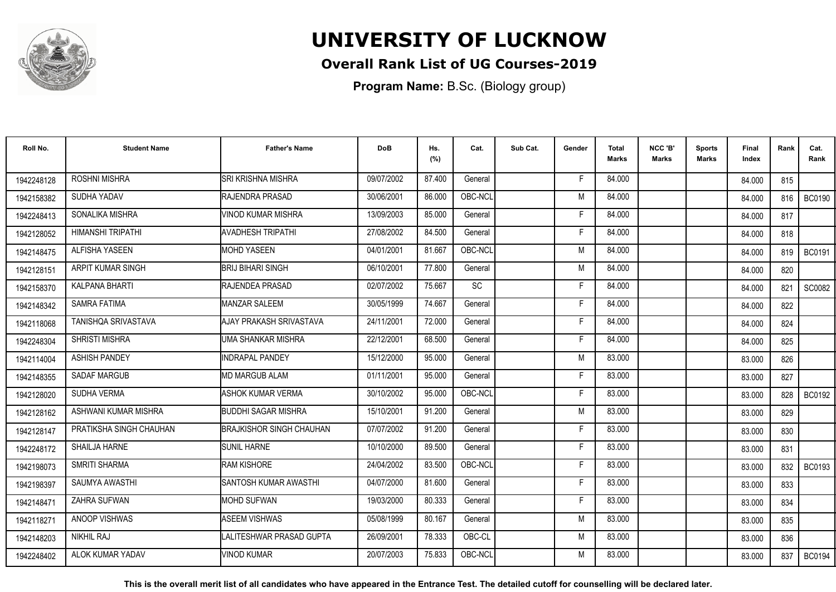

## **Overall Rank List of UG Courses-2019**

**Program Name:** B.Sc. (Biology group)

| Roll No.   | <b>Student Name</b>     | <b>Father's Name</b>            | <b>DoB</b> | Hs.<br>(%) | Cat.      | Sub Cat. | Gender | <b>Total</b><br>Marks | NCC 'B'<br>Marks | <b>Sports</b><br>Marks | <b>Final</b><br>Index | Rank | Cat.<br>Rank  |
|------------|-------------------------|---------------------------------|------------|------------|-----------|----------|--------|-----------------------|------------------|------------------------|-----------------------|------|---------------|
| 1942248128 | <b>ROSHNI MISHRA</b>    | <b>SRI KRISHNA MISHRA</b>       | 09/07/2002 | 87.400     | General   |          | F      | 84.000                |                  |                        | 84.000                | 815  |               |
| 1942158382 | SUDHA YADAV             | RAJENDRA PRASAD                 | 30/06/2001 | 86.000     | OBC-NCL   |          | M      | 84.000                |                  |                        | 84.000                | 816  | <b>BC0190</b> |
| 1942248413 | SONALIKA MISHRA         | VINOD KUMAR MISHRA              | 13/09/2003 | 85.000     | General   |          | F      | 84.000                |                  |                        | 84.000                | 817  |               |
| 1942128052 | HIMANSHI TRIPATHI       | <b>AVADHESH TRIPATHI</b>        | 27/08/2002 | 84.500     | General   |          |        | 84.000                |                  |                        | 84.000                | 818  |               |
| 1942148475 | ALFISHA YASEEN          | <b>MOHD YASEEN</b>              | 04/01/2001 | 81.667     | OBC-NCL   |          | M      | 84.000                |                  |                        | 84.000                | 819  | <b>BC0191</b> |
| 1942128151 | ARPIT KUMAR SINGH       | <b>IBRIJ BIHARI SINGH</b>       | 06/10/2001 | 77.800     | General   |          | M      | 84.000                |                  |                        | 84.000                | 820  |               |
| 1942158370 | KALPANA BHARTI          | RAJENDEA PRASAD                 | 02/07/2002 | 75.667     | <b>SC</b> |          | F      | 84.000                |                  |                        | 84.000                | 821  | SC0082        |
| 1942148342 | <b>SAMRA FATIMA</b>     | MANZAR SALEEM                   | 30/05/1999 | 74.667     | General   |          | Е      | 84.000                |                  |                        | 84.000                | 822  |               |
| 1942118068 | TANISHOA SRIVASTAVA     | AJAY PRAKASH SRIVASTAVA         | 24/11/2001 | 72.000     | General   |          | F      | 84.000                |                  |                        | 84.000                | 824  |               |
| 1942248304 | <b>SHRISTI MISHRA</b>   | UMA SHANKAR MISHRA              | 22/12/2001 | 68.500     | General   |          | Е      | 84.000                |                  |                        | 84.000                | 825  |               |
| 1942114004 | <b>ASHISH PANDEY</b>    | <b>INDRAPAL PANDEY</b>          | 15/12/2000 | 95.000     | General   |          | M      | 83.000                |                  |                        | 83.000                | 826  |               |
| 1942148355 | <b>SADAF MARGUB</b>     | <b>MD MARGUB ALAM</b>           | 01/11/2001 | 95.000     | General   |          | F      | 83.000                |                  |                        | 83.000                | 827  |               |
| 1942128020 | <b>SUDHA VERMA</b>      | <b>ASHOK KUMAR VERMA</b>        | 30/10/2002 | 95.000     | OBC-NCL   |          |        | 83.000                |                  |                        | 83.000                | 828  | <b>BC0192</b> |
| 1942128162 | ASHWANI KUMAR MISHRA    | <b>BUDDHI SAGAR MISHRA</b>      | 15/10/2001 | 91.200     | General   |          | M      | 83.000                |                  |                        | 83.000                | 829  |               |
| 1942128147 | PRATIKSHA SINGH CHAUHAN | <b>BRAJKISHOR SINGH CHAUHAN</b> | 07/07/2002 | 91.200     | General   |          | Е      | 83.000                |                  |                        | 83.000                | 830  |               |
| 1942248172 | SHAILJA HARNE           | <b>SUNIL HARNE</b>              | 10/10/2000 | 89.500     | General   |          | F      | 83.000                |                  |                        | 83.000                | 831  |               |
| 1942198073 | <b>SMRITI SHARMA</b>    | <b>RAM KISHORE</b>              | 24/04/2002 | 83.500     | OBC-NCL   |          | Е      | 83.000                |                  |                        | 83.000                | 832  | <b>BC0193</b> |
| 1942198397 | SAUMYA AWASTHI          | SANTOSH KUMAR AWASTHI           | 04/07/2000 | 81.600     | General   |          | Е      | 83.000                |                  |                        | 83.000                | 833  |               |
| 1942148471 | ZAHRA SUFWAN            | <b>MOHD SUFWAN</b>              | 19/03/2000 | 80.333     | General   |          | F      | 83.000                |                  |                        | 83.000                | 834  |               |
| 1942118271 | ANOOP VISHWAS           | <b>ASEEM VISHWAS</b>            | 05/08/1999 | 80.167     | General   |          | M      | 83.000                |                  |                        | 83.000                | 835  |               |
| 1942148203 | NIKHIL RAJ              | LALITESHWAR PRASAD GUPTA        | 26/09/2001 | 78.333     | OBC-CL    |          | M      | 83.000                |                  |                        | 83.000                | 836  |               |
| 1942248402 | ALOK KUMAR YADAV        | VINOD KUMAR                     | 20/07/2003 | 75.833     | OBC-NCL   |          | м      | 83.000                |                  |                        | 83.000                | 837  | <b>BC0194</b> |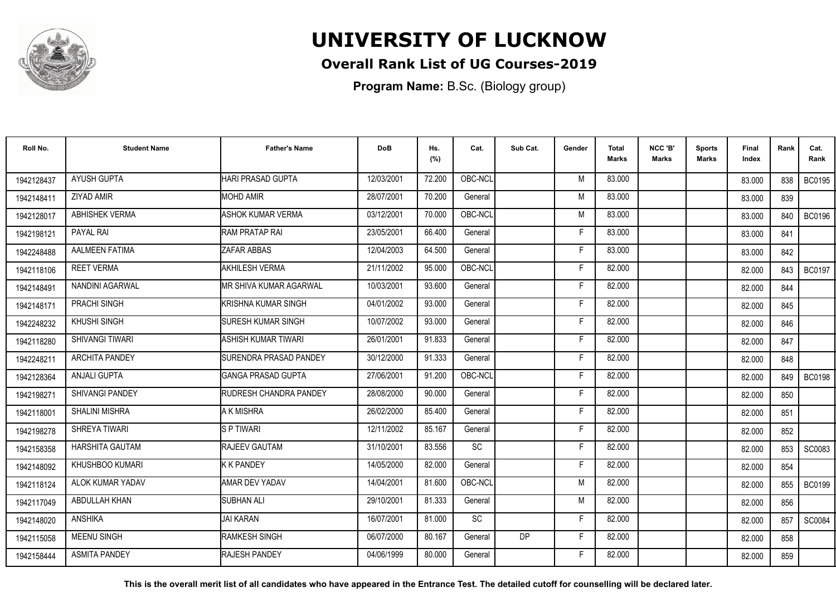

## **Overall Rank List of UG Courses-2019**

**Program Name:** B.Sc. (Biology group)

| Roll No.   | <b>Student Name</b>    | <b>Father's Name</b>           | <b>DoB</b> | Hs.<br>(%) | Cat.    | Sub Cat. | Gender | <b>Total</b><br><b>Marks</b> | NCC 'B'<br><b>Marks</b> | <b>Sports</b><br>Marks | <b>Final</b><br>Index | Rank | Cat.<br>Rank  |
|------------|------------------------|--------------------------------|------------|------------|---------|----------|--------|------------------------------|-------------------------|------------------------|-----------------------|------|---------------|
| 1942128437 | <b>AYUSH GUPTA</b>     | HARI PRASAD GUPTA              | 12/03/2001 | 72.200     | OBC-NCL |          | M      | 83.000                       |                         |                        | 83.000                | 838  | <b>BC0195</b> |
| 1942148411 | ZIYAD AMIR             | <b>MOHD AMIR</b>               | 28/07/2001 | 70.200     | General |          | M      | 83.000                       |                         |                        | 83.000                | 839  |               |
| 1942128017 | ABHISHEK VERMA         | <b>ASHOK KUMAR VERMA</b>       | 03/12/2001 | 70.000     | OBC-NCL |          | M      | 83.000                       |                         |                        | 83.000                | 840  | <b>BC0196</b> |
| 1942198121 | PAYAL RAI              | <b>RAM PRATAP RAI</b>          | 23/05/2001 | 66.400     | General |          | E      | 83.000                       |                         |                        | 83.000                | 841  |               |
| 1942248488 | AALMEEN FATIMA         | ZAFAR ABBAS                    | 12/04/2003 | 64.500     | General |          | F      | 83.000                       |                         |                        | 83.000                | 842  |               |
| 1942118106 | <b>REET VERMA</b>      | <b>AKHILESH VERMA</b>          | 21/11/2002 | 95.000     | OBC-NCL |          | F      | 82.000                       |                         |                        | 82.000                | 843  | <b>BC0197</b> |
| 1942148491 | NANDINI AGARWAL        | MR SHIVA KUMAR AGARWAL         | 10/03/2001 | 93.600     | General |          | F      | 82.000                       |                         |                        | 82.000                | 844  |               |
| 1942148171 | PRACHI SINGH           | KRISHNA KUMAR SINGH            | 04/01/2002 | 93.000     | General |          | F      | 82.000                       |                         |                        | 82.000                | 845  |               |
| 1942248232 | <b>KHUSHI SINGH</b>    | <b>SURESH KUMAR SINGH</b>      | 10/07/2002 | 93.000     | General |          | F.     | 82.000                       |                         |                        | 82.000                | 846  |               |
| 1942118280 | <b>SHIVANGI TIWARI</b> | ASHISH KUMAR TIWARI            | 26/01/2001 | 91.833     | General |          | Е      | 82.000                       |                         |                        | 82.000                | 847  |               |
| 1942248211 | <b>ARCHITA PANDEY</b>  | <b>ISURENDRA PRASAD PANDEY</b> | 30/12/2000 | 91.333     | General |          | F      | 82.000                       |                         |                        | 82.000                | 848  |               |
| 1942128364 | <b>ANJALI GUPTA</b>    | <b>IGANGA PRASAD GUPTA</b>     | 27/06/2001 | 91.200     | OBC-NCL |          | F      | 82.000                       |                         |                        | 82.000                | 849  | <b>BC0198</b> |
| 1942198271 | SHIVANGI PANDEY        | <b>RUDRESH CHANDRA PANDEY</b>  | 28/08/2000 | 90.000     | General |          | F      | 82.000                       |                         |                        | 82.000                | 850  |               |
| 1942118001 | <b>SHALINI MISHRA</b>  | A K MISHRA                     | 26/02/2000 | 85.400     | General |          | F      | 82.000                       |                         |                        | 82.000                | 851  |               |
| 1942198278 | SHREYA TIWARI          | <b>SPTIWARI</b>                | 12/11/2002 | 85.167     | General |          | F      | 82.000                       |                         |                        | 82.000                | 852  |               |
| 1942158358 | <b>HARSHITA GAUTAM</b> | RAJEEV GAUTAM                  | 31/10/2001 | 83.556     | SC      |          | F      | 82.000                       |                         |                        | 82.000                | 853  | SC0083        |
| 1942148092 | KHUSHBOO KUMARI        | <b>K K PANDEY</b>              | 14/05/2000 | 82.000     | General |          | F      | 82.000                       |                         |                        | 82.000                | 854  |               |
| 1942118124 | ALOK KUMAR YADAV       | <b>AMAR DEV YADAV</b>          | 14/04/2001 | 81.600     | OBC-NCL |          | M      | 82.000                       |                         |                        | 82.000                | 855  | <b>BC0199</b> |
| 1942117049 | ABDULLAH KHAN          | <b>SUBHAN ALI</b>              | 29/10/2001 | 81.333     | General |          | M      | 82.000                       |                         |                        | 82.000                | 856  |               |
| 1942148020 | <b>ANSHIKA</b>         | <b>JAI KARAN</b>               | 16/07/2001 | 81.000     | SC      |          | F      | 82.000                       |                         |                        | 82.000                | 857  | SC0084        |
| 1942115058 | <b>MEENU SINGH</b>     | <b>RAMKESH SINGH</b>           | 06/07/2000 | 80.167     | General | DP       | F.     | 82.000                       |                         |                        | 82.000                | 858  |               |
| 1942158444 | <b>ASMITA PANDEY</b>   | RAJESH PANDEY                  | 04/06/1999 | 80.000     | General |          | F      | 82.000                       |                         |                        | 82.000                | 859  |               |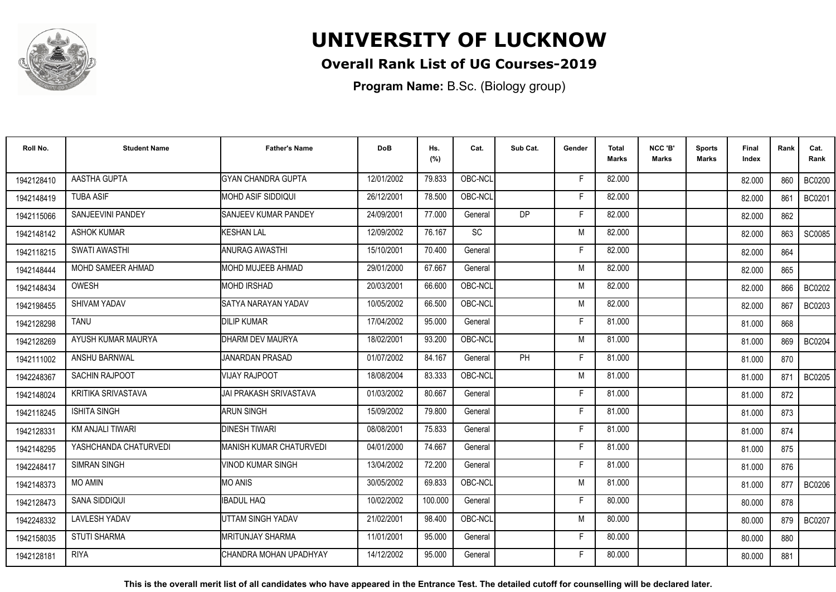

## **Overall Rank List of UG Courses-2019**

**Program Name:** B.Sc. (Biology group)

| Roll No.   | <b>Student Name</b>       | <b>Father's Name</b>           | <b>DoB</b> | Hs.<br>(%) | Cat.      | Sub Cat.  | Gender | <b>Total</b><br><b>Marks</b> | NCC 'B'<br><b>Marks</b> | <b>Sports</b><br>Marks | <b>Final</b><br>Index | Rank | Cat.<br>Rank  |
|------------|---------------------------|--------------------------------|------------|------------|-----------|-----------|--------|------------------------------|-------------------------|------------------------|-----------------------|------|---------------|
| 1942128410 | AASTHA GUPTA              | <b>GYAN CHANDRA GUPTA</b>      | 12/01/2002 | 79.833     | OBC-NCL   |           | F      | 82.000                       |                         |                        | 82.000                | 860  | <b>BC0200</b> |
| 1942148419 | <b>TUBA ASIF</b>          | <b>I</b> MOHD ASIF SIDDIQUI    | 26/12/2001 | 78.500     | OBC-NCL   |           | E      | 82.000                       |                         |                        | 82.000                | 861  | BC0201        |
| 1942115066 | SANJEEVINI PANDEY         | <b>SANJEEV KUMAR PANDEY</b>    | 24/09/2001 | 77.000     | General   | <b>DP</b> | F      | 82.000                       |                         |                        | 82.000                | 862  |               |
| 1942148142 | <b>ASHOK KUMAR</b>        | <b>KESHAN LAL</b>              | 12/09/2002 | 76.167     | <b>SC</b> |           | M      | 82.000                       |                         |                        | 82.000                | 863  | SC0085        |
| 1942118215 | <b>SWATI AWASTHI</b>      | <b>ANURAG AWASTHI</b>          | 15/10/2001 | 70.400     | General   |           | F      | 82.000                       |                         |                        | 82.000                | 864  |               |
| 1942148444 | MOHD SAMEER AHMAD         | <b>MOHD MUJEEB AHMAD</b>       | 29/01/2000 | 67.667     | General   |           | M      | 82.000                       |                         |                        | 82.000                | 865  |               |
| 1942148434 | <b>OWESH</b>              | <b>MOHD IRSHAD</b>             | 20/03/2001 | 66.600     | OBC-NCL   |           | M      | 82.000                       |                         |                        | 82.000                | 866  | <b>BC0202</b> |
| 1942198455 | SHIVAM YADAV              | SATYA NARAYAN YADAV            | 10/05/2002 | 66.500     | OBC-NCL   |           | M      | 82.000                       |                         |                        | 82.000                | 867  | BC0203        |
| 1942128298 | <b>TANU</b>               | <b>DILIP KUMAR</b>             | 17/04/2002 | 95.000     | General   |           | F      | 81.000                       |                         |                        | 81.000                | 868  |               |
| 1942128269 | AYUSH KUMAR MAURYA        | DHARM DEV MAURYA               | 18/02/2001 | 93.200     | OBC-NCL   |           | M      | 81.000                       |                         |                        | 81.000                | 869  | <b>BC0204</b> |
| 1942111002 | ANSHU BARNWAL             | JANARDAN PRASAD                | 01/07/2002 | 84.167     | General   | <b>PH</b> | E      | 81.000                       |                         |                        | 81.000                | 870  |               |
| 1942248367 | <b>SACHIN RAJPOOT</b>     | <b>VIJAY RAJPOOT</b>           | 18/08/2004 | 83.333     | OBC-NCL   |           | M      | 81.000                       |                         |                        | 81.000                | 871  | <b>BC0205</b> |
| 1942148024 | <b>KRITIKA SRIVASTAVA</b> | JAI PRAKASH SRIVASTAVA         | 01/03/2002 | 80.667     | General   |           | Е      | 81.000                       |                         |                        | 81.000                | 872  |               |
| 1942118245 | <b>ISHITA SINGH</b>       | <b>ARUN SINGH</b>              | 15/09/2002 | 79.800     | General   |           | F      | 81.000                       |                         |                        | 81.000                | 873  |               |
| 1942128331 | <b>KM ANJALI TIWARI</b>   | <b>DINESH TIWARI</b>           | 08/08/2001 | 75.833     | General   |           | F      | 81.000                       |                         |                        | 81.000                | 874  |               |
| 1942148295 | YASHCHANDA CHATURVEDI     | <b>MANISH KUMAR CHATURVEDI</b> | 04/01/2000 | 74.667     | General   |           | F      | 81.000                       |                         |                        | 81.000                | 875  |               |
| 1942248417 | <b>SIMRAN SINGH</b>       | <b>VINOD KUMAR SINGH</b>       | 13/04/2002 | 72.200     | General   |           | F      | 81.000                       |                         |                        | 81.000                | 876  |               |
| 1942148373 | <b>MO AMIN</b>            | <b>MO ANIS</b>                 | 30/05/2002 | 69.833     | OBC-NCL   |           | M      | 81.000                       |                         |                        | 81.000                | 877  | <b>BC0206</b> |
| 1942128473 | SANA SIDDIQUI             | <b>IBADUL HAQ</b>              | 10/02/2002 | 100.000    | General   |           | F      | 80.000                       |                         |                        | 80.000                | 878  |               |
| 1942248332 | <b>LAVLESH YADAV</b>      | UTTAM SINGH YADAV              | 21/02/2001 | 98.400     | OBC-NCL   |           | M      | 80.000                       |                         |                        | 80.000                | 879  | <b>BC0207</b> |
| 1942158035 | <b>STUTI SHARMA</b>       | <b>MRITUNJAY SHARMA</b>        | 11/01/2001 | 95.000     | General   |           | F.     | 80.000                       |                         |                        | 80.000                | 880  |               |
| 1942128181 | <b>RIYA</b>               | ICHANDRA MOHAN UPADHYAY        | 14/12/2002 | 95.000     | General   |           | Е      | 80.000                       |                         |                        | 80.000                | 881  |               |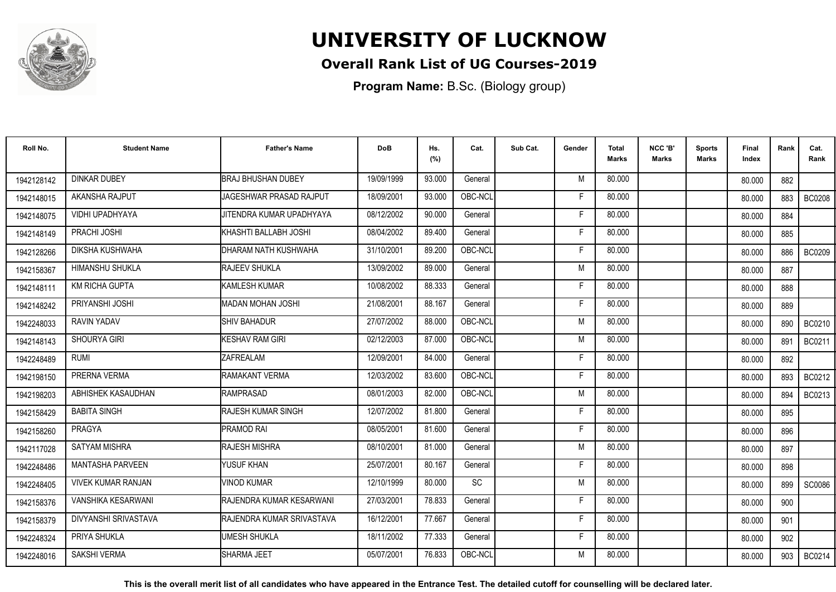

## **Overall Rank List of UG Courses-2019**

**Program Name:** B.Sc. (Biology group)

| Roll No.   | <b>Student Name</b>       | <b>Father's Name</b>       | <b>DoB</b> | Hs.<br>(%) | Cat.      | Sub Cat. | Gender | <b>Total</b><br>Marks | NCC 'B'<br><b>Marks</b> | Sports<br>Marks | Final<br>Index | Rank | Cat.<br>Rank  |
|------------|---------------------------|----------------------------|------------|------------|-----------|----------|--------|-----------------------|-------------------------|-----------------|----------------|------|---------------|
| 1942128142 | <b>DINKAR DUBEY</b>       | <b>BRAJ BHUSHAN DUBEY</b>  | 19/09/1999 | 93.000     | General   |          | M      | 80.000                |                         |                 | 80.000         | 882  |               |
| 1942148015 | AKANSHA RAJPUT            | JAGESHWAR PRASAD RAJPUT    | 18/09/2001 | 93.000     | OBC-NCL   |          | F      | 80.000                |                         |                 | 80.000         | 883  | <b>BC0208</b> |
| 1942148075 | VIDHI UPADHYAYA           | JITENDRA KUMAR UPADHYAYA   | 08/12/2002 | 90.000     | General   |          | E      | 80.000                |                         |                 | 80.000         | 884  |               |
| 1942148149 | PRACHI JOSHI              | KHASHTI BALLABH JOSHI      | 08/04/2002 | 89.400     | General   |          | F      | 80.000                |                         |                 | 80.000         | 885  |               |
| 1942128266 | DIKSHA KUSHWAHA           | IDHARAM NATH KUSHWAHA      | 31/10/2001 | 89.200     | OBC-NCL   |          | F      | 80.000                |                         |                 | 80.000         | 886  | <b>BC0209</b> |
| 1942158367 | <b>HIMANSHU SHUKLA</b>    | <b>RAJEEV SHUKLA</b>       | 13/09/2002 | 89.000     | General   |          | M      | 80.000                |                         |                 | 80.000         | 887  |               |
| 1942148111 | <b>KM RICHA GUPTA</b>     | <b>KAMLESH KUMAR</b>       | 10/08/2002 | 88.333     | General   |          | F      | 80.000                |                         |                 | 80.000         | 888  |               |
| 1942148242 | PRIYANSHI JOSHI           | <b>MADAN MOHAN JOSHI</b>   | 21/08/2001 | 88.167     | General   |          | F      | 80.000                |                         |                 | 80.000         | 889  |               |
| 1942248033 | <b>RAVIN YADAV</b>        | <b>SHIV BAHADUR</b>        | 27/07/2002 | 88.000     | OBC-NCL   |          | M      | 80.000                |                         |                 | 80.000         | 890  | BC0210        |
| 1942148143 | SHOURYA GIRI              | <b>KESHAV RAM GIRI</b>     | 02/12/2003 | 87.000     | OBC-NCL   |          | M      | 80.000                |                         |                 | 80.000         | 891  | BC0211        |
| 1942248489 | <b>RUMI</b>               | <b>ZAFREALAM</b>           | 12/09/2001 | 84.000     | General   |          | F      | 80.000                |                         |                 | 80.000         | 892  |               |
| 1942198150 | PRERNA VERMA              | RAMAKANT VERMA             | 12/03/2002 | 83.600     | OBC-NCL   |          | F.     | 80.000                |                         |                 | 80.000         | 893  | BC0212        |
| 1942198203 | ABHISHEK KASAUDHAN        | <b>RAMPRASAD</b>           | 08/01/2003 | 82.000     | OBC-NCL   |          | M      | 80.000                |                         |                 | 80.000         | 894  | BC0213        |
| 1942158429 | <b>BABITA SINGH</b>       | <b>RAJESH KUMAR SINGH</b>  | 12/07/2002 | 81.800     | General   |          | F      | 80.000                |                         |                 | 80.000         | 895  |               |
| 1942158260 | <b>PRAGYA</b>             | <b>PRAMOD RAI</b>          | 08/05/2001 | 81.600     | General   |          | Е      | 80.000                |                         |                 | 80.000         | 896  |               |
| 1942117028 | SATYAM MISHRA             | <b>RAJESH MISHRA</b>       | 08/10/2001 | 81.000     | General   |          | M      | 80.000                |                         |                 | 80.000         | 897  |               |
| 1942248486 | MANTASHA PARVEEN          | YUSUF KHAN                 | 25/07/2001 | 80.167     | General   |          | F      | 80.000                |                         |                 | 80.000         | 898  |               |
| 1942248405 | <b>VIVEK KUMAR RANJAN</b> | <b>VINOD KUMAR</b>         | 12/10/1999 | 80.000     | <b>SC</b> |          | M      | 80.000                |                         |                 | 80.000         | 899  | SC0086        |
| 1942158376 | <b>VANSHIKA KESARWANI</b> | RAJENDRA KUMAR KESARWANI   | 27/03/2001 | 78.833     | General   |          | F      | 80.000                |                         |                 | 80.000         | 900  |               |
| 1942158379 | DIVYANSHI SRIVASTAVA      | IRAJENDRA KUMAR SRIVASTAVA | 16/12/2001 | 77.667     | General   |          | F      | 80.000                |                         |                 | 80.000         | 901  |               |
| 1942248324 | PRIYA SHUKLA              | <b>UMESH SHUKLA</b>        | 18/11/2002 | 77.333     | General   |          | F.     | 80.000                |                         |                 | 80.000         | 902  |               |
| 1942248016 | <b>SAKSHI VERMA</b>       | <b>SHARMA JEET</b>         | 05/07/2001 | 76.833     | OBC-NCL   |          | M      | 80.000                |                         |                 | 80.000         | 903  | BC0214        |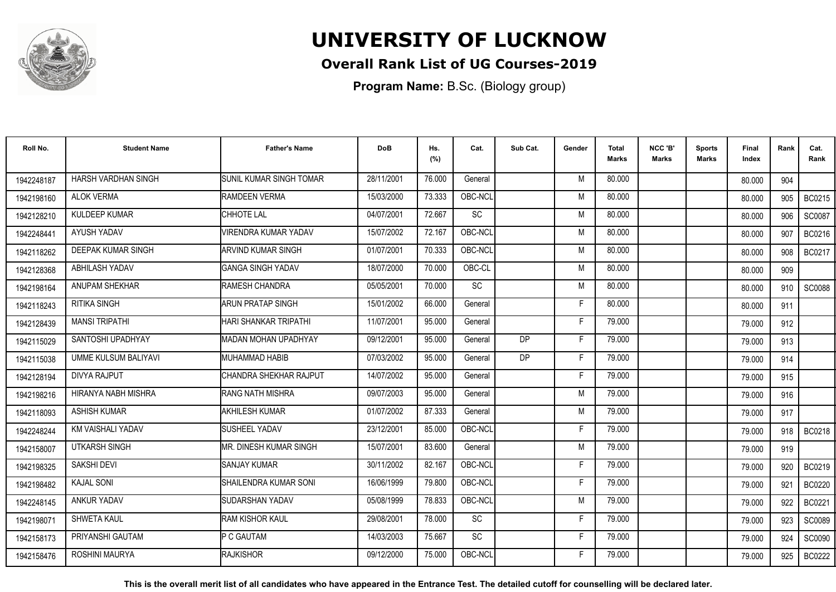

## **Overall Rank List of UG Courses-2019**

**Program Name:** B.Sc. (Biology group)

| Roll No.   | <b>Student Name</b>         | <b>Father's Name</b>           | <b>DoB</b> | Hs.<br>(%) | Cat.      | Sub Cat.  | Gender | <b>Total</b><br><b>Marks</b> | NCC 'B'<br><b>Marks</b> | <b>Sports</b><br>Marks | Final<br>Index | Rank | Cat.<br>Rank  |
|------------|-----------------------------|--------------------------------|------------|------------|-----------|-----------|--------|------------------------------|-------------------------|------------------------|----------------|------|---------------|
| 1942248187 | HARSH VARDHAN SINGH         | <b>SUNIL KUMAR SINGH TOMAR</b> | 28/11/2001 | 76.000     | General   |           | M      | 80.000                       |                         |                        | 80.000         | 904  |               |
| 1942198160 | <b>ALOK VERMA</b>           | <b>RAMDEEN VERMA</b>           | 15/03/2000 | 73.333     | OBC-NCL   |           | M      | 80.000                       |                         |                        | 80.000         | 905  | BC0215        |
| 1942128210 | KULDEEP KUMAR               | <b>I</b> CHHOTE LAL            | 04/07/2001 | 72.667     | <b>SC</b> |           | M      | 80.000                       |                         |                        | 80.000         | 906  | <b>SC0087</b> |
| 1942248441 | AYUSH YADAV                 | <b>VIRENDRA KUMAR YADAV</b>    | 15/07/2002 | 72.167     | OBC-NCL   |           | M      | 80.000                       |                         |                        | 80.000         | 907  | BC0216        |
| 1942118262 | <b>DEEPAK KUMAR SINGH</b>   | ARVIND KUMAR SINGH             | 01/07/2001 | 70.333     | OBC-NCL   |           | M      | 80.000                       |                         |                        | 80.000         | 908  | BC0217        |
| 1942128368 | ABHILASH YADAV              | <b>GANGA SINGH YADAV</b>       | 18/07/2000 | 70.000     | OBC-CL    |           | M      | 80.000                       |                         |                        | 80.000         | 909  |               |
| 1942198164 | ANUPAM SHEKHAR              | RAMESH CHANDRA                 | 05/05/2001 | 70.000     | <b>SC</b> |           | M      | 80.000                       |                         |                        | 80.000         | 910  | <b>SC0088</b> |
| 1942118243 | <b>RITIKA SINGH</b>         | <b>ARUN PRATAP SINGH</b>       | 15/01/2002 | 66.000     | General   |           | Е      | 80.000                       |                         |                        | 80.000         | 911  |               |
| 1942128439 | <b>MANSI TRIPATHI</b>       | HARI SHANKAR TRIPATHI          | 11/07/2001 | 95.000     | General   |           | Е      | 79.000                       |                         |                        | 79.000         | 912  |               |
| 1942115029 | SANTOSHI UPADHYAY           | MADAN MOHAN UPADHYAY           | 09/12/2001 | 95.000     | General   | DP.       | F      | 79.000                       |                         |                        | 79.000         | 913  |               |
| 1942115038 | <b>UMME KULSUM BALIYAVI</b> | <b>MUHAMMAD HABIB</b>          | 07/03/2002 | 95.000     | General   | <b>DP</b> | F      | 79.000                       |                         |                        | 79.000         | 914  |               |
| 1942128194 | DIVYA RAJPUT                | CHANDRA SHEKHAR RAJPUT         | 14/07/2002 | 95.000     | General   |           | F      | 79.000                       |                         |                        | 79.000         | 915  |               |
| 1942198216 | HIRANYA NABH MISHRA         | <b>RANG NATH MISHRA</b>        | 09/07/2003 | 95.000     | General   |           | M      | 79.000                       |                         |                        | 79,000         | 916  |               |
| 1942118093 | <b>ASHISH KUMAR</b>         | <b>AKHILESH KUMAR</b>          | 01/07/2002 | 87.333     | General   |           | M      | 79.000                       |                         |                        | 79.000         | 917  |               |
| 1942248244 | KM VAISHALI YADAV           | <b>I</b> SUSHEEL YADAV         | 23/12/2001 | 85.000     | OBC-NCL   |           | F      | 79.000                       |                         |                        | 79.000         | 918  | BC0218        |
| 1942158007 | <b>UTKARSH SINGH</b>        | MR. DINESH KUMAR SINGH         | 15/07/2001 | 83.600     | General   |           | M      | 79.000                       |                         |                        | 79.000         | 919  |               |
| 1942198325 | SAKSHI DEVI                 | <b>SANJAY KUMAR</b>            | 30/11/2002 | 82.167     | OBC-NCL   |           | F      | 79.000                       |                         |                        | 79.000         | 920  | BC0219        |
| 1942198482 | <b>KAJAL SONI</b>           | <b>I</b> SHAILENDRA KUMAR SONI | 16/06/1999 | 79.800     | OBC-NCL   |           | F      | 79.000                       |                         |                        | 79.000         | 921  | <b>BC0220</b> |
| 1942248145 | ANKUR YADAV                 | <b>SUDARSHAN YADAV</b>         | 05/08/1999 | 78.833     | OBC-NCL   |           | M      | 79.000                       |                         |                        | 79.000         | 922  | <b>BC0221</b> |
| 1942198071 | <b>SHWETA KAUL</b>          | <b>IRAM KISHOR KAUL</b>        | 29/08/2001 | 78.000     | <b>SC</b> |           | F      | 79.000                       |                         |                        | 79.000         | 923  | SC0089        |
| 1942158173 | PRIYANSHI GAUTAM            | <b>P C GAUTAM</b>              | 14/03/2003 | 75.667     | <b>SC</b> |           | F      | 79.000                       |                         |                        | 79.000         | 924  | SC0090        |
| 1942158476 | ROSHINI MAURYA              | RAJKISHOR                      | 09/12/2000 | 75.000     | OBC-NCL   |           | F      | 79.000                       |                         |                        | 79.000         | 925  | BC0222        |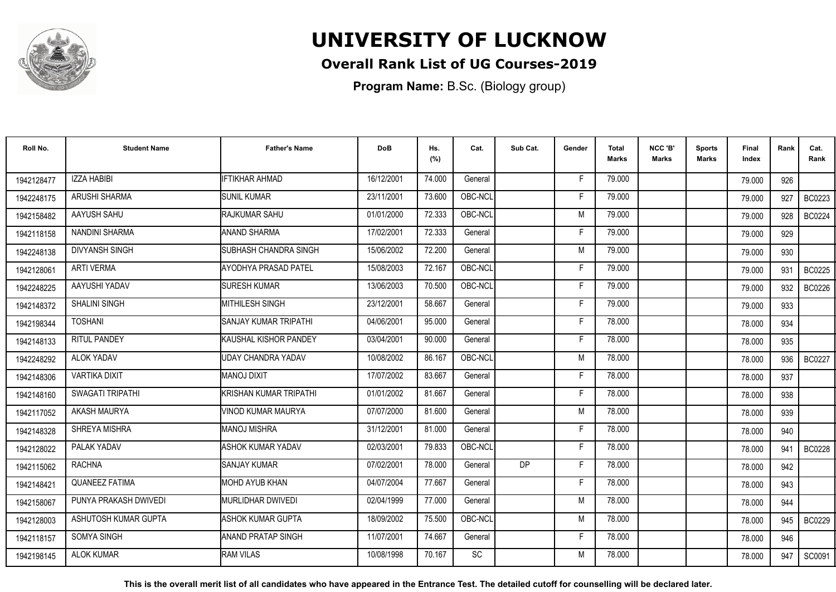

## **Overall Rank List of UG Courses-2019**

**Program Name:** B.Sc. (Biology group)

| Roll No.   | <b>Student Name</b>   | <b>Father's Name</b>          | <b>DoB</b> | Hs.<br>(%) | Cat.      | Sub Cat.  | Gender | Total<br><b>Marks</b> | NCC 'B'<br><b>Marks</b> | <b>Sports</b><br>Marks | Final<br>Index | Rank | Cat.<br>Rank  |
|------------|-----------------------|-------------------------------|------------|------------|-----------|-----------|--------|-----------------------|-------------------------|------------------------|----------------|------|---------------|
| 1942128477 | <b>IZZA HABIBI</b>    | <b>IFTIKHAR AHMAD</b>         | 16/12/2001 | 74.000     | General   |           | F      | 79.000                |                         |                        | 79.000         | 926  |               |
| 1942248175 | ARUSHI SHARMA         | <b>SUNIL KUMAR</b>            | 23/11/2001 | 73.600     | OBC-NCL   |           | Е      | 79.000                |                         |                        | 79.000         | 927  | BC0223        |
| 1942158482 | AAYUSH SAHU           | RAJKUMAR SAHU                 | 01/01/2000 | 72.333     | OBC-NCL   |           | M      | 79.000                |                         |                        | 79.000         | 928  | BC0224        |
| 1942118158 | NANDINI SHARMA        | <b>ANAND SHARMA</b>           | 17/02/2001 | 72.333     | General   |           |        | 79.000                |                         |                        | 79.000         | 929  |               |
| 1942248138 | <b>DIVYANSH SINGH</b> | SUBHASH CHANDRA SINGH         | 15/06/2002 | 72.200     | General   |           | M      | 79.000                |                         |                        | 79.000         | 930  |               |
| 1942128061 | <b>ARTI VERMA</b>     | <b>AYODHYA PRASAD PATEL</b>   | 15/08/2003 | 72.167     | OBC-NCL   |           | Е      | 79.000                |                         |                        | 79.000         | 931  | BC0225        |
| 1942248225 | AAYUSHI YADAV         | <b>SURESH KUMAR</b>           | 13/06/2003 | 70.500     | OBC-NCL   |           | E      | 79.000                |                         |                        | 79.000         | 932  | <b>BC0226</b> |
| 1942148372 | SHALINI SINGH         | <b>MITHILESH SINGH</b>        | 23/12/2001 | 58.667     | General   |           | F      | 79.000                |                         |                        | 79.000         | 933  |               |
| 1942198344 | <b>TOSHANI</b>        | SANJAY KUMAR TRIPATHI         | 04/06/2001 | 95.000     | General   |           | F      | 78.000                |                         |                        | 78.000         | 934  |               |
| 1942148133 | RITUL PANDEY          | KAUSHAL KISHOR PANDEY         | 03/04/2001 | 90.000     | General   |           | F      | 78.000                |                         |                        | 78.000         | 935  |               |
| 1942248292 | ALOK YADAV            | <b>UDAY CHANDRA YADAV</b>     | 10/08/2002 | 86.167     | OBC-NCL   |           | M      | 78.000                |                         |                        | 78.000         | 936  | <b>BC0227</b> |
| 1942148306 | <b>VARTIKA DIXIT</b>  | <b>MANOJ DIXIT</b>            | 17/07/2002 | 83.667     | General   |           | F      | 78.000                |                         |                        | 78.000         | 937  |               |
| 1942148160 | SWAGATI TRIPATHI      | <b>KRISHAN KUMAR TRIPATHI</b> | 01/01/2002 | 81.667     | General   |           | Е      | 78.000                |                         |                        | 78.000         | 938  |               |
| 1942117052 | AKASH MAURYA          | VINOD KUMAR MAURYA            | 07/07/2000 | 81.600     | General   |           | M      | 78.000                |                         |                        | 78.000         | 939  |               |
| 1942148328 | SHREYA MISHRA         | <b>MANOJ MISHRA</b>           | 31/12/2001 | 81.000     | General   |           | F      | 78.000                |                         |                        | 78.000         | 940  |               |
| 1942128022 | PALAK YADAV           | <b>ASHOK KUMAR YADAV</b>      | 02/03/2001 | 79.833     | OBC-NCL   |           | F.     | 78.000                |                         |                        | 78.000         | 941  | <b>BC0228</b> |
| 1942115062 | <b>RACHNA</b>         | <b>SANJAY KUMAR</b>           | 07/02/2001 | 78.000     | General   | <b>DP</b> | F      | 78.000                |                         |                        | 78.000         | 942  |               |
| 1942148421 | <b>QUANEEZ FATIMA</b> | MOHD AYUB KHAN                | 04/07/2004 | 77.667     | General   |           | F      | 78.000                |                         |                        | 78.000         | 943  |               |
| 1942158067 | PUNYA PRAKASH DWIVEDI | <b>I</b> MURLIDHAR DWIVEDI    | 02/04/1999 | 77.000     | General   |           | M      | 78.000                |                         |                        | 78.000         | 944  |               |
| 1942128003 | ASHUTOSH KUMAR GUPTA  | ASHOK KUMAR GUPTA             | 18/09/2002 | 75.500     | OBC-NCL   |           | M      | 78.000                |                         |                        | 78.000         | 945  | <b>BC0229</b> |
| 1942118157 | SOMYA SINGH           | ANAND PRATAP SINGH            | 11/07/2001 | 74.667     | General   |           | F.     | 78.000                |                         |                        | 78.000         | 946  |               |
| 1942198145 | <b>ALOK KUMAR</b>     | <b>RAM VILAS</b>              | 10/08/1998 | 70.167     | <b>SC</b> |           | M      | 78.000                |                         |                        | 78.000         | 947  | SC0091        |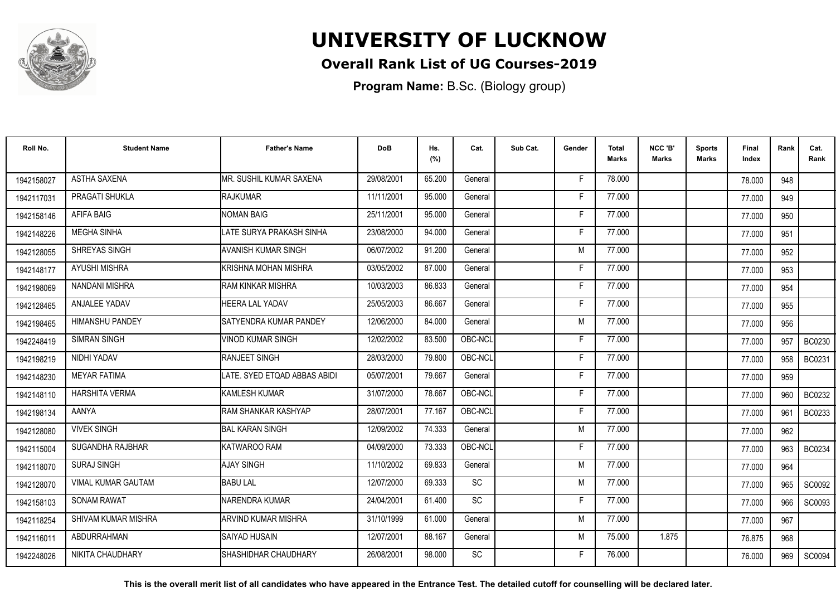

## **Overall Rank List of UG Courses-2019**

**Program Name:** B.Sc. (Biology group)

| Roll No.   | <b>Student Name</b>    | <b>Father's Name</b>          | <b>DoB</b> | Hs.<br>(%) | Cat.      | Sub Cat. | Gender | Total<br><b>Marks</b> | NCC 'B'<br><b>Marks</b> | <b>Sports</b><br>Marks | Final<br>Index | Rank | Cat.<br>Rank  |
|------------|------------------------|-------------------------------|------------|------------|-----------|----------|--------|-----------------------|-------------------------|------------------------|----------------|------|---------------|
| 1942158027 | <b>ASTHA SAXENA</b>    | MR. SUSHIL KUMAR SAXENA       | 29/08/2001 | 65.200     | General   |          | F      | 78.000                |                         |                        | 78.000         | 948  |               |
| 1942117031 | PRAGATI SHUKLA         | <b>RAJKUMAR</b>               | 11/11/2001 | 95.000     | General   |          | Е      | 77.000                |                         |                        | 77.000         | 949  |               |
| 1942158146 | AFIFA BAIG             | <b>NOMAN BAIG</b>             | 25/11/2001 | 95.000     | General   |          | F      | 77.000                |                         |                        | 77.000         | 950  |               |
| 1942148226 | <b>MEGHA SINHA</b>     | LATE SURYA PRAKASH SINHA      | 23/08/2000 | 94.000     | General   |          |        | 77.000                |                         |                        | 77.000         | 951  |               |
| 1942128055 | SHREYAS SINGH          | AVANISH KUMAR SINGH           | 06/07/2002 | 91.200     | General   |          | M      | 77.000                |                         |                        | 77.000         | 952  |               |
| 1942148177 | <b>AYUSHI MISHRA</b>   | İKRISHNA MOHAN MISHRA         | 03/05/2002 | 87.000     | General   |          | Е      | 77.000                |                         |                        | 77.000         | 953  |               |
| 1942198069 | <b>NANDANI MISHRA</b>  | RAM KINKAR MISHRA             | 10/03/2003 | 86.833     | General   |          | E      | 77.000                |                         |                        | 77.000         | 954  |               |
| 1942128465 | <b>ANJALEE YADAV</b>   | <b>HEERA LAL YADAV</b>        | 25/05/2003 | 86.667     | General   |          | E      | 77.000                |                         |                        | 77.000         | 955  |               |
| 1942198465 | <b>HIMANSHU PANDEY</b> | <b>SATYENDRA KUMAR PANDEY</b> | 12/06/2000 | 84.000     | General   |          | M      | 77.000                |                         |                        | 77.000         | 956  |               |
| 1942248419 | SIMRAN SINGH           | <b>VINOD KUMAR SINGH</b>      | 12/02/2002 | 83.500     | OBC-NCL   |          | F      | 77.000                |                         |                        | 77.000         | 957  | <b>BC0230</b> |
| 1942198219 | NIDHI YADAV            | RANJEET SINGH                 | 28/03/2000 | 79.800     | OBC-NCL   |          | E      | 77.000                |                         |                        | 77.000         | 958  | BC0231        |
| 1942148230 | <b>MEYAR FATIMA</b>    | LATE. SYED ETQAD ABBAS ABIDI  | 05/07/2001 | 79.667     | General   |          | F      | 77.000                |                         |                        | 77.000         | 959  |               |
| 1942148110 | <b>HARSHITA VERMA</b>  | KAMLESH KUMAR                 | 31/07/2000 | 78.667     | OBC-NCL   |          | Е      | 77.000                |                         |                        | 77.000         | 960  | BC0232        |
| 1942198134 | <b>AANYA</b>           | IRAM SHANKAR KASHYAP          | 28/07/2001 | 77.167     | OBC-NCL   |          | F      | 77.000                |                         |                        | 77.000         | 961  | BC0233        |
| 1942128080 | <b>VIVEK SINGH</b>     | <b>BAL KARAN SINGH</b>        | 12/09/2002 | 74.333     | General   |          | M      | 77.000                |                         |                        | 77.000         | 962  |               |
| 1942115004 | SUGANDHA RAJBHAR       | KATWAROO RAM                  | 04/09/2000 | 73.333     | OBC-NCL   |          | F      | 77.000                |                         |                        | 77,000         | 963  | BC0234        |
| 1942118070 | <b>SURAJ SINGH</b>     | <b>AJAY SINGH</b>             | 11/10/2002 | 69.833     | General   |          | M      | 77.000                |                         |                        | 77.000         | 964  |               |
| 1942128070 | VIMAL KUMAR GAUTAM     | <b>BABU LAL</b>               | 12/07/2000 | 69.333     | SC        |          | M      | 77.000                |                         |                        | 77.000         | 965  | SC0092        |
| 1942158103 | <b>SONAM RAWAT</b>     | NARENDRA KUMAR                | 24/04/2001 | 61.400     | SC        |          | F      | 77.000                |                         |                        | 77.000         | 966  | SC0093        |
| 1942118254 | SHIVAM KUMAR MISHRA    | <b>ARVIND KUMAR MISHRA</b>    | 31/10/1999 | 61.000     | General   |          | M      | 77.000                |                         |                        | 77.000         | 967  |               |
| 1942116011 | <b>ABDURRAHMAN</b>     | SAIYAD HUSAIN                 | 12/07/2001 | 88.167     | General   |          | M      | 75.000                | 1.875                   |                        | 76.875         | 968  |               |
| 1942248026 | NIKITA CHAUDHARY       | ISHASHIDHAR CHAUDHARY         | 26/08/2001 | 98.000     | <b>SC</b> |          | F      | 76.000                |                         |                        | 76.000         | 969  | SC0094        |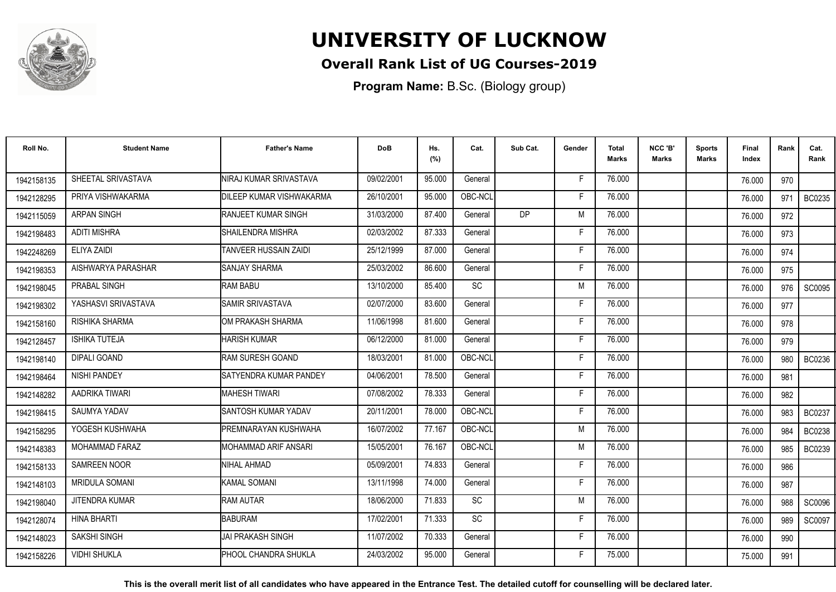

## **Overall Rank List of UG Courses-2019**

**Program Name:** B.Sc. (Biology group)

| Roll No.   | <b>Student Name</b>   | <b>Father's Name</b>         | <b>DoB</b> | Hs.<br>(%) | Cat.                         | Sub Cat. | Gender | <b>Total</b><br>Marks | NCC 'B'<br><b>Marks</b> | <b>Sports</b><br>Marks | <b>Final</b><br>Index | Rank | Cat.<br>Rank  |
|------------|-----------------------|------------------------------|------------|------------|------------------------------|----------|--------|-----------------------|-------------------------|------------------------|-----------------------|------|---------------|
| 1942158135 | SHEETAL SRIVASTAVA    | NIRAJ KUMAR SRIVASTAVA       | 09/02/2001 | 95.000     | General                      |          | F      | 76.000                |                         |                        | 76.000                | 970  |               |
| 1942128295 | PRIYA VISHWAKARMA     | DILEEP KUMAR VISHWAKARMA     | 26/10/2001 | 95.000     | OBC-NCL                      |          | F      | 76.000                |                         |                        | 76.000                | 971  | BC0235        |
| 1942115059 | <b>ARPAN SINGH</b>    | <b>RANJEET KUMAR SINGH</b>   | 31/03/2000 | 87.400     | General                      | DP       | M      | 76,000                |                         |                        | 76.000                | 972  |               |
| 1942198483 | <b>ADITI MISHRA</b>   | SHAILENDRA MISHRA            | 02/03/2002 | 87.333     | General                      |          | F      | 76.000                |                         |                        | 76.000                | 973  |               |
| 1942248269 | ELIYA ZAIDI           | <b>TANVEER HUSSAIN ZAIDI</b> | 25/12/1999 | 87.000     | General                      |          | F      | 76.000                |                         |                        | 76.000                | 974  |               |
| 1942198353 | AISHWARYA PARASHAR    | <b>SANJAY SHARMA</b>         | 25/03/2002 | 86.600     | General                      |          | Е      | 76.000                |                         |                        | 76.000                | 975  |               |
| 1942198045 | PRABAL SINGH          | <b>RAM BABU</b>              | 13/10/2000 | 85.400     | $\operatorname{\textsf{SC}}$ |          | M      | 76.000                |                         |                        | 76.000                | 976  | <b>SC0095</b> |
| 1942198302 | YASHASVI SRIVASTAVA   | SAMIR SRIVASTAVA             | 02/07/2000 | 83.600     | General                      |          | F      | 76.000                |                         |                        | 76.000                | 977  |               |
| 1942158160 | RISHIKA SHARMA        | OM PRAKASH SHARMA            | 11/06/1998 | 81.600     | General                      |          | F      | 76.000                |                         |                        | 76.000                | 978  |               |
| 1942128457 | <b>ISHIKA TUTEJA</b>  | HARISH KUMAR                 | 06/12/2000 | 81.000     | General                      |          | F      | 76.000                |                         |                        | 76.000                | 979  |               |
| 1942198140 | <b>DIPALI GOAND</b>   | <b>IRAM SURESH GOAND</b>     | 18/03/2001 | 81.000     | OBC-NCL                      |          | F      | 76.000                |                         |                        | 76.000                | 980  | BC0236        |
| 1942198464 | NISHI PANDEY          | SATYENDRA KUMAR PANDEY       | 04/06/2001 | 78.500     | General                      |          | F      | 76.000                |                         |                        | 76.000                | 981  |               |
| 1942148282 | AADRIKA TIWARI        | <b>I</b> MAHESH TIWARI       | 07/08/2002 | 78.333     | General                      |          | F      | 76.000                |                         |                        | 76.000                | 982  |               |
| 1942198415 | SAUMYA YADAV          | SANTOSH KUMAR YADAV          | 20/11/2001 | 78.000     | OBC-NCL                      |          | Е      | 76.000                |                         |                        | 76.000                | 983  | <b>BC0237</b> |
| 1942158295 | YOGESH KUSHWAHA       | PREMNARAYAN KUSHWAHA         | 16/07/2002 | 77.167     | OBC-NCL                      |          | M      | 76.000                |                         |                        | 76.000                | 984  | BC0238        |
| 1942148383 | <b>MOHAMMAD FARAZ</b> | MOHAMMAD ARIF ANSARI         | 15/05/2001 | 76.167     | OBC-NCL                      |          | M      | 76.000                |                         |                        | 76.000                | 985  | BC0239        |
| 1942158133 | <b>SAMREEN NOOR</b>   | NIHAL AHMAD                  | 05/09/2001 | 74.833     | General                      |          | F      | 76.000                |                         |                        | 76.000                | 986  |               |
| 1942148103 | <b>MRIDULA SOMANI</b> | KAMAL SOMANI                 | 13/11/1998 | 74.000     | General                      |          | Е      | 76.000                |                         |                        | 76.000                | 987  |               |
| 1942198040 | <b>JITENDRA KUMAR</b> | <b>RAM AUTAR</b>             | 18/06/2000 | 71.833     | <b>SC</b>                    |          | M      | 76.000                |                         |                        | 76.000                | 988  | SC0096        |
| 1942128074 | <b>HINA BHARTI</b>    | <b>BABURAM</b>               | 17/02/2001 | 71.333     | <b>SC</b>                    |          | F      | 76.000                |                         |                        | 76.000                | 989  | SC0097        |
| 1942148023 | SAKSHI SINGH          | <b>JAI PRAKASH SINGH</b>     | 11/07/2002 | 70.333     | General                      |          | F      | 76.000                |                         |                        | 76.000                | 990  |               |
| 1942158226 | <b>VIDHI SHUKLA</b>   | PHOOL CHANDRA SHUKLA         | 24/03/2002 | 95.000     | General                      |          |        | 75.000                |                         |                        | 75.000                | 991  |               |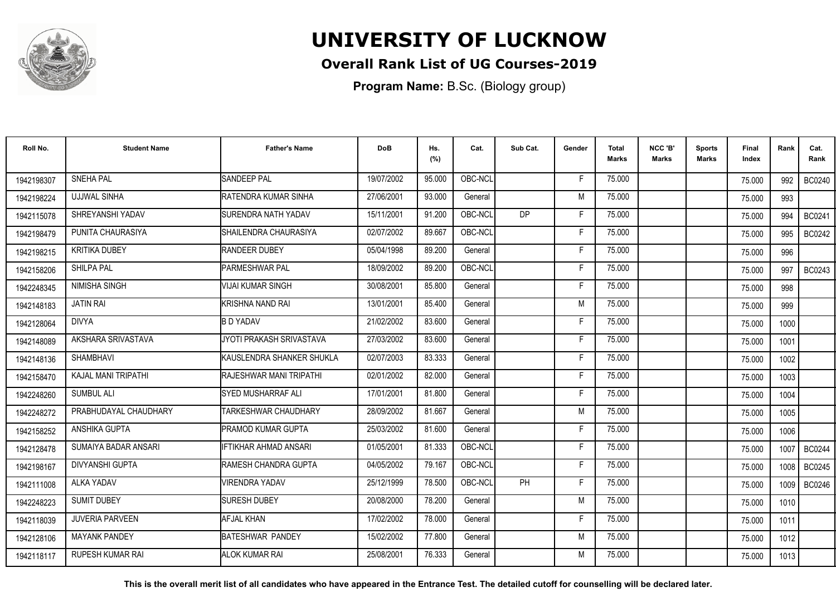

## **Overall Rank List of UG Courses-2019**

**Program Name:** B.Sc. (Biology group)

| Roll No.   | <b>Student Name</b>     | <b>Father's Name</b>               | <b>DoB</b> | Hs.<br>(%) | Cat.    | Sub Cat.  | Gender | <b>Total</b><br>Marks | NCC 'B'<br><b>Marks</b> | <b>Sports</b><br>Marks | <b>Final</b><br>Index | Rank              | Cat.<br>Rank  |
|------------|-------------------------|------------------------------------|------------|------------|---------|-----------|--------|-----------------------|-------------------------|------------------------|-----------------------|-------------------|---------------|
| 1942198307 | <b>SNEHA PAL</b>        | <b>SANDEEP PAL</b>                 | 19/07/2002 | 95.000     | OBC-NCL |           | F      | 75.000                |                         |                        | 75.000                | 992               | <b>BC0240</b> |
| 1942198224 | <b>UJJWAL SINHA</b>     | <b>IRATENDRA KUMAR SINHA</b>       | 27/06/2001 | 93.000     | General |           | M      | 75.000                |                         |                        | 75.000                | 993               |               |
| 1942115078 | SHREYANSHI YADAV        | <b>SURENDRA NATH YADAV</b>         | 15/11/2001 | 91.200     | OBC-NCL | <b>DP</b> | F      | 75.000                |                         |                        | 75.000                | 994               | BC0241        |
| 1942198479 | PUNITA CHAURASIYA       | SHAILENDRA CHAURASIYA              | 02/07/2002 | 89.667     | OBC-NCL |           | F      | 75.000                |                         |                        | 75.000                | 995               | <b>BC0242</b> |
| 1942198215 | <b>KRITIKA DUBEY</b>    | <b>RANDEER DUBEY</b>               | 05/04/1998 | 89.200     | General |           | F      | 75.000                |                         |                        | 75.000                | 996               |               |
| 1942158206 | SHILPA PAL              | <b>PARMESHWAR PAL</b>              | 18/09/2002 | 89.200     | OBC-NCL |           | Е      | 75.000                |                         |                        | 75.000                | 997               | BC0243        |
| 1942248345 | <b>NIMISHA SINGH</b>    | VIJAI KUMAR SINGH                  | 30/08/2001 | 85.800     | General |           | F      | 75.000                |                         |                        | 75.000                | 998               |               |
| 1942148183 | <b>JATIN RAI</b>        | KRISHNA NAND RAI                   | 13/01/2001 | 85.400     | General |           | M      | 75.000                |                         |                        | 75.000                | 999               |               |
| 1942128064 | <b>DIVYA</b>            | <b>B D YADAV</b>                   | 21/02/2002 | 83.600     | General |           | F      | 75.000                |                         |                        | 75.000                | 1000              |               |
| 1942148089 | AKSHARA SRIVASTAVA      | JYOTI PRAKASH SRIVASTAVA           | 27/03/2002 | 83.600     | General |           | F      | 75.000                |                         |                        | 75.000                | 1001              |               |
| 1942148136 | <b>SHAMBHAVI</b>        | <b>I</b> KAUSLENDRA SHANKER SHUKLA | 02/07/2003 | 83.333     | General |           | F      | 75.000                |                         |                        | 75.000                | 1002              |               |
| 1942158470 | KAJAL MANI TRIPATHI     | <b>RAJESHWAR MANI TRIPATHI</b>     | 02/01/2002 | 82.000     | General |           | F      | 75.000                |                         |                        | 75.000                | 1003              |               |
| 1942248260 | <b>SUMBUL ALI</b>       | <b>ISYED MUSHARRAF ALI</b>         | 17/01/2001 | 81.800     | General |           | Е      | 75.000                |                         |                        | 75.000                | 1004              |               |
| 1942248272 | PRABHUDAYAL CHAUDHARY   | <b>TARKESHWAR CHAUDHARY</b>        | 28/09/2002 | 81.667     | General |           | M      | 75.000                |                         |                        | 75.000                | 1005              |               |
| 1942158252 | ANSHIKA GUPTA           | <b>PRAMOD KUMAR GUPTA</b>          | 25/03/2002 | 81.600     | General |           | Е      | 75.000                |                         |                        | 75.000                | 1006              |               |
| 1942128478 | SUMAIYA BADAR ANSARI    | <b>IFTIKHAR AHMAD ANSARI</b>       | 01/05/2001 | 81.333     | OBC-NCL |           | F      | 75.000                |                         |                        | 75.000                | 1007              | <b>BC0244</b> |
| 1942198167 | <b>DIVYANSHI GUPTA</b>  | <b>I</b> RAMESH CHANDRA GUPTA      | 04/05/2002 | 79.167     | OBC-NCL |           | Е      | 75.000                |                         |                        | 75.000                | 1008              | <b>BC0245</b> |
| 1942111008 | <b>ALKA YADAV</b>       | <b>VIRENDRA YADAV</b>              | 25/12/1999 | 78.500     | OBC-NCL | PH        | F      | 75.000                |                         |                        | 75.000                | 1009 <sup>1</sup> | BC0246        |
| 1942248223 | <b>SUMIT DUBEY</b>      | <b>SURESH DUBEY</b>                | 20/08/2000 | 78.200     | General |           | M      | 75.000                |                         |                        | 75.000                | 1010              |               |
| 1942118039 | <b>JUVERIA PARVEEN</b>  | <b>AFJAL KHAN</b>                  | 17/02/2002 | 78.000     | General |           | F      | 75.000                |                         |                        | 75.000                | 1011              |               |
| 1942128106 | <b>MAYANK PANDEY</b>    | BATESHWAR PANDEY                   | 15/02/2002 | 77.800     | General |           | M      | 75.000                |                         |                        | 75.000                | 1012              |               |
| 1942118117 | <b>RUPESH KUMAR RAI</b> | IALOK KUMAR RAI                    | 25/08/2001 | 76.333     | General |           | M      | 75.000                |                         |                        | 75.000                | 1013              |               |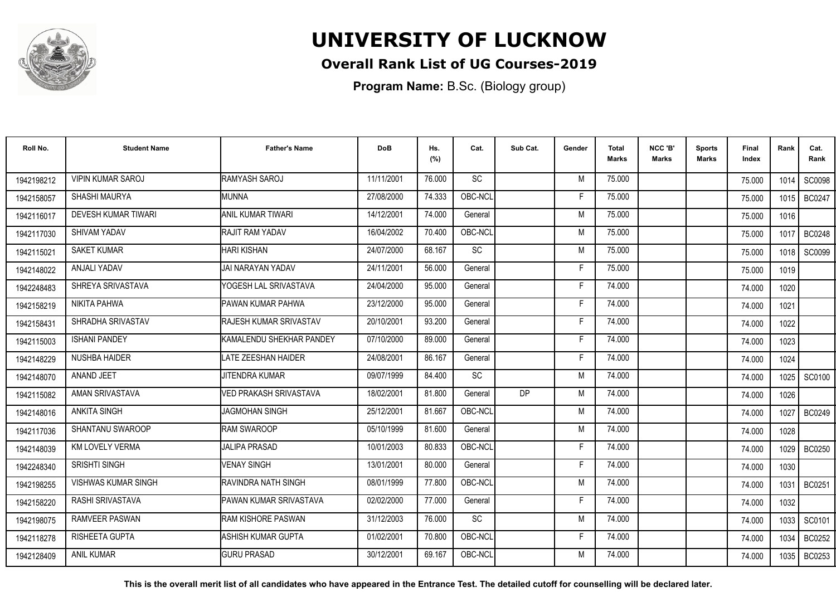

## **Overall Rank List of UG Courses-2019**

**Program Name:** B.Sc. (Biology group)

| Roll No.   | <b>Student Name</b>        | <b>Father's Name</b>           | <b>DoB</b> | Hs.<br>(%) | Cat.      | Sub Cat.  | Gender | <b>Total</b><br><b>Marks</b> | NCC 'B'<br><b>Marks</b> | <b>Sports</b><br>Marks | Final<br>Index | Rank | Cat.<br>Rank  |
|------------|----------------------------|--------------------------------|------------|------------|-----------|-----------|--------|------------------------------|-------------------------|------------------------|----------------|------|---------------|
| 1942198212 | <b>VIPIN KUMAR SAROJ</b>   | RAMYASH SAROJ                  | 11/11/2001 | 76.000     | <b>SC</b> |           | M      | 75.000                       |                         |                        | 75.000         | 1014 | <b>SC0098</b> |
| 1942158057 | SHASHI MAURYA              | MUNNA                          | 27/08/2000 | 74.333     | OBC-NCL   |           | E      | 75.000                       |                         |                        | 75.000         | 1015 | <b>BC0247</b> |
| 1942116017 | <b>DEVESH KUMAR TIWARI</b> | ANIL KUMAR TIWARI              | 14/12/2001 | 74.000     | General   |           | M      | 75.000                       |                         |                        | 75.000         | 1016 |               |
| 1942117030 | <b>SHIVAM YADAV</b>        | <b>IRAJIT RAM YADAV</b>        | 16/04/2002 | 70.400     | OBC-NCL   |           | M      | 75.000                       |                         |                        | 75.000         | 1017 | <b>BC0248</b> |
| 1942115021 | <b>SAKET KUMAR</b>         | <b>I</b> HARI KISHAN           | 24/07/2000 | 68.167     | SC        |           | M      | 75.000                       |                         |                        | 75.000         | 1018 | SC0099        |
| 1942148022 | ANJALI YADAV               | IJAI NARAYAN YADAV             | 24/11/2001 | 56.000     | General   |           | Е      | 75.000                       |                         |                        | 75.000         | 1019 |               |
| 1942248483 | SHREYA SRIVASTAVA          | YOGESH LAL SRIVASTAVA          | 24/04/2000 | 95.000     | General   |           | Е      | 74.000                       |                         |                        | 74.000         | 1020 |               |
| 1942158219 | <b>NIKITA PAHWA</b>        | <b>PAWAN KUMAR PAHWA</b>       | 23/12/2000 | 95.000     | General   |           | Е      | 74.000                       |                         |                        | 74.000         | 1021 |               |
| 1942158431 | SHRADHA SRIVASTAV          | <b>IRAJESH KUMAR SRIVASTAV</b> | 20/10/2001 | 93.200     | General   |           | F      | 74.000                       |                         |                        | 74.000         | 1022 |               |
| 1942115003 | <b>ISHANI PANDEY</b>       | KAMALENDU SHEKHAR PANDEY       | 07/10/2000 | 89.000     | General   |           | F      | 74.000                       |                         |                        | 74.000         | 1023 |               |
| 1942148229 | <b>NUSHBA HAIDER</b>       | <b>LATE ZEESHAN HAIDER</b>     | 24/08/2001 | 86.167     | General   |           | F      | 74.000                       |                         |                        | 74.000         | 1024 |               |
| 1942148070 | ANAND JEET                 | <b>JITENDRA KUMAR</b>          | 09/07/1999 | 84.400     | SC        |           | M      | 74.000                       |                         |                        | 74.000         | 1025 | SC0100        |
| 1942115082 | AMAN SRIVASTAVA            | VED PRAKASH SRIVASTAVA         | 18/02/2001 | 81.800     | General   | <b>DP</b> | M      | 74.000                       |                         |                        | 74.000         | 1026 |               |
| 1942148016 | <b>ANKITA SINGH</b>        | <b>JAGMOHAN SINGH</b>          | 25/12/2001 | 81.667     | OBC-NCL   |           | M      | 74.000                       |                         |                        | 74.000         | 1027 | <b>BC0249</b> |
| 1942117036 | <b>SHANTANU SWAROOP</b>    | <b>RAM SWAROOP</b>             | 05/10/1999 | 81.600     | General   |           | M      | 74.000                       |                         |                        | 74.000         | 1028 |               |
| 1942148039 | <b>KM LOVELY VERMA</b>     | <b>JALIPA PRASAD</b>           | 10/01/2003 | 80.833     | OBC-NCL   |           | Е      | 74.000                       |                         |                        | 74.000         | 1029 | <b>BC0250</b> |
| 1942248340 | SRISHTI SINGH              | <b>VENAY SINGH</b>             | 13/01/2001 | 80.000     | General   |           | F      | 74.000                       |                         |                        | 74.000         | 1030 |               |
| 1942198255 | <b>VISHWAS KUMAR SINGH</b> | RAVINDRA NATH SINGH            | 08/01/1999 | 77.800     | OBC-NCL   |           | M      | 74.000                       |                         |                        | 74.000         | 1031 | <b>BC0251</b> |
| 1942158220 | RASHI SRIVASTAVA           | <b>PAWAN KUMAR SRIVASTAVA</b>  | 02/02/2000 | 77.000     | General   |           | F      | 74.000                       |                         |                        | 74.000         | 1032 |               |
| 1942198075 | <b>RAMVEER PASWAN</b>      | <b>I</b> RAM KISHORE PASWAN    | 31/12/2003 | 76.000     | SC        |           | M      | 74.000                       |                         |                        | 74.000         | 1033 | SC0101        |
| 1942118278 | RISHEETA GUPTA             | ASHISH KUMAR GUPTA             | 01/02/2001 | 70.800     | OBC-NCL   |           | F      | 74.000                       |                         |                        | 74.000         | 1034 | BC0252        |
| 1942128409 | <b>ANIL KUMAR</b>          | <b>GURU PRASAD</b>             | 30/12/2001 | 69.167     | OBC-NCL   |           | M      | 74.000                       |                         |                        | 74.000         | 1035 | BC0253        |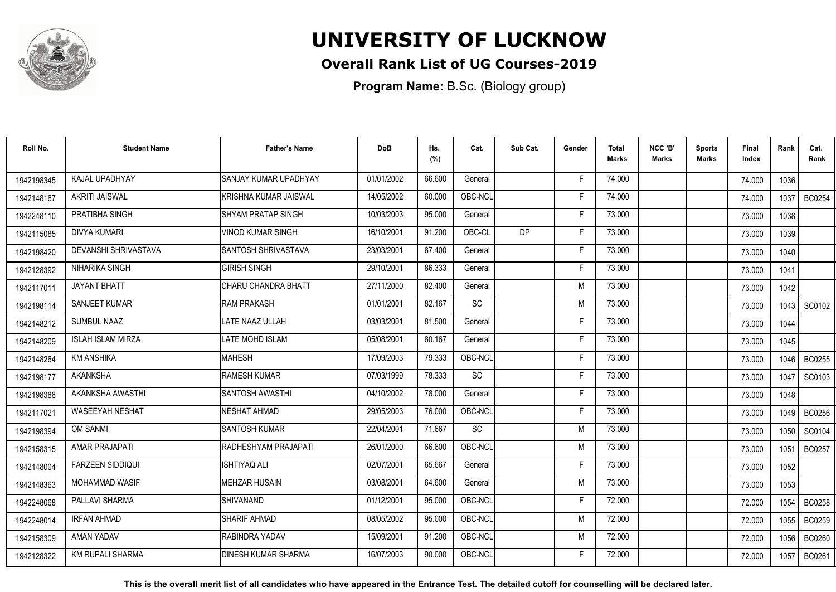

## **Overall Rank List of UG Courses-2019**

**Program Name:** B.Sc. (Biology group)

| Roll No.   | <b>Student Name</b>      | <b>Father's Name</b>       | <b>DoB</b> | Hs.<br>(%) | Cat.            | Sub Cat.  | Gender | <b>Total</b><br>Marks | NCC 'B'<br><b>Marks</b> | Sports<br><b>Marks</b> | Final<br>Index | Rank | Cat.<br>Rank  |
|------------|--------------------------|----------------------------|------------|------------|-----------------|-----------|--------|-----------------------|-------------------------|------------------------|----------------|------|---------------|
| 1942198345 | KAJAL UPADHYAY           | SANJAY KUMAR UPADHYAY      | 01/01/2002 | 66.600     | General         |           | -F     | 74.000                |                         |                        | 74.000         | 1036 |               |
| 1942148167 | <b>AKRITI JAISWAL</b>    | KRISHNA KUMAR JAISWAL      | 14/05/2002 | 60.000     | OBC-NCL         |           | F      | 74.000                |                         |                        | 74.000         | 1037 | <b>BC0254</b> |
| 1942248110 | PRATIBHA SINGH           | <b>SHYAM PRATAP SINGH</b>  | 10/03/2003 | 95.000     | General         |           | E      | 73.000                |                         |                        | 73.000         | 1038 |               |
| 1942115085 | <b>DIVYA KUMARI</b>      | <b>VINOD KUMAR SINGH</b>   | 16/10/2001 | 91.200     | OBC-CL          | <b>DP</b> | Е      | 73.000                |                         |                        | 73.000         | 1039 |               |
| 1942198420 | DEVANSHI SHRIVASTAVA     | SANTOSH SHRIVASTAVA        | 23/03/2001 | 87.400     | General         |           | F      | 73.000                |                         |                        | 73.000         | 1040 |               |
| 1942128392 | NIHARIKA SINGH           | <b>GIRISH SINGH</b>        | 29/10/2001 | 86.333     | General         |           | F      | 73.000                |                         |                        | 73.000         | 1041 |               |
| 1942117011 | <b>JAYANT BHATT</b>      | CHARU CHANDRA BHATT        | 27/11/2000 | 82.400     | General         |           | M      | 73.000                |                         |                        | 73.000         | 1042 |               |
| 1942198114 | SANJEET KUMAR            | <b>RAM PRAKASH</b>         | 01/01/2001 | 82.167     | $\overline{SC}$ |           | M      | 73.000                |                         |                        | 73.000         | 1043 | SC0102        |
| 1942148212 | SUMBUL NAAZ              | LATE NAAZ ULLAH            | 03/03/2001 | 81.500     | General         |           | E      | 73.000                |                         |                        | 73.000         | 1044 |               |
| 1942148209 | <b>ISLAH ISLAM MIRZA</b> | LATE MOHD ISLAM            | 05/08/2001 | 80.167     | General         |           | F      | 73.000                |                         |                        | 73.000         | 1045 |               |
| 1942148264 | <b>KM ANSHIKA</b>        | <b>MAHESH</b>              | 17/09/2003 | 79.333     | OBC-NCL         |           | Е      | 73.000                |                         |                        | 73.000         | 1046 | <b>BC0255</b> |
| 1942198177 | <b>AKANKSHA</b>          | <b>RAMESH KUMAR</b>        | 07/03/1999 | 78.333     | SC              |           | F      | 73.000                |                         |                        | 73.000         | 1047 | SC0103        |
| 1942198388 | AKANKSHA AWASTHI         | <b>ISANTOSH AWASTHI</b>    | 04/10/2002 | 78.000     | General         |           | Е      | 73.000                |                         |                        | 73.000         | 1048 |               |
| 1942117021 | <b>WASEEYAH NESHAT</b>   | <b>NESHAT AHMAD</b>        | 29/05/2003 | 76.000     | OBC-NCL         |           | F      | 73.000                |                         |                        | 73.000         | 1049 | <b>BC0256</b> |
| 1942198394 | <b>OM SANMI</b>          | <b>SANTOSH KUMAR</b>       | 22/04/2001 | 71.667     | <b>SC</b>       |           | M      | 73.000                |                         |                        | 73.000         | 1050 | SC0104        |
| 1942158315 | AMAR PRAJAPATI           | RADHESHYAM PRAJAPATI       | 26/01/2000 | 66.600     | OBC-NCL         |           | M      | 73.000                |                         |                        | 73.000         | 1051 | <b>BC0257</b> |
| 1942148004 | <b>FARZEEN SIDDIQUI</b>  | <b>ISHTIYAQ ALI</b>        | 02/07/2001 | 65.667     | General         |           | F      | 73.000                |                         |                        | 73.000         | 1052 |               |
| 1942148363 | <b>MOHAMMAD WASIF</b>    | <b>MEHZAR HUSAIN</b>       | 03/08/2001 | 64.600     | General         |           | M      | 73.000                |                         |                        | 73.000         | 1053 |               |
| 1942248068 | PALLAVI SHARMA           | <b>SHIVANAND</b>           | 01/12/2001 | 95.000     | OBC-NCL         |           | E      | 72.000                |                         |                        | 72.000         | 1054 | <b>BC0258</b> |
| 1942248014 | <b>IRFAN AHMAD</b>       | <b>SHARIF AHMAD</b>        | 08/05/2002 | 95.000     | OBC-NCL         |           | M      | 72.000                |                         |                        | 72.000         | 1055 | BC0259        |
| 1942158309 | AMAN YADAV               | RABINDRA YADAV             | 15/09/2001 | 91.200     | OBC-NCL         |           | M      | 72.000                |                         |                        | 72.000         | 1056 | <b>BC0260</b> |
| 1942128322 | KM RUPALI SHARMA         | <b>DINESH KUMAR SHARMA</b> | 16/07/2003 | 90.000     | OBC-NCL         |           | F      | 72.000                |                         |                        | 72.000         | 1057 | <b>BC0261</b> |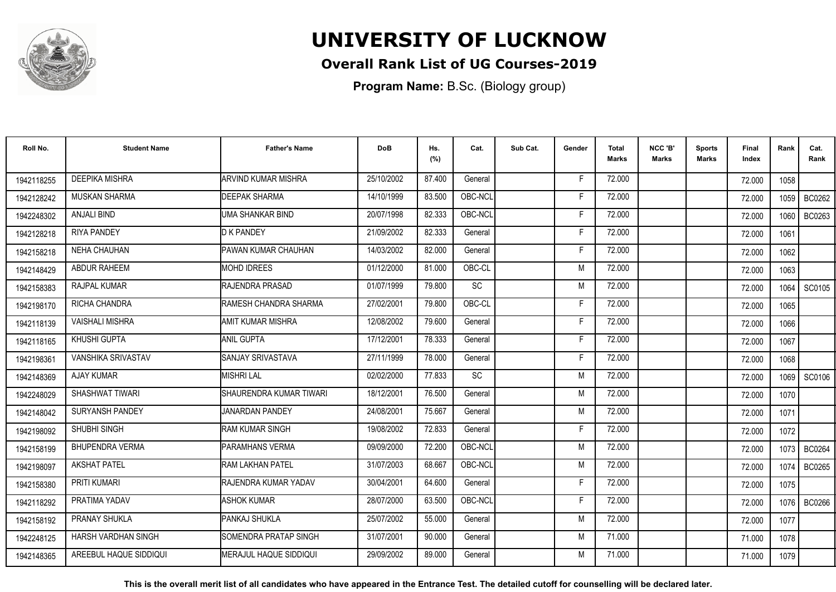

## **Overall Rank List of UG Courses-2019**

**Program Name:** B.Sc. (Biology group)

| Roll No.   | <b>Student Name</b>       | <b>Father's Name</b>           | <b>DoB</b> | Hs.<br>(%) | Cat.      | Sub Cat. | Gender | <b>Total</b><br><b>Marks</b> | NCC 'B'<br><b>Marks</b> | <b>Sports</b><br>Marks | Final<br>Index | Rank   | Cat.<br>Rank  |
|------------|---------------------------|--------------------------------|------------|------------|-----------|----------|--------|------------------------------|-------------------------|------------------------|----------------|--------|---------------|
| 1942118255 | <b>DEEPIKA MISHRA</b>     | ARVIND KUMAR MISHRA            | 25/10/2002 | 87.400     | General   |          | F      | 72.000                       |                         |                        | 72.000         | 1058   |               |
| 1942128242 | MUSKAN SHARMA             | <b>DEEPAK SHARMA</b>           | 14/10/1999 | 83.500     | OBC-NCL   |          | F      | 72.000                       |                         |                        | 72.000         | 1059   | BC0262        |
| 1942248302 | <b>ANJALI BIND</b>        | UMA SHANKAR BIND               | 20/07/1998 | 82.333     | OBC-NCL   |          | F      | 72.000                       |                         |                        | 72.000         | 1060   | BC0263        |
| 1942128218 | <b>RIYA PANDEY</b>        | <b>D K PANDEY</b>              | 21/09/2002 | 82.333     | General   |          |        | 72.000                       |                         |                        | 72.000         | 1061   |               |
| 1942158218 | <b>NEHA CHAUHAN</b>       | PAWAN KUMAR CHAUHAN            | 14/03/2002 | 82.000     | General   |          | F      | 72.000                       |                         |                        | 72.000         | 1062   |               |
| 1942148429 | <b>ABDUR RAHEEM</b>       | <b>MOHD IDREES</b>             | 01/12/2000 | 81.000     | OBC-CL    |          | M      | 72.000                       |                         |                        | 72.000         | 1063   |               |
| 1942158383 | RAJPAL KUMAR              | RAJENDRA PRASAD                | 01/07/1999 | 79.800     | <b>SC</b> |          | M      | 72.000                       |                         |                        | 72.000         | 1064   | SC0105        |
| 1942198170 | RICHA CHANDRA             | <b>RAMESH CHANDRA SHARMA</b>   | 27/02/2001 | 79.800     | OBC-CL    |          | Е      | 72.000                       |                         |                        | 72.000         | 1065   |               |
| 1942118139 | <b>VAISHALI MISHRA</b>    | AMIT KUMAR MISHRA              | 12/08/2002 | 79.600     | General   |          | F      | 72.000                       |                         |                        | 72.000         | 1066   |               |
| 1942118165 | KHUSHI GUPTA              | <b>ANIL GUPTA</b>              | 17/12/2001 | 78.333     | General   |          | F      | 72.000                       |                         |                        | 72.000         | 1067   |               |
| 1942198361 | <b>VANSHIKA SRIVASTAV</b> | <b>SANJAY SRIVASTAVA</b>       | 27/11/1999 | 78.000     | General   |          | E      | 72.000                       |                         |                        | 72.000         | 1068   |               |
| 1942148369 | <b>AJAY KUMAR</b>         | <b>MISHRI LAL</b>              | 02/02/2000 | 77.833     | <b>SC</b> |          | M      | 72.000                       |                         |                        | 72.000         | 1069   | SC0106        |
| 1942248029 | SHASHWAT TIWARI           | SHAURENDRA KUMAR TIWARI        | 18/12/2001 | 76.500     | General   |          | M      | 72.000                       |                         |                        | 72.000         | 1070   |               |
| 1942148042 | <b>SURYANSH PANDEY</b>    | <b>JANARDAN PANDEY</b>         | 24/08/2001 | 75.667     | General   |          | M      | 72.000                       |                         |                        | 72.000         | 1071   |               |
| 1942198092 | SHUBHI SINGH              | <b>IRAM KUMAR SINGH</b>        | 19/08/2002 | 72.833     | General   |          | F      | 72.000                       |                         |                        | 72.000         | 1072   |               |
| 1942158199 | <b>BHUPENDRA VERMA</b>    | PARAMHANS VERMA                | 09/09/2000 | 72.200     | OBC-NCL   |          | M      | 72.000                       |                         |                        | 72.000         | 1073 I | BC0264        |
| 1942198097 | <b>AKSHAT PATEL</b>       | <b>RAM LAKHAN PATEL</b>        | 31/07/2003 | 68.667     | OBC-NCL   |          | M      | 72.000                       |                         |                        | 72.000         | 1074   | <b>BC0265</b> |
| 1942158380 | PRITI KUMARI              | RAJENDRA KUMAR YADAV           | 30/04/2001 | 64.600     | General   |          | F      | 72.000                       |                         |                        | 72.000         | 1075   |               |
| 1942118292 | PRATIMA YADAV             | <b>ASHOK KUMAR</b>             | 28/07/2000 | 63.500     | OBC-NCL   |          | F      | 72.000                       |                         |                        | 72.000         | 1076   | <b>BC0266</b> |
| 1942158192 | <b>PRANAY SHUKLA</b>      | PANKAJ SHUKLA                  | 25/07/2002 | 55.000     | General   |          | M      | 72.000                       |                         |                        | 72.000         | 1077   |               |
| 1942248125 | HARSH VARDHAN SINGH       | <b>ISOMENDRA PRATAP SINGH</b>  | 31/07/2001 | 90.000     | General   |          | M      | 71.000                       |                         |                        | 71.000         | 1078   |               |
| 1942148365 | AREEBUL HAQUE SIDDIQUI    | <b>IMERAJUL HAQUE SIDDIQUI</b> | 29/09/2002 | 89.000     | General   |          | M      | 71.000                       |                         |                        | 71.000         | 1079   |               |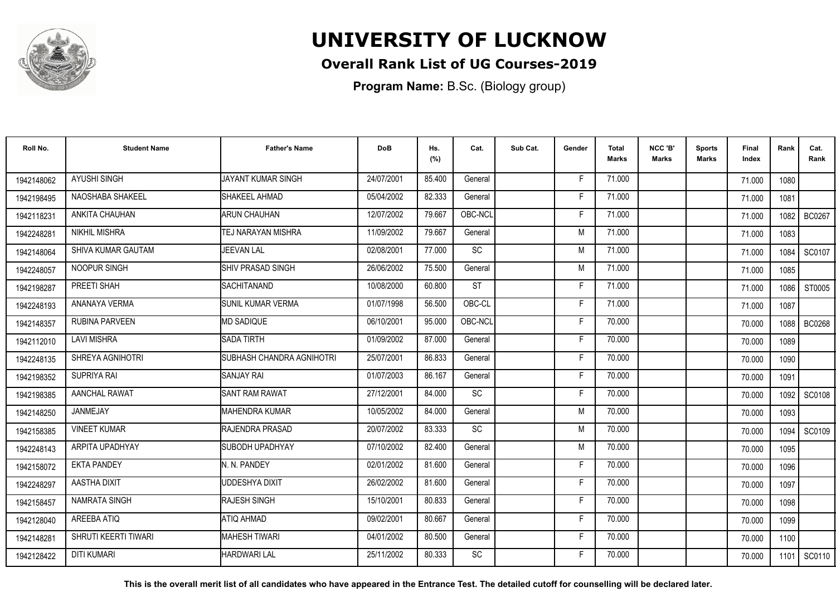

## **Overall Rank List of UG Courses-2019**

**Program Name:** B.Sc. (Biology group)

| Roll No.   | <b>Student Name</b>   | <b>Father's Name</b>      | <b>DoB</b> | Hs.<br>(%) | Cat.      | Sub Cat. | Gender | <b>Total</b><br><b>Marks</b> | NCC 'B'<br><b>Marks</b> | <b>Sports</b><br>Marks | Final<br>Index | Rank | Cat.<br>Rank  |
|------------|-----------------------|---------------------------|------------|------------|-----------|----------|--------|------------------------------|-------------------------|------------------------|----------------|------|---------------|
| 1942148062 | <b>AYUSHI SINGH</b>   | JAYANT KUMAR SINGH        | 24/07/2001 | 85.400     | General   |          | F      | 71.000                       |                         |                        | 71.000         | 1080 |               |
| 1942198495 | NAOSHABA SHAKEEL      | SHAKEEL AHMAD             | 05/04/2002 | 82.333     | General   |          | Е      | 71.000                       |                         |                        | 71.000         | 1081 |               |
| 1942118231 | ANKITA CHAUHAN        | <b>ARUN CHAUHAN</b>       | 12/07/2002 | 79.667     | OBC-NCL   |          | Е      | 71.000                       |                         |                        | 71.000         | 1082 | <b>BC0267</b> |
| 1942248281 | NIKHIL MISHRA         | <b>TEJ NARAYAN MISHRA</b> | 11/09/2002 | 79.667     | General   |          | M      | 71.000                       |                         |                        | 71.000         | 1083 |               |
| 1942148064 | SHIVA KUMAR GAUTAM    | <b>JEEVAN LAL</b>         | 02/08/2001 | 77.000     | <b>SC</b> |          | M      | 71.000                       |                         |                        | 71.000         | 1084 | SC0107        |
| 1942248057 | NOOPUR SINGH          | <b>ISHIV PRASAD SINGH</b> | 26/06/2002 | 75.500     | General   |          | M      | 71.000                       |                         |                        | 71.000         | 1085 |               |
| 1942198287 | PREETI SHAH           | ISACHITANAND              | 10/08/2000 | 60.800     | <b>ST</b> |          | F      | 71.000                       |                         |                        | 71.000         | 1086 | ST0005        |
| 1942248193 | ANANAYA VERMA         | <b>SUNIL KUMAR VERMA</b>  | 01/07/1998 | 56.500     | OBC-CL    |          | Е      | 71.000                       |                         |                        | 71.000         | 1087 |               |
| 1942148357 | <b>RUBINA PARVEEN</b> | <b>IMD SADIQUE</b>        | 06/10/2001 | 95.000     | OBC-NCL   |          | F      | 70.000                       |                         |                        | 70.000         | 1088 | <b>BC0268</b> |
| 1942112010 | <b>LAVI MISHRA</b>    | <b>SADA TIRTH</b>         | 01/09/2002 | 87.000     | General   |          | F      | 70.000                       |                         |                        | 70.000         | 1089 |               |
| 1942248135 | SHREYA AGNIHOTRI      | SUBHASH CHANDRA AGNIHOTRI | 25/07/2001 | 86.833     | General   |          | F      | 70.000                       |                         |                        | 70.000         | 1090 |               |
| 1942198352 | SUPRIYA RAI           | <b>I</b> SANJAY RAI       | 01/07/2003 | 86.167     | General   |          | F      | 70.000                       |                         |                        | 70.000         | 1091 |               |
| 1942198385 | AANCHAL RAWAT         | <b>SANT RAM RAWAT</b>     | 27/12/2001 | 84.000     | SC        |          | F      | 70.000                       |                         |                        | 70.000         | 1092 | <b>SC0108</b> |
| 1942148250 | <b>JANMEJAY</b>       | <b>MAHENDRA KUMAR</b>     | 10/05/2002 | 84.000     | General   |          | M      | 70.000                       |                         |                        | 70.000         | 1093 |               |
| 1942158385 | <b>VINEET KUMAR</b>   | <b>RAJENDRA PRASAD</b>    | 20/07/2002 | 83.333     | <b>SC</b> |          | M      | 70.000                       |                         |                        | 70.000         | 1094 | SC0109        |
| 1942248143 | ARPITA UPADHYAY       | ISUBODH UPADHYAY          | 07/10/2002 | 82.400     | General   |          | M      | 70.000                       |                         |                        | 70.000         | 1095 |               |
| 1942158072 | <b>EKTA PANDEY</b>    | N. N. PANDEY              | 02/01/2002 | 81.600     | General   |          | Е      | 70.000                       |                         |                        | 70.000         | 1096 |               |
| 1942248297 | AASTHA DIXIT          | UDDESHYA DIXIT            | 26/02/2002 | 81.600     | General   |          | F      | 70.000                       |                         |                        | 70.000         | 1097 |               |
| 1942158457 | NAMRATA SINGH         | <b>RAJESH SINGH</b>       | 15/10/2001 | 80.833     | General   |          | F      | 70.000                       |                         |                        | 70.000         | 1098 |               |
| 1942128040 | AREEBA ATIQ           | ATIQ AHMAD                | 09/02/2001 | 80.667     | General   |          | F      | 70.000                       |                         |                        | 70.000         | 1099 |               |
| 1942148281 | SHRUTI KEERTI TIWARI  | <b>MAHESH TIWARI</b>      | 04/01/2002 | 80.500     | General   |          | F      | 70.000                       |                         |                        | 70.000         | 1100 |               |
| 1942128422 | <b>DITI KUMARI</b>    | <b>HARDWARI LAL</b>       | 25/11/2002 | 80.333     | <b>SC</b> |          | F      | 70.000                       |                         |                        | 70.000         | 1101 | SC0110        |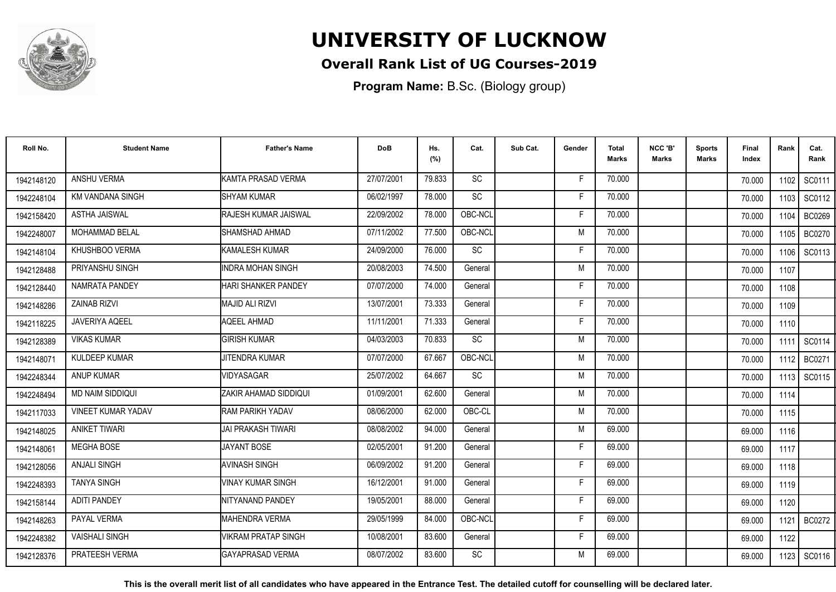

## **Overall Rank List of UG Courses-2019**

**Program Name:** B.Sc. (Biology group)

| Roll No.   | <b>Student Name</b>       | <b>Father's Name</b>         | <b>DoB</b> | Hs.<br>(%) | Cat.      | Sub Cat. | Gender | Total<br><b>Marks</b> | NCC 'B'<br><b>Marks</b> | <b>Sports</b><br>Marks | Final<br>Index | Rank   | Cat.<br>Rank  |
|------------|---------------------------|------------------------------|------------|------------|-----------|----------|--------|-----------------------|-------------------------|------------------------|----------------|--------|---------------|
| 1942148120 | ANSHU VERMA               | KAMTA PRASAD VERMA           | 27/07/2001 | 79.833     | SC        |          | F.     | 70.000                |                         |                        | 70.000         | 1102   | SC0111        |
| 1942248104 | KM VANDANA SINGH          | <b>SHYAM KUMAR</b>           | 06/02/1997 | 78.000     | SC        |          | Е      | 70.000                |                         |                        | 70.000         | 1103   | SC0112        |
| 1942158420 | <b>ASTHA JAISWAL</b>      | <b>IRAJESH KUMAR JAISWAL</b> | 22/09/2002 | 78.000     | OBC-NCL   |          | F      | 70.000                |                         |                        | 70.000         | 1104   | BC0269        |
| 1942248007 | <b>MOHAMMAD BELAL</b>     | ISHAMSHAD AHMAD              | 07/11/2002 | 77.500     | OBC-NCL   |          | M      | 70.000                |                         |                        | 70.000         | 1105 l | <b>BC0270</b> |
| 1942148104 | KHUSHBOO VERMA            | KAMALESH KUMAR               | 24/09/2000 | 76.000     | <b>SC</b> |          | F      | 70.000                |                         |                        | 70.000         | 1106   | SC0113        |
| 1942128488 | PRIYANSHU SINGH           | <b>INDRA MOHAN SINGH</b>     | 20/08/2003 | 74.500     | General   |          | M      | 70.000                |                         |                        | 70.000         | 1107   |               |
| 1942128440 | NAMRATA PANDEY            | <b>HARI SHANKER PANDEY</b>   | 07/07/2000 | 74.000     | General   |          | F      | 70.000                |                         |                        | 70.000         | 1108   |               |
| 1942148286 | <b>ZAINAB RIZVI</b>       | MAJID ALI RIZVI              | 13/07/2001 | 73.333     | General   |          | F      | 70.000                |                         |                        | 70.000         | 1109   |               |
| 1942118225 | <b>JAVERIYA AQEEL</b>     | <b>AQEEL AHMAD</b>           | 11/11/2001 | 71.333     | General   |          | F      | 70.000                |                         |                        | 70.000         | 1110   |               |
| 1942128389 | <b>VIKAS KUMAR</b>        | <b>GIRISH KUMAR</b>          | 04/03/2003 | 70.833     | <b>SC</b> |          | M      | 70.000                |                         |                        | 70.000         | 1111   | SC0114        |
| 1942148071 | KULDEEP KUMAR             | <b>JITENDRA KUMAR</b>        | 07/07/2000 | 67.667     | OBC-NCL   |          | M      | 70.000                |                         |                        | 70.000         | 1112   | BC0271        |
| 1942248344 | <b>ANUP KUMAR</b>         | VIDYASAGAR                   | 25/07/2002 | 64.667     | SC        |          | M      | 70.000                |                         |                        | 70.000         | 1113 I | SC0115        |
| 1942248494 | MD NAIM SIDDIQUI          | ZAKIR AHAMAD SIDDIQUI        | 01/09/2001 | 62.600     | General   |          | M      | 70.000                |                         |                        | 70.000         | 1114   |               |
| 1942117033 | <b>VINEET KUMAR YADAV</b> | RAM PARIKH YADAV             | 08/06/2000 | 62.000     | OBC-CL    |          | M      | 70.000                |                         |                        | 70.000         | 1115   |               |
| 1942148025 | <b>ANIKET TIWARI</b>      | IJAI PRAKASH TIWARI          | 08/08/2002 | 94.000     | General   |          | M      | 69.000                |                         |                        | 69.000         | 1116   |               |
| 1942148061 | <b>MEGHA BOSE</b>         | <b>JAYANT BOSE</b>           | 02/05/2001 | 91.200     | General   |          | F      | 69.000                |                         |                        | 69.000         | 1117   |               |
| 1942128056 | <b>ANJALI SINGH</b>       | <b>AVINASH SINGH</b>         | 06/09/2002 | 91.200     | General   |          | F      | 69.000                |                         |                        | 69.000         | 1118   |               |
| 1942248393 | <b>TANYA SINGH</b>        | <b>VINAY KUMAR SINGH</b>     | 16/12/2001 | 91.000     | General   |          | F      | 69.000                |                         |                        | 69.000         | 1119   |               |
| 1942158144 | <b>ADITI PANDEY</b>       | INITYANAND PANDEY            | 19/05/2001 | 88.000     | General   |          | F      | 69.000                |                         |                        | 69.000         | 1120   |               |
| 1942148263 | PAYAL VERMA               | IMAHENDRA VERMA              | 29/05/1999 | 84.000     | OBC-NCL   |          | F      | 69.000                |                         |                        | 69.000         | 1121   | <b>BC0272</b> |
| 1942248382 | <b>VAISHALI SINGH</b>     | <b>VIKRAM PRATAP SINGH</b>   | 10/08/2001 | 83.600     | General   |          | F.     | 69.000                |                         |                        | 69.000         | 1122   |               |
| 1942128376 | PRATEESH VERMA            | <b>IGAYAPRASAD VERMA</b>     | 08/07/2002 | 83.600     | <b>SC</b> |          | M      | 69.000                |                         |                        | 69.000         | 1123   | SC0116        |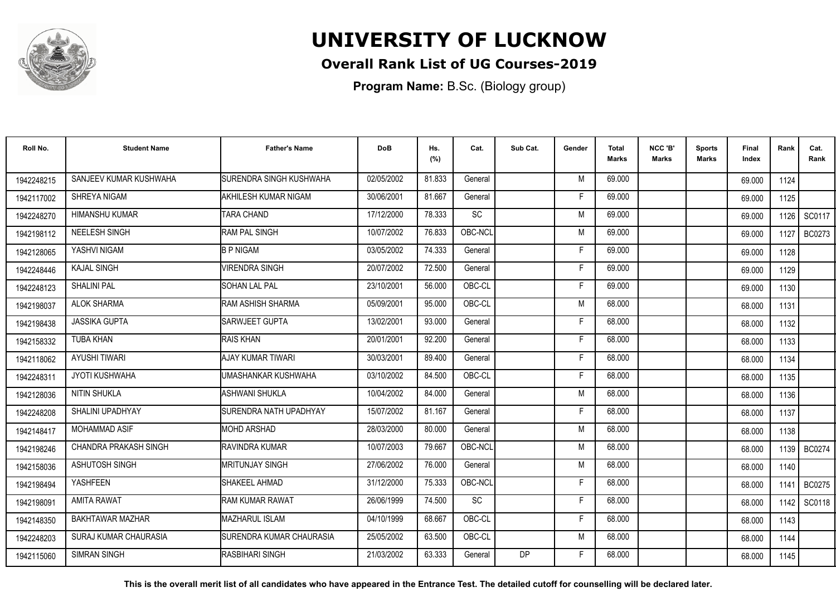

## **Overall Rank List of UG Courses-2019**

**Program Name:** B.Sc. (Biology group)

| Roll No.   | <b>Student Name</b>    | <b>Father's Name</b>           | <b>DoB</b> | Hs.<br>(%) | Cat.      | Sub Cat.  | Gender | <b>Total</b><br>Marks | NCC 'B'<br><b>Marks</b> | Sports<br><b>Marks</b> | Final<br>Index | Rank | Cat.<br>Rank  |
|------------|------------------------|--------------------------------|------------|------------|-----------|-----------|--------|-----------------------|-------------------------|------------------------|----------------|------|---------------|
| 1942248215 | SANJEEV KUMAR KUSHWAHA | <b>SURENDRA SINGH KUSHWAHA</b> | 02/05/2002 | 81.833     | General   |           | M      | 69.000                |                         |                        | 69.000         | 1124 |               |
| 1942117002 | SHREYA NIGAM           | AKHILESH KUMAR NIGAM           | 30/06/2001 | 81.667     | General   |           | F      | 69.000                |                         |                        | 69.000         | 1125 |               |
| 1942248270 | <b>HIMANSHU KUMAR</b>  | <b>TARA CHAND</b>              | 17/12/2000 | 78.333     | <b>SC</b> |           | M      | 69.000                |                         |                        | 69.000         | 1126 | SC0117        |
| 1942198112 | NEELESH SINGH          | RAM PAL SINGH                  | 10/07/2002 | 76.833     | OBC-NCL   |           | M      | 69.000                |                         |                        | 69.000         | 1127 | BC0273        |
| 1942128065 | YASHVI NIGAM           | <b>B P NIGAM</b>               | 03/05/2002 | 74.333     | General   |           | F      | 69.000                |                         |                        | 69.000         | 1128 |               |
| 1942248446 | <b>KAJAL SINGH</b>     | <b>VIRENDRA SINGH</b>          | 20/07/2002 | 72.500     | General   |           | Е      | 69.000                |                         |                        | 69.000         | 1129 |               |
| 1942248123 | <b>SHALINI PAL</b>     | <b>SOHAN LAL PAL</b>           | 23/10/2001 | 56.000     | OBC-CL    |           | F      | 69.000                |                         |                        | 69.000         | 1130 |               |
| 1942198037 | <b>ALOK SHARMA</b>     | RAM ASHISH SHARMA              | 05/09/2001 | 95.000     | OBC-CL    |           | M      | 68.000                |                         |                        | 68.000         | 1131 |               |
| 1942198438 | <b>JASSIKA GUPTA</b>   | SARWJEET GUPTA                 | 13/02/2001 | 93.000     | General   |           | F      | 68.000                |                         |                        | 68.000         | 1132 |               |
| 1942158332 | <b>TUBA KHAN</b>       | <b>RAIS KHAN</b>               | 20/01/2001 | 92.200     | General   |           | F      | 68.000                |                         |                        | 68.000         | 1133 |               |
| 1942118062 | <b>AYUSHI TIWARI</b>   | <b>AJAY KUMAR TIWARI</b>       | 30/03/2001 | 89.400     | General   |           | Е      | 68.000                |                         |                        | 68.000         | 1134 |               |
| 1942248311 | <b>JYOTI KUSHWAHA</b>  | UMASHANKAR KUSHWAHA            | 03/10/2002 | 84.500     | OBC-CL    |           | F      | 68.000                |                         |                        | 68.000         | 1135 |               |
| 1942128036 | NITIN SHUKLA           | <b>ASHWANI SHUKLA</b>          | 10/04/2002 | 84.000     | General   |           | M      | 68.000                |                         |                        | 68.000         | 1136 |               |
| 1942248208 | SHALINI UPADHYAY       | <b>SURENDRA NATH UPADHYAY</b>  | 15/07/2002 | 81.167     | General   |           | F      | 68.000                |                         |                        | 68.000         | 1137 |               |
| 1942148417 | <b>MOHAMMAD ASIF</b>   | <b>MOHD ARSHAD</b>             | 28/03/2000 | 80.000     | General   |           | M      | 68.000                |                         |                        | 68.000         | 1138 |               |
| 1942198246 | CHANDRA PRAKASH SINGH  | <b>RAVINDRA KUMAR</b>          | 10/07/2003 | 79.667     | OBC-NCL   |           | M      | 68.000                |                         |                        | 68.000         | 1139 | <b>BC0274</b> |
| 1942158036 | <b>ASHUTOSH SINGH</b>  | <b>MRITUNJAY SINGH</b>         | 27/06/2002 | 76.000     | General   |           | M      | 68.000                |                         |                        | 68.000         | 1140 |               |
| 1942198494 | <b>YASHFEEN</b>        | SHAKEEL AHMAD                  | 31/12/2000 | 75.333     | OBC-NCL   |           | F      | 68.000                |                         |                        | 68.000         | 1141 | BC0275        |
| 1942198091 | <b>AMITA RAWAT</b>     | <b>RAM KUMAR RAWAT</b>         | 26/06/1999 | 74.500     | SC        |           | F      | 68.000                |                         |                        | 68.000         | 1142 | SC0118        |
| 1942148350 | BAKHTAWAR MAZHAR       | MAZHARUL ISLAM                 | 04/10/1999 | 68.667     | OBC-CL    |           | F      | 68,000                |                         |                        | 68.000         | 1143 |               |
| 1942248203 | SURAJ KUMAR CHAURASIA  | ISURENDRA KUMAR CHAURASIA      | 25/05/2002 | 63.500     | OBC-CL    |           | M      | 68.000                |                         |                        | 68.000         | 1144 |               |
| 1942115060 | <b>SIMRAN SINGH</b>    | RASBIHARI SINGH                | 21/03/2002 | 63.333     | General   | <b>DP</b> | F      | 68.000                |                         |                        | 68.000         | 1145 |               |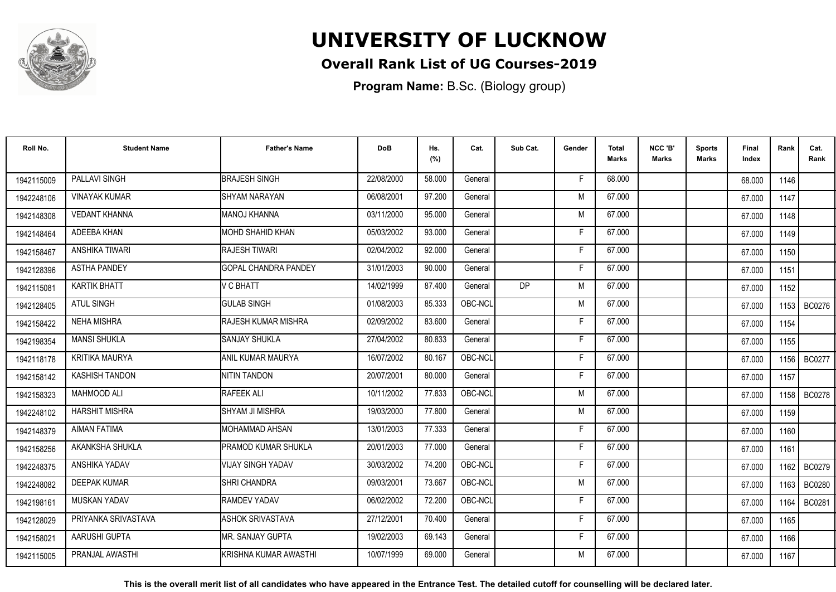

## **Overall Rank List of UG Courses-2019**

**Program Name:** B.Sc. (Biology group)

| Roll No.   | <b>Student Name</b>   | <b>Father's Name</b>        | <b>DoB</b> | Hs.<br>(%) | Cat.    | Sub Cat. | Gender | <b>Total</b><br>Marks | NCC 'B'<br>Marks | <b>Sports</b><br>Marks | Final<br>Index | Rank   | Cat.<br>Rank  |
|------------|-----------------------|-----------------------------|------------|------------|---------|----------|--------|-----------------------|------------------|------------------------|----------------|--------|---------------|
| 1942115009 | PALLAVI SINGH         | <b>BRAJESH SINGH</b>        | 22/08/2000 | 58.000     | General |          | F      | 68,000                |                  |                        | 68.000         | 1146   |               |
| 1942248106 | <b>VINAYAK KUMAR</b>  | <b>SHYAM NARAYAN</b>        | 06/08/2001 | 97.200     | General |          | M      | 67.000                |                  |                        | 67.000         | 1147   |               |
| 1942148308 | <b>VEDANT KHANNA</b>  | <b>MANOJ KHANNA</b>         | 03/11/2000 | 95.000     | General |          | M      | 67.000                |                  |                        | 67.000         | 1148   |               |
| 1942148464 | ADEEBA KHAN           | <b>MOHD SHAHID KHAN</b>     | 05/03/2002 | 93.000     | General |          | F      | 67.000                |                  |                        | 67.000         | 1149   |               |
| 1942158467 | <b>ANSHIKA TIWARI</b> | RAJESH TIWARI               | 02/04/2002 | 92.000     | General |          | F      | 67.000                |                  |                        | 67.000         | 1150   |               |
| 1942128396 | <b>ASTHA PANDEY</b>   | <b>GOPAL CHANDRA PANDEY</b> | 31/01/2003 | 90.000     | General |          | Е      | 67.000                |                  |                        | 67.000         | 1151   |               |
| 1942115081 | <b>KARTIK BHATT</b>   | V C BHATT                   | 14/02/1999 | 87.400     | General | DP.      | M      | 67.000                |                  |                        | 67.000         | 1152   |               |
| 1942128405 | <b>ATUL SINGH</b>     | <b>GULAB SINGH</b>          | 01/08/2003 | 85.333     | OBC-NCL |          | M      | 67.000                |                  |                        | 67.000         |        | 1153   BC0276 |
| 1942158422 | <b>NEHA MISHRA</b>    | RAJESH KUMAR MISHRA         | 02/09/2002 | 83.600     | General |          | F      | 67.000                |                  |                        | 67.000         | 1154   |               |
| 1942198354 | <b>MANSI SHUKLA</b>   | <b>SANJAY SHUKLA</b>        | 27/04/2002 | 80.833     | General |          | F      | 67.000                |                  |                        | 67.000         | 1155   |               |
| 1942118178 | <b>KRITIKA MAURYA</b> | ANIL KUMAR MAURYA           | 16/07/2002 | 80.167     | OBC-NCL |          | F      | 67.000                |                  |                        | 67.000         | 1156 I | <b>BC0277</b> |
| 1942158142 | <b>KASHISH TANDON</b> | <b>NITIN TANDON</b>         | 20/07/2001 | 80.000     | General |          | F      | 67.000                |                  |                        | 67.000         | 1157   |               |
| 1942158323 | <b>MAHMOOD ALI</b>    | RAFEEK ALI                  | 10/11/2002 | 77.833     | OBC-NCL |          | M      | 67.000                |                  |                        | 67.000         |        | 1158 BC0278   |
| 1942248102 | <b>HARSHIT MISHRA</b> | SHYAM JI MISHRA             | 19/03/2000 | 77.800     | General |          | M      | 67.000                |                  |                        | 67.000         | 1159   |               |
| 1942148379 | <b>AIMAN FATIMA</b>   | IMOHAMMAD AHSAN             | 13/01/2003 | 77.333     | General |          | Е      | 67.000                |                  |                        | 67.000         | 1160   |               |
| 1942158256 | AKANKSHA SHUKLA       | PRAMOD KUMAR SHUKLA         | 20/01/2003 | 77.000     | General |          | F      | 67.000                |                  |                        | 67.000         | 1161   |               |
| 1942248375 | <b>ANSHIKA YADAV</b>  | VIJAY SINGH YADAV           | 30/03/2002 | 74.200     | OBC-NCL |          |        | 67.000                |                  |                        | 67.000         |        | 1162   BC0279 |
| 1942248082 | <b>DEEPAK KUMAR</b>   | SHRI CHANDRA                | 09/03/2001 | 73.667     | OBC-NCL |          | M      | 67.000                |                  |                        | 67.000         | 1163 I | <b>BC0280</b> |
| 1942198161 | <b>MUSKAN YADAV</b>   | <b>RAMDEV YADAV</b>         | 06/02/2002 | 72.200     | OBC-NCL |          | Е      | 67.000                |                  |                        | 67.000         | 1164   | BC0281        |
| 1942128029 | PRIYANKA SRIVASTAVA   | <b>ASHOK SRIVASTAVA</b>     | 27/12/2001 | 70.400     | General |          | F      | 67.000                |                  |                        | 67.000         | 1165   |               |
| 1942158021 | AARUSHI GUPTA         | MR. SANJAY GUPTA            | 19/02/2003 | 69.143     | General |          | F      | 67.000                |                  |                        | 67.000         | 1166   |               |
| 1942115005 | PRANJAL AWASTHI       | KRISHNA KUMAR AWASTHI       | 10/07/1999 | 69.000     | General |          | M      | 67.000                |                  |                        | 67.000         | 1167   |               |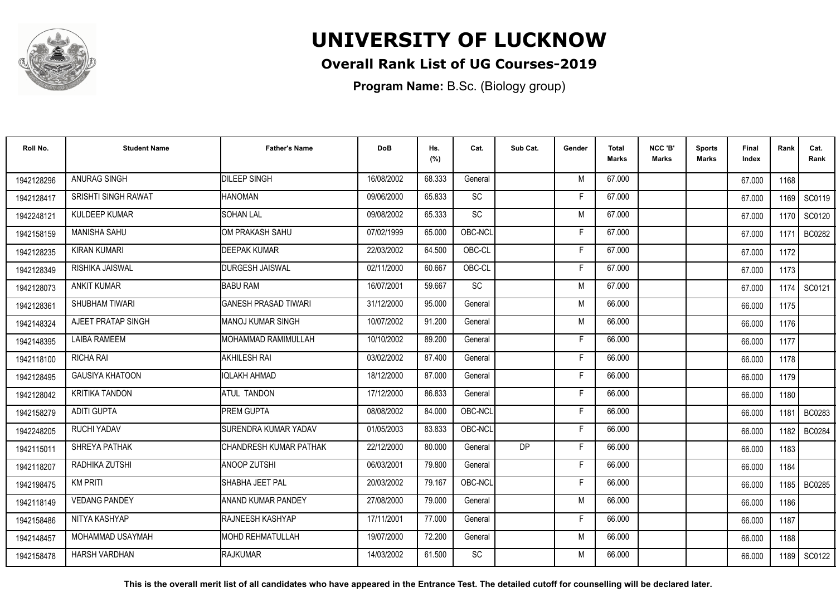

## **Overall Rank List of UG Courses-2019**

**Program Name:** B.Sc. (Biology group)

| Roll No.   | <b>Student Name</b>        | <b>Father's Name</b>         | <b>DoB</b> | Hs.<br>(%) | Cat.      | Sub Cat. | Gender | <b>Total</b><br>Marks | NCC 'B'<br><b>Marks</b> | <b>Sports</b><br>Marks | <b>Final</b><br>Index | Rank   | Cat.<br>Rank  |
|------------|----------------------------|------------------------------|------------|------------|-----------|----------|--------|-----------------------|-------------------------|------------------------|-----------------------|--------|---------------|
| 1942128296 | ANURAG SINGH               | <b>DILEEP SINGH</b>          | 16/08/2002 | 68.333     | General   |          | M      | 67.000                |                         |                        | 67.000                | 1168   |               |
| 1942128417 | <b>SRISHTI SINGH RAWAT</b> | <b>HANOMAN</b>               | 09/06/2000 | 65.833     | SC        |          | F      | 67.000                |                         |                        | 67.000                | 1169 I | SC0119        |
| 1942248121 | KULDEEP KUMAR              | <b>SOHAN LAL</b>             | 09/08/2002 | 65.333     | SC        |          | M      | 67.000                |                         |                        | 67.000                | 1170   | SC0120        |
| 1942158159 | <b>MANISHA SAHU</b>        | OM PRAKASH SAHU              | 07/02/1999 | 65.000     | OBC-NCL   |          | Е      | 67.000                |                         |                        | 67.000                | 1171   | <b>BC0282</b> |
| 1942128235 | <b>KIRAN KUMARI</b>        | <b>DEEPAK KUMAR</b>          | 22/03/2002 | 64.500     | OBC-CL    |          | F      | 67.000                |                         |                        | 67.000                | 1172   |               |
| 1942128349 | <b>RISHIKA JAISWAL</b>     | <b>I</b> DURGESH JAISWAL     | 02/11/2000 | 60.667     | OBC-CL    |          | Е      | 67.000                |                         |                        | 67.000                | 1173   |               |
| 1942128073 | <b>ANKIT KUMAR</b>         | <b>BABU RAM</b>              | 16/07/2001 | 59.667     | <b>SC</b> |          | M      | 67.000                |                         |                        | 67.000                | 1174   | SC0121        |
| 1942128361 | SHUBHAM TIWARI             | <b>GANESH PRASAD TIWARI</b>  | 31/12/2000 | 95.000     | General   |          | M      | 66.000                |                         |                        | 66.000                | 1175   |               |
| 1942148324 | AJEET PRATAP SINGH         | <b>I</b> MANOJ KUMAR SINGH   | 10/07/2002 | 91.200     | General   |          | M      | 66.000                |                         |                        | 66.000                | 1176   |               |
| 1942148395 | <b>LAIBA RAMEEM</b>        | <b>I</b> MOHAMMAD RAMIMULLAH | 10/10/2002 | 89.200     | General   |          | F      | 66,000                |                         |                        | 66.000                | 1177   |               |
| 1942118100 | <b>RICHA RAI</b>           | <b>AKHILESH RAI</b>          | 03/02/2002 | 87.400     | General   |          | Е      | 66.000                |                         |                        | 66.000                | 1178   |               |
| 1942128495 | <b>GAUSIYA KHATOON</b>     | IQLAKH AHMAD                 | 18/12/2000 | 87.000     | General   |          | F      | 66,000                |                         |                        | 66.000                | 1179   |               |
| 1942128042 | <b>KRITIKA TANDON</b>      | <b>ATUL TANDON</b>           | 17/12/2000 | 86.833     | General   |          | F      | 66.000                |                         |                        | 66.000                | 1180   |               |
| 1942158279 | <b>ADITI GUPTA</b>         | <b>IPREM GUPTA</b>           | 08/08/2002 | 84.000     | OBC-NCL   |          | F      | 66.000                |                         |                        | 66.000                | 1181   | BC0283        |
| 1942248205 | <b>RUCHI YADAV</b>         | SURENDRA KUMAR YADAV         | 01/05/2003 | 83.833     | OBC-NCL   |          | F      | 66.000                |                         |                        | 66.000                | 1182   | <b>BC0284</b> |
| 1942115011 | SHREYA PATHAK              | CHANDRESH KUMAR PATHAK       | 22/12/2000 | 80.000     | General   | DP       | F      | 66.000                |                         |                        | 66.000                | 1183   |               |
| 1942118207 | RADHIKA ZUTSHI             | IANOOP ZUTSHI                | 06/03/2001 | 79.800     | General   |          | Е      | 66.000                |                         |                        | 66.000                | 1184   |               |
| 1942198475 | <b>KM PRITI</b>            | ISHABHA JEET PAL             | 20/03/2002 | 79.167     | OBC-NCL   |          | F      | 66.000                |                         |                        | 66.000                | 1185 I | BC0285        |
| 1942118149 | <b>VEDANG PANDEY</b>       | <b>I</b> ANAND KUMAR PANDEY  | 27/08/2000 | 79.000     | General   |          | M      | 66.000                |                         |                        | 66.000                | 1186   |               |
| 1942158486 | NITYA KASHYAP              | <b>IRAJNEESH KASHYAP</b>     | 17/11/2001 | 77.000     | General   |          | F      | 66.000                |                         |                        | 66.000                | 1187   |               |
| 1942148457 | MOHAMMAD USAYMAH           | <b>IMOHD REHMATULLAH</b>     | 19/07/2000 | 72.200     | General   |          | M      | 66.000                |                         |                        | 66.000                | 1188   |               |
| 1942158478 | <b>HARSH VARDHAN</b>       | <b>IRAJKUMAR</b>             | 14/03/2002 | 61.500     | <b>SC</b> |          | M      | 66.000                |                         |                        | 66.000                |        | 1189 SC0122   |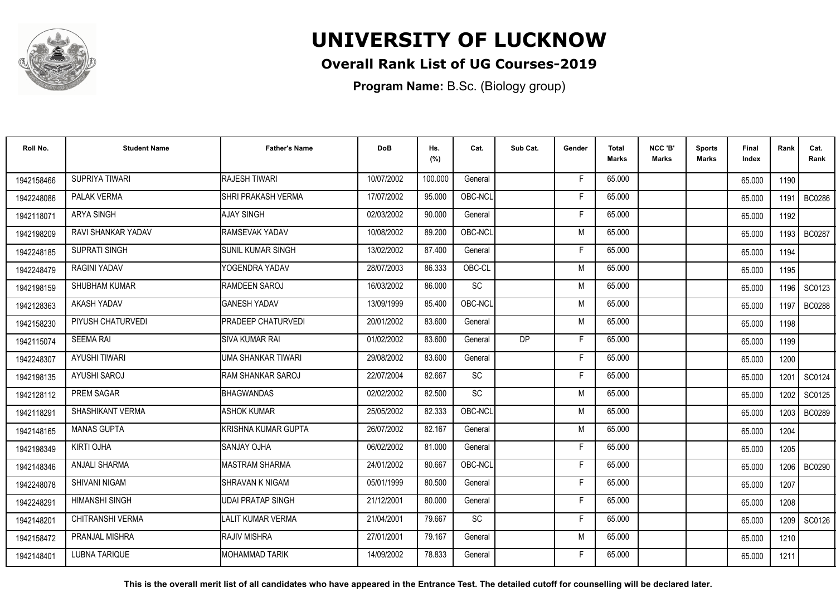

## **Overall Rank List of UG Courses-2019**

**Program Name:** B.Sc. (Biology group)

| Roll No.   | <b>Student Name</b>   | <b>Father's Name</b>       | <b>DoB</b> | Hs.<br>(%) | Cat.      | Sub Cat. | Gender | <b>Total</b><br><b>Marks</b> | NCC 'B'<br><b>Marks</b> | <b>Sports</b><br><b>Marks</b> | Final<br>Index | Rank   | Cat.<br>Rank  |
|------------|-----------------------|----------------------------|------------|------------|-----------|----------|--------|------------------------------|-------------------------|-------------------------------|----------------|--------|---------------|
| 1942158466 | SUPRIYA TIWARI        | <b>RAJESH TIWARI</b>       | 10/07/2002 | 100.000    | General   |          | F.     | 65.000                       |                         |                               | 65.000         | 1190   |               |
| 1942248086 | PALAK VERMA           | SHRI PRAKASH VERMA         | 17/07/2002 | 95.000     | OBC-NCL   |          | F      | 65.000                       |                         |                               | 65.000         | 1191   | <b>BC0286</b> |
| 1942118071 | <b>ARYA SINGH</b>     | AJAY SINGH                 | 02/03/2002 | 90.000     | General   |          | Е      | 65.000                       |                         |                               | 65.000         | 1192   |               |
| 1942198209 | RAVI SHANKAR YADAV    | RAMSEVAK YADAV             | 10/08/2002 | 89.200     | OBC-NCL   |          | M      | 65.000                       |                         |                               | 65.000         | 1193 l | <b>BC0287</b> |
| 1942248185 | <b>SUPRATI SINGH</b>  | <b>I</b> SUNIL KUMAR SINGH | 13/02/2002 | 87.400     | General   |          | F      | 65.000                       |                         |                               | 65.000         | 1194   |               |
| 1942248479 | <b>RAGINI YADAV</b>   | YOGENDRA YADAV             | 28/07/2003 | 86.333     | OBC-CL    |          | M      | 65.000                       |                         |                               | 65.000         | 1195   |               |
| 1942198159 | <b>SHUBHAM KUMAR</b>  | <b>RAMDEEN SAROJ</b>       | 16/03/2002 | 86.000     | <b>SC</b> |          | M      | 65.000                       |                         |                               | 65.000         | 1196   | SC0123        |
| 1942128363 | AKASH YADAV           | <b>GANESH YADAV</b>        | 13/09/1999 | 85.400     | OBC-NCL   |          | M      | 65.000                       |                         |                               | 65.000         | 1197   | <b>BC0288</b> |
| 1942158230 | PIYUSH CHATURVEDI     | PRADEEP CHATURVEDI         | 20/01/2002 | 83.600     | General   |          | M      | 65.000                       |                         |                               | 65.000         | 1198   |               |
| 1942115074 | <b>SEEMA RAI</b>      | SIVA KUMAR RAI             | 01/02/2002 | 83.600     | General   | DP.      | -F     | 65.000                       |                         |                               | 65.000         | 1199   |               |
| 1942248307 | <b>AYUSHI TIWARI</b>  | UMA SHANKAR TIWARI         | 29/08/2002 | 83.600     | General   |          | F      | 65.000                       |                         |                               | 65.000         | 1200   |               |
| 1942198135 | AYUSHI SAROJ          | <b>RAM SHANKAR SAROJ</b>   | 22/07/2004 | 82.667     | <b>SC</b> |          | F      | 65.000                       |                         |                               | 65.000         | 1201   | SC0124        |
| 1942128112 | <b>PREM SAGAR</b>     | <b>BHAGWANDAS</b>          | 02/02/2002 | 82.500     | <b>SC</b> |          | M      | 65.000                       |                         |                               | 65.000         | 1202   | SC0125        |
| 1942118291 | SHASHIKANT VERMA      | <b>ASHOK KUMAR</b>         | 25/05/2002 | 82.333     | OBC-NCL   |          | M      | 65.000                       |                         |                               | 65.000         | 1203   | <b>BC0289</b> |
| 1942148165 | <b>MANAS GUPTA</b>    | KRISHNA KUMAR GUPTA        | 26/07/2002 | 82.167     | General   |          | M      | 65.000                       |                         |                               | 65.000         | 1204   |               |
| 1942198349 | <b>KIRTI OJHA</b>     | <b>SANJAY OJHA</b>         | 06/02/2002 | 81.000     | General   |          | F      | 65.000                       |                         |                               | 65.000         | 1205   |               |
| 1942148346 | <b>ANJALI SHARMA</b>  | IMASTRAM SHARMA            | 24/01/2002 | 80.667     | OBC-NCL   |          | E      | 65.000                       |                         |                               | 65.000         |        | 1206   BC0290 |
| 1942248078 | SHIVANI NIGAM         | ISHRAVAN K NIGAM           | 05/01/1999 | 80.500     | General   |          | F      | 65.000                       |                         |                               | 65.000         | 1207   |               |
| 1942248291 | <b>HIMANSHI SINGH</b> | <b>UDAI PRATAP SINGH</b>   | 21/12/2001 | 80.000     | General   |          | F      | 65.000                       |                         |                               | 65.000         | 1208   |               |
| 1942148201 | CHITRANSHI VERMA      | <b>LALIT KUMAR VERMA</b>   | 21/04/2001 | 79.667     | <b>SC</b> |          | F      | 65.000                       |                         |                               | 65.000         | 1209   | SC0126        |
| 1942158472 | PRANJAL MISHRA        | <b>RAJIV MISHRA</b>        | 27/01/2001 | 79.167     | General   |          | M      | 65.000                       |                         |                               | 65.000         | 1210   |               |
| 1942148401 | <b>LUBNA TARIQUE</b>  | <b>MOHAMMAD TARIK</b>      | 14/09/2002 | 78.833     | General   |          | F      | 65.000                       |                         |                               | 65.000         | 1211   |               |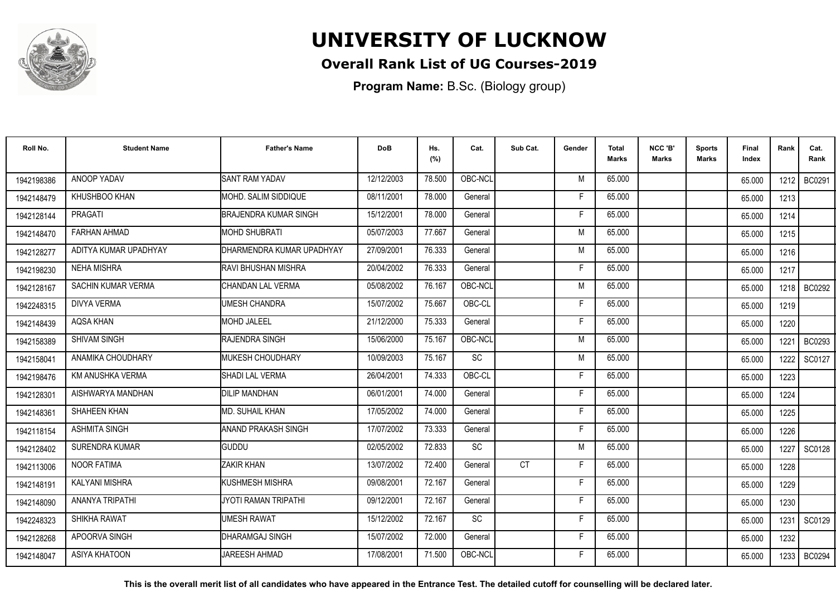

## **Overall Rank List of UG Courses-2019**

**Program Name:** B.Sc. (Biology group)

| Roll No.   | <b>Student Name</b>       | <b>Father's Name</b>       | <b>DoB</b> | Hs.<br>(%) | Cat.      | Sub Cat. | Gender | <b>Total</b><br>Marks | NCC 'B'<br><b>Marks</b> | <b>Sports</b><br>Marks | <b>Final</b><br>Index | Rank   | Cat.<br>Rank  |
|------------|---------------------------|----------------------------|------------|------------|-----------|----------|--------|-----------------------|-------------------------|------------------------|-----------------------|--------|---------------|
| 1942198386 | ANOOP YADAV               | <b>SANT RAM YADAV</b>      | 12/12/2003 | 78.500     | OBC-NCL   |          | M      | 65.000                |                         |                        | 65.000                | 1212 l | BC0291        |
| 1942148479 | KHUSHBOO KHAN             | MOHD. SALIM SIDDIQUE       | 08/11/2001 | 78.000     | General   |          | F      | 65.000                |                         |                        | 65.000                | 1213   |               |
| 1942128144 | PRAGATI                   | BRAJENDRA KUMAR SINGH      | 15/12/2001 | 78.000     | General   |          | F      | 65.000                |                         |                        | 65.000                | 1214   |               |
| 1942148470 | <b>FARHAN AHMAD</b>       | <b>I</b> MOHD SHUBRATI     | 05/07/2003 | 77.667     | General   |          | M      | 65.000                |                         |                        | 65.000                | 1215   |               |
| 1942128277 | ADITYA KUMAR UPADHYAY     | DHARMENDRA KUMAR UPADHYAY  | 27/09/2001 | 76.333     | General   |          | M      | 65.000                |                         |                        | 65.000                | 1216   |               |
| 1942198230 | <b>NEHA MISHRA</b>        | RAVI BHUSHAN MISHRA        | 20/04/2002 | 76.333     | General   |          | Е      | 65.000                |                         |                        | 65.000                | 1217   |               |
| 1942128167 | <b>SACHIN KUMAR VERMA</b> | CHANDAN LAL VERMA          | 05/08/2002 | 76.167     | OBC-NCL   |          | M      | 65.000                |                         |                        | 65.000                | 1218   | <b>BC0292</b> |
| 1942248315 | DIVYA VERMA               | UMESH CHANDRA              | 15/07/2002 | 75.667     | OBC-CL    |          | Е      | 65.000                |                         |                        | 65.000                | 1219   |               |
| 1942148439 | <b>AQSA KHAN</b>          | <b>MOHD JALEEL</b>         | 21/12/2000 | 75.333     | General   |          | F      | 65.000                |                         |                        | 65.000                | 1220   |               |
| 1942158389 | <b>SHIVAM SINGH</b>       | RAJENDRA SINGH             | 15/06/2000 | 75.167     | OBC-NCL   |          | M      | 65.000                |                         |                        | 65.000                | 1221   | <b>BC0293</b> |
| 1942158041 | ANAMIKA CHOUDHARY         | IMUKESH CHOUDHARY          | 10/09/2003 | 75.167     | <b>SC</b> |          | M      | 65.000                |                         |                        | 65.000                | 1222   | SC0127        |
| 1942198476 | KM ANUSHKA VERMA          | <b>SHADI LAL VERMA</b>     | 26/04/2001 | 74.333     | OBC-CL    |          | F      | 65.000                |                         |                        | 65.000                | 1223   |               |
| 1942128301 | AISHWARYA MANDHAN         | <b>DILIP MANDHAN</b>       | 06/01/2001 | 74.000     | General   |          |        | 65.000                |                         |                        | 65.000                | 1224   |               |
| 1942148361 | SHAHEEN KHAN              | IMD. SUHAIL KHAN           | 17/05/2002 | 74.000     | General   |          | F      | 65.000                |                         |                        | 65.000                | 1225   |               |
| 1942118154 | <b>ASHMITA SINGH</b>      | <b>ANAND PRAKASH SINGH</b> | 17/07/2002 | 73.333     | General   |          | F      | 65.000                |                         |                        | 65.000                | 1226   |               |
| 1942128402 | <b>SURENDRA KUMAR</b>     | <b>GUDDU</b>               | 02/05/2002 | 72.833     | SC        |          | M      | 65.000                |                         |                        | 65.000                | 1227   | SC0128        |
| 1942113006 | <b>NOOR FATIMA</b>        | ZAKIR KHAN                 | 13/07/2002 | 72.400     | General   | CT       | F      | 65.000                |                         |                        | 65.000                | 1228   |               |
| 1942148191 | <b>KALYANI MISHRA</b>     | KUSHMESH MISHRA            | 09/08/2001 | 72.167     | General   |          | F      | 65.000                |                         |                        | 65.000                | 1229   |               |
| 1942148090 | ANANYA TRIPATHI           | JYOTI RAMAN TRIPATHI       | 09/12/2001 | 72.167     | General   |          | F      | 65.000                |                         |                        | 65.000                | 1230   |               |
| 1942248323 | SHIKHA RAWAT              | UMESH RAWAT                | 15/12/2002 | 72.167     | <b>SC</b> |          | F      | 65.000                |                         |                        | 65.000                | 1231   | SC0129        |
| 1942128268 | APOORVA SINGH             | <b>DHARAMGAJ SINGH</b>     | 15/07/2002 | 72.000     | General   |          | Е      | 65.000                |                         |                        | 65.000                | 1232   |               |
| 1942148047 | ASIYA KHATOON             | <b>JAREESH AHMAD</b>       | 17/08/2001 | 71.500     | OBC-NCL   |          | F      | 65.000                |                         |                        | 65.000                | 1233   | <b>BC0294</b> |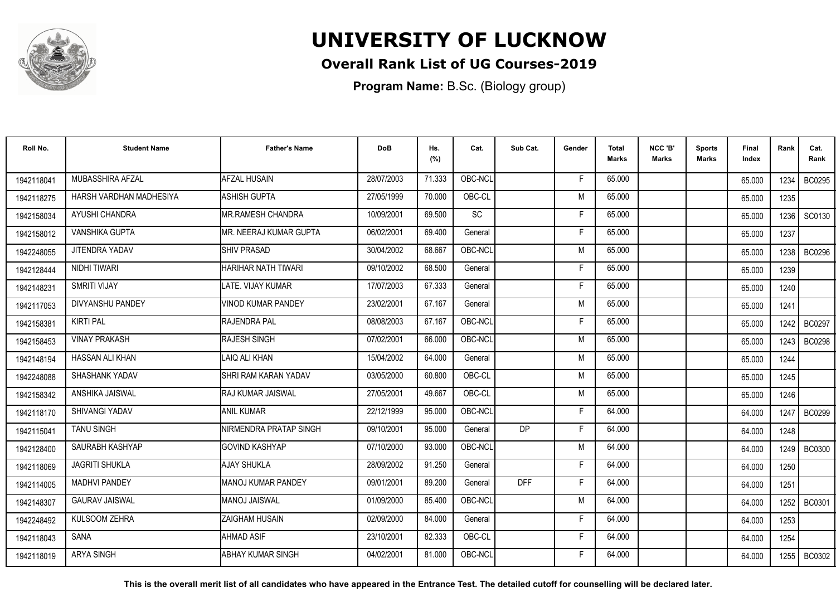

## **Overall Rank List of UG Courses-2019**

**Program Name:** B.Sc. (Biology group)

| Roll No.   | <b>Student Name</b>     | <b>Father's Name</b>       | <b>DoB</b> | Hs.<br>(%) | Cat.    | Sub Cat.   | Gender | Total<br><b>Marks</b> | NCC 'B'<br><b>Marks</b> | Sports<br><b>Marks</b> | Final<br>Index | Rank   | Cat.<br>Rank  |
|------------|-------------------------|----------------------------|------------|------------|---------|------------|--------|-----------------------|-------------------------|------------------------|----------------|--------|---------------|
| 1942118041 | MUBASSHIRA AFZAL        | <b>AFZAL HUSAIN</b>        | 28/07/2003 | 71.333     | OBC-NCL |            | F      | 65.000                |                         |                        | 65.000         | 1234   | <b>BC0295</b> |
| 1942118275 | HARSH VARDHAN MADHESIYA | <b>ASHISH GUPTA</b>        | 27/05/1999 | 70.000     | OBC-CL  |            | M      | 65.000                |                         |                        | 65.000         | 1235   |               |
| 1942158034 | AYUSHI CHANDRA          | <b>MR.RAMESH CHANDRA</b>   | 10/09/2001 | 69.500     | SC      |            | F      | 65.000                |                         |                        | 65.000         | 1236   | SC0130        |
| 1942158012 | <b>VANSHIKA GUPTA</b>   | MR. NEERAJ KUMAR GUPTA     | 06/02/2001 | 69.400     | General |            | F      | 65.000                |                         |                        | 65.000         | 1237   |               |
| 1942248055 | JITENDRA YADAV          | <b>SHIV PRASAD</b>         | 30/04/2002 | 68.667     | OBC-NCL |            | M      | 65.000                |                         |                        | 65.000         | 1238   | <b>BC0296</b> |
| 1942128444 | NIDHI TIWARI            | <b>HARIHAR NATH TIWARI</b> | 09/10/2002 | 68.500     | General |            | F      | 65.000                |                         |                        | 65.000         | 1239   |               |
| 1942148231 | <b>SMRITI VIJAY</b>     | LATE. VIJAY KUMAR          | 17/07/2003 | 67.333     | General |            | F      | 65.000                |                         |                        | 65.000         | 1240   |               |
| 1942117053 | DIVYANSHU PANDEY        | <b>VINOD KUMAR PANDEY</b>  | 23/02/2001 | 67.167     | General |            | M      | 65.000                |                         |                        | 65.000         | 1241   |               |
| 1942158381 | <b>KIRTI PAL</b>        | RAJENDRA PAL               | 08/08/2003 | 67.167     | OBC-NCL |            | F      | 65.000                |                         |                        | 65.000         | 1242   | BC0297        |
| 1942158453 | <b>VINAY PRAKASH</b>    | RAJESH SINGH               | 07/02/2001 | 66.000     | OBC-NCL |            | M      | 65.000                |                         |                        | 65.000         | 1243 l | <b>BC0298</b> |
| 1942148194 | HASSAN ALI KHAN         | LAIQ ALI KHAN              | 15/04/2002 | 64.000     | General |            | M      | 65.000                |                         |                        | 65.000         | 1244   |               |
| 1942248088 | SHASHANK YADAV          | SHRI RAM KARAN YADAV       | 03/05/2000 | 60.800     | OBC-CL  |            | M      | 65.000                |                         |                        | 65.000         | 1245   |               |
| 1942158342 | ANSHIKA JAISWAL         | IRAJ KUMAR JAISWAL         | 27/05/2001 | 49.667     | OBC-CL  |            | M      | 65.000                |                         |                        | 65.000         | 1246   |               |
| 1942118170 | <b>SHIVANGI YADAV</b>   | <b>ANIL KUMAR</b>          | 22/12/1999 | 95.000     | OBC-NCL |            | F      | 64.000                |                         |                        | 64.000         | 1247   | <b>BC0299</b> |
| 1942115041 | <b>TANU SINGH</b>       | NIRMENDRA PRATAP SINGH     | 09/10/2001 | 95.000     | General | DP         | F      | 64.000                |                         |                        | 64.000         | 1248   |               |
| 1942128400 | SAURABH KASHYAP         | <b>GOVIND KASHYAP</b>      | 07/10/2000 | 93.000     | OBC-NCL |            | M      | 64.000                |                         |                        | 64.000         |        | 1249   BC0300 |
| 1942118069 | <b>JAGRITI SHUKLA</b>   | AJAY SHUKLA                | 28/09/2002 | 91.250     | General |            | F      | 64.000                |                         |                        | 64.000         | 1250   |               |
| 1942114005 | <b>MADHVI PANDEY</b>    | <b>MANOJ KUMAR PANDEY</b>  | 09/01/2001 | 89.200     | General | <b>DFF</b> | F      | 64.000                |                         |                        | 64.000         | 1251   |               |
| 1942148307 | <b>GAURAV JAISWAL</b>   | <b>MANOJ JAISWAL</b>       | 01/09/2000 | 85.400     | OBC-NCL |            | M      | 64.000                |                         |                        | 64.000         | 1252   | BC0301        |
| 1942248492 | <b>KULSOOM ZEHRA</b>    | <b>ZAIGHAM HUSAIN</b>      | 02/09/2000 | 84.000     | General |            | F      | 64.000                |                         |                        | 64.000         | 1253   |               |
| 1942118043 | <b>SANA</b>             | <b>AHMAD ASIF</b>          | 23/10/2001 | 82.333     | OBC-CL  |            | F      | 64.000                |                         |                        | 64.000         | 1254   |               |
| 1942118019 | <b>ARYA SINGH</b>       | ABHAY KUMAR SINGH          | 04/02/2001 | 81.000     | OBC-NCL |            | F      | 64.000                |                         |                        | 64.000         | 1255   | <b>BC0302</b> |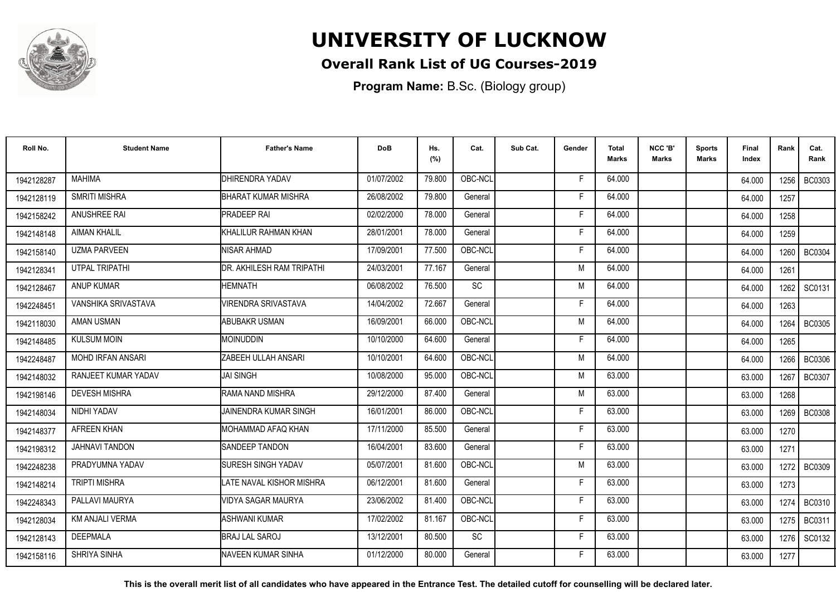

## **Overall Rank List of UG Courses-2019**

**Program Name:** B.Sc. (Biology group)

| Roll No.   | <b>Student Name</b>      | <b>Father's Name</b>         | <b>DoB</b> | Hs.<br>(%) | Cat.      | Sub Cat. | Gender | Total<br>Marks | NCC 'B'<br><b>Marks</b> | Sports<br>Marks | Final<br>Index | Rank   | Cat.<br>Rank  |
|------------|--------------------------|------------------------------|------------|------------|-----------|----------|--------|----------------|-------------------------|-----------------|----------------|--------|---------------|
| 1942128287 | <b>MAHIMA</b>            | <b>DHIRENDRA YADAV</b>       | 01/07/2002 | 79.800     | OBC-NCL   |          | E      | 64.000         |                         |                 | 64.000         | 1256 l | <b>BC0303</b> |
| 1942128119 | <b>SMRITI MISHRA</b>     | BHARAT KUMAR MISHRA          | 26/08/2002 | 79.800     | General   |          | F      | 64.000         |                         |                 | 64.000         | 1257   |               |
| 1942158242 | <b>ANUSHREE RAI</b>      | <b>PRADEEP RAI</b>           | 02/02/2000 | 78.000     | General   |          | F      | 64.000         |                         |                 | 64.000         | 1258   |               |
| 1942148148 | <b>AIMAN KHALIL</b>      | KHALILUR RAHMAN KHAN         | 28/01/2001 | 78.000     | General   |          | F      | 64.000         |                         |                 | 64.000         | 1259   |               |
| 1942158140 | <b>UZMA PARVEEN</b>      | NISAR AHMAD                  | 17/09/2001 | 77.500     | OBC-NCL   |          | -F     | 64.000         |                         |                 | 64.000         | 1260   | <b>BC0304</b> |
| 1942128341 | <b>UTPAL TRIPATHI</b>    | DR. AKHILESH RAM TRIPATHI    | 24/03/2001 | 77.167     | General   |          | M      | 64.000         |                         |                 | 64.000         | 1261   |               |
| 1942128467 | <b>ANUP KUMAR</b>        | <b>HEMNATH</b>               | 06/08/2002 | 76.500     | <b>SC</b> |          | M      | 64.000         |                         |                 | 64.000         | 1262   | SC0131        |
| 1942248451 | VANSHIKA SRIVASTAVA      | <b>VIRENDRA SRIVASTAVA</b>   | 14/04/2002 | 72.667     | General   |          | F      | 64.000         |                         |                 | 64.000         | 1263   |               |
| 1942118030 | <b>AMAN USMAN</b>        | <b>ABUBAKR USMAN</b>         | 16/09/2001 | 66.000     | OBC-NCL   |          | M      | 64.000         |                         |                 | 64.000         | 1264   | <b>BC0305</b> |
| 1942148485 | <b>KULSUM MOIN</b>       | <b>MOINUDDIN</b>             | 10/10/2000 | 64.600     | General   |          | F.     | 64.000         |                         |                 | 64.000         | 1265   |               |
| 1942248487 | <b>MOHD IRFAN ANSARI</b> | ZABEEH ULLAH ANSARI          | 10/10/2001 | 64.600     | OBC-NCL   |          | M      | 64.000         |                         |                 | 64.000         | 1266   | <b>BC0306</b> |
| 1942148032 | RANJEET KUMAR YADAV      | <b>JAI SINGH</b>             | 10/08/2000 | 95.000     | OBC-NCL   |          | M      | 63.000         |                         |                 | 63.000         | 1267   | <b>BC0307</b> |
| 1942198146 | <b>DEVESH MISHRA</b>     | RAMA NAND MISHRA             | 29/12/2000 | 87.400     | General   |          | M      | 63.000         |                         |                 | 63.000         | 1268   |               |
| 1942148034 | NIDHI YADAV              | <b>JAINENDRA KUMAR SINGH</b> | 16/01/2001 | 86.000     | OBC-NCL   |          | F      | 63.000         |                         |                 | 63.000         | 1269   | <b>BC0308</b> |
| 1942148377 | AFREEN KHAN              | MOHAMMAD AFAQ KHAN           | 17/11/2000 | 85.500     | General   |          | F      | 63.000         |                         |                 | 63.000         | 1270   |               |
| 1942198312 | <b>JAHNAVI TANDON</b>    | <b>SANDEEP TANDON</b>        | 16/04/2001 | 83.600     | General   |          | F      | 63.000         |                         |                 | 63.000         | 1271   |               |
| 1942248238 | PRADYUMNA YADAV          | <b>SURESH SINGH YADAV</b>    | 05/07/2001 | 81.600     | OBC-NCL   |          | M      | 63.000         |                         |                 | 63.000         |        | 1272   BC0309 |
| 1942148214 | <b>TRIPTI MISHRA</b>     | LATE NAVAL KISHOR MISHRA     | 06/12/2001 | 81.600     | General   |          | F      | 63.000         |                         |                 | 63.000         | 1273   |               |
| 1942248343 | PALLAVI MAURYA           | <b>VIDYA SAGAR MAURYA</b>    | 23/06/2002 | 81.400     | OBC-NCL   |          | F      | 63.000         |                         |                 | 63.000         | 1274   | <b>BC0310</b> |
| 1942128034 | <b>KM ANJALI VERMA</b>   | <b>ASHWANI KUMAR</b>         | 17/02/2002 | 81.167     | OBC-NCL   |          | F      | 63.000         |                         |                 | 63.000         | 1275   | BC0311        |
| 1942128143 | <b>DEEPMALA</b>          | <b>BRAJ LAL SAROJ</b>        | 13/12/2001 | 80.500     | <b>SC</b> |          | F.     | 63.000         |                         |                 | 63.000         | 1276   | SC0132        |
| 1942158116 | SHRIYA SINHA             | INAVEEN KUMAR SINHA          | 01/12/2000 | 80.000     | General   |          | F      | 63.000         |                         |                 | 63.000         | 1277   |               |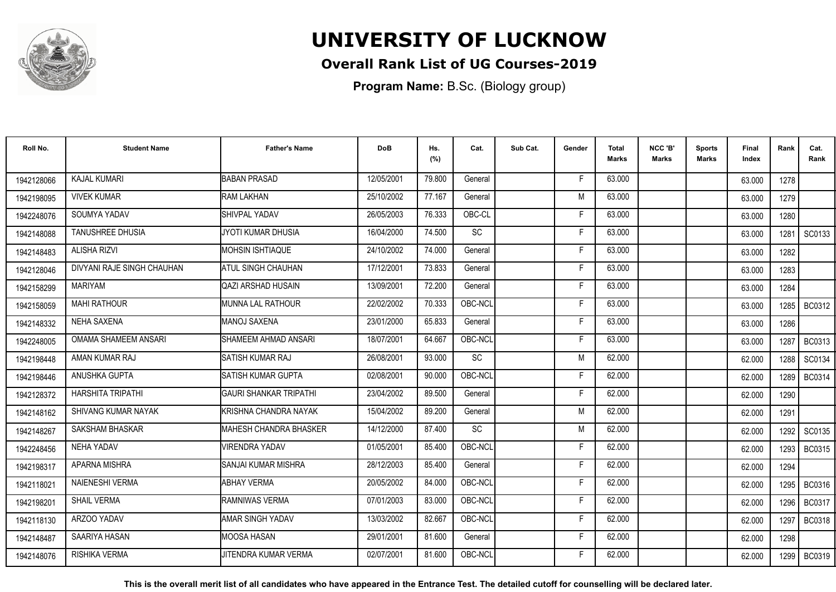

## **Overall Rank List of UG Courses-2019**

**Program Name:** B.Sc. (Biology group)

| Roll No.   | <b>Student Name</b>        | <b>Father's Name</b>          | <b>DoB</b> | Hs.<br>(%) | Cat.      | Sub Cat. | Gender | <b>Total</b><br>Marks | NCC 'B'<br><b>Marks</b> | <b>Sports</b><br>Marks | Final<br>Index | Rank   | Cat.<br>Rank  |
|------------|----------------------------|-------------------------------|------------|------------|-----------|----------|--------|-----------------------|-------------------------|------------------------|----------------|--------|---------------|
| 1942128066 | <b>KAJAL KUMARI</b>        | <b>BABAN PRASAD</b>           | 12/05/2001 | 79.800     | General   |          | -F     | 63.000                |                         |                        | 63.000         | 1278   |               |
| 1942198095 | <b>VIVEK KUMAR</b>         | <b>RAM LAKHAN</b>             | 25/10/2002 | 77.167     | General   |          | M      | 63.000                |                         |                        | 63.000         | 1279   |               |
| 1942248076 | SOUMYA YADAV               | <b>SHIVPAL YADAV</b>          | 26/05/2003 | 76.333     | OBC-CL    |          | F      | 63.000                |                         |                        | 63.000         | 1280   |               |
| 1942148088 | <b>TANUSHREE DHUSIA</b>    | JYOTI KUMAR DHUSIA            | 16/04/2000 | 74.500     | SC        |          | E      | 63.000                |                         |                        | 63.000         | 1281   | SC0133        |
| 1942148483 | <b>ALISHA RIZVI</b>        | IMOHSIN ISHTIAQUE             | 24/10/2002 | 74.000     | General   |          | F      | 63.000                |                         |                        | 63.000         | 1282   |               |
| 1942128046 | DIVYANI RAJE SINGH CHAUHAN | ATUL SINGH CHAUHAN            | 17/12/2001 | 73.833     | General   |          | Е      | 63.000                |                         |                        | 63.000         | 1283   |               |
| 1942158299 | <b>MARIYAM</b>             | <b>QAZI ARSHAD HUSAIN</b>     | 13/09/2001 | 72.200     | General   |          | F      | 63.000                |                         |                        | 63.000         | 1284   |               |
| 1942158059 | <b>MAHI RATHOUR</b>        | IMUNNA LAL RATHOUR            | 22/02/2002 | 70.333     | OBC-NCL   |          | E      | 63.000                |                         |                        | 63.000         |        | 1285 BC0312   |
| 1942148332 | <b>NEHA SAXENA</b>         | <b>MANOJ SAXENA</b>           | 23/01/2000 | 65.833     | General   |          | F      | 63.000                |                         |                        | 63.000         | 1286   |               |
| 1942248005 | OMAMA SHAMEEM ANSARI       | SHAMEEM AHMAD ANSARI          | 18/07/2001 | 64.667     | OBC-NCL   |          | F      | 63.000                |                         |                        | 63.000         | 1287   | BC0313        |
| 1942198448 | AMAN KUMAR RAJ             | <b>SATISH KUMAR RAJ</b>       | 26/08/2001 | 93.000     | SC        |          | M      | 62.000                |                         |                        | 62.000         | 1288   | SC0134        |
| 1942198446 | ANUSHKA GUPTA              | <b>SATISH KUMAR GUPTA</b>     | 02/08/2001 | 90.000     | OBC-NCL   |          | F      | 62.000                |                         |                        | 62.000         | 1289   | BC0314        |
| 1942128372 | HARSHITA TRIPATHI          | <b>GAURI SHANKAR TRIPATHI</b> | 23/04/2002 | 89.500     | General   |          | F      | 62.000                |                         |                        | 62.000         | 1290   |               |
| 1942148162 | SHIVANG KUMAR NAYAK        | KRISHNA CHANDRA NAYAK         | 15/04/2002 | 89.200     | General   |          | M      | 62.000                |                         |                        | 62.000         | 1291   |               |
| 1942148267 | SAKSHAM BHASKAR            | MAHESH CHANDRA BHASKER        | 14/12/2000 | 87.400     | <b>SC</b> |          | M      | 62.000                |                         |                        | 62.000         | 1292   | SC0135        |
| 1942248456 | <b>NEHA YADAV</b>          | <b>VIRENDRA YADAV</b>         | 01/05/2001 | 85.400     | OBC-NCL   |          | Е      | 62.000                |                         |                        | 62.000         | 1293 l | BC0315        |
| 1942198317 | APARNA MISHRA              | SANJAI KUMAR MISHRA           | 28/12/2003 | 85.400     | General   |          | F.     | 62.000                |                         |                        | 62.000         | 1294   |               |
| 1942118021 | <b>NAIENESHI VERMA</b>     | <b>ABHAY VERMA</b>            | 20/05/2002 | 84.000     | OBC-NCL   |          | F      | 62.000                |                         |                        | 62.000         | 1295   | <b>BC0316</b> |
| 1942198201 | <b>SHAIL VERMA</b>         | RAMNIWAS VERMA                | 07/01/2003 | 83.000     | OBC-NCL   |          | F      | 62.000                |                         |                        | 62.000         | 1296   | BC0317        |
| 1942118130 | ARZOO YADAV                | <b>AMAR SINGH YADAV</b>       | 13/03/2002 | 82.667     | OBC-NCL   |          | Е      | 62.000                |                         |                        | 62.000         | 1297   | <b>BC0318</b> |
| 1942148487 | SAARIYA HASAN              | <b>MOOSA HASAN</b>            | 29/01/2001 | 81.600     | General   |          | F      | 62.000                |                         |                        | 62.000         | 1298   |               |
| 1942148076 | RISHIKA VERMA              | JITENDRA KUMAR VERMA          | 02/07/2001 | 81.600     | OBC-NCL   |          | F      | 62.000                |                         |                        | 62.000         | 1299   | <b>BC0319</b> |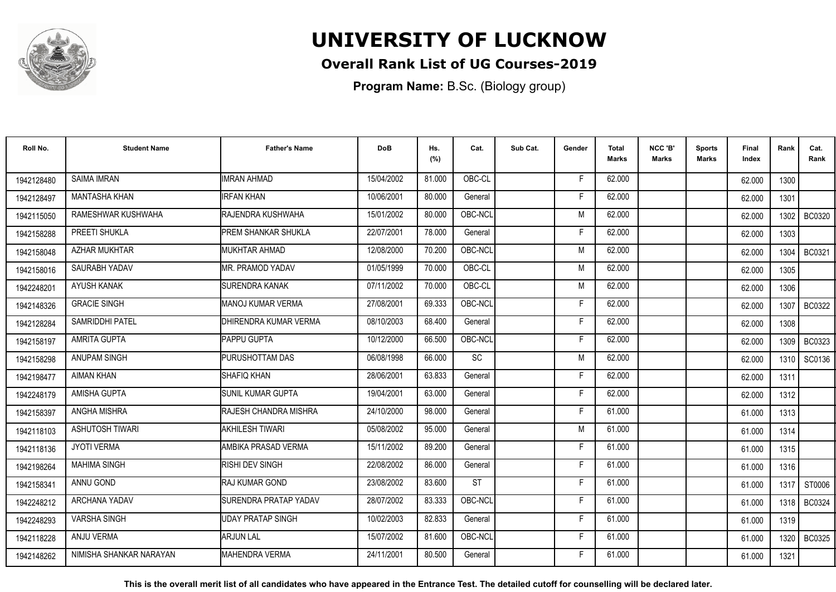

## **Overall Rank List of UG Courses-2019**

**Program Name:** B.Sc. (Biology group)

| Roll No.   | <b>Student Name</b>     | <b>Father's Name</b>         | <b>DoB</b> | Hs.<br>(%) | Cat.      | Sub Cat. | Gender | Total<br>Marks | NCC 'B'<br><b>Marks</b> | Sports<br><b>Marks</b> | Final<br>Index | Rank   | Cat.<br>Rank  |
|------------|-------------------------|------------------------------|------------|------------|-----------|----------|--------|----------------|-------------------------|------------------------|----------------|--------|---------------|
| 1942128480 | <b>SAIMA IMRAN</b>      | <b>IMRAN AHMAD</b>           | 15/04/2002 | 81.000     | OBC-CL    |          | F.     | 62.000         |                         |                        | 62.000         | 1300   |               |
| 1942128497 | <b>MANTASHA KHAN</b>    | <b>IRFAN KHAN</b>            | 10/06/2001 | 80.000     | General   |          | Е      | 62.000         |                         |                        | 62.000         | 1301   |               |
| 1942115050 | RAMESHWAR KUSHWAHA      | RAJENDRA KUSHWAHA            | 15/01/2002 | 80.000     | OBC-NCL   |          | M      | 62.000         |                         |                        | 62.000         | 1302   | <b>BC0320</b> |
| 1942158288 | PREETI SHUKLA           | <b>I</b> PREM SHANKAR SHUKLA | 22/07/2001 | 78.000     | General   |          | Е      | 62.000         |                         |                        | 62.000         | 1303   |               |
| 1942158048 | <b>AZHAR MUKHTAR</b>    | <b>MUKHTAR AHMAD</b>         | 12/08/2000 | 70.200     | OBC-NCL   |          | M      | 62.000         |                         |                        | 62.000         | 1304   | BC0321        |
| 1942158016 | SAURABH YADAV           | IMR. PRAMOD YADAV            | 01/05/1999 | 70.000     | OBC-CL    |          | M      | 62.000         |                         |                        | 62.000         | 1305   |               |
| 1942248201 | AYUSH KANAK             | <b>SURENDRA KANAK</b>        | 07/11/2002 | 70.000     | OBC-CL    |          | M      | 62.000         |                         |                        | 62.000         | 1306   |               |
| 1942148326 | <b>GRACIE SINGH</b>     | MANOJ KUMAR VERMA            | 27/08/2001 | 69.333     | OBC-NCL   |          | F      | 62.000         |                         |                        | 62.000         |        | 1307   BC0322 |
| 1942128284 | SAMRIDDHI PATEL         | DHIRENDRA KUMAR VERMA        | 08/10/2003 | 68.400     | General   |          | F      | 62.000         |                         |                        | 62.000         | 1308   |               |
| 1942158197 | AMRITA GUPTA            | <b>PAPPU GUPTA</b>           | 10/12/2000 | 66.500     | OBC-NCL   |          | F      | 62.000         |                         |                        | 62.000         | 1309   | <b>BC0323</b> |
| 1942158298 | <b>ANUPAM SINGH</b>     | PURUSHOTTAM DAS              | 06/08/1998 | 66.000     | <b>SC</b> |          | M      | 62.000         |                         |                        | 62.000         | 1310 l | SC0136        |
| 1942198477 | <b>AIMAN KHAN</b>       | <b>SHAFIQ KHAN</b>           | 28/06/2001 | 63.833     | General   |          | F      | 62.000         |                         |                        | 62.000         | 1311   |               |
| 1942248179 | <b>AMISHA GUPTA</b>     | <b>SUNIL KUMAR GUPTA</b>     | 19/04/2001 | 63.000     | General   |          | E      | 62.000         |                         |                        | 62.000         | 1312   |               |
| 1942158397 | ANGHA MISHRA            | RAJESH CHANDRA MISHRA        | 24/10/2000 | 98.000     | General   |          | F      | 61.000         |                         |                        | 61.000         | 1313   |               |
| 1942118103 | <b>ASHUTOSH TIWARI</b>  | <b>AKHILESH TIWARI</b>       | 05/08/2002 | 95.000     | General   |          | M      | 61.000         |                         |                        | 61.000         | 1314   |               |
| 1942118136 | <b>JYOTI VERMA</b>      | AMBIKA PRASAD VERMA          | 15/11/2002 | 89.200     | General   |          | F      | 61.000         |                         |                        | 61.000         | 1315   |               |
| 1942198264 | <b>MAHIMA SINGH</b>     | <b>RISHI DEV SINGH</b>       | 22/08/2002 | 86.000     | General   |          | -F     | 61.000         |                         |                        | 61.000         | 1316   |               |
| 1942158341 | <b>ANNU GOND</b>        | IRAJ KUMAR GOND              | 23/08/2002 | 83.600     | <b>ST</b> |          | F      | 61.000         |                         |                        | 61.000         | 1317   | ST0006        |
| 1942248212 | <b>ARCHANA YADAV</b>    | SURENDRA PRATAP YADAV        | 28/07/2002 | 83.333     | OBC-NCL   |          | F.     | 61.000         |                         |                        | 61.000         | 1318   | BC0324        |
| 1942248293 | <b>VARSHA SINGH</b>     | <b>UDAY PRATAP SINGH</b>     | 10/02/2003 | 82.833     | General   |          | F      | 61.000         |                         |                        | 61.000         | 1319   |               |
| 1942118228 | ANJU VERMA              | <b>ARJUN LAL</b>             | 15/07/2002 | 81.600     | OBC-NCL   |          | F.     | 61.000         |                         |                        | 61.000         | 1320   | <b>BC0325</b> |
| 1942148262 | NIMISHA SHANKAR NARAYAN | <b>I</b> MAHENDRA VERMA      | 24/11/2001 | 80.500     | General   |          | F      | 61.000         |                         |                        | 61.000         | 1321   |               |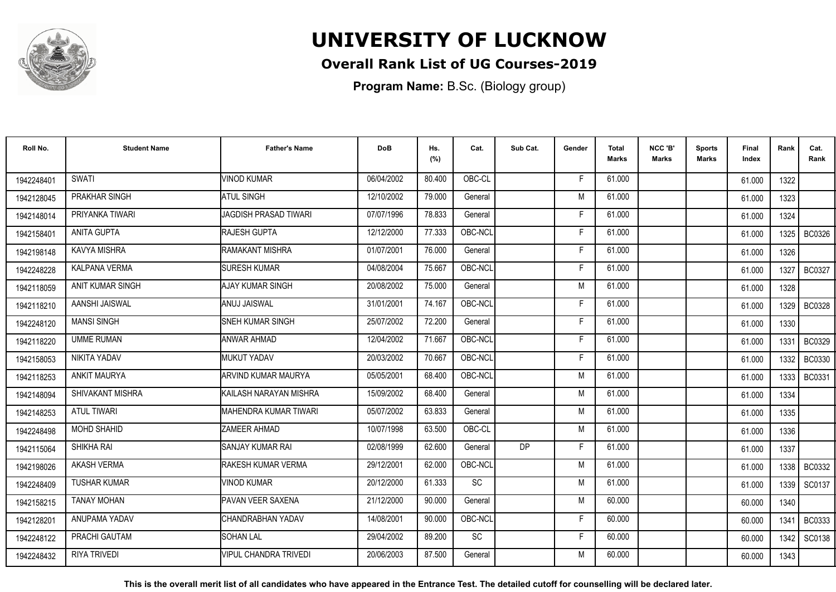

## **Overall Rank List of UG Courses-2019**

**Program Name:** B.Sc. (Biology group)

| Roll No.   | <b>Student Name</b>  | <b>Father's Name</b>         | <b>DoB</b> | Hs.<br>(%) | Cat.            | Sub Cat.  | Gender | Total<br><b>Marks</b> | NCC 'B'<br><b>Marks</b> | <b>Sports</b><br>Marks | Final<br>Index | Rank   | Cat.<br>Rank  |
|------------|----------------------|------------------------------|------------|------------|-----------------|-----------|--------|-----------------------|-------------------------|------------------------|----------------|--------|---------------|
| 1942248401 | <b>SWATI</b>         | <b>VINOD KUMAR</b>           | 06/04/2002 | 80.400     | OBC-CL          |           | F      | 61.000                |                         |                        | 61.000         | 1322   |               |
| 1942128045 | PRAKHAR SINGH        | <b>ATUL SINGH</b>            | 12/10/2002 | 79.000     | General         |           | M      | 61.000                |                         |                        | 61.000         | 1323   |               |
| 1942148014 | PRIYANKA TIWARI      | <b>JAGDISH PRASAD TIWARI</b> | 07/07/1996 | 78.833     | General         |           | F      | 61.000                |                         |                        | 61.000         | 1324   |               |
| 1942158401 | ANITA GUPTA          | <b>RAJESH GUPTA</b>          | 12/12/2000 | 77.333     | OBC-NCL         |           |        | 61.000                |                         |                        | 61.000         | 1325   | <b>BC0326</b> |
| 1942198148 | <b>KAVYA MISHRA</b>  | <b>RAMAKANT MISHRA</b>       | 01/07/2001 | 76.000     | General         |           | F      | 61.000                |                         |                        | 61.000         | 1326   |               |
| 1942248228 | <b>KALPANA VERMA</b> | <b>SURESH KUMAR</b>          | 04/08/2004 | 75.667     | OBC-NCL         |           | F      | 61.000                |                         |                        | 61.000         | 1327   | <b>BC0327</b> |
| 1942118059 | ANIT KUMAR SINGH     | <b>AJAY KUMAR SINGH</b>      | 20/08/2002 | 75.000     | General         |           | M      | 61.000                |                         |                        | 61.000         | 1328   |               |
| 1942118210 | AANSHI JAISWAL       | ANUJ JAISWAL                 | 31/01/2001 | 74.167     | OBC-NCL         |           | Е      | 61.000                |                         |                        | 61.000         |        | 1329   BC0328 |
| 1942248120 | <b>MANSI SINGH</b>   | <b>SNEH KUMAR SINGH</b>      | 25/07/2002 | 72.200     | General         |           | F      | 61.000                |                         |                        | 61.000         | 1330   |               |
| 1942118220 | <b>UMME RUMAN</b>    | <b>ANWAR AHMAD</b>           | 12/04/2002 | 71.667     | OBC-NCL         |           | Е      | 61.000                |                         |                        | 61.000         | 1331   | <b>BC0329</b> |
| 1942158053 | NIKITA YADAV         | MUKUT YADAV                  | 20/03/2002 | 70.667     | OBC-NCL         |           | F      | 61.000                |                         |                        | 61.000         | 1332   | <b>BC0330</b> |
| 1942118253 | <b>ANKIT MAURYA</b>  | ARVIND KUMAR MAURYA          | 05/05/2001 | 68.400     | OBC-NCL         |           | M      | 61.000                |                         |                        | 61.000         | 1333   | <b>BC0331</b> |
| 1942148094 | SHIVAKANT MISHRA     | İKAILASH NARAYAN MISHRA      | 15/09/2002 | 68.400     | General         |           | M      | 61.000                |                         |                        | 61.000         | 1334   |               |
| 1942148253 | <b>ATUL TIWARI</b>   | IMAHENDRA KUMAR TIWARI       | 05/07/2002 | 63.833     | General         |           | M      | 61.000                |                         |                        | 61.000         | 1335   |               |
| 1942248498 | <b>MOHD SHAHID</b>   | <b>ZAMEER AHMAD</b>          | 10/07/1998 | 63.500     | OBC-CL          |           | M      | 61.000                |                         |                        | 61.000         | 1336   |               |
| 1942115064 | SHIKHA RAI           | <b>SANJAY KUMAR RAI</b>      | 02/08/1999 | 62.600     | General         | <b>DP</b> | F      | 61.000                |                         |                        | 61.000         | 1337   |               |
| 1942198026 | <b>AKASH VERMA</b>   | <b>RAKESH KUMAR VERMA</b>    | 29/12/2001 | 62.000     | OBC-NCL         |           | M      | 61.000                |                         |                        | 61.000         |        | 1338   BC0332 |
| 1942248409 | <b>TUSHAR KUMAR</b>  | <b>VINOD KUMAR</b>           | 20/12/2000 | 61.333     | $\overline{SC}$ |           | M      | 61.000                |                         |                        | 61.000         | 1339 I | SC0137        |
| 1942158215 | <b>TANAY MOHAN</b>   | PAVAN VEER SAXENA            | 21/12/2000 | 90.000     | General         |           | M      | 60.000                |                         |                        | 60.000         | 1340   |               |
| 1942128201 | ANUPAMA YADAV        | CHANDRABHAN YADAV            | 14/08/2001 | 90.000     | OBC-NCL         |           | F      | 60.000                |                         |                        | 60.000         | 1341   | BC0333        |
| 1942248122 | PRACHI GAUTAM        | <b>SOHAN LAL</b>             | 29/04/2002 | 89.200     | SC              |           | F.     | 60.000                |                         |                        | 60.000         | 1342   | SC0138        |
| 1942248432 | <b>RIYA TRIVEDI</b>  | <b>VIPUL CHANDRA TRIVEDI</b> | 20/06/2003 | 87.500     | General         |           | M      | 60.000                |                         |                        | 60.000         | 1343   |               |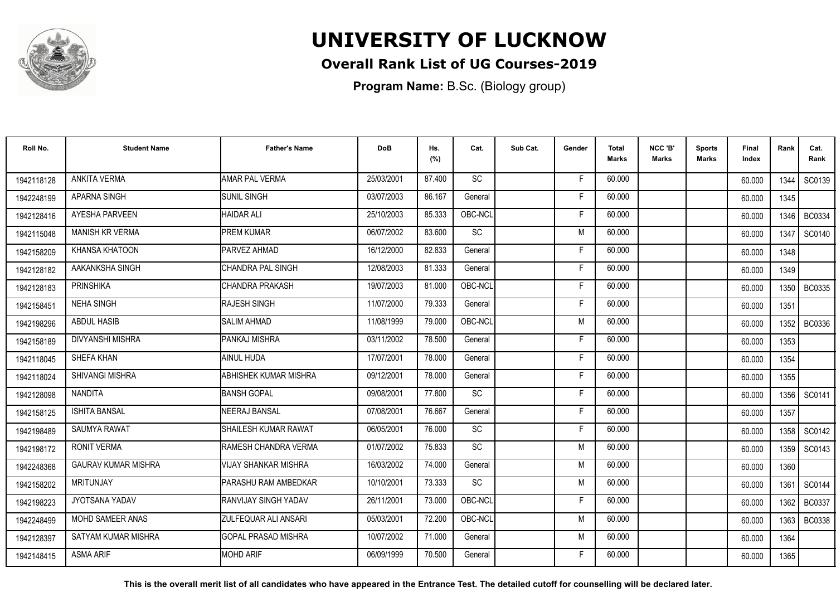

## **Overall Rank List of UG Courses-2019**

**Program Name:** B.Sc. (Biology group)

| Roll No.   | <b>Student Name</b>        | <b>Father's Name</b>         | <b>DoB</b> | Hs.<br>(%) | Cat.      | Sub Cat. | Gender | Total<br>Marks | NCC 'B'<br><b>Marks</b> | Sports<br><b>Marks</b> | Final<br>Index | Rank   | Cat.<br>Rank  |
|------------|----------------------------|------------------------------|------------|------------|-----------|----------|--------|----------------|-------------------------|------------------------|----------------|--------|---------------|
| 1942118128 | ANKITA VERMA               | <b>AMAR PAL VERMA</b>        | 25/03/2001 | 87.400     | <b>SC</b> |          | F.     | 60.000         |                         |                        | 60.000         | 1344   | SC0139        |
| 1942248199 | <b>APARNA SINGH</b>        | <b>SUNIL SINGH</b>           | 03/07/2003 | 86.167     | General   |          | Е      | 60.000         |                         |                        | 60.000         | 1345   |               |
| 1942128416 | <b>AYESHA PARVEEN</b>      | <b>HAIDAR ALI</b>            | 25/10/2003 | 85.333     | OBC-NCL   |          | F.     | 60.000         |                         |                        | 60.000         | 1346   | BC0334        |
| 1942115048 | MANISH KR VERMA            | <b>PREM KUMAR</b>            | 06/07/2002 | 83.600     | <b>SC</b> |          | M      | 60.000         |                         |                        | 60.000         | 1347   | SC0140        |
| 1942158209 | <b>KHANSA KHATOON</b>      | PARVEZ AHMAD                 | 16/12/2000 | 82.833     | General   |          | F      | 60.000         |                         |                        | 60.000         | 1348   |               |
| 1942128182 | AAKANKSHA SINGH            | ICHANDRA PAL SINGH           | 12/08/2003 | 81.333     | General   |          | Е      | 60.000         |                         |                        | 60.000         | 1349   |               |
| 1942128183 | <b>PRINSHIKA</b>           | CHANDRA PRAKASH              | 19/07/2003 | 81.000     | OBC-NCL   |          | F      | 60.000         |                         |                        | 60.000         | 1350   | BC0335        |
| 1942158451 | <b>NEHA SINGH</b>          | <b>RAJESH SINGH</b>          | 11/07/2000 | 79.333     | General   |          | F      | 60.000         |                         |                        | 60.000         | 1351   |               |
| 1942198296 | <b>ABDUL HASIB</b>         | <b>SALIM AHMAD</b>           | 11/08/1999 | 79.000     | OBC-NCL   |          | M      | 60.000         |                         |                        | 60.000         | 1352 l | <b>BC0336</b> |
| 1942158189 | <b>DIVYANSHI MISHRA</b>    | <b>PANKAJ MISHRA</b>         | 03/11/2002 | 78.500     | General   |          | Е      | 60.000         |                         |                        | 60.000         | 1353   |               |
| 1942118045 | SHEFA KHAN                 | AINUL HUDA                   | 17/07/2001 | 78.000     | General   |          | F      | 60.000         |                         |                        | 60.000         | 1354   |               |
| 1942118024 | <b>SHIVANGI MISHRA</b>     | <b>ABHISHEK KUMAR MISHRA</b> | 09/12/2001 | 78.000     | General   |          | F      | 60.000         |                         |                        | 60.000         | 1355   |               |
| 1942128098 | <b>NANDITA</b>             | <b>BANSH GOPAL</b>           | 09/08/2001 | 77.800     | <b>SC</b> |          | F      | 60.000         |                         |                        | 60.000         | 1356   | SC0141        |
| 1942158125 | <b>ISHITA BANSAL</b>       | <b>NEERAJ BANSAL</b>         | 07/08/2001 | 76.667     | General   |          | F      | 60.000         |                         |                        | 60.000         | 1357   |               |
| 1942198489 | <b>SAUMYA RAWAT</b>        | SHAILESH KUMAR RAWAT         | 06/05/2001 | 76.000     | SC        |          | F      | 60.000         |                         |                        | 60.000         | 1358   | SC0142        |
| 1942198172 | <b>RONIT VERMA</b>         | RAMESH CHANDRA VERMA         | 01/07/2002 | 75.833     | <b>SC</b> |          | M      | 60.000         |                         |                        | 60.000         |        | 1359   SC0143 |
| 1942248368 | <b>GAURAV KUMAR MISHRA</b> | <b>VIJAY SHANKAR MISHRA</b>  | 16/03/2002 | 74.000     | General   |          | M      | 60.000         |                         |                        | 60.000         | 1360   |               |
| 1942158202 | <b>MRITUNJAY</b>           | PARASHU RAM AMBEDKAR         | 10/10/2001 | 73.333     | SC        |          | M      | 60.000         |                         |                        | 60.000         | 1361   | SC0144        |
| 1942198223 | JYOTSANA YADAV             | RANVIJAY SINGH YADAV         | 26/11/2001 | 73.000     | OBC-NCL   |          | F      | 60.000         |                         |                        | 60.000         | 1362   | BC0337        |
| 1942248499 | <b>MOHD SAMEER ANAS</b>    | <b>ZULFEQUAR ALI ANSARI</b>  | 05/03/2001 | 72.200     | OBC-NCL   |          | M      | 60.000         |                         |                        | 60.000         | 1363 l | <b>BC0338</b> |
| 1942128397 | SATYAM KUMAR MISHRA        | <b>IGOPAL PRASAD MISHRA</b>  | 10/07/2002 | 71.000     | General   |          | M      | 60.000         |                         |                        | 60.000         | 1364   |               |
| 1942148415 | <b>ASMA ARIF</b>           | <b>MOHD ARIF</b>             | 06/09/1999 | 70.500     | General   |          | F      | 60.000         |                         |                        | 60.000         | 1365   |               |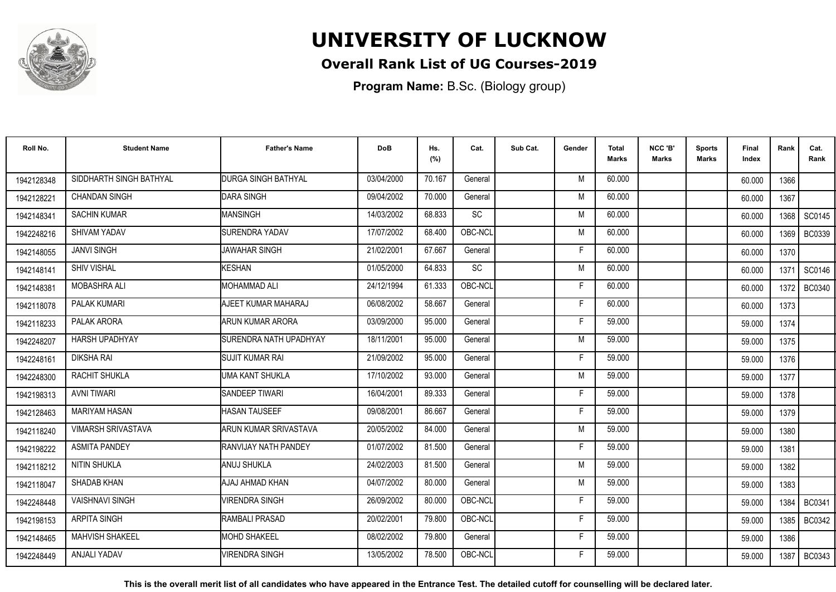

## **Overall Rank List of UG Courses-2019**

**Program Name:** B.Sc. (Biology group)

| Roll No.   | <b>Student Name</b>       | <b>Father's Name</b>          | <b>DoB</b> | Hs.<br>(%) | Cat.      | Sub Cat. | Gender | <b>Total</b><br>Marks | NCC 'B'<br><b>Marks</b> | Sports<br>Marks | Final<br>Index | Rank   | Cat.<br>Rank  |
|------------|---------------------------|-------------------------------|------------|------------|-----------|----------|--------|-----------------------|-------------------------|-----------------|----------------|--------|---------------|
| 1942128348 | SIDDHARTH SINGH BATHYAL   | <b>DURGA SINGH BATHYAL</b>    | 03/04/2000 | 70.167     | General   |          | M      | 60.000                |                         |                 | 60.000         | 1366   |               |
| 1942128221 | <b>CHANDAN SINGH</b>      | <b>DARA SINGH</b>             | 09/04/2002 | 70.000     | General   |          | M      | 60.000                |                         |                 | 60.000         | 1367   |               |
| 1942148341 | <b>SACHIN KUMAR</b>       | MANSINGH                      | 14/03/2002 | 68.833     | <b>SC</b> |          | M      | 60.000                |                         |                 | 60.000         | 1368   | SC0145        |
| 1942248216 | SHIVAM YADAV              | <b>SURENDRA YADAV</b>         | 17/07/2002 | 68.400     | OBC-NCL   |          | M      | 60.000                |                         |                 | 60.000         | 1369   | <b>BC0339</b> |
| 1942148055 | <b>JANVI SINGH</b>        | <b>JAWAHAR SINGH</b>          | 21/02/2001 | 67.667     | General   |          | F      | 60.000                |                         |                 | 60.000         | 1370   |               |
| 1942148141 | <b>SHIV VISHAL</b>        | <b>KESHAN</b>                 | 01/05/2000 | 64.833     | <b>SC</b> |          | M      | 60.000                |                         |                 | 60.000         | 1371   | SC0146        |
| 1942148381 | <b>MOBASHRA ALI</b>       | <b>MOHAMMAD ALI</b>           | 24/12/1994 | 61.333     | OBC-NCL   |          | F      | 60.000                |                         |                 | 60.000         | 1372   | <b>BC0340</b> |
| 1942118078 | PALAK KUMARI              | AJEET KUMAR MAHARAJ           | 06/08/2002 | 58.667     | General   |          | F      | 60.000                |                         |                 | 60.000         | 1373   |               |
| 1942118233 | PALAK ARORA               | ARUN KUMAR ARORA              | 03/09/2000 | 95.000     | General   |          | F      | 59.000                |                         |                 | 59.000         | 1374   |               |
| 1942248207 | <b>HARSH UPADHYAY</b>     | <b>SURENDRA NATH UPADHYAY</b> | 18/11/2001 | 95.000     | General   |          | M      | 59.000                |                         |                 | 59.000         | 1375   |               |
| 1942248161 | DIKSHA RAI                | <b>I</b> SUJIT KUMAR RAI      | 21/09/2002 | 95.000     | General   |          | Е      | 59.000                |                         |                 | 59.000         | 1376   |               |
| 1942248300 | RACHIT SHUKLA             | UMA KANT SHUKLA               | 17/10/2002 | 93.000     | General   |          | M      | 59.000                |                         |                 | 59.000         | 1377   |               |
| 1942198313 | <b>AVNI TIWARI</b>        | SANDEEP TIWARI                | 16/04/2001 | 89.333     | General   |          | F      | 59.000                |                         |                 | 59.000         | 1378   |               |
| 1942128463 | <b>MARIYAM HASAN</b>      | <b>HASAN TAUSEEF</b>          | 09/08/2001 | 86.667     | General   |          | F      | 59.000                |                         |                 | 59.000         | 1379   |               |
| 1942118240 | <b>VIMARSH SRIVASTAVA</b> | ARUN KUMAR SRIVASTAVA         | 20/05/2002 | 84.000     | General   |          | M      | 59.000                |                         |                 | 59.000         | 1380   |               |
| 1942198222 | <b>ASMITA PANDEY</b>      | RANVIJAY NATH PANDEY          | 01/07/2002 | 81.500     | General   |          | F      | 59.000                |                         |                 | 59.000         | 1381   |               |
| 1942118212 | NITIN SHUKLA              | ANUJ SHUKLA                   | 24/02/2003 | 81.500     | General   |          | M      | 59.000                |                         |                 | 59.000         | 1382   |               |
| 1942118047 | SHADAB KHAN               | AJAJ AHMAD KHAN               | 04/07/2002 | 80.000     | General   |          | M      | 59.000                |                         |                 | 59.000         | 1383   |               |
| 1942248448 | <b>VAISHNAVI SINGH</b>    | <b>VIRENDRA SINGH</b>         | 26/09/2002 | 80.000     | OBC-NCL   |          | F      | 59.000                |                         |                 | 59.000         | 1384   | BC0341        |
| 1942198153 | <b>ARPITA SINGH</b>       | RAMBALI PRASAD                | 20/02/2001 | 79.800     | OBC-NCL   |          | F      | 59.000                |                         |                 | 59.000         | 1385 I | <b>BC0342</b> |
| 1942148465 | <b>MAHVISH SHAKEEL</b>    | <b>MOHD SHAKEEL</b>           | 08/02/2002 | 79.800     | General   |          | F      | 59.000                |                         |                 | 59.000         | 1386   |               |
| 1942248449 | ANJALI YADAV              | <b>VIRENDRA SINGH</b>         | 13/05/2002 | 78.500     | OBC-NCL   |          | F      | 59.000                |                         |                 | 59.000         | 1387   | BC0343        |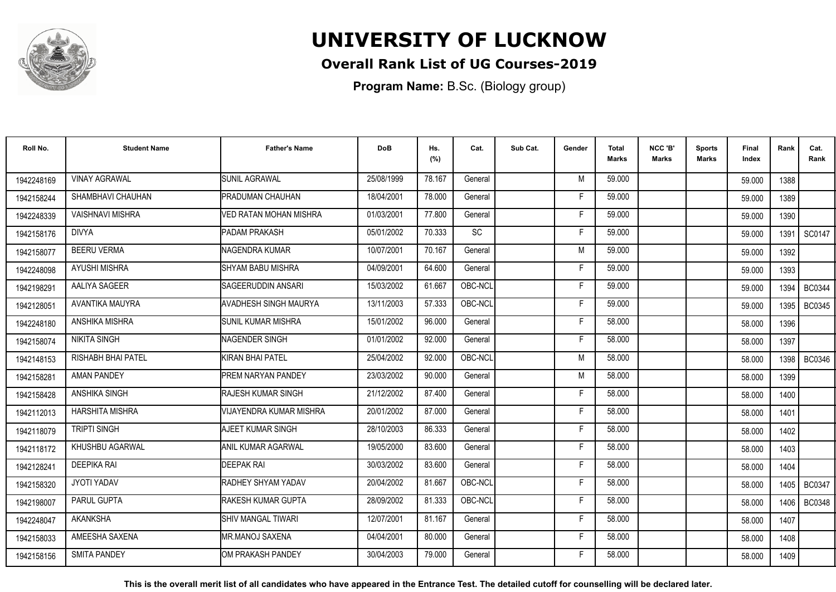

## **Overall Rank List of UG Courses-2019**

**Program Name:** B.Sc. (Biology group)

| Roll No.   | <b>Student Name</b>     | <b>Father's Name</b>           | <b>DoB</b> | Hs.<br>(%) | Cat.      | Sub Cat. | Gender | <b>Total</b><br>Marks | NCC 'B'<br><b>Marks</b> | <b>Sports</b><br>Marks | Final<br>Index | Rank   | Cat.<br>Rank  |
|------------|-------------------------|--------------------------------|------------|------------|-----------|----------|--------|-----------------------|-------------------------|------------------------|----------------|--------|---------------|
| 1942248169 | <b>VINAY AGRAWAL</b>    | <b>SUNIL AGRAWAL</b>           | 25/08/1999 | 78.167     | General   |          | M      | 59.000                |                         |                        | 59.000         | 1388   |               |
| 1942158244 | SHAMBHAVI CHAUHAN       | PRADUMAN CHAUHAN               | 18/04/2001 | 78.000     | General   |          | Е      | 59.000                |                         |                        | 59.000         | 1389   |               |
| 1942248339 | <b>VAISHNAVI MISHRA</b> | VED RATAN MOHAN MISHRA         | 01/03/2001 | 77.800     | General   |          | F      | 59.000                |                         |                        | 59.000         | 1390   |               |
| 1942158176 | <b>DIVYA</b>            | PADAM PRAKASH                  | 05/01/2002 | 70.333     | <b>SC</b> |          | F      | 59.000                |                         |                        | 59.000         | 1391   | SC0147        |
| 1942158077 | <b>BEERU VERMA</b>      | INAGENDRA KUMAR                | 10/07/2001 | 70.167     | General   |          | M      | 59.000                |                         |                        | 59.000         | 1392   |               |
| 1942248098 | <b>AYUSHI MISHRA</b>    | SHYAM BABU MISHRA              | 04/09/2001 | 64.600     | General   |          | Е      | 59.000                |                         |                        | 59.000         | 1393   |               |
| 1942198291 | AALIYA SAGEER           | SAGEERUDDIN ANSARI             | 15/03/2002 | 61.667     | OBC-NCL   |          | F      | 59.000                |                         |                        | 59.000         | 1394   | <b>BC0344</b> |
| 1942128051 | AVANTIKA MAUYRA         | <b>AVADHESH SINGH MAURYA</b>   | 13/11/2003 | 57.333     | OBC-NCL   |          | F      | 59.000                |                         |                        | 59.000         | 1395   | <b>BC0345</b> |
| 1942248180 | ANSHIKA MISHRA          | ISUNIL KUMAR MISHRA            | 15/01/2002 | 96.000     | General   |          | F      | 58.000                |                         |                        | 58.000         | 1396   |               |
| 1942158074 | <b>NIKITA SINGH</b>     | NAGENDER SINGH                 | 01/01/2002 | 92.000     | General   |          | F      | 58.000                |                         |                        | 58.000         | 1397   |               |
| 1942148153 | RISHABH BHAI PATEL      | KIRAN BHAI PATEL               | 25/04/2002 | 92.000     | OBC-NCL   |          | M      | 58.000                |                         |                        | 58.000         | 1398   | <b>BC0346</b> |
| 1942158281 | <b>AMAN PANDEY</b>      | <b>PREM NARYAN PANDEY</b>      | 23/03/2002 | 90.000     | General   |          | M      | 58.000                |                         |                        | 58.000         | 1399   |               |
| 1942158428 | ANSHIKA SINGH           | <b>RAJESH KUMAR SINGH</b>      | 21/12/2002 | 87.400     | General   |          | F      | 58.000                |                         |                        | 58.000         | 1400   |               |
| 1942112013 | <b>HARSHITA MISHRA</b>  | <b>VIJAYENDRA KUMAR MISHRA</b> | 20/01/2002 | 87.000     | General   |          | F      | 58.000                |                         |                        | 58.000         | 1401   |               |
| 1942118079 | <b>TRIPTI SINGH</b>     | AJEET KUMAR SINGH              | 28/10/2003 | 86.333     | General   |          | F      | 58.000                |                         |                        | 58.000         | 1402   |               |
| 1942118172 | KHUSHBU AGARWAL         | ANIL KUMAR AGARWAL             | 19/05/2000 | 83.600     | General   |          | F      | 58.000                |                         |                        | 58.000         | 1403   |               |
| 1942128241 | <b>DEEPIKA RAI</b>      | <b>DEEPAK RAI</b>              | 30/03/2002 | 83.600     | General   |          | F.     | 58.000                |                         |                        | 58.000         | 1404   |               |
| 1942158320 | JYOTI YADAV             | <b>RADHEY SHYAM YADAV</b>      | 20/04/2002 | 81.667     | OBC-NCL   |          | F      | 58.000                |                         |                        | 58.000         | 1405 l | <b>BC0347</b> |
| 1942198007 | PARUL GUPTA             | RAKESH KUMAR GUPTA             | 28/09/2002 | 81.333     | OBC-NCL   |          | F.     | 58.000                |                         |                        | 58.000         | 1406 l | <b>BC0348</b> |
| 1942248047 | <b>AKANKSHA</b>         | <b>SHIV MANGAL TIWARI</b>      | 12/07/2001 | 81.167     | General   |          | F      | 58.000                |                         |                        | 58.000         | 1407   |               |
| 1942158033 | AMEESHA SAXENA          | IMR.MANOJ SAXENA               | 04/04/2001 | 80.000     | General   |          | F.     | 58.000                |                         |                        | 58.000         | 1408   |               |
| 1942158156 | <b>SMITA PANDEY</b>     | <b>IOM PRAKASH PANDEY</b>      | 30/04/2003 | 79.000     | General   |          | F      | 58.000                |                         |                        | 58.000         | 1409   |               |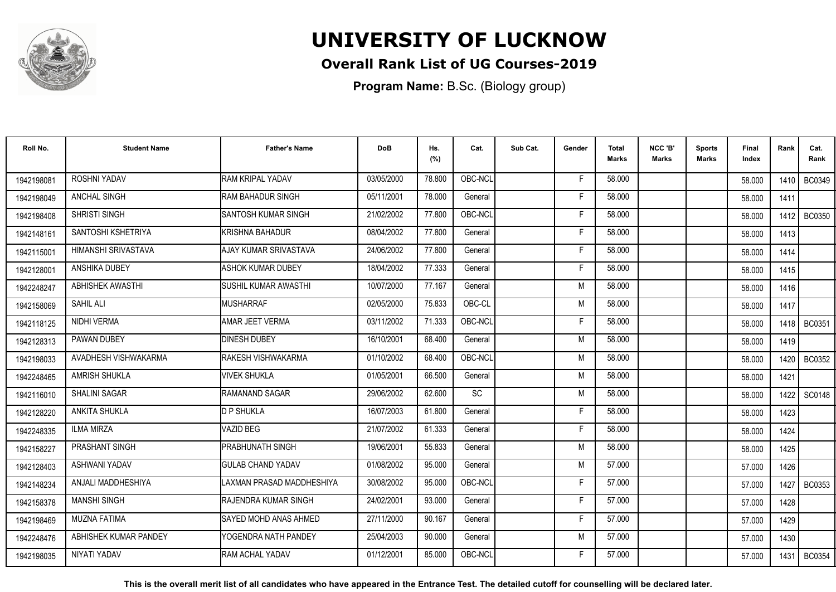

## **Overall Rank List of UG Courses-2019**

**Program Name:** B.Sc. (Biology group)

| Roll No.   | <b>Student Name</b>   | <b>Father's Name</b>          | <b>DoB</b> | Hs.<br>(%) | Cat.    | Sub Cat. | Gender | <b>Total</b><br><b>Marks</b> | NCC 'B'<br>Marks | <b>Sports</b><br>Marks | <b>Final</b><br>Index | Rank   | Cat.<br>Rank  |
|------------|-----------------------|-------------------------------|------------|------------|---------|----------|--------|------------------------------|------------------|------------------------|-----------------------|--------|---------------|
| 1942198081 | ROSHNI YADAV          | <b>RAM KRIPAL YADAV</b>       | 03/05/2000 | 78.800     | OBC-NCL |          | F      | 58.000                       |                  |                        | 58.000                | 1410   | BC0349        |
| 1942198049 | ANCHAL SINGH          | <b>RAM BAHADUR SINGH</b>      | 05/11/2001 | 78.000     | General |          | F      | 58.000                       |                  |                        | 58.000                | 1411   |               |
| 1942198408 | SHRISTI SINGH         | <b>I</b> SANTOSH KUMAR SINGH  | 21/02/2002 | 77.800     | OBC-NCL |          | Е      | 58.000                       |                  |                        | 58.000                | 1412 l | <b>BC0350</b> |
| 1942148161 | SANTOSHI KSHETRIYA    | <b>I</b> KRISHNA BAHADUR      | 08/04/2002 | 77.800     | General |          | F      | 58.000                       |                  |                        | 58.000                | 1413   |               |
| 1942115001 | HIMANSHI SRIVASTAVA   | AJAY KUMAR SRIVASTAVA         | 24/06/2002 | 77.800     | General |          | F      | 58.000                       |                  |                        | 58.000                | 1414   |               |
| 1942128001 | <b>ANSHIKA DUBEY</b>  | ASHOK KUMAR DUBEY             | 18/04/2002 | 77.333     | General |          | F      | 58.000                       |                  |                        | 58.000                | 1415   |               |
| 1942248247 | ABHISHEK AWASTHI      | SUSHIL KUMAR AWASTHI          | 10/07/2000 | 77.167     | General |          | M      | 58.000                       |                  |                        | 58.000                | 1416   |               |
| 1942158069 | SAHIL ALI             | MUSHARRAF                     | 02/05/2000 | 75.833     | OBC-CL  |          | M      | 58.000                       |                  |                        | 58.000                | 1417   |               |
| 1942118125 | NIDHI VERMA           | AMAR JEET VERMA               | 03/11/2002 | 71.333     | OBC-NCL |          | F      | 58.000                       |                  |                        | 58.000                |        | 1418   BC0351 |
| 1942128313 | PAWAN DUBEY           | <b>DINESH DUBEY</b>           | 16/10/2001 | 68.400     | General |          | M      | 58.000                       |                  |                        | 58.000                | 1419   |               |
| 1942198033 | AVADHESH VISHWAKARMA  | <b>RAKESH VISHWAKARMA</b>     | 01/10/2002 | 68.400     | OBC-NCL |          | M      | 58.000                       |                  |                        | 58.000                | 1420   | <b>BC0352</b> |
| 1942248465 | <b>AMRISH SHUKLA</b>  | <b>VIVEK SHUKLA</b>           | 01/05/2001 | 66.500     | General |          | M      | 58.000                       |                  |                        | 58.000                | 1421   |               |
| 1942116010 | <b>SHALINI SAGAR</b>  | RAMANAND SAGAR                | 29/06/2002 | 62.600     | SC      |          | M      | 58.000                       |                  |                        | 58.000                | 1422   | <b>SC0148</b> |
| 1942128220 | ANKITA SHUKLA         | <b>D P SHUKLA</b>             | 16/07/2003 | 61.800     | General |          | F      | 58.000                       |                  |                        | 58.000                | 1423   |               |
| 1942248335 | <b>ILMA MIRZA</b>     | VAZID BEG                     | 21/07/2002 | 61.333     | General |          | F      | 58.000                       |                  |                        | 58.000                | 1424   |               |
| 1942158227 | PRASHANT SINGH        | <b>PRABHUNATH SINGH</b>       | 19/06/2001 | 55.833     | General |          | M      | 58.000                       |                  |                        | 58.000                | 1425   |               |
| 1942128403 | ASHWANI YADAV         | <b>GULAB CHAND YADAV</b>      | 01/08/2002 | 95.000     | General |          | M      | 57.000                       |                  |                        | 57.000                | 1426   |               |
| 1942148234 | ANJALI MADDHESHIYA    | LAXMAN PRASAD MADDHESHIYA     | 30/08/2002 | 95.000     | OBC-NCL |          | F      | 57.000                       |                  |                        | 57.000                | 1427   | <b>BC0353</b> |
| 1942158378 | <b>MANSHI SINGH</b>   | <b>RAJENDRA KUMAR SINGH</b>   | 24/02/2001 | 93.000     | General |          | F      | 57.000                       |                  |                        | 57.000                | 1428   |               |
| 1942198469 | <b>MUZNA FATIMA</b>   | <b>ISAYED MOHD ANAS AHMED</b> | 27/11/2000 | 90.167     | General |          | F      | 57.000                       |                  |                        | 57.000                | 1429   |               |
| 1942248476 | ABHISHEK KUMAR PANDEY | YOGENDRA NATH PANDEY          | 25/04/2003 | 90.000     | General |          | M      | 57.000                       |                  |                        | 57.000                | 1430   |               |
| 1942198035 | NIYATI YADAV          | <b>RAM ACHAL YADAV</b>        | 01/12/2001 | 85.000     | OBC-NCL |          | F      | 57.000                       |                  |                        | 57.000                | 1431   | <b>BC0354</b> |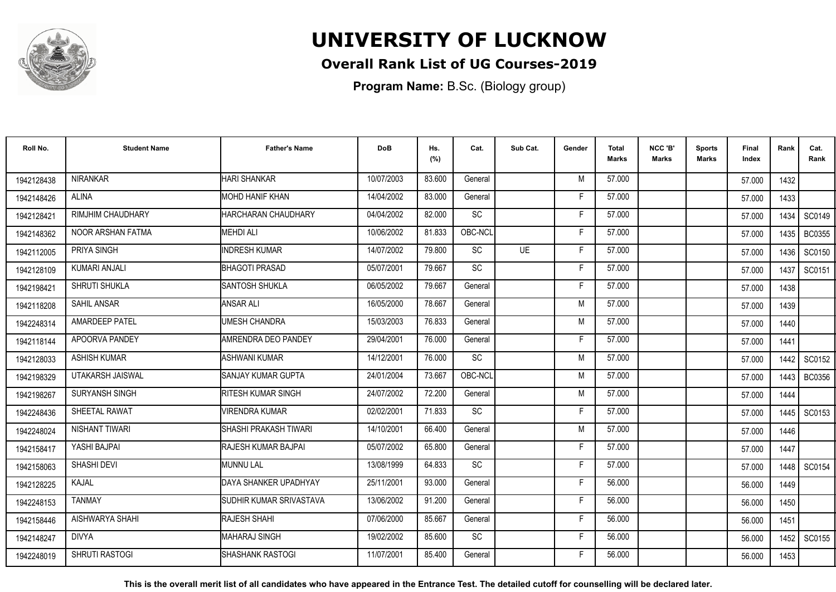

## **Overall Rank List of UG Courses-2019**

**Program Name:** B.Sc. (Biology group)

| Roll No.   | <b>Student Name</b>      | <b>Father's Name</b>      | <b>DoB</b> | Hs.<br>(%) | Cat.      | Sub Cat.  | Gender | <b>Total</b><br><b>Marks</b> | NCC 'B'<br><b>Marks</b> | <b>Sports</b><br>Marks | Final<br>Index | Rank   | Cat.<br>Rank  |
|------------|--------------------------|---------------------------|------------|------------|-----------|-----------|--------|------------------------------|-------------------------|------------------------|----------------|--------|---------------|
| 1942128438 | <b>NIRANKAR</b>          | <b>HARI SHANKAR</b>       | 10/07/2003 | 83.600     | General   |           | M      | 57.000                       |                         |                        | 57.000         | 1432   |               |
| 1942148426 | <b>ALINA</b>             | <b>MOHD HANIF KHAN</b>    | 14/04/2002 | 83.000     | General   |           | Е      | 57.000                       |                         |                        | 57.000         | 1433   |               |
| 1942128421 | RIMJHIM CHAUDHARY        | HARCHARAN CHAUDHARY       | 04/04/2002 | 82.000     | <b>SC</b> |           | F      | 57.000                       |                         |                        | 57.000         | 1434   | SC0149        |
| 1942148362 | <b>NOOR ARSHAN FATMA</b> | <b>MEHDI ALI</b>          | 10/06/2002 | 81.833     | OBC-NCL   |           | F      | 57.000                       |                         |                        | 57.000         | 1435   | <b>BC0355</b> |
| 1942112005 | PRIYA SINGH              | <b>INDRESH KUMAR</b>      | 14/07/2002 | 79.800     | <b>SC</b> | <b>UE</b> | F.     | 57.000                       |                         |                        | 57.000         | 1436   | SC0150        |
| 1942128109 | <b>KUMARI ANJALI</b>     | <b>BHAGOTI PRASAD</b>     | 05/07/2001 | 79.667     | <b>SC</b> |           | F      | 57.000                       |                         |                        | 57.000         | 1437   | SC0151        |
| 1942198421 | SHRUTI SHUKLA            | ISANTOSH SHUKLA           | 06/05/2002 | 79.667     | General   |           | F      | 57.000                       |                         |                        | 57.000         | 1438   |               |
| 1942118208 | SAHIL ANSAR              | <b>ANSAR ALI</b>          | 16/05/2000 | 78.667     | General   |           | M      | 57.000                       |                         |                        | 57.000         | 1439   |               |
| 1942248314 | <b>AMARDEEP PATEL</b>    | <b>UMESH CHANDRA</b>      | 15/03/2003 | 76.833     | General   |           | M      | 57.000                       |                         |                        | 57.000         | 1440   |               |
| 1942118144 | APOORVA PANDEY           | AMRENDRA DEO PANDEY       | 29/04/2001 | 76.000     | General   |           | F      | 57.000                       |                         |                        | 57.000         | 1441   |               |
| 1942128033 | <b>ASHISH KUMAR</b>      | ASHWANI KUMAR             | 14/12/2001 | 76.000     | <b>SC</b> |           | M      | 57.000                       |                         |                        | 57.000         | 1442   | SC0152        |
| 1942198329 | UTAKARSH JAISWAL         | SANJAY KUMAR GUPTA        | 24/01/2004 | 73.667     | OBC-NCL   |           | M      | 57.000                       |                         |                        | 57.000         | 1443   | <b>BC0356</b> |
| 1942198267 | SURYANSH SINGH           | <b>RITESH KUMAR SINGH</b> | 24/07/2002 | 72.200     | General   |           | M      | 57.000                       |                         |                        | 57.000         | 1444   |               |
| 1942248436 | SHEETAL RAWAT            | <b>VIRENDRA KUMAR</b>     | 02/02/2001 | 71.833     | SC        |           | F      | 57.000                       |                         |                        | 57.000         | 1445   | SC0153        |
| 1942248024 | NISHANT TIWARI           | ISHASHI PRAKASH TIWARI    | 14/10/2001 | 66.400     | General   |           | M      | 57.000                       |                         |                        | 57.000         | 1446   |               |
| 1942158417 | YASHI BAJPAI             | RAJESH KUMAR BAJPAI       | 05/07/2002 | 65.800     | General   |           | F      | 57.000                       |                         |                        | 57.000         | 1447   |               |
| 1942158063 | <b>SHASHI DEVI</b>       | MUNNU LAL                 | 13/08/1999 | 64.833     | <b>SC</b> |           | F      | 57.000                       |                         |                        | 57.000         | 1448 I | SC0154        |
| 1942128225 | KAJAL                    | DAYA SHANKER UPADHYAY     | 25/11/2001 | 93.000     | General   |           | F      | 56.000                       |                         |                        | 56.000         | 1449   |               |
| 1942248153 | <b>TANMAY</b>            | SUDHIR KUMAR SRIVASTAVA   | 13/06/2002 | 91.200     | General   |           | F      | 56.000                       |                         |                        | 56.000         | 1450   |               |
| 1942158446 | AISHWARYA SHAHI          | RAJESH SHAHI              | 07/06/2000 | 85.667     | General   |           | F.     | 56.000                       |                         |                        | 56.000         | 1451   |               |
| 1942148247 | <b>DIVYA</b>             | MAHARAJ SINGH             | 19/02/2002 | 85.600     | <b>SC</b> |           | F.     | 56.000                       |                         |                        | 56.000         | 1452   | SC0155        |
| 1942248019 | <b>SHRUTI RASTOGI</b>    | ISHASHANK RASTOGI         | 11/07/2001 | 85.400     | General   |           | Е      | 56.000                       |                         |                        | 56.000         | 1453   |               |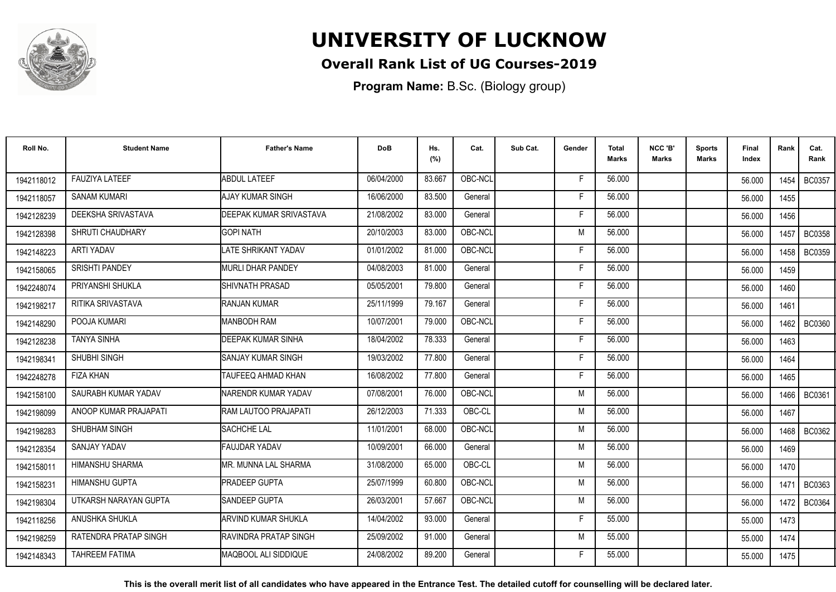

## **Overall Rank List of UG Courses-2019**

**Program Name:** B.Sc. (Biology group)

| Roll No.   | <b>Student Name</b>     | <b>Father's Name</b>             | <b>DoB</b> | Hs.<br>(%) | Cat.    | Sub Cat. | Gender | <b>Total</b><br><b>Marks</b> | NCC 'B'<br><b>Marks</b> | <b>Sports</b><br><b>Marks</b> | Final<br>Index | Rank   | Cat.<br>Rank  |
|------------|-------------------------|----------------------------------|------------|------------|---------|----------|--------|------------------------------|-------------------------|-------------------------------|----------------|--------|---------------|
| 1942118012 | <b>FAUZIYA LATEEF</b>   | <b>ABDUL LATEEF</b>              | 06/04/2000 | 83.667     | OBC-NCL |          | F.     | 56.000                       |                         |                               | 56.000         | 1454   | <b>BC0357</b> |
| 1942118057 | <b>SANAM KUMARI</b>     | <b>AJAY KUMAR SINGH</b>          | 16/06/2000 | 83.500     | General |          | F.     | 56.000                       |                         |                               | 56.000         | 1455   |               |
| 1942128239 | DEEKSHA SRIVASTAVA      | <b>I</b> DEEPAK KUMAR SRIVASTAVA | 21/08/2002 | 83.000     | General |          | F      | 56.000                       |                         |                               | 56.000         | 1456   |               |
| 1942128398 | <b>SHRUTI CHAUDHARY</b> | <b>GOPI NATH</b>                 | 20/10/2003 | 83.000     | OBC-NCL |          | M      | 56.000                       |                         |                               | 56.000         | 1457   | <b>BC0358</b> |
| 1942148223 | <b>ARTI YADAV</b>       | LATE SHRIKANT YADAV              | 01/01/2002 | 81.000     | OBC-NCL |          | F      | 56.000                       |                         |                               | 56.000         | 1458   | <b>BC0359</b> |
| 1942158065 | <b>SRISHTI PANDEY</b>   | <b>I</b> MURLI DHAR PANDEY       | 04/08/2003 | 81.000     | General |          | E      | 56.000                       |                         |                               | 56.000         | 1459   |               |
| 1942248074 | PRIYANSHI SHUKLA        | <b>ISHIVNATH PRASAD</b>          | 05/05/2001 | 79.800     | General |          | F      | 56.000                       |                         |                               | 56.000         | 1460   |               |
| 1942198217 | RITIKA SRIVASTAVA       | RANJAN KUMAR                     | 25/11/1999 | 79.167     | General |          | F      | 56.000                       |                         |                               | 56.000         | 1461   |               |
| 1942148290 | POOJA KUMARI            | <b>MANBODH RAM</b>               | 10/07/2001 | 79.000     | OBC-NCL |          | F      | 56.000                       |                         |                               | 56.000         | 1462 l | <b>BC0360</b> |
| 1942128238 | <b>TANYA SINHA</b>      | <b>DEEPAK KUMAR SINHA</b>        | 18/04/2002 | 78.333     | General |          | F      | 56.000                       |                         |                               | 56.000         | 1463   |               |
| 1942198341 | SHUBHI SINGH            | ISANJAY KUMAR SINGH              | 19/03/2002 | 77.800     | General |          | F      | 56.000                       |                         |                               | 56.000         | 1464   |               |
| 1942248278 | <b>FIZA KHAN</b>        | <b>TAUFEEQ AHMAD KHAN</b>        | 16/08/2002 | 77.800     | General |          | F      | 56.000                       |                         |                               | 56.000         | 1465   |               |
| 1942158100 | SAURABH KUMAR YADAV     | NARENDR KUMAR YADAV              | 07/08/2001 | 76.000     | OBC-NCL |          | M      | 56.000                       |                         |                               | 56.000         | 1466   | <b>BC0361</b> |
| 1942198099 | ANOOP KUMAR PRAJAPATI   | RAM LAUTOO PRAJAPATI             | 26/12/2003 | 71.333     | OBC-CL  |          | M      | 56.000                       |                         |                               | 56.000         | 1467   |               |
| 1942198283 | <b>SHUBHAM SINGH</b>    | <b>SACHCHE LAL</b>               | 11/01/2001 | 68.000     | OBC-NCL |          | M      | 56.000                       |                         |                               | 56.000         | 1468   | <b>BC0362</b> |
| 1942128354 | SANJAY YADAV            | <b>FAUJDAR YADAV</b>             | 10/09/2001 | 66.000     | General |          | M      | 56.000                       |                         |                               | 56.000         | 1469   |               |
| 1942158011 | <b>HIMANSHU SHARMA</b>  | IMR. MUNNA LAL SHARMA            | 31/08/2000 | 65.000     | OBC-CL  |          | M      | 56.000                       |                         |                               | 56.000         | 1470   |               |
| 1942158231 | HIMANSHU GUPTA          | <b>PRADEEP GUPTA</b>             | 25/07/1999 | 60.800     | OBC-NCL |          | M      | 56.000                       |                         |                               | 56.000         | 1471   | BC0363        |
| 1942198304 | UTKARSH NARAYAN GUPTA   | <b>SANDEEP GUPTA</b>             | 26/03/2001 | 57.667     | OBC-NCL |          | M      | 56.000                       |                         |                               | 56.000         | 1472   | <b>BC0364</b> |
| 1942118256 | ANUSHKA SHUKLA          | <b>ARVIND KUMAR SHUKLA</b>       | 14/04/2002 | 93.000     | General |          | F      | 55.000                       |                         |                               | 55.000         | 1473   |               |
| 1942198259 | RATENDRA PRATAP SINGH   | <b>RAVINDRA PRATAP SINGH</b>     | 25/09/2002 | 91.000     | General |          | M      | 55.000                       |                         |                               | 55.000         | 1474   |               |
| 1942148343 | <b>TAHREEM FATIMA</b>   | MAQBOOL ALI SIDDIQUE             | 24/08/2002 | 89.200     | General |          | F      | 55.000                       |                         |                               | 55.000         | 1475   |               |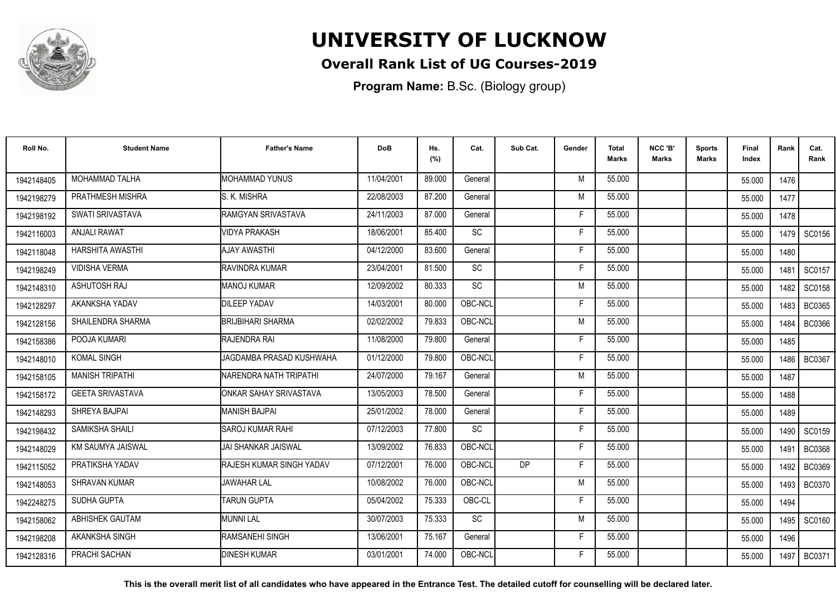

## **Overall Rank List of UG Courses-2019**

**Program Name:** B.Sc. (Biology group)

| Roll No.   | <b>Student Name</b>      | <b>Father's Name</b>     | <b>DoB</b> | Hs.<br>(%) | Cat.      | Sub Cat.  | Gender | Total<br><b>Marks</b> | NCC 'B'<br><b>Marks</b> | <b>Sports</b><br>Marks | Final<br>Index | Rank   | Cat.<br>Rank  |
|------------|--------------------------|--------------------------|------------|------------|-----------|-----------|--------|-----------------------|-------------------------|------------------------|----------------|--------|---------------|
| 1942148405 | MOHAMMAD TALHA           | MOHAMMAD YUNUS           | 11/04/2001 | 89.000     | General   |           | M      | 55.000                |                         |                        | 55.000         | 1476   |               |
| 1942198279 | PRATHMESH MISHRA         | S. K. MISHRA             | 22/08/2003 | 87.200     | General   |           | M      | 55.000                |                         |                        | 55.000         | 1477   |               |
| 1942198192 | SWATI SRIVASTAVA         | RAMGYAN SRIVASTAVA       | 24/11/2003 | 87.000     | General   |           | F      | 55.000                |                         |                        | 55.000         | 1478   |               |
| 1942116003 | <b>ANJALI RAWAT</b>      | <b>VIDYA PRAKASH</b>     | 18/06/2001 | 85.400     | <b>SC</b> |           | F      | 55.000                |                         |                        | 55.000         | 1479 I | SC0156        |
| 1942118048 | HARSHITA AWASTHI         | <b>AJAY AWASTHI</b>      | 04/12/2000 | 83.600     | General   |           | F      | 55.000                |                         |                        | 55.000         | 1480   |               |
| 1942198249 | <b>VIDISHA VERMA</b>     | <b>RAVINDRA KUMAR</b>    | 23/04/2001 | 81.500     | SC        |           | F      | 55.000                |                         |                        | 55.000         | 1481   | SC0157        |
| 1942148310 | <b>ASHUTOSH RAJ</b>      | <b>MANOJ KUMAR</b>       | 12/09/2002 | 80.333     | SC        |           | M      | 55.000                |                         |                        | 55.000         | 1482   | SC0158        |
| 1942128297 | AKANKSHA YADAV           | <b>DILEEP YADAV</b>      | 14/03/2001 | 80.000     | OBC-NCL   |           | F      | 55.000                |                         |                        | 55.000         | 1483   | <b>BC0365</b> |
| 1942128156 | <b>SHAILENDRA SHARMA</b> | BRIJBIHARI SHARMA        | 02/02/2002 | 79.833     | OBC-NCL   |           | M      | 55.000                |                         |                        | 55.000         | 1484   | <b>BC0366</b> |
| 1942158386 | POOJA KUMARI             | RAJENDRA RAI             | 11/08/2000 | 79.800     | General   |           | F      | 55.000                |                         |                        | 55.000         | 1485   |               |
| 1942148010 | <b>KOMAL SINGH</b>       | JAGDAMBA PRASAD KUSHWAHA | 01/12/2000 | 79.800     | OBC-NCL   |           | F      | 55.000                |                         |                        | 55.000         | 1486   | <b>BC0367</b> |
| 1942158105 | <b>MANISH TRIPATHI</b>   | NARENDRA NATH TRIPATHI   | 24/07/2000 | 79.167     | General   |           | M      | 55.000                |                         |                        | 55.000         | 1487   |               |
| 1942158172 | <b>GEETA SRIVASTAVA</b>  | ONKAR SAHAY SRIVASTAVA   | 13/05/2003 | 78.500     | General   |           | Е      | 55.000                |                         |                        | 55.000         | 1488   |               |
| 1942148293 | SHREYA BAJPAI            | <b>MANISH BAJPAI</b>     | 25/01/2002 | 78.000     | General   |           | F      | 55.000                |                         |                        | 55.000         | 1489   |               |
| 1942198432 | SAMIKSHA SHAILI          | ISAROJ KUMAR RAHI        | 07/12/2003 | 77.800     | <b>SC</b> |           | F      | 55.000                |                         |                        | 55.000         | 1490 I | SC0159        |
| 1942148029 | KM SAUMYA JAISWAL        | IJAI SHANKAR JAISWAL     | 13/09/2002 | 76.833     | OBC-NCL   |           | F.     | 55.000                |                         |                        | 55.000         | 1491   | <b>BC0368</b> |
| 1942115052 | PRATIKSHA YADAV          | RAJESH KUMAR SINGH YADAV | 07/12/2001 | 76.000     | OBC-NCL   | <b>DP</b> | F      | 55.000                |                         |                        | 55.000         | 1492   | <b>BC0369</b> |
| 1942148053 | SHRAVAN KUMAR            | <b>JAWAHAR LAL</b>       | 10/08/2002 | 76.000     | OBC-NCL   |           | M      | 55.000                |                         |                        | 55.000         | 1493 I | BC0370        |
| 1942248275 | SUDHA GUPTA              | <b>TARUN GUPTA</b>       | 05/04/2002 | 75.333     | OBC-CL    |           | F      | 55.000                |                         |                        | 55.000         | 1494   |               |
| 1942158062 | <b>ABHISHEK GAUTAM</b>   | <b>MUNNI LAL</b>         | 30/07/2003 | 75.333     | <b>SC</b> |           | M      | 55.000                |                         |                        | 55.000         | 1495   | SC0160        |
| 1942198208 | AKANKSHA SINGH           | RAMSANEHI SINGH          | 13/06/2001 | 75.167     | General   |           | F.     | 55.000                |                         |                        | 55.000         | 1496   |               |
| 1942128316 | PRACHI SACHAN            | <b>DINESH KUMAR</b>      | 03/01/2001 | 74.000     | OBC-NCL   |           | F      | 55.000                |                         |                        | 55.000         | 1497   | <b>BC0371</b> |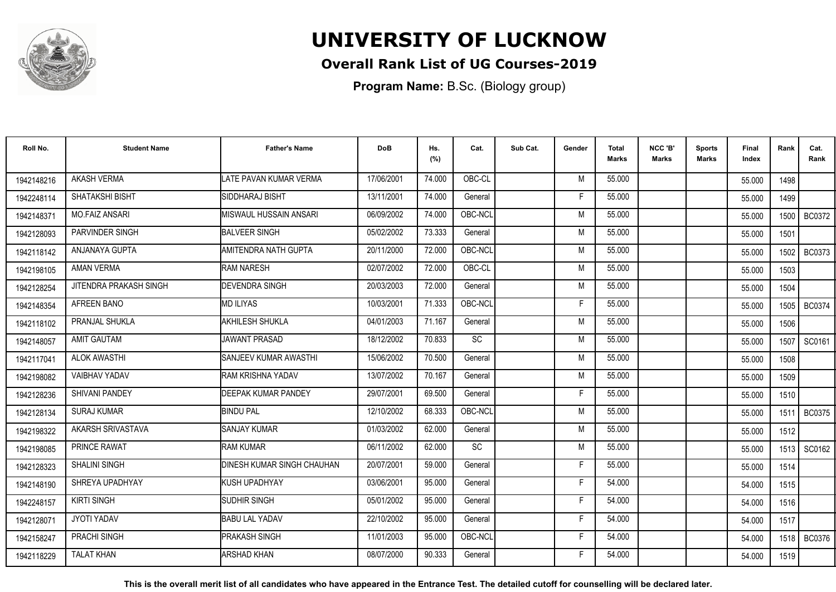

## **Overall Rank List of UG Courses-2019**

**Program Name:** B.Sc. (Biology group)

| Roll No.   | <b>Student Name</b>    | <b>Father's Name</b>              | <b>DoB</b> | Hs.<br>(%) | Cat.      | Sub Cat. | Gender | <b>Total</b><br><b>Marks</b> | NCC 'B'<br><b>Marks</b> | <b>Sports</b><br>Marks | Final<br>Index | Rank | Cat.<br>Rank  |
|------------|------------------------|-----------------------------------|------------|------------|-----------|----------|--------|------------------------------|-------------------------|------------------------|----------------|------|---------------|
| 1942148216 | <b>AKASH VERMA</b>     | LATE PAVAN KUMAR VERMA            | 17/06/2001 | 74.000     | OBC-CL    |          | M      | 55.000                       |                         |                        | 55.000         | 1498 |               |
| 1942248114 | SHATAKSHI BISHT        | SIDDHARAJ BISHT                   | 13/11/2001 | 74.000     | General   |          | Е      | 55.000                       |                         |                        | 55.000         | 1499 |               |
| 1942148371 | <b>MO.FAIZ ANSARI</b>  | <b>IMISWAUL HUSSAIN ANSARI</b>    | 06/09/2002 | 74.000     | OBC-NCL   |          | M      | 55.000                       |                         |                        | 55.000         | 1500 | <b>BC0372</b> |
| 1942128093 | <b>PARVINDER SINGH</b> | <b>BALVEER SINGH</b>              | 05/02/2002 | 73.333     | General   |          | M      | 55.000                       |                         |                        | 55.000         | 1501 |               |
| 1942118142 | ANJANAYA GUPTA         | AMITENDRA NATH GUPTA              | 20/11/2000 | 72.000     | OBC-NCL   |          | M      | 55.000                       |                         |                        | 55.000         | 1502 | <b>BC0373</b> |
| 1942198105 | <b>AMAN VERMA</b>      | <b>RAM NARESH</b>                 | 02/07/2002 | 72.000     | OBC-CL    |          | M      | 55.000                       |                         |                        | 55.000         | 1503 |               |
| 1942128254 | JITENDRA PRAKASH SINGH | <b>DEVENDRA SINGH</b>             | 20/03/2003 | 72.000     | General   |          | M      | 55.000                       |                         |                        | 55.000         | 1504 |               |
| 1942148354 | AFREEN BANO            | MD ILIYAS                         | 10/03/2001 | 71.333     | OBC-NCL   |          | F      | 55.000                       |                         |                        | 55.000         |      | 1505   BC0374 |
| 1942118102 | PRANJAL SHUKLA         | AKHILESH SHUKLA                   | 04/01/2003 | 71.167     | General   |          | M      | 55.000                       |                         |                        | 55.000         | 1506 |               |
| 1942148057 | <b>AMIT GAUTAM</b>     | JAWANT PRASAD                     | 18/12/2002 | 70.833     | <b>SC</b> |          | M      | 55.000                       |                         |                        | 55.000         | 1507 | SC0161        |
| 1942117041 | <b>ALOK AWASTHI</b>    | <b>ISANJEEV KUMAR AWASTHI</b>     | 15/06/2002 | 70.500     | General   |          | M      | 55.000                       |                         |                        | 55.000         | 1508 |               |
| 1942198082 | <b>VAIBHAV YADAV</b>   | RAM KRISHNA YADAV                 | 13/07/2002 | 70.167     | General   |          | M      | 55.000                       |                         |                        | 55.000         | 1509 |               |
| 1942128236 | SHIVANI PANDEY         | <b>DEEPAK KUMAR PANDEY</b>        | 29/07/2001 | 69.500     | General   |          | Е      | 55.000                       |                         |                        | 55.000         | 1510 |               |
| 1942128134 | <b>SURAJ KUMAR</b>     | <b>BINDU PAL</b>                  | 12/10/2002 | 68.333     | OBC-NCL   |          | M      | 55.000                       |                         |                        | 55.000         | 1511 | <b>BC0375</b> |
| 1942198322 | AKARSH SRIVASTAVA      | <b>I</b> SANJAY KUMAR             | 01/03/2002 | 62.000     | General   |          | M      | 55.000                       |                         |                        | 55.000         | 1512 |               |
| 1942198085 | <b>PRINCE RAWAT</b>    | <b>I</b> RAM KUMAR                | 06/11/2002 | 62.000     | <b>SC</b> |          | M      | 55.000                       |                         |                        | 55.000         | 1513 | SC0162        |
| 1942128323 | <b>SHALINI SINGH</b>   | <b>DINESH KUMAR SINGH CHAUHAN</b> | 20/07/2001 | 59.000     | General   |          | F      | 55.000                       |                         |                        | 55.000         | 1514 |               |
| 1942148190 | SHREYA UPADHYAY        | KUSH UPADHYAY                     | 03/06/2001 | 95.000     | General   |          | F      | 54.000                       |                         |                        | 54.000         | 1515 |               |
| 1942248157 | <b>KIRTI SINGH</b>     | SUDHIR SINGH                      | 05/01/2002 | 95.000     | General   |          | F      | 54.000                       |                         |                        | 54.000         | 1516 |               |
| 1942128071 | <b>JYOTI YADAV</b>     | <b>BABU LAL YADAV</b>             | 22/10/2002 | 95.000     | General   |          | F      | 54.000                       |                         |                        | 54.000         | 1517 |               |
| 1942158247 | <b>PRACHI SINGH</b>    | <b>PRAKASH SINGH</b>              | 11/01/2003 | 95.000     | OBC-NCL   |          | F      | 54.000                       |                         |                        | 54.000         | 1518 | <b>BC0376</b> |
| 1942118229 | <b>TALAT KHAN</b>      | <b>ARSHAD KHAN</b>                | 08/07/2000 | 90.333     | General   |          | F      | 54.000                       |                         |                        | 54.000         | 1519 |               |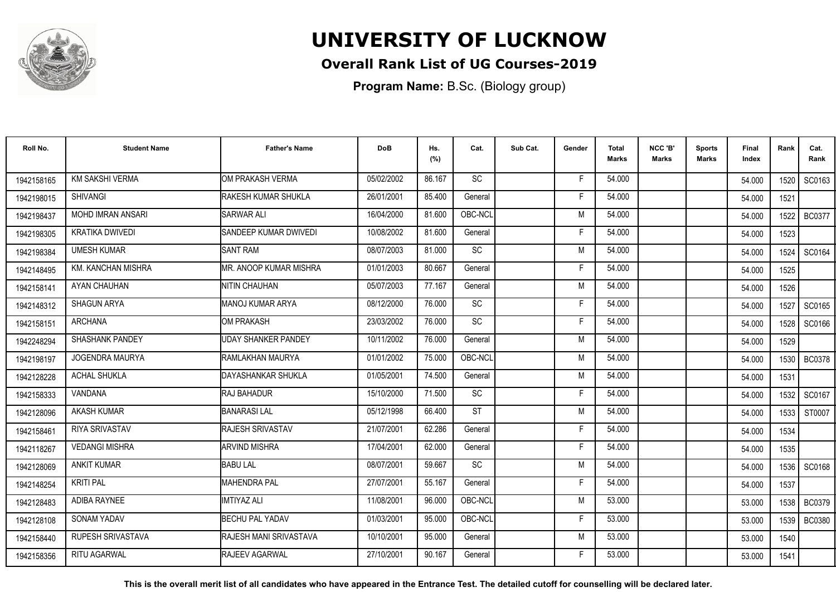

## **Overall Rank List of UG Courses-2019**

**Program Name:** B.Sc. (Biology group)

| Roll No.   | <b>Student Name</b>      | <b>Father's Name</b>          | <b>DoB</b> | Hs.<br>(%) | Cat.            | Sub Cat. | Gender | <b>Total</b><br>Marks | NCC 'B'<br><b>Marks</b> | Sports<br><b>Marks</b> | Final<br>Index | Rank   | Cat.<br>Rank  |
|------------|--------------------------|-------------------------------|------------|------------|-----------------|----------|--------|-----------------------|-------------------------|------------------------|----------------|--------|---------------|
| 1942158165 | <b>KM SAKSHI VERMA</b>   | OM PRAKASH VERMA              | 05/02/2002 | 86.167     | <b>SC</b>       |          | -F     | 54.000                |                         |                        | 54.000         | 1520 l | SC0163        |
| 1942198015 | <b>SHIVANGI</b>          | RAKESH KUMAR SHUKLA           | 26/01/2001 | 85.400     | General         |          | F      | 54.000                |                         |                        | 54.000         | 1521   |               |
| 1942198437 | <b>MOHD IMRAN ANSARI</b> | <b>SARWAR ALI</b>             | 16/04/2000 | 81.600     | OBC-NCL         |          | M      | 54.000                |                         |                        | 54.000         | 1522   | <b>BC0377</b> |
| 1942198305 | <b>KRATIKA DWIVEDI</b>   | SANDEEP KUMAR DWIVEDI         | 10/08/2002 | 81.600     | General         |          | E      | 54.000                |                         |                        | 54.000         | 1523   |               |
| 1942198384 | <b>UMESH KUMAR</b>       | <b>SANT RAM</b>               | 08/07/2003 | 81.000     | <b>SC</b>       |          | M      | 54.000                |                         |                        | 54.000         | 1524   | SC0164        |
| 1942148495 | KM. KANCHAN MISHRA       | IMR. ANOOP KUMAR MISHRA       | 01/01/2003 | 80.667     | General         |          | F      | 54.000                |                         |                        | 54.000         | 1525   |               |
| 1942158141 | AYAN CHAUHAN             | <b>NITIN CHAUHAN</b>          | 05/07/2003 | 77.167     | General         |          | M      | 54.000                |                         |                        | 54.000         | 1526   |               |
| 1942148312 | SHAGUN ARYA              | MANOJ KUMAR ARYA              | 08/12/2000 | 76.000     | $\overline{SC}$ |          | F      | 54.000                |                         |                        | 54.000         | 1527   | SC0165        |
| 1942158151 | <b>ARCHANA</b>           | OM PRAKASH                    | 23/03/2002 | 76.000     | SC              |          | F      | 54.000                |                         |                        | 54.000         |        | 1528 SC0166   |
| 1942248294 | SHASHANK PANDEY          | <b>UDAY SHANKER PANDEY</b>    | 10/11/2002 | 76.000     | General         |          | M      | 54.000                |                         |                        | 54.000         | 1529   |               |
| 1942198197 | JOGENDRA MAURYA          | RAMLAKHAN MAURYA              | 01/01/2002 | 75.000     | OBC-NCL         |          | M      | 54.000                |                         |                        | 54.000         | 1530   | <b>BC0378</b> |
| 1942128228 | <b>ACHAL SHUKLA</b>      | IDAYASHANKAR SHUKLA           | 01/05/2001 | 74.500     | General         |          | M      | 54.000                |                         |                        | 54.000         | 1531   |               |
| 1942158333 | VANDANA                  | <b>RAJ BAHADUR</b>            | 15/10/2000 | 71.500     | SC              |          | Е      | 54.000                |                         |                        | 54.000         | 1532   | SC0167        |
| 1942128096 | <b>AKASH KUMAR</b>       | <b>BANARASI LAL</b>           | 05/12/1998 | 66.400     | <b>ST</b>       |          | M      | 54.000                |                         |                        | 54.000         | 1533   | ST0007        |
| 1942158461 | RIYA SRIVASTAV           | <b>RAJESH SRIVASTAV</b>       | 21/07/2001 | 62.286     | General         |          | Е      | 54.000                |                         |                        | 54.000         | 1534   |               |
| 1942118267 | <b>VEDANGI MISHRA</b>    | <b>ARVIND MISHRA</b>          | 17/04/2001 | 62.000     | General         |          | F      | 54.000                |                         |                        | 54.000         | 1535   |               |
| 1942128069 | <b>ANKIT KUMAR</b>       | <b>BABU LAL</b>               | 08/07/2001 | 59.667     | <b>SC</b>       |          | M      | 54.000                |                         |                        | 54.000         |        | 1536 SC0168   |
| 1942148254 | <b>KRITI PAL</b>         | <b>MAHENDRA PAL</b>           | 27/07/2001 | 55.167     | General         |          | F      | 54.000                |                         |                        | 54.000         | 1537   |               |
| 1942128483 | ADIBA RAYNEE             | <b>IMTIYAZ ALI</b>            | 11/08/2001 | 96.000     | OBC-NCL         |          | M      | 53.000                |                         |                        | 53.000         | 1538   | <b>BC0379</b> |
| 1942128108 | SONAM YADAV              | <b>BECHU PAL YADAV</b>        | 01/03/2001 | 95.000     | OBC-NCL         |          | F      | 53.000                |                         |                        | 53.000         | 1539 l | <b>BC0380</b> |
| 1942158440 | RUPESH SRIVASTAVA        | <b>RAJESH MANI SRIVASTAVA</b> | 10/10/2001 | 95.000     | General         |          | M      | 53.000                |                         |                        | 53.000         | 1540   |               |
| 1942158356 | <b>RITU AGARWAL</b>      | RAJEEV AGARWAL                | 27/10/2001 | 90.167     | General         |          | F      | 53.000                |                         |                        | 53.000         | 1541   |               |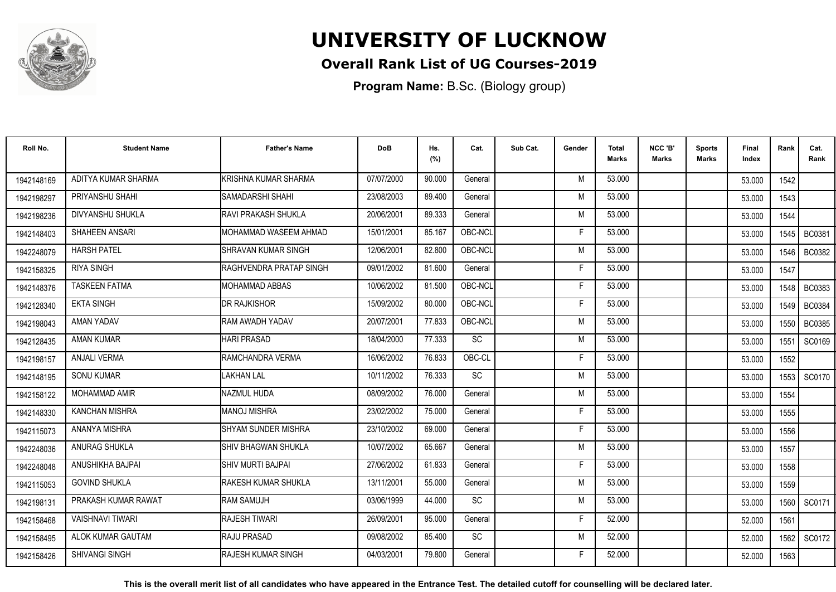

## **Overall Rank List of UG Courses-2019**

**Program Name:** B.Sc. (Biology group)

| Roll No.   | <b>Student Name</b>     | <b>Father's Name</b>             | <b>DoB</b> | Hs.<br>(%) | Cat.            | Sub Cat. | Gender | <b>Total</b><br><b>Marks</b> | NCC 'B'<br><b>Marks</b> | <b>Sports</b><br>Marks | Final<br>Index | Rank   | Cat.<br>Rank  |
|------------|-------------------------|----------------------------------|------------|------------|-----------------|----------|--------|------------------------------|-------------------------|------------------------|----------------|--------|---------------|
| 1942148169 | ADITYA KUMAR SHARMA     | KRISHNA KUMAR SHARMA             | 07/07/2000 | 90.000     | General         |          | M      | 53.000                       |                         |                        | 53.000         | 1542   |               |
| 1942198297 | PRIYANSHU SHAHI         | <b>SAMADARSHI SHAHI</b>          | 23/08/2003 | 89.400     | General         |          | M      | 53.000                       |                         |                        | 53.000         | 1543   |               |
| 1942198236 | DIVYANSHU SHUKLA        | <b>IRAVI PRAKASH SHUKLA</b>      | 20/06/2001 | 89.333     | General         |          | M      | 53.000                       |                         |                        | 53.000         | 1544   |               |
| 1942148403 | SHAHEEN ANSARI          | <b>IMOHAMMAD WASEEM AHMAD</b>    | 15/01/2001 | 85.167     | OBC-NCL         |          | F      | 53.000                       |                         |                        | 53.000         | 1545   | <b>BC0381</b> |
| 1942248079 | <b>HARSH PATEL</b>      | ISHRAVAN KUMAR SINGH             | 12/06/2001 | 82.800     | OBC-NCL         |          | M      | 53.000                       |                         |                        | 53.000         | 1546   | <b>BC0382</b> |
| 1942158325 | <b>RIYA SINGH</b>       | <b>I</b> RAGHVENDRA PRATAP SINGH | 09/01/2002 | 81.600     | General         |          | F      | 53.000                       |                         |                        | 53.000         | 1547   |               |
| 1942148376 | <b>TASKEEN FATMA</b>    | <b>I</b> MOHAMMAD ABBAS          | 10/06/2002 | 81.500     | OBC-NCL         |          | F      | 53.000                       |                         |                        | 53.000         | 1548   | BC0383        |
| 1942128340 | <b>EKTA SINGH</b>       | <b>DR RAJKISHOR</b>              | 15/09/2002 | 80.000     | OBC-NCL         |          | F      | 53.000                       |                         |                        | 53.000         | 1549 I | <b>BC0384</b> |
| 1942198043 | AMAN YADAV              | <b>I</b> RAM AWADH YADAV         | 20/07/2001 | 77.833     | OBC-NCL         |          | M      | 53.000                       |                         |                        | 53.000         | 1550   | <b>BC0385</b> |
| 1942128435 | <b>AMAN KUMAR</b>       | <b>HARI PRASAD</b>               | 18/04/2000 | 77.333     | <b>SC</b>       |          | M      | 53.000                       |                         |                        | 53.000         | 1551   | SC0169        |
| 1942198157 | <b>ANJALI VERMA</b>     | RAMCHANDRA VERMA                 | 16/06/2002 | 76.833     | OBC-CL          |          | F      | 53.000                       |                         |                        | 53.000         | 1552   |               |
| 1942148195 | <b>SONU KUMAR</b>       | LAKHAN LAL                       | 10/11/2002 | 76.333     | $\overline{SC}$ |          | M      | 53.000                       |                         |                        | 53.000         | 1553   | SC0170        |
| 1942158122 | MOHAMMAD AMIR           | NAZMUL HUDA                      | 08/09/2002 | 76.000     | General         |          | M      | 53.000                       |                         |                        | 53.000         | 1554   |               |
| 1942148330 | <b>KANCHAN MISHRA</b>   | <b>MANOJ MISHRA</b>              | 23/02/2002 | 75.000     | General         |          | F      | 53.000                       |                         |                        | 53.000         | 1555   |               |
| 1942115073 | ANANYA MISHRA           | ISHYAM SUNDER MISHRA             | 23/10/2002 | 69.000     | General         |          | F      | 53.000                       |                         |                        | 53.000         | 1556   |               |
| 1942248036 | <b>ANURAG SHUKLA</b>    | <b>ISHIV BHAGWAN SHUKLA</b>      | 10/07/2002 | 65.667     | General         |          | M      | 53.000                       |                         |                        | 53.000         | 1557   |               |
| 1942248048 | ANUSHIKHA BAJPAI        | SHIV MURTI BAJPAI                | 27/06/2002 | 61.833     | General         |          | F      | 53.000                       |                         |                        | 53.000         | 1558   |               |
| 1942115053 | <b>GOVIND SHUKLA</b>    | <b>I</b> RAKESH KUMAR SHUKLA     | 13/11/2001 | 55.000     | General         |          | M      | 53.000                       |                         |                        | 53.000         | 1559   |               |
| 1942198131 | PRAKASH KUMAR RAWAT     | RAM SAMUJH                       | 03/06/1999 | 44.000     | SC              |          | M      | 53.000                       |                         |                        | 53.000         | 1560   | SC0171        |
| 1942158468 | <b>VAISHNAVI TIWARI</b> | <b>RAJESH TIWARI</b>             | 26/09/2001 | 95.000     | General         |          | F      | 52.000                       |                         |                        | 52.000         | 1561   |               |
| 1942158495 | ALOK KUMAR GAUTAM       | <b>RAJU PRASAD</b>               | 09/08/2002 | 85.400     | SC              |          | M      | 52.000                       |                         |                        | 52.000         | 1562   | SC0172        |
| 1942158426 | <b>SHIVANGI SINGH</b>   | <b>IRAJESH KUMAR SINGH</b>       | 04/03/2001 | 79.800     | General         |          | F      | 52.000                       |                         |                        | 52.000         | 1563   |               |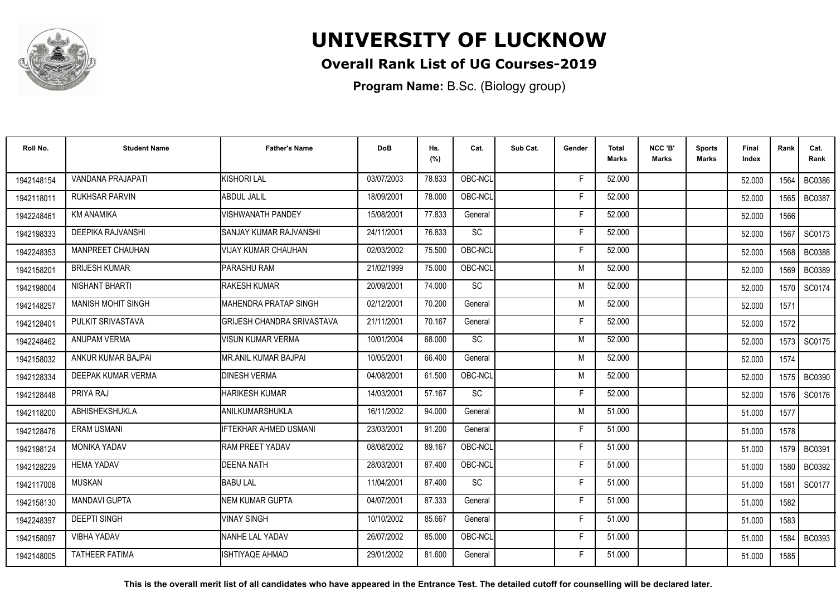

## **Overall Rank List of UG Courses-2019**

**Program Name:** B.Sc. (Biology group)

| Roll No.   | <b>Student Name</b>       | <b>Father's Name</b>              | <b>DoB</b> | Hs.<br>(%) | Cat.      | Sub Cat. | Gender | <b>Total</b><br>Marks | NCC 'B'<br><b>Marks</b> | <b>Sports</b><br><b>Marks</b> | Final<br>Index | Rank   | Cat.<br>Rank  |
|------------|---------------------------|-----------------------------------|------------|------------|-----------|----------|--------|-----------------------|-------------------------|-------------------------------|----------------|--------|---------------|
| 1942148154 | <b>VANDANA PRAJAPATI</b>  | KISHORI LAL                       | 03/07/2003 | 78.833     | OBC-NCL   |          | F      | 52.000                |                         |                               | 52.000         | 1564   | <b>BC0386</b> |
| 1942118011 | <b>RUKHSAR PARVIN</b>     | <b>ABDUL JALIL</b>                | 18/09/2001 | 78.000     | OBC-NCL   |          | F      | 52.000                |                         |                               | 52.000         | 1565 l | <b>BC0387</b> |
| 1942248461 | KM ANAMIKA                | <b>VISHWANATH PANDEY</b>          | 15/08/2001 | 77.833     | General   |          | F      | 52.000                |                         |                               | 52.000         | 1566   |               |
| 1942198333 | DEEPIKA RAJVANSHI         | <b>ISANJAY KUMAR RAJVANSHI</b>    | 24/11/2001 | 76.833     | <b>SC</b> |          | F      | 52.000                |                         |                               | 52.000         | 1567   | SC0173        |
| 1942248353 | <b>MANPREET CHAUHAN</b>   | IVIJAY KUMAR CHAUHAN              | 02/03/2002 | 75.500     | OBC-NCL   |          | F      | 52.000                |                         |                               | 52.000         | 1568   | <b>BC0388</b> |
| 1942158201 | <b>BRIJESH KUMAR</b>      | <b>PARASHU RAM</b>                | 21/02/1999 | 75.000     | OBC-NCL   |          | M      | 52.000                |                         |                               | 52.000         | 1569   | <b>BC0389</b> |
| 1942198004 | NISHANT BHARTI            | <b>IRAKESH KUMAR</b>              | 20/09/2001 | 74.000     | <b>SC</b> |          | M      | 52.000                |                         |                               | 52.000         | 1570   | SC0174        |
| 1942148257 | <b>MANISH MOHIT SINGH</b> | <b>MAHENDRA PRATAP SINGH</b>      | 02/12/2001 | 70.200     | General   |          | M      | 52.000                |                         |                               | 52.000         | 1571   |               |
| 1942128401 | PULKIT SRIVASTAVA         | <b>GRIJESH CHANDRA SRIVASTAVA</b> | 21/11/2001 | 70.167     | General   |          | F      | 52.000                |                         |                               | 52.000         | 1572   |               |
| 1942248462 | ANUPAM VERMA              | VISUN KUMAR VERMA                 | 10/01/2004 | 68.000     | SC        |          | M      | 52.000                |                         |                               | 52.000         |        | 1573 SC0175   |
| 1942158032 | ANKUR KUMAR BAJPAI        | IMR.ANIL KUMAR BAJPAI             | 10/05/2001 | 66.400     | General   |          | M      | 52.000                |                         |                               | 52.000         | 1574   |               |
| 1942128334 | DEEPAK KUMAR VERMA        | <b>DINESH VERMA</b>               | 04/08/2001 | 61.500     | OBC-NCL   |          | M      | 52.000                |                         |                               | 52.000         | 1575   | <b>BC0390</b> |
| 1942128448 | PRIYA RAJ                 | <b>I</b> HARIKESH KUMAR           | 14/03/2001 | 57.167     | <b>SC</b> |          | Е      | 52.000                |                         |                               | 52.000         | 1576 l | SC0176        |
| 1942118200 | ABHISHEKSHUKLA            | <b>JANILKUMARSHUKLA</b>           | 16/11/2002 | 94.000     | General   |          | M      | 51.000                |                         |                               | 51.000         | 1577   |               |
| 1942128476 | <b>ERAM USMANI</b>        | <b>IFTEKHAR AHMED USMANI</b>      | 23/03/2001 | 91.200     | General   |          | Е      | 51.000                |                         |                               | 51.000         | 1578   |               |
| 1942198124 | <b>MONIKA YADAV</b>       | <b>RAM PREET YADAV</b>            | 08/08/2002 | 89.167     | OBC-NCL   |          | F      | 51.000                |                         |                               | 51.000         | 1579 I | <b>BC0391</b> |
| 1942128229 | <b>HEMA YADAV</b>         | <b>IDEENA NATH</b>                | 28/03/2001 | 87.400     | OBC-NCL   |          | Е      | 51.000                |                         |                               | 51.000         | 1580   | BC0392        |
| 1942117008 | <b>MUSKAN</b>             | <b>BABULAL</b>                    | 11/04/2001 | 87.400     | <b>SC</b> |          | F      | 51.000                |                         |                               | 51.000         | 1581   | SC0177        |
| 1942158130 | <b>MANDAVI GUPTA</b>      | <b>NEM KUMAR GUPTA</b>            | 04/07/2001 | 87.333     | General   |          | F      | 51.000                |                         |                               | 51.000         | 1582   |               |
| 1942248397 | <b>DEEPTI SINGH</b>       | VINAY SINGH                       | 10/10/2002 | 85.667     | General   |          | F      | 51.000                |                         |                               | 51.000         | 1583   |               |
| 1942158097 | <b>VIBHA YADAV</b>        | <b>NANHE LAL YADAV</b>            | 26/07/2002 | 85.000     | OBC-NCL   |          | F      | 51.000                |                         |                               | 51.000         | 1584   | <b>BC0393</b> |
| 1942148005 | <b>TATHEER FATIMA</b>     | <b>ISHTIYAQE AHMAD</b>            | 29/01/2002 | 81.600     | General   |          | F      | 51.000                |                         |                               | 51.000         | 1585   |               |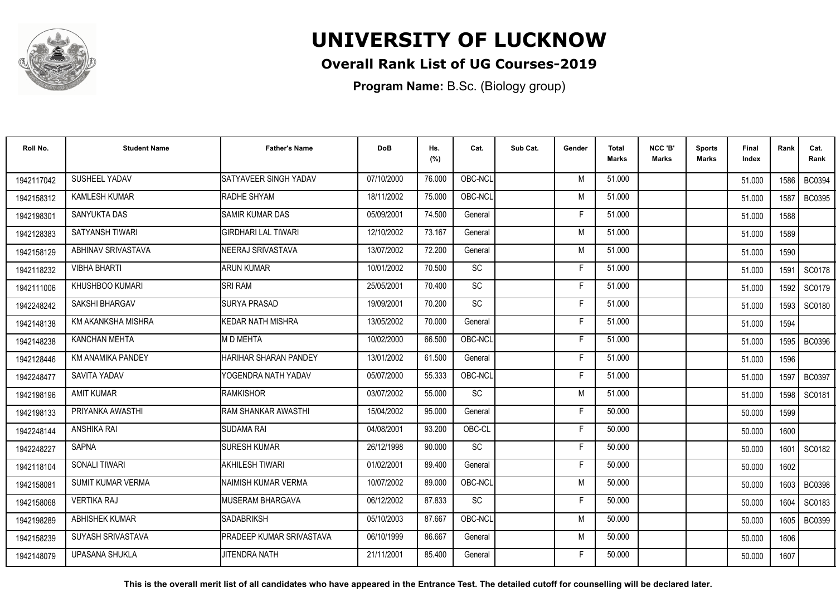

### **Overall Rank List of UG Courses-2019**

**Program Name:** B.Sc. (Biology group)

| Roll No.   | <b>Student Name</b>       | <b>Father's Name</b>            | <b>DoB</b> | Hs.<br>(%) | Cat.      | Sub Cat. | Gender | Total<br>Marks | NCC 'B'<br><b>Marks</b> | Sports<br>Marks | Final<br>Index | Rank   | Cat.<br>Rank  |
|------------|---------------------------|---------------------------------|------------|------------|-----------|----------|--------|----------------|-------------------------|-----------------|----------------|--------|---------------|
| 1942117042 | SUSHEEL YADAV             | SATYAVEER SINGH YADAV           | 07/10/2000 | 76.000     | OBC-NCL   |          | M      | 51.000         |                         |                 | 51.000         | 1586   | <b>BC0394</b> |
| 1942158312 | <b>KAMLESH KUMAR</b>      | RADHE SHYAM                     | 18/11/2002 | 75.000     | OBC-NCL   |          | M      | 51.000         |                         |                 | 51.000         | 1587   | BC0395        |
| 1942198301 | SANYUKTA DAS              | <b>SAMIR KUMAR DAS</b>          | 05/09/2001 | 74.500     | General   |          | E      | 51.000         |                         |                 | 51.000         | 1588   |               |
| 1942128383 | SATYANSH TIWARI           | <b>GIRDHARI LAL TIWARI</b>      | 12/10/2002 | 73.167     | General   |          | M      | 51.000         |                         |                 | 51.000         | 1589   |               |
| 1942158129 | <b>ABHINAV SRIVASTAVA</b> | NEERAJ SRIVASTAVA               | 13/07/2002 | 72.200     | General   |          | M      | 51.000         |                         |                 | 51.000         | 1590   |               |
| 1942118232 | VIBHA BHARTI              | <b>ARUN KUMAR</b>               | 10/01/2002 | 70.500     | <b>SC</b> |          | Е      | 51.000         |                         |                 | 51.000         | 1591   | SC0178        |
| 1942111006 | KHUSHBOO KUMARI           | <b>SRI RAM</b>                  | 25/05/2001 | 70.400     | <b>SC</b> |          | E      | 51.000         |                         |                 | 51.000         | 1592   | SC0179        |
| 1942248242 | SAKSHI BHARGAV            | <b>SURYA PRASAD</b>             | 19/09/2001 | 70.200     | <b>SC</b> |          | Е      | 51.000         |                         |                 | 51.000         | 1593   | SC0180        |
| 1942148138 | KM AKANKSHA MISHRA        | <b>KEDAR NATH MISHRA</b>        | 13/05/2002 | 70.000     | General   |          | F      | 51.000         |                         |                 | 51.000         | 1594   |               |
| 1942148238 | KANCHAN MEHTA             | M D MEHTA                       | 10/02/2000 | 66.500     | OBC-NCL   |          | F      | 51.000         |                         |                 | 51.000         | 1595 l | <b>BC0396</b> |
| 1942128446 | KM ANAMIKA PANDEY         | HARIHAR SHARAN PANDEY           | 13/01/2002 | 61.500     | General   |          | F      | 51.000         |                         |                 | 51.000         | 1596   |               |
| 1942248477 | SAVITA YADAV              | YOGENDRA NATH YADAV             | 05/07/2000 | 55.333     | OBC-NCL   |          | F      | 51.000         |                         |                 | 51.000         | 1597   | <b>BC0397</b> |
| 1942198196 | <b>AMIT KUMAR</b>         | <b>RAMKISHOR</b>                | 03/07/2002 | 55.000     | SC        |          | M      | 51.000         |                         |                 | 51.000         | 1598   | SC0181        |
| 1942198133 | PRIYANKA AWASTHI          | RAM SHANKAR AWASTHI             | 15/04/2002 | 95.000     | General   |          | F      | 50.000         |                         |                 | 50.000         | 1599   |               |
| 1942248144 | ANSHIKA RAI               | <b>SUDAMA RAI</b>               | 04/08/2001 | 93.200     | OBC-CL    |          | Е      | 50.000         |                         |                 | 50.000         | 1600   |               |
| 1942248227 | <b>SAPNA</b>              | <b>SURESH KUMAR</b>             | 26/12/1998 | 90.000     | SC        |          | F      | 50.000         |                         |                 | 50.000         | 1601   | SC0182        |
| 1942118104 | SONALI TIWARI             | AKHILESH TIWARI                 | 01/02/2001 | 89.400     | General   |          | F      | 50.000         |                         |                 | 50.000         | 1602   |               |
| 1942158081 | <b>SUMIT KUMAR VERMA</b>  | INAIMISH KUMAR VERMA            | 10/07/2002 | 89.000     | OBC-NCL   |          | M      | 50.000         |                         |                 | 50.000         | 1603   | <b>BC0398</b> |
| 1942158068 | <b>VERTIKA RAJ</b>        | IMUSERAM BHARGAVA               | 06/12/2002 | 87.833     | SC        |          | E      | 50.000         |                         |                 | 50.000         | 1604   | SC0183        |
| 1942198289 | <b>ABHISHEK KUMAR</b>     | <b>SADABRIKSH</b>               | 05/10/2003 | 87.667     | OBC-NCL   |          | M      | 50.000         |                         |                 | 50.000         | 1605   | <b>BC0399</b> |
| 1942158239 | SUYASH SRIVASTAVA         | <b>PRADEEP KUMAR SRIVASTAVA</b> | 06/10/1999 | 86.667     | General   |          | M      | 50.000         |                         |                 | 50.000         | 1606   |               |
| 1942148079 | <b>UPASANA SHUKLA</b>     | <b>JITENDRA NATH</b>            | 21/11/2001 | 85.400     | General   |          | F      | 50.000         |                         |                 | 50.000         | 1607   |               |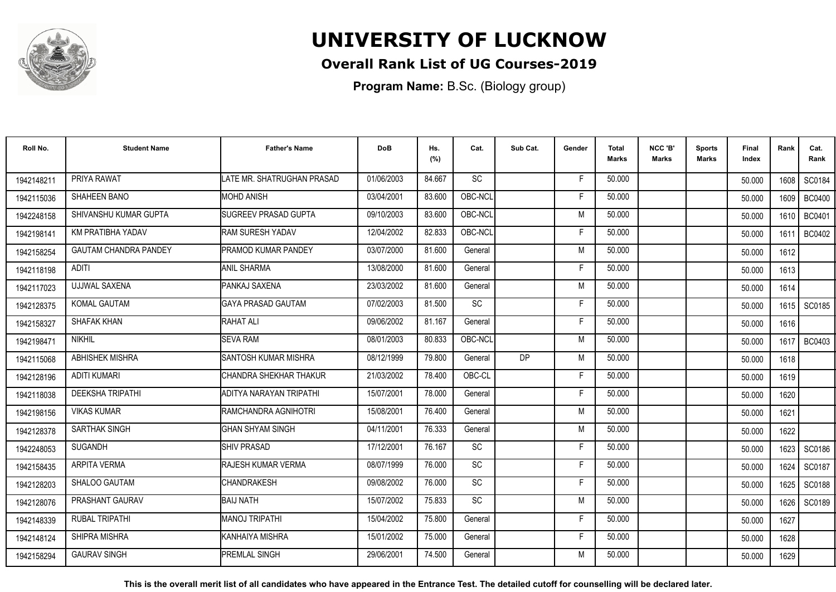

## **Overall Rank List of UG Courses-2019**

**Program Name:** B.Sc. (Biology group)

| Roll No.   | <b>Student Name</b>          | <b>Father's Name</b>        | <b>DoB</b> | Hs.<br>(%) | Cat.      | Sub Cat.  | Gender | <b>Total</b><br>Marks | NCC 'B'<br><b>Marks</b> | Sports<br>Marks | Final<br>Index | Rank   | Cat.<br>Rank  |
|------------|------------------------------|-----------------------------|------------|------------|-----------|-----------|--------|-----------------------|-------------------------|-----------------|----------------|--------|---------------|
| 1942148211 | PRIYA RAWAT                  | LATE MR. SHATRUGHAN PRASAD  | 01/06/2003 | 84.667     | <b>SC</b> |           | -F     | 50.000                |                         |                 | 50.000         | 1608 l | SC0184        |
| 1942115036 | SHAHEEN BANO                 | <b>MOHD ANISH</b>           | 03/04/2001 | 83.600     | OBC-NCL   |           | F      | 50.000                |                         |                 | 50.000         | 1609 I | <b>BC0400</b> |
| 1942248158 | SHIVANSHU KUMAR GUPTA        | <b>SUGREEV PRASAD GUPTA</b> | 09/10/2003 | 83.600     | OBC-NCL   |           | M      | 50.000                |                         |                 | 50.000         | 1610   | <b>BC0401</b> |
| 1942198141 | KM PRATIBHA YADAV            | RAM SURESH YADAV            | 12/04/2002 | 82.833     | OBC-NCL   |           | E      | 50.000                |                         |                 | 50.000         | 1611   | <b>BC0402</b> |
| 1942158254 | <b>GAUTAM CHANDRA PANDEY</b> | PRAMOD KUMAR PANDEY         | 03/07/2000 | 81.600     | General   |           | M      | 50.000                |                         |                 | 50.000         | 1612   |               |
| 1942118198 | <b>ADITI</b>                 | <b>ANIL SHARMA</b>          | 13/08/2000 | 81.600     | General   |           | Е      | 50.000                |                         |                 | 50.000         | 1613   |               |
| 1942117023 | UJJWAL SAXENA                | PANKAJ SAXENA               | 23/03/2002 | 81.600     | General   |           | M      | 50.000                |                         |                 | 50.000         | 1614   |               |
| 1942128375 | <b>KOMAL GAUTAM</b>          | IGAYA PRASAD GAUTAM         | 07/02/2003 | 81.500     | <b>SC</b> |           | E      | 50.000                |                         |                 | 50.000         |        | 1615   SC0185 |
| 1942158327 | <b>SHAFAK KHAN</b>           | <b>RAHAT ALI</b>            | 09/06/2002 | 81.167     | General   |           | F      | 50.000                |                         |                 | 50.000         | 1616   |               |
| 1942198471 | <b>NIKHIL</b>                | <b>SEVA RAM</b>             | 08/01/2003 | 80.833     | OBC-NCL   |           | M      | 50.000                |                         |                 | 50.000         | 1617 l | BC0403        |
| 1942115068 | <b>ABHISHEK MISHRA</b>       | <b>SANTOSH KUMAR MISHRA</b> | 08/12/1999 | 79.800     | General   | <b>DP</b> | M      | 50.000                |                         |                 | 50.000         | 1618   |               |
| 1942128196 | <b>ADITI KUMARI</b>          | CHANDRA SHEKHAR THAKUR      | 21/03/2002 | 78.400     | OBC-CL    |           | E      | 50.000                |                         |                 | 50.000         | 1619   |               |
| 1942118038 | <b>DEEKSHA TRIPATHI</b>      | ADITYA NARAYAN TRIPATHI     | 15/07/2001 | 78.000     | General   |           | Е      | 50.000                |                         |                 | 50.000         | 1620   |               |
| 1942198156 | <b>VIKAS KUMAR</b>           | IRAMCHANDRA AGNIHOTRI       | 15/08/2001 | 76.400     | General   |           | M      | 50.000                |                         |                 | 50.000         | 1621   |               |
| 1942128378 | SARTHAK SINGH                | <b>GHAN SHYAM SINGH</b>     | 04/11/2001 | 76.333     | General   |           | M      | 50.000                |                         |                 | 50.000         | 1622   |               |
| 1942248053 | <b>SUGANDH</b>               | <b>SHIV PRASAD</b>          | 17/12/2001 | 76.167     | SC        |           | F      | 50.000                |                         |                 | 50.000         | 1623   | SC0186        |
| 1942158435 | <b>ARPITA VERMA</b>          | <b>RAJESH KUMAR VERMA</b>   | 08/07/1999 | 76.000     | <b>SC</b> |           | F      | 50.000                |                         |                 | 50.000         | 1624   | SC0187        |
| 1942128203 | SHALOO GAUTAM                | <b>CHANDRAKESH</b>          | 09/08/2002 | 76.000     | <b>SC</b> |           | F      | 50.000                |                         |                 | 50.000         | 1625   | SC0188        |
| 1942128076 | PRASHANT GAURAV              | <b>BAIJ NATH</b>            | 15/07/2002 | 75.833     | SC        |           | M      | 50.000                |                         |                 | 50.000         | 1626   | SC0189        |
| 1942148339 | <b>RUBAL TRIPATHI</b>        | <b>MANOJ TRIPATHI</b>       | 15/04/2002 | 75.800     | General   |           | F      | 50.000                |                         |                 | 50.000         | 1627   |               |
| 1942148124 | SHIPRA MISHRA                | IKANHAIYA MISHRA            | 15/01/2002 | 75.000     | General   |           | E      | 50.000                |                         |                 | 50.000         | 1628   |               |
| 1942158294 | <b>GAURAV SINGH</b>          | <b>PREMLAL SINGH</b>        | 29/06/2001 | 74.500     | General   |           | M      | 50.000                |                         |                 | 50.000         | 1629   |               |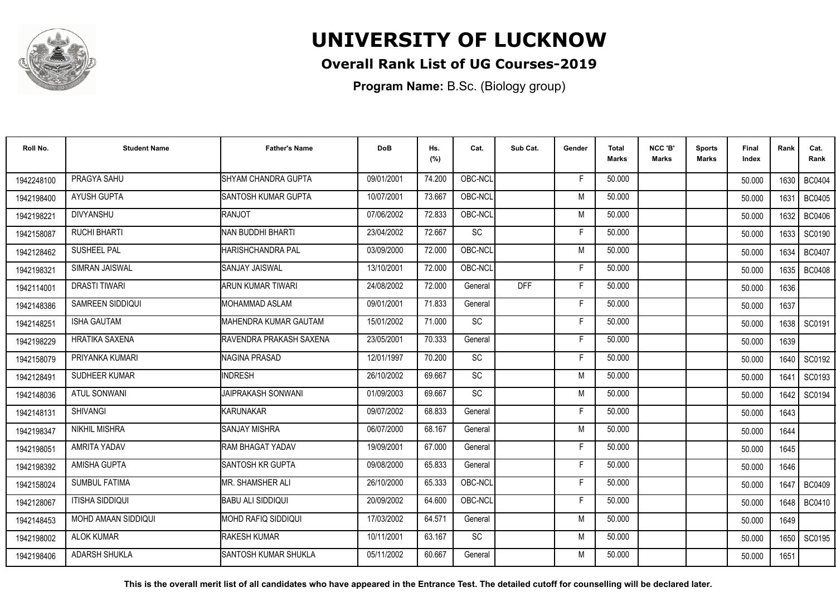

## **Overall Rank List of UG Courses-2019**

**Program Name:** B.Sc. (Biology group)

| Roll No.   | <b>Student Name</b>    | <b>Father's Name</b>        | <b>DoB</b> | Hs.<br>(%) | Cat.            | Sub Cat.   | Gender | Total<br><b>Marks</b> | NCC 'B'<br><b>Marks</b> | <b>Sports</b><br>Marks | Final<br>Index | Rank   | Cat.<br>Rank  |
|------------|------------------------|-----------------------------|------------|------------|-----------------|------------|--------|-----------------------|-------------------------|------------------------|----------------|--------|---------------|
| 1942248100 | PRAGYA SAHU            | SHYAM CHANDRA GUPTA         | 09/01/2001 | 74.200     | OBC-NCL         |            | F.     | 50.000                |                         |                        | 50.000         | 1630   | <b>BC0404</b> |
| 1942198400 | AYUSH GUPTA            | SANTOSH KUMAR GUPTA         | 10/07/2001 | 73.667     | OBC-NCL         |            | M      | 50.000                |                         |                        | 50.000         | 1631   | <b>BC0405</b> |
| 1942198221 | <b>DIVYANSHU</b>       | <b>RANJOT</b>               | 07/06/2002 | 72.833     | OBC-NCL         |            | M      | 50.000                |                         |                        | 50.000         | 1632   | <b>BC0406</b> |
| 1942158087 | <b>RUCHI BHARTI</b>    | INAN BUDDHI BHARTI          | 23/04/2002 | 72.667     | <b>SC</b>       |            | F      | 50.000                |                         |                        | 50.000         | 1633   | SC0190        |
| 1942128462 | <b>SUSHEEL PAL</b>     | HARISHCHANDRA PAL           | 03/09/2000 | 72.000     | OBC-NCL         |            | M      | 50.000                |                         |                        | 50.000         | 1634   | <b>BC0407</b> |
| 1942198321 | SIMRAN JAISWAL         | <b>SANJAY JAISWAL</b>       | 13/10/2001 | 72.000     | OBC-NCL         |            | F      | 50.000                |                         |                        | 50.000         | 1635   | <b>BC0408</b> |
| 1942114001 | <b>DRASTI TIWARI</b>   | <b>ARUN KUMAR TIWARI</b>    | 24/08/2002 | 72.000     | General         | <b>DFF</b> | E      | 50.000                |                         |                        | 50.000         | 1636   |               |
| 1942148386 | SAMREEN SIDDIQUI       | <b>MOHAMMAD ASLAM</b>       | 09/01/2001 | 71.833     | General         |            | F      | 50.000                |                         |                        | 50.000         | 1637   |               |
| 1942148251 | <b>ISHA GAUTAM</b>     | IMAHENDRA KUMAR GAUTAM      | 15/01/2002 | 71.000     | <b>SC</b>       |            | F      | 50.000                |                         |                        | 50.000         | 1638 l | SC0191        |
| 1942198229 | <b>HRATIKA SAXENA</b>  | RAVENDRA PRAKASH SAXENA     | 23/05/2001 | 70.333     | General         |            | F      | 50.000                |                         |                        | 50.000         | 1639   |               |
| 1942158079 | PRIYANKA KUMARI        | NAGINA PRASAD               | 12/01/1997 | 70.200     | SC              |            | F.     | 50.000                |                         |                        | 50.000         | 1640   | SC0192        |
| 1942128491 | SUDHEER KUMAR          | <b>INDRESH</b>              | 26/10/2002 | 69.667     | $\overline{SC}$ |            | M      | 50.000                |                         |                        | 50.000         | 1641   | SC0193        |
| 1942148036 | <b>ATUL SONWANI</b>    | <b>JAIPRAKASH SONWANI</b>   | 01/09/2003 | 69.667     | SC              |            | M      | 50.000                |                         |                        | 50.000         | 1642   | SC0194        |
| 1942148131 | <b>SHIVANGI</b>        | KARUNAKAR                   | 09/07/2002 | 68.833     | General         |            | F      | 50.000                |                         |                        | 50.000         | 1643   |               |
| 1942198347 | <b>NIKHIL MISHRA</b>   | <b>SANJAY MISHRA</b>        | 06/07/2000 | 68.167     | General         |            | M      | 50.000                |                         |                        | 50.000         | 1644   |               |
| 1942198051 | AMRITA YADAV           | <b>RAM BHAGAT YADAV</b>     | 19/09/2001 | 67.000     | General         |            | F      | 50.000                |                         |                        | 50.000         | 1645   |               |
| 1942198392 | AMISHA GUPTA           | <b>SANTOSH KR GUPTA</b>     | 09/08/2000 | 65.833     | General         |            | F      | 50.000                |                         |                        | 50.000         | 1646   |               |
| 1942158024 | <b>SUMBUL FATIMA</b>   | MR. SHAMSHER ALI            | 26/10/2000 | 65.333     | OBC-NCL         |            | F      | 50.000                |                         |                        | 50.000         | 1647   | <b>BC0409</b> |
| 1942128067 | <b>ITISHA SIDDIQUI</b> | <b>BABU ALI SIDDIQUI</b>    | 20/09/2002 | 64.600     | OBC-NCL         |            | F      | 50.000                |                         |                        | 50.000         | 1648 l | <b>BC0410</b> |
| 1942148453 | MOHD AMAAN SIDDIQUI    | IMOHD RAFIQ SIDDIQUI        | 17/03/2002 | 64.571     | General         |            | M      | 50.000                |                         |                        | 50.000         | 1649   |               |
| 1942198002 | <b>ALOK KUMAR</b>      | <b>RAKESH KUMAR</b>         | 10/11/2001 | 63.167     | SC              |            | M      | 50.000                |                         |                        | 50.000         | 1650   | SC0195        |
| 1942198406 | <b>ADARSH SHUKLA</b>   | <b>SANTOSH KUMAR SHUKLA</b> | 05/11/2002 | 60.667     | General         |            | M      | 50.000                |                         |                        | 50.000         | 1651   |               |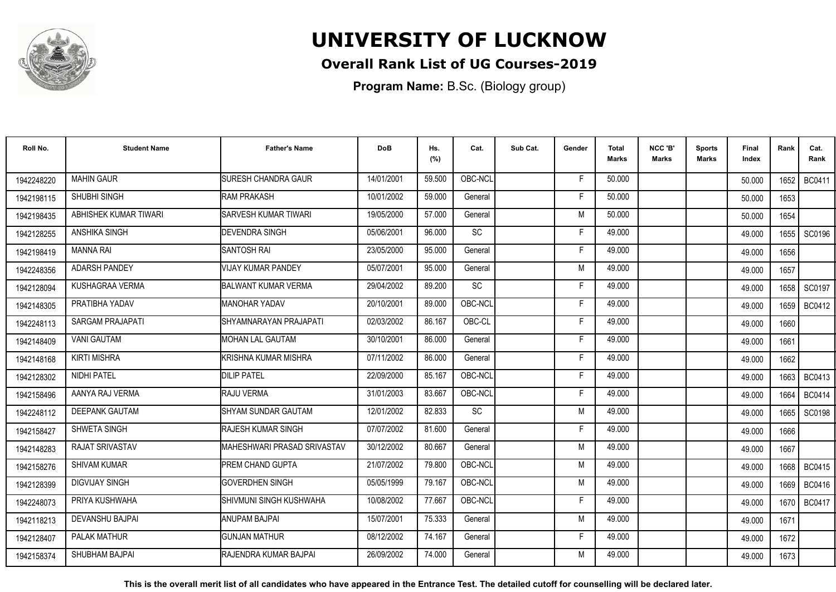

## **Overall Rank List of UG Courses-2019**

**Program Name:** B.Sc. (Biology group)

| Roll No.   | <b>Student Name</b>     | <b>Father's Name</b>          | <b>DoB</b> | Hs.<br>(%) | Cat.      | Sub Cat. | Gender | Total<br>Marks | NCC 'B'<br><b>Marks</b> | Sports<br><b>Marks</b> | Final<br>Index | Rank | Cat.<br>Rank  |
|------------|-------------------------|-------------------------------|------------|------------|-----------|----------|--------|----------------|-------------------------|------------------------|----------------|------|---------------|
| 1942248220 | <b>MAHIN GAUR</b>       | <b>SURESH CHANDRA GAUR</b>    | 14/01/2001 | 59.500     | OBC-NCL   |          | F.     | 50.000         |                         |                        | 50.000         | 1652 | <b>BC0411</b> |
| 1942198115 | SHUBHI SINGH            | <b>RAM PRAKASH</b>            | 10/01/2002 | 59.000     | General   |          | Е      | 50.000         |                         |                        | 50.000         | 1653 |               |
| 1942198435 | ABHISHEK KUMAR TIWARI   | <b>SARVESH KUMAR TIWARI</b>   | 19/05/2000 | 57.000     | General   |          | M      | 50.000         |                         |                        | 50.000         | 1654 |               |
| 1942128255 | <b>ANSHIKA SINGH</b>    | <b>DEVENDRA SINGH</b>         | 05/06/2001 | 96.000     | <b>SC</b> |          | Е      | 49.000         |                         |                        | 49.000         | 1655 | SC0196        |
| 1942198419 | <b>MANNA RAI</b>        | <b>SANTOSH RAI</b>            | 23/05/2000 | 95.000     | General   |          | F      | 49.000         |                         |                        | 49.000         | 1656 |               |
| 1942248356 | <b>ADARSH PANDEY</b>    | VIJAY KUMAR PANDEY            | 05/07/2001 | 95.000     | General   |          | M      | 49.000         |                         |                        | 49.000         | 1657 |               |
| 1942128094 | KUSHAGRAA VERMA         | <b>BALWANT KUMAR VERMA</b>    | 29/04/2002 | 89.200     | <b>SC</b> |          | E      | 49.000         |                         |                        | 49.000         | 1658 | SC0197        |
| 1942148305 | PRATIBHA YADAV          | MANOHAR YADAV                 | 20/10/2001 | 89.000     | OBC-NCL   |          | F      | 49.000         |                         |                        | 49.000         |      | 1659   BC0412 |
| 1942248113 | <b>SARGAM PRAJAPATI</b> | SHYAMNARAYAN PRAJAPATI        | 02/03/2002 | 86.167     | OBC-CL    |          | F      | 49.000         |                         |                        | 49.000         | 1660 |               |
| 1942148409 | <b>VANI GAUTAM</b>      | IMOHAN LAL GAUTAM             | 30/10/2001 | 86.000     | General   |          | Е      | 49.000         |                         |                        | 49.000         | 1661 |               |
| 1942148168 | <b>KIRTI MISHRA</b>     | İKRISHNA KUMAR MISHRA         | 07/11/2002 | 86.000     | General   |          | F      | 49.000         |                         |                        | 49.000         | 1662 |               |
| 1942128302 | <b>NIDHI PATEL</b>      | <b>DILIP PATEL</b>            | 22/09/2000 | 85.167     | OBC-NCL   |          | F      | 49.000         |                         |                        | 49.000         | 1663 | <b>BC0413</b> |
| 1942158496 | AANYA RAJ VERMA         | RAJU VERMA                    | 31/01/2003 | 83.667     | OBC-NCL   |          | Е      | 49.000         |                         |                        | 49.000         | 1664 | BC0414        |
| 1942248112 | <b>DEEPANK GAUTAM</b>   | <b>SHYAM SUNDAR GAUTAM</b>    | 12/01/2002 | 82.833     | SC        |          | M      | 49.000         |                         |                        | 49.000         | 1665 | SC0198        |
| 1942158427 | SHWETA SINGH            | <b>RAJESH KUMAR SINGH</b>     | 07/07/2002 | 81.600     | General   |          | F      | 49.000         |                         |                        | 49.000         | 1666 |               |
| 1942148283 | <b>RAJAT SRIVASTAV</b>  | MAHESHWARI PRASAD SRIVASTAV   | 30/12/2002 | 80.667     | General   |          | M      | 49.000         |                         |                        | 49.000         | 1667 |               |
| 1942158276 | <b>SHIVAM KUMAR</b>     | <b>PREM CHAND GUPTA</b>       | 21/07/2002 | 79.800     | OBC-NCL   |          | M      | 49.000         |                         |                        | 49.000         |      | 1668   BC0415 |
| 1942128399 | <b>DIGVIJAY SINGH</b>   | <b>GOVERDHEN SINGH</b>        | 05/05/1999 | 79.167     | OBC-NCL   |          | M      | 49.000         |                         |                        | 49.000         | 1669 | <b>BC0416</b> |
| 1942248073 | PRIYA KUSHWAHA          | İSHIVMUNI SINGH KUSHWAHA      | 10/08/2002 | 77.667     | OBC-NCL   |          | E      | 49.000         |                         |                        | 49.000         | 1670 | <b>BC0417</b> |
| 1942118213 | <b>DEVANSHU BAJPAI</b>  | ANUPAM BAJPAI                 | 15/07/2001 | 75.333     | General   |          | M      | 49.000         |                         |                        | 49.000         | 1671 |               |
| 1942128407 | PALAK MATHUR            | <b>GUNJAN MATHUR</b>          | 08/12/2002 | 74.167     | General   |          | F.     | 49.000         |                         |                        | 49.000         | 1672 |               |
| 1942158374 | SHUBHAM BAJPAI          | <b>IRAJENDRA KUMAR BAJPAI</b> | 26/09/2002 | 74.000     | General   |          | M      | 49.000         |                         |                        | 49.000         | 1673 |               |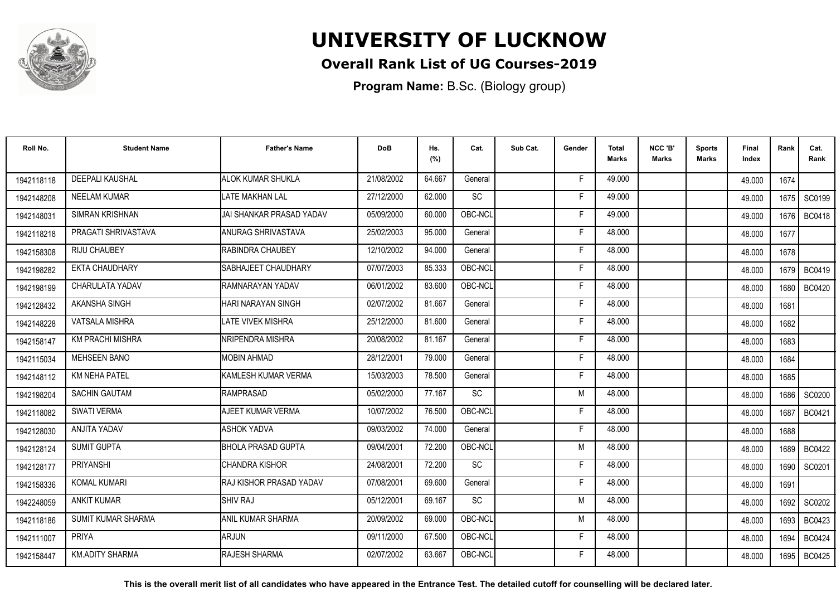

## **Overall Rank List of UG Courses-2019**

**Program Name:** B.Sc. (Biology group)

| Roll No.   | <b>Student Name</b>       | <b>Father's Name</b>            | <b>DoB</b> | Hs.<br>(%) | Cat.      | Sub Cat. | Gender | <b>Total</b><br><b>Marks</b> | NCC 'B'<br><b>Marks</b> | <b>Sports</b><br>Marks | Final<br>Index | Rank   | Cat.<br>Rank  |
|------------|---------------------------|---------------------------------|------------|------------|-----------|----------|--------|------------------------------|-------------------------|------------------------|----------------|--------|---------------|
| 1942118118 | DEEPALI KAUSHAL           | <b>ALOK KUMAR SHUKLA</b>        | 21/08/2002 | 64.667     | General   |          | F      | 49.000                       |                         |                        | 49.000         | 1674   |               |
| 1942148208 | <b>NEELAM KUMAR</b>       | <b>LATE MAKHAN LAL</b>          | 27/12/2000 | 62.000     | SC        |          | Е      | 49.000                       |                         |                        | 49.000         | 1675   | SC0199        |
| 1942148031 | <b>SIMRAN KRISHNAN</b>    | IJAI SHANKAR PRASAD YADAV       | 05/09/2000 | 60.000     | OBC-NCL   |          | Е      | 49.000                       |                         |                        | 49.000         | 1676 l | <b>BC0418</b> |
| 1942118218 | PRAGATI SHRIVASTAVA       | <b>I</b> ANURAG SHRIVASTAVA     | 25/02/2003 | 95.000     | General   |          | F      | 48.000                       |                         |                        | 48.000         | 1677   |               |
| 1942158308 | <b>RIJU CHAUBEY</b>       | <b>RABINDRA CHAUBEY</b>         | 12/10/2002 | 94.000     | General   |          | F      | 48.000                       |                         |                        | 48.000         | 1678   |               |
| 1942198282 | <b>EKTA CHAUDHARY</b>     | <b>SABHAJEET CHAUDHARY</b>      | 07/07/2003 | 85.333     | OBC-NCL   |          | E      | 48.000                       |                         |                        | 48.000         | 1679   | <b>BC0419</b> |
| 1942198199 | CHARULATA YADAV           | <b>IRAMNARAYAN YADAV</b>        | 06/01/2002 | 83.600     | OBC-NCL   |          | Е      | 48.000                       |                         |                        | 48.000         | 1680   | <b>BC0420</b> |
| 1942128432 | AKANSHA SINGH             | HARI NARAYAN SINGH              | 02/07/2002 | 81.667     | General   |          | Е      | 48.000                       |                         |                        | 48.000         | 1681   |               |
| 1942148228 | <b>VATSALA MISHRA</b>     | LATE VIVEK MISHRA               | 25/12/2000 | 81.600     | General   |          | F      | 48.000                       |                         |                        | 48.000         | 1682   |               |
| 1942158147 | <b>KM PRACHI MISHRA</b>   | <b>INRIPENDRA MISHRA</b>        | 20/08/2002 | 81.167     | General   |          | F      | 48.000                       |                         |                        | 48.000         | 1683   |               |
| 1942115034 | <b>MEHSEEN BANO</b>       | <b>MOBIN AHMAD</b>              | 28/12/2001 | 79.000     | General   |          | Е      | 48.000                       |                         |                        | 48.000         | 1684   |               |
| 1942148112 | <b>KM NEHA PATEL</b>      | <b>I</b> KAMLESH KUMAR VERMA    | 15/03/2003 | 78.500     | General   |          | F      | 48.000                       |                         |                        | 48.000         | 1685   |               |
| 1942198204 | <b>SACHIN GAUTAM</b>      | RAMPRASAD                       | 05/02/2000 | 77.167     | SC        |          | M      | 48.000                       |                         |                        | 48.000         | 1686 l | SC0200        |
| 1942118082 | <b>SWATI VERMA</b>        | AJEET KUMAR VERMA               | 10/07/2002 | 76.500     | OBC-NCL   |          | F      | 48.000                       |                         |                        | 48.000         | 1687   | <b>BC0421</b> |
| 1942128030 | <b>ANJITA YADAV</b>       | <b>ASHOK YADVA</b>              | 09/03/2002 | 74.000     | General   |          | F      | 48.000                       |                         |                        | 48.000         | 1688   |               |
| 1942128124 | <b>SUMIT GUPTA</b>        | <b>BHOLA PRASAD GUPTA</b>       | 09/04/2001 | 72.200     | OBC-NCL   |          | M      | 48.000                       |                         |                        | 48.000         | 1689   | <b>BC0422</b> |
| 1942128177 | <b>PRIYANSHI</b>          | ICHANDRA KISHOR                 | 24/08/2001 | 72.200     | <b>SC</b> |          | F      | 48.000                       |                         |                        | 48.000         | 1690   | SC0201        |
| 1942158336 | <b>KOMAL KUMARI</b>       | <b>IRAJ KISHOR PRASAD YADAV</b> | 07/08/2001 | 69.600     | General   |          | F      | 48.000                       |                         |                        | 48.000         | 1691   |               |
| 1942248059 | <b>ANKIT KUMAR</b>        | SHIV RAJ                        | 05/12/2001 | 69.167     | SC        |          | M      | 48.000                       |                         |                        | 48.000         | 1692   | SC0202        |
| 1942118186 | <b>SUMIT KUMAR SHARMA</b> | <b>JANIL KUMAR SHARMA</b>       | 20/09/2002 | 69.000     | OBC-NCL   |          | M      | 48.000                       |                         |                        | 48.000         | 1693   | <b>BC0423</b> |
| 1942111007 | <b>PRIYA</b>              | <b>ARJUN</b>                    | 09/11/2000 | 67.500     | OBC-NCL   |          | F      | 48.000                       |                         |                        | 48.000         | 1694   | <b>BC0424</b> |
| 1942158447 | <b>KM.ADITY SHARMA</b>    | <b>RAJESH SHARMA</b>            | 02/07/2002 | 63.667     | OBC-NCL   |          | F      | 48.000                       |                         |                        | 48.000         | 1695   | <b>BC0425</b> |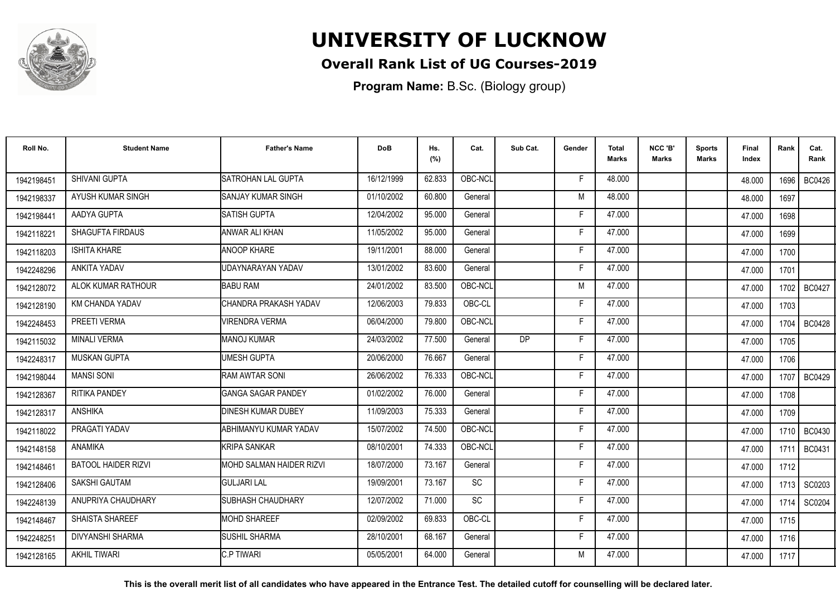

## **Overall Rank List of UG Courses-2019**

**Program Name:** B.Sc. (Biology group)

| Roll No.   | <b>Student Name</b>        | <b>Father's Name</b>            | <b>DoB</b> | Hs.<br>(%) | Cat.      | Sub Cat.  | Gender | <b>Total</b><br><b>Marks</b> | NCC 'B'<br><b>Marks</b> | <b>Sports</b><br>Marks | Final<br>Index | Rank   | Cat.<br>Rank  |
|------------|----------------------------|---------------------------------|------------|------------|-----------|-----------|--------|------------------------------|-------------------------|------------------------|----------------|--------|---------------|
| 1942198451 | SHIVANI GUPTA              | SATROHAN LAL GUPTA              | 16/12/1999 | 62.833     | OBC-NCL   |           | F      | 48.000                       |                         |                        | 48.000         | 1696 l | <b>BC0426</b> |
| 1942198337 | AYUSH KUMAR SINGH          | <b>I</b> SANJAY KUMAR SINGH     | 01/10/2002 | 60.800     | General   |           | M      | 48.000                       |                         |                        | 48.000         | 1697   |               |
| 1942198441 | AADYA GUPTA                | <b>SATISH GUPTA</b>             | 12/04/2002 | 95.000     | General   |           | Е      | 47.000                       |                         |                        | 47.000         | 1698   |               |
| 1942118221 | <b>SHAGUFTA FIRDAUS</b>    | IANWAR ALI KHAN                 | 11/05/2002 | 95.000     | General   |           | F      | 47.000                       |                         |                        | 47.000         | 1699   |               |
| 1942118203 | <b>ISHITA KHARE</b>        | <b>ANOOP KHARE</b>              | 19/11/2001 | 88.000     | General   |           | F      | 47.000                       |                         |                        | 47.000         | 1700   |               |
| 1942248296 | <b>ANKITA YADAV</b>        | UDAYNARAYAN YADAV               | 13/01/2002 | 83.600     | General   |           | E      | 47.000                       |                         |                        | 47.000         | 1701   |               |
| 1942128072 | ALOK KUMAR RATHOUR         | <b>BABU RAM</b>                 | 24/01/2002 | 83.500     | OBC-NCL   |           | M      | 47.000                       |                         |                        | 47.000         | 1702   | <b>BC0427</b> |
| 1942128190 | <b>KM CHANDA YADAV</b>     | CHANDRA PRAKASH YADAV           | 12/06/2003 | 79.833     | OBC-CL    |           | Е      | 47.000                       |                         |                        | 47.000         | 1703   |               |
| 1942248453 | PREETI VERMA               | <b>VIRENDRA VERMA</b>           | 06/04/2000 | 79.800     | OBC-NCL   |           | F      | 47.000                       |                         |                        | 47.000         | 1704   | <b>BC0428</b> |
| 1942115032 | <b>MINALI VERMA</b>        | <b>I</b> MANOJ KUMAR            | 24/03/2002 | 77.500     | General   | <b>DP</b> | F      | 47.000                       |                         |                        | 47.000         | 1705   |               |
| 1942248317 | <b>MUSKAN GUPTA</b>        | UMESH GUPTA                     | 20/06/2000 | 76.667     | General   |           | Е      | 47.000                       |                         |                        | 47.000         | 1706   |               |
| 1942198044 | <b>MANSI SONI</b>          | <b>RAM AWTAR SONI</b>           | 26/06/2002 | 76.333     | OBC-NCL   |           | F      | 47.000                       |                         |                        | 47.000         | 1707   | BC0429        |
| 1942128367 | <b>RITIKA PANDEY</b>       | <b>GANGA SAGAR PANDEY</b>       | 01/02/2002 | 76.000     | General   |           | Е      | 47.000                       |                         |                        | 47.000         | 1708   |               |
| 1942128317 | <b>ANSHIKA</b>             | <b>I</b> DINESH KUMAR DUBEY     | 11/09/2003 | 75.333     | General   |           | F      | 47.000                       |                         |                        | 47.000         | 1709   |               |
| 1942118022 | PRAGATI YADAV              | ABHIMANYU KUMAR YADAV           | 15/07/2002 | 74.500     | OBC-NCL   |           | F      | 47.000                       |                         |                        | 47.000         | 1710 l | <b>BC0430</b> |
| 1942148158 | ANAMIKA                    | <b>I</b> KRIPA SANKAR           | 08/10/2001 | 74.333     | OBC-NCL   |           | Е      | 47.000                       |                         |                        | 47.000         | 1711   | <b>BC0431</b> |
| 1942148461 | <b>BATOOL HAIDER RIZVI</b> | <b>MOHD SALMAN HAIDER RIZVI</b> | 18/07/2000 | 73.167     | General   |           | F      | 47.000                       |                         |                        | 47.000         | 1712   |               |
| 1942128406 | <b>SAKSHI GAUTAM</b>       | <b>I</b> GULJARI LAL            | 19/09/2001 | 73.167     | <b>SC</b> |           | F      | 47.000                       |                         |                        | 47.000         | 1713 I | SC0203        |
| 1942248139 | ANUPRIYA CHAUDHARY         | SUBHASH CHAUDHARY               | 12/07/2002 | 71.000     | SC        |           | F      | 47.000                       |                         |                        | 47.000         | 1714   | SC0204        |
| 1942148467 | <b>SHAISTA SHAREEF</b>     | <b>MOHD SHAREEF</b>             | 02/09/2002 | 69.833     | OBC-CL    |           | Е      | 47.000                       |                         |                        | 47.000         | 1715   |               |
| 1942248251 | DIVYANSHI SHARMA           | <b>SUSHIL SHARMA</b>            | 28/10/2001 | 68.167     | General   |           | Е      | 47.000                       |                         |                        | 47.000         | 1716   |               |
| 1942128165 | <b>AKHIL TIWARI</b>        | <b>C.P TIWARI</b>               | 05/05/2001 | 64.000     | General   |           | M      | 47.000                       |                         |                        | 47.000         | 1717   |               |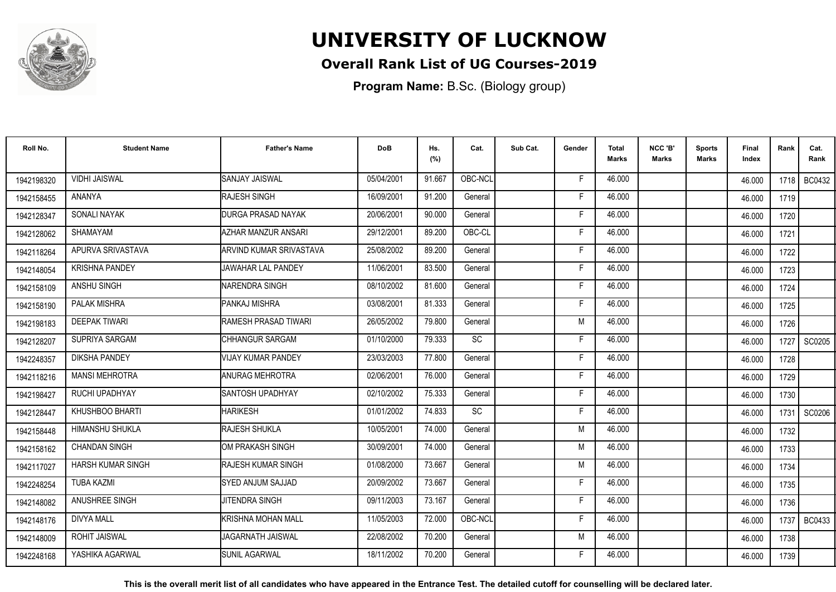

## **Overall Rank List of UG Courses-2019**

**Program Name:** B.Sc. (Biology group)

| Roll No.   | <b>Student Name</b>      | <b>Father's Name</b>             | <b>DoB</b> | Hs.<br>(%) | Cat.      | Sub Cat. | Gender | <b>Total</b><br>Marks | NCC 'B'<br><b>Marks</b> | <b>Sports</b><br>Marks | Final<br>Index | Rank | Cat.<br>Rank  |
|------------|--------------------------|----------------------------------|------------|------------|-----------|----------|--------|-----------------------|-------------------------|------------------------|----------------|------|---------------|
| 1942198320 | <b>VIDHI JAISWAL</b>     | <b>SANJAY JAISWAL</b>            | 05/04/2001 | 91.667     | OBC-NCL   |          | F      | 46.000                |                         |                        | 46.000         |      | 1718 BC0432   |
| 1942158455 | ANANYA                   | <b>RAJESH SINGH</b>              | 16/09/2001 | 91.200     | General   |          | F      | 46.000                |                         |                        | 46.000         | 1719 |               |
| 1942128347 | SONALI NAYAK             | <b>DURGA PRASAD NAYAK</b>        | 20/06/2001 | 90.000     | General   |          | F      | 46.000                |                         |                        | 46.000         | 1720 |               |
| 1942128062 | SHAMAYAM                 | <b>AZHAR MANZUR ANSARI</b>       | 29/12/2001 | 89.200     | OBC-CL    |          | F      | 46.000                |                         |                        | 46.000         | 1721 |               |
| 1942118264 | APURVA SRIVASTAVA        | <b>I</b> ARVIND KUMAR SRIVASTAVA | 25/08/2002 | 89.200     | General   |          | F      | 46.000                |                         |                        | 46.000         | 1722 |               |
| 1942148054 | <b>KRISHNA PANDEY</b>    | <b>JAWAHAR LAL PANDEY</b>        | 11/06/2001 | 83.500     | General   |          | Е      | 46.000                |                         |                        | 46.000         | 1723 |               |
| 1942158109 | ANSHU SINGH              | INARENDRA SINGH                  | 08/10/2002 | 81.600     | General   |          | F      | 46.000                |                         |                        | 46.000         | 1724 |               |
| 1942158190 | PALAK MISHRA             | <b>PANKAJ MISHRA</b>             | 03/08/2001 | 81.333     | General   |          | E      | 46.000                |                         |                        | 46.000         | 1725 |               |
| 1942198183 | <b>DEEPAK TIWARI</b>     | <b>I</b> RAMESH PRASAD TIWARI    | 26/05/2002 | 79.800     | General   |          | M      | 46.000                |                         |                        | 46.000         | 1726 |               |
| 1942128207 | SUPRIYA SARGAM           | CHHANGUR SARGAM                  | 01/10/2000 | 79.333     | SC        |          | F      | 46.000                |                         |                        | 46.000         | 1727 | SC0205        |
| 1942248357 | <b>DIKSHA PANDEY</b>     | VIJAY KUMAR PANDEY               | 23/03/2003 | 77.800     | General   |          | Е      | 46.000                |                         |                        | 46.000         | 1728 |               |
| 1942118216 | <b>MANSI MEHROTRA</b>    | <b>ANURAG MEHROTRA</b>           | 02/06/2001 | 76.000     | General   |          | F      | 46.000                |                         |                        | 46.000         | 1729 |               |
| 1942198427 | RUCHI UPADHYAY           | <b>I</b> SANTOSH UPADHYAY        | 02/10/2002 | 75.333     | General   |          | F      | 46.000                |                         |                        | 46.000         | 1730 |               |
| 1942128447 | KHUSHBOO BHARTI          | <b>HARIKESH</b>                  | 01/01/2002 | 74.833     | <b>SC</b> |          | F      | 46.000                |                         |                        | 46.000         | 1731 | SC0206        |
| 1942158448 | HIMANSHU SHUKLA          | <b>RAJESH SHUKLA</b>             | 10/05/2001 | 74.000     | General   |          | M      | 46.000                |                         |                        | 46.000         | 1732 |               |
| 1942158162 | <b>CHANDAN SINGH</b>     | OM PRAKASH SINGH                 | 30/09/2001 | 74.000     | General   |          | M      | 46.000                |                         |                        | 46.000         | 1733 |               |
| 1942117027 | <b>HARSH KUMAR SINGH</b> | <b>I</b> RAJESH KUMAR SINGH      | 01/08/2000 | 73.667     | General   |          | M      | 46.000                |                         |                        | 46.000         | 1734 |               |
| 1942248254 | <b>TUBA KAZMI</b>        | SYED ANJUM SAJJAD                | 20/09/2002 | 73.667     | General   |          | Е      | 46.000                |                         |                        | 46.000         | 1735 |               |
| 1942148082 | ANUSHREE SINGH           | JITENDRA SINGH                   | 09/11/2003 | 73.167     | General   |          | F      | 46.000                |                         |                        | 46.000         | 1736 |               |
| 1942148176 | <b>DIVYA MALL</b>        | KRISHNA MOHAN MALL               | 11/05/2003 | 72.000     | OBC-NCL   |          | F      | 46.000                |                         |                        | 46.000         | 1737 | <b>BC0433</b> |
| 1942148009 | <b>ROHIT JAISWAL</b>     | JAGARNATH JAISWAL                | 22/08/2002 | 70.200     | General   |          | M      | 46.000                |                         |                        | 46.000         | 1738 |               |
| 1942248168 | YASHIKA AGARWAL          | <b>SUNIL AGARWAL</b>             | 18/11/2002 | 70.200     | General   |          | F      | 46.000                |                         |                        | 46.000         | 1739 |               |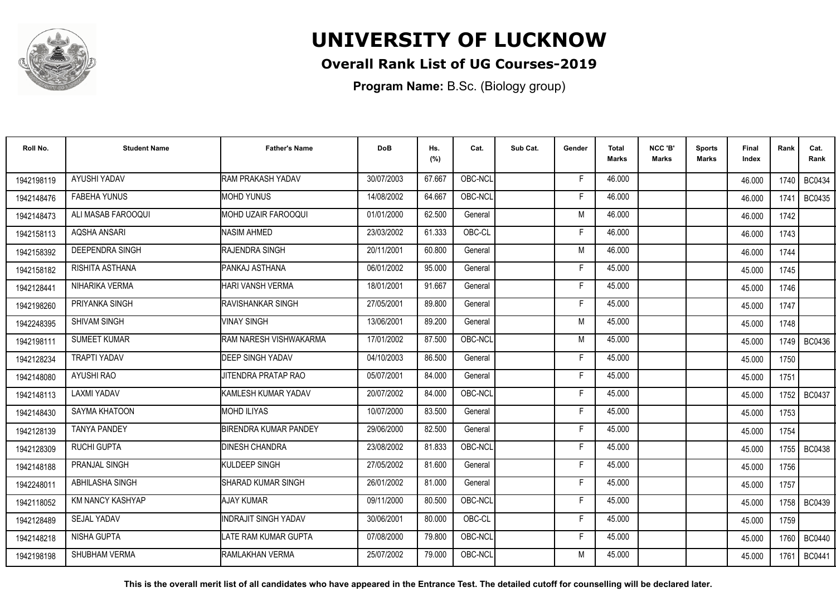

## **Overall Rank List of UG Courses-2019**

**Program Name:** B.Sc. (Biology group)

| Roll No.   | <b>Student Name</b>     | <b>Father's Name</b>         | <b>DoB</b> | Hs.<br>(%) | Cat.    | Sub Cat. | Gender | <b>Total</b><br><b>Marks</b> | NCC 'B'<br><b>Marks</b> | Sports<br>Marks | Final<br>Index | Rank   | Cat.<br>Rank  |
|------------|-------------------------|------------------------------|------------|------------|---------|----------|--------|------------------------------|-------------------------|-----------------|----------------|--------|---------------|
| 1942198119 | AYUSHI YADAV            | <b>RAM PRAKASH YADAV</b>     | 30/07/2003 | 67.667     | OBC-NCL |          | F      | 46.000                       |                         |                 | 46.000         | 1740 I | BC0434        |
| 1942148476 | <b>FABEHA YUNUS</b>     | <b>MOHD YUNUS</b>            | 14/08/2002 | 64.667     | OBC-NCL |          | F      | 46.000                       |                         |                 | 46.000         | 1741   | <b>BC0435</b> |
| 1942148473 | ALI MASAB FAROOQUI      | <b>MOHD UZAIR FAROOQUI</b>   | 01/01/2000 | 62.500     | General |          | M      | 46.000                       |                         |                 | 46.000         | 1742   |               |
| 1942158113 | AQSHA ANSARI            | <b>NASIM AHMED</b>           | 23/03/2002 | 61.333     | OBC-CL  |          | Е      | 46.000                       |                         |                 | 46.000         | 1743   |               |
| 1942158392 | <b>DEEPENDRA SINGH</b>  | RAJENDRA SINGH               | 20/11/2001 | 60.800     | General |          | M      | 46.000                       |                         |                 | 46.000         | 1744   |               |
| 1942158182 | RISHITA ASTHANA         | PANKAJ ASTHANA               | 06/01/2002 | 95.000     | General |          | E      | 45.000                       |                         |                 | 45.000         | 1745   |               |
| 1942128441 | NIHARIKA VERMA          | HARI VANSH VERMA             | 18/01/2001 | 91.667     | General |          | F      | 45.000                       |                         |                 | 45.000         | 1746   |               |
| 1942198260 | PRIYANKA SINGH          | <b>IRAVISHANKAR SINGH</b>    | 27/05/2001 | 89.800     | General |          | F      | 45.000                       |                         |                 | 45.000         | 1747   |               |
| 1942248395 | <b>SHIVAM SINGH</b>     | <b>VINAY SINGH</b>           | 13/06/2001 | 89.200     | General |          | M      | 45.000                       |                         |                 | 45.000         | 1748   |               |
| 1942198111 | <b>SUMEET KUMAR</b>     | RAM NARESH VISHWAKARMA       | 17/01/2002 | 87.500     | OBC-NCL |          | M      | 45.000                       |                         |                 | 45.000         |        | 1749 BC0436   |
| 1942128234 | <b>TRAPTI YADAV</b>     | <b>DEEP SINGH YADAV</b>      | 04/10/2003 | 86.500     | General |          | F      | 45.000                       |                         |                 | 45.000         | 1750   |               |
| 1942148080 | <b>AYUSHI RAO</b>       | JITENDRA PRATAP RAO          | 05/07/2001 | 84.000     | General |          | F.     | 45.000                       |                         |                 | 45.000         | 1751   |               |
| 1942148113 | <b>LAXMI YADAV</b>      | KAMLESH KUMAR YADAV          | 20/07/2002 | 84.000     | OBC-NCL |          | F      | 45.000                       |                         |                 | 45.000         | 1752   | BC0437        |
| 1942148430 | SAYMA KHATOON           | <b>MOHD ILIYAS</b>           | 10/07/2000 | 83.500     | General |          | F      | 45.000                       |                         |                 | 45.000         | 1753   |               |
| 1942128139 | <b>TANYA PANDEY</b>     | <b>BIRENDRA KUMAR PANDEY</b> | 29/06/2000 | 82.500     | General |          | Е      | 45.000                       |                         |                 | 45.000         | 1754   |               |
| 1942128309 | <b>RUCHI GUPTA</b>      | <b>DINESH CHANDRA</b>        | 23/08/2002 | 81.833     | OBC-NCL |          | F      | 45.000                       |                         |                 | 45.000         | 1755   | <b>BC0438</b> |
| 1942148188 | <b>PRANJAL SINGH</b>    | <b>KULDEEP SINGH</b>         | 27/05/2002 | 81.600     | General |          | F      | 45.000                       |                         |                 | 45.000         | 1756   |               |
| 1942248011 | ABHILASHA SINGH         | SHARAD KUMAR SINGH           | 26/01/2002 | 81.000     | General |          | F      | 45.000                       |                         |                 | 45.000         | 1757   |               |
| 1942118052 | <b>KM NANCY KASHYAP</b> | <b>AJAY KUMAR</b>            | 09/11/2000 | 80.500     | OBC-NCL |          | F      | 45.000                       |                         |                 | 45.000         |        | 1758 BC0439   |
| 1942128489 | <b>SEJAL YADAV</b>      | <b>INDRAJIT SINGH YADAV</b>  | 30/06/2001 | 80.000     | OBC-CL  |          | F      | 45.000                       |                         |                 | 45.000         | 1759   |               |
| 1942148218 | NISHA GUPTA             | LATE RAM KUMAR GUPTA         | 07/08/2000 | 79.800     | OBC-NCL |          | F      | 45.000                       |                         |                 | 45.000         | 1760   | <b>BC0440</b> |
| 1942198198 | SHUBHAM VERMA           | RAMLAKHAN VERMA              | 25/07/2002 | 79.000     | OBC-NCL |          | M      | 45.000                       |                         |                 | 45.000         | 1761   | <b>BC0441</b> |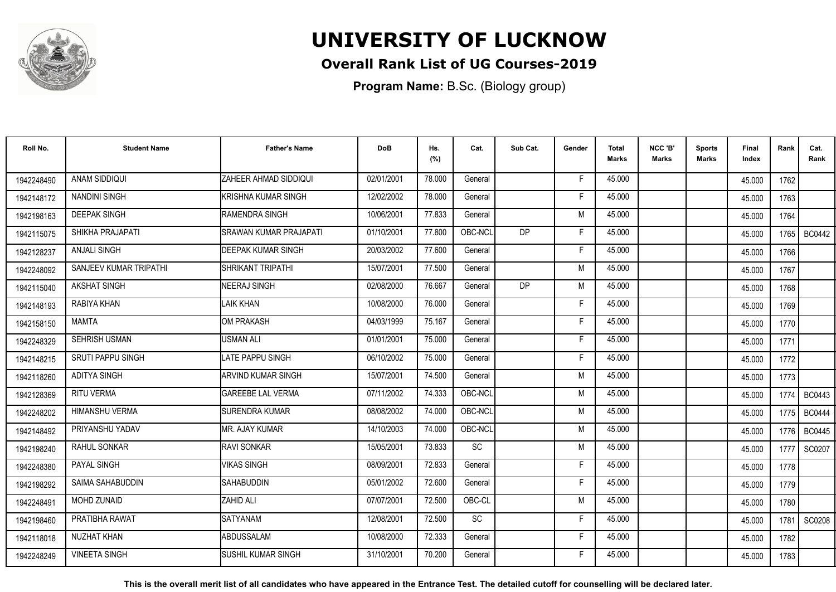

## **Overall Rank List of UG Courses-2019**

**Program Name:** B.Sc. (Biology group)

| Roll No.   | <b>Student Name</b>      | <b>Father's Name</b>          | <b>DoB</b> | Hs.<br>(%) | Cat.      | Sub Cat.  | Gender | <b>Total</b><br>Marks | NCC 'B'<br><b>Marks</b> | <b>Sports</b><br>Marks | Final<br>Index | Rank | Cat.<br>Rank  |
|------------|--------------------------|-------------------------------|------------|------------|-----------|-----------|--------|-----------------------|-------------------------|------------------------|----------------|------|---------------|
| 1942248490 | ANAM SIDDIQUI            | <b>ZAHEER AHMAD SIDDIQUI</b>  | 02/01/2001 | 78.000     | General   |           | -F     | 45.000                |                         |                        | 45.000         | 1762 |               |
| 1942148172 | <b>NANDINI SINGH</b>     | KRISHNA KUMAR SINGH           | 12/02/2002 | 78.000     | General   |           | F      | 45.000                |                         |                        | 45.000         | 1763 |               |
| 1942198163 | <b>DEEPAK SINGH</b>      | RAMENDRA SINGH                | 10/06/2001 | 77.833     | General   |           | M      | 45.000                |                         |                        | 45.000         | 1764 |               |
| 1942115075 | SHIKHA PRAJAPATI         | <b>SRAWAN KUMAR PRAJAPATI</b> | 01/10/2001 | 77.800     | OBC-NCL   | <b>DP</b> | Е      | 45.000                |                         |                        | 45.000         | 1765 | <b>BC0442</b> |
| 1942128237 | <b>ANJALI SINGH</b>      | <b>DEEPAK KUMAR SINGH</b>     | 20/03/2002 | 77.600     | General   |           | F      | 45.000                |                         |                        | 45.000         | 1766 |               |
| 1942248092 | SANJEEV KUMAR TRIPATHI   | ISHRIKANT TRIPATHI            | 15/07/2001 | 77.500     | General   |           | M      | 45.000                |                         |                        | 45.000         | 1767 |               |
| 1942115040 | <b>AKSHAT SINGH</b>      | NEERAJ SINGH                  | 02/08/2000 | 76.667     | General   | <b>DP</b> | M      | 45.000                |                         |                        | 45.000         | 1768 |               |
| 1942148193 | RABIYA KHAN              | <b>LAIK KHAN</b>              | 10/08/2000 | 76.000     | General   |           | F      | 45.000                |                         |                        | 45.000         | 1769 |               |
| 1942158150 | <b>MAMTA</b>             | OM PRAKASH                    | 04/03/1999 | 75.167     | General   |           | F      | 45.000                |                         |                        | 45.000         | 1770 |               |
| 1942248329 | <b>SEHRISH USMAN</b>     | USMAN ALI                     | 01/01/2001 | 75.000     | General   |           | F      | 45.000                |                         |                        | 45.000         | 1771 |               |
| 1942148215 | <b>SRUTI PAPPU SINGH</b> | <b>LATE PAPPU SINGH</b>       | 06/10/2002 | 75.000     | General   |           | Е      | 45.000                |                         |                        | 45.000         | 1772 |               |
| 1942118260 | <b>ADITYA SINGH</b>      | ARVIND KUMAR SINGH            | 15/07/2001 | 74.500     | General   |           | M      | 45.000                |                         |                        | 45.000         | 1773 |               |
| 1942128369 | <b>RITU VERMA</b>        | <b>GAREEBE LAL VERMA</b>      | 07/11/2002 | 74.333     | OBC-NCL   |           | M      | 45.000                |                         |                        | 45.000         | 1774 | <b>BC0443</b> |
| 1942248202 | <b>HIMANSHU VERMA</b>    | <b>ISURENDRA KUMAR</b>        | 08/08/2002 | 74.000     | OBC-NCL   |           | M      | 45.000                |                         |                        | 45.000         | 1775 | <b>BC0444</b> |
| 1942148492 | PRIYANSHU YADAV          | MR. AJAY KUMAR                | 14/10/2003 | 74.000     | OBC-NCL   |           | M      | 45.000                |                         |                        | 45.000         | 1776 | <b>BC0445</b> |
| 1942198240 | RAHUL SONKAR             | <b>RAVI SONKAR</b>            | 15/05/2001 | 73.833     | SC        |           | M      | 45.000                |                         |                        | 45.000         | 1777 | SC0207        |
| 1942248380 | <b>PAYAL SINGH</b>       | <b>VIKAS SINGH</b>            | 08/09/2001 | 72.833     | General   |           | F      | 45.000                |                         |                        | 45.000         | 1778 |               |
| 1942198292 | SAIMA SAHABUDDIN         | <b>SAHABUDDIN</b>             | 05/01/2002 | 72.600     | General   |           | F      | 45.000                |                         |                        | 45.000         | 1779 |               |
| 1942248491 | <b>MOHD ZUNAID</b>       | <b>ZAHID ALI</b>              | 07/07/2001 | 72.500     | OBC-CL    |           | M      | 45.000                |                         |                        | 45.000         | 1780 |               |
| 1942198460 | PRATIBHA RAWAT           | <b>SATYANAM</b>               | 12/08/2001 | 72.500     | <b>SC</b> |           | F      | 45.000                |                         |                        | 45.000         | 1781 | <b>SC0208</b> |
| 1942118018 | NUZHAT KHAN              | ABDUSSALAM                    | 10/08/2000 | 72.333     | General   |           | E      | 45.000                |                         |                        | 45.000         | 1782 |               |
| 1942248249 | <b>VINEETA SINGH</b>     | <b>SUSHIL KUMAR SINGH</b>     | 31/10/2001 | 70.200     | General   |           | F      | 45.000                |                         |                        | 45.000         | 1783 |               |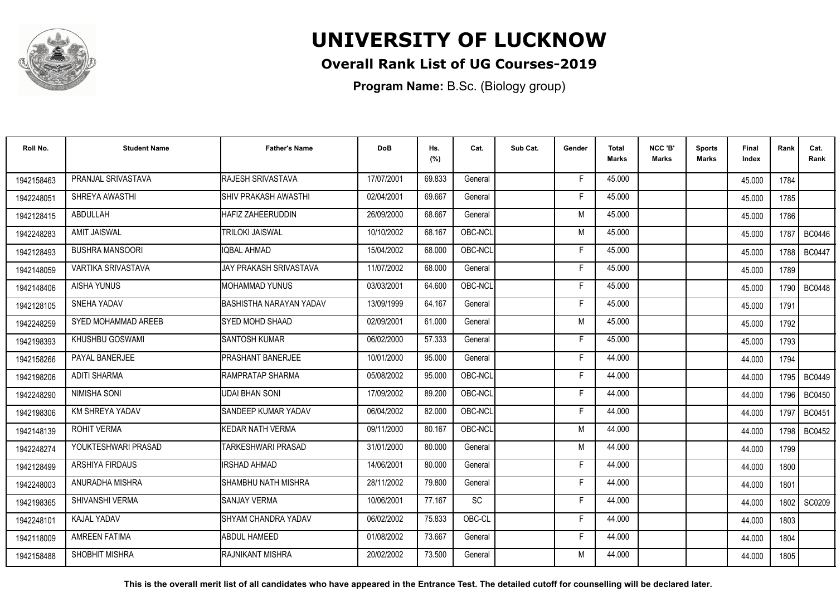

## **Overall Rank List of UG Courses-2019**

**Program Name:** B.Sc. (Biology group)

| Roll No.   | <b>Student Name</b>       | <b>Father's Name</b>         | <b>DoB</b> | Hs.<br>(%) | Cat.    | Sub Cat. | Gender | <b>Total</b><br>Marks | NCC 'B'<br>Marks | <b>Sports</b><br><b>Marks</b> | Final<br>Index | Rank   | Cat.<br>Rank  |
|------------|---------------------------|------------------------------|------------|------------|---------|----------|--------|-----------------------|------------------|-------------------------------|----------------|--------|---------------|
| 1942158463 | PRANJAL SRIVASTAVA        | <b>RAJESH SRIVASTAVA</b>     | 17/07/2001 | 69.833     | General |          | F      | 45.000                |                  |                               | 45.000         | 1784   |               |
| 1942248051 | SHREYA AWASTHI            | ISHIV PRAKASH AWASTHI        | 02/04/2001 | 69.667     | General |          | F      | 45.000                |                  |                               | 45.000         | 1785   |               |
| 1942128415 | ABDULLAH                  | <b>HAFIZ ZAHEERUDDIN</b>     | 26/09/2000 | 68.667     | General |          | M      | 45.000                |                  |                               | 45.000         | 1786   |               |
| 1942248283 | <b>AMIT JAISWAL</b>       | <b>TRILOKI JAISWAL</b>       | 10/10/2002 | 68.167     | OBC-NCL |          | M      | 45.000                |                  |                               | 45.000         | 1787   | <b>BC0446</b> |
| 1942128493 | <b>BUSHRA MANSOORI</b>    | IOBAL AHMAD                  | 15/04/2002 | 68.000     | OBC-NCL |          | F      | 45.000                |                  |                               | 45.000         | 1788 I | <b>BC0447</b> |
| 1942148059 | <b>VARTIKA SRIVASTAVA</b> | JAY PRAKASH SRIVASTAVA       | 11/07/2002 | 68.000     | General |          | F      | 45.000                |                  |                               | 45.000         | 1789   |               |
| 1942148406 | <b>AISHA YUNUS</b>        | <b>MOHAMMAD YUNUS</b>        | 03/03/2001 | 64.600     | OBC-NCL |          | Е      | 45.000                |                  |                               | 45.000         | 1790   | <b>BC0448</b> |
| 1942128105 | SNEHA YADAV               | BASHISTHA NARAYAN YADAV      | 13/09/1999 | 64.167     | General |          | E      | 45.000                |                  |                               | 45.000         | 1791   |               |
| 1942248259 | SYED MOHAMMAD AREEB       | <b>SYED MOHD SHAAD</b>       | 02/09/2001 | 61.000     | General |          | M      | 45.000                |                  |                               | 45.000         | 1792   |               |
| 1942198393 | KHUSHBU GOSWAMI           | <b>SANTOSH KUMAR</b>         | 06/02/2000 | 57.333     | General |          | F      | 45.000                |                  |                               | 45.000         | 1793   |               |
| 1942158266 | PAYAL BANERJEE            | <b>PRASHANT BANERJEE</b>     | 10/01/2000 | 95.000     | General |          | Е      | 44.000                |                  |                               | 44.000         | 1794   |               |
| 1942198206 | <b>ADITI SHARMA</b>       | <b>IRAMPRATAP SHARMA</b>     | 05/08/2002 | 95.000     | OBC-NCL |          | F      | 44.000                |                  |                               | 44.000         | 1795   | <b>BC0449</b> |
| 1942248290 | <b>NIMISHA SONI</b>       | <b>UDAI BHAN SONI</b>        | 17/09/2002 | 89.200     | OBC-NCL |          | F      | 44.000                |                  |                               | 44.000         | 1796   | <b>BC0450</b> |
| 1942198306 | KM SHREYA YADAV           | <b>I</b> SANDEEP KUMAR YADAV | 06/04/2002 | 82.000     | OBC-NCL |          | F      | 44.000                |                  |                               | 44.000         | 1797   | <b>BC0451</b> |
| 1942148139 | <b>ROHIT VERMA</b>        | KEDAR NATH VERMA             | 09/11/2000 | 80.167     | OBC-NCL |          | M      | 44.000                |                  |                               | 44.000         | 1798   | <b>BC0452</b> |
| 1942248274 | YOUKTESHWARI PRASAD       | TARKESHWARI PRASAD           | 31/01/2000 | 80.000     | General |          | M      | 44.000                |                  |                               | 44.000         | 1799   |               |
| 1942128499 | ARSHIYA FIRDAUS           | <b>IRSHAD AHMAD</b>          | 14/06/2001 | 80.000     | General |          | F      | 44.000                |                  |                               | 44.000         | 1800   |               |
| 1942248003 | ANURADHA MISHRA           | SHAMBHU NATH MISHRA          | 28/11/2002 | 79.800     | General |          | F      | 44.000                |                  |                               | 44.000         | 1801   |               |
| 1942198365 | SHIVANSHI VERMA           | <b>SANJAY VERMA</b>          | 10/06/2001 | 77.167     | SC      |          | F      | 44.000                |                  |                               | 44.000         | 1802   | SC0209        |
| 1942248101 | <b>KAJAL YADAV</b>        | <b>ISHYAM CHANDRA YADAV</b>  | 06/02/2002 | 75.833     | OBC-CL  |          | F      | 44.000                |                  |                               | 44.000         | 1803   |               |
| 1942118009 | AMREEN FATIMA             | <b>ABDUL HAMEED</b>          | 01/08/2002 | 73.667     | General |          | F      | 44.000                |                  |                               | 44.000         | 1804   |               |
| 1942158488 | SHOBHIT MISHRA            | <b>IRAJNIKANT MISHRA</b>     | 20/02/2002 | 73.500     | General |          | M      | 44.000                |                  |                               | 44.000         | 1805   |               |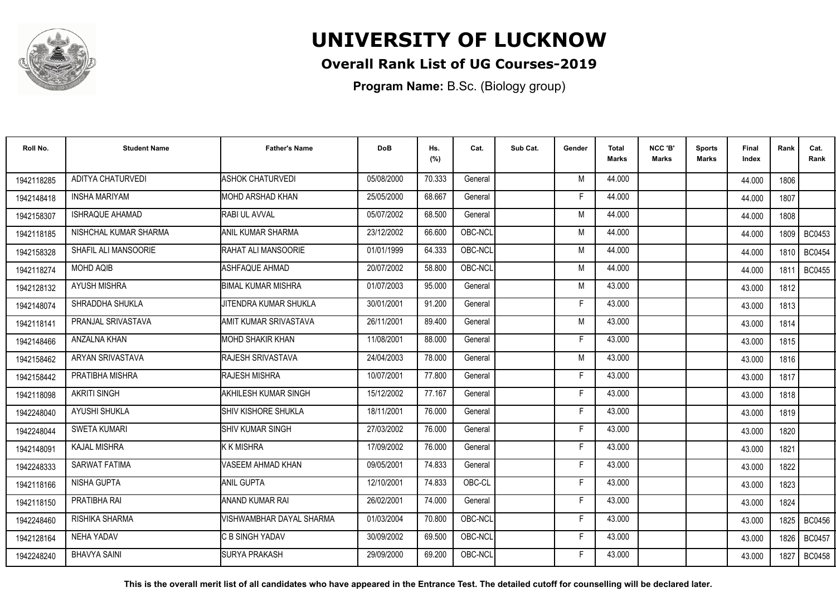

## **Overall Rank List of UG Courses-2019**

**Program Name:** B.Sc. (Biology group)

| Roll No.   | <b>Student Name</b>   | <b>Father's Name</b>        | <b>DoB</b> | Hs.<br>(%) | Cat.    | Sub Cat. | Gender | <b>Total</b><br>Marks | NCC 'B'<br><b>Marks</b> | Sports<br>Marks | Final<br>Index | Rank | Cat.<br>Rank  |
|------------|-----------------------|-----------------------------|------------|------------|---------|----------|--------|-----------------------|-------------------------|-----------------|----------------|------|---------------|
| 1942118285 | ADITYA CHATURVEDI     | <b>ASHOK CHATURVEDI</b>     | 05/08/2000 | 70.333     | General |          | M      | 44.000                |                         |                 | 44.000         | 1806 |               |
| 1942148418 | <b>INSHA MARIYAM</b>  | MOHD ARSHAD KHAN            | 25/05/2000 | 68.667     | General |          | F      | 44.000                |                         |                 | 44.000         | 1807 |               |
| 1942158307 | ISHRAQUE AHAMAD       | RABI UL AVVAL               | 05/07/2002 | 68.500     | General |          | M      | 44.000                |                         |                 | 44.000         | 1808 |               |
| 1942118185 | NISHCHAL KUMAR SHARMA | <b>ANIL KUMAR SHARMA</b>    | 23/12/2002 | 66.600     | OBC-NCL |          | M      | 44.000                |                         |                 | 44.000         | 1809 | <b>BC0453</b> |
| 1942158328 | SHAFIL ALI MANSOORIE  | RAHAT ALI MANSOORIE         | 01/01/1999 | 64.333     | OBC-NCL |          | M      | 44.000                |                         |                 | 44.000         | 1810 | <b>BC0454</b> |
| 1942118274 | <b>MOHD AQIB</b>      | <b>ASHFAQUE AHMAD</b>       | 20/07/2002 | 58.800     | OBC-NCL |          | M      | 44.000                |                         |                 | 44.000         | 1811 | <b>BC0455</b> |
| 1942128132 | <b>AYUSH MISHRA</b>   | BIMAL KUMAR MISHRA          | 01/07/2003 | 95.000     | General |          | M      | 43.000                |                         |                 | 43.000         | 1812 |               |
| 1942148074 | SHRADDHA SHUKLA       | JITENDRA KUMAR SHUKLA       | 30/01/2001 | 91.200     | General |          | F      | 43.000                |                         |                 | 43.000         | 1813 |               |
| 1942118141 | PRANJAL SRIVASTAVA    | AMIT KUMAR SRIVASTAVA       | 26/11/2001 | 89.400     | General |          | M      | 43.000                |                         |                 | 43.000         | 1814 |               |
| 1942148466 | ANZALNA KHAN          | MOHD SHAKIR KHAN            | 11/08/2001 | 88.000     | General |          | F      | 43.000                |                         |                 | 43.000         | 1815 |               |
| 1942158462 | ARYAN SRIVASTAVA      | RAJESH SRIVASTAVA           | 24/04/2003 | 78.000     | General |          | M      | 43.000                |                         |                 | 43.000         | 1816 |               |
| 1942158442 | PRATIBHA MISHRA       | <b>RAJESH MISHRA</b>        | 10/07/2001 | 77.800     | General |          | E      | 43.000                |                         |                 | 43.000         | 1817 |               |
| 1942118098 | <b>AKRITI SINGH</b>   | <b>AKHILESH KUMAR SINGH</b> | 15/12/2002 | 77.167     | General |          | E      | 43.000                |                         |                 | 43.000         | 1818 |               |
| 1942248040 | <b>AYUSHI SHUKLA</b>  | ISHIV KISHORE SHUKLA        | 18/11/2001 | 76.000     | General |          | F      | 43.000                |                         |                 | 43.000         | 1819 |               |
| 1942248044 | <b>SWETA KUMARI</b>   | <b>SHIV KUMAR SINGH</b>     | 27/03/2002 | 76.000     | General |          | Е      | 43.000                |                         |                 | 43.000         | 1820 |               |
| 1942148091 | <b>KAJAL MISHRA</b>   | K K MISHRA                  | 17/09/2002 | 76.000     | General |          | F      | 43.000                |                         |                 | 43.000         | 1821 |               |
| 1942248333 | <b>SARWAT FATIMA</b>  | VASEEM AHMAD KHAN           | 09/05/2001 | 74.833     | General |          | F      | 43.000                |                         |                 | 43.000         | 1822 |               |
| 1942118166 | <b>NISHA GUPTA</b>    | ANIL GUPTA                  | 12/10/2001 | 74.833     | OBC-CL  |          | F      | 43.000                |                         |                 | 43.000         | 1823 |               |
| 1942118150 | PRATIBHA RAI          | ANAND KUMAR RAI             | 26/02/2001 | 74.000     | General |          | F      | 43.000                |                         |                 | 43.000         | 1824 |               |
| 1942248460 | RISHIKA SHARMA        | VISHWAMBHAR DAYAL SHARMA    | 01/03/2004 | 70.800     | OBC-NCL |          | F      | 43.000                |                         |                 | 43.000         | 1825 | <b>BC0456</b> |
| 1942128164 | NEHA YADAV            | <b>C B SINGH YADAV</b>      | 30/09/2002 | 69.500     | OBC-NCL |          | E      | 43.000                |                         |                 | 43.000         | 1826 | <b>BC0457</b> |
| 1942248240 | <b>BHAVYA SAINI</b>   | <b>SURYA PRAKASH</b>        | 29/09/2000 | 69.200     | OBC-NCL |          | F      | 43.000                |                         |                 | 43.000         | 1827 | <b>BC0458</b> |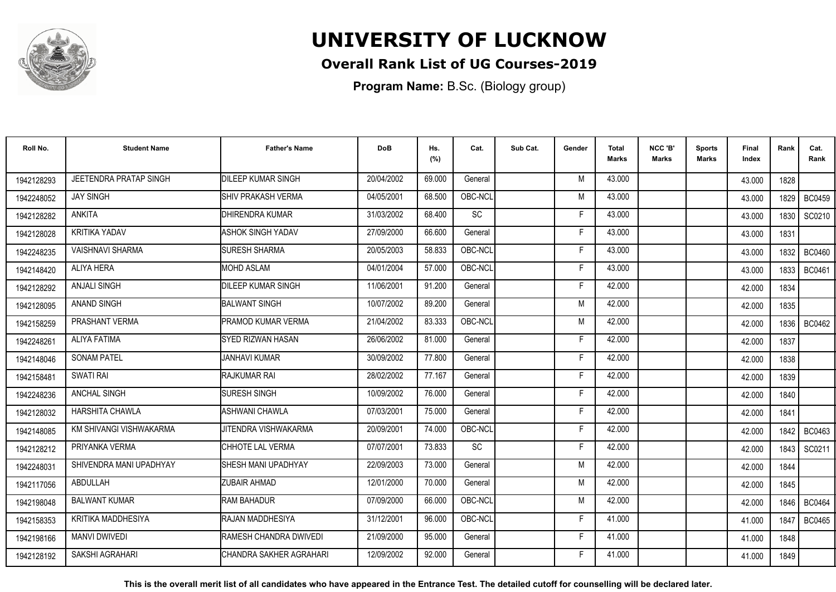

## **Overall Rank List of UG Courses-2019**

**Program Name:** B.Sc. (Biology group)

| Roll No.   | <b>Student Name</b>           | <b>Father's Name</b>      | <b>DoB</b> | Hs.<br>(%) | Cat.                         | Sub Cat. | Gender | <b>Total</b><br>Marks | NCC 'B'<br>Marks | <b>Sports</b><br>Marks | Final<br>Index | Rank   | Cat.<br>Rank  |
|------------|-------------------------------|---------------------------|------------|------------|------------------------------|----------|--------|-----------------------|------------------|------------------------|----------------|--------|---------------|
| 1942128293 | <b>JEETENDRA PRATAP SINGH</b> | <b>DILEEP KUMAR SINGH</b> | 20/04/2002 | 69.000     | General                      |          | M      | 43.000                |                  |                        | 43.000         | 1828   |               |
| 1942248052 | <b>JAY SINGH</b>              | <b>SHIV PRAKASH VERMA</b> | 04/05/2001 | 68.500     | OBC-NCL                      |          | M      | 43.000                |                  |                        | 43.000         | 1829 I | <b>BC0459</b> |
| 1942128282 | <b>ANKITA</b>                 | DHIRENDRA KUMAR           | 31/03/2002 | 68.400     | $\operatorname{\textsf{SC}}$ |          | F      | 43.000                |                  |                        | 43.000         | 1830   | SC0210        |
| 1942128028 | <b>KRITIKA YADAV</b>          | <b>ASHOK SINGH YADAV</b>  | 27/09/2000 | 66.600     | General                      |          | F      | 43.000                |                  |                        | 43.000         | 1831   |               |
| 1942248235 | <b>VAISHNAVI SHARMA</b>       | <b>SURESH SHARMA</b>      | 20/05/2003 | 58.833     | OBC-NCL                      |          |        | 43.000                |                  |                        | 43.000         | 1832   | <b>BC0460</b> |
| 1942148420 | ALIYA HERA                    | <b>IMOHD ASLAM</b>        | 04/01/2004 | 57.000     | OBC-NCL                      |          | Е      | 43.000                |                  |                        | 43.000         | 1833   | <b>BC0461</b> |
| 1942128292 | <b>ANJALI SINGH</b>           | <b>DILEEP KUMAR SINGH</b> | 11/06/2001 | 91.200     | General                      |          | F      | 42.000                |                  |                        | 42.000         | 1834   |               |
| 1942128095 | <b>ANAND SINGH</b>            | BALWANT SINGH             | 10/07/2002 | 89.200     | General                      |          | M      | 42.000                |                  |                        | 42.000         | 1835   |               |
| 1942158259 | PRASHANT VERMA                | PRAMOD KUMAR VERMA        | 21/04/2002 | 83.333     | OBC-NCL                      |          | M      | 42.000                |                  |                        | 42.000         |        | 1836   BC0462 |
| 1942248261 | <b>ALIYA FATIMA</b>           | SYED RIZWAN HASAN         | 26/06/2002 | 81.000     | General                      |          | F      | 42.000                |                  |                        | 42.000         | 1837   |               |
| 1942148046 | <b>SONAM PATEL</b>            | <b>JANHAVI KUMAR</b>      | 30/09/2002 | 77.800     | General                      |          |        | 42.000                |                  |                        | 42.000         | 1838   |               |
| 1942158481 | SWATI RAI                     | <b>RAJKUMAR RAI</b>       | 28/02/2002 | 77.167     | General                      |          | Е      | 42.000                |                  |                        | 42.000         | 1839   |               |
| 1942248236 | <b>ANCHAL SINGH</b>           | <b>SURESH SINGH</b>       | 10/09/2002 | 76.000     | General                      |          |        | 42.000                |                  |                        | 42.000         | 1840   |               |
| 1942128032 | HARSHITA CHAWLA               | <b>ASHWANI CHAWLA</b>     | 07/03/2001 | 75.000     | General                      |          | F      | 42.000                |                  |                        | 42.000         | 1841   |               |
| 1942148085 | KM SHIVANGI VISHWAKARMA       | JITENDRA VISHWAKARMA      | 20/09/2001 | 74.000     | OBC-NCL                      |          | Е      | 42.000                |                  |                        | 42.000         | 1842   | BC0463        |
| 1942128212 | PRIYANKA VERMA                | CHHOTE LAL VERMA          | 07/07/2001 | 73.833     | SC                           |          | F      | 42.000                |                  |                        | 42.000         | 1843   | SC0211        |
| 1942248031 | SHIVENDRA MANI UPADHYAY       | SHESH MANI UPADHYAY       | 22/09/2003 | 73.000     | General                      |          | M      | 42.000                |                  |                        | 42.000         | 1844   |               |
| 1942117056 | ABDULLAH                      | <b>ZUBAIR AHMAD</b>       | 12/01/2000 | 70.000     | General                      |          | M      | 42.000                |                  |                        | 42.000         | 1845   |               |
| 1942198048 | <b>BALWANT KUMAR</b>          | <b>RAM BAHADUR</b>        | 07/09/2000 | 66.000     | OBC-NCL                      |          | M      | 42.000                |                  |                        | 42.000         | 1846 I | <b>BC0464</b> |
| 1942158353 | KRITIKA MADDHESIYA            | <b>IRAJAN MADDHESIYA</b>  | 31/12/2001 | 96.000     | OBC-NCL                      |          | F      | 41.000                |                  |                        | 41.000         | 1847   | <b>BC0465</b> |
| 1942198166 | <b>MANVI DWIVEDI</b>          | RAMESH CHANDRA DWIVEDI    | 21/09/2000 | 95.000     | General                      |          | F      | 41.000                |                  |                        | 41.000         | 1848   |               |
| 1942128192 | SAKSHI AGRAHARI               | CHANDRA SAKHER AGRAHARI   | 12/09/2002 | 92.000     | General                      |          |        | 41.000                |                  |                        | 41.000         | 1849   |               |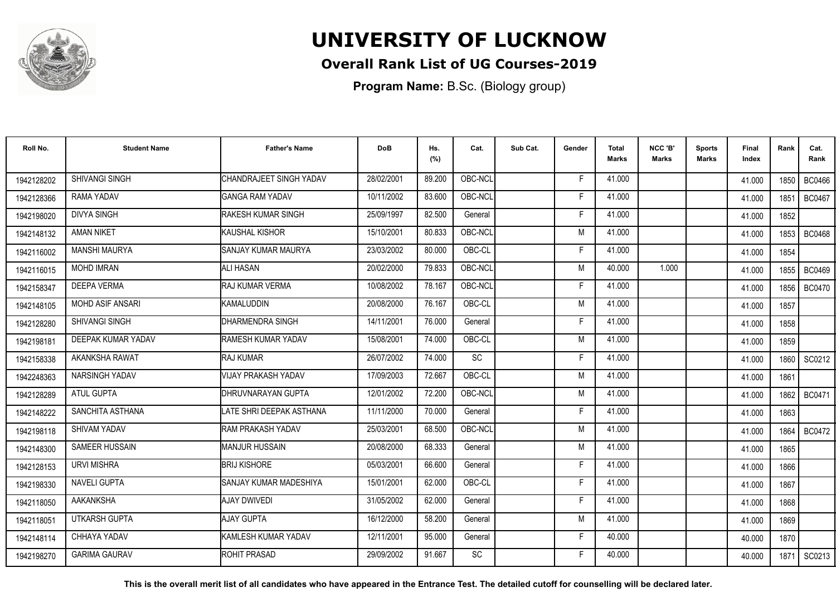

### **Overall Rank List of UG Courses-2019**

**Program Name:** B.Sc. (Biology group)

| Roll No.   | <b>Student Name</b>     | <b>Father's Name</b>         | <b>DoB</b> | Hs.<br>(%) | Cat.      | Sub Cat. | Gender | <b>Total</b><br>Marks | NCC 'B'<br><b>Marks</b> | Sports<br>Marks | Final<br>Index | Rank   | Cat.<br>Rank  |
|------------|-------------------------|------------------------------|------------|------------|-----------|----------|--------|-----------------------|-------------------------|-----------------|----------------|--------|---------------|
| 1942128202 | SHIVANGI SINGH          | CHANDRAJEET SINGH YADAV      | 28/02/2001 | 89.200     | OBC-NCL   |          | F      | 41.000                |                         |                 | 41.000         | 1850 l | <b>BC0466</b> |
| 1942128366 | RAMA YADAV              | <b>GANGA RAM YADAV</b>       | 10/11/2002 | 83.600     | OBC-NCL   |          | F      | 41.000                |                         |                 | 41.000         | 1851   | <b>BC0467</b> |
| 1942198020 | <b>DIVYA SINGH</b>      | RAKESH KUMAR SINGH           | 25/09/1997 | 82.500     | General   |          | F      | 41.000                |                         |                 | 41.000         | 1852   |               |
| 1942148132 | <b>AMAN NIKET</b>       | KAUSHAL KISHOR               | 15/10/2001 | 80.833     | OBC-NCL   |          | M      | 41.000                |                         |                 | 41.000         | 1853   | <b>BC0468</b> |
| 1942116002 | <b>MANSHI MAURYA</b>    | SANJAY KUMAR MAURYA          | 23/03/2002 | 80.000     | OBC-CL    |          | F      | 41.000                |                         |                 | 41.000         | 1854   |               |
| 1942116015 | <b>MOHD IMRAN</b>       | ALI HASAN                    | 20/02/2000 | 79.833     | OBC-NCL   |          | M      | 40.000                | 1.000                   |                 | 41.000         | 1855   | <b>BC0469</b> |
| 1942158347 | <b>DEEPA VERMA</b>      | RAJ KUMAR VERMA              | 10/08/2002 | 78.167     | OBC-NCL   |          | F      | 41.000                |                         |                 | 41.000         | 1856   | <b>BC0470</b> |
| 1942148105 | <b>MOHD ASIF ANSARI</b> | KAMALUDDIN                   | 20/08/2000 | 76.167     | OBC-CL    |          | M      | 41.000                |                         |                 | 41.000         | 1857   |               |
| 1942128280 | <b>SHIVANGI SINGH</b>   | <b>I</b> DHARMENDRA SINGH    | 14/11/2001 | 76.000     | General   |          | F      | 41.000                |                         |                 | 41.000         | 1858   |               |
| 1942198181 | DEEPAK KUMAR YADAV      | RAMESH KUMAR YADAV           | 15/08/2001 | 74.000     | OBC-CL    |          | M      | 41.000                |                         |                 | 41.000         | 1859   |               |
| 1942158338 | AKANKSHA RAWAT          | <b>RAJ KUMAR</b>             | 26/07/2002 | 74.000     | <b>SC</b> |          | F      | 41.000                |                         |                 | 41.000         | 1860   | SC0212        |
| 1942248363 | NARSINGH YADAV          | <b>VIJAY PRAKASH YADAV</b>   | 17/09/2003 | 72.667     | OBC-CL    |          | M      | 41.000                |                         |                 | 41.000         | 1861   |               |
| 1942128289 | <b>ATUL GUPTA</b>       | DHRUVNARAYAN GUPTA           | 12/01/2002 | 72.200     | OBC-NCL   |          | M      | 41.000                |                         |                 | 41.000         | 1862   | <b>BC0471</b> |
| 1942148222 | SANCHITA ASTHANA        | LATE SHRI DEEPAK ASTHANA     | 11/11/2000 | 70.000     | General   |          | F      | 41.000                |                         |                 | 41.000         | 1863   |               |
| 1942198118 | SHIVAM YADAV            | RAM PRAKASH YADAV            | 25/03/2001 | 68.500     | OBC-NCL   |          | M      | 41.000                |                         |                 | 41.000         | 1864   | <b>BC0472</b> |
| 1942148300 | SAMEER HUSSAIN          | <b>MANJUR HUSSAIN</b>        | 20/08/2000 | 68.333     | General   |          | M      | 41.000                |                         |                 | 41.000         | 1865   |               |
| 1942128153 | <b>URVI MISHRA</b>      | <b>BRIJ KISHORE</b>          | 05/03/2001 | 66.600     | General   |          | E      | 41.000                |                         |                 | 41.000         | 1866   |               |
| 1942198330 | <b>NAVELI GUPTA</b>     | SANJAY KUMAR MADESHIYA       | 15/01/2001 | 62.000     | OBC-CL    |          | F      | 41.000                |                         |                 | 41.000         | 1867   |               |
| 1942118050 | AAKANKSHA               | <b>AJAY DWIVEDI</b>          | 31/05/2002 | 62.000     | General   |          | F.     | 41.000                |                         |                 | 41.000         | 1868   |               |
| 1942118051 | <b>UTKARSH GUPTA</b>    | AJAY GUPTA                   | 16/12/2000 | 58.200     | General   |          | M      | 41.000                |                         |                 | 41.000         | 1869   |               |
| 1942148114 | CHHAYA YADAV            | <b>I</b> KAMLESH KUMAR YADAV | 12/11/2001 | 95.000     | General   |          | F.     | 40.000                |                         |                 | 40.000         | 1870   |               |
| 1942198270 | <b>GARIMA GAURAV</b>    | ROHIT PRASAD                 | 29/09/2002 | 91.667     | SC        |          | F      | 40.000                |                         |                 | 40.000         | 1871   | SC0213        |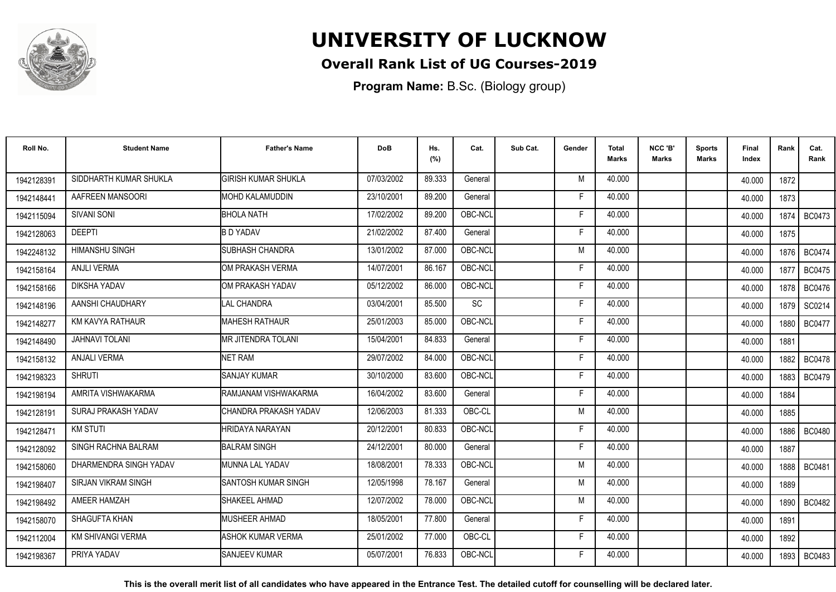

## **Overall Rank List of UG Courses-2019**

**Program Name:** B.Sc. (Biology group)

| Roll No.   | <b>Student Name</b>        | <b>Father's Name</b>       | <b>DoB</b> | Hs.<br>(%) | Cat.            | Sub Cat. | Gender | <b>Total</b><br>Marks | NCC 'B'<br><b>Marks</b> | Sports<br><b>Marks</b> | Final<br>Index | Rank   | Cat.<br>Rank  |
|------------|----------------------------|----------------------------|------------|------------|-----------------|----------|--------|-----------------------|-------------------------|------------------------|----------------|--------|---------------|
| 1942128391 | SIDDHARTH KUMAR SHUKLA     | <b>GIRISH KUMAR SHUKLA</b> | 07/03/2002 | 89.333     | General         |          | M      | 40.000                |                         |                        | 40.000         | 1872   |               |
| 1942148441 | AAFREEN MANSOORI           | IMOHD KALAMUDDIN           | 23/10/2001 | 89.200     | General         |          | F      | 40.000                |                         |                        | 40.000         | 1873   |               |
| 1942115094 | <b>SIVANI SONI</b>         | <b>BHOLA NATH</b>          | 17/02/2002 | 89.200     | OBC-NCL         |          | F.     | 40.000                |                         |                        | 40.000         | 1874   | <b>BC0473</b> |
| 1942128063 | <b>DEEPTI</b>              | <b>B D YADAV</b>           | 21/02/2002 | 87.400     | General         |          | E      | 40.000                |                         |                        | 40.000         | 1875   |               |
| 1942248132 | <b>HIMANSHU SINGH</b>      | <b>SUBHASH CHANDRA</b>     | 13/01/2002 | 87.000     | OBC-NCL         |          | M      | 40.000                |                         |                        | 40.000         | 1876   | <b>BC0474</b> |
| 1942158164 | <b>ANJLI VERMA</b>         | OM PRAKASH VERMA           | 14/07/2001 | 86.167     | OBC-NCL         |          | F      | 40.000                |                         |                        | 40.000         | 1877   | <b>BC0475</b> |
| 1942158166 | DIKSHA YADAV               | OM PRAKASH YADAV           | 05/12/2002 | 86.000     | OBC-NCL         |          | F      | 40.000                |                         |                        | 40.000         | 1878   | <b>BC0476</b> |
| 1942148196 | AANSHI CHAUDHARY           | <b>LAL CHANDRA</b>         | 03/04/2001 | 85.500     | $\overline{SC}$ |          | Е      | 40.000                |                         |                        | 40.000         | 1879 I | SC0214        |
| 1942148277 | KM KAVYA RATHAUR           | MAHESH RATHAUR             | 25/01/2003 | 85.000     | OBC-NCL         |          | E      | 40.000                |                         |                        | 40.000         | 1880 I | <b>BC0477</b> |
| 1942148490 | <b>JAHNAVI TOLANI</b>      | <b>MR JITENDRA TOLANI</b>  | 15/04/2001 | 84.833     | General         |          | F      | 40.000                |                         |                        | 40.000         | 1881   |               |
| 1942158132 | <b>ANJALI VERMA</b>        | <b>NET RAM</b>             | 29/07/2002 | 84.000     | OBC-NCL         |          | Е      | 40.000                |                         |                        | 40.000         | 1882   | <b>BC0478</b> |
| 1942198323 | <b>SHRUTI</b>              | <b>SANJAY KUMAR</b>        | 30/10/2000 | 83.600     | OBC-NCL         |          | F      | 40.000                |                         |                        | 40.000         | 1883   | <b>BC0479</b> |
| 1942198194 | AMRITA VISHWAKARMA         | IRAMJANAM VISHWAKARMA      | 16/04/2002 | 83.600     | General         |          | Е      | 40.000                |                         |                        | 40.000         | 1884   |               |
| 1942128191 | SURAJ PRAKASH YADAV        | ICHANDRA PRAKASH YADAV     | 12/06/2003 | 81.333     | OBC-CL          |          | M      | 40.000                |                         |                        | 40.000         | 1885   |               |
| 1942128471 | <b>KM STUTI</b>            | <b>HRIDAYA NARAYAN</b>     | 20/12/2001 | 80.833     | OBC-NCL         |          | Е      | 40.000                |                         |                        | 40.000         | 1886   | <b>BC0480</b> |
| 1942128092 | SINGH RACHNA BALRAM        | <b>BALRAM SINGH</b>        | 24/12/2001 | 80.000     | General         |          | F      | 40.000                |                         |                        | 40.000         | 1887   |               |
| 1942158060 | DHARMENDRA SINGH YADAV     | MUNNA LAL YADAV            | 18/08/2001 | 78.333     | OBC-NCL         |          | M      | 40.000                |                         |                        | 40.000         |        | 1888   BC0481 |
| 1942198407 | <b>SIRJAN VIKRAM SINGH</b> | <b>SANTOSH KUMAR SINGH</b> | 12/05/1998 | 78.167     | General         |          | M      | 40.000                |                         |                        | 40.000         | 1889   |               |
| 1942198492 | <b>AMEER HAMZAH</b>        | SHAKEEL AHMAD              | 12/07/2002 | 78.000     | OBC-NCL         |          | M      | 40.000                |                         |                        | 40.000         | 1890   | <b>BC0482</b> |
| 1942158070 | SHAGUFTA KHAN              | MUSHEER AHMAD              | 18/05/2001 | 77.800     | General         |          | F      | 40.000                |                         |                        | 40.000         | 1891   |               |
| 1942112004 | <b>KM SHIVANGI VERMA</b>   | ASHOK KUMAR VERMA          | 25/01/2002 | 77.000     | OBC-CL          |          | F      | 40.000                |                         |                        | 40.000         | 1892   |               |
| 1942198367 | PRIYA YADAV                | <b>SANJEEV KUMAR</b>       | 05/07/2001 | 76.833     | OBC-NCL         |          | F      | 40.000                |                         |                        | 40.000         | 1893   | BC0483        |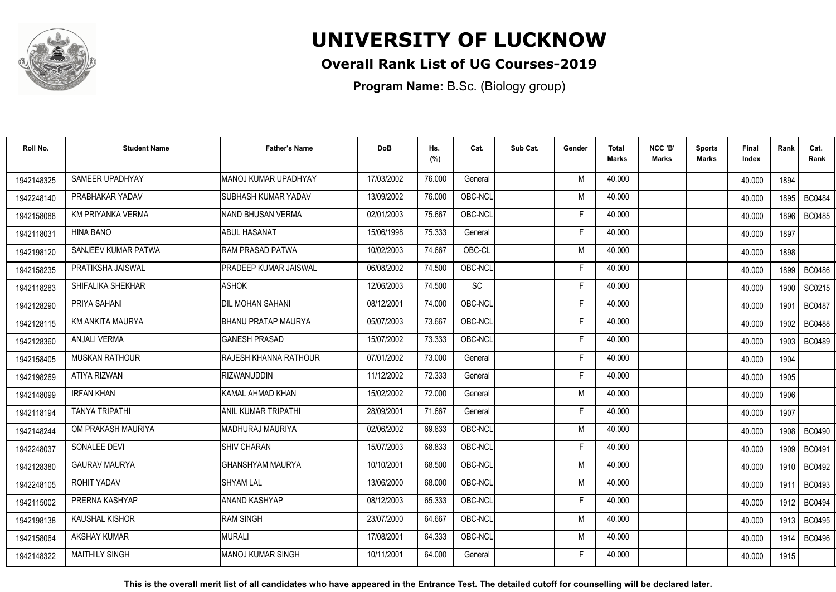

## **Overall Rank List of UG Courses-2019**

**Program Name:** B.Sc. (Biology group)

| Roll No.   | <b>Student Name</b>   | <b>Father's Name</b>          | <b>DoB</b> | Hs.<br>(%) | Cat.    | Sub Cat. | Gender | <b>Total</b><br><b>Marks</b> | NCC 'B'<br><b>Marks</b> | <b>Sports</b><br>Marks | Final<br>Index | Rank   | Cat.<br>Rank  |
|------------|-----------------------|-------------------------------|------------|------------|---------|----------|--------|------------------------------|-------------------------|------------------------|----------------|--------|---------------|
| 1942148325 | SAMEER UPADHYAY       | MANOJ KUMAR UPADHYAY          | 17/03/2002 | 76.000     | General |          | M      | 40.000                       |                         |                        | 40.000         | 1894   |               |
| 1942248140 | PRABHAKAR YADAV       | <b>SUBHASH KUMAR YADAV</b>    | 13/09/2002 | 76.000     | OBC-NCL |          | M      | 40.000                       |                         |                        | 40.000         | 1895   | <b>BC0484</b> |
| 1942158088 | KM PRIYANKA VERMA     | <b>INAND BHUSAN VERMA</b>     | 02/01/2003 | 75.667     | OBC-NCL |          | Е      | 40.000                       |                         |                        | 40.000         | 1896   | <b>BC0485</b> |
| 1942118031 | <b>HINA BANO</b>      | <b>I</b> ABUL HASANAT         | 15/06/1998 | 75.333     | General |          | F      | 40.000                       |                         |                        | 40.000         | 1897   |               |
| 1942198120 | SANJEEV KUMAR PATWA   | <b>RAM PRASAD PATWA</b>       | 10/02/2003 | 74.667     | OBC-CL  |          | M      | 40.000                       |                         |                        | 40.000         | 1898   |               |
| 1942158235 | PRATIKSHA JAISWAL     | <b>IPRADEEP KUMAR JAISWAL</b> | 06/08/2002 | 74.500     | OBC-NCL |          | E      | 40.000                       |                         |                        | 40.000         | 1899   | <b>BC0486</b> |
| 1942118283 | SHIFALIKA SHEKHAR     | ASHOK                         | 12/06/2003 | 74.500     | SC      |          | Е      | 40.000                       |                         |                        | 40.000         | 1900   | SC0215        |
| 1942128290 | PRIYA SAHANI          | <b>DIL MOHAN SAHANI</b>       | 08/12/2001 | 74.000     | OBC-NCL |          | Е      | 40.000                       |                         |                        | 40.000         | 1901   | <b>BC0487</b> |
| 1942128115 | KM ANKITA MAURYA      | <b>BHANU PRATAP MAURYA</b>    | 05/07/2003 | 73.667     | OBC-NCL |          | F      | 40.000                       |                         |                        | 40.000         | 1902   | <b>BC0488</b> |
| 1942128360 | <b>ANJALI VERMA</b>   | <b>GANESH PRASAD</b>          | 15/07/2002 | 73.333     | OBC-NCL |          | F      | 40.000                       |                         |                        | 40.000         | 1903   | <b>BC0489</b> |
| 1942158405 | <b>MUSKAN RATHOUR</b> | <b>RAJESH KHANNA RATHOUR</b>  | 07/01/2002 | 73.000     | General |          | Е      | 40.000                       |                         |                        | 40.000         | 1904   |               |
| 1942198269 | <b>ATIYA RIZWAN</b>   | <b>RIZWANUDDIN</b>            | 11/12/2002 | 72.333     | General |          | F      | 40.000                       |                         |                        | 40.000         | 1905   |               |
| 1942148099 | <b>IRFAN KHAN</b>     | KAMAL AHMAD KHAN              | 15/02/2002 | 72.000     | General |          | M      | 40.000                       |                         |                        | 40.000         | 1906   |               |
| 1942118194 | <b>TANYA TRIPATHI</b> | IANIL KUMAR TRIPATHI          | 28/09/2001 | 71.667     | General |          | F      | 40.000                       |                         |                        | 40.000         | 1907   |               |
| 1942148244 | OM PRAKASH MAURIYA    | <b>MADHURAJ MAURIYA</b>       | 02/06/2002 | 69.833     | OBC-NCL |          | M      | 40.000                       |                         |                        | 40.000         | 1908   | <b>BC0490</b> |
| 1942248037 | SONALEE DEVI          | <b>SHIV CHARAN</b>            | 15/07/2003 | 68.833     | OBC-NCL |          | Е      | 40.000                       |                         |                        | 40.000         | 1909   | <b>BC0491</b> |
| 1942128380 | <b>GAURAV MAURYA</b>  | GHANSHYAM MAURYA              | 10/10/2001 | 68.500     | OBC-NCL |          | M      | 40.000                       |                         |                        | 40.000         | 1910 I | <b>BC0492</b> |
| 1942248105 | ROHIT YADAV           | <b>I</b> SHYAM LAL            | 13/06/2000 | 68.000     | OBC-NCL |          | M      | 40.000                       |                         |                        | 40.000         | 1911   | BC0493        |
| 1942115002 | PRERNA KASHYAP        | ANAND KASHYAP                 | 08/12/2003 | 65.333     | OBC-NCL |          | F      | 40.000                       |                         |                        | 40.000         | 1912   | <b>BC0494</b> |
| 1942198138 | <b>KAUSHAL KISHOR</b> | <b>RAM SINGH</b>              | 23/07/2000 | 64.667     | OBC-NCL |          | M      | 40.000                       |                         |                        | 40.000         | 1913   | <b>BC0495</b> |
| 1942158064 | AKSHAY KUMAR          | <b>IMURALI</b>                | 17/08/2001 | 64.333     | OBC-NCL |          | M      | 40.000                       |                         |                        | 40.000         | 1914   | <b>BC0496</b> |
| 1942148322 | <b>MAITHILY SINGH</b> | <b>IMANOJ KUMAR SINGH</b>     | 10/11/2001 | 64.000     | General |          | F      | 40.000                       |                         |                        | 40.000         | 1915   |               |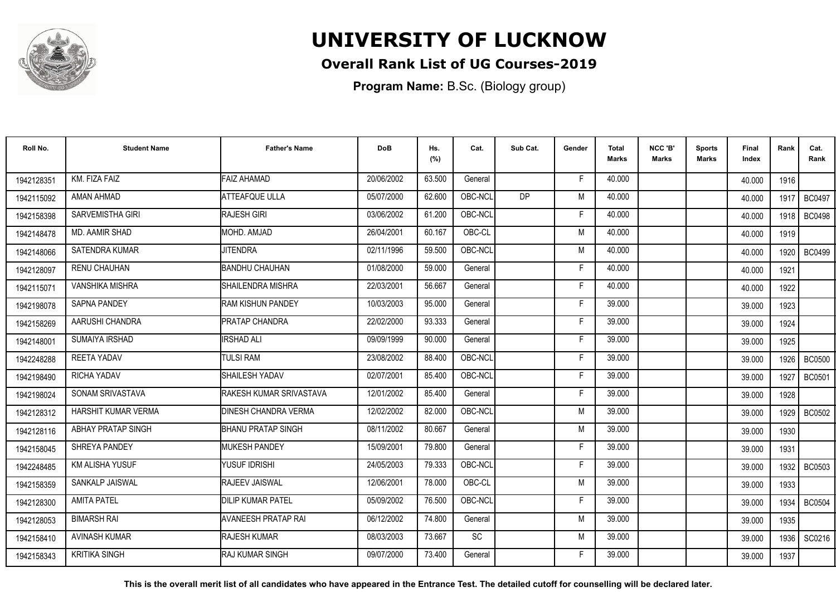

## **Overall Rank List of UG Courses-2019**

**Program Name:** B.Sc. (Biology group)

| Roll No.   | <b>Student Name</b>    | <b>Father's Name</b>        | <b>DoB</b> | Hs.<br>(%) | Cat.      | Sub Cat.  | Gender | Total<br>Marks | NCC 'B'<br><b>Marks</b> | Sports<br><b>Marks</b> | Final<br>Index | Rank   | Cat.<br>Rank  |
|------------|------------------------|-----------------------------|------------|------------|-----------|-----------|--------|----------------|-------------------------|------------------------|----------------|--------|---------------|
| 1942128351 | KM. FIZA FAIZ          | <b>FAIZ AHAMAD</b>          | 20/06/2002 | 63.500     | General   |           | F.     | 40.000         |                         |                        | 40.000         | 1916   |               |
| 1942115092 | AMAN AHMAD             | <b>ATTEAFQUE ULLA</b>       | 05/07/2000 | 62.600     | OBC-NCL   | <b>DP</b> | M      | 40.000         |                         |                        | 40.000         | 1917   | <b>BC0497</b> |
| 1942158398 | SARVEMISTHA GIRI       | <b>RAJESH GIRI</b>          | 03/06/2002 | 61.200     | OBC-NCL   |           | E      | 40.000         |                         |                        | 40.000         | 1918 l | <b>BC0498</b> |
| 1942148478 | <b>MD. AAMIR SHAD</b>  | MOHD. AMJAD                 | 26/04/2001 | 60.167     | OBC-CL    |           | M      | 40.000         |                         |                        | 40.000         | 1919   |               |
| 1942148066 | <b>SATENDRA KUMAR</b>  | <b>JITENDRA</b>             | 02/11/1996 | 59.500     | OBC-NCL   |           | M      | 40.000         |                         |                        | 40.000         | 1920   | <b>BC0499</b> |
| 1942128097 | <b>RENU CHAUHAN</b>    | BANDHU CHAUHAN              | 01/08/2000 | 59.000     | General   |           | F      | 40.000         |                         |                        | 40.000         | 1921   |               |
| 1942115071 | <b>VANSHIKA MISHRA</b> | SHAILENDRA MISHRA           | 22/03/2001 | 56.667     | General   |           | E      | 40.000         |                         |                        | 40.000         | 1922   |               |
| 1942198078 | <b>SAPNA PANDEY</b>    | <b>RAM KISHUN PANDEY</b>    | 10/03/2003 | 95.000     | General   |           | F      | 39.000         |                         |                        | 39.000         | 1923   |               |
| 1942158269 | AARUSHI CHANDRA        | <b>PRATAP CHANDRA</b>       | 22/02/2000 | 93.333     | General   |           | F      | 39.000         |                         |                        | 39.000         | 1924   |               |
| 1942148001 | <b>SUMAIYA IRSHAD</b>  | <b>IRSHAD ALI</b>           | 09/09/1999 | 90.000     | General   |           | Е      | 39.000         |                         |                        | 39.000         | 1925   |               |
| 1942248288 | <b>REETA YADAV</b>     | <b>TULSI RAM</b>            | 23/08/2002 | 88.400     | OBC-NCL   |           | F      | 39.000         |                         |                        | 39.000         | 1926 l | <b>BC0500</b> |
| 1942198490 | <b>RICHA YADAV</b>     | SHAILESH YADAV              | 02/07/2001 | 85.400     | OBC-NCL   |           | F      | 39.000         |                         |                        | 39.000         | 1927   | <b>BC0501</b> |
| 1942198024 | SONAM SRIVASTAVA       | RAKESH KUMAR SRIVASTAVA     | 12/01/2002 | 85.400     | General   |           | E      | 39.000         |                         |                        | 39.000         | 1928   |               |
| 1942128312 | HARSHIT KUMAR VERMA    | <b>DINESH CHANDRA VERMA</b> | 12/02/2002 | 82.000     | OBC-NCL   |           | M      | 39.000         |                         |                        | 39.000         | 1929   | <b>BC0502</b> |
| 1942128116 | ABHAY PRATAP SINGH     | <b>BHANU PRATAP SINGH</b>   | 08/11/2002 | 80.667     | General   |           | M      | 39.000         |                         |                        | 39.000         | 1930   |               |
| 1942158045 | SHREYA PANDEY          | <b>MUKESH PANDEY</b>        | 15/09/2001 | 79.800     | General   |           | F      | 39.000         |                         |                        | 39.000         | 1931   |               |
| 1942248485 | <b>KM ALISHA YUSUF</b> | YUSUF IDRISHI               | 24/05/2003 | 79.333     | OBC-NCL   |           | F      | 39.000         |                         |                        | 39.000         | 1932 l | BC0503        |
| 1942158359 | SANKALP JAISWAL        | <b>RAJEEV JAISWAL</b>       | 12/06/2001 | 78.000     | OBC-CL    |           | M      | 39.000         |                         |                        | 39.000         | 1933   |               |
| 1942128300 | <b>AMITA PATEL</b>     | <b>DILIP KUMAR PATEL</b>    | 05/09/2002 | 76.500     | OBC-NCL   |           | E      | 39.000         |                         |                        | 39.000         | 1934   | <b>BC0504</b> |
| 1942128053 | <b>BIMARSH RAI</b>     | <b>AVANEESH PRATAP RAI</b>  | 06/12/2002 | 74.800     | General   |           | M      | 39.000         |                         |                        | 39.000         | 1935   |               |
| 1942158410 | <b>AVINASH KUMAR</b>   | <b>RAJESH KUMAR</b>         | 08/03/2003 | 73.667     | <b>SC</b> |           | M      | 39.000         |                         |                        | 39.000         | 1936   | SC0216        |
| 1942158343 | <b>KRITIKA SINGH</b>   | IRAJ KUMAR SINGH            | 09/07/2000 | 73.400     | General   |           | F      | 39.000         |                         |                        | 39.000         | 1937   |               |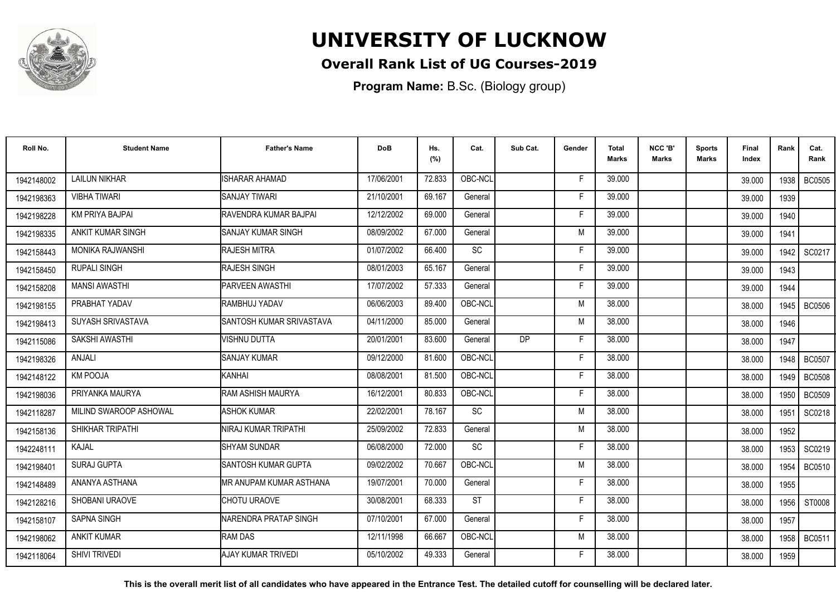

## **Overall Rank List of UG Courses-2019**

**Program Name:** B.Sc. (Biology group)

| Roll No.   | <b>Student Name</b>     | <b>Father's Name</b>            | <b>DoB</b> | Hs.<br>(%) | Cat.      | Sub Cat.  | Gender | <b>Total</b><br><b>Marks</b> | NCC 'B'<br><b>Marks</b> | <b>Sports</b><br>Marks | Final<br>Index | Rank   | Cat.<br>Rank  |
|------------|-------------------------|---------------------------------|------------|------------|-----------|-----------|--------|------------------------------|-------------------------|------------------------|----------------|--------|---------------|
| 1942148002 | <b>LAILUN NIKHAR</b>    | <b>ISHARAR AHAMAD</b>           | 17/06/2001 | 72.833     | OBC-NCL   |           | F      | 39.000                       |                         |                        | 39.000         | 1938 I | <b>BC0505</b> |
| 1942198363 | <b>VIBHA TIWARI</b>     | <b>SANJAY TIWARI</b>            | 21/10/2001 | 69.167     | General   |           | Е      | 39.000                       |                         |                        | 39.000         | 1939   |               |
| 1942198228 | <b>KM PRIYA BAJPAI</b>  | RAVENDRA KUMAR BAJPAI           | 12/12/2002 | 69.000     | General   |           | Е      | 39.000                       |                         |                        | 39.000         | 1940   |               |
| 1942198335 | ANKIT KUMAR SINGH       | <b>I</b> SANJAY KUMAR SINGH     | 08/09/2002 | 67.000     | General   |           | M      | 39.000                       |                         |                        | 39.000         | 1941   |               |
| 1942158443 | <b>MONIKA RAJWANSHI</b> | <b>RAJESH MITRA</b>             | 01/07/2002 | 66.400     | <b>SC</b> |           | F      | 39.000                       |                         |                        | 39.000         | 1942   | SC0217        |
| 1942158450 | <b>RUPALI SINGH</b>     | <b>RAJESH SINGH</b>             | 08/01/2003 | 65.167     | General   |           | Е      | 39.000                       |                         |                        | 39.000         | 1943   |               |
| 1942158208 | <b>MANSI AWASTHI</b>    | <b>IPARVEEN AWASTHI</b>         | 17/07/2002 | 57.333     | General   |           | Е      | 39.000                       |                         |                        | 39.000         | 1944   |               |
| 1942198155 | PRABHAT YADAV           | <b>RAMBHUJ YADAV</b>            | 06/06/2003 | 89.400     | OBC-NCL   |           | M      | 38.000                       |                         |                        | 38.000         |        | 1945   BC0506 |
| 1942198413 | SUYASH SRIVASTAVA       | SANTOSH KUMAR SRIVASTAVA        | 04/11/2000 | 85.000     | General   |           | M      | 38.000                       |                         |                        | 38.000         | 1946   |               |
| 1942115086 | SAKSHI AWASTHI          | VISHNU DUTTA                    | 20/01/2001 | 83.600     | General   | <b>DP</b> | F      | 38.000                       |                         |                        | 38.000         | 1947   |               |
| 1942198326 | <b>ANJALI</b>           | <b>SANJAY KUMAR</b>             | 09/12/2000 | 81.600     | OBC-NCL   |           | F      | 38.000                       |                         |                        | 38.000         | 1948   | <b>BC0507</b> |
| 1942148122 | <b>KM POOJA</b>         | IKANHAI                         | 08/08/2001 | 81.500     | OBC-NCL   |           | F      | 38.000                       |                         |                        | 38.000         | 1949   | <b>BC0508</b> |
| 1942198036 | PRIYANKA MAURYA         | <b>RAM ASHISH MAURYA</b>        | 16/12/2001 | 80.833     | OBC-NCL   |           | Е      | 38.000                       |                         |                        | 38.000         | 1950   | <b>BC0509</b> |
| 1942118287 | MILIND SWAROOP ASHOWAL  | <b>ASHOK KUMAR</b>              | 22/02/2001 | 78.167     | SC        |           | M      | 38.000                       |                         |                        | 38.000         | 1951   | SC0218        |
| 1942158136 | SHIKHAR TRIPATHI        | INIRAJ KUMAR TRIPATHI           | 25/09/2002 | 72.833     | General   |           | M      | 38.000                       |                         |                        | 38.000         | 1952   |               |
| 1942248111 | KAJAL                   | <b>I</b> SHYAM SUNDAR           | 06/08/2000 | 72.000     | SC        |           | Е      | 38.000                       |                         |                        | 38.000         | 1953 l | SC0219        |
| 1942198401 | SURAJ GUPTA             | <b>SANTOSH KUMAR GUPTA</b>      | 09/02/2002 | 70.667     | OBC-NCL   |           | M      | 38.000                       |                         |                        | 38.000         | 1954   | <b>BC0510</b> |
| 1942148489 | ANANYA ASTHANA          | <b>IMR ANUPAM KUMAR ASTHANA</b> | 19/07/2001 | 70.000     | General   |           | F      | 38.000                       |                         |                        | 38.000         | 1955   |               |
| 1942128216 | SHOBANI URAOVE          | CHOTU URAOVE                    | 30/08/2001 | 68.333     | <b>ST</b> |           | F      | 38.000                       |                         |                        | 38.000         | 1956   | ST0008        |
| 1942158107 | <b>SAPNA SINGH</b>      | NARENDRA PRATAP SINGH           | 07/10/2001 | 67.000     | General   |           | F      | 38.000                       |                         |                        | 38.000         | 1957   |               |
| 1942198062 | <b>ANKIT KUMAR</b>      | <b>RAM DAS</b>                  | 12/11/1998 | 66.667     | OBC-NCL   |           | M      | 38.000                       |                         |                        | 38.000         | 1958   | <b>BC0511</b> |
| 1942118064 | <b>SHIVI TRIVEDI</b>    | AJAY KUMAR TRIVEDI              | 05/10/2002 | 49.333     | General   |           | F      | 38.000                       |                         |                        | 38.000         | 1959   |               |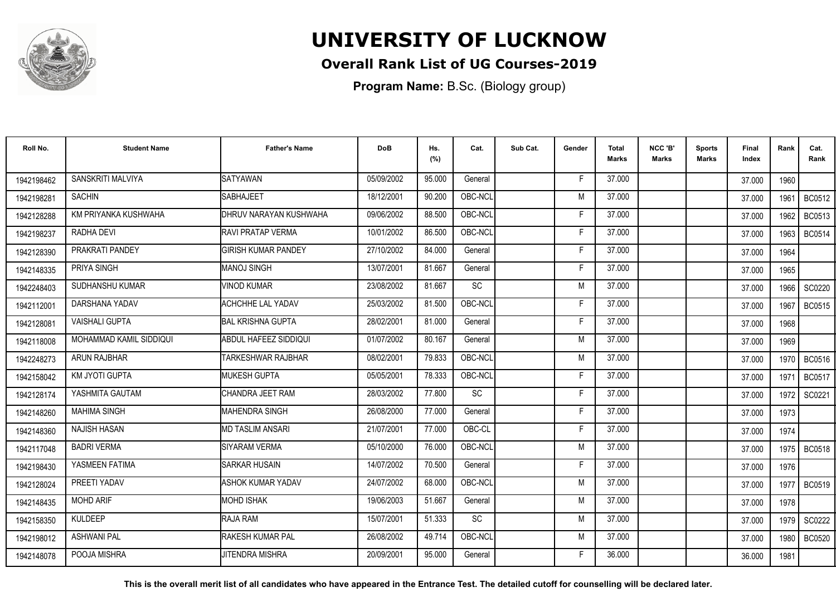

## **Overall Rank List of UG Courses-2019**

**Program Name:** B.Sc. (Biology group)

| Roll No.   | <b>Student Name</b>     | <b>Father's Name</b>       | <b>DoB</b> | Hs.<br>(%) | Cat.      | Sub Cat. | Gender | <b>Total</b><br>Marks | NCC 'B'<br><b>Marks</b> | Sports<br>Marks | Final<br>Index | Rank   | Cat.<br>Rank  |
|------------|-------------------------|----------------------------|------------|------------|-----------|----------|--------|-----------------------|-------------------------|-----------------|----------------|--------|---------------|
| 1942198462 | SANSKRITI MALVIYA       | <b>SATYAWAN</b>            | 05/09/2002 | 95.000     | General   |          | -F     | 37.000                |                         |                 | 37.000         | 1960   |               |
| 1942198281 | <b>SACHIN</b>           | SABHAJEET                  | 18/12/2001 | 90.200     | OBC-NCL   |          | M      | 37.000                |                         |                 | 37,000         | 1961   | BC0512        |
| 1942128288 | KM PRIYANKA KUSHWAHA    | DHRUV NARAYAN KUSHWAHA     | 09/06/2002 | 88.500     | OBC-NCL   |          | E      | 37.000                |                         |                 | 37.000         | 1962   | BC0513        |
| 1942198237 | RADHA DEVI              | <b>RAVI PRATAP VERMA</b>   | 10/01/2002 | 86.500     | OBC-NCL   |          | E      | 37.000                |                         |                 | 37,000         | 1963   | BC0514        |
| 1942128390 | PRAKRATI PANDEY         | <b>GIRISH KUMAR PANDEY</b> | 27/10/2002 | 84.000     | General   |          | F      | 37.000                |                         |                 | 37.000         | 1964   |               |
| 1942148335 | PRIYA SINGH             | <b>MANOJ SINGH</b>         | 13/07/2001 | 81.667     | General   |          | Е      | 37.000                |                         |                 | 37.000         | 1965   |               |
| 1942248403 | <b>SUDHANSHU KUMAR</b>  | <b>VINOD KUMAR</b>         | 23/08/2002 | 81.667     | <b>SC</b> |          | M      | 37.000                |                         |                 | 37.000         | 1966   | SC0220        |
| 1942112001 | DARSHANA YADAV          | <b>ACHCHHE LAL YADAV</b>   | 25/03/2002 | 81.500     | OBC-NCL   |          | E      | 37.000                |                         |                 | 37.000         | 1967   | <b>BC0515</b> |
| 1942128081 | <b>VAISHALI GUPTA</b>   | BAL KRISHNA GUPTA          | 28/02/2001 | 81.000     | General   |          | F      | 37.000                |                         |                 | 37.000         | 1968   |               |
| 1942118008 | MOHAMMAD KAMIL SIDDIQUI | ABDUL HAFEEZ SIDDIQUI      | 01/07/2002 | 80.167     | General   |          | M      | 37,000                |                         |                 | 37.000         | 1969   |               |
| 1942248273 | ARUN RAJBHAR            | <b>TARKESHWAR RAJBHAR</b>  | 08/02/2001 | 79.833     | OBC-NCL   |          | M      | 37.000                |                         |                 | 37.000         | 1970   | <b>BC0516</b> |
| 1942158042 | <b>KM JYOTI GUPTA</b>   | <b>MUKESH GUPTA</b>        | 05/05/2001 | 78.333     | OBC-NCL   |          | E      | 37,000                |                         |                 | 37.000         | 1971   | <b>BC0517</b> |
| 1942128174 | YASHMITA GAUTAM         | <b>CHANDRA JEET RAM</b>    | 28/03/2002 | 77.800     | <b>SC</b> |          | E      | 37.000                |                         |                 | 37,000         | 1972 l | SC0221        |
| 1942148260 | <b>MAHIMA SINGH</b>     | IMAHENDRA SINGH            | 26/08/2000 | 77.000     | General   |          | F      | 37.000                |                         |                 | 37.000         | 1973   |               |
| 1942148360 | <b>NAJISH HASAN</b>     | <b>MD TASLIM ANSARI</b>    | 21/07/2001 | 77.000     | OBC-CL    |          | Е      | 37.000                |                         |                 | 37.000         | 1974   |               |
| 1942117048 | <b>BADRI VERMA</b>      | <b>SIYARAM VERMA</b>       | 05/10/2000 | 76.000     | OBC-NCL   |          | M      | 37.000                |                         |                 | 37.000         | 1975 l | <b>BC0518</b> |
| 1942198430 | YASMEEN FATIMA          | <b>SARKAR HUSAIN</b>       | 14/07/2002 | 70.500     | General   |          | E      | 37.000                |                         |                 | 37.000         | 1976   |               |
| 1942128024 | PREETI YADAV            | ASHOK KUMAR YADAV          | 24/07/2002 | 68.000     | OBC-NCL   |          | M      | 37.000                |                         |                 | 37.000         | 1977 l | <b>BC0519</b> |
| 1942148435 | <b>MOHD ARIF</b>        | <b>MOHD ISHAK</b>          | 19/06/2003 | 51.667     | General   |          | M      | 37.000                |                         |                 | 37.000         | 1978   |               |
| 1942158350 | <b>KULDEEP</b>          | <b>RAJA RAM</b>            | 15/07/2001 | 51.333     | <b>SC</b> |          | M      | 37.000                |                         |                 | 37.000         | 1979   | SC0222        |
| 1942198012 | <b>ASHWANI PAL</b>      | <b>IRAKESH KUMAR PAL</b>   | 26/08/2002 | 49.714     | OBC-NCL   |          | M      | 37.000                |                         |                 | 37.000         | 1980   | <b>BC0520</b> |
| 1942148078 | POOJA MISHRA            | <b>JITENDRA MISHRA</b>     | 20/09/2001 | 95.000     | General   |          | F      | 36.000                |                         |                 | 36.000         | 1981   |               |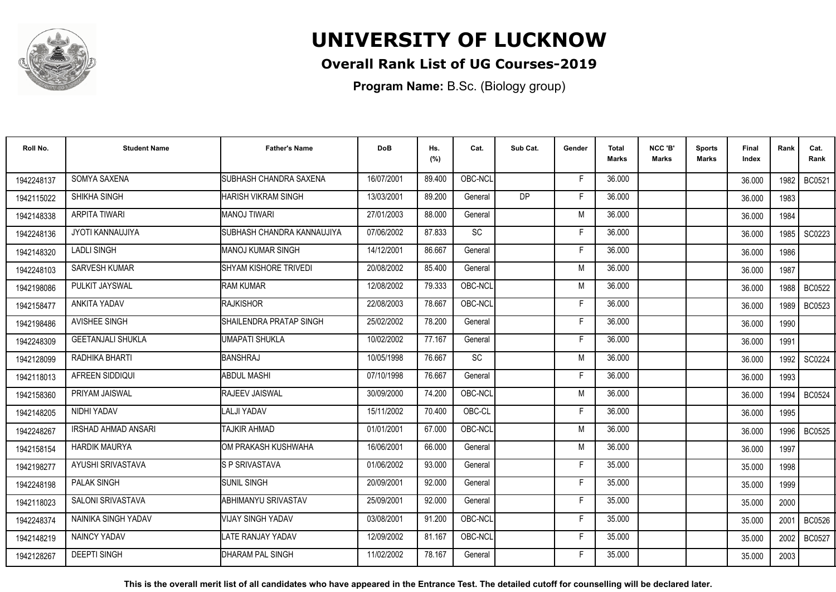

## **Overall Rank List of UG Courses-2019**

**Program Name:** B.Sc. (Biology group)

| Roll No.   | <b>Student Name</b>        | <b>Father's Name</b>         | <b>DoB</b> | Hs.<br>(%) | Cat.                         | Sub Cat.  | Gender | <b>Total</b><br>Marks | NCC 'B'<br>Marks | <b>Sports</b><br>Marks | Final<br>Index | Rank   | Cat.<br>Rank  |
|------------|----------------------------|------------------------------|------------|------------|------------------------------|-----------|--------|-----------------------|------------------|------------------------|----------------|--------|---------------|
| 1942248137 | SOMYA SAXENA               | SUBHASH CHANDRA SAXENA       | 16/07/2001 | 89.400     | OBC-NCL                      |           | F      | 36,000                |                  |                        | 36.000         | 1982 l | <b>BC0521</b> |
| 1942115022 | SHIKHA SINGH               | HARISH VIKRAM SINGH          | 13/03/2001 | 89.200     | General                      | <b>DP</b> | E      | 36.000                |                  |                        | 36.000         | 1983   |               |
| 1942148338 | ARPITA TIWARI              | MANOJ TIWARI                 | 27/01/2003 | 88.000     | General                      |           | M      | 36.000                |                  |                        | 36.000         | 1984   |               |
| 1942248136 | JYOTI KANNAUJIYA           | SUBHASH CHANDRA KANNAUJIYA   | 07/06/2002 | 87.833     | $\operatorname{\textsf{SC}}$ |           |        | 36.000                |                  |                        | 36.000         | 1985   | SC0223        |
| 1942148320 | <b>LADLI SINGH</b>         | MANOJ KUMAR SINGH            | 14/12/2001 | 86.667     | General                      |           |        | 36.000                |                  |                        | 36.000         | 1986   |               |
| 1942248103 | SARVESH KUMAR              | <b>SHYAM KISHORE TRIVEDI</b> | 20/08/2002 | 85.400     | General                      |           | M      | 36,000                |                  |                        | 36.000         | 1987   |               |
| 1942198086 | PULKIT JAYSWAL             | <b>RAM KUMAR</b>             | 12/08/2002 | 79.333     | OBC-NCL                      |           | M      | 36,000                |                  |                        | 36.000         | 1988   | <b>BC0522</b> |
| 1942158477 | ANKITA YADAV               | <b>RAJKISHOR</b>             | 22/08/2003 | 78.667     | OBC-NCL                      |           | E      | 36.000                |                  |                        | 36.000         | 1989   | <b>BC0523</b> |
| 1942198486 | <b>AVISHEE SINGH</b>       | SHAILENDRA PRATAP SINGH      | 25/02/2002 | 78.200     | General                      |           | F      | 36,000                |                  |                        | 36.000         | 1990   |               |
| 1942248309 | <b>GEETANJALI SHUKLA</b>   | UMAPATI SHUKLA               | 10/02/2002 | 77.167     | General                      |           | Е      | 36.000                |                  |                        | 36.000         | 1991   |               |
| 1942128099 | RADHIKA BHARTI             | BANSHRAJ                     | 10/05/1998 | 76.667     | <b>SC</b>                    |           | M      | 36.000                |                  |                        | 36.000         | 1992   | SC0224        |
| 1942118013 | AFREEN SIDDIQUI            | <b>ABDUL MASHI</b>           | 07/10/1998 | 76.667     | General                      |           | F      | 36.000                |                  |                        | 36.000         | 1993   |               |
| 1942158360 | PRIYAM JAISWAL             | <b>RAJEEV JAISWAL</b>        | 30/09/2000 | 74.200     | OBC-NCL                      |           | M      | 36.000                |                  |                        | 36.000         | 1994   | <b>BC0524</b> |
| 1942148205 | NIDHI YADAV                | LALJI YADAV                  | 15/11/2002 | 70.400     | OBC-CL                       |           | Е      | 36.000                |                  |                        | 36.000         | 1995   |               |
| 1942248267 | <b>IRSHAD AHMAD ANSARI</b> | <b>TAJKIR AHMAD</b>          | 01/01/2001 | 67.000     | OBC-NCL                      |           | M      | 36.000                |                  |                        | 36.000         | 1996   | <b>BC0525</b> |
| 1942158154 | <b>HARDIK MAURYA</b>       | OM PRAKASH KUSHWAHA          | 16/06/2001 | 66.000     | General                      |           | M      | 36.000                |                  |                        | 36.000         | 1997   |               |
| 1942198277 | AYUSHI SRIVASTAVA          | <b>S P SRIVASTAVA</b>        | 01/06/2002 | 93.000     | General                      |           | Е      | 35.000                |                  |                        | 35.000         | 1998   |               |
| 1942248198 | <b>PALAK SINGH</b>         | <b>SUNIL SINGH</b>           | 20/09/2001 | 92.000     | General                      |           | Е      | 35.000                |                  |                        | 35.000         | 1999   |               |
| 1942118023 | <b>SALONI SRIVASTAVA</b>   | ABHIMANYU SRIVASTAV          | 25/09/2001 | 92.000     | General                      |           | F      | 35.000                |                  |                        | 35.000         | 2000   |               |
| 1942248374 | NAINIKA SINGH YADAV        | <b>VIJAY SINGH YADAV</b>     | 03/08/2001 | 91.200     | OBC-NCL                      |           | F      | 35.000                |                  |                        | 35.000         | 2001   | <b>BC0526</b> |
| 1942148219 | NAINCY YADAV               | ATE RANJAY YADAV             | 12/09/2002 | 81.167     | OBC-NCL                      |           | F      | 35.000                |                  |                        | 35.000         | 2002   | <b>BC0527</b> |
| 1942128267 | <b>DEEPTI SINGH</b>        | DHARAM PAL SINGH             | 11/02/2002 | 78.167     | General                      |           |        | 35.000                |                  |                        | 35.000         | 2003   |               |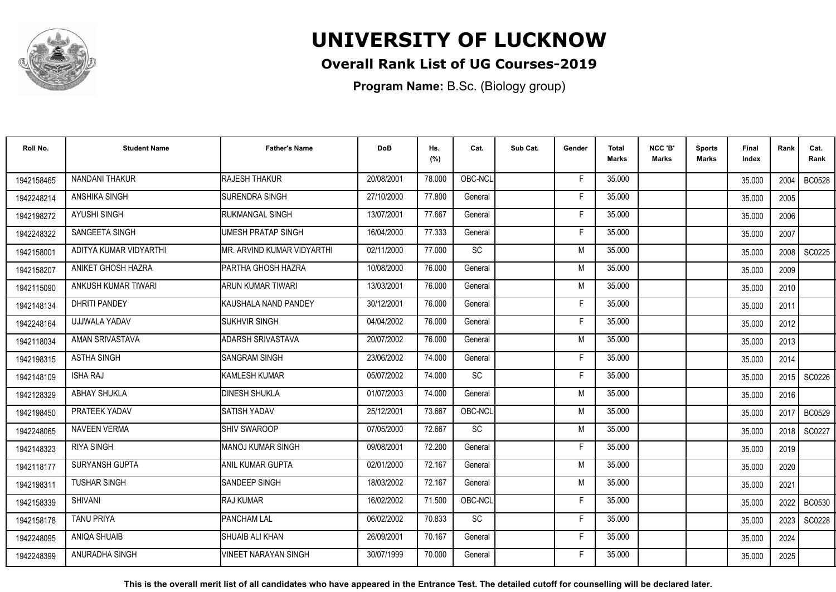

### **Overall Rank List of UG Courses-2019**

**Program Name:** B.Sc. (Biology group)

| Roll No.   | <b>Student Name</b>    | <b>Father's Name</b>          | <b>DoB</b> | Hs.<br>(%) | Cat.      | Sub Cat. | Gender | <b>Total</b><br>Marks | NCC 'B'<br><b>Marks</b> | Sports<br><b>Marks</b> | Final<br>Index | Rank | Cat.<br>Rank  |
|------------|------------------------|-------------------------------|------------|------------|-----------|----------|--------|-----------------------|-------------------------|------------------------|----------------|------|---------------|
| 1942158465 | <b>NANDANI THAKUR</b>  | <b>RAJESH THAKUR</b>          | 20/08/2001 | 78,000     | OBC-NCL   |          | -F     | 35.000                |                         |                        | 35.000         | 2004 | <b>BC0528</b> |
| 1942248214 | <b>ANSHIKA SINGH</b>   | <b>ISURENDRA SINGH</b>        | 27/10/2000 | 77.800     | General   |          | F      | 35.000                |                         |                        | 35.000         | 2005 |               |
| 1942198272 | <b>AYUSHI SINGH</b>    | <b>RUKMANGAL SINGH</b>        | 13/07/2001 | 77.667     | General   |          | F.     | 35.000                |                         |                        | 35.000         | 2006 |               |
| 1942248322 | SANGEETA SINGH         | <b>UMESH PRATAP SINGH</b>     | 16/04/2000 | 77.333     | General   |          | Е      | 35.000                |                         |                        | 35.000         | 2007 |               |
| 1942158001 | ADITYA KUMAR VIDYARTHI | MR. ARVIND KUMAR VIDYARTHI    | 02/11/2000 | 77.000     | <b>SC</b> |          | M      | 35.000                |                         |                        | 35.000         | 2008 | SC0225        |
| 1942158207 | ANIKET GHOSH HAZRA     | PARTHA GHOSH HAZRA            | 10/08/2000 | 76.000     | General   |          | M      | 35.000                |                         |                        | 35.000         | 2009 |               |
| 1942115090 | ANKUSH KUMAR TIWARI    | ARUN KUMAR TIWARI             | 13/03/2001 | 76.000     | General   |          | M      | 35.000                |                         |                        | 35.000         | 2010 |               |
| 1942148134 | <b>DHRITI PANDEY</b>   | <b>I</b> KAUSHALA NAND PANDEY | 30/12/2001 | 76.000     | General   |          | E      | 35.000                |                         |                        | 35.000         | 2011 |               |
| 1942248164 | UJJWALA YADAV          | <b>SUKHVIR SINGH</b>          | 04/04/2002 | 76.000     | General   |          | F      | 35.000                |                         |                        | 35.000         | 2012 |               |
| 1942118034 | AMAN SRIVASTAVA        | <b>ADARSH SRIVASTAVA</b>      | 20/07/2002 | 76.000     | General   |          | M      | 35.000                |                         |                        | 35.000         | 2013 |               |
| 1942198315 | <b>ASTHA SINGH</b>     | <b>SANGRAM SINGH</b>          | 23/06/2002 | 74.000     | General   |          | F      | 35.000                |                         |                        | 35.000         | 2014 |               |
| 1942148109 | <b>ISHA RAJ</b>        | <b>KAMLESH KUMAR</b>          | 05/07/2002 | 74.000     | SC        |          | F      | 35.000                |                         |                        | 35.000         | 2015 | SC0226        |
| 1942128329 | <b>ABHAY SHUKLA</b>    | <b>DINESH SHUKLA</b>          | 01/07/2003 | 74.000     | General   |          | M      | 35.000                |                         |                        | 35.000         | 2016 |               |
| 1942198450 | PRATEEK YADAV          | <b>SATISH YADAV</b>           | 25/12/2001 | 73.667     | OBC-NCL   |          | M      | 35.000                |                         |                        | 35.000         | 2017 | <b>BC0529</b> |
| 1942248065 | <b>NAVEEN VERMA</b>    | SHIV SWAROOP                  | 07/05/2000 | 72.667     | <b>SC</b> |          | M      | 35.000                |                         |                        | 35.000         | 2018 | SC0227        |
| 1942148323 | <b>RIYA SINGH</b>      | MANOJ KUMAR SINGH             | 09/08/2001 | 72.200     | General   |          | F      | 35.000                |                         |                        | 35.000         | 2019 |               |
| 1942118177 | SURYANSH GUPTA         | ANIL KUMAR GUPTA              | 02/01/2000 | 72.167     | General   |          | M      | 35.000                |                         |                        | 35.000         | 2020 |               |
| 1942198311 | <b>TUSHAR SINGH</b>    | SANDEEP SINGH                 | 18/03/2002 | 72.167     | General   |          | M      | 35.000                |                         |                        | 35.000         | 2021 |               |
| 1942158339 | <b>SHIVANI</b>         | RAJ KUMAR                     | 16/02/2002 | 71.500     | OBC-NCL   |          | F      | 35.000                |                         |                        | 35.000         | 2022 | <b>BC0530</b> |
| 1942158178 | <b>TANU PRIYA</b>      | <b>PANCHAM LAL</b>            | 06/02/2002 | 70.833     | <b>SC</b> |          | E      | 35.000                |                         |                        | 35.000         | 2023 | SC0228        |
| 1942248095 | <b>ANIQA SHUAIB</b>    | <b>SHUAIB ALI KHAN</b>        | 26/09/2001 | 70.167     | General   |          | F      | 35.000                |                         |                        | 35.000         | 2024 |               |
| 1942248399 | ANURADHA SINGH         | <b>VINEET NARAYAN SINGH</b>   | 30/07/1999 | 70.000     | General   |          | F      | 35.000                |                         |                        | 35.000         | 2025 |               |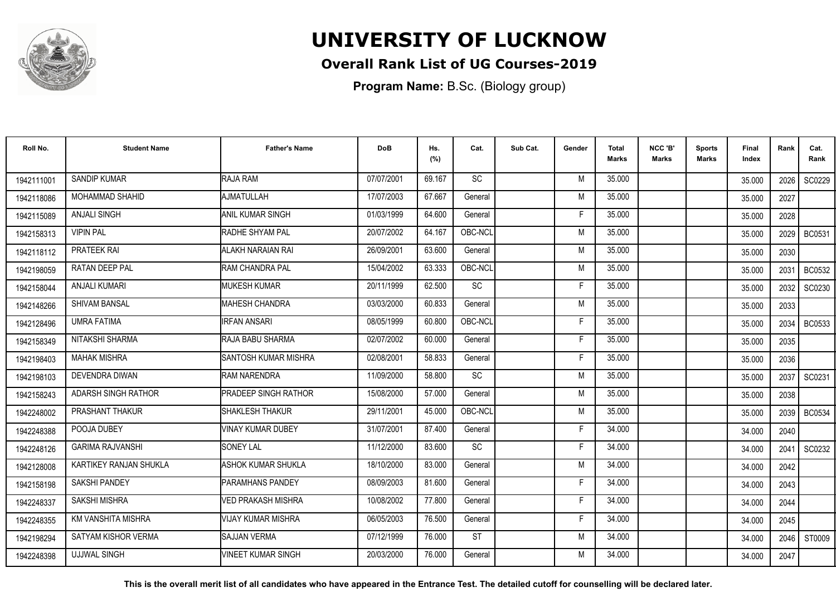

## **Overall Rank List of UG Courses-2019**

**Program Name:** B.Sc. (Biology group)

| Roll No.   | <b>Student Name</b>     | <b>Father's Name</b>    | <b>DoB</b> | Hs.<br>(%) | Cat.                         | Sub Cat. | Gender | <b>Total</b><br><b>Marks</b> | NCC 'B'<br><b>Marks</b> | <b>Sports</b><br>Marks | Final<br>Index | Rank   | Cat.<br>Rank  |
|------------|-------------------------|-------------------------|------------|------------|------------------------------|----------|--------|------------------------------|-------------------------|------------------------|----------------|--------|---------------|
| 1942111001 | <b>SANDIP KUMAR</b>     | RAJA RAM                | 07/07/2001 | 69.167     | <b>SC</b>                    |          | M      | 35.000                       |                         |                        | 35.000         | 2026 l | SC0229        |
| 1942118086 | <b>MOHAMMAD SHAHID</b>  | AJMATULLAH              | 17/07/2003 | 67.667     | General                      |          | M      | 35.000                       |                         |                        | 35.000         | 2027   |               |
| 1942115089 | <b>ANJALI SINGH</b>     | <b>ANIL KUMAR SINGH</b> | 01/03/1999 | 64.600     | General                      |          | Е      | 35.000                       |                         |                        | 35.000         | 2028   |               |
| 1942158313 | <b>VIPIN PAL</b>        | <b>RADHE SHYAM PAL</b>  | 20/07/2002 | 64.167     | OBC-NCL                      |          | M      | 35.000                       |                         |                        | 35.000         | 2029   | <b>BC0531</b> |
| 1942118112 | PRATEEK RAI             | ALAKH NARAIAN RAI       | 26/09/2001 | 63.600     | General                      |          | M      | 35.000                       |                         |                        | 35.000         | 2030   |               |
| 1942198059 | RATAN DEEP PAL          | RAM CHANDRA PAL         | 15/04/2002 | 63.333     | OBC-NCL                      |          | M      | 35.000                       |                         |                        | 35.000         | 2031   | <b>BC0532</b> |
| 1942158044 | <b>ANJALI KUMARI</b>    | <b>MUKESH KUMAR</b>     | 20/11/1999 | 62.500     | $\operatorname{\textsf{SC}}$ |          | F      | 35.000                       |                         |                        | 35.000         | 2032   | SC0230        |
| 1942148266 | SHIVAM BANSAL           | MAHESH CHANDRA          | 03/03/2000 | 60.833     | General                      |          | M      | 35.000                       |                         |                        | 35.000         | 2033   |               |
| 1942128496 | <b>UMRA FATIMA</b>      | <b>IRFAN ANSARI</b>     | 08/05/1999 | 60.800     | OBC-NCL                      |          | Е      | 35.000                       |                         |                        | 35.000         | 2034   | <b>BC0533</b> |
| 1942158349 | NITAKSHI SHARMA         | RAJA BABU SHARMA        | 02/07/2002 | 60.000     | General                      |          | E      | 35.000                       |                         |                        | 35.000         | 2035   |               |
| 1942198403 | <b>MAHAK MISHRA</b>     | SANTOSH KUMAR MISHRA    | 02/08/2001 | 58.833     | General                      |          | F      | 35.000                       |                         |                        | 35.000         | 2036   |               |
| 1942198103 | DEVENDRA DIWAN          | <b>RAM NARENDRA</b>     | 11/09/2000 | 58.800     | <b>SC</b>                    |          | M      | 35.000                       |                         |                        | 35.000         | 2037   | SC0231        |
| 1942158243 | ADARSH SINGH RATHOR     | PRADEEP SINGH RATHOR    | 15/08/2000 | 57.000     | General                      |          | M      | 35.000                       |                         |                        | 35.000         | 2038   |               |
| 1942248002 | PRASHANT THAKUR         | <b>SHAKLESH THAKUR</b>  | 29/11/2001 | 45.000     | OBC-NCL                      |          | M      | 35.000                       |                         |                        | 35.000         | 2039   | <b>BC0534</b> |
| 1942248388 | POOJA DUBEY             | VINAY KUMAR DUBEY       | 31/07/2001 | 87.400     | General                      |          |        | 34.000                       |                         |                        | 34.000         | 2040   |               |
| 1942248126 | <b>GARIMA RAJVANSHI</b> | <b>SONEY LAL</b>        | 11/12/2000 | 83.600     | <b>SC</b>                    |          | F      | 34.000                       |                         |                        | 34.000         | 2041   | SC0232        |
| 1942128008 | KARTIKEY RANJAN SHUKLA  | ASHOK KUMAR SHUKLA      | 18/10/2000 | 83.000     | General                      |          | M      | 34.000                       |                         |                        | 34.000         | 2042   |               |
| 1942158198 | <b>SAKSHI PANDEY</b>    | PARAMHANS PANDEY        | 08/09/2003 | 81.600     | General                      |          | Е      | 34.000                       |                         |                        | 34.000         | 2043   |               |
| 1942248337 | <b>SAKSHI MISHRA</b>    | VED PRAKASH MISHRA      | 10/08/2002 | 77.800     | General                      |          | F      | 34.000                       |                         |                        | 34.000         | 2044   |               |
| 1942248355 | KM VANSHITA MISHRA      | VIJAY KUMAR MISHRA      | 06/05/2003 | 76.500     | General                      |          | F      | 34.000                       |                         |                        | 34.000         | 2045   |               |
| 1942198294 | SATYAM KISHOR VERMA     | <b>SAJJAN VERMA</b>     | 07/12/1999 | 76.000     | <b>ST</b>                    |          | M      | 34.000                       |                         |                        | 34.000         | 2046   | ST0009        |
| 1942248398 | <b>UJJWAL SINGH</b>     | VINEET KUMAR SINGH      | 20/03/2000 | 76.000     | General                      |          | м      | 34.000                       |                         |                        | 34.000         | 2047   |               |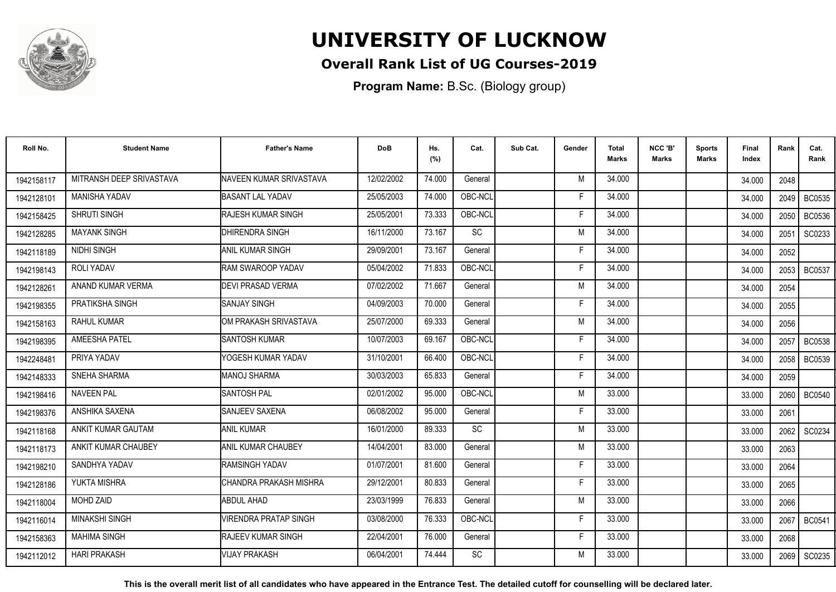

### **Overall Rank List of UG Courses-2019**

**Program Name:** B.Sc. (Biology group)

| Roll No.   | <b>Student Name</b>      | <b>Father's Name</b>         | <b>DoB</b> | Hs.<br>(%) | Cat.      | Sub Cat. | Gender | <b>Total</b><br><b>Marks</b> | NCC 'B'<br><b>Marks</b> | <b>Sports</b><br>Marks | Final<br>Index | Rank | Cat.<br>Rank  |
|------------|--------------------------|------------------------------|------------|------------|-----------|----------|--------|------------------------------|-------------------------|------------------------|----------------|------|---------------|
| 1942158117 | MITRANSH DEEP SRIVASTAVA | NAVEEN KUMAR SRIVASTAVA      | 12/02/2002 | 74.000     | General   |          | M      | 34.000                       |                         |                        | 34.000         | 2048 |               |
| 1942128101 | <b>MANISHA YADAV</b>     | <b>BASANT LAL YADAV</b>      | 25/05/2003 | 74.000     | OBC-NCL   |          | F      | 34.000                       |                         |                        | 34.000         | 2049 | <b>BC0535</b> |
| 1942158425 | <b>SHRUTI SINGH</b>      | <b>IRAJESH KUMAR SINGH</b>   | 25/05/2001 | 73.333     | OBC-NCL   |          | Е      | 34.000                       |                         |                        | 34.000         | 2050 | <b>BC0536</b> |
| 1942128285 | <b>MAYANK SINGH</b>      | <b>IDHIRENDRA SINGH</b>      | 16/11/2000 | 73.167     | <b>SC</b> |          | M      | 34.000                       |                         |                        | 34.000         | 2051 | SC0233        |
| 1942118189 | NIDHI SINGH              | IANIL KUMAR SINGH            | 29/09/2001 | 73.167     | General   |          | F      | 34.000                       |                         |                        | 34.000         | 2052 |               |
| 1942198143 | <b>ROLI YADAV</b>        | <b>IRAM SWAROOP YADAV</b>    | 05/04/2002 | 71.833     | OBC-NCL   |          | E      | 34.000                       |                         |                        | 34.000         | 2053 | <b>BC0537</b> |
| 1942128261 | ANAND KUMAR VERMA        | <b>DEVI PRASAD VERMA</b>     | 07/02/2002 | 71.667     | General   |          | M      | 34.000                       |                         |                        | 34.000         | 2054 |               |
| 1942198355 | PRATIKSHA SINGH          | SANJAY SINGH                 | 04/09/2003 | 70.000     | General   |          | Е      | 34.000                       |                         |                        | 34.000         | 2055 |               |
| 1942158163 | <b>RAHUL KUMAR</b>       | IOM PRAKASH SRIVASTAVA       | 25/07/2000 | 69.333     | General   |          | M      | 34.000                       |                         |                        | 34.000         | 2056 |               |
| 1942198395 | AMEESHA PATEL            | <b>I</b> SANTOSH KUMAR       | 10/07/2003 | 69.167     | OBC-NCL   |          | F      | 34.000                       |                         |                        | 34.000         | 2057 | <b>BC0538</b> |
| 1942248481 | PRIYA YADAV              | YOGESH KUMAR YADAV           | 31/10/2001 | 66.400     | OBC-NCL   |          | Е      | 34.000                       |                         |                        | 34.000         | 2058 | <b>BC0539</b> |
| 1942148333 | SNEHA SHARMA             | MANOJ SHARMA                 | 30/03/2003 | 65.833     | General   |          | F      | 34.000                       |                         |                        | 34.000         | 2059 |               |
| 1942198416 | <b>NAVEEN PAL</b>        | SANTOSH PAL                  | 02/01/2002 | 95.000     | OBC-NCL   |          | M      | 33.000                       |                         |                        | 33.000         | 2060 | <b>BC0540</b> |
| 1942198376 | ANSHIKA SAXENA           | <b>I</b> SANJEEV SAXENA      | 06/08/2002 | 95.000     | General   |          | F      | 33.000                       |                         |                        | 33.000         | 2061 |               |
| 1942118168 | ANKIT KUMAR GAUTAM       | <b>JANIL KUMAR</b>           | 16/01/2000 | 89.333     | <b>SC</b> |          | M      | 33.000                       |                         |                        | 33.000         | 2062 | SC0234        |
| 1942118173 | ANKIT KUMAR CHAUBEY      | <b>J</b> ANIL KUMAR CHAUBEY  | 14/04/2001 | 83.000     | General   |          | M      | 33.000                       |                         |                        | 33.000         | 2063 |               |
| 1942198210 | SANDHYA YADAV            | <b>RAMSINGH YADAV</b>        | 01/07/2001 | 81.600     | General   |          | F      | 33.000                       |                         |                        | 33.000         | 2064 |               |
| 1942128186 | YUKTA MISHRA             | CHANDRA PRAKASH MISHRA       | 29/12/2001 | 80.833     | General   |          | F      | 33.000                       |                         |                        | 33.000         | 2065 |               |
| 1942118004 | <b>MOHD ZAID</b>         | <b>ABDUL AHAD</b>            | 23/03/1999 | 76.833     | General   |          | M      | 33.000                       |                         |                        | 33.000         | 2066 |               |
| 1942116014 | <b>MINAKSHI SINGH</b>    | <b>VIRENDRA PRATAP SINGH</b> | 03/08/2000 | 76.333     | OBC-NCL   |          | Е      | 33.000                       |                         |                        | 33.000         | 2067 | <b>BC0541</b> |
| 1942158363 | <b>MAHIMA SINGH</b>      | <b>IRAJEEV KUMAR SINGH</b>   | 22/04/2001 | 76.000     | General   |          | Е      | 33.000                       |                         |                        | 33.000         | 2068 |               |
| 1942112012 | <b>HARI PRAKASH</b>      | <b>VIJAY PRAKASH</b>         | 06/04/2001 | 74.444     | <b>SC</b> |          | M      | 33.000                       |                         |                        | 33.000         |      | 2069   SC0235 |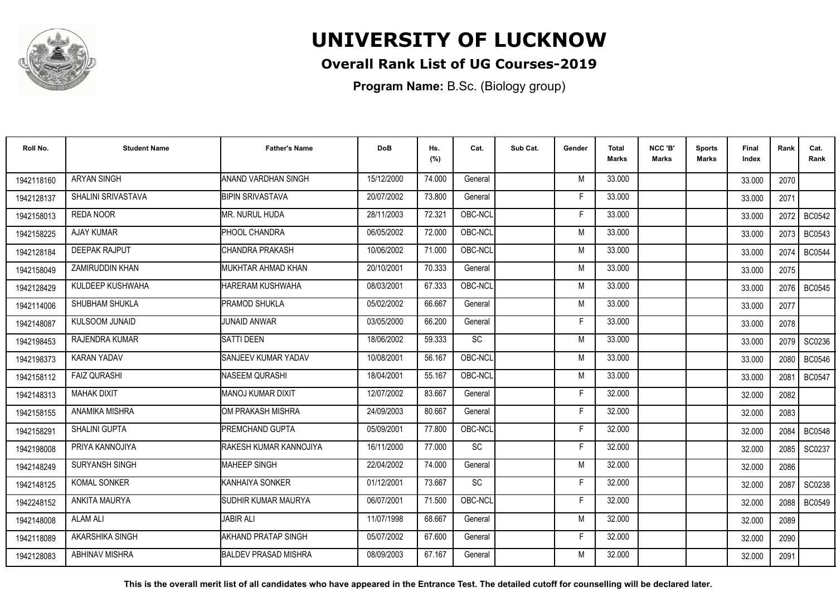

## **Overall Rank List of UG Courses-2019**

**Program Name:** B.Sc. (Biology group)

| Roll No.   | <b>Student Name</b>    | <b>Father's Name</b>        | <b>DoB</b> | Hs.<br>(%) | Cat.            | Sub Cat. | Gender | Total<br><b>Marks</b> | NCC 'B'<br><b>Marks</b> | <b>Sports</b><br>Marks | Final<br>Index | Rank | Cat.<br>Rank  |
|------------|------------------------|-----------------------------|------------|------------|-----------------|----------|--------|-----------------------|-------------------------|------------------------|----------------|------|---------------|
| 1942118160 | <b>ARYAN SINGH</b>     | ANAND VARDHAN SINGH         | 15/12/2000 | 74.000     | General         |          | M      | 33.000                |                         |                        | 33.000         | 2070 |               |
| 1942128137 | SHALINI SRIVASTAVA     | <b>BIPIN SRIVASTAVA</b>     | 20/07/2002 | 73.800     | General         |          | F      | 33.000                |                         |                        | 33.000         | 2071 |               |
| 1942158013 | <b>REDA NOOR</b>       | MR. NURUL HUDA              | 28/11/2003 | 72.321     | OBC-NCL         |          | F      | 33.000                |                         |                        | 33.000         | 2072 | <b>BC0542</b> |
| 1942158225 | <b>AJAY KUMAR</b>      | <b>PHOOL CHANDRA</b>        | 06/05/2002 | 72.000     | OBC-NCL         |          | M      | 33.000                |                         |                        | 33.000         | 2073 | <b>BC0543</b> |
| 1942128184 | <b>DEEPAK RAJPUT</b>   | ICHANDRA PRAKASH            | 10/06/2002 | 71.000     | OBC-NCL         |          | M      | 33.000                |                         |                        | 33.000         | 2074 | <b>BC0544</b> |
| 1942158049 | <b>ZAMIRUDDIN KHAN</b> | MUKHTAR AHMAD KHAN          | 20/10/2001 | 70.333     | General         |          | M      | 33.000                |                         |                        | 33.000         | 2075 |               |
| 1942128429 | KULDEEP KUSHWAHA       | <b>HARERAM KUSHWAHA</b>     | 08/03/2001 | 67.333     | OBC-NCL         |          | M      | 33.000                |                         |                        | 33.000         | 2076 | <b>BC0545</b> |
| 1942114006 | SHUBHAM SHUKLA         | <b>PRAMOD SHUKLA</b>        | 05/02/2002 | 66.667     | General         |          | M      | 33.000                |                         |                        | 33.000         | 2077 |               |
| 1942148087 | <b>KULSOOM JUNAID</b>  | <b>JUNAID ANWAR</b>         | 03/05/2000 | 66.200     | General         |          | F      | 33.000                |                         |                        | 33.000         | 2078 |               |
| 1942198453 | RAJENDRA KUMAR         | <b>SATTI DEEN</b>           | 18/06/2002 | 59.333     | SC              |          | M      | 33.000                |                         |                        | 33.000         | 2079 | SC0236        |
| 1942198373 | <b>KARAN YADAV</b>     | SANJEEV KUMAR YADAV         | 10/08/2001 | 56.167     | OBC-NCL         |          | M      | 33.000                |                         |                        | 33.000         | 2080 | <b>BC0546</b> |
| 1942158112 | <b>FAIZ QURASHI</b>    | NASEEM QURASHI              | 18/04/2001 | 55.167     | OBC-NCL         |          | M      | 33.000                |                         |                        | 33.000         | 2081 | <b>BC0547</b> |
| 1942148313 | <b>MAHAK DIXIT</b>     | IMANOJ KUMAR DIXIT          | 12/07/2002 | 83.667     | General         |          | Е      | 32.000                |                         |                        | 32.000         | 2082 |               |
| 1942158155 | ANAMIKA MISHRA         | IOM PRAKASH MISHRA          | 24/09/2003 | 80.667     | General         |          | F      | 32.000                |                         |                        | 32.000         | 2083 |               |
| 1942158291 | SHALINI GUPTA          | <b>PREMCHAND GUPTA</b>      | 05/09/2001 | 77.800     | OBC-NCL         |          | F      | 32.000                |                         |                        | 32.000         | 2084 | <b>BC0548</b> |
| 1942198008 | PRIYA KANNOJIYA        | RAKESH KUMAR KANNOJIYA      | 16/11/2000 | 77.000     | SC              |          | F      | 32.000                |                         |                        | 32.000         | 2085 | SC0237        |
| 1942148249 | SURYANSH SINGH         | <b>MAHEEP SINGH</b>         | 22/04/2002 | 74.000     | General         |          | M      | 32.000                |                         |                        | 32.000         | 2086 |               |
| 1942148125 | KOMAL SONKER           | KANHAIYA SONKER             | 01/12/2001 | 73.667     | $\overline{SC}$ |          | F      | 32.000                |                         |                        | 32.000         | 2087 | SC0238        |
| 1942248152 | ANKITA MAURYA          | SUDHIR KUMAR MAURYA         | 06/07/2001 | 71.500     | OBC-NCL         |          | F      | 32.000                |                         |                        | 32.000         | 2088 | <b>BC0549</b> |
| 1942148008 | <b>ALAM ALI</b>        | <b>JABIR ALI</b>            | 11/07/1998 | 68.667     | General         |          | M      | 32.000                |                         |                        | 32.000         | 2089 |               |
| 1942118089 | AKARSHIKA SINGH        | AKHAND PRATAP SINGH         | 05/07/2002 | 67.600     | General         |          | F      | 32.000                |                         |                        | 32.000         | 2090 |               |
| 1942128083 | <b>ABHINAV MISHRA</b>  | <b>BALDEV PRASAD MISHRA</b> | 08/09/2003 | 67.167     | General         |          | M      | 32.000                |                         |                        | 32.000         | 2091 |               |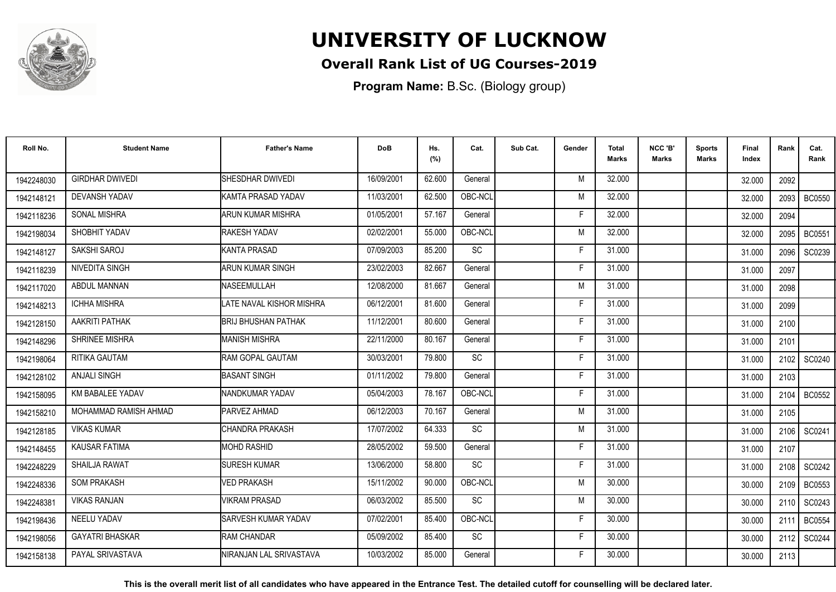

### **Overall Rank List of UG Courses-2019**

**Program Name:** B.Sc. (Biology group)

| Roll No.   | <b>Student Name</b>    | <b>Father's Name</b>        | <b>DoB</b> | Hs.<br>(%) | Cat.      | Sub Cat. | Gender | <b>Total</b><br>Marks | NCC 'B'<br><b>Marks</b> | Sports<br>Marks | Final<br>Index | Rank | Cat.<br>Rank  |
|------------|------------------------|-----------------------------|------------|------------|-----------|----------|--------|-----------------------|-------------------------|-----------------|----------------|------|---------------|
| 1942248030 | <b>GIRDHAR DWIVEDI</b> | <b>SHESDHAR DWIVEDI</b>     | 16/09/2001 | 62.600     | General   |          | M      | 32.000                |                         |                 | 32.000         | 2092 |               |
| 1942148121 | <b>DEVANSH YADAV</b>   | KAMTA PRASAD YADAV          | 11/03/2001 | 62.500     | OBC-NCL   |          | M      | 32.000                |                         |                 | 32.000         | 2093 | <b>BC0550</b> |
| 1942118236 | SONAL MISHRA           | <b>ARUN KUMAR MISHRA</b>    | 01/05/2001 | 57.167     | General   |          | F      | 32.000                |                         |                 | 32.000         | 2094 |               |
| 1942198034 | SHOBHIT YADAV          | <b>RAKESH YADAV</b>         | 02/02/2001 | 55.000     | OBC-NCL   |          | M      | 32.000                |                         |                 | 32.000         | 2095 | <b>BC0551</b> |
| 1942148127 | SAKSHI SAROJ           | <b>KANTA PRASAD</b>         | 07/09/2003 | 85.200     | SC        |          | F      | 31.000                |                         |                 | 31.000         | 2096 | SC0239        |
| 1942118239 | <b>NIVEDITA SINGH</b>  | <b>ARUN KUMAR SINGH</b>     | 23/02/2003 | 82.667     | General   |          | Е      | 31.000                |                         |                 | 31.000         | 2097 |               |
| 1942117020 | ABDUL MANNAN           | NASEEMULLAH                 | 12/08/2000 | 81.667     | General   |          | M      | 31.000                |                         |                 | 31.000         | 2098 |               |
| 1942148213 | <b>ICHHA MISHRA</b>    | LATE NAVAL KISHOR MISHRA    | 06/12/2001 | 81.600     | General   |          | E      | 31.000                |                         |                 | 31.000         | 2099 |               |
| 1942128150 | AAKRITI PATHAK         | BRIJ BHUSHAN PATHAK         | 11/12/2001 | 80.600     | General   |          | F      | 31.000                |                         |                 | 31.000         | 2100 |               |
| 1942148296 | SHRINEE MISHRA         | <b>MANISH MISHRA</b>        | 22/11/2000 | 80.167     | General   |          | F      | 31.000                |                         |                 | 31.000         | 2101 |               |
| 1942198064 | RITIKA GAUTAM          | RAM GOPAL GAUTAM            | 30/03/2001 | 79.800     | SC        |          | Е      | 31.000                |                         |                 | 31.000         | 2102 | SC0240        |
| 1942128102 | <b>ANJALI SINGH</b>    | <b>BASANT SINGH</b>         | 01/11/2002 | 79.800     | General   |          | F      | 31.000                |                         |                 | 31.000         | 2103 |               |
| 1942158095 | KM BABALEE YADAV       | INANDKUMAR YADAV            | 05/04/2003 | 78.167     | OBC-NCL   |          | E      | 31.000                |                         |                 | 31.000         | 2104 | <b>BC0552</b> |
| 1942158210 | MOHAMMAD RAMISH AHMAD  | PARVEZ AHMAD                | 06/12/2003 | 70.167     | General   |          | M      | 31.000                |                         |                 | 31.000         | 2105 |               |
| 1942128185 | <b>VIKAS KUMAR</b>     | ICHANDRA PRAKASH            | 17/07/2002 | 64.333     | SC        |          | M      | 31.000                |                         |                 | 31.000         | 2106 | SC0241        |
| 1942148455 | KAUSAR FATIMA          | <b>MOHD RASHID</b>          | 28/05/2002 | 59.500     | General   |          | F      | 31.000                |                         |                 | 31.000         | 2107 |               |
| 1942248229 | SHAILJA RAWAT          | <b>SURESH KUMAR</b>         | 13/06/2000 | 58.800     | <b>SC</b> |          | F      | 31.000                |                         |                 | 31.000         | 2108 | SC0242        |
| 1942248336 | <b>SOM PRAKASH</b>     | <b>VED PRAKASH</b>          | 15/11/2002 | 90.000     | OBC-NCL   |          | M      | 30.000                |                         |                 | 30.000         | 2109 | <b>BC0553</b> |
| 1942248381 | <b>VIKAS RANJAN</b>    | <b>VIKRAM PRASAD</b>        | 06/03/2002 | 85.500     | SC        |          | M      | 30.000                |                         |                 | 30.000         | 2110 | SC0243        |
| 1942198436 | <b>NEELU YADAV</b>     | <b>ISARVESH KUMAR YADAV</b> | 07/02/2001 | 85.400     | OBC-NCL   |          | F      | 30.000                |                         |                 | 30.000         | 2111 | <b>BC0554</b> |
| 1942198056 | <b>GAYATRI BHASKAR</b> | <b>RAM CHANDAR</b>          | 05/09/2002 | 85.400     | <b>SC</b> |          | F.     | 30.000                |                         |                 | 30.000         | 2112 | SC0244        |
| 1942158138 | PAYAL SRIVASTAVA       | NIRANJAN LAL SRIVASTAVA     | 10/03/2002 | 85.000     | General   |          | F      | 30.000                |                         |                 | 30.000         | 2113 |               |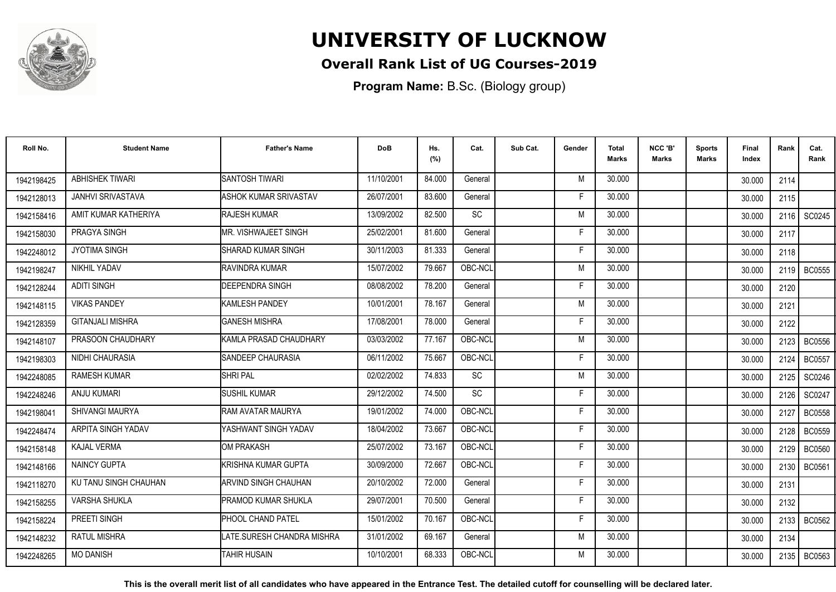

## **Overall Rank List of UG Courses-2019**

**Program Name:** B.Sc. (Biology group)

| Roll No.   | <b>Student Name</b>      | <b>Father's Name</b>       | <b>DoB</b> | Hs.<br>(%) | Cat.      | Sub Cat. | Gender | <b>Total</b><br>Marks | NCC 'B'<br>Marks | <b>Sports</b><br>Marks | Final<br>Index | Rank   | Cat.<br>Rank  |
|------------|--------------------------|----------------------------|------------|------------|-----------|----------|--------|-----------------------|------------------|------------------------|----------------|--------|---------------|
| 1942198425 | <b>ABHISHEK TIWARI</b>   | <b>SANTOSH TIWARI</b>      | 11/10/2001 | 84.000     | General   |          | M      | 30.000                |                  |                        | 30.000         | 2114   |               |
| 1942128013 | <b>JANHVI SRIVASTAVA</b> | ASHOK KUMAR SRIVASTAV      | 26/07/2001 | 83.600     | General   |          | E      | 30.000                |                  |                        | 30.000         | 2115   |               |
| 1942158416 | AMIT KUMAR KATHERIYA     | RAJESH KUMAR               | 13/09/2002 | 82.500     | SC        |          | M      | 30.000                |                  |                        | 30.000         | 2116   | SC0245        |
| 1942158030 | PRAGYA SINGH             | MR. VISHWAJEET SINGH       | 25/02/2001 | 81.600     | General   |          |        | 30.000                |                  |                        | 30.000         | 2117   |               |
| 1942248012 | <b>JYOTIMA SINGH</b>     | <b>SHARAD KUMAR SINGH</b>  | 30/11/2003 | 81.333     | General   |          |        | 30.000                |                  |                        | 30.000         | 2118   |               |
| 1942198247 | NIKHIL YADAV             | <b>RAVINDRA KUMAR</b>      | 15/07/2002 | 79.667     | OBC-NCL   |          | M      | 30.000                |                  |                        | 30.000         | 2119   | <b>BC0555</b> |
| 1942128244 | <b>ADITI SINGH</b>       | DEEPENDRA SINGH            | 08/08/2002 | 78.200     | General   |          | F      | 30.000                |                  |                        | 30.000         | 2120   |               |
| 1942148115 | <b>VIKAS PANDEY</b>      | <b>KAMLESH PANDEY</b>      | 10/01/2001 | 78.167     | General   |          | M      | 30.000                |                  |                        | 30.000         | 2121   |               |
| 1942128359 | <b>GITANJALI MISHRA</b>  | <b>GANESH MISHRA</b>       | 17/08/2001 | 78.000     | General   |          | F      | 30.000                |                  |                        | 30.000         | 2122   |               |
| 1942148107 | PRASOON CHAUDHARY        | KAMLA PRASAD CHAUDHARY     | 03/03/2002 | 77.167     | OBC-NCL   |          | M      | 30.000                |                  |                        | 30.000         |        | 2123   BC0556 |
| 1942198303 | <b>NIDHI CHAURASIA</b>   | <b>ISANDEEP CHAURASIA</b>  | 06/11/2002 | 75.667     | OBC-NCL   |          |        | 30.000                |                  |                        | 30.000         | 2124   | <b>BC0557</b> |
| 1942248085 | <b>RAMESH KUMAR</b>      | <b>SHRI PAL</b>            | 02/02/2002 | 74.833     | <b>SC</b> |          | M      | 30.000                |                  |                        | 30.000         | 2125   | SC0246        |
| 1942248246 | <b>ANJU KUMARI</b>       | <b>SUSHIL KUMAR</b>        | 29/12/2002 | 74.500     | SC        |          |        | 30.000                |                  |                        | 30.000         | 2126   | SC0247        |
| 1942198041 | SHIVANGI MAURYA          | RAM AVATAR MAURYA          | 19/01/2002 | 74.000     | OBC-NCL   |          | Е      | 30.000                |                  |                        | 30.000         | 2127   | <b>BC0558</b> |
| 1942248474 | ARPITA SINGH YADAV       | YASHWANT SINGH YADAV       | 18/04/2002 | 73.667     | OBC-NCL   |          | Е      | 30.000                |                  |                        | 30.000         | 2128   | <b>BC0559</b> |
| 1942158148 | <b>KAJAL VERMA</b>       | <b>OM PRAKASH</b>          | 25/07/2002 | 73.167     | OBC-NCL   |          | F      | 30.000                |                  |                        | 30.000         | 2129   | <b>BC0560</b> |
| 1942148166 | <b>NAINCY GUPTA</b>      | <b>KRISHNA KUMAR GUPTA</b> | 30/09/2000 | 72.667     | OBC-NCL   |          | Е      | 30.000                |                  |                        | 30.000         | 2130   | <b>BC0561</b> |
| 1942118270 | KU TANU SINGH CHAUHAN    | ARVIND SINGH CHAUHAN       | 20/10/2002 | 72.000     | General   |          | F      | 30.000                |                  |                        | 30.000         | 2131   |               |
| 1942158255 | VARSHA SHUKLA            | PRAMOD KUMAR SHUKLA        | 29/07/2001 | 70.500     | General   |          | F      | 30.000                |                  |                        | 30.000         | 2132   |               |
| 1942158224 | PREETI SINGH             | PHOOL CHAND PATEL          | 15/01/2002 | 70.167     | OBC-NCL   |          | F      | 30.000                |                  |                        | 30.000         | 2133 l | BC0562        |
| 1942148232 | RATUL MISHRA             | LATE.SURESH CHANDRA MISHRA | 31/01/2002 | 69.167     | General   |          | M      | 30.000                |                  |                        | 30.000         | 2134   |               |
| 1942248265 | <b>MO DANISH</b>         | <b>TAHIR HUSAIN</b>        | 10/10/2001 | 68.333     | OBC-NCL   |          | М      | 30.000                |                  |                        | 30.000         |        | 2135   BC0563 |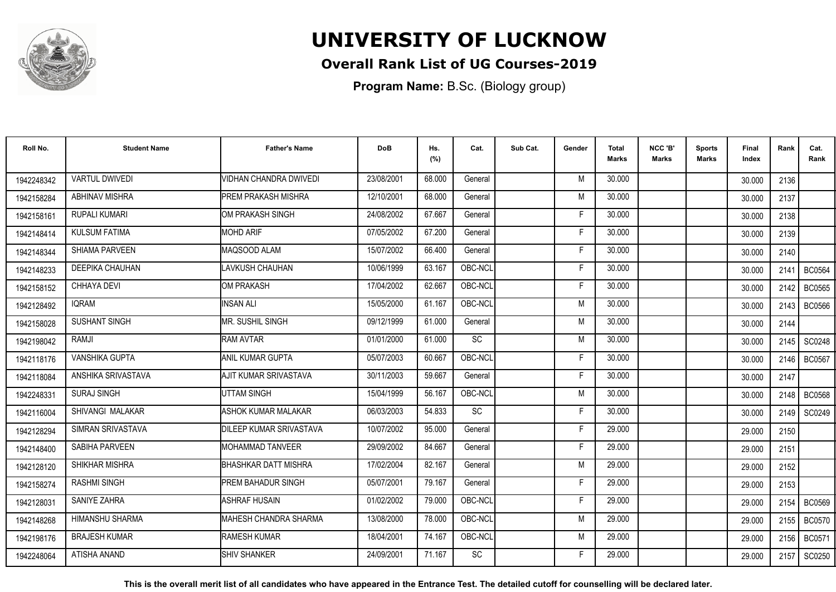

## **Overall Rank List of UG Courses-2019**

**Program Name:** B.Sc. (Biology group)

| Roll No.   | <b>Student Name</b>     | <b>Father's Name</b>        | <b>DoB</b> | Hs.<br>(%) | Cat.      | Sub Cat. | Gender | <b>Total</b><br><b>Marks</b> | NCC 'B'<br><b>Marks</b> | <b>Sports</b><br>Marks | Final<br>Index | Rank   | Cat.<br>Rank  |
|------------|-------------------------|-----------------------------|------------|------------|-----------|----------|--------|------------------------------|-------------------------|------------------------|----------------|--------|---------------|
| 1942248342 | <b>VARTUL DWIVEDI</b>   | VIDHAN CHANDRA DWIVEDI      | 23/08/2001 | 68.000     | General   |          | M      | 30.000                       |                         |                        | 30.000         | 2136   |               |
| 1942158284 | <b>ABHINAV MISHRA</b>   | <b>PREM PRAKASH MISHRA</b>  | 12/10/2001 | 68.000     | General   |          | M      | 30.000                       |                         |                        | 30.000         | 2137   |               |
| 1942158161 | <b>RUPALI KUMARI</b>    | IOM PRAKASH SINGH           | 24/08/2002 | 67.667     | General   |          | F      | 30.000                       |                         |                        | 30.000         | 2138   |               |
| 1942148414 | <b>KULSUM FATIMA</b>    | <b>MOHD ARIF</b>            | 07/05/2002 | 67.200     | General   |          | F      | 30.000                       |                         |                        | 30.000         | 2139   |               |
| 1942148344 | <b>SHIAMA PARVEEN</b>   | MAQSOOD ALAM                | 15/07/2002 | 66.400     | General   |          | F      | 30.000                       |                         |                        | 30.000         | 2140   |               |
| 1942148233 | <b>DEEPIKA CHAUHAN</b>  | LAVKUSH CHAUHAN             | 10/06/1999 | 63.167     | OBC-NCL   |          | E      | 30.000                       |                         |                        | 30.000         | 2141   | <b>BC0564</b> |
| 1942158152 | CHHAYA DEVI             | OM PRAKASH                  | 17/04/2002 | 62.667     | OBC-NCL   |          | F      | 30.000                       |                         |                        | 30.000         | 2142   | <b>BC0565</b> |
| 1942128492 | <b>IQRAM</b>            | <b>INSAN ALI</b>            | 15/05/2000 | 61.167     | OBC-NCL   |          | M      | 30.000                       |                         |                        | 30.000         | 2143   | <b>BC0566</b> |
| 1942158028 | <b>SUSHANT SINGH</b>    | IMR. SUSHIL SINGH           | 09/12/1999 | 61.000     | General   |          | M      | 30.000                       |                         |                        | 30.000         | 2144   |               |
| 1942198042 | RAMJI                   | <b>RAM AVTAR</b>            | 01/01/2000 | 61.000     | <b>SC</b> |          | M      | 30.000                       |                         |                        | 30.000         | 2145 l | SC0248        |
| 1942118176 | <b>VANSHIKA GUPTA</b>   | ANIL KUMAR GUPTA            | 05/07/2003 | 60.667     | OBC-NCL   |          | F      | 30.000                       |                         |                        | 30.000         | 2146   | <b>BC0567</b> |
| 1942118084 | ANSHIKA SRIVASTAVA      | AJIT KUMAR SRIVASTAVA       | 30/11/2003 | 59.667     | General   |          | F      | 30.000                       |                         |                        | 30.000         | 2147   |               |
| 1942248331 | <b>SURAJ SINGH</b>      | <b>UTTAM SINGH</b>          | 15/04/1999 | 56.167     | OBC-NCL   |          | M      | 30.000                       |                         |                        | 30.000         | 2148 l | <b>BC0568</b> |
| 1942116004 | <b>SHIVANGI MALAKAR</b> | <b>ASHOK KUMAR MALAKAR</b>  | 06/03/2003 | 54.833     | SC        |          | F      | 30.000                       |                         |                        | 30.000         | 2149   | SC0249        |
| 1942128294 | SIMRAN SRIVASTAVA       | DILEEP KUMAR SRIVASTAVA     | 10/07/2002 | 95.000     | General   |          | F      | 29.000                       |                         |                        | 29.000         | 2150   |               |
| 1942148400 | SABIHA PARVEEN          | MOHAMMAD TANVEER            | 29/09/2002 | 84.667     | General   |          | F      | 29.000                       |                         |                        | 29.000         | 2151   |               |
| 1942128120 | SHIKHAR MISHRA          | <b>BHASHKAR DATT MISHRA</b> | 17/02/2004 | 82.167     | General   |          | M      | 29.000                       |                         |                        | 29.000         | 2152   |               |
| 1942158274 | <b>RASHMI SINGH</b>     | <b>PREM BAHADUR SINGH</b>   | 05/07/2001 | 79.167     | General   |          | F      | 29.000                       |                         |                        | 29.000         | 2153   |               |
| 1942128031 | SANIYE ZAHRA            | <b>ASHRAF HUSAIN</b>        | 01/02/2002 | 79.000     | OBC-NCL   |          | F      | 29.000                       |                         |                        | 29.000         | 2154   | <b>BC0569</b> |
| 1942148268 | <b>HIMANSHU SHARMA</b>  | IMAHESH CHANDRA SHARMA      | 13/08/2000 | 78.000     | OBC-NCL   |          | M      | 29.000                       |                         |                        | 29.000         | 2155   | <b>BC0570</b> |
| 1942198176 | <b>BRAJESH KUMAR</b>    | <b>RAMESH KUMAR</b>         | 18/04/2001 | 74.167     | OBC-NCL   |          | M      | 29.000                       |                         |                        | 29.000         | 2156   | <b>BC0571</b> |
| 1942248064 | ATISHA ANAND            | <b>SHIV SHANKER</b>         | 24/09/2001 | 71.167     | <b>SC</b> |          | F      | 29.000                       |                         |                        | 29.000         | 2157   | SC0250        |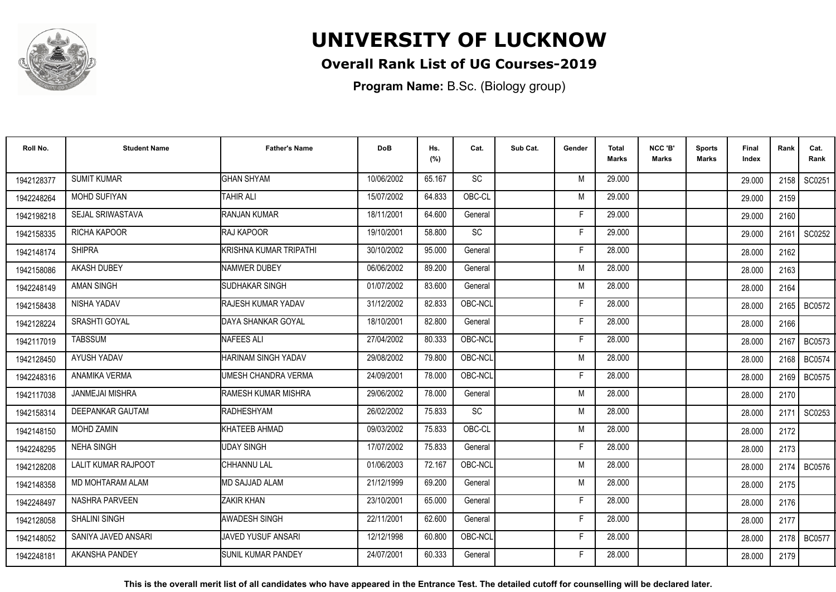

## **Overall Rank List of UG Courses-2019**

**Program Name:** B.Sc. (Biology group)

| Roll No.   | <b>Student Name</b>        | <b>Father's Name</b>      | <b>DoB</b> | Hs.<br>(%) | Cat.      | Sub Cat. | Gender | Total<br>Marks | NCC 'B'<br><b>Marks</b> | Sports<br><b>Marks</b> | Final<br>Index | Rank | Cat.<br>Rank  |
|------------|----------------------------|---------------------------|------------|------------|-----------|----------|--------|----------------|-------------------------|------------------------|----------------|------|---------------|
| 1942128377 | <b>SUMIT KUMAR</b>         | <b>GHAN SHYAM</b>         | 10/06/2002 | 65.167     | <b>SC</b> |          | M      | 29,000         |                         |                        | 29.000         | 2158 | SC0251        |
| 1942248264 | <b>MOHD SUFIYAN</b>        | <b>TAHIR ALI</b>          | 15/07/2002 | 64.833     | OBC-CL    |          | M      | 29.000         |                         |                        | 29.000         | 2159 |               |
| 1942198218 | SEJAL SRIWASTAVA           | RANJAN KUMAR              | 18/11/2001 | 64.600     | General   |          | F      | 29.000         |                         |                        | 29.000         | 2160 |               |
| 1942158335 | <b>RICHA KAPOOR</b>        | <b>RAJ KAPOOR</b>         | 19/10/2001 | 58.800     | <b>SC</b> |          | Е      | 29.000         |                         |                        | 29.000         | 2161 | SC0252        |
| 1942148174 | <b>SHIPRA</b>              | İKRISHNA KUMAR TRIPATHI   | 30/10/2002 | 95.000     | General   |          | F      | 28.000         |                         |                        | 28.000         | 2162 |               |
| 1942158086 | <b>AKASH DUBEY</b>         | <b>NAMWER DUBEY</b>       | 06/06/2002 | 89.200     | General   |          | M      | 28,000         |                         |                        | 28.000         | 2163 |               |
| 1942248149 | <b>AMAN SINGH</b>          | SUDHAKAR SINGH            | 01/07/2002 | 83.600     | General   |          | M      | 28.000         |                         |                        | 28.000         | 2164 |               |
| 1942158438 | NISHA YADAV                | <b>RAJESH KUMAR YADAV</b> | 31/12/2002 | 82.833     | OBC-NCL   |          | F      | 28.000         |                         |                        | 28.000         |      | 2165   BC0572 |
| 1942128224 | SRASHTI GOYAL              | DAYA SHANKAR GOYAL        | 18/10/2001 | 82.800     | General   |          | F      | 28.000         |                         |                        | 28.000         | 2166 |               |
| 1942117019 | TABSSUM                    | <b>NAFEES ALI</b>         | 27/04/2002 | 80.333     | OBC-NCL   |          | F      | 28,000         |                         |                        | 28.000         | 2167 | <b>BC0573</b> |
| 1942128450 | AYUSH YADAV                | HARINAM SINGH YADAV       | 29/08/2002 | 79.800     | OBC-NCL   |          | M      | 28.000         |                         |                        | 28.000         | 2168 | <b>BC0574</b> |
| 1942248316 | ANAMIKA VERMA              | UMESH CHANDRA VERMA       | 24/09/2001 | 78.000     | OBC-NCL   |          | F      | 28,000         |                         |                        | 28.000         | 2169 | BC0575        |
| 1942117038 | <b>JANMEJAI MISHRA</b>     | RAMESH KUMAR MISHRA       | 29/06/2002 | 78.000     | General   |          | M      | 28,000         |                         |                        | 28.000         | 2170 |               |
| 1942158314 | DEEPANKAR GAUTAM           | <b>RADHESHYAM</b>         | 26/02/2002 | 75.833     | SC        |          | M      | 28.000         |                         |                        | 28.000         | 2171 | SC0253        |
| 1942148150 | MOHD ZAMIN                 | KHATEEB AHMAD             | 09/03/2002 | 75.833     | OBC-CL    |          | M      | 28.000         |                         |                        | 28.000         | 2172 |               |
| 1942248295 | <b>NEHA SINGH</b>          | <b>UDAY SINGH</b>         | 17/07/2002 | 75.833     | General   |          | F      | 28.000         |                         |                        | 28.000         | 2173 |               |
| 1942128208 | <b>LALIT KUMAR RAJPOOT</b> | <b>CHHANNU LAL</b>        | 01/06/2003 | 72.167     | OBC-NCL   |          | M      | 28.000         |                         |                        | 28.000         |      | 2174   BC0576 |
| 1942148358 | MD MOHTARAM ALAM           | <b>MD SAJJAD ALAM</b>     | 21/12/1999 | 69.200     | General   |          | M      | 28.000         |                         |                        | 28.000         | 2175 |               |
| 1942248497 | <b>NASHRA PARVEEN</b>      | <b>ZAKIR KHAN</b>         | 23/10/2001 | 65.000     | General   |          | F      | 28.000         |                         |                        | 28.000         | 2176 |               |
| 1942128058 | <b>SHALINI SINGH</b>       | <b>AWADESH SINGH</b>      | 22/11/2001 | 62.600     | General   |          |        | 28,000         |                         |                        | 28.000         | 2177 |               |
| 1942148052 | SANIYA JAVED ANSARI        | JAVED YUSUF ANSARI        | 12/12/1998 | 60.800     | OBC-NCL   |          | F      | 28,000         |                         |                        | 28.000         | 2178 | <b>BC0577</b> |
| 1942248181 | AKANSHA PANDEY             | <b>SUNIL KUMAR PANDEY</b> | 24/07/2001 | 60.333     | General   |          | F      | 28.000         |                         |                        | 28.000         | 2179 |               |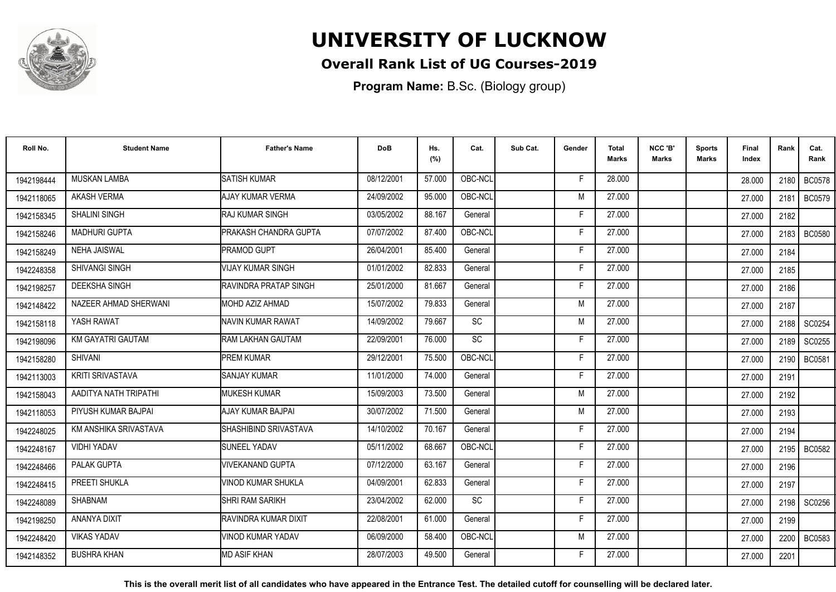

## **Overall Rank List of UG Courses-2019**

**Program Name:** B.Sc. (Biology group)

| Roll No.   | <b>Student Name</b>      | <b>Father's Name</b>          | <b>DoB</b> | Hs.<br>(%) | Cat.      | Sub Cat. | Gender | <b>Total</b><br>Marks | NCC 'B'<br>Marks | <b>Sports</b><br>Marks | Final<br>Index | Rank   | Cat.<br>Rank  |
|------------|--------------------------|-------------------------------|------------|------------|-----------|----------|--------|-----------------------|------------------|------------------------|----------------|--------|---------------|
| 1942198444 | <b>MUSKAN LAMBA</b>      | <b>SATISH KUMAR</b>           | 08/12/2001 | 57.000     | OBC-NCL   |          | F      | 28.000                |                  |                        | 28,000         | 2180 I | <b>BC0578</b> |
| 1942118065 | <b>AKASH VERMA</b>       | AJAY KUMAR VERMA              | 24/09/2002 | 95.000     | OBC-NCL   |          | M      | 27.000                |                  |                        | 27,000         | 2181   | <b>BC0579</b> |
| 1942158345 | SHALINI SINGH            | <b>RAJ KUMAR SINGH</b>        | 03/05/2002 | 88.167     | General   |          | F      | 27.000                |                  |                        | 27.000         | 2182   |               |
| 1942158246 | <b>MADHURI GUPTA</b>     | <b>PRAKASH CHANDRA GUPTA</b>  | 07/07/2002 | 87.400     | OBC-NCL   |          | E      | 27.000                |                  |                        | 27,000         | 2183   | <b>BC0580</b> |
| 1942158249 | <b>NEHA JAISWAL</b>      | <b>PRAMOD GUPT</b>            | 26/04/2001 | 85.400     | General   |          | F      | 27.000                |                  |                        | 27.000         | 2184   |               |
| 1942248358 | <b>SHIVANGI SINGH</b>    | VIJAY KUMAR SINGH             | 01/01/2002 | 82.833     | General   |          | Е      | 27,000                |                  |                        | 27.000         | 2185   |               |
| 1942198257 | <b>DEEKSHA SINGH</b>     | <b>IRAVINDRA PRATAP SINGH</b> | 25/01/2000 | 81.667     | General   |          | F      | 27.000                |                  |                        | 27.000         | 2186   |               |
| 1942148422 | NAZEER AHMAD SHERWANI    | <b>IMOHD AZIZ AHMAD</b>       | 15/07/2002 | 79.833     | General   |          | M      | 27,000                |                  |                        | 27.000         | 2187   |               |
| 1942158118 | YASH RAWAT               | <b>INAVIN KUMAR RAWAT</b>     | 14/09/2002 | 79.667     | <b>SC</b> |          | M      | 27.000                |                  |                        | 27.000         | 2188 l | SC0254        |
| 1942198096 | <b>KM GAYATRI GAUTAM</b> | <b>RAM LAKHAN GAUTAM</b>      | 22/09/2001 | 76.000     | <b>SC</b> |          | Е      | 27,000                |                  |                        | 27.000         | 2189 I | SC0255        |
| 1942158280 | SHIVANI                  | <b>PREM KUMAR</b>             | 29/12/2001 | 75.500     | OBC-NCL   |          | Е      | 27.000                |                  |                        | 27.000         | 2190   | <b>BC0581</b> |
| 1942113003 | <b>KRITI SRIVASTAVA</b>  | <b>SANJAY KUMAR</b>           | 11/01/2000 | 74.000     | General   |          | Е      | 27.000                |                  |                        | 27.000         | 2191   |               |
| 1942158043 | AADITYA NATH TRIPATHI    | <b>IMUKESH KUMAR</b>          | 15/09/2003 | 73.500     | General   |          | M      | 27,000                |                  |                        | 27,000         | 2192   |               |
| 1942118053 | PIYUSH KUMAR BAJPAI      | IAJAY KUMAR BAJPAI            | 30/07/2002 | 71.500     | General   |          | M      | 27,000                |                  |                        | 27.000         | 2193   |               |
| 1942248025 | KM ANSHIKA SRIVASTAVA    | SHASHIBIND SRIVASTAVA         | 14/10/2002 | 70.167     | General   |          | Е      | 27.000                |                  |                        | 27.000         | 2194   |               |
| 1942248167 | <b>VIDHI YADAV</b>       | <b>SUNEEL YADAV</b>           | 05/11/2002 | 68.667     | OBC-NCL   |          | F      | 27.000                |                  |                        | 27.000         | 2195   | <b>BC0582</b> |
| 1942248466 | PALAK GUPTA              | VIVEKANAND GUPTA              | 07/12/2000 | 63.167     | General   |          | E      | 27,000                |                  |                        | 27.000         | 2196   |               |
| 1942248415 | PREETI SHUKLA            | VINOD KUMAR SHUKLA            | 04/09/2001 | 62.833     | General   |          | F      | 27,000                |                  |                        | 27.000         | 2197   |               |
| 1942248089 | SHABNAM                  | ISHRI RAM SARIKH              | 23/04/2002 | 62.000     | SC        |          | Е      | 27.000                |                  |                        | 27.000         | 2198   | SC0256        |
| 1942198250 | <b>ANANYA DIXIT</b>      | <b>IRAVINDRA KUMAR DIXIT</b>  | 22/08/2001 | 61.000     | General   |          | F      | 27,000                |                  |                        | 27.000         | 2199   |               |
| 1942248420 | <b>VIKAS YADAV</b>       | VINOD KUMAR YADAV             | 06/09/2000 | 58.400     | OBC-NCL   |          | M      | 27.000                |                  |                        | 27.000         | 2200   | <b>BC0583</b> |
| 1942148352 | <b>BUSHRA KHAN</b>       | <b>MD ASIF KHAN</b>           | 28/07/2003 | 49.500     | General   |          | F      | 27,000                |                  |                        | 27.000         | 2201   |               |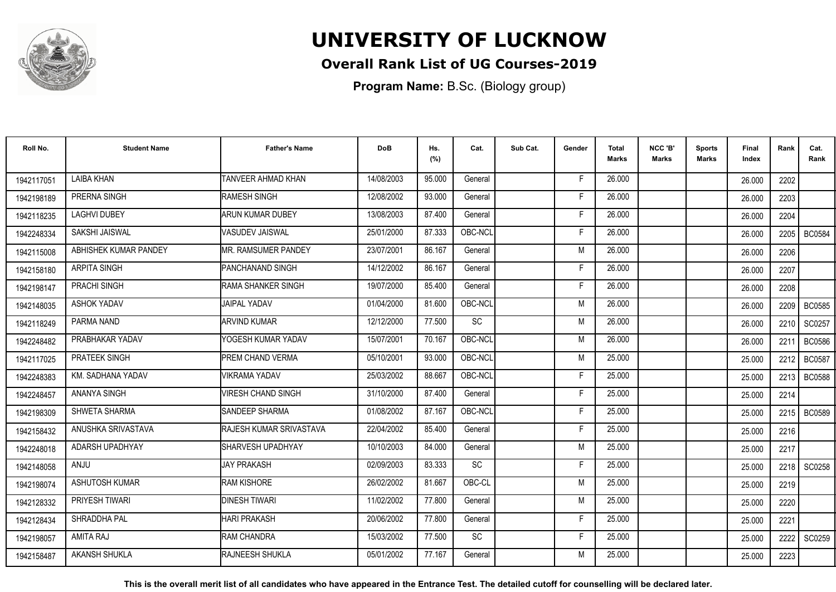

## **Overall Rank List of UG Courses-2019**

**Program Name:** B.Sc. (Biology group)

| Roll No.   | <b>Student Name</b>   | <b>Father's Name</b>      | <b>DoB</b> | Hs.<br>(%) | Cat.      | Sub Cat. | Gender | Total<br><b>Marks</b> | NCC 'B'<br><b>Marks</b> | <b>Sports</b><br>Marks | Final<br>Index | Rank | Cat.<br>Rank  |
|------------|-----------------------|---------------------------|------------|------------|-----------|----------|--------|-----------------------|-------------------------|------------------------|----------------|------|---------------|
| 1942117051 | <b>LAIBA KHAN</b>     | <b>TANVEER AHMAD KHAN</b> | 14/08/2003 | 95.000     | General   |          | F      | 26.000                |                         |                        | 26.000         | 2202 |               |
| 1942198189 | PRERNA SINGH          | RAMESH SINGH              | 12/08/2002 | 93.000     | General   |          | F      | 26.000                |                         |                        | 26.000         | 2203 |               |
| 1942118235 | <b>LAGHVI DUBEY</b>   | ARUN KUMAR DUBEY          | 13/08/2003 | 87.400     | General   |          | F      | 26.000                |                         |                        | 26.000         | 2204 |               |
| 1942248334 | <b>SAKSHI JAISWAL</b> | VASUDEV JAISWAL           | 25/01/2000 | 87.333     | OBC-NCL   |          |        | 26.000                |                         |                        | 26.000         | 2205 | <b>BC0584</b> |
| 1942115008 | ABHISHEK KUMAR PANDEY | IMR. RAMSUMER PANDEY      | 23/07/2001 | 86.167     | General   |          | M      | 26,000                |                         |                        | 26.000         | 2206 |               |
| 1942158180 | <b>ARPITA SINGH</b>   | PANCHANAND SINGH          | 14/12/2002 | 86.167     | General   |          | Е      | 26,000                |                         |                        | 26.000         | 2207 |               |
| 1942198147 | PRACHI SINGH          | RAMA SHANKER SINGH        | 19/07/2000 | 85.400     | General   |          | F      | 26.000                |                         |                        | 26.000         | 2208 |               |
| 1942148035 | <b>ASHOK YADAV</b>    | <b>JAIPAL YADAV</b>       | 01/04/2000 | 81.600     | OBC-NCL   |          | M      | 26.000                |                         |                        | 26.000         |      | 2209   BC0585 |
| 1942118249 | PARMA NAND            | <b>ARVIND KUMAR</b>       | 12/12/2000 | 77.500     | <b>SC</b> |          | M      | 26.000                |                         |                        | 26.000         | 2210 | SC0257        |
| 1942248482 | PRABHAKAR YADAV       | YOGESH KUMAR YADAV        | 15/07/2001 | 70.167     | OBC-NCL   |          | M      | 26.000                |                         |                        | 26.000         | 2211 | <b>BC0586</b> |
| 1942117025 | PRATEEK SINGH         | <b>PREM CHAND VERMA</b>   | 05/10/2001 | 93.000     | OBC-NCL   |          | M      | 25.000                |                         |                        | 25.000         | 2212 | <b>BC0587</b> |
| 1942248383 | KM. SADHANA YADAV     | <b>VIKRAMA YADAV</b>      | 25/03/2002 | 88.667     | OBC-NCL   |          | F      | 25.000                |                         |                        | 25.000         | 2213 | <b>BC0588</b> |
| 1942248457 | <b>ANANYA SINGH</b>   | <b>VIRESH CHAND SINGH</b> | 31/10/2000 | 87.400     | General   |          | Е      | 25.000                |                         |                        | 25.000         | 2214 |               |
| 1942198309 | SHWETA SHARMA         | <b>ISANDEEP SHARMA</b>    | 01/08/2002 | 87.167     | OBC-NCL   |          | F      | 25.000                |                         |                        | 25.000         | 2215 | <b>BC0589</b> |
| 1942158432 | ANUSHKA SRIVASTAVA    | RAJESH KUMAR SRIVASTAVA   | 22/04/2002 | 85.400     | General   |          | Е      | 25.000                |                         |                        | 25.000         | 2216 |               |
| 1942248018 | ADARSH UPADHYAY       | SHARVESH UPADHYAY         | 10/10/2003 | 84.000     | General   |          | M      | 25.000                |                         |                        | 25.000         | 2217 |               |
| 1942148058 | <b>ANJU</b>           | <b>JAY PRAKASH</b>        | 02/09/2003 | 83.333     | SC        |          | E      | 25.000                |                         |                        | 25.000         |      | 2218 SC0258   |
| 1942198074 | ASHUTOSH KUMAR        | <b>RAM KISHORE</b>        | 26/02/2002 | 81.667     | OBC-CL    |          | M      | 25.000                |                         |                        | 25.000         | 2219 |               |
| 1942128332 | PRIYESH TIWARI        | <b>DINESH TIWARI</b>      | 11/02/2002 | 77.800     | General   |          | M      | 25.000                |                         |                        | 25.000         | 2220 |               |
| 1942128434 | SHRADDHA PAL          | <b>HARI PRAKASH</b>       | 20/06/2002 | 77.800     | General   |          | F      | 25.000                |                         |                        | 25.000         | 2221 |               |
| 1942198057 | <b>AMITA RAJ</b>      | RAM CHANDRA               | 15/03/2002 | 77.500     | <b>SC</b> |          | F      | 25.000                |                         |                        | 25.000         | 2222 | SC0259        |
| 1942158487 | <b>AKANSH SHUKLA</b>  | <b>IRAJNEESH SHUKLA</b>   | 05/01/2002 | 77.167     | General   |          | M      | 25.000                |                         |                        | 25.000         | 2223 |               |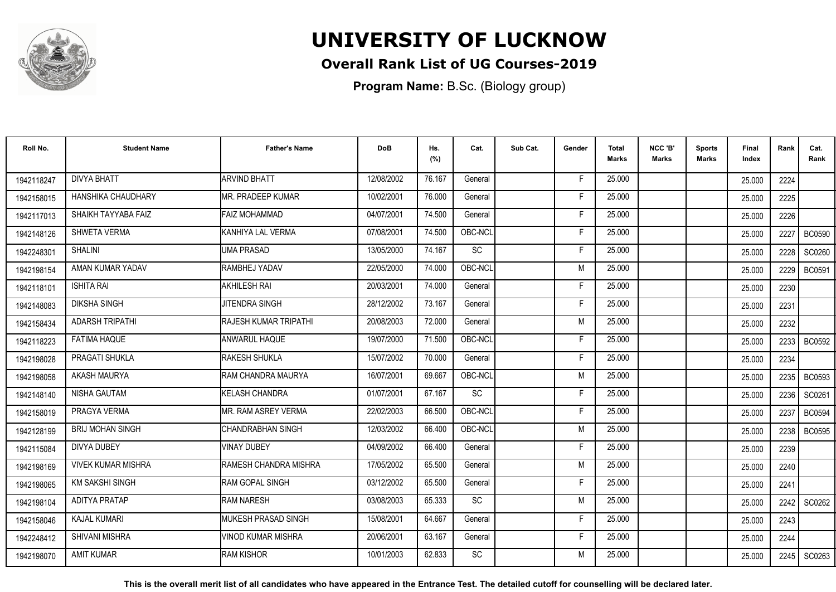

## **Overall Rank List of UG Courses-2019**

**Program Name:** B.Sc. (Biology group)

| Roll No.   | <b>Student Name</b>       | <b>Father's Name</b>         | <b>DoB</b> | Hs.<br>(%) | Cat.      | Sub Cat. | Gender | Total<br><b>Marks</b> | NCC 'B'<br><b>Marks</b> | <b>Sports</b><br>Marks | Final<br>Index | Rank   | Cat.<br>Rank  |
|------------|---------------------------|------------------------------|------------|------------|-----------|----------|--------|-----------------------|-------------------------|------------------------|----------------|--------|---------------|
| 1942118247 | <b>DIVYA BHATT</b>        | <b>ARVIND BHATT</b>          | 12/08/2002 | 76.167     | General   |          | F      | 25.000                |                         |                        | 25.000         | 2224   |               |
| 1942158015 | HANSHIKA CHAUDHARY        | <b>MR. PRADEEP KUMAR</b>     | 10/02/2001 | 76.000     | General   |          | E      | 25.000                |                         |                        | 25.000         | 2225   |               |
| 1942117013 | SHAIKH TAYYABA FAIZ       | <b>FAIZ MOHAMMAD</b>         | 04/07/2001 | 74.500     | General   |          | F      | 25.000                |                         |                        | 25.000         | 2226   |               |
| 1942148126 | <b>SHWETA VERMA</b>       | KANHIYA LAL VERMA            | 07/08/2001 | 74.500     | OBC-NCL   |          | F      | 25.000                |                         |                        | 25.000         | 2227   | <b>BC0590</b> |
| 1942248301 | <b>SHALINI</b>            | <b>UMA PRASAD</b>            | 13/05/2000 | 74.167     | <b>SC</b> |          | F      | 25.000                |                         |                        | 25.000         | 2228   | SC0260        |
| 1942198154 | AMAN KUMAR YADAV          | RAMBHEJ YADAV                | 22/05/2000 | 74.000     | OBC-NCL   |          | M      | 25.000                |                         |                        | 25.000         | 2229   | <b>BC0591</b> |
| 1942118101 | <b>ISHITA RAI</b>         | <b>AKHILESH RAI</b>          | 20/03/2001 | 74.000     | General   |          | F      | 25.000                |                         |                        | 25.000         | 2230   |               |
| 1942148083 | <b>DIKSHA SINGH</b>       | <b>JITENDRA SINGH</b>        | 28/12/2002 | 73.167     | General   |          | F      | 25.000                |                         |                        | 25.000         | 2231   |               |
| 1942158434 | <b>ADARSH TRIPATHI</b>    | <b>RAJESH KUMAR TRIPATHI</b> | 20/08/2003 | 72.000     | General   |          | M      | 25.000                |                         |                        | 25.000         | 2232   |               |
| 1942118223 | <b>FATIMA HAQUE</b>       | <b>ANWARUL HAQUE</b>         | 19/07/2000 | 71.500     | OBC-NCL   |          | F      | 25.000                |                         |                        | 25.000         | 2233 l | <b>BC0592</b> |
| 1942198028 | PRAGATI SHUKLA            | <b>RAKESH SHUKLA</b>         | 15/07/2002 | 70.000     | General   |          | F      | 25.000                |                         |                        | 25.000         | 2234   |               |
| 1942198058 | <b>AKASH MAURYA</b>       | RAM CHANDRA MAURYA           | 16/07/2001 | 69.667     | OBC-NCL   |          | M      | 25.000                |                         |                        | 25.000         | 2235   | <b>BC0593</b> |
| 1942148140 | NISHA GAUTAM              | <b>KELASH CHANDRA</b>        | 01/07/2001 | 67.167     | SC        |          | Е      | 25.000                |                         |                        | 25.000         | 2236   | SC0261        |
| 1942158019 | PRAGYA VERMA              | IMR. RAM ASREY VERMA         | 22/02/2003 | 66.500     | OBC-NCL   |          | F      | 25.000                |                         |                        | 25.000         | 2237   | <b>BC0594</b> |
| 1942128199 | <b>BRIJ MOHAN SINGH</b>   | ICHANDRABHAN SINGH           | 12/03/2002 | 66.400     | OBC-NCL   |          | M      | 25.000                |                         |                        | 25.000         | 2238   | <b>BC0595</b> |
| 1942115084 | <b>DIVYA DUBEY</b>        | <b>VINAY DUBEY</b>           | 04/09/2002 | 66.400     | General   |          | F      | 25.000                |                         |                        | 25.000         | 2239   |               |
| 1942198169 | <b>VIVEK KUMAR MISHRA</b> | RAMESH CHANDRA MISHRA        | 17/05/2002 | 65.500     | General   |          | M      | 25.000                |                         |                        | 25.000         | 2240   |               |
| 1942198065 | <b>KM SAKSHI SINGH</b>    | <b>RAM GOPAL SINGH</b>       | 03/12/2002 | 65.500     | General   |          | F      | 25.000                |                         |                        | 25.000         | 2241   |               |
| 1942198104 | <b>ADITYA PRATAP</b>      | <b>RAM NARESH</b>            | 03/08/2003 | 65.333     | SC        |          | M      | 25.000                |                         |                        | 25.000         | 2242 l | SC0262        |
| 1942158046 | <b>KAJAL KUMARI</b>       | <b>I</b> MUKESH PRASAD SINGH | 15/08/2001 | 64.667     | General   |          | F.     | 25.000                |                         |                        | 25.000         | 2243   |               |
| 1942248412 | SHIVANI MISHRA            | <b>VINOD KUMAR MISHRA</b>    | 20/06/2001 | 63.167     | General   |          | F.     | 25.000                |                         |                        | 25.000         | 2244   |               |
| 1942198070 | <b>AMIT KUMAR</b>         | <b>RAM KISHOR</b>            | 10/01/2003 | 62.833     | <b>SC</b> |          | M      | 25.000                |                         |                        | 25.000         | 2245   | SC0263        |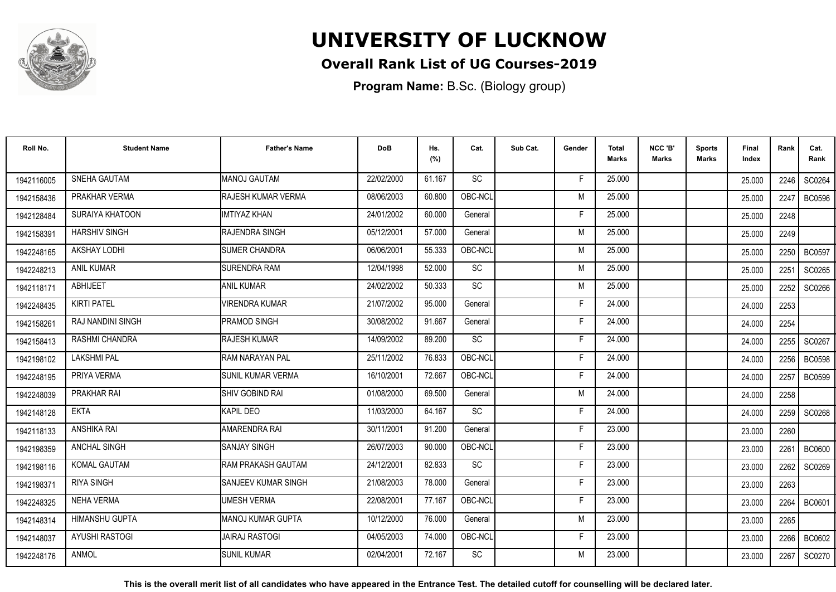

### **Overall Rank List of UG Courses-2019**

**Program Name:** B.Sc. (Biology group)

| Roll No.   | <b>Student Name</b>   | <b>Father's Name</b>       | <b>DoB</b> | Hs.<br>(%) | Cat.            | Sub Cat. | Gender | Total<br>Marks | NCC 'B'<br><b>Marks</b> | <b>Sports</b><br>Marks | Final<br>Index | Rank | Cat.<br>Rank  |
|------------|-----------------------|----------------------------|------------|------------|-----------------|----------|--------|----------------|-------------------------|------------------------|----------------|------|---------------|
| 1942116005 | <b>SNEHA GAUTAM</b>   | <b>MANOJ GAUTAM</b>        | 22/02/2000 | 61.167     | <b>SC</b>       |          | F.     | 25.000         |                         |                        | 25.000         | 2246 | SC0264        |
| 1942158436 | PRAKHAR VERMA         | <b>RAJESH KUMAR VERMA</b>  | 08/06/2003 | 60.800     | OBC-NCL         |          | M      | 25.000         |                         |                        | 25.000         | 2247 | <b>BC0596</b> |
| 1942128484 | SURAIYA KHATOON       | <b>IMTIYAZ KHAN</b>        | 24/01/2002 | 60.000     | General         |          | F      | 25.000         |                         |                        | 25.000         | 2248 |               |
| 1942158391 | <b>HARSHIV SINGH</b>  | RAJENDRA SINGH             | 05/12/2001 | 57.000     | General         |          | M      | 25.000         |                         |                        | 25.000         | 2249 |               |
| 1942248165 | AKSHAY LODHI          | <b>SUMER CHANDRA</b>       | 06/06/2001 | 55.333     | OBC-NCL         |          | M      | 25.000         |                         |                        | 25.000         | 2250 | <b>BC0597</b> |
| 1942248213 | <b>ANIL KUMAR</b>     | <b>SURENDRA RAM</b>        | 12/04/1998 | 52.000     | <b>SC</b>       |          | M      | 25.000         |                         |                        | 25.000         | 2251 | SC0265        |
| 1942118171 | <b>ABHIJEET</b>       | <b>ANIL KUMAR</b>          | 24/02/2002 | 50.333     | SC              |          | M      | 25.000         |                         |                        | 25.000         | 2252 | SC0266        |
| 1942248435 | <b>KIRTI PATEL</b>    | <b>VIRENDRA KUMAR</b>      | 21/07/2002 | 95.000     | General         |          | F      | 24.000         |                         |                        | 24.000         | 2253 |               |
| 1942158261 | RAJ NANDINI SINGH     | <b>PRAMOD SINGH</b>        | 30/08/2002 | 91.667     | General         |          | F      | 24.000         |                         |                        | 24.000         | 2254 |               |
| 1942158413 | RASHMI CHANDRA        | RAJESH KUMAR               | 14/09/2002 | 89.200     | $\overline{SC}$ |          | F      | 24.000         |                         |                        | 24.000         | 2255 | SC0267        |
| 1942198102 | <b>LAKSHMI PAL</b>    | RAM NARAYAN PAL            | 25/11/2002 | 76.833     | OBC-NCL         |          | Е      | 24.000         |                         |                        | 24.000         | 2256 | <b>BC0598</b> |
| 1942248195 | PRIYA VERMA           | <b>I</b> SUNIL KUMAR VERMA | 16/10/2001 | 72.667     | OBC-NCL         |          | F.     | 24.000         |                         |                        | 24.000         | 2257 | <b>BC0599</b> |
| 1942248039 | <b>PRAKHAR RAI</b>    | SHIV GOBIND RAI            | 01/08/2000 | 69.500     | General         |          | M      | 24.000         |                         |                        | 24.000         | 2258 |               |
| 1942148128 | <b>EKTA</b>           | KAPIL DEO                  | 11/03/2000 | 64.167     | <b>SC</b>       |          | F      | 24.000         |                         |                        | 24.000         | 2259 | SC0268        |
| 1942118133 | <b>ANSHIKA RAI</b>    | AMARENDRA RAI              | 30/11/2001 | 91.200     | General         |          | F      | 23,000         |                         |                        | 23.000         | 2260 |               |
| 1942198359 | <b>ANCHAL SINGH</b>   | <b>SANJAY SINGH</b>        | 26/07/2003 | 90.000     | OBC-NCL         |          | F.     | 23.000         |                         |                        | 23.000         | 2261 | <b>BC0600</b> |
| 1942198116 | KOMAL GAUTAM          | <b>RAM PRAKASH GAUTAM</b>  | 24/12/2001 | 82.833     | SC              |          | F      | 23.000         |                         |                        | 23.000         | 2262 | SC0269        |
| 1942198371 | <b>RIYA SINGH</b>     | <b>SANJEEV KUMAR SINGH</b> | 21/08/2003 | 78.000     | General         |          | F      | 23.000         |                         |                        | 23.000         | 2263 |               |
| 1942248325 | <b>NEHA VERMA</b>     | <b>UMESH VERMA</b>         | 22/08/2001 | 77.167     | OBC-NCL         |          | F      | 23.000         |                         |                        | 23.000         | 2264 | BC0601        |
| 1942148314 | <b>HIMANSHU GUPTA</b> | IMANOJ KUMAR GUPTA         | 10/12/2000 | 76.000     | General         |          | M      | 23,000         |                         |                        | 23.000         | 2265 |               |
| 1942148037 | <b>AYUSHI RASTOGI</b> | IJAIRAJ RASTOGI            | 04/05/2003 | 74.000     | OBC-NCL         |          | F.     | 23.000         |                         |                        | 23.000         | 2266 | BC0602        |
| 1942248176 | <b>ANMOL</b>          | <b>SUNIL KUMAR</b>         | 02/04/2001 | 72.167     | <b>SC</b>       |          | M      | 23,000         |                         |                        | 23.000         | 2267 | SC0270        |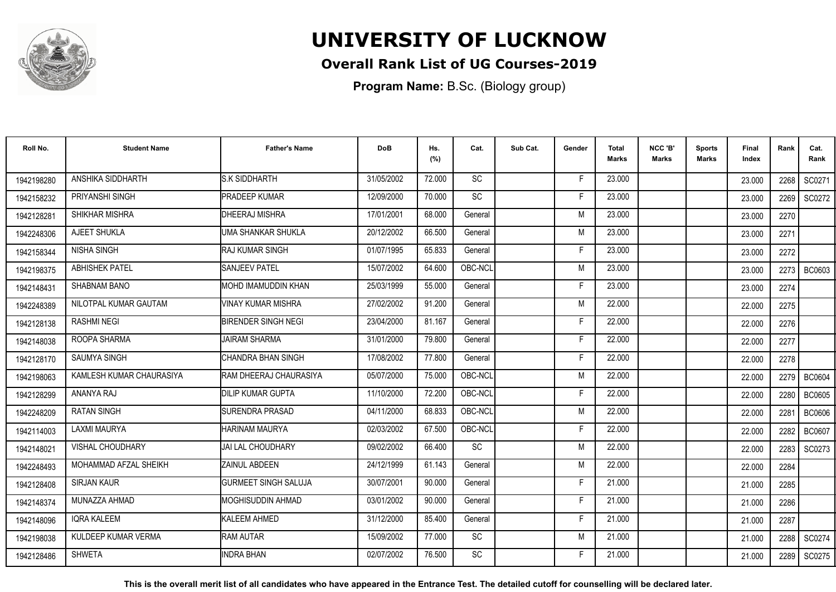

### **Overall Rank List of UG Courses-2019**

**Program Name:** B.Sc. (Biology group)

| Roll No.   | <b>Student Name</b>      | <b>Father's Name</b>        | <b>DoB</b> | Hs.<br>(%) | Cat.      | Sub Cat. | Gender | <b>Total</b><br>Marks | NCC 'B'<br><b>Marks</b> | Sports<br><b>Marks</b> | Final<br>Index | Rank | Cat.<br>Rank  |
|------------|--------------------------|-----------------------------|------------|------------|-----------|----------|--------|-----------------------|-------------------------|------------------------|----------------|------|---------------|
| 1942198280 | ANSHIKA SIDDHARTH        | <b>S.K SIDDHARTH</b>        | 31/05/2002 | 72.000     | <b>SC</b> |          | -F     | 23.000                |                         |                        | 23.000         | 2268 | SC0271        |
| 1942158232 | PRIYANSHI SINGH          | <b>PRADEEP KUMAR</b>        | 12/09/2000 | 70.000     | SC        |          | F      | 23.000                |                         |                        | 23.000         | 2269 | SC0272        |
| 1942128281 | SHIKHAR MISHRA           | <b>DHEERAJ MISHRA</b>       | 17/01/2001 | 68.000     | General   |          | M      | 23.000                |                         |                        | 23.000         | 2270 |               |
| 1942248306 | AJEET SHUKLA             | UMA SHANKAR SHUKLA          | 20/12/2002 | 66.500     | General   |          | M      | 23.000                |                         |                        | 23.000         | 2271 |               |
| 1942158344 | <b>NISHA SINGH</b>       | <b>RAJ KUMAR SINGH</b>      | 01/07/1995 | 65.833     | General   |          | F      | 23.000                |                         |                        | 23.000         | 2272 |               |
| 1942198375 | <b>ABHISHEK PATEL</b>    | <b>SANJEEV PATEL</b>        | 15/07/2002 | 64.600     | OBC-NCL   |          | M      | 23.000                |                         |                        | 23.000         | 2273 | BC0603        |
| 1942148431 | <b>SHABNAM BANO</b>      | MOHD IMAMUDDIN KHAN         | 25/03/1999 | 55.000     | General   |          | F      | 23.000                |                         |                        | 23.000         | 2274 |               |
| 1942248389 | NILOTPAL KUMAR GAUTAM    | <b>VINAY KUMAR MISHRA</b>   | 27/02/2002 | 91.200     | General   |          | M      | 22.000                |                         |                        | 22.000         | 2275 |               |
| 1942128138 | <b>RASHMI NEGI</b>       | <b>BIRENDER SINGH NEGI</b>  | 23/04/2000 | 81.167     | General   |          | E      | 22.000                |                         |                        | 22.000         | 2276 |               |
| 1942148038 | ROOPA SHARMA             | <b>JAIRAM SHARMA</b>        | 31/01/2000 | 79.800     | General   |          | F      | 22.000                |                         |                        | 22.000         | 2277 |               |
| 1942128170 | <b>SAUMYA SINGH</b>      | CHANDRA BHAN SINGH          | 17/08/2002 | 77.800     | General   |          | Е      | 22.000                |                         |                        | 22.000         | 2278 |               |
| 1942198063 | KAMLESH KUMAR CHAURASIYA | RAM DHEERAJ CHAURASIYA      | 05/07/2000 | 75.000     | OBC-NCL   |          | M      | 22.000                |                         |                        | 22.000         | 2279 | <b>BC0604</b> |
| 1942128299 | ANANYA RAJ               | <b>DILIP KUMAR GUPTA</b>    | 11/10/2000 | 72.200     | OBC-NCL   |          |        | 22.000                |                         |                        | 22.000         | 2280 | <b>BC0605</b> |
| 1942248209 | <b>RATAN SINGH</b>       | <b>ISURENDRA PRASAD</b>     | 04/11/2000 | 68.833     | OBC-NCL   |          | M      | 22.000                |                         |                        | 22.000         | 2281 | <b>BC0606</b> |
| 1942114003 | <b>LAXMI MAURYA</b>      | <b>HARINAM MAURYA</b>       | 02/03/2002 | 67.500     | OBC-NCL   |          | Е      | 22,000                |                         |                        | 22.000         | 2282 | <b>BC0607</b> |
| 1942148021 | <b>VISHAL CHOUDHARY</b>  | IJAI LAL CHOUDHARY          | 09/02/2002 | 66.400     | <b>SC</b> |          | M      | 22.000                |                         |                        | 22.000         | 2283 | SC0273        |
| 1942248493 | MOHAMMAD AFZAL SHEIKH    | <b>ZAINUL ABDEEN</b>        | 24/12/1999 | 61.143     | General   |          | M      | 22.000                |                         |                        | 22.000         | 2284 |               |
| 1942128408 | <b>SIRJAN KAUR</b>       | <b>GURMEET SINGH SALUJA</b> | 30/07/2001 | 90.000     | General   |          | F      | 21.000                |                         |                        | 21.000         | 2285 |               |
| 1942148374 | MUNAZZA AHMAD            | <b>MOGHISUDDIN AHMAD</b>    | 03/01/2002 | 90.000     | General   |          | F      | 21.000                |                         |                        | 21.000         | 2286 |               |
| 1942148096 | <b>IQRA KALEEM</b>       | <b>KALEEM AHMED</b>         | 31/12/2000 | 85.400     | General   |          | F      | 21.000                |                         |                        | 21.000         | 2287 |               |
| 1942198038 | KULDEEP KUMAR VERMA      | <b>RAM AUTAR</b>            | 15/09/2002 | 77.000     | <b>SC</b> |          | M      | 21.000                |                         |                        | 21.000         | 2288 | SC0274        |
| 1942128486 | <b>SHWETA</b>            | <b>INDRA BHAN</b>           | 02/07/2002 | 76.500     | <b>SC</b> |          | F      | 21.000                |                         |                        | 21.000         | 2289 | SC0275        |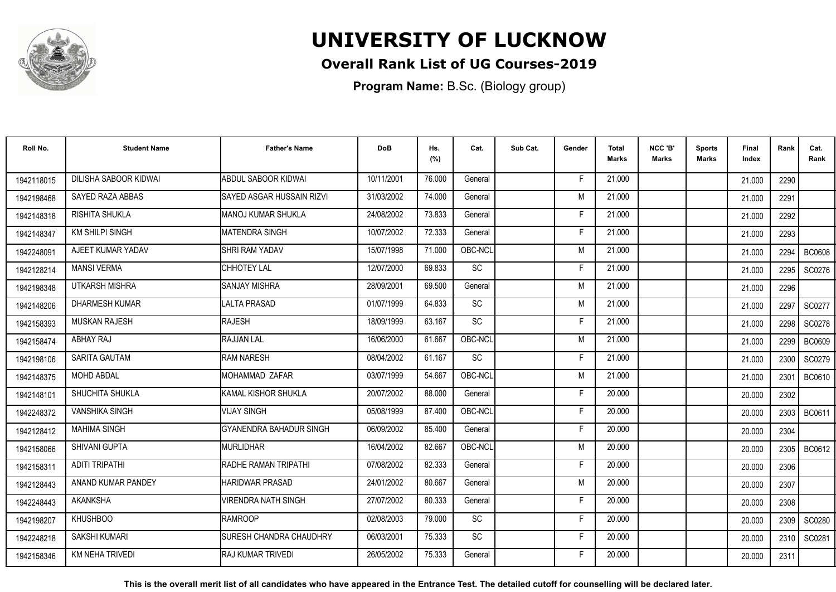

## **Overall Rank List of UG Courses-2019**

**Program Name:** B.Sc. (Biology group)

| Roll No.   | <b>Student Name</b>    | <b>Father's Name</b>             | <b>DoB</b> | Hs.<br>(%) | Cat.      | Sub Cat. | Gender | <b>Total</b><br>Marks | NCC 'B'<br><b>Marks</b> | Sports<br><b>Marks</b> | Final<br>Index | Rank   | Cat.<br>Rank  |
|------------|------------------------|----------------------------------|------------|------------|-----------|----------|--------|-----------------------|-------------------------|------------------------|----------------|--------|---------------|
| 1942118015 | DILISHA SABOOR KIDWAI  | <b>ABDUL SABOOR KIDWAI</b>       | 10/11/2001 | 76.000     | General   |          | -F     | 21.000                |                         |                        | 21.000         | 2290   |               |
| 1942198468 | SAYED RAZA ABBAS       | <b>SAYED ASGAR HUSSAIN RIZVI</b> | 31/03/2002 | 74.000     | General   |          | M      | 21.000                |                         |                        | 21.000         | 2291   |               |
| 1942148318 | RISHITA SHUKLA         | <b>MANOJ KUMAR SHUKLA</b>        | 24/08/2002 | 73.833     | General   |          | F      | 21.000                |                         |                        | 21.000         | 2292   |               |
| 1942148347 | <b>KM SHILPI SINGH</b> | MATENDRA SINGH                   | 10/07/2002 | 72.333     | General   |          | F      | 21.000                |                         |                        | 21.000         | 2293   |               |
| 1942248091 | AJEET KUMAR YADAV      | <b>SHRI RAM YADAV</b>            | 15/07/1998 | 71.000     | OBC-NCL   |          | M      | 21.000                |                         |                        | 21.000         | 2294   | <b>BC0608</b> |
| 1942128214 | <b>MANSI VERMA</b>     | CHHOTEY LAL                      | 12/07/2000 | 69.833     | SC        |          | Е      | 21.000                |                         |                        | 21.000         | 2295   | SC0276        |
| 1942198348 | <b>UTKARSH MISHRA</b>  | <b>SANJAY MISHRA</b>             | 28/09/2001 | 69.500     | General   |          | M      | 21.000                |                         |                        | 21.000         | 2296   |               |
| 1942148206 | <b>DHARMESH KUMAR</b>  | <b>LALTA PRASAD</b>              | 01/07/1999 | 64.833     | SC        |          | M      | 21.000                |                         |                        | 21.000         | 2297   | SC0277        |
| 1942158393 | <b>MUSKAN RAJESH</b>   | <b>RAJESH</b>                    | 18/09/1999 | 63.167     | SC        |          | F      | 21.000                |                         |                        | 21.000         | 2298   | SC0278        |
| 1942158474 | ABHAY RAJ              | <b>RAJJAN LAL</b>                | 16/06/2000 | 61.667     | OBC-NCL   |          | M      | 21.000                |                         |                        | 21.000         | 2299   | <b>BC0609</b> |
| 1942198106 | SARITA GAUTAM          | <b>RAM NARESH</b>                | 08/04/2002 | 61.167     | SC        |          | F      | 21.000                |                         |                        | 21.000         | 2300   | SC0279        |
| 1942148375 | <b>MOHD ABDAL</b>      | MOHAMMAD ZAFAR                   | 03/07/1999 | 54.667     | OBC-NCL   |          | M      | 21.000                |                         |                        | 21.000         | 2301   | <b>BC0610</b> |
| 1942148101 | SHUCHITA SHUKLA        | KAMAL KISHOR SHUKLA              | 20/07/2002 | 88.000     | General   |          | Е      | 20,000                |                         |                        | 20,000         | 2302   |               |
| 1942248372 | <b>VANSHIKA SINGH</b>  | <b>VIJAY SINGH</b>               | 05/08/1999 | 87.400     | OBC-NCL   |          | F      | 20.000                |                         |                        | 20.000         | 2303   | BC0611        |
| 1942128412 | <b>MAHIMA SINGH</b>    | GYANENDRA BAHADUR SINGH          | 06/09/2002 | 85.400     | General   |          | F      | 20.000                |                         |                        | 20.000         | 2304   |               |
| 1942158066 | SHIVANI GUPTA          | <b>MURLIDHAR</b>                 | 16/04/2002 | 82.667     | OBC-NCL   |          | M      | 20.000                |                         |                        | 20.000         | 2305   | BC0612        |
| 1942158311 | <b>ADITI TRIPATHI</b>  | RADHE RAMAN TRIPATHI             | 07/08/2002 | 82.333     | General   |          | F      | 20.000                |                         |                        | 20.000         | 2306   |               |
| 1942128443 | ANAND KUMAR PANDEY     | <b>HARIDWAR PRASAD</b>           | 24/01/2002 | 80.667     | General   |          | M      | 20.000                |                         |                        | 20.000         | 2307   |               |
| 1942248443 | <b>AKANKSHA</b>        | <b>VIRENDRA NATH SINGH</b>       | 27/07/2002 | 80.333     | General   |          | F      | 20.000                |                         |                        | 20.000         | 2308   |               |
| 1942198207 | <b>KHUSHBOO</b>        | <b>RAMROOP</b>                   | 02/08/2003 | 79.000     | <b>SC</b> |          | F      | 20,000                |                         |                        | 20.000         | 2309 l | SC0280        |
| 1942248218 | <b>SAKSHI KUMARI</b>   | <b>SURESH CHANDRA CHAUDHRY</b>   | 06/03/2001 | 75.333     | <b>SC</b> |          | F      | 20.000                |                         |                        | 20.000         | 2310   | SC0281        |
| 1942158346 | <b>KM NEHA TRIVEDI</b> | <b>RAJ KUMAR TRIVEDI</b>         | 26/05/2002 | 75.333     | General   |          | E      | 20.000                |                         |                        | 20.000         | 2311   |               |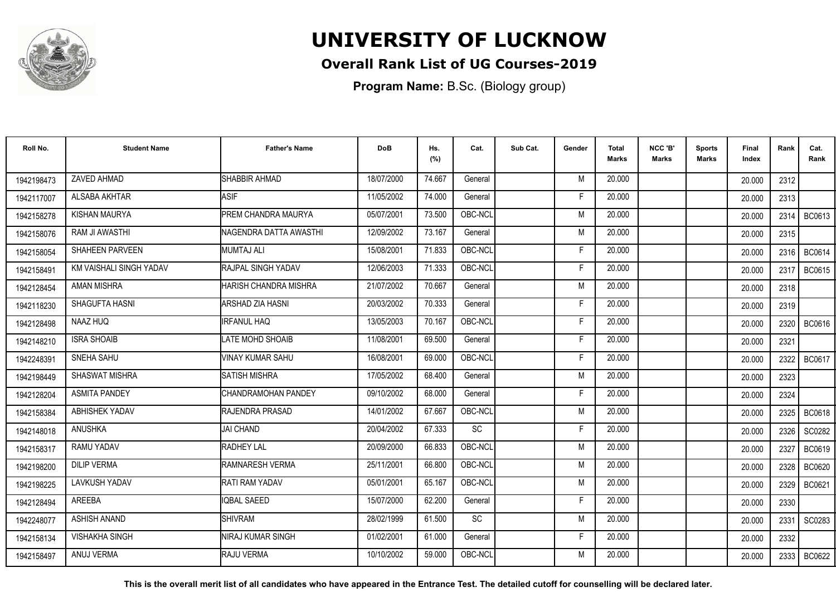

### **Overall Rank List of UG Courses-2019**

**Program Name:** B.Sc. (Biology group)

| Roll No.   | <b>Student Name</b>     | <b>Father's Name</b>           | <b>DoB</b> | Hs.<br>(%) | Cat.      | Sub Cat. | Gender | <b>Total</b><br>Marks | NCC 'B'<br><b>Marks</b> | <b>Sports</b><br>Marks | Final<br>Index | Rank   | Cat.<br>Rank  |
|------------|-------------------------|--------------------------------|------------|------------|-----------|----------|--------|-----------------------|-------------------------|------------------------|----------------|--------|---------------|
| 1942198473 | ZAVED AHMAD             | SHABBIR AHMAD                  | 18/07/2000 | 74.667     | General   |          | M      | 20,000                |                         |                        | 20.000         | 2312   |               |
| 1942117007 | ALSABA AKHTAR           | <b>ASIF</b>                    | 11/05/2002 | 74.000     | General   |          | F      | 20,000                |                         |                        | 20.000         | 2313   |               |
| 1942158278 | <b>KISHAN MAURYA</b>    | <b>PREM CHANDRA MAURYA</b>     | 05/07/2001 | 73.500     | OBC-NCL   |          | M      | 20.000                |                         |                        | 20.000         | 2314   | BC0613        |
| 1942158076 | RAM JI AWASTHI          | <b>INAGENDRA DATTA AWASTHI</b> | 12/09/2002 | 73.167     | General   |          | M      | 20.000                |                         |                        | 20.000         | 2315   |               |
| 1942158054 | <b>SHAHEEN PARVEEN</b>  | <b>MUMTAJ ALI</b>              | 15/08/2001 | 71.833     | OBC-NCL   |          | Е      | 20,000                |                         |                        | 20,000         | 2316   | BC0614        |
| 1942158491 | KM VAISHALI SINGH YADAV | <b>RAJPAL SINGH YADAV</b>      | 12/06/2003 | 71.333     | OBC-NCL   |          | Е      | 20,000                |                         |                        | 20,000         | 2317   | <b>BC0615</b> |
| 1942128454 | <b>AMAN MISHRA</b>      | HARISH CHANDRA MISHRA          | 21/07/2002 | 70.667     | General   |          | M      | 20.000                |                         |                        | 20.000         | 2318   |               |
| 1942118230 | SHAGUFTA HASNI          | <b>ARSHAD ZIA HASNI</b>        | 20/03/2002 | 70.333     | General   |          | Е      | 20.000                |                         |                        | 20.000         | 2319   |               |
| 1942128498 | NAAZ HUQ                | <b>IRFANUL HAQ</b>             | 13/05/2003 | 70.167     | OBC-NCL   |          | F      | 20.000                |                         |                        | 20.000         | 2320 l | BC0616        |
| 1942148210 | <b>ISRA SHOAIB</b>      | <b>LATE MOHD SHOAIB</b>        | 11/08/2001 | 69.500     | General   |          | F      | 20.000                |                         |                        | 20.000         | 2321   |               |
| 1942248391 | SNEHA SAHU              | VINAY KUMAR SAHU               | 16/08/2001 | 69.000     | OBC-NCL   |          | F      | 20.000                |                         |                        | 20.000         | 2322   | BC0617        |
| 1942198449 | <b>SHASWAT MISHRA</b>   | <b>SATISH MISHRA</b>           | 17/05/2002 | 68.400     | General   |          | M      | 20,000                |                         |                        | 20.000         | 2323   |               |
| 1942128204 | <b>ASMITA PANDEY</b>    | <b>I</b> CHANDRAMOHAN PANDEY   | 09/10/2002 | 68.000     | General   |          | F      | 20.000                |                         |                        | 20.000         | 2324   |               |
| 1942158384 | <b>ABHISHEK YADAV</b>   | <b>RAJENDRA PRASAD</b>         | 14/01/2002 | 67.667     | OBC-NCL   |          | M      | 20.000                |                         |                        | 20.000         | 2325   | <b>BC0618</b> |
| 1942148018 | <b>ANUSHKA</b>          | <b>JAI CHAND</b>               | 20/04/2002 | 67.333     | <b>SC</b> |          | F      | 20,000                |                         |                        | 20.000         | 2326   | SC0282        |
| 1942158317 | RAMU YADAV              | <b>RADHEY LAL</b>              | 20/09/2000 | 66.833     | OBC-NCL   |          | M      | 20.000                |                         |                        | 20.000         | 2327   | BC0619        |
| 1942198200 | <b>DILIP VERMA</b>      | <b>IRAMNARESH VERMA</b>        | 25/11/2001 | 66.800     | OBC-NCL   |          | M      | 20.000                |                         |                        | 20.000         | 2328   | <b>BC0620</b> |
| 1942198225 | <b>LAVKUSH YADAV</b>    | <b>RATI RAM YADAV</b>          | 05/01/2001 | 65.167     | OBC-NCL   |          | M      | 20.000                |                         |                        | 20.000         | 2329 l | BC0621        |
| 1942128494 | AREEBA                  | IQBAL SAEED                    | 15/07/2000 | 62.200     | General   |          | F      | 20.000                |                         |                        | 20.000         | 2330   |               |
| 1942248077 | ASHISH ANAND            | <b>I</b> SHIVRAM               | 28/02/1999 | 61.500     | <b>SC</b> |          | M      | 20,000                |                         |                        | 20,000         | 2331   | SC0283        |
| 1942158134 | <b>VISHAKHA SINGH</b>   | <b>INIRAJ KUMAR SINGH</b>      | 01/02/2001 | 61.000     | General   |          | Е      | 20,000                |                         |                        | 20.000         | 2332   |               |
| 1942158497 | ANUJ VERMA              | RAJU VERMA                     | 10/10/2002 | 59,000     | OBC-NCL   |          | M      | 20,000                |                         |                        | 20.000         | 2333   | BC0622        |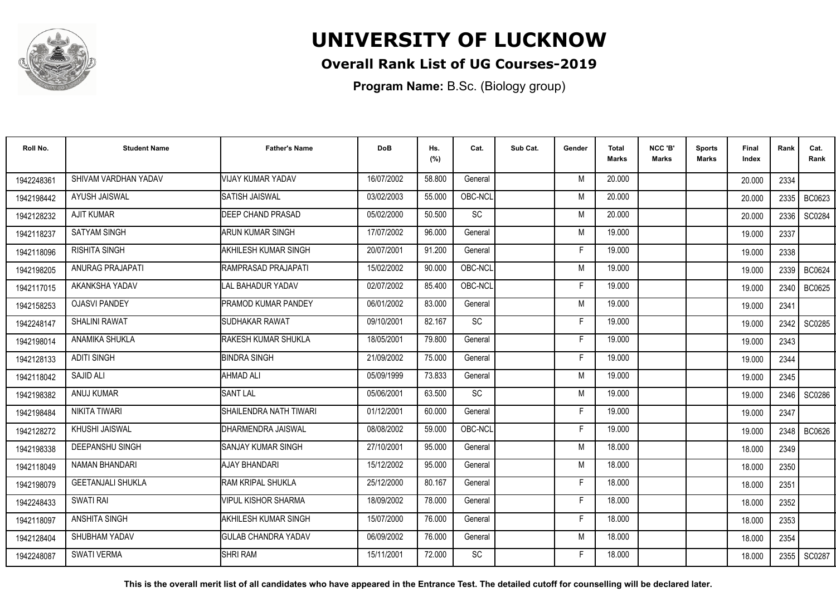

### **Overall Rank List of UG Courses-2019**

**Program Name:** B.Sc. (Biology group)

| Roll No.   | <b>Student Name</b>      | <b>Father's Name</b>          | <b>DoB</b> | Hs.<br>(%) | Cat.      | Sub Cat. | Gender | <b>Total</b><br>Marks | NCC 'B'<br>Marks | <b>Sports</b><br><b>Marks</b> | Final<br>Index | Rank | Cat.<br>Rank  |
|------------|--------------------------|-------------------------------|------------|------------|-----------|----------|--------|-----------------------|------------------|-------------------------------|----------------|------|---------------|
| 1942248361 | SHIVAM VARDHAN YADAV     | VIJAY KUMAR YADAV             | 16/07/2002 | 58.800     | General   |          | M      | 20.000                |                  |                               | 20.000         | 2334 |               |
| 1942198442 | <b>AYUSH JAISWAL</b>     | <b>SATISH JAISWAL</b>         | 03/02/2003 | 55.000     | OBC-NCL   |          | M      | 20.000                |                  |                               | 20.000         | 2335 | BC0623        |
| 1942128232 | <b>AJIT KUMAR</b>        | <b>DEEP CHAND PRASAD</b>      | 05/02/2000 | 50.500     | SC        |          | M      | 20.000                |                  |                               | 20,000         | 2336 | SC0284        |
| 1942118237 | <b>SATYAM SINGH</b>      | ARUN KUMAR SINGH              | 17/07/2002 | 96.000     | General   |          | M      | 19.000                |                  |                               | 19.000         | 2337 |               |
| 1942118096 | <b>RISHITA SINGH</b>     | <b>I</b> AKHILESH KUMAR SINGH | 20/07/2001 | 91.200     | General   |          | F      | 19.000                |                  |                               | 19.000         | 2338 |               |
| 1942198205 | ANURAG PRAJAPATI         | RAMPRASAD PRAJAPATI           | 15/02/2002 | 90.000     | OBC-NCL   |          | M      | 19.000                |                  |                               | 19.000         | 2339 | BC0624        |
| 1942117015 | AKANKSHA YADAV           | LAL BAHADUR YADAV             | 02/07/2002 | 85.400     | OBC-NCL   |          | Е      | 19.000                |                  |                               | 19.000         | 2340 | <b>BC0625</b> |
| 1942158253 | <b>OJASVI PANDEY</b>     | <b>PRAMOD KUMAR PANDEY</b>    | 06/01/2002 | 83.000     | General   |          | M      | 19.000                |                  |                               | 19.000         | 2341 |               |
| 1942248147 | <b>SHALINI RAWAT</b>     | <b>I</b> SUDHAKAR RAWAT       | 09/10/2001 | 82.167     | SC        |          | F      | 19.000                |                  |                               | 19.000         | 2342 | SC0285        |
| 1942198014 | ANAMIKA SHUKLA           | RAKESH KUMAR SHUKLA           | 18/05/2001 | 79.800     | General   |          | F      | 19.000                |                  |                               | 19.000         | 2343 |               |
| 1942128133 | <b>ADITI SINGH</b>       | <b>BINDRA SINGH</b>           | 21/09/2002 | 75.000     | General   |          | Е      | 19.000                |                  |                               | 19.000         | 2344 |               |
| 1942118042 | <b>SAJID ALI</b>         | IAHMAD ALI                    | 05/09/1999 | 73.833     | General   |          | M      | 19.000                |                  |                               | 19.000         | 2345 |               |
| 1942198382 | ANUJ KUMAR               | <b>ISANT LAL</b>              | 05/06/2001 | 63.500     | <b>SC</b> |          | M      | 19.000                |                  |                               | 19.000         | 2346 | SC0286        |
| 1942198484 | NIKITA TIWARI            | SHAILENDRA NATH TIWARI        | 01/12/2001 | 60.000     | General   |          | F      | 19.000                |                  |                               | 19.000         | 2347 |               |
| 1942128272 | <b>KHUSHI JAISWAL</b>    | <b>I</b> DHARMENDRA JAISWAL   | 08/08/2002 | 59,000     | OBC-NCL   |          | E      | 19.000                |                  |                               | 19.000         | 2348 | <b>BC0626</b> |
| 1942198338 | <b>DEEPANSHU SINGH</b>   | <b>I</b> SANJAY KUMAR SINGH   | 27/10/2001 | 95.000     | General   |          | M      | 18.000                |                  |                               | 18.000         | 2349 |               |
| 1942118049 | NAMAN BHANDARI           | <b>AJAY BHANDARI</b>          | 15/12/2002 | 95.000     | General   |          | M      | 18.000                |                  |                               | 18.000         | 2350 |               |
| 1942198079 | <b>GEETANJALI SHUKLA</b> | <b>I</b> RAM KRIPAL SHUKLA    | 25/12/2000 | 80.167     | General   |          | F      | 18.000                |                  |                               | 18.000         | 2351 |               |
| 1942248433 | SWATI RAI                | <b>VIPUL KISHOR SHARMA</b>    | 18/09/2002 | 78.000     | General   |          | F      | 18.000                |                  |                               | 18.000         | 2352 |               |
| 1942118097 | ANSHITA SINGH            | <b>AKHILESH KUMAR SINGH</b>   | 15/07/2000 | 76.000     | General   |          | F      | 18.000                |                  |                               | 18.000         | 2353 |               |
| 1942128404 | SHUBHAM YADAV            | <b>I</b> GULAB CHANDRA YADAV  | 06/09/2002 | 76.000     | General   |          | M      | 18.000                |                  |                               | 18.000         | 2354 |               |
| 1942248087 | <b>SWATI VERMA</b>       | <b>I</b> SHRI RAM             | 15/11/2001 | 72.000     | SC        |          | F      | 18.000                |                  |                               | 18.000         | 2355 | SC0287        |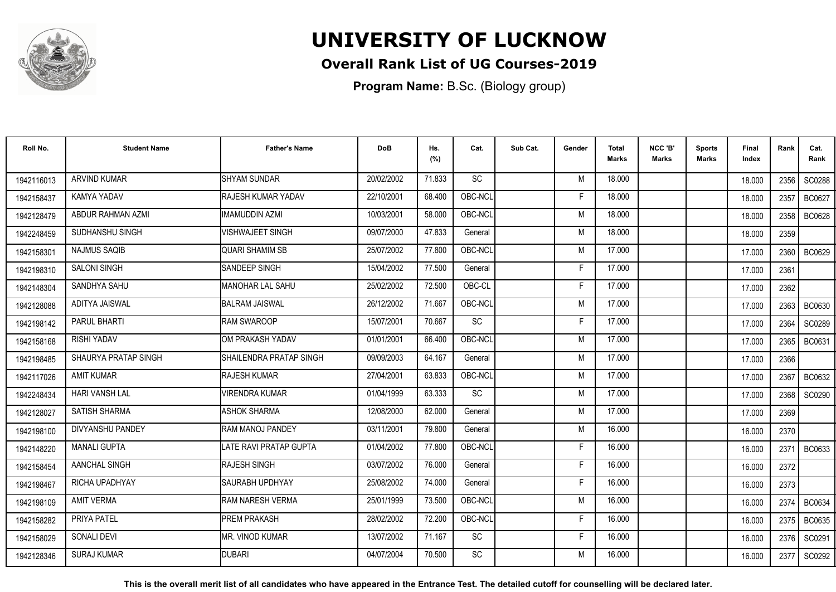

## **Overall Rank List of UG Courses-2019**

**Program Name:** B.Sc. (Biology group)

| Roll No.   | <b>Student Name</b>   | <b>Father's Name</b>          | <b>DoB</b> | Hs.<br>(%) | Cat.      | Sub Cat. | Gender | <b>Total</b><br>Marks | NCC 'B'<br><b>Marks</b> | Sports<br><b>Marks</b> | Final<br>Index | Rank   | Cat.<br>Rank  |
|------------|-----------------------|-------------------------------|------------|------------|-----------|----------|--------|-----------------------|-------------------------|------------------------|----------------|--------|---------------|
| 1942116013 | <b>ARVIND KUMAR</b>   | <b>SHYAM SUNDAR</b>           | 20/02/2002 | 71.833     | <b>SC</b> |          | M      | 18.000                |                         |                        | 18.000         | 2356 l | SC0288        |
| 1942158437 | KAMYA YADAV           | RAJESH KUMAR YADAV            | 22/10/2001 | 68.400     | OBC-NCL   |          | F      | 18.000                |                         |                        | 18.000         | 2357   | BC0627        |
| 1942128479 | ABDUR RAHMAN AZMI     | <b>IMAMUDDIN AZMI</b>         | 10/03/2001 | 58.000     | OBC-NCL   |          | M      | 18.000                |                         |                        | 18.000         | 2358   | <b>BC0628</b> |
| 1942248459 | SUDHANSHU SINGH       | <b>VISHWAJEET SINGH</b>       | 09/07/2000 | 47.833     | General   |          | M      | 18.000                |                         |                        | 18.000         | 2359   |               |
| 1942158301 | <b>NAJMUS SAQIB</b>   | <b>QUARI SHAMIM SB</b>        | 25/07/2002 | 77.800     | OBC-NCL   |          | M      | 17.000                |                         |                        | 17.000         | 2360   | BC0629        |
| 1942198310 | <b>SALONI SINGH</b>   | SANDEEP SINGH                 | 15/04/2002 | 77.500     | General   |          | F      | 17.000                |                         |                        | 17.000         | 2361   |               |
| 1942148304 | SANDHYA SAHU          | <b>MANOHAR LAL SAHU</b>       | 25/02/2002 | 72.500     | OBC-CL    |          | F      | 17.000                |                         |                        | 17.000         | 2362   |               |
| 1942128088 | ADITYA JAISWAL        | <b>BALRAM JAISWAL</b>         | 26/12/2002 | 71.667     | OBC-NCL   |          | M      | 17.000                |                         |                        | 17.000         | 2363   | <b>BC0630</b> |
| 1942198142 | <b>PARUL BHARTI</b>   | <b>RAM SWAROOP</b>            | 15/07/2001 | 70.667     | SC        |          | F      | 17.000                |                         |                        | 17.000         | 2364   | SC0289        |
| 1942158168 | <b>RISHI YADAV</b>    | OM PRAKASH YADAV              | 01/01/2001 | 66.400     | OBC-NCL   |          | M      | 17.000                |                         |                        | 17.000         | 2365   | BC0631        |
| 1942198485 | SHAURYA PRATAP SINGH  | SHAILENDRA PRATAP SINGH       | 09/09/2003 | 64.167     | General   |          | M      | 17.000                |                         |                        | 17.000         | 2366   |               |
| 1942117026 | <b>AMIT KUMAR</b>     | <b>RAJESH KUMAR</b>           | 27/04/2001 | 63.833     | OBC-NCL   |          | M      | 17.000                |                         |                        | 17.000         | 2367   | BC0632        |
| 1942248434 | <b>HARI VANSH LAL</b> | <b>VIRENDRA KUMAR</b>         | 01/04/1999 | 63.333     | <b>SC</b> |          | M      | 17.000                |                         |                        | 17.000         | 2368   | SC0290        |
| 1942128027 | <b>SATISH SHARMA</b>  | <b>ASHOK SHARMA</b>           | 12/08/2000 | 62.000     | General   |          | M      | 17.000                |                         |                        | 17.000         | 2369   |               |
| 1942198100 | DIVYANSHU PANDEY      | <b>RAM MANOJ PANDEY</b>       | 03/11/2001 | 79.800     | General   |          | M      | 16.000                |                         |                        | 16.000         | 2370   |               |
| 1942148220 | <b>MANALI GUPTA</b>   | <b>LATE RAVI PRATAP GUPTA</b> | 01/04/2002 | 77.800     | OBC-NCL   |          | F      | 16.000                |                         |                        | 16.000         | 2371   | BC0633        |
| 1942158454 | AANCHAL SINGH         | <b>RAJESH SINGH</b>           | 03/07/2002 | 76.000     | General   |          | F      | 16.000                |                         |                        | 16.000         | 2372   |               |
| 1942198467 | RICHA UPADHYAY        | <b>SAURABH UPDHYAY</b>        | 25/08/2002 | 74.000     | General   |          | F      | 16.000                |                         |                        | 16.000         | 2373   |               |
| 1942198109 | <b>AMIT VERMA</b>     | <b>RAM NARESH VERMA</b>       | 25/01/1999 | 73.500     | OBC-NCL   |          | M      | 16.000                |                         |                        | 16.000         | 2374   | BC0634        |
| 1942158282 | PRIYA PATEL           | <b>PREM PRAKASH</b>           | 28/02/2002 | 72.200     | OBC-NCL   |          | F      | 16.000                |                         |                        | 16.000         | 2375   | <b>BC0635</b> |
| 1942158029 | <b>SONALI DEVI</b>    | <b>MR. VINOD KUMAR</b>        | 13/07/2002 | 71.167     | SC        |          | F.     | 16.000                |                         |                        | 16.000         | 2376   | SC0291        |
| 1942128346 | <b>SURAJ KUMAR</b>    | <b>DUBARI</b>                 | 04/07/2004 | 70.500     | <b>SC</b> |          | M      | 16.000                |                         |                        | 16.000         | 2377   | SC0292        |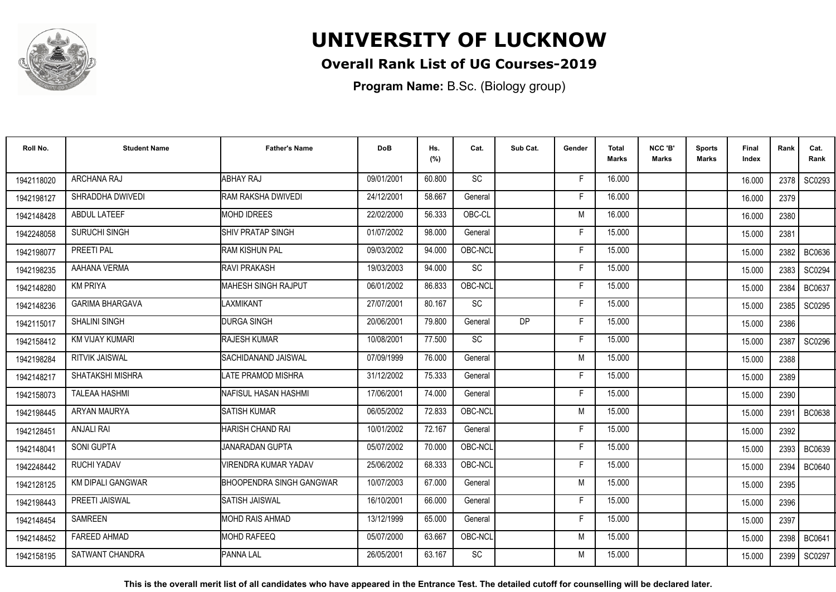

### **Overall Rank List of UG Courses-2019**

**Program Name:** B.Sc. (Biology group)

| Roll No.   | <b>Student Name</b>      | <b>Father's Name</b>            | <b>DoB</b> | Hs.<br>(%) | Cat.      | Sub Cat. | Gender | <b>Total</b><br>Marks | NCC 'B'<br>Marks | <b>Sports</b><br>Marks | Final<br>Index | Rank | Cat.<br>Rank  |
|------------|--------------------------|---------------------------------|------------|------------|-----------|----------|--------|-----------------------|------------------|------------------------|----------------|------|---------------|
| 1942118020 | ARCHANA RAJ              | <b>ABHAY RAJ</b>                | 09/01/2001 | 60.800     | <b>SC</b> |          | F      | 16.000                |                  |                        | 16.000         | 2378 | SC0293        |
| 1942198127 | SHRADDHA DWIVEDI         | RAM RAKSHA DWIVEDI              | 24/12/2001 | 58.667     | General   |          | F      | 16.000                |                  |                        | 16.000         | 2379 |               |
| 1942148428 | <b>ABDUL LATEEF</b>      | <b>MOHD IDREES</b>              | 22/02/2000 | 56.333     | OBC-CL    |          | M      | 16.000                |                  |                        | 16.000         | 2380 |               |
| 1942248058 | <b>SURUCHI SINGH</b>     | SHIV PRATAP SINGH               | 01/07/2002 | 98.000     | General   |          | F      | 15.000                |                  |                        | 15.000         | 2381 |               |
| 1942198077 | PREETI PAL               | RAM KISHUN PAL                  | 09/03/2002 | 94.000     | OBC-NCL   |          | F      | 15.000                |                  |                        | 15.000         | 2382 | <b>BC0636</b> |
| 1942198235 | AAHANA VERMA             | <b>RAVI PRAKASH</b>             | 19/03/2003 | 94.000     | SC        |          | Е      | 15.000                |                  |                        | 15.000         | 2383 | SC0294        |
| 1942148280 | <b>KM PRIYA</b>          | <b>I</b> MAHESH SINGH RAJPUT    | 06/01/2002 | 86.833     | OBC-NCL   |          | F      | 15.000                |                  |                        | 15.000         | 2384 | <b>BC0637</b> |
| 1942148236 | <b>GARIMA BHARGAVA</b>   | LAXMIKANT                       | 27/07/2001 | 80.167     | <b>SC</b> |          | F      | 15.000                |                  |                        | 15.000         | 2385 | SC0295        |
| 1942115017 | <b>SHALINI SINGH</b>     | <b>DURGA SINGH</b>              | 20/06/2001 | 79.800     | General   | DP       | F      | 15.000                |                  |                        | 15.000         | 2386 |               |
| 1942158412 | KM VIJAY KUMARI          | <b>RAJESH KUMAR</b>             | 10/08/2001 | 77.500     | SC        |          | F      | 15.000                |                  |                        | 15.000         | 2387 | SC0296        |
| 1942198284 | <b>RITVIK JAISWAL</b>    | SACHIDANAND JAISWAL             | 07/09/1999 | 76.000     | General   |          | M      | 15.000                |                  |                        | 15.000         | 2388 |               |
| 1942148217 | SHATAKSHI MISHRA         | LATE PRAMOD MISHRA              | 31/12/2002 | 75.333     | General   |          | F      | 15.000                |                  |                        | 15.000         | 2389 |               |
| 1942158073 | <b>TALEAA HASHMI</b>     | <b>I</b> NAFISUL HASAN HASHMI   | 17/06/2001 | 74.000     | General   |          |        | 15.000                |                  |                        | 15.000         | 2390 |               |
| 1942198445 | ARYAN MAURYA             | <b>SATISH KUMAR</b>             | 06/05/2002 | 72.833     | OBC-NCL   |          | M      | 15.000                |                  |                        | 15.000         | 2391 | <b>BC0638</b> |
| 1942128451 | <b>ANJALI RAI</b>        | HARISH CHAND RAI                | 10/01/2002 | 72.167     | General   |          | Е      | 15.000                |                  |                        | 15.000         | 2392 |               |
| 1942148041 | SONI GUPTA               | JANARADAN GUPTA                 | 05/07/2002 | 70.000     | OBC-NCL   |          | F      | 15.000                |                  |                        | 15.000         | 2393 | <b>BC0639</b> |
| 1942248442 | <b>RUCHI YADAV</b>       | VIRENDRA KUMAR YADAV            | 25/06/2002 | 68.333     | OBC-NCL   |          | F      | 15.000                |                  |                        | 15.000         | 2394 | <b>BC0640</b> |
| 1942128125 | <b>KM DIPALI GANGWAR</b> | <b>BHOOPENDRA SINGH GANGWAR</b> | 10/07/2003 | 67.000     | General   |          | M      | 15.000                |                  |                        | 15.000         | 2395 |               |
| 1942198443 | PREETI JAISWAL           | <b>SATISH JAISWAL</b>           | 16/10/2001 | 66.000     | General   |          | F      | 15.000                |                  |                        | 15.000         | 2396 |               |
| 1942148454 | SAMREEN                  | IMOHD RAIS AHMAD                | 13/12/1999 | 65.000     | General   |          | F      | 15.000                |                  |                        | 15.000         | 2397 |               |
| 1942148452 | <b>FAREED AHMAD</b>      | <b>MOHD RAFEEQ</b>              | 05/07/2000 | 63.667     | OBC-NCL   |          | M      | 15.000                |                  |                        | 15.000         | 2398 | <b>BC0641</b> |
| 1942158195 | SATWANT CHANDRA          | <b>PANNA LAL</b>                | 26/05/2001 | 63.167     | SC        |          | M      | 15.000                |                  |                        | 15.000         | 2399 | SC0297        |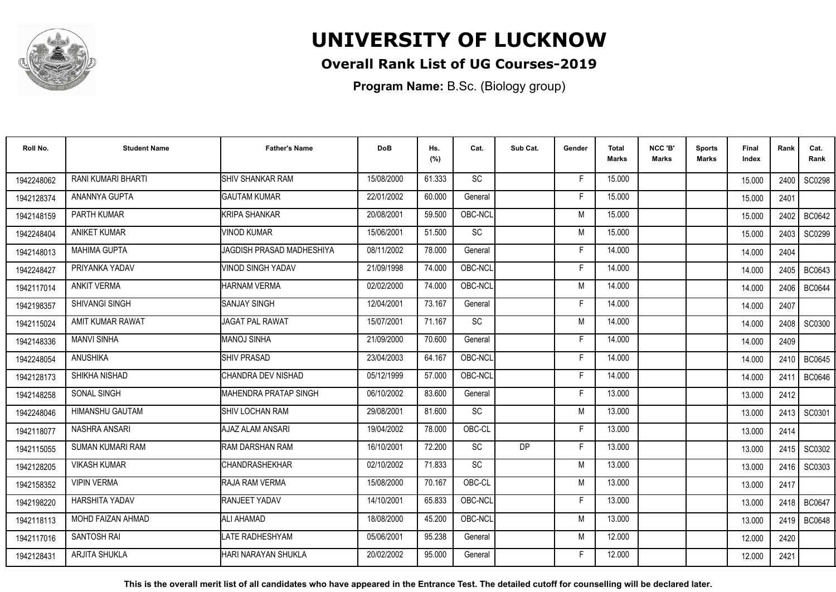

### **Overall Rank List of UG Courses-2019**

**Program Name:** B.Sc. (Biology group)

| Roll No.   | <b>Student Name</b>     | <b>Father's Name</b>      | <b>DoB</b> | Hs.<br>(%) | Cat.      | Sub Cat.  | Gender | <b>Total</b><br>Marks | NCC 'B'<br><b>Marks</b> | Sports<br><b>Marks</b> | Final<br>Index | Rank   | Cat.<br>Rank  |
|------------|-------------------------|---------------------------|------------|------------|-----------|-----------|--------|-----------------------|-------------------------|------------------------|----------------|--------|---------------|
| 1942248062 | RANI KUMARI BHARTI      | <b>SHIV SHANKAR RAM</b>   | 15/08/2000 | 61.333     | <b>SC</b> |           | F.     | 15.000                |                         |                        | 15.000         | 2400 l | SC0298        |
| 1942128374 | ANANNYA GUPTA           | <b>GAUTAM KUMAR</b>       | 22/01/2002 | 60.000     | General   |           | F      | 15.000                |                         |                        | 15.000         | 2401   |               |
| 1942148159 | <b>PARTH KUMAR</b>      | <b>KRIPA SHANKAR</b>      | 20/08/2001 | 59.500     | OBC-NCL   |           | M      | 15.000                |                         |                        | 15.000         | 2402   | BC0642        |
| 1942248404 | <b>ANIKET KUMAR</b>     | <b>VINOD KUMAR</b>        | 15/06/2001 | 51.500     | SC        |           | M      | 15.000                |                         |                        | 15.000         | 2403   | SC0299        |
| 1942148013 | <b>MAHIMA GUPTA</b>     | JAGDISH PRASAD MADHESHIYA | 08/11/2002 | 78.000     | General   |           | F      | 14.000                |                         |                        | 14.000         | 2404   |               |
| 1942248427 | PRIYANKA YADAV          | <b>VINOD SINGH YADAV</b>  | 21/09/1998 | 74.000     | OBC-NCL   |           | Е      | 14.000                |                         |                        | 14.000         | 2405   | <b>BC0643</b> |
| 1942117014 | <b>ANKIT VERMA</b>      | <b>HARNAM VERMA</b>       | 02/02/2000 | 74.000     | OBC-NCL   |           | M      | 14.000                |                         |                        | 14.000         | 2406   | <b>BC0644</b> |
| 1942198357 | <b>SHIVANGI SINGH</b>   | <b>SANJAY SINGH</b>       | 12/04/2001 | 73.167     | General   |           | F      | 14.000                |                         |                        | 14.000         | 2407   |               |
| 1942115024 | AMIT KUMAR RAWAT        | <b>JAGAT PAL RAWAT</b>    | 15/07/2001 | 71.167     | <b>SC</b> |           | M      | 14.000                |                         |                        | 14.000         | 2408 l | SC0300        |
| 1942148336 | <b>MANVI SINHA</b>      | <b>MANOJ SINHA</b>        | 21/09/2000 | 70.600     | General   |           | F      | 14.000                |                         |                        | 14.000         | 2409   |               |
| 1942248054 | <b>ANUSHIKA</b>         | <b>SHIV PRASAD</b>        | 23/04/2003 | 64.167     | OBC-NCL   |           | F      | 14.000                |                         |                        | 14.000         | 2410   | <b>BC0645</b> |
| 1942128173 | SHIKHA NISHAD           | CHANDRA DEV NISHAD        | 05/12/1999 | 57.000     | OBC-NCL   |           | F      | 14.000                |                         |                        | 14.000         | 2411   | <b>BC0646</b> |
| 1942148258 | SONAL SINGH             | IMAHENDRA PRATAP SINGH    | 06/10/2002 | 83.600     | General   |           | F      | 13.000                |                         |                        | 13.000         | 2412   |               |
| 1942248046 | <b>HIMANSHU GAUTAM</b>  | ISHIV LOCHAN RAM          | 29/08/2001 | 81.600     | SC        |           | M      | 13.000                |                         |                        | 13.000         | 2413   | SC0301        |
| 1942118077 | <b>NASHRA ANSARI</b>    | AJAZ ALAM ANSARI          | 19/04/2002 | 78.000     | OBC-CL    |           | F      | 13.000                |                         |                        | 13.000         | 2414   |               |
| 1942115055 | <b>SUMAN KUMARI RAM</b> | RAM DARSHAN RAM           | 16/10/2001 | 72.200     | <b>SC</b> | <b>DP</b> | F      | 13.000                |                         |                        | 13.000         | 2415   | SC0302        |
| 1942128205 | <b>VIKASH KUMAR</b>     | <b>CHANDRASHEKHAR</b>     | 02/10/2002 | 71.833     | <b>SC</b> |           | M      | 13.000                |                         |                        | 13.000         | 2416   | SC0303        |
| 1942158352 | <b>VIPIN VERMA</b>      | RAJA RAM VERMA            | 15/08/2000 | 70.167     | OBC-CL    |           | M      | 13.000                |                         |                        | 13.000         | 2417   |               |
| 1942198220 | <b>HARSHITA YADAV</b>   | RANJEET YADAV             | 14/10/2001 | 65.833     | OBC-NCL   |           | F      | 13.000                |                         |                        | 13.000         | 2418   | <b>BC0647</b> |
| 1942118113 | MOHD FAIZAN AHMAD       | <b>ALI AHAMAD</b>         | 18/08/2000 | 45.200     | OBC-NCL   |           | M      | 13.000                |                         |                        | 13.000         | 2419 l | <b>BC0648</b> |
| 1942117016 | <b>SANTOSH RAI</b>      | <b>LATE RADHESHYAM</b>    | 05/06/2001 | 95.238     | General   |           | M      | 12.000                |                         |                        | 12.000         | 2420   |               |
| 1942128431 | <b>ARJITA SHUKLA</b>    | İHARI NARAYAN SHUKLA      | 20/02/2002 | 95.000     | General   |           | F      | 12.000                |                         |                        | 12.000         | 2421   |               |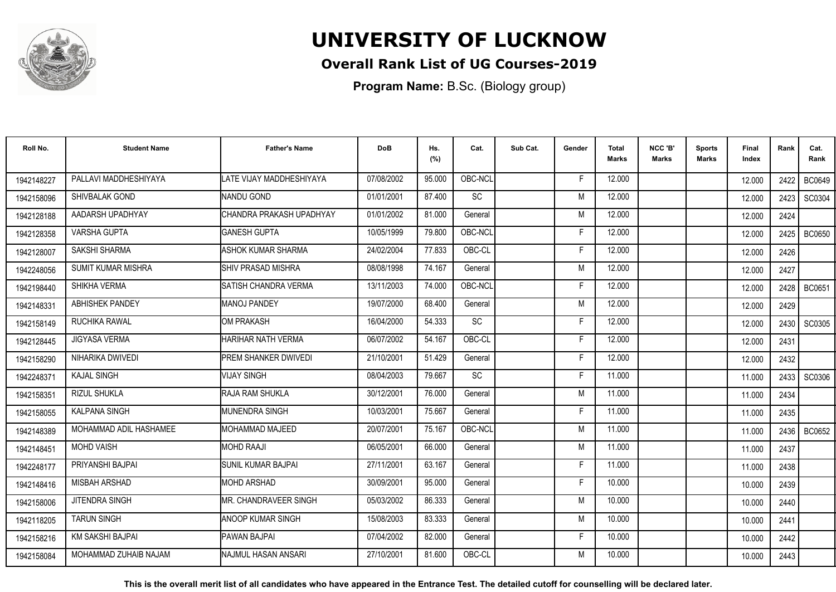

### **Overall Rank List of UG Courses-2019**

**Program Name:** B.Sc. (Biology group)

| Roll No.   | <b>Student Name</b>       | <b>Father's Name</b>      | <b>DoB</b> | Hs.<br>(%) | Cat.    | Sub Cat. | Gender | <b>Total</b><br><b>Marks</b> | NCC 'B'<br><b>Marks</b> | <b>Sports</b><br>Marks | Final<br>Index | Rank | Cat.<br>Rank  |
|------------|---------------------------|---------------------------|------------|------------|---------|----------|--------|------------------------------|-------------------------|------------------------|----------------|------|---------------|
| 1942148227 | PALLAVI MADDHESHIYAYA     | LATE VIJAY MADDHESHIYAYA  | 07/08/2002 | 95.000     | OBC-NCL |          | F      | 12.000                       |                         |                        | 12.000         | 2422 | <b>BC0649</b> |
| 1942158096 | SHIVBALAK GOND            | <b>NANDU GOND</b>         | 01/01/2001 | 87.400     | SC      |          | M      | 12.000                       |                         |                        | 12.000         | 2423 | SC0304        |
| 1942128188 | AADARSH UPADHYAY          | CHANDRA PRAKASH UPADHYAY  | 01/01/2002 | 81.000     | General |          | M      | 12.000                       |                         |                        | 12.000         | 2424 |               |
| 1942128358 | <b>VARSHA GUPTA</b>       | <b>GANESH GUPTA</b>       | 10/05/1999 | 79.800     | OBC-NCL |          | F      | 12.000                       |                         |                        | 12.000         | 2425 | <b>BC0650</b> |
| 1942128007 | <b>SAKSHI SHARMA</b>      | ASHOK KUMAR SHARMA        | 24/02/2004 | 77.833     | OBC-CL  |          | Е      | 12.000                       |                         |                        | 12.000         | 2426 |               |
| 1942248056 | <b>SUMIT KUMAR MISHRA</b> | SHIV PRASAD MISHRA        | 08/08/1998 | 74.167     | General |          | M      | 12.000                       |                         |                        | 12.000         | 2427 |               |
| 1942198440 | SHIKHA VERMA              | SATISH CHANDRA VERMA      | 13/11/2003 | 74.000     | OBC-NCL |          | F      | 12.000                       |                         |                        | 12.000         | 2428 | <b>BC0651</b> |
| 1942148331 | <b>ABHISHEK PANDEY</b>    | <b>MANOJ PANDEY</b>       | 19/07/2000 | 68.400     | General |          | M      | 12.000                       |                         |                        | 12.000         | 2429 |               |
| 1942158149 | RUCHIKA RAWAL             | <b>OM PRAKASH</b>         | 16/04/2000 | 54.333     | SC      |          | F      | 12.000                       |                         |                        | 12.000         | 2430 | SC0305        |
| 1942128445 | <b>JIGYASA VERMA</b>      | HARIHAR NATH VERMA        | 06/07/2002 | 54.167     | OBC-CL  |          | F      | 12.000                       |                         |                        | 12.000         | 2431 |               |
| 1942158290 | NIHARIKA DWIVEDI          | PREM SHANKER DWIVEDI      | 21/10/2001 | 51.429     | General |          | F      | 12.000                       |                         |                        | 12.000         | 2432 |               |
| 1942248371 | <b>KAJAL SINGH</b>        | <b>VIJAY SINGH</b>        | 08/04/2003 | 79.667     | SC      |          | F      | 11.000                       |                         |                        | 11.000         | 2433 | SC0306        |
| 1942158351 | <b>RIZUL SHUKLA</b>       | IRAJA RAM SHUKLA          | 30/12/2001 | 76.000     | General |          | м      | 11.000                       |                         |                        | 11.000         | 2434 |               |
| 1942158055 | <b>KALPANA SINGH</b>      | <b>I</b> MUNENDRA SINGH   | 10/03/2001 | 75.667     | General |          | Е      | 11.000                       |                         |                        | 11.000         | 2435 |               |
| 1942148389 | MOHAMMAD ADIL HASHAMEE    | <b>IMOHAMMAD MAJEED</b>   | 20/07/2001 | 75.167     | OBC-NCL |          | M      | 11.000                       |                         |                        | 11.000         | 2436 | <b>BC0652</b> |
| 1942148451 | <b>MOHD VAISH</b>         | <b>MOHD RAAJI</b>         | 06/05/2001 | 66.000     | General |          | M      | 11.000                       |                         |                        | 11.000         | 2437 |               |
| 1942248177 | PRIYANSHI BAJPAI          | <b>SUNIL KUMAR BAJPAI</b> | 27/11/2001 | 63.167     | General |          | F      | 11.000                       |                         |                        | 11.000         | 2438 |               |
| 1942148416 | MISBAH ARSHAD             | <b>MOHD ARSHAD</b>        | 30/09/2001 | 95.000     | General |          | F      | 10.000                       |                         |                        | 10.000         | 2439 |               |
| 1942158006 | JITENDRA SINGH            | IMR. CHANDRAVEER SINGH    | 05/03/2002 | 86.333     | General |          | M      | 10.000                       |                         |                        | 10.000         | 2440 |               |
| 1942118205 | <b>TARUN SINGH</b>        | <b>ANOOP KUMAR SINGH</b>  | 15/08/2003 | 83.333     | General |          | M      | 10.000                       |                         |                        | 10.000         | 2441 |               |
| 1942158216 | KM SAKSHI BAJPAI          | PAWAN BAJPAI              | 07/04/2002 | 82.000     | General |          | F      | 10.000                       |                         |                        | 10.000         | 2442 |               |
| 1942158084 | MOHAMMAD ZUHAIB NAJAM     | INAJMUL HASAN ANSARI      | 27/10/2001 | 81.600     | OBC-CL  |          | М      | 10.000                       |                         |                        | 10.000         | 2443 |               |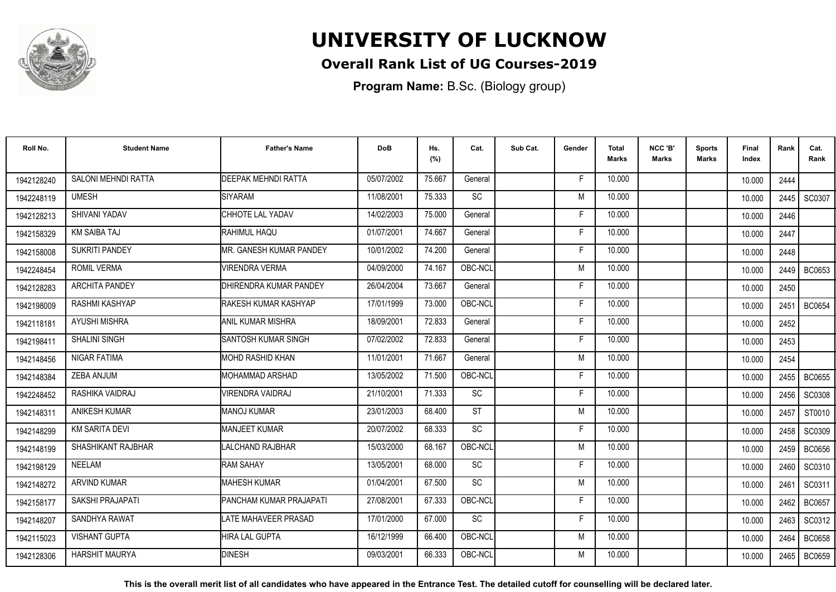

### **Overall Rank List of UG Courses-2019**

**Program Name:** B.Sc. (Biology group)

| Roll No.   | <b>Student Name</b>       | <b>Father's Name</b>          | <b>DoB</b> | Hs.<br>(%) | Cat.      | Sub Cat. | Gender | <b>Total</b><br><b>Marks</b> | NCC 'B'<br><b>Marks</b> | <b>Sports</b><br>Marks | Final<br>Index | Rank | Cat.<br>Rank  |
|------------|---------------------------|-------------------------------|------------|------------|-----------|----------|--------|------------------------------|-------------------------|------------------------|----------------|------|---------------|
| 1942128240 | SALONI MEHNDI RATTA       | <b>DEEPAK MEHNDI RATTA</b>    | 05/07/2002 | 75.667     | General   |          | F      | 10.000                       |                         |                        | 10.000         | 2444 |               |
| 1942248119 | <b>UMESH</b>              | SIYARAM                       | 11/08/2001 | 75.333     | SC        |          | M      | 10.000                       |                         |                        | 10.000         | 2445 | SC0307        |
| 1942128213 | SHIVANI YADAV             | CHHOTE LAL YADAV              | 14/02/2003 | 75.000     | General   |          | F      | 10.000                       |                         |                        | 10.000         | 2446 |               |
| 1942158329 | <b>KM SAIBA TAJ</b>       | IRAHIMUL HAQU                 | 01/07/2001 | 74.667     | General   |          | F      | 10.000                       |                         |                        | 10.000         | 2447 |               |
| 1942158008 | <b>SUKRITI PANDEY</b>     | IMR. GANESH KUMAR PANDEY      | 10/01/2002 | 74.200     | General   |          | F      | 10.000                       |                         |                        | 10.000         | 2448 |               |
| 1942248454 | <b>ROMIL VERMA</b>        | <b>VIRENDRA VERMA</b>         | 04/09/2000 | 74.167     | OBC-NCL   |          | M      | 10.000                       |                         |                        | 10.000         | 2449 | BC0653        |
| 1942128283 | <b>ARCHITA PANDEY</b>     | <b>DHIRENDRA KUMAR PANDEY</b> | 26/04/2004 | 73.667     | General   |          | Е      | 10.000                       |                         |                        | 10.000         | 2450 |               |
| 1942198009 | RASHMI KASHYAP            | RAKESH KUMAR KASHYAP          | 17/01/1999 | 73.000     | OBC-NCL   |          | F      | 10.000                       |                         |                        | 10.000         | 2451 | <b>BC0654</b> |
| 1942118181 | <b>AYUSHI MISHRA</b>      | IANIL KUMAR MISHRA            | 18/09/2001 | 72.833     | General   |          | F      | 10.000                       |                         |                        | 10.000         | 2452 |               |
| 1942198411 | <b>SHALINI SINGH</b>      | SANTOSH KUMAR SINGH           | 07/02/2002 | 72.833     | General   |          | F      | 10.000                       |                         |                        | 10.000         | 2453 |               |
| 1942148456 | NIGAR FATIMA              | IMOHD RASHID KHAN             | 11/01/2001 | 71.667     | General   |          | M      | 10.000                       |                         |                        | 10.000         | 2454 |               |
| 1942148384 | ZEBA ANJUM                | <b>MOHAMMAD ARSHAD</b>        | 13/05/2002 | 71.500     | OBC-NCL   |          | F      | 10.000                       |                         |                        | 10.000         | 2455 | <b>BC0655</b> |
| 1942248452 | RASHIKA VAIDRAJ           | <b>VIRENDRA VAIDRAJ</b>       | 21/10/2001 | 71.333     | SC        |          | F      | 10.000                       |                         |                        | 10.000         | 2456 | <b>SC0308</b> |
| 1942148311 | ANIKESH KUMAR             | <b>I</b> MANOJ KUMAR          | 23/01/2003 | 68.400     | <b>ST</b> |          | M      | 10.000                       |                         |                        | 10.000         | 2457 | ST0010        |
| 1942148299 | <b>KM SARITA DEVI</b>     | <b>MANJEET KUMAR</b>          | 20/07/2002 | 68.333     | SC        |          | F      | 10.000                       |                         |                        | 10.000         | 2458 | SC0309        |
| 1942148199 | <b>SHASHIKANT RAJBHAR</b> | LALCHAND RAJBHAR              | 15/03/2000 | 68.167     | OBC-NCL   |          | M      | 10.000                       |                         |                        | 10.000         | 2459 | <b>BC0656</b> |
| 1942198129 | NEELAM                    | <b>RAM SAHAY</b>              | 13/05/2001 | 68.000     | <b>SC</b> |          | Е      | 10.000                       |                         |                        | 10.000         | 2460 | SC0310        |
| 1942148272 | <b>ARVIND KUMAR</b>       | <b>MAHESH KUMAR</b>           | 01/04/2001 | 67.500     | SC        |          | M      | 10.000                       |                         |                        | 10.000         | 2461 | SC0311        |
| 1942158177 | SAKSHI PRAJAPATI          | PANCHAM KUMAR PRAJAPATI       | 27/08/2001 | 67.333     | OBC-NCL   |          | F      | 10.000                       |                         |                        | 10.000         | 2462 | <b>BC0657</b> |
| 1942148207 | SANDHYA RAWAT             | <b>LATE MAHAVEER PRASAD</b>   | 17/01/2000 | 67.000     | SC        |          | F      | 10.000                       |                         |                        | 10.000         | 2463 | SC0312        |
| 1942115023 | <b>VISHANT GUPTA</b>      | <b>HIRA LAL GUPTA</b>         | 16/12/1999 | 66.400     | OBC-NCL   |          | M      | 10.000                       |                         |                        | 10.000         | 2464 | <b>BC0658</b> |
| 1942128306 | <b>HARSHIT MAURYA</b>     | <b>DINESH</b>                 | 09/03/2001 | 66.333     | OBC-NCL   |          | M      | 10.000                       |                         |                        | 10.000         | 2465 | <b>BC0659</b> |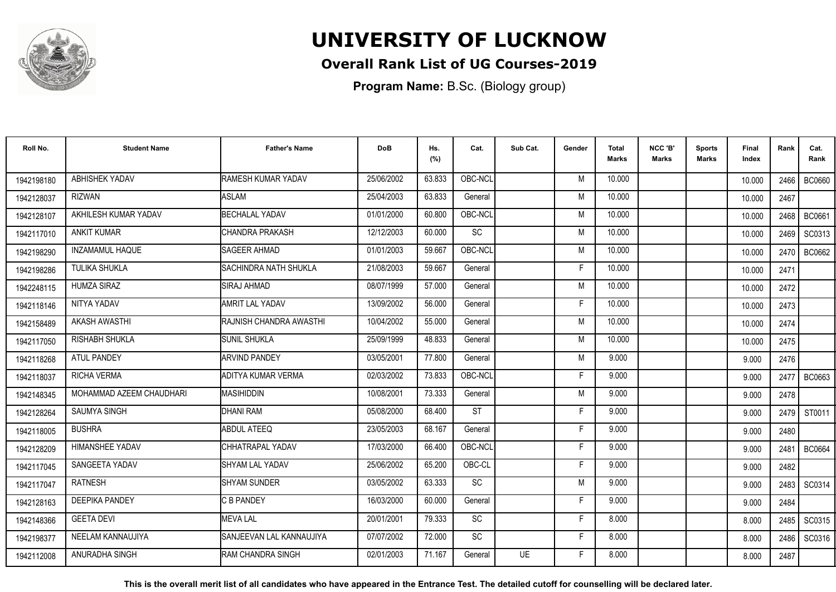

### **Overall Rank List of UG Courses-2019**

**Program Name:** B.Sc. (Biology group)

| Roll No.   | <b>Student Name</b>      | <b>Father's Name</b>         | <b>DoB</b> | Hs.<br>(%) | Cat.      | Sub Cat.  | Gender | <b>Total</b><br>Marks | NCC 'B'<br><b>Marks</b> | Sports<br>Marks | Final<br>Index | Rank   | Cat.<br>Rank  |
|------------|--------------------------|------------------------------|------------|------------|-----------|-----------|--------|-----------------------|-------------------------|-----------------|----------------|--------|---------------|
| 1942198180 | ABHISHEK YADAV           | RAMESH KUMAR YADAV           | 25/06/2002 | 63.833     | OBC-NCL   |           | M      | 10.000                |                         |                 | 10.000         | 2466 l | <b>BC0660</b> |
| 1942128037 | RIZWAN                   | <b>ASLAM</b>                 | 25/04/2003 | 63.833     | General   |           | M      | 10.000                |                         |                 | 10.000         | 2467   |               |
| 1942128107 | AKHILESH KUMAR YADAV     | <b>BECHALAL YADAV</b>        | 01/01/2000 | 60.800     | OBC-NCL   |           | M      | 10.000                |                         |                 | 10.000         | 2468   | BC0661        |
| 1942117010 | <b>ANKIT KUMAR</b>       | CHANDRA PRAKASH              | 12/12/2003 | 60.000     | SC        |           | M      | 10.000                |                         |                 | 10.000         | 2469   | SC0313        |
| 1942198290 | <b>INZAMAMUL HAQUE</b>   | <b>SAGEER AHMAD</b>          | 01/01/2003 | 59.667     | OBC-NCL   |           | M      | 10.000                |                         |                 | 10.000         | 2470   | BC0662        |
| 1942198286 | <b>TULIKA SHUKLA</b>     | <b>SACHINDRA NATH SHUKLA</b> | 21/08/2003 | 59.667     | General   |           | F      | 10.000                |                         |                 | 10.000         | 2471   |               |
| 1942248115 | <b>HUMZA SIRAZ</b>       | <b>SIRAJ AHMAD</b>           | 08/07/1999 | 57.000     | General   |           | M      | 10.000                |                         |                 | 10.000         | 2472   |               |
| 1942118146 | NITYA YADAV              | <b>AMRIT LAL YADAV</b>       | 13/09/2002 | 56.000     | General   |           | F      | 10.000                |                         |                 | 10.000         | 2473   |               |
| 1942158489 | <b>AKASH AWASTHI</b>     | RAJNISH CHANDRA AWASTHI      | 10/04/2002 | 55.000     | General   |           | M      | 10.000                |                         |                 | 10.000         | 2474   |               |
| 1942117050 | RISHABH SHUKLA           | <b>SUNIL SHUKLA</b>          | 25/09/1999 | 48.833     | General   |           | M      | 10.000                |                         |                 | 10.000         | 2475   |               |
| 1942118268 | ATUL PANDEY              | <b>ARVIND PANDEY</b>         | 03/05/2001 | 77.800     | General   |           | M      | 9.000                 |                         |                 | 9.000          | 2476   |               |
| 1942118037 | <b>RICHA VERMA</b>       | ADITYA KUMAR VERMA           | 02/03/2002 | 73.833     | OBC-NCL   |           | F.     | 9.000                 |                         |                 | 9.000          | 2477   | BC0663        |
| 1942148345 | MOHAMMAD AZEEM CHAUDHARI | <b>IMASIHIDDIN</b>           | 10/08/2001 | 73.333     | General   |           | M      | 9.000                 |                         |                 | 9.000          | 2478   |               |
| 1942128264 | <b>SAUMYA SINGH</b>      | DHANI RAM                    | 05/08/2000 | 68.400     | <b>ST</b> |           | F.     | 9.000                 |                         |                 | 9.000          | 2479 l | ST0011        |
| 1942118005 | <b>BUSHRA</b>            | ABDUL ATEEQ                  | 23/05/2003 | 68.167     | General   |           | F      | 9.000                 |                         |                 | 9.000          | 2480   |               |
| 1942128209 | HIMANSHEE YADAV          | CHHATRAPAL YADAV             | 17/03/2000 | 66.400     | OBC-NCL   |           | F      | 9.000                 |                         |                 | 9.000          | 2481   | <b>BC0664</b> |
| 1942117045 | SANGEETA YADAV           | <b>ISHYAM LAL YADAV</b>      | 25/06/2002 | 65.200     | OBC-CL    |           | F      | 9.000                 |                         |                 | 9.000          | 2482   |               |
| 1942117047 | <b>RATNESH</b>           | <b>SHYAM SUNDER</b>          | 03/05/2002 | 63.333     | <b>SC</b> |           | M      | 9.000                 |                         |                 | 9.000          | 2483   | SC0314        |
| 1942128163 | <b>DEEPIKA PANDEY</b>    | C B PANDEY                   | 16/03/2000 | 60.000     | General   |           | F      | 9.000                 |                         |                 | 9.000          | 2484   |               |
| 1942148366 | <b>GEETA DEVI</b>        | <b>MEVALAL</b>               | 20/01/2001 | 79.333     | <b>SC</b> |           | F      | 8.000                 |                         |                 | 8.000          | 2485   | SC0315        |
| 1942198377 | NEELAM KANNAUJIYA        | SANJEEVAN LAL KANNAUJIYA     | 07/07/2002 | 72.000     | <b>SC</b> |           | F.     | 8.000                 |                         |                 | 8.000          | 2486   | SC0316        |
| 1942112008 | ANURADHA SINGH           | <b>IRAM CHANDRA SINGH</b>    | 02/01/2003 | 71.167     | General   | <b>UE</b> | F      | 8.000                 |                         |                 | 8.000          | 2487   |               |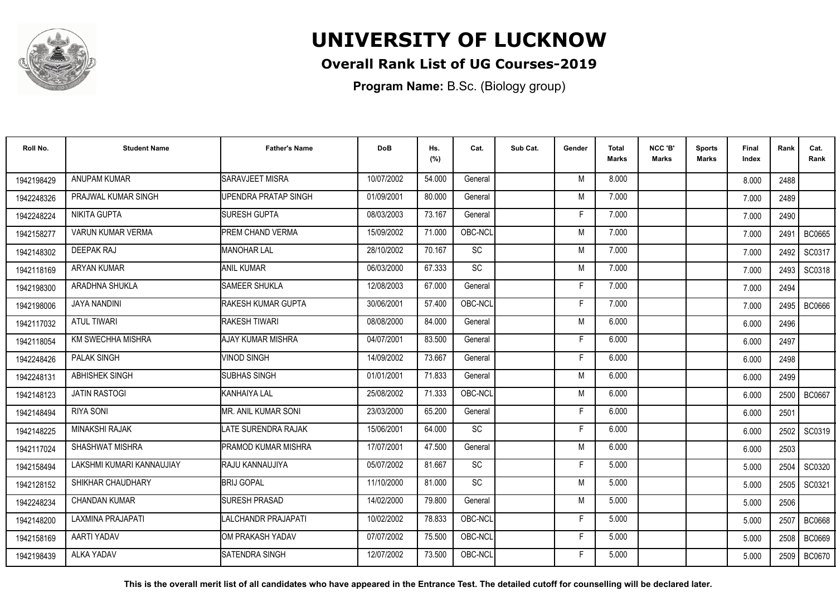

### **Overall Rank List of UG Courses-2019**

**Program Name:** B.Sc. (Biology group)

| Roll No.   | <b>Student Name</b>       | <b>Father's Name</b>    | <b>DoB</b> | Hs.<br>(%) | Cat.      | Sub Cat. | Gender | <b>Total</b><br>Marks | NCC 'B'<br>Marks | <b>Sports</b><br>Marks | Final<br>Index | Rank | Cat.<br>Rank  |
|------------|---------------------------|-------------------------|------------|------------|-----------|----------|--------|-----------------------|------------------|------------------------|----------------|------|---------------|
| 1942198429 | <b>ANUPAM KUMAR</b>       | <b>SARAVJEET MISRA</b>  | 10/07/2002 | 54.000     | General   |          | M      | 8.000                 |                  |                        | 8.000          | 2488 |               |
| 1942248326 | PRAJWAL KUMAR SINGH       | JPENDRA PRATAP SINGH    | 01/09/2001 | 80.000     | General   |          | M      | 7.000                 |                  |                        | 7.000          | 2489 |               |
| 1942248224 | NIKITA GUPTA              | <b>SURESH GUPTA</b>     | 08/03/2003 | 73.167     | General   |          | Е      | 7.000                 |                  |                        | 7.000          | 2490 |               |
| 1942158277 | VARUN KUMAR VERMA         | <b>PREM CHAND VERMA</b> | 15/09/2002 | 71.000     | OBC-NCL   |          | M      | 7.000                 |                  |                        | 7.000          | 2491 | <b>BC0665</b> |
| 1942148302 | <b>DEEPAK RAJ</b>         | <b>IMANOHAR LAL</b>     | 28/10/2002 | 70.167     | SC        |          | M      | 7.000                 |                  |                        | 7.000          | 2492 | SC0317        |
| 1942118169 | <b>ARYAN KUMAR</b>        | <b>ANIL KUMAR</b>       | 06/03/2000 | 67.333     | <b>SC</b> |          | M      | 7.000                 |                  |                        | 7.000          | 2493 | SC0318        |
| 1942198300 | ARADHNA SHUKLA            | <b>SAMEER SHUKLA</b>    | 12/08/2003 | 67.000     | General   |          | F      | 7.000                 |                  |                        | 7.000          | 2494 |               |
| 1942198006 | <b>JAYA NANDINI</b>       | RAKESH KUMAR GUPTA      | 30/06/2001 | 57.400     | OBC-NCL   |          | Е      | 7.000                 |                  |                        | 7.000          | 2495 | <b>BC0666</b> |
| 1942117032 | <b>ATUL TIWARI</b>        | <b>RAKESH TIWARI</b>    | 08/08/2000 | 84.000     | General   |          | M      | 6.000                 |                  |                        | 6.000          | 2496 |               |
| 1942118054 | KM SWECHHA MISHRA         | AJAY KUMAR MISHRA       | 04/07/2001 | 83.500     | General   |          | F      | 6.000                 |                  |                        | 6.000          | 2497 |               |
| 1942248426 | <b>PALAK SINGH</b>        | <b>VINOD SINGH</b>      | 14/09/2002 | 73.667     | General   |          | F      | 6.000                 |                  |                        | 6.000          | 2498 |               |
| 1942248131 | ABHISHEK SINGH            | <b>SUBHAS SINGH</b>     | 01/01/2001 | 71.833     | General   |          | M      | 6.000                 |                  |                        | 6.000          | 2499 |               |
| 1942148123 | <b>JATIN RASTOGI</b>      | KANHAIYA LAL            | 25/08/2002 | 71.333     | OBC-NCL   |          | M      | 6.000                 |                  |                        | 6.000          | 2500 | <b>BC0667</b> |
| 1942148494 | <b>RIYA SONI</b>          | MR. ANIL KUMAR SONI     | 23/03/2000 | 65.200     | General   |          | F      | 6.000                 |                  |                        | 6.000          | 2501 |               |
| 1942148225 | <b>MINAKSHI RAJAK</b>     | LATE SURENDRA RAJAK     | 15/06/2001 | 64.000     | <b>SC</b> |          | Е      | 6.000                 |                  |                        | 6.000          | 2502 | SC0319        |
| 1942117024 | SHASHWAT MISHRA           | PRAMOD KUMAR MISHRA     | 17/07/2001 | 47.500     | General   |          | M      | 6.000                 |                  |                        | 6.000          | 2503 |               |
| 1942158494 | LAKSHMI KUMARI KANNAUJIAY | RAJU KANNAUJIYA         | 05/07/2002 | 81.667     | <b>SC</b> |          | F      | 5.000                 |                  |                        | 5.000          | 2504 | <b>SC0320</b> |
| 1942128152 | SHIKHAR CHAUDHARY         | <b>BRIJ GOPAL</b>       | 11/10/2000 | 81.000     | <b>SC</b> |          | M      | 5.000                 |                  |                        | 5.000          | 2505 | SC0321        |
| 1942248234 | <b>CHANDAN KUMAR</b>      | <b>SURESH PRASAD</b>    | 14/02/2000 | 79.800     | General   |          | M      | 5.000                 |                  |                        | 5.000          | 2506 |               |
| 1942148200 | LAXMINA PRAJAPATI         | LALCHANDR PRAJAPATI     | 10/02/2002 | 78.833     | OBC-NCL   |          | E      | 5.000                 |                  |                        | 5.000          | 2507 | <b>BC0668</b> |
| 1942158169 | AARTI YADAV               | OM PRAKASH YADAV        | 07/07/2002 | 75.500     | OBC-NCL   |          | Е      | 5.000                 |                  |                        | 5.000          | 2508 | <b>BC0669</b> |
| 1942198439 | <b>ALKA YADAV</b>         | <b>SATENDRA SINGH</b>   | 12/07/2002 | 73.500     | OBC-NCL   |          | F      | 5.000                 |                  |                        | 5.000          | 2509 | BC0670        |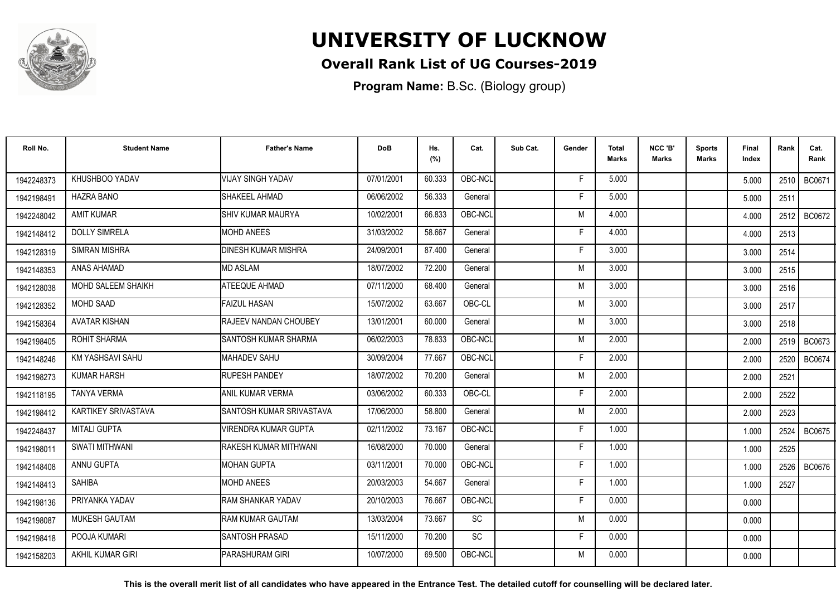

### **Overall Rank List of UG Courses-2019**

**Program Name:** B.Sc. (Biology group)

| Roll No.   | <b>Student Name</b>  | <b>Father's Name</b>       | <b>DoB</b> | Hs.<br>(%) | Cat.      | Sub Cat. | Gender | <b>Total</b><br><b>Marks</b> | NCC 'B'<br><b>Marks</b> | <b>Sports</b><br>Marks | Final<br>Index | Rank | Cat.<br>Rank  |
|------------|----------------------|----------------------------|------------|------------|-----------|----------|--------|------------------------------|-------------------------|------------------------|----------------|------|---------------|
| 1942248373 | KHUSHBOO YADAV       | <b>VIJAY SINGH YADAV</b>   | 07/01/2001 | 60.333     | OBC-NCL   |          | F      | 5.000                        |                         |                        | 5.000          | 2510 | BC0671        |
| 1942198491 | <b>HAZRA BANO</b>    | SHAKEEL AHMAD              | 06/06/2002 | 56.333     | General   |          | F      | 5.000                        |                         |                        | 5.000          | 2511 |               |
| 1942248042 | <b>AMIT KUMAR</b>    | <b>I</b> SHIV KUMAR MAURYA | 10/02/2001 | 66.833     | OBC-NCL   |          | M      | 4.000                        |                         |                        | 4.000          | 2512 | <b>BC0672</b> |
| 1942148412 | <b>DOLLY SIMRELA</b> | <b>MOHD ANEES</b>          | 31/03/2002 | 58.667     | General   |          |        | 4.000                        |                         |                        | 4.000          | 2513 |               |
| 1942128319 | <b>SIMRAN MISHRA</b> | <b>DINESH KUMAR MISHRA</b> | 24/09/2001 | 87.400     | General   |          | Е      | 3.000                        |                         |                        | 3.000          | 2514 |               |
| 1942148353 | ANAS AHAMAD          | <b>MD ASLAM</b>            | 18/07/2002 | 72.200     | General   |          | M      | 3.000                        |                         |                        | 3.000          | 2515 |               |
| 1942128038 | MOHD SALEEM SHAIKH   | ATEEQUE AHMAD              | 07/11/2000 | 68.400     | General   |          | M      | 3.000                        |                         |                        | 3.000          | 2516 |               |
| 1942128352 | <b>MOHD SAAD</b>     | <b>FAIZUL HASAN</b>        | 15/07/2002 | 63.667     | OBC-CL    |          | M      | 3.000                        |                         |                        | 3.000          | 2517 |               |
| 1942158364 | <b>AVATAR KISHAN</b> | RAJEEV NANDAN CHOUBEY      | 13/01/2001 | 60.000     | General   |          | M      | 3.000                        |                         |                        | 3.000          | 2518 |               |
| 1942198405 | <b>ROHIT SHARMA</b>  | SANTOSH KUMAR SHARMA       | 06/02/2003 | 78.833     | OBC-NCL   |          | M      | 2.000                        |                         |                        | 2.000          | 2519 | BC0673        |
| 1942148246 | KM YASHSAVI SAHU     | MAHADEV SAHU               | 30/09/2004 | 77.667     | OBC-NCL   |          | F      | 2.000                        |                         |                        | 2.000          | 2520 | <b>BC0674</b> |
| 1942198273 | <b>KUMAR HARSH</b>   | <b>RUPESH PANDEY</b>       | 18/07/2002 | 70.200     | General   |          | M      | 2.000                        |                         |                        | 2.000          | 2521 |               |
| 1942118195 | <b>TANYA VERMA</b>   | ANIL KUMAR VERMA           | 03/06/2002 | 60.333     | OBC-CL    |          |        | 2.000                        |                         |                        | 2.000          | 2522 |               |
| 1942198412 | KARTIKEY SRIVASTAVA  | SANTOSH KUMAR SRIVASTAVA   | 17/06/2000 | 58.800     | General   |          | M      | 2.000                        |                         |                        | 2.000          | 2523 |               |
| 1942248437 | <b>MITALI GUPTA</b>  | VIRENDRA KUMAR GUPTA       | 02/11/2002 | 73.167     | OBC-NCL   |          | F      | 1.000                        |                         |                        | 1.000          | 2524 | <b>BC0675</b> |
| 1942198011 | SWATI MITHWANI       | RAKESH KUMAR MITHWANI      | 16/08/2000 | 70.000     | General   |          | F      | 1.000                        |                         |                        | 1.000          | 2525 |               |
| 1942148408 | ANNU GUPTA           | <b>IMOHAN GUPTA</b>        | 03/11/2001 | 70.000     | OBC-NCL   |          | F      | 1.000                        |                         |                        | 1.000          |      | 2526 BC0676   |
| 1942148413 | <b>SAHIBA</b>        | <b>MOHD ANEES</b>          | 20/03/2003 | 54.667     | General   |          | F      | 1.000                        |                         |                        | 1.000          | 2527 |               |
| 1942198136 | PRIYANKA YADAV       | <b>RAM SHANKAR YADAV</b>   | 20/10/2003 | 76.667     | OBC-NCL   |          | F      | 0.000                        |                         |                        | 0.000          |      |               |
| 1942198087 | <b>MUKESH GAUTAM</b> | <b>RAM KUMAR GAUTAM</b>    | 13/03/2004 | 73.667     | <b>SC</b> |          | M      | 0.000                        |                         |                        | 0.000          |      |               |
| 1942198418 | POOJA KUMARI         | <b>ISANTOSH PRASAD</b>     | 15/11/2000 | 70.200     | <b>SC</b> |          | F.     | 0.000                        |                         |                        | 0.000          |      |               |
| 1942158203 | AKHIL KUMAR GIRI     | <b>PARASHURAM GIRI</b>     | 10/07/2000 | 69.500     | OBC-NCL   |          | М      | 0.000                        |                         |                        | 0.000          |      |               |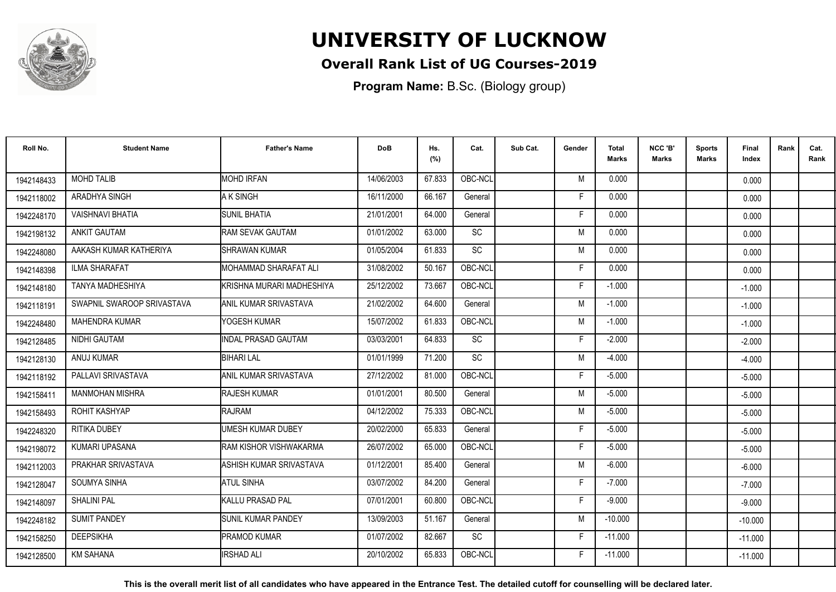

### **Overall Rank List of UG Courses-2019**

**Program Name:** B.Sc. (Biology group)

| Roll No.   | <b>Student Name</b>        | <b>Father's Name</b>       | <b>DoB</b> | Hs.<br>(%) | Cat.      | Sub Cat. | Gender | Total<br>Marks | NCC 'B'<br>Marks | <b>Sports</b><br>Marks | <b>Final</b><br>Index | Rank | Cat.<br>Rank |
|------------|----------------------------|----------------------------|------------|------------|-----------|----------|--------|----------------|------------------|------------------------|-----------------------|------|--------------|
| 1942148433 | <b>MOHD TALIB</b>          | <b>MOHD IRFAN</b>          | 14/06/2003 | 67.833     | OBC-NCL   |          | M      | 0.000          |                  |                        | 0.000                 |      |              |
| 1942118002 | ARADHYA SINGH              | A K SINGH                  | 16/11/2000 | 66.167     | General   |          | F      | 0.000          |                  |                        | 0.000                 |      |              |
| 1942248170 | <b>VAISHNAVI BHATIA</b>    | <b>SUNIL BHATIA</b>        | 21/01/2001 | 64.000     | General   |          | F      | 0.000          |                  |                        | 0.000                 |      |              |
| 1942198132 | <b>ANKIT GAUTAM</b>        | RAM SEVAK GAUTAM           | 01/01/2002 | 63.000     | <b>SC</b> |          | M      | 0.000          |                  |                        | 0.000                 |      |              |
| 1942248080 | AAKASH KUMAR KATHERIYA     | SHRAWAN KUMAR              | 01/05/2004 | 61.833     | <b>SC</b> |          | M      | 0.000          |                  |                        | 0.000                 |      |              |
| 1942148398 | <b>ILMA SHARAFAT</b>       | MOHAMMAD SHARAFAT ALI      | 31/08/2002 | 50.167     | OBC-NCL   |          | F.     | 0.000          |                  |                        | 0.000                 |      |              |
| 1942148180 | TANYA MADHESHIYA           | KRISHNA MURARI MADHESHIYA  | 25/12/2002 | 73.667     | OBC-NCL   |          | F.     | $-1.000$       |                  |                        | $-1.000$              |      |              |
| 1942118191 | SWAPNIL SWAROOP SRIVASTAVA | ANIL KUMAR SRIVASTAVA      | 21/02/2002 | 64.600     | General   |          | M      | $-1.000$       |                  |                        | $-1.000$              |      |              |
| 1942248480 | <b>MAHENDRA KUMAR</b>      | YOGESH KUMAR               | 15/07/2002 | 61.833     | OBC-NCL   |          | M      | $-1.000$       |                  |                        | $-1.000$              |      |              |
| 1942128485 | NIDHI GAUTAM               | <b>INDAL PRASAD GAUTAM</b> | 03/03/2001 | 64.833     | <b>SC</b> |          | F      | $-2.000$       |                  |                        | $-2.000$              |      |              |
| 1942128130 | ANUJ KUMAR                 | <b>BIHARI LAL</b>          | 01/01/1999 | 71.200     | <b>SC</b> |          | M      | $-4.000$       |                  |                        | $-4.000$              |      |              |
| 1942118192 | PALLAVI SRIVASTAVA         | ANIL KUMAR SRIVASTAVA      | 27/12/2002 | 81.000     | OBC-NCL   |          | F.     | $-5.000$       |                  |                        | $-5.000$              |      |              |
| 1942158411 | <b>MANMOHAN MISHRA</b>     | <b>RAJESH KUMAR</b>        | 01/01/2001 | 80.500     | General   |          | M      | $-5.000$       |                  |                        | $-5.000$              |      |              |
| 1942158493 | ROHIT KASHYAP              | RAJRAM                     | 04/12/2002 | 75.333     | OBC-NCL   |          | M      | $-5.000$       |                  |                        | $-5.000$              |      |              |
| 1942248320 | RITIKA DUBEY               | <b>UMESH KUMAR DUBEY</b>   | 20/02/2000 | 65.833     | General   |          | F.     | $-5.000$       |                  |                        | $-5.000$              |      |              |
| 1942198072 | KUMARI UPASANA             | RAM KISHOR VISHWAKARMA     | 26/07/2002 | 65.000     | OBC-NCL   |          | F.     | $-5.000$       |                  |                        | $-5.000$              |      |              |
| 1942112003 | PRAKHAR SRIVASTAVA         | ASHISH KUMAR SRIVASTAVA    | 01/12/2001 | 85.400     | General   |          | M      | $-6.000$       |                  |                        | $-6.000$              |      |              |
| 1942128047 | <b>SOUMYA SINHA</b>        | <b>ATUL SINHA</b>          | 03/07/2002 | 84.200     | General   |          | F.     | $-7.000$       |                  |                        | $-7.000$              |      |              |
| 1942148097 | <b>SHALINI PAL</b>         | KALLU PRASAD PAL           | 07/01/2001 | 60.800     | OBC-NCL   |          | F.     | $-9.000$       |                  |                        | $-9.000$              |      |              |
| 1942248182 | <b>SUMIT PANDEY</b>        | SUNIL KUMAR PANDEY         | 13/09/2003 | 51.167     | General   |          | M      | $-10.000$      |                  |                        | $-10.000$             |      |              |
| 1942158250 | <b>DEEPSIKHA</b>           | <b>PRAMOD KUMAR</b>        | 01/07/2002 | 82.667     | <b>SC</b> |          | F.     | $-11.000$      |                  |                        | $-11.000$             |      |              |
| 1942128500 | <b>KM SAHANA</b>           | IRSHAD ALI                 | 20/10/2002 | 65.833     | OBC-NCL   |          | F.     | $-11.000$      |                  |                        | $-11.000$             |      |              |